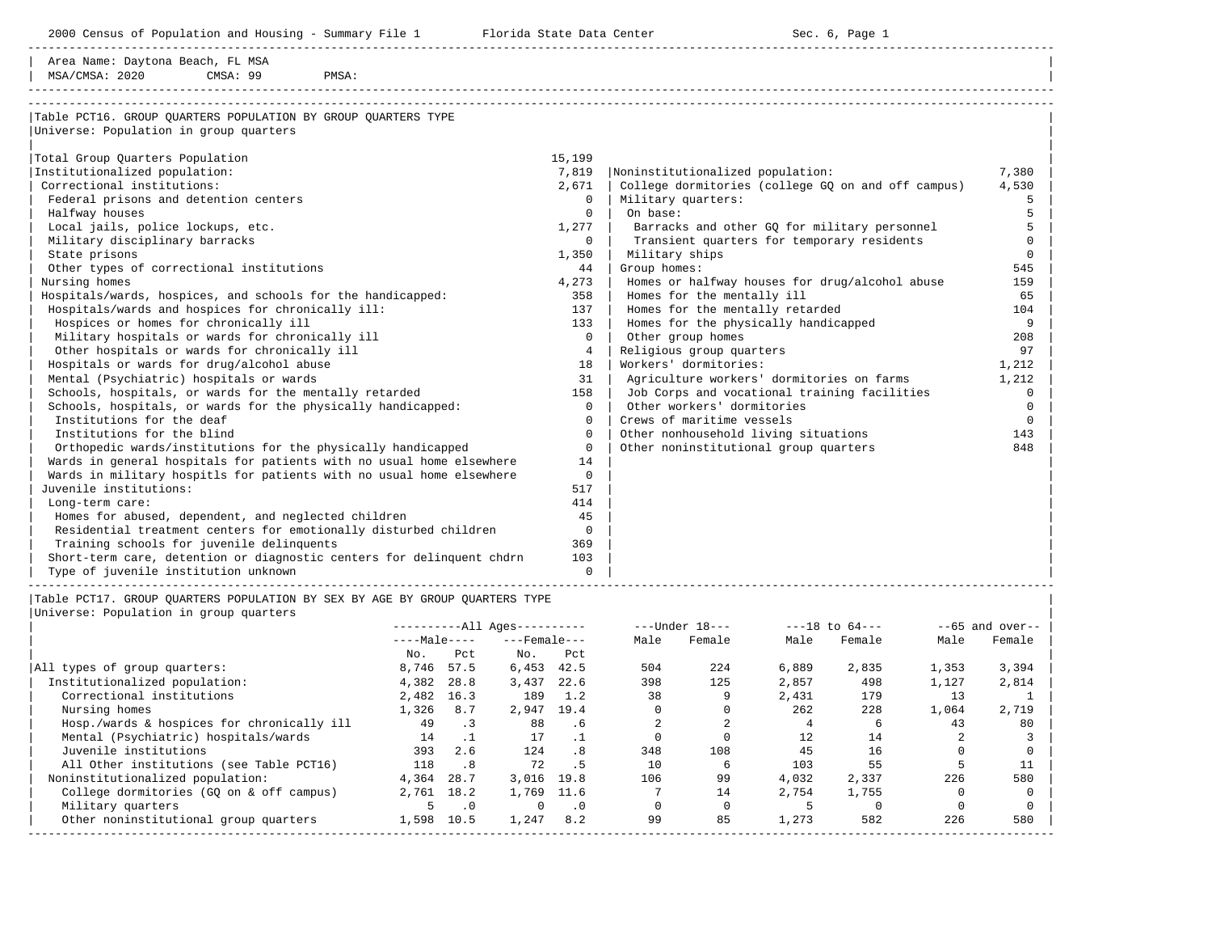2000 Census of Population and Housing - Summary File 1 Florida State Data Center Sec. 6, Page 1

-----------------------------------------------------------------------------------------------------------------------------------------------------

| Area Name: Daytona Beach, FL MSA | | MSA/CMSA: 2020 CMSA: 99

-----------------------------------------------------------------------------------------------------------------------------------------------------

| Table PCT16. GROUP OUARTERS POPULATION BY GROUP OUARTERS TYPE         |                |                                                    |          |
|-----------------------------------------------------------------------|----------------|----------------------------------------------------|----------|
| Universe: Population in group quarters                                |                |                                                    |          |
|                                                                       |                |                                                    |          |
| Total Group Quarters Population                                       | 15,199         |                                                    |          |
| Institutionalized population:                                         | 7,819          | Noninstitutionalized population:                   | 7,380    |
| Correctional institutions:                                            | 2,671          | College dormitories (college GQ on and off campus) | 4,530    |
| Federal prisons and detention centers                                 | $\Omega$       | Military quarters:                                 | 5        |
| Halfway houses                                                        | $\Omega$       | On base:                                           |          |
| Local jails, police lockups, etc.                                     | 1,277          | Barracks and other GO for military personnel       |          |
| Military disciplinary barracks                                        | $\circ$        | Transient quarters for temporary residents         | $\Omega$ |
| State prisons                                                         | 1,350          | Military ships                                     | $\Omega$ |
| Other types of correctional institutions                              | 44             | Group homes:                                       | 545      |
| Nursing homes                                                         | 4,273          | Homes or halfway houses for drug/alcohol abuse     | 159      |
| Hospitals/wards, hospices, and schools for the handicapped:           | 358            | Homes for the mentally ill                         | 65       |
| Hospitals/wards and hospices for chronically ill:                     | 137            | Homes for the mentally retarded                    | 104      |
| Hospices or homes for chronically ill                                 | 133            | Homes for the physically handicapped               | 9        |
| Military hospitals or wards for chronically ill                       | $\Omega$       | Other group homes                                  | 208      |
| Other hospitals or wards for chronically ill                          | 4              | Religious group quarters                           | 97       |
| Hospitals or wards for drug/alcohol abuse                             | 18             | Workers' dormitories:                              | 1,212    |
| Mental (Psychiatric) hospitals or wards                               | 31             | Agriculture workers' dormitories on farms          | 1,212    |
| Schools, hospitals, or wards for the mentally retarded                | 158            | Job Corps and vocational training facilities       | $\Omega$ |
| Schools, hospitals, or wards for the physically handicapped:          | $\Omega$       | Other workers' dormitories                         | $\Omega$ |
| Institutions for the deaf                                             | $\Omega$       | Crews of maritime vessels                          | $\Omega$ |
| Institutions for the blind                                            | $\Omega$       | Other nonhousehold living situations               | 143      |
| Orthopedic wards/institutions for the physically handicapped          | $\Omega$       | Other noninstitutional group quarters              | 848      |
| Wards in general hospitals for patients with no usual home elsewhere  | 14             |                                                    |          |
| Wards in military hospitls for patients with no usual home elsewhere  | $\Omega$       |                                                    |          |
| Juvenile institutions:                                                | 517            |                                                    |          |
| Long-term care:                                                       | 414            |                                                    |          |
| Homes for abused, dependent, and neglected children                   | 45             |                                                    |          |
| Residential treatment centers for emotionally disturbed children      | $\overline{0}$ |                                                    |          |
| Training schools for juvenile delinquents                             | 369            |                                                    |          |
| Short-term care, detention or diagnostic centers for delinquent chdrn | 103            |                                                    |          |
| Type of juvenile institution unknown                                  | $\Omega$       |                                                    |          |
|                                                                       |                |                                                    |          |

|Table PCT17. GROUP QUARTERS POPULATION BY SEX BY AGE BY GROUP QUARTERS TYPE |

|                                            | $------All Aqes------$ |                             |                    |           |      | $---Under 18---$ |       | $---18$ to $64---$ | $--65$ and over-- |        |  |
|--------------------------------------------|------------------------|-----------------------------|--------------------|-----------|------|------------------|-------|--------------------|-------------------|--------|--|
|                                            | $---Male---$           |                             | $---$ Female $---$ |           | Male | Female           | Male  | Female             | Male              | Female |  |
|                                            | No.                    | Pct.                        | No.                | Pct       |      |                  |       |                    |                   |        |  |
| All types of group quarters:               | 8,746                  | 57.5                        | 6,453              | 42.5      | 504  | 224              | 6,889 | 2,835              | 1,353             | 3,394  |  |
| Institutionalized population:              | 4,382                  | 28.8                        | 3,437              | 22.6      | 398  | 125              | 2,857 | 498                | 1,127             | 2,814  |  |
| Correctional institutions                  | 2,482                  | 16.3                        | 189                | 1.2       | 38   |                  | 2,431 | 179                | 13                |        |  |
| Nursing homes                              | 1,326                  | 8.7                         | 2,947              | 19.4      |      |                  | 2.62  | 228                | 1,064             | 2,719  |  |
| Hosp./wards & hospices for chronically ill | 49                     | $\cdot$ 3                   | 88                 | .6        |      |                  |       |                    | 43                | 80     |  |
| Mental (Psychiatric) hospitals/wards       | 14                     |                             | 17                 |           |      |                  | 12    | 14                 |                   |        |  |
| Juvenile institutions                      | 393                    | 2.6                         | 124                | . 8       | 348  | 108              | 45    | 16                 |                   |        |  |
| All Other institutions (see Table PCT16)   | 118                    | $\overline{\phantom{0}}$ .8 | 72                 | . 5       | 10   | 6                | 103   | 55                 |                   |        |  |
| Noninstitutionalized population:           | 4,364                  | 28.7                        | 3.016              | 19.8      | 106  | 99               | 4,032 | 2,337              | 226               | 580    |  |
| College dormitories (GQ on & off campus)   | 2,761                  | 18.2                        | 1,769              | 11.6      |      | 14               | 2,754 | 1,755              |                   |        |  |
| Military quarters                          |                        | $\cdot$ 0                   |                    | $\cdot$ 0 |      |                  |       |                    |                   |        |  |
| Other noninstitutional group quarters      | 1,598                  | 10.5                        | 1,247              | 8.2       | 99   | 85               | 1,273 | 582                | 226               | 580    |  |
|                                            |                        |                             |                    |           |      |                  |       |                    |                   |        |  |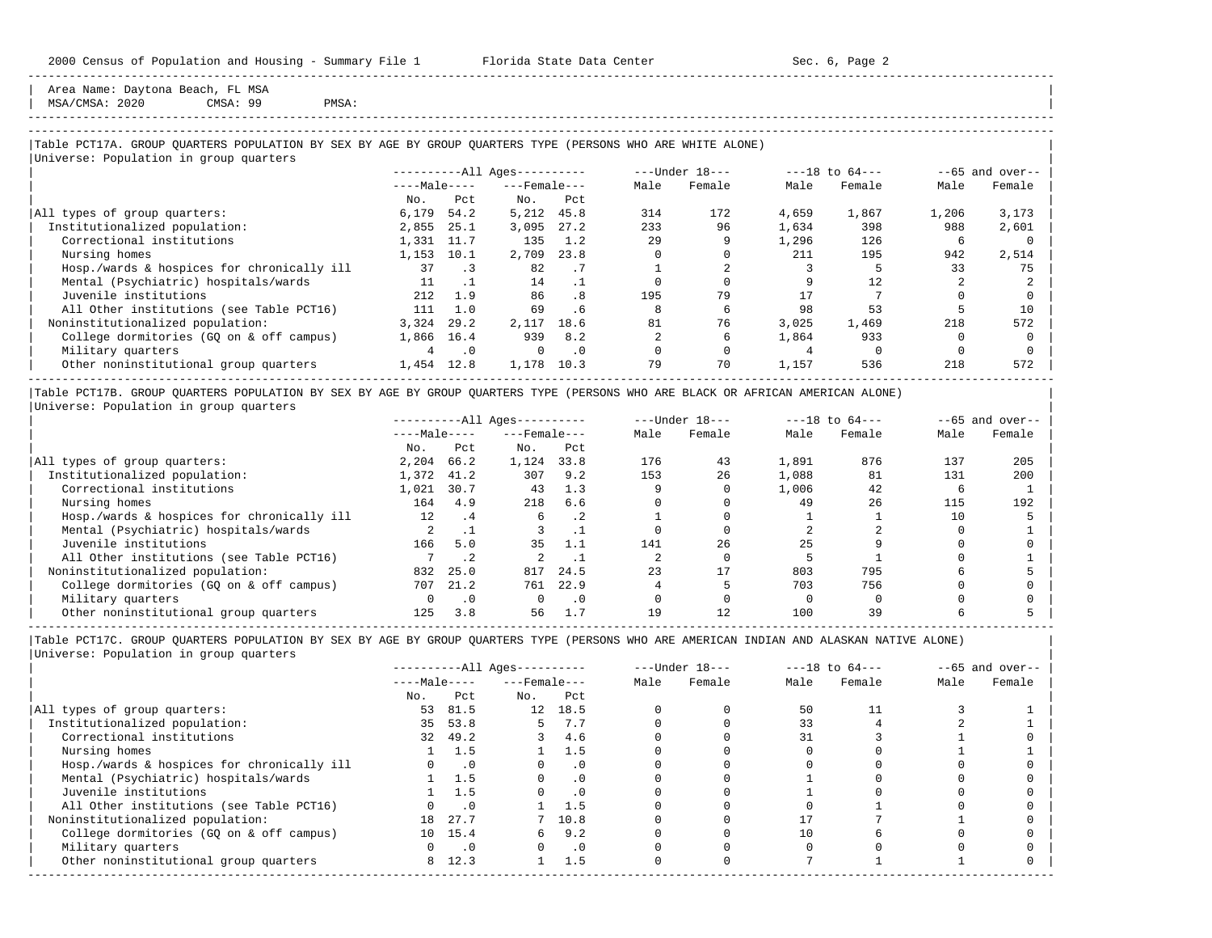Area Name: Daytona Beach, FL MSA

| MSA/CMSA: 2020 CMSA: 99 PMSA: |

-----------------------------------------------------------------------------------------------------------------------------------------------------

-----------------------------------------------------------------------------------------------------------------------------------------------------

#### |Table PCT17A. GROUP QUARTERS POPULATION BY SEX BY AGE BY GROUP QUARTERS TYPE (PERSONS WHO ARE WHITE ALONE) | |<br>|Universe: Population in group quarters

| $---Male---$ |           | $------All Aqes------$ |           | ---Under 18--- |        |       | $---18$ to $64---$ | $--65$ and over-- |        |
|--------------|-----------|------------------------|-----------|----------------|--------|-------|--------------------|-------------------|--------|
|              |           | $---$ Female $---$     |           | Male           | Female | Male  | Female             | Male              | Female |
| No.          | Pct       | No.                    | Pct       |                |        |       |                    |                   |        |
| 6,179        | 54.2      | 5,212                  | 45.8      | 314            | 172    | 4,659 | 1,867              | 1,206             | 3,173  |
| 2,855        | 25.1      | 3,095                  | 27.2      | 233            | 96     | 1,634 | 398                | 988               | 2,601  |
| 1,331        | 11.7      | 135                    | 1.2       | 29             |        | 1,296 | 126                | ь                 |        |
| 1,153        | 10.1      | 2,709                  | 23.8      |                |        | 211   | 195                | 942               | 2,514  |
| 37           | . 3       | 82                     | . 7       |                |        |       |                    | 33                | 75     |
|              |           | 14                     |           |                |        |       | 12.                |                   |        |
| 212          | 1.9       | 86                     | .8        | 195            | 79     |       |                    |                   |        |
| 111          | 1.0       | 69                     | .6        |                | h      | 98    | 53                 |                   | 10     |
| 3,324        | 29.2      | 2,117                  | 18.6      | 81             | 76     | 3.025 | 1,469              | 218               | 572    |
| 1,866        |           | 939                    | 8.2       |                | h      | 1,864 | 933                |                   |        |
|              | $\cdot$ 0 | 0                      | $\cdot$ 0 |                |        |       |                    |                   |        |
| 1,454        | 12.8      | 1,178                  | 10.3      | 79             | 70     | 1,157 | 536                | 218               | 572    |
|              |           | 16.4                   |           |                |        |       |                    |                   |        |

|Table PCT17B. GROUP QUARTERS POPULATION BY SEX BY AGE BY GROUP QUARTERS TYPE (PERSONS WHO ARE BLACK OR AFRICAN AMERICAN ALONE) | |Universe: Population in group quarters |

|                                            |                   | $------All Ages------$ |                    |           |      | $---Under 18---$ | $---18$ to $64---$ |        | $--65$ and over-- |        |
|--------------------------------------------|-------------------|------------------------|--------------------|-----------|------|------------------|--------------------|--------|-------------------|--------|
|                                            | $---Male---$      |                        | $---$ Female $---$ |           | Male | Female           | Male               | Female | Male              | Female |
|                                            | No.               | Pct                    | No.                | Pct       |      |                  |                    |        |                   |        |
| All types of group quarters:               | 2,204             | 66.2                   | 1,124              | 33.8      | 176  | 43               | 1,891              | 876    | 137               | 205    |
| Institutionalized population:              | 1,372             | 41.2                   | 307                | 9.2       | 153  | 26               | 1,088              | 81     | 131               | 200    |
| Correctional institutions                  | 1,021             | 30.7                   | 43                 | 1.3       |      |                  | 1,006              | 42     |                   |        |
| Nursing homes                              | 164               | 4.9                    | 218                | 6.6       |      |                  | 49                 | 26     | 115               | 192    |
| Hosp./wards & hospices for chronically ill | $12 \overline{ }$ | $\cdot$ 4              | 6                  | $\cdot$ 2 |      |                  |                    |        | 10                |        |
| Mental (Psychiatric) hospitals/wards       |                   |                        |                    |           |      |                  |                    |        |                   |        |
| Juvenile institutions                      | 166               | 5.0                    | 35                 | 1.1       | 141  | 26               | 25                 |        |                   |        |
| All Other institutions (see Table PCT16)   |                   | .2                     |                    |           |      |                  |                    |        |                   |        |
| Noninstitutionalized population:           | 832               | 25.0                   | 817                | 24.5      | 23   | 17               | 803                | 795    |                   |        |
| College dormitories (GO on & off campus)   | 707               | 21.2                   | 761                | 22.9      |      |                  | 703                | 756    |                   |        |
| Military quarters                          |                   |                        |                    | . 0       |      |                  |                    |        |                   |        |
| Other noninstitutional group quarters      | 125               | 3.8                    | 56                 |           | 19   | 12               | 100                | 39     |                   |        |

-----------------------------------------------------------------------------------------------------------------------------------------------------

|                                            |              |            | $------All Aqes------$ |           |      | $---Under 18---$ | $---18$ to $64---$ |        | $--65$ and over-- |        |
|--------------------------------------------|--------------|------------|------------------------|-----------|------|------------------|--------------------|--------|-------------------|--------|
|                                            | $---Male---$ |            | $---$ Female $---$     |           | Male | Female           | Male               | Female | Male              | Female |
|                                            | No.          | Pct        | No.                    | Pct       |      |                  |                    |        |                   |        |
| All types of group quarters:               | 53           | 81.5       | 12                     | 18.5      |      |                  | 50                 |        |                   |        |
| Institutionalized population:              | 35           | 53.8       |                        | 7.7       |      |                  | 33                 |        |                   |        |
| Correctional institutions                  |              | 32 49.2    |                        | 4.6       |      |                  | 31                 |        |                   |        |
| Nursing homes                              |              | 1.5        |                        | 1.5       |      |                  |                    |        |                   |        |
| Hosp./wards & hospices for chronically ill |              | $\cdot$ .0 |                        | $\cdot$ 0 |      |                  |                    |        |                   |        |
| Mental (Psychiatric) hospitals/wards       |              | 1 1.5      | $\Omega$               | . 0       |      |                  |                    |        |                   |        |
| Juvenile institutions                      |              | 1.5        |                        | $\cdot$ 0 |      |                  |                    |        |                   |        |
| All Other institutions (see Table PCT16)   |              | $\cdot$ 0  |                        | 1.5       |      |                  |                    |        |                   |        |
| Noninstitutionalized population:           | 18           | 27.7       |                        | 7 10.8    |      |                  |                    |        |                   |        |
| College dormitories (GQ on & off campus)   |              | 10 15.4    |                        | 9.2       |      |                  |                    |        |                   |        |
| Military quarters                          |              | $\cdot$ .0 |                        | $\cdot$ 0 |      |                  |                    |        |                   |        |
| Other noninstitutional group quarters      | 8            | 12.3       |                        | 1.5       |      |                  |                    |        |                   |        |
|                                            |              |            |                        |           |      |                  |                    |        |                   |        |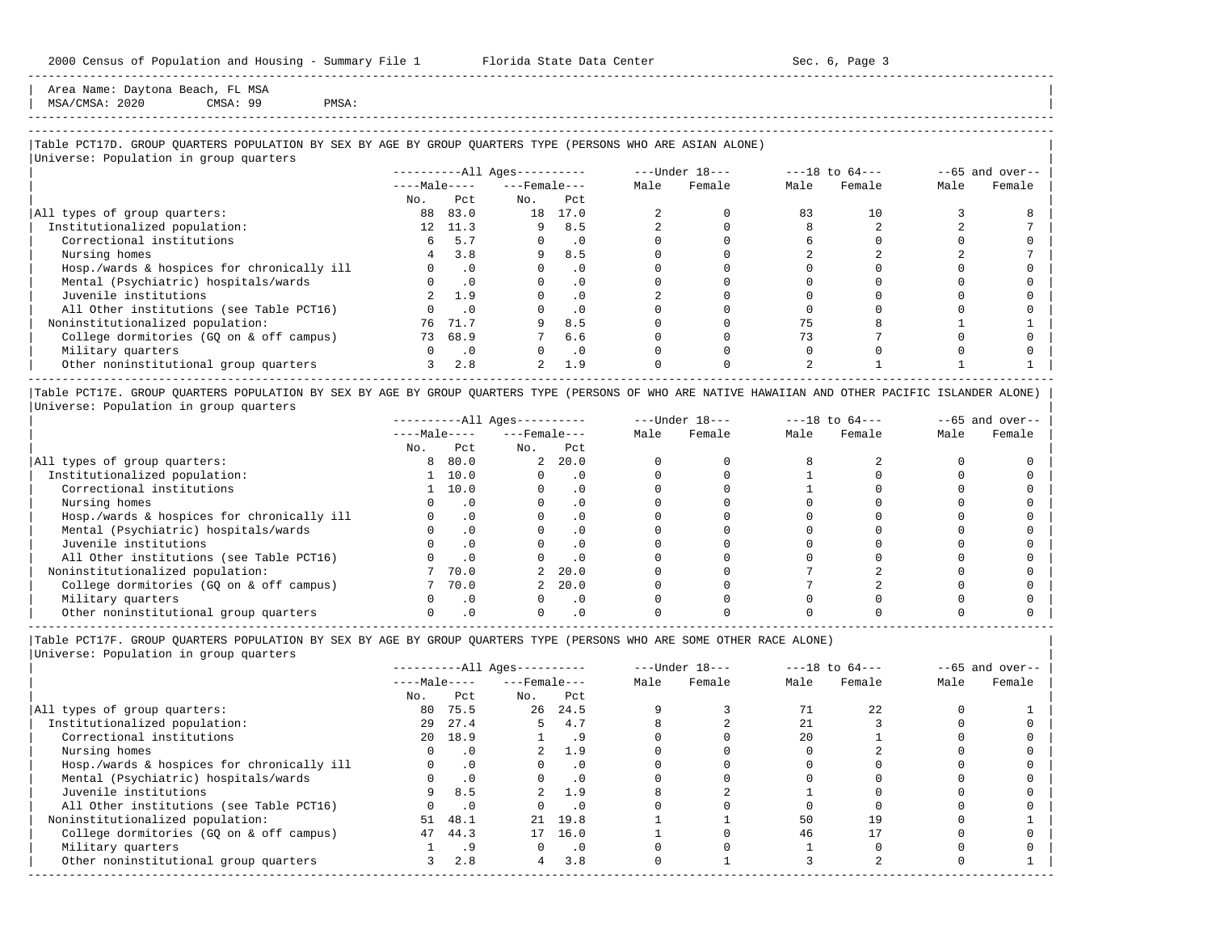Area Name: Daytona Beach, FL MSA | MSA/CMSA: 2020 CMSA: 99 PMSA: |

# -----------------------------------------------------------------------------------------------------------------------------------------------------

-----------------------------------------------------------------------------------------------------------------------------------------------------

#### |Table PCT17D. GROUP QUARTERS POPULATION BY SEX BY AGE BY GROUP QUARTERS TYPE (PERSONS WHO ARE ASIAN ALONE) |

|                                            |              |           | $------All Ages------$ |           |      | ---Under 18--- | $---18$ to $64---$ |        | $--65$ and over-- |        |
|--------------------------------------------|--------------|-----------|------------------------|-----------|------|----------------|--------------------|--------|-------------------|--------|
|                                            | $---Male---$ |           | $---$ Female $---$     |           | Male | Female         | Male               | Female | Male              | Female |
|                                            | No.          | Pct.      | No.                    | Pct       |      |                |                    |        |                   |        |
| All types of group quarters:               | 88           | 83.0      | 18                     | 17.0      |      |                | 83                 | 10     |                   |        |
| Institutionalized population:              | 12           | 11.3      | 9                      | 8.5       |      |                |                    |        |                   |        |
| Correctional institutions                  |              | 5.7       |                        | $\cdot$ 0 |      |                |                    |        |                   |        |
| Nursing homes                              |              | 3.8       | 9                      | 8.5       |      |                |                    |        |                   |        |
| Hosp./wards & hospices for chronically ill |              | $\cdot$ 0 |                        | . 0       |      |                |                    |        |                   |        |
| Mental (Psychiatric) hospitals/wards       |              | $\cdot$ 0 |                        | $\cdot$ 0 |      |                |                    |        |                   |        |
| Juvenile institutions                      |              | 1.9       |                        | $\cdot$ 0 |      |                |                    |        |                   |        |
| All Other institutions (see Table PCT16)   |              | . 0       |                        | $\cdot$ 0 |      |                |                    |        |                   |        |
| Noninstitutionalized population:           | 76           | 71.7      |                        | 8.5       |      |                |                    |        |                   |        |
| College dormitories (GO on & off campus)   |              | 73 68.9   |                        | 6.6       |      |                | 73                 |        |                   |        |
| Military quarters                          |              | $\cdot$ 0 |                        | $\cdot$ 0 |      |                |                    |        |                   |        |
| Other noninstitutional group quarters      |              | 2.8       | $\overline{2}$         | 1.9       |      |                |                    |        |                   |        |

|Table PCT17E. GROUP QUARTERS POPULATION BY SEX BY AGE BY GROUP QUARTERS TYPE (PERSONS OF WHO ARE NATIVE HAWAIIAN AND OTHER PACIFIC ISLANDER ALONE) | |Universe: Population in group quarters |

|                                            | $------All Ages------$ |           |                    |           | $---Under 18---$ |        | $---18$ to $64---$ | $--65$ and over-- |      |        |
|--------------------------------------------|------------------------|-----------|--------------------|-----------|------------------|--------|--------------------|-------------------|------|--------|
|                                            | $---Male---$           |           | $---$ Female $---$ |           | Male             | Female | Male               | Female            | Male | Female |
|                                            | No.                    | Pct       | No.                | Pct       |                  |        |                    |                   |      |        |
| All types of group quarters:               | 8                      | 80.0      | $\overline{a}$     | 20.0      |                  |        |                    |                   |      |        |
| Institutionalized population:              |                        | 10.0      |                    | . 0       |                  |        |                    |                   |      |        |
| Correctional institutions                  |                        | 10.0      |                    |           |                  |        |                    |                   |      |        |
| Nursing homes                              |                        | $\cdot$ 0 |                    |           |                  |        |                    |                   |      |        |
| Hosp./wards & hospices for chronically ill |                        |           |                    |           |                  |        |                    |                   |      |        |
| Mental (Psychiatric) hospitals/wards       |                        |           |                    |           |                  |        |                    |                   |      |        |
| Juvenile institutions                      |                        |           |                    | . 0       |                  |        |                    |                   |      |        |
| All Other institutions (see Table PCT16)   |                        |           |                    | $\cdot$ 0 |                  |        |                    |                   |      |        |
| Noninstitutionalized population:           |                        | 70.0      |                    | 20.0      |                  |        |                    |                   |      |        |
| College dormitories (GQ on & off campus)   |                        | 70.0      |                    | 20.0      |                  |        |                    |                   |      |        |
| Military quarters                          |                        | $\cdot$ 0 |                    | $\cdot$ 0 |                  |        |                    |                   |      |        |
| Other noninstitutional group quarters      |                        |           |                    |           |                  |        |                    |                   |      |        |

-----------------------------------------------------------------------------------------------------------------------------------------------------

|Table PCT17F. GROUP QUARTERS POPULATION BY SEX BY AGE BY GROUP QUARTERS TYPE (PERSONS WHO ARE SOME OTHER RACE ALONE) |

|                                            |              |           | $------All Aqes------$ |           |      | $---Under 18---$ |      | $---18$ to $64---$ |      | $--65$ and over-- |
|--------------------------------------------|--------------|-----------|------------------------|-----------|------|------------------|------|--------------------|------|-------------------|
|                                            | $---Male---$ |           | $---$ Female $---$     |           | Male | Female           | Male | Female             | Male | Female            |
|                                            | No.          | Pct       | No.                    | Pct       |      |                  |      |                    |      |                   |
| All types of group quarters:               | 80           | 75.5      |                        | 26 24.5   |      |                  |      | 22                 |      |                   |
| Institutionalized population:              | 29           | 27.4      |                        | 4.7       |      |                  | 21   |                    |      |                   |
| Correctional institutions                  | 20           | 18.9      |                        |           |      |                  | 20   |                    |      |                   |
| Nursing homes                              |              | $\cdot$ 0 |                        | 1.9       |      |                  |      |                    |      |                   |
| Hosp./wards & hospices for chronically ill |              | $\cdot$ 0 |                        | $\cdot$ 0 |      |                  |      |                    |      |                   |
| Mental (Psychiatric) hospitals/wards       |              | $\cdot$ 0 |                        |           |      |                  |      |                    |      |                   |
| Juvenile institutions                      | 9.           | 8.5       | $2^{\circ}$            | 1.9       |      |                  |      |                    |      |                   |
| All Other institutions (see Table PCT16)   |              | $\cdot$ 0 |                        | $\cdot$ 0 |      |                  |      |                    |      |                   |
| Noninstitutionalized population:           | 51           | 48.1      |                        | 21 19.8   |      |                  | 50   |                    |      |                   |
| College dormitories (GQ on & off campus)   | 47           | 44.3      | 17                     | 16.0      |      |                  | 46   |                    |      |                   |
| Military quarters                          |              | .9        |                        | $\cdot$ 0 |      |                  |      |                    |      |                   |
| Other noninstitutional group quarters      |              | 2.8       | $\overline{4}$         | 3.8       |      |                  |      |                    |      |                   |
|                                            |              |           |                        |           |      |                  |      |                    |      |                   |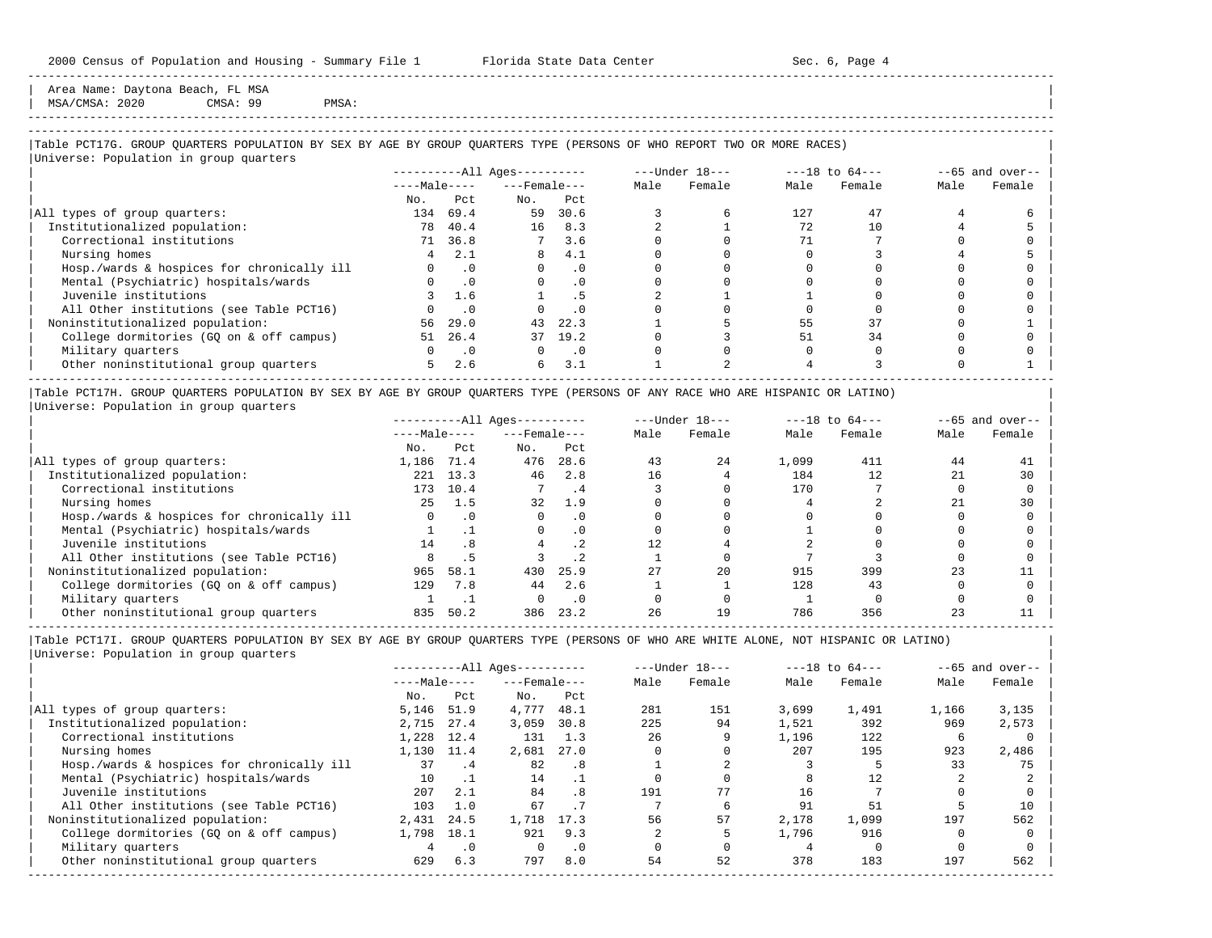Area Name: Daytona Beach, FL MSA MSA/CMSA: 2020 CMSA: 99 PMSA:

-----------------------------------------------------------------------------------------------------------------------------------------------------

## |Table PCT17G. GROUP QUARTERS POPULATION BY SEX BY AGE BY GROUP QUARTERS TYPE (PERSONS OF WHO REPORT TWO OR MORE RACES) |

|                                            |              |            | $------All Ages------$ |           |      | $---Under 18---$ | $---18$ to $64---$ |        | $--65$ and over-- |        |
|--------------------------------------------|--------------|------------|------------------------|-----------|------|------------------|--------------------|--------|-------------------|--------|
|                                            | $---Male---$ |            | $---$ Female $---$     |           | Male | Female           | Male               | Female | Male              | Female |
|                                            | No.          | Pct        | No.                    | Pct       |      |                  |                    |        |                   |        |
| All types of group quarters:               | 134          | 69.4       | 59                     | 30.6      |      |                  | 127                | 47     |                   |        |
| Institutionalized population:              | 78           | 40.4       | 16                     | 8.3       |      |                  | 72                 | 10     |                   |        |
| Correctional institutions                  |              | 71 36.8    | $7^{\circ}$            | 3.6       |      |                  | 71                 |        |                   |        |
| Nursing homes                              | 4            | 2.1        | 8                      | 4.1       |      |                  |                    |        |                   |        |
| Hosp./wards & hospices for chronically ill | $\Omega$     | $\cdot$ 0  | $\Omega$               | $\cdot$ 0 |      |                  |                    |        |                   |        |
| Mental (Psychiatric) hospitals/wards       | $\Omega$     | $\cdot$ 0  | $\Omega$               | $\cdot$ 0 |      |                  |                    |        |                   |        |
| Juvenile institutions                      |              | 1.6        |                        | . 5       |      |                  |                    |        |                   |        |
| All Other institutions (see Table PCT16)   |              | $\cdot$ 0  |                        | $\cdot$ 0 |      |                  |                    |        |                   |        |
| Noninstitutionalized population:           | 56           | 29.0       | 43                     | 22.3      |      |                  | 55                 | 37     |                   |        |
| College dormitories (GQ on & off campus)   | 51           | 26.4       |                        | 37 19.2   |      |                  | 51                 | 34     |                   |        |
| Military quarters                          | $\Omega$     | $\cdot$ .0 | $\Omega$               | $\cdot$ 0 |      |                  |                    |        |                   |        |
| Other noninstitutional group quarters      | 5            | 2.6        | б.                     | 3.1       |      |                  |                    |        |                   |        |

|Table PCT17H. GROUP QUARTERS POPULATION BY SEX BY AGE BY GROUP QUARTERS TYPE (PERSONS OF ANY RACE WHO ARE HISPANIC OR LATINO) | |Universe: Population in group quarters |

|                                            | $------All Aqes------$ |           |                    |           |      | $---Under 18---$ |       | $---18$ to $64---$ | $--65$ and over-- |        |
|--------------------------------------------|------------------------|-----------|--------------------|-----------|------|------------------|-------|--------------------|-------------------|--------|
|                                            | $---Male---$           |           | $---$ Female $---$ |           | Male | Female           | Male  | Female             | Male              | Female |
|                                            | No.                    | Pct       | No.                | Pct       |      |                  |       |                    |                   |        |
| All types of group quarters:               | 1,186                  | 71.4      | 476                | 28.6      | 43   | 24               | 1,099 | 411                | 44                | 41     |
| Institutionalized population:              | 221                    | 13.3      | 46                 | 2.8       | 16   |                  | 184   | 12                 |                   | 30     |
| Correctional institutions                  | 173                    | 10.4      |                    | . 4       |      |                  | 170   |                    |                   |        |
| Nursing homes                              | 25                     | 1.5       | 32                 | 1.9       |      |                  |       |                    |                   | 30     |
| Hosp./wards & hospices for chronically ill |                        | $\cdot$ 0 |                    | $\cdot$ 0 |      |                  |       |                    |                   |        |
| Mental (Psychiatric) hospitals/wards       |                        |           |                    | $\cdot$ 0 |      |                  |       |                    |                   |        |
| Juvenile institutions                      | 14                     | .8        |                    | . 2       |      |                  |       |                    |                   |        |
| All Other institutions (see Table PCT16)   |                        |           |                    | .2        |      |                  |       |                    |                   |        |
| Noninstitutionalized population:           | 965                    | 58.1      | 430                | 25.9      | 27   | 20               | 915   | 399                | 23                |        |
| College dormitories (GO on & off campus)   | 129                    | 7.8       | 44                 | 2.6       |      |                  | 128   | 43                 |                   |        |
| Military quarters                          |                        |           |                    | $\cdot$ 0 |      |                  |       |                    |                   |        |
| Other noninstitutional group quarters      | 835                    | 50.2      | 386                | 23.2      | 26   | 19               | 786   | 356                |                   |        |

-----------------------------------------------------------------------------------------------------------------------------------------------------

|                                            |              |           | $------All Aqes------$ |                             |      | $---Under 18---$ | $---18$ to $64---$ |        | $--65$ and over-- |        |
|--------------------------------------------|--------------|-----------|------------------------|-----------------------------|------|------------------|--------------------|--------|-------------------|--------|
|                                            | $---Male---$ |           | $---$ Female $---$     |                             | Male | Female           | Male               | Female | Male              | Female |
|                                            | No.          | Pct       | No.                    | Pct                         |      |                  |                    |        |                   |        |
| All types of group quarters:               | 5,146        | 51.9      | 4,777                  | 48.1                        | 281  | 151              | 3,699              | 1,491  | 1,166             | 3,135  |
| Institutionalized population:              | 2,715        | 27.4      | 3,059                  | 30.8                        | 225  | 94               | 1,521              | 392    | 969               | 2,573  |
| Correctional institutions                  | 1,228        | 12.4      | 131                    | 1.3                         | 26   |                  | 1,196              | 122    | ь                 |        |
| Nursing homes                              | 1,130        | 11.4      | 2,681                  | 27.0                        |      |                  | 207                | 195    | 923               | 2,486  |
| Hosp./wards & hospices for chronically ill | 37           | . 4       | 82                     | $\overline{\phantom{0}}$ .8 |      |                  |                    |        | 33                | 75     |
| Mental (Psychiatric) hospitals/wards       | 10           |           | 14                     |                             |      |                  |                    | 12     |                   |        |
| Juvenile institutions                      | 207          | 2.1       | 84                     | .8                          | 191  | 77               | 16                 |        |                   |        |
| All Other institutions (see Table PCT16)   | 103          | 1.0       | 67                     |                             |      | 6                | 91                 | 51     |                   | 10     |
| Noninstitutionalized population:           | 2,431        | 24.5      | 1,718                  | 17.3                        | 56   | 57               | 2,178              | 1,099  | 197               | 562    |
| College dormitories (GO on & off campus)   | 1,798        | 18.1      | 921                    | 9.3                         |      |                  | 1,796              | 916    |                   |        |
| Military quarters                          |              | $\cdot$ 0 |                        | $\cdot$ 0                   |      |                  |                    |        |                   |        |
| Other noninstitutional group quarters      | 629          | 6.3       | 797                    | 8.0                         | 54   | 52               | 378                | 183    | 197               | 562    |
|                                            |              |           |                        |                             |      |                  |                    |        |                   |        |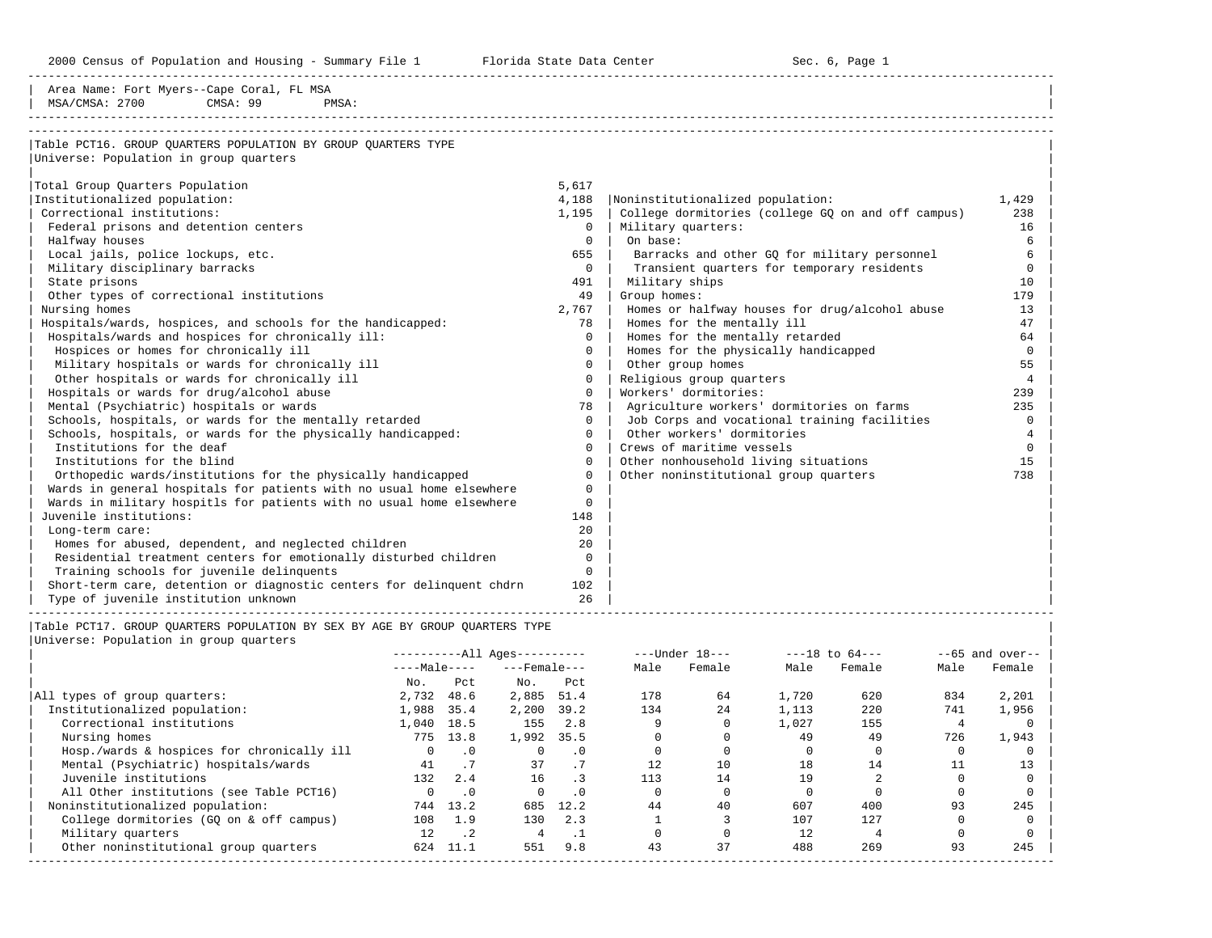2000 Census of Population and Housing - Summary File 1 Telorida State Data Center Sec. 6, Page 1 North Sec. 6, Page

-----------------------------------------------------------------------------------------------------------------------------------------------------

| Area Name: Fort Myers--Cape Coral, FL MSA                                                      |                        |      |                               |                      |                            |                                       |                |                                                    |                |                    |
|------------------------------------------------------------------------------------------------|------------------------|------|-------------------------------|----------------------|----------------------------|---------------------------------------|----------------|----------------------------------------------------|----------------|--------------------|
| MSA/CMSA: 2700<br>CMSA: 99<br>PMSA:                                                            |                        |      |                               |                      |                            |                                       |                |                                                    |                |                    |
|                                                                                                |                        |      |                               |                      |                            |                                       |                |                                                    |                |                    |
| Table PCT16. GROUP QUARTERS POPULATION BY GROUP QUARTERS TYPE                                  |                        |      |                               |                      |                            |                                       |                |                                                    |                |                    |
| Universe: Population in group quarters                                                         |                        |      |                               |                      |                            |                                       |                |                                                    |                |                    |
|                                                                                                |                        |      |                               |                      |                            |                                       |                |                                                    |                |                    |
| Total Group Quarters Population                                                                |                        |      |                               | 5,617                |                            |                                       |                |                                                    |                |                    |
| Institutionalized population:                                                                  |                        |      |                               | 4,188                |                            | Noninstitutionalized population:      |                |                                                    |                | 1,429              |
| Correctional institutions:                                                                     |                        |      |                               | 1,195                |                            |                                       |                | College dormitories (college GQ on and off campus) |                | 238                |
| Federal prisons and detention centers                                                          |                        |      |                               | $\Omega$             |                            | Military quarters:                    |                |                                                    |                | 16                 |
| Halfway houses                                                                                 |                        |      |                               | $\mathbf 0$          | On base:                   |                                       |                |                                                    |                | 6                  |
| Local jails, police lockups, etc.                                                              |                        |      |                               | 655                  |                            |                                       |                | Barracks and other GQ for military personnel       |                | 6                  |
| Military disciplinary barracks                                                                 |                        |      |                               | $\mathbf 0$          |                            |                                       |                | Transient quarters for temporary residents         |                | $\mathbf 0$        |
| State prisons                                                                                  |                        |      |                               | 491                  |                            | Military ships                        |                |                                                    |                | 10                 |
| Other types of correctional institutions                                                       |                        |      |                               | 49                   | Group homes:               |                                       |                |                                                    |                | 179                |
| Nursing homes                                                                                  |                        |      |                               | 2,767                |                            |                                       |                | Homes or halfway houses for drug/alcohol abuse     |                | 13                 |
| Hospitals/wards, hospices, and schools for the handicapped:                                    |                        |      |                               | 78                   |                            | Homes for the mentally ill            |                |                                                    |                | 47                 |
| Hospitals/wards and hospices for chronically ill:                                              |                        |      |                               | $\mathbf 0$          |                            | Homes for the mentally retarded       |                |                                                    |                | 64                 |
| Hospices or homes for chronically ill                                                          |                        |      |                               | $\mathbf 0$          |                            | Homes for the physically handicapped  |                |                                                    |                | $\mathbf 0$        |
| Military hospitals or wards for chronically ill                                                |                        |      |                               | $\mathbf 0$          |                            | Other group homes                     |                |                                                    |                | 55                 |
| Other hospitals or wards for chronically ill                                                   |                        |      |                               | $\mathbf 0$          |                            | Religious group quarters              |                |                                                    |                | $\overline{4}$     |
| Hospitals or wards for drug/alcohol abuse                                                      |                        |      |                               | $\Omega$             |                            | Workers' dormitories:                 |                |                                                    |                | 239                |
| Mental (Psychiatric) hospitals or wards                                                        |                        |      |                               | 78                   |                            |                                       |                | Agriculture workers' dormitories on farms          |                | 235                |
| Schools, hospitals, or wards for the mentally retarded                                         |                        |      |                               | $\mathbf 0$          |                            |                                       |                | Job Corps and vocational training facilities       |                | $\mathbf 0$        |
| Schools, hospitals, or wards for the physically handicapped:                                   |                        |      |                               | $\Omega$             | Other workers' dormitories |                                       | $\overline{4}$ |                                                    |                |                    |
| Institutions for the deaf                                                                      |                        |      |                               | $\Omega$             |                            | Crews of maritime vessels             |                |                                                    |                | $\mathbf 0$        |
| Institutions for the blind                                                                     |                        |      |                               | $\Omega$             |                            | Other nonhousehold living situations  |                |                                                    |                | 15                 |
| Orthopedic wards/institutions for the physically handicapped                                   |                        |      |                               | $\Omega$             |                            | Other noninstitutional group quarters |                |                                                    |                | 738                |
| Wards in general hospitals for patients with no usual home elsewhere                           |                        |      |                               | $\Omega$<br>$\Omega$ |                            |                                       |                |                                                    |                |                    |
| Wards in military hospitls for patients with no usual home elsewhere<br>Juvenile institutions: |                        |      |                               | 148                  |                            |                                       |                |                                                    |                |                    |
| Long-term care:                                                                                |                        |      |                               | 20                   |                            |                                       |                |                                                    |                |                    |
| Homes for abused, dependent, and neglected children                                            |                        |      |                               | 20                   |                            |                                       |                |                                                    |                |                    |
| Residential treatment centers for emotionally disturbed children                               |                        |      |                               | $\Omega$             |                            |                                       |                |                                                    |                |                    |
| Training schools for juvenile delinquents                                                      |                        |      |                               | $\Omega$             |                            |                                       |                |                                                    |                |                    |
| Short-term care, detention or diagnostic centers for delinquent chdrn                          |                        |      |                               | 102                  |                            |                                       |                |                                                    |                |                    |
| Type of juvenile institution unknown                                                           |                        |      |                               | 26                   |                            |                                       |                |                                                    |                |                    |
|                                                                                                |                        |      |                               |                      |                            |                                       |                |                                                    |                |                    |
| Table PCT17. GROUP QUARTERS POPULATION BY SEX BY AGE BY GROUP QUARTERS TYPE                    |                        |      |                               |                      |                            |                                       |                |                                                    |                |                    |
| Universe: Population in group quarters                                                         |                        |      |                               |                      |                            |                                       |                |                                                    |                |                    |
|                                                                                                | $------All Aqes------$ |      |                               |                      |                            | ---Under 18---                        |                | $---18$ to $64---$                                 |                | $- -65$ and over-- |
|                                                                                                | $---Ma$ $e---$<br>No.  | Pct. | $---$ Female $---$<br>$N_O$ . | Pct.                 | Male                       | Female                                | Male           | Female                                             | Male           | Female             |
| All types of group quarters:                                                                   | 2,732 48.6             |      | 2,885 51.4                    |                      | 178                        | 64                                    | 1,720          | 620                                                | 834            | 2,201              |
| Institutionalized population:                                                                  | 1,988 35.4             |      | 2,200 39.2                    |                      | 134                        | 24                                    | 1,113          | 220                                                | 741            | 1,956              |
| Correctional institutions                                                                      | 1,040 18.5             |      |                               | 155 2.8              | 9                          | $\circ$                               | 1,027          | 155                                                | $\overline{4}$ | $\mathbf{0}$       |
| Nursing homes                                                                                  | 775 13.8               |      | 1,992 35.5                    |                      | $\Omega$                   | $\Omega$                              | 49             | 49                                                 | 726            | 1,943              |
|                                                                                                |                        |      |                               |                      |                            |                                       |                |                                                    |                |                    |

|                                            | NO.      | PCL         | NO.   | PCL       |     |    |       |     |     |       |  |
|--------------------------------------------|----------|-------------|-------|-----------|-----|----|-------|-----|-----|-------|--|
| All types of group quarters:               | 2,732    | 48.6        | 2,885 | 51.4      | 178 | 64 | 1,720 | 620 | 834 | 2,201 |  |
| Institutionalized population:              | 1,988    | 35.4        | 2,200 | 39.2      | 134 | 24 | 1,113 | 220 | 741 | 1,956 |  |
| Correctional institutions                  | 1,040    | 18.5        | 155   | 2.8       |     |    | 1,027 | 155 |     |       |  |
| Nursing homes                              | 775      | 13.8        | 1,992 | 35.5      |     |    | 49    | 49  | 726 | 1,943 |  |
| Hosp./wards & hospices for chronically ill | $\Omega$ | .0          |       |           |     |    |       |     |     |       |  |
| Mental (Psychiatric) hospitals/wards       | 41       |             | 37    |           | 12. | 10 | 18    | 14  |     | 13    |  |
| Juvenile institutions                      | 132      | 2.4         | 16    | $\cdot$ 3 | 113 | 14 | 19    |     |     |       |  |
| All Other institutions (see Table PCT16)   |          | $\cdot$ 0   |       |           |     |    |       |     |     |       |  |
| Noninstitutionalized population:           | 744      | 13.2        | 685   | 12.2      | 44  | 40 | 607   | 400 | 93  | 245   |  |
| College dormitories (GO on & off campus)   | 108      | 1.9         | 130   | 2.3       |     |    | 107   | 127 |     |       |  |
| Military quarters                          | 12       | $\cdot$ . 2 |       |           |     |    | 12    |     |     |       |  |
| Other noninstitutional group quarters      | 624      | 11.1        | 551   | 9.8       | 43  | 37 | 488   | 269 | 93  | 245   |  |
|                                            |          |             |       |           |     |    |       |     |     |       |  |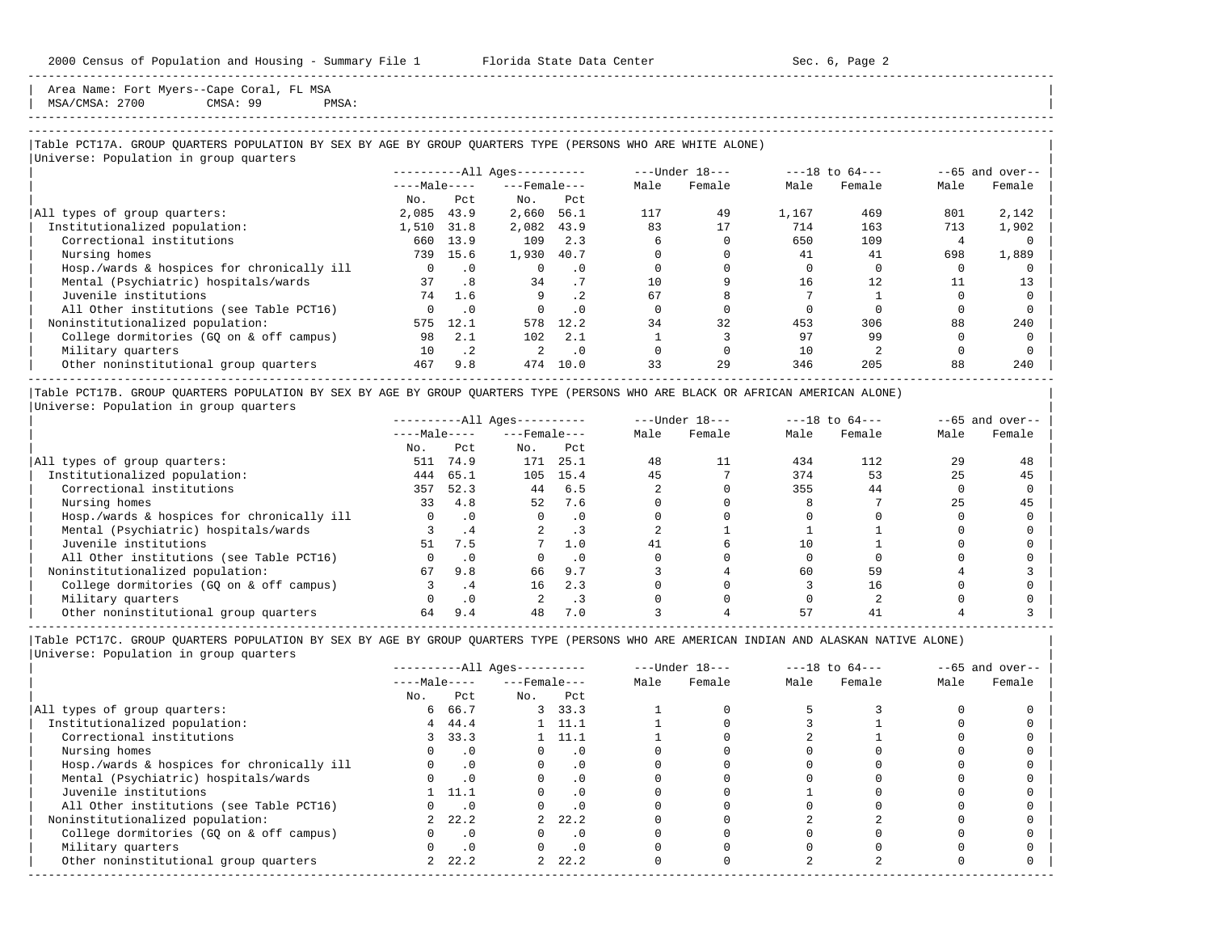Area Name: Fort Myers--Cape Coral, FL MSA | MSA/CMSA: 2700 CMSA: 99 PMSA:

# -----------------------------------------------------------------------------------------------------------------------------------------------------

-----------------------------------------------------------------------------------------------------------------------------------------------------

## |Table PCT17A. GROUP QUARTERS POPULATION BY SEX BY AGE BY GROUP QUARTERS TYPE (PERSONS WHO ARE WHITE ALONE) |

|                                            |              |           | $------All Aqes------$ |           |      | ---Under 18--- |       | $---18$ to $64---$ |      | $--65$ and over-- |
|--------------------------------------------|--------------|-----------|------------------------|-----------|------|----------------|-------|--------------------|------|-------------------|
|                                            | $---Male---$ |           | $---$ Female $---$     |           | Male | Female         | Male  | Female             | Male | Female            |
|                                            | No.          | Pct       | No.                    | Pct       |      |                |       |                    |      |                   |
| All types of group quarters:               | 2,085        | 43.9      | 2,660                  | 56.1      | 117  | 49             | 1,167 | 469                | 801  | 2,142             |
| Institutionalized population:              | 1,510        | 31.8      | 2,082                  | 43.9      | 83   | 17             | 714   | 163                | 713  | 1,902             |
| Correctional institutions                  | 660          | 13.9      | 109                    | 2.3       |      |                | 650   | 109                |      |                   |
| Nursing homes                              | 739          | 15.6      | 1,930                  | 40.7      |      |                | 41    | 41                 | 698  | 1,889             |
| Hosp./wards & hospices for chronically ill |              | .0        | $\Omega$               | . 0       |      |                |       |                    |      |                   |
| Mental (Psychiatric) hospitals/wards       | 37           | .8        | 34                     | . 7       | 10   |                | 16    | 12                 |      | 13                |
| Juvenile institutions                      | 74           | 1.6       | 9                      | $\cdot$ 2 | 67   |                |       |                    |      |                   |
| All Other institutions (see Table PCT16)   |              | $\cdot$ 0 |                        | . 0       |      |                |       |                    |      |                   |
| Noninstitutionalized population:           | 575          | 12.1      | 578                    | 12.2      | 34   | 32             | 453   | 306                | 88   | 240               |
| College dormitories (GQ on & off campus)   | 98           | 2.1       | 102                    | 2.1       |      |                | 97    | 99                 |      |                   |
| Military quarters                          | 10           | $\cdot$ 2 | $\mathfrak{D}$         | $\cdot$ 0 |      |                | 10    |                    |      |                   |
| Other noninstitutional group quarters      | 467          | 9.8       | 474                    | 10.0      | 33   | 29             | 346   | 205                | 88   | 240               |

|Table PCT17B. GROUP QUARTERS POPULATION BY SEX BY AGE BY GROUP QUARTERS TYPE (PERSONS WHO ARE BLACK OR AFRICAN AMERICAN ALONE) | |Universe: Population in group quarters |

|                                            |              | $------All Ages------$ |                    |      | $---Under 18---$ | $---18$ to $64---$ |      | $--65$ and over-- |      |        |
|--------------------------------------------|--------------|------------------------|--------------------|------|------------------|--------------------|------|-------------------|------|--------|
|                                            | $---Male---$ |                        | $---$ Female $---$ |      | Male             | Female             | Male | Female            | Male | Female |
|                                            | No.          | Pct                    | No.                | Pct  |                  |                    |      |                   |      |        |
| All types of group quarters:               | 511          | 74.9                   | 171                | 25.1 | 48               | 11                 | 434  | 112               | 29   | 48     |
| Institutionalized population:              | 444          | 65.1                   | 105                | 15.4 | 45               |                    | 374  | 53                | 25   | 45     |
| Correctional institutions                  | 357          | 52.3                   | 44                 | 6.5  |                  |                    | 355  | 44                |      |        |
| Nursing homes                              | 33           | 4.8                    | 52                 | 7.6  |                  |                    |      |                   |      | 45     |
| Hosp./wards & hospices for chronically ill |              |                        |                    | . 0  |                  |                    |      |                   |      |        |
| Mental (Psychiatric) hospitals/wards       |              | .4                     |                    |      |                  |                    |      |                   |      |        |
| Juvenile institutions                      | 51           | 7.5                    |                    | 1.0  | 41               |                    |      |                   |      |        |
| All Other institutions (see Table PCT16)   |              |                        |                    | . 0  |                  |                    |      |                   |      |        |
| Noninstitutionalized population:           | 67           | 9.8                    | 66                 | 9.7  |                  |                    | 60   | 59                |      |        |
| College dormitories (GO on & off campus)   |              | .4                     | 16                 | 2.3  |                  |                    |      | 16                |      |        |
| Military quarters                          |              | $\cdot$ 0              |                    | . 3  |                  |                    |      |                   |      |        |
| Other noninstitutional group quarters      | 64           | 9.4                    | 48                 | 7.0  |                  |                    | 57   |                   |      |        |

|                                            | $------All Aqes------$ |           |                    |                |      | $---Under 18---$ | $---18$ to $64---$ |        | $--65$ and over-- |        |
|--------------------------------------------|------------------------|-----------|--------------------|----------------|------|------------------|--------------------|--------|-------------------|--------|
|                                            | $---Male---$           |           | $---$ Female $---$ |                | Male | Female           | Male               | Female | Male              | Female |
|                                            | No.                    | Pct       | No.                | Pct            |      |                  |                    |        |                   |        |
| All types of group quarters:               | 6                      | 66.7      |                    | 3, 33.3        |      |                  |                    |        |                   |        |
| Institutionalized population:              | 4                      | 44.4      |                    | $1 \quad 11.1$ |      |                  |                    |        |                   |        |
| Correctional institutions                  |                        | 3, 33.3   |                    | $1 \quad 11.1$ |      |                  |                    |        |                   |        |
| Nursing homes                              |                        | $\cdot$ 0 |                    | . 0            |      |                  |                    |        |                   |        |
| Hosp./wards & hospices for chronically ill |                        | $\cdot$ 0 |                    | . 0            |      |                  |                    |        |                   |        |
| Mental (Psychiatric) hospitals/wards       |                        | $\cdot$ 0 |                    | . 0            |      |                  |                    |        |                   |        |
| Juvenile institutions                      |                        | 11.1      |                    | $\cdot$ 0      |      |                  |                    |        |                   |        |
| All Other institutions (see Table PCT16)   |                        | $\cdot$ 0 |                    |                |      |                  |                    |        |                   |        |
| Noninstitutionalized population:           |                        | 22.2      |                    | 22.2           |      |                  |                    |        |                   |        |
| College dormitories (GQ on & off campus)   |                        | $\cdot$ 0 |                    | $\cdot$ 0      |      |                  |                    |        |                   |        |
| Military quarters                          |                        | $\cdot$ 0 |                    | $\cdot$ 0      |      |                  |                    |        |                   |        |
| Other noninstitutional group quarters      |                        | 22.2      | $\overline{2}$     | 22.2           |      |                  |                    |        |                   |        |
|                                            |                        |           |                    |                |      |                  |                    |        |                   |        |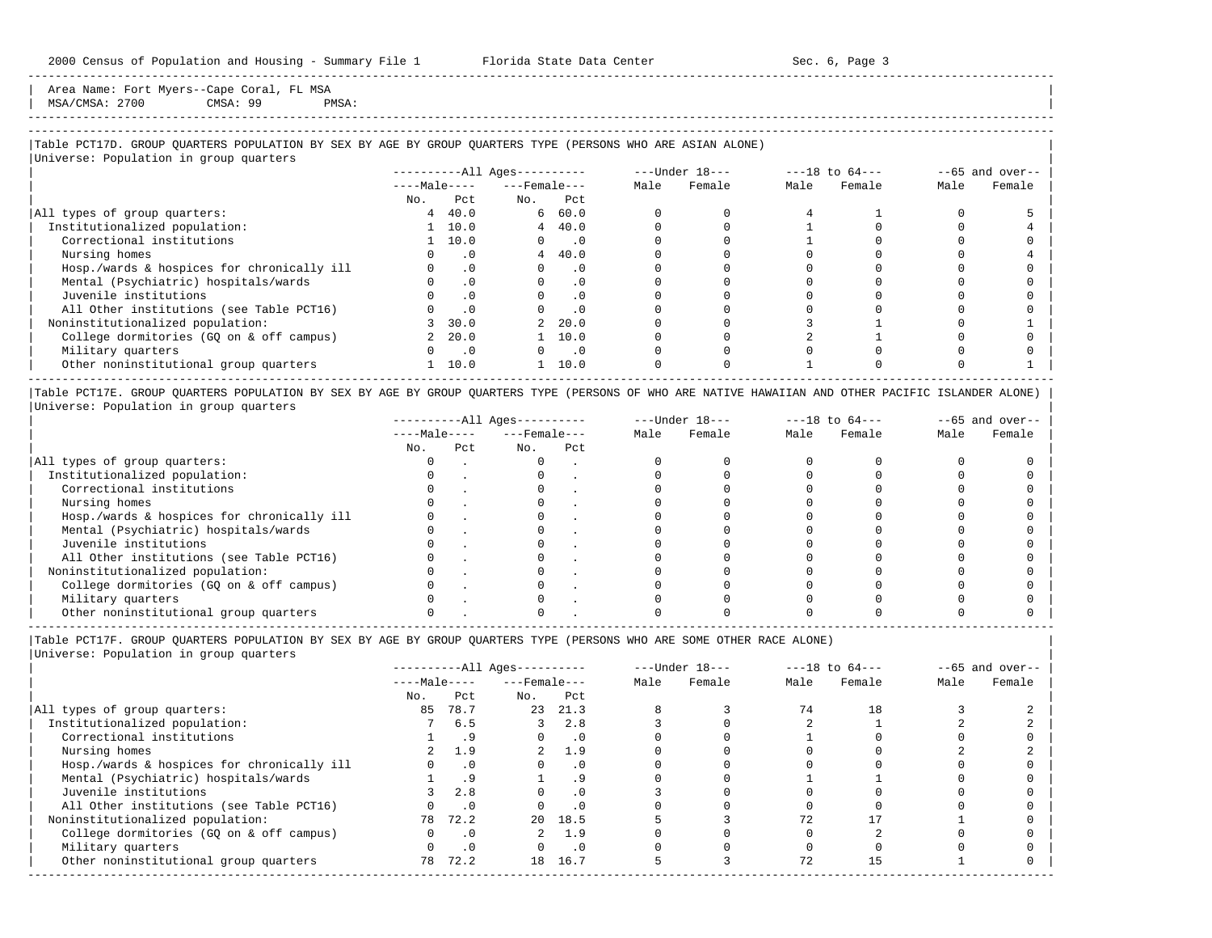Area Name: Fort Myers--Cape Coral, FL MSA | MSA/CMSA: 2700 CMSA: 99 PMSA: |

# -----------------------------------------------------------------------------------------------------------------------------------------------------

-----------------------------------------------------------------------------------------------------------------------------------------------------

## |Table PCT17D. GROUP QUARTERS POPULATION BY SEX BY AGE BY GROUP QUARTERS TYPE (PERSONS WHO ARE ASIAN ALONE) |

|                                            |              |                             | $------All Ages------$ |                             |      | ---Under 18--- |      | $---18$ to $64---$ |      | $--65$ and over-- |
|--------------------------------------------|--------------|-----------------------------|------------------------|-----------------------------|------|----------------|------|--------------------|------|-------------------|
|                                            | $---Male---$ |                             | $---$ Female $---$     |                             | Male | Female         | Male | Female             | Male | Female            |
|                                            | No.          | Pct                         | No.                    | Pct                         |      |                |      |                    |      |                   |
| All types of group quarters:               | 4            | 40.0                        |                        | 660.0                       |      |                |      |                    |      |                   |
| Institutionalized population:              |              | 1 10.0                      |                        | $4 \quad 40.0$              |      |                |      |                    |      |                   |
| Correctional institutions                  |              | 1 10.0                      | $\Omega$               | $\overline{\phantom{0}}$ .0 |      |                |      |                    |      |                   |
| Nursing homes                              |              | . 0                         |                        | 440.0                       |      |                |      |                    |      |                   |
| Hosp./wards & hospices for chronically ill |              | $\cdot$ 0                   | $\Omega$               | $\cdot$ 0                   |      |                |      |                    |      |                   |
| Mental (Psychiatric) hospitals/wards       |              | $\cdot$ 0                   | $\Omega$               | $\cdot$ 0                   |      |                |      |                    |      |                   |
| Juvenile institutions                      |              | $\cdot$ 0                   |                        | .0                          |      |                |      |                    |      |                   |
| All Other institutions (see Table PCT16)   |              | $\cdot$ 0                   |                        | $\cdot$ 0                   |      |                |      |                    |      |                   |
| Noninstitutionalized population:           |              | 30.0                        |                        | 20.0                        |      |                |      |                    |      |                   |
| College dormitories (GO on & off campus)   |              | 2, 20.0                     |                        | 10.0                        |      |                |      |                    |      |                   |
| Military quarters                          |              | $\overline{\phantom{0}}$ .0 |                        | $\overline{\phantom{0}}$ .0 |      |                |      |                    |      |                   |
| Other noninstitutional group quarters      |              | 10.0                        |                        | 10.0                        |      |                |      |                    |      |                   |

|Table PCT17E. GROUP QUARTERS POPULATION BY SEX BY AGE BY GROUP QUARTERS TYPE (PERSONS OF WHO ARE NATIVE HAWAIIAN AND OTHER PACIFIC ISLANDER ALONE) | |Universe: Population in group quarters |

|                                            |              |     | $------All Aqes------$ |     |      | $---Under 18---$ |      | $---18$ to $64---$ |      | $--65$ and over-- |
|--------------------------------------------|--------------|-----|------------------------|-----|------|------------------|------|--------------------|------|-------------------|
|                                            | $---Male---$ |     | $---$ Female $---$     |     | Male | Female           | Male | Female             | Male | Female            |
|                                            | No.          | Pct | No.                    | Pct |      |                  |      |                    |      |                   |
| All types of group quarters:               |              |     |                        |     |      |                  |      |                    |      |                   |
| Institutionalized population:              |              |     |                        |     |      |                  |      |                    |      |                   |
| Correctional institutions                  |              |     |                        |     |      |                  |      |                    |      |                   |
| Nursing homes                              |              |     |                        |     |      |                  |      |                    |      |                   |
| Hosp./wards & hospices for chronically ill |              |     |                        |     |      |                  |      |                    |      |                   |
| Mental (Psychiatric) hospitals/wards       |              |     |                        |     |      |                  |      |                    |      |                   |
| Juvenile institutions                      |              |     |                        |     |      |                  |      |                    |      |                   |
| All Other institutions (see Table PCT16)   |              |     |                        |     |      |                  |      |                    |      |                   |
| Noninstitutionalized population:           |              |     |                        |     |      |                  |      |                    |      |                   |
| College dormitories (GO on & off campus)   |              |     |                        |     |      |                  |      |                    |      |                   |
| Military quarters                          |              |     |                        |     |      |                  |      |                    |      |                   |
| Other noninstitutional group quarters      |              |     |                        |     |      |                  |      |                    |      |                   |

|Table PCT17F. GROUP QUARTERS POPULATION BY SEX BY AGE BY GROUP QUARTERS TYPE (PERSONS WHO ARE SOME OTHER RACE ALONE) |

|                                            |              | $------All Ages------$ |                    |           |      | $---Under 18---$ |      | $---18$ to $64---$ |      | $--65$ and over-- |
|--------------------------------------------|--------------|------------------------|--------------------|-----------|------|------------------|------|--------------------|------|-------------------|
|                                            | $---Male---$ |                        | $---$ Female $---$ |           | Male | Female           | Male | Female             | Male | Female            |
|                                            | No.          | Pct                    | No.                | Pct       |      |                  |      |                    |      |                   |
| All types of group quarters:               | 85           | 78.7                   | 23                 | 21.3      |      |                  | 74   | 18                 |      |                   |
| Institutionalized population:              |              | 6.5                    |                    | 2.8       |      |                  |      |                    |      |                   |
| Correctional institutions                  |              | . 9                    |                    | $\cdot$ 0 |      |                  |      |                    |      |                   |
| Nursing homes                              |              | 1.9                    | $2^{\circ}$        | 1.9       |      |                  |      |                    |      |                   |
| Hosp./wards & hospices for chronically ill |              | $\cdot$ 0              |                    | $\cdot$ 0 |      |                  |      |                    |      |                   |
| Mental (Psychiatric) hospitals/wards       |              | . 9                    |                    | . 9       |      |                  |      |                    |      |                   |
| Juvenile institutions                      |              | 2.8                    |                    | $\cdot$ 0 |      |                  |      |                    |      |                   |
| All Other institutions (see Table PCT16)   |              | $\cdot$ 0              |                    | $\cdot$ 0 |      |                  |      |                    |      |                   |
| Noninstitutionalized population:           | 78           | 72.2                   |                    | 20 18.5   |      |                  | 72   |                    |      |                   |
| College dormitories (GQ on & off campus)   |              | $\cdot$ 0              |                    | 1.9       |      |                  |      |                    |      |                   |
| Military quarters                          |              | .0                     |                    | $\cdot$ 0 |      |                  |      |                    |      |                   |
| Other noninstitutional group quarters      | 78           | 72.2                   | 18                 | 16.7      |      |                  | 72   |                    |      |                   |
|                                            |              |                        |                    |           |      |                  |      |                    |      |                   |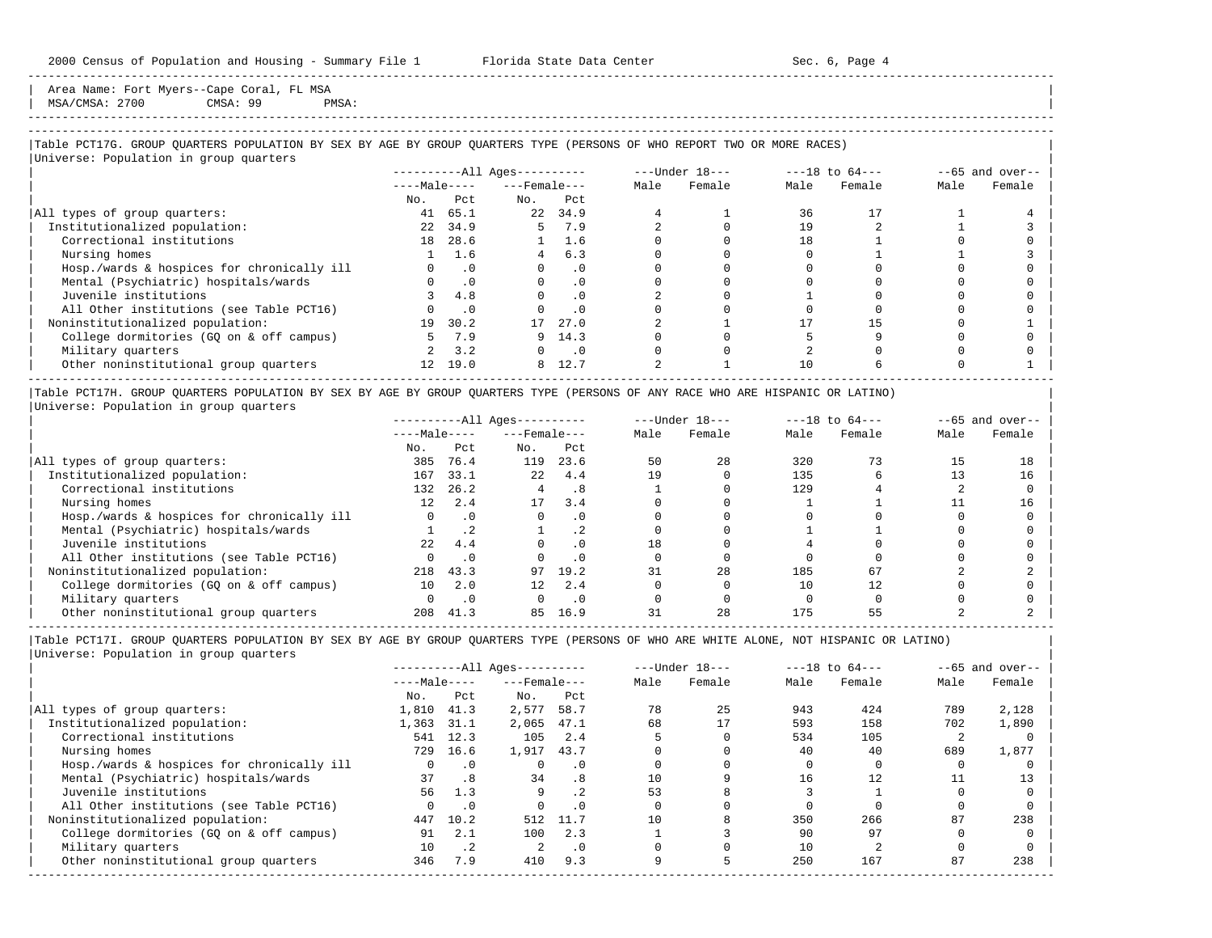Area Name: Fort Myers--Cape Coral, FL MSA MSA/CMSA: 2700 CMSA: 99 PMSA:

-----------------------------------------------------------------------------------------------------------------------------------------------------

## |Table PCT17G. GROUP QUARTERS POPULATION BY SEX BY AGE BY GROUP QUARTERS TYPE (PERSONS OF WHO REPORT TWO OR MORE RACES) |

|                                            |                 |           | $------All Ages------$ |               |      | $---Under 18---$ |      | $---18$ to $64---$ |      | $--65$ and over-- |
|--------------------------------------------|-----------------|-----------|------------------------|---------------|------|------------------|------|--------------------|------|-------------------|
|                                            | $---Male---$    |           | $---$ Female $---$     |               | Male | Female           | Male | Female             | Male | Female            |
|                                            | No.             | Pct       | No.                    | Pct           |      |                  |      |                    |      |                   |
| All types of group quarters:               | 41              | 65.1      | 22                     | 34.9          |      |                  | 36   |                    |      |                   |
| Institutionalized population:              | 22              | 34.9      | 5.                     | 7.9           |      |                  | 19   |                    |      |                   |
| Correctional institutions                  | 18              | 28.6      |                        | $1 \quad 1.6$ |      |                  | 18   |                    |      |                   |
| Nursing homes                              |                 | 1.6       |                        | 6.3           |      |                  |      |                    |      |                   |
| Hosp./wards & hospices for chronically ill |                 | $\cdot$ 0 | $\Omega$               | . 0           |      |                  |      |                    |      |                   |
| Mental (Psychiatric) hospitals/wards       |                 | $\cdot$ 0 |                        | $\cdot$ 0     |      |                  |      |                    |      |                   |
| Juvenile institutions                      |                 | 4.8       |                        | . 0           |      |                  |      |                    |      |                   |
| All Other institutions (see Table PCT16)   |                 | $\cdot$ 0 |                        | $\cdot$ 0     |      |                  |      |                    |      |                   |
| Noninstitutionalized population:           | 19              | 30.2      | 17                     | 27.0          |      |                  |      | 15                 |      |                   |
| College dormitories (GO on & off campus)   |                 | 7.9       |                        | 9, 14.3       |      |                  |      |                    |      |                   |
| Military quarters                          |                 | 3.2       | $\Omega$               | $\cdot$ 0     |      |                  |      |                    |      |                   |
| Other noninstitutional group quarters      | 12 <sup>7</sup> | 19.0      | 8                      | 12.7          |      |                  |      |                    |      |                   |

|Table PCT17H. GROUP QUARTERS POPULATION BY SEX BY AGE BY GROUP QUARTERS TYPE (PERSONS OF ANY RACE WHO ARE HISPANIC OR LATINO) | |Universe: Population in group quarters |

|                                            |              | $------All Ages------$ |                    |           | $---Under 18---$ | $---18$ to $64---$ |      | $--65$ and over-- |      |        |
|--------------------------------------------|--------------|------------------------|--------------------|-----------|------------------|--------------------|------|-------------------|------|--------|
|                                            | $---Male---$ |                        | $---$ Female $---$ |           | Male             | Female             | Male | Female            | Male | Female |
|                                            | No.          | Pct                    | No.                | Pct       |                  |                    |      |                   |      |        |
| All types of group quarters:               | 385          | 76.4                   | 119                | 23.6      | 50               | 28                 | 320  |                   | 15   | 18     |
| Institutionalized population:              | 167          | 33.1                   | 2.2 <sub>1</sub>   | 4.4       | 19               |                    | 135  |                   |      | 16     |
| Correctional institutions                  | 132          | 26.2                   |                    | .8        |                  |                    | 129  |                   |      |        |
| Nursing homes                              | 12.          | 2.4                    | 17                 | 3.4       |                  |                    |      |                   |      | 16     |
| Hosp./wards & hospices for chronically ill |              | $\cdot$ 0              |                    |           |                  |                    |      |                   |      |        |
| Mental (Psychiatric) hospitals/wards       |              |                        |                    |           |                  |                    |      |                   |      |        |
| Juvenile institutions                      | 2.2.         | 4.4                    |                    |           |                  |                    |      |                   |      |        |
| All Other institutions (see Table PCT16)   |              | $\cdot$ 0              |                    |           |                  |                    |      |                   |      |        |
| Noninstitutionalized population:           | 218          | 43.3                   | 97                 | 19.2      |                  | 28                 | 185  | 67                |      |        |
| College dormitories (GQ on & off campus)   | 10           | 2.0                    | 12 <sup>°</sup>    | 2.4       |                  |                    |      | 12.               |      |        |
| Military quarters                          |              | $\cdot$ 0              |                    | $\cdot$ 0 |                  |                    |      |                   |      |        |
| Other noninstitutional group quarters      | 208          | 41.3                   | 85                 | 16.9      |                  | 28                 | 175  |                   |      |        |

-----------------------------------------------------------------------------------------------------------------------------------------------------

|                                            |              |           | $------All Aqes------$ |           |      | $---Under 18---$ |      | $---18$ to $64---$ |      | $--65$ and over-- |
|--------------------------------------------|--------------|-----------|------------------------|-----------|------|------------------|------|--------------------|------|-------------------|
|                                            | $---Male---$ |           | $---$ Female $---$     |           | Male | Female           | Male | Female             | Male | Female            |
|                                            | No.          | Pct       | No.                    | Pct       |      |                  |      |                    |      |                   |
| All types of group quarters:               | 1,810        | 41.3      | 2,577                  | 58.7      | 78   | 25               | 943  | 424                | 789  | 2,128             |
| Institutionalized population:              | 1,363        | 31.1      | 2,065                  | 47.1      | 68   | 17               | 593  | 158                | 702  | 1,890             |
| Correctional institutions                  |              | 541 12.3  | 105                    | 2.4       |      |                  | 534  | 105                |      |                   |
| Nursing homes                              | 729          | 16.6      | 1,917                  | 43.7      |      |                  | 40   | 40                 | 689  | 1,877             |
| Hosp./wards & hospices for chronically ill | 0            | $\cdot$ 0 |                        | $\cdot$ 0 |      |                  |      |                    |      |                   |
| Mental (Psychiatric) hospitals/wards       | 37           | .8        | 34                     | .8        | 10   |                  | 16   | 12                 |      | 13                |
| Juvenile institutions                      | 56           | 1.3       | 9                      | .2        | 53   |                  |      |                    |      |                   |
| All Other institutions (see Table PCT16)   |              | $\cdot$ 0 |                        | . 0       |      |                  |      |                    |      |                   |
| Noninstitutionalized population:           | 447          | 10.2      | 512                    | 11.7      | 10   |                  | 350  | 266                | 87   | 238               |
| College dormitories (GO on & off campus)   | 91           | 2.1       | 100                    | 2.3       |      |                  | 90   | 97                 |      |                   |
| Military quarters                          | 10           | $\cdot$ 2 | $\mathfrak{D}$         | $\cdot$ 0 |      |                  | 10   |                    |      |                   |
| Other noninstitutional group quarters      | 346          | 7.9       | 410                    | 9.3       |      |                  | 250  | 167                | 87   | 238               |
|                                            |              |           |                        |           |      |                  |      |                    |      |                   |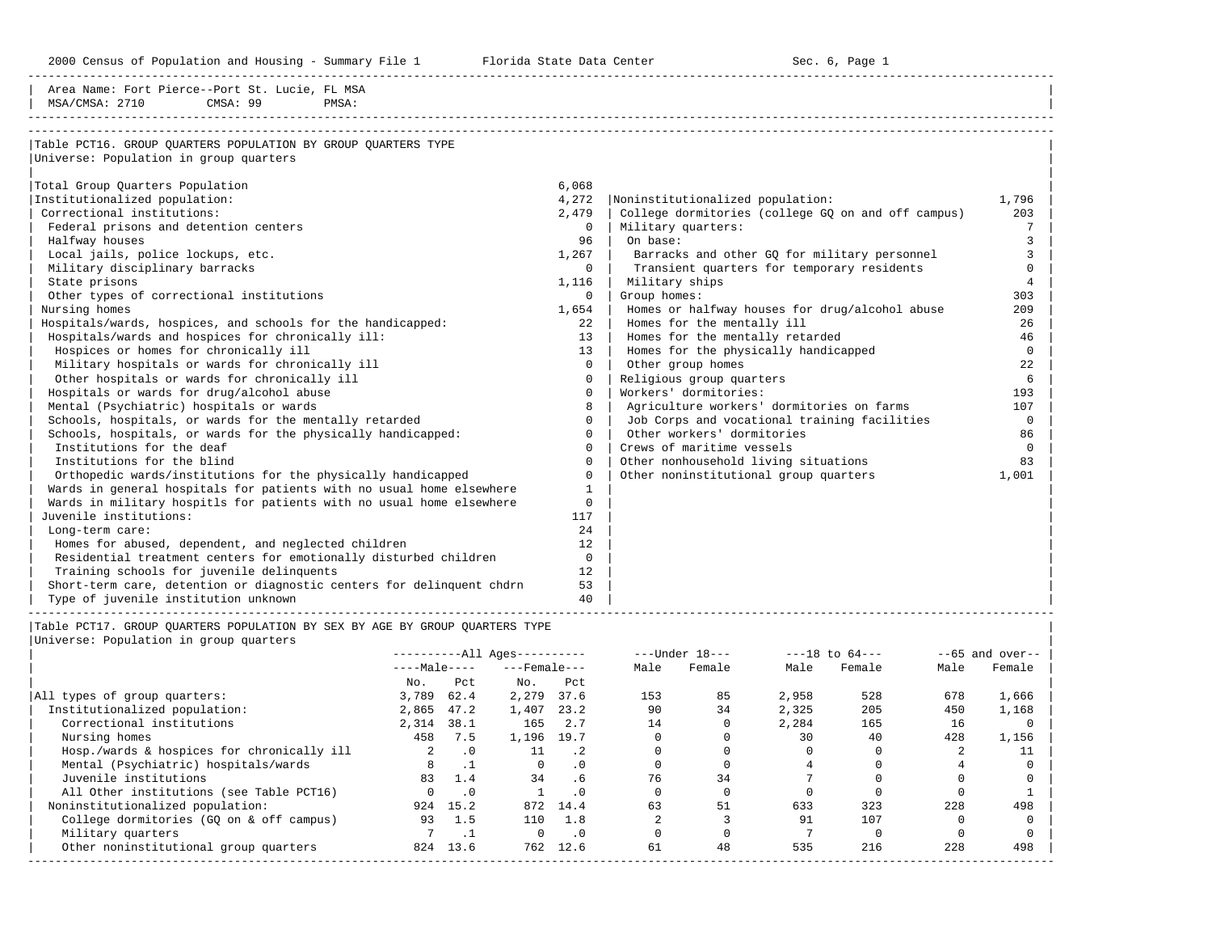2000 Census of Population and Housing - Summary File 1 Telorida State Data Center Sec. 6, Page 1 North Sec. 6, Page

| Area Name: Fort Pierce--Port St. Lucie, FL MSA<br>MSA/CMSA: 2710<br>CMSA: 99<br>PMSA:                   |                 |                                                    |                |
|---------------------------------------------------------------------------------------------------------|-----------------|----------------------------------------------------|----------------|
| Table PCT16. GROUP OUARTERS POPULATION BY GROUP OUARTERS TYPE<br>Universe: Population in group quarters |                 |                                                    |                |
| Total Group Quarters Population                                                                         | 6,068           |                                                    |                |
| Institutionalized population:                                                                           | 4,272           | Noninstitutionalized population:                   | 1,796          |
| Correctional institutions:                                                                              | 2,479           | College dormitories (college GQ on and off campus) | 203            |
| Federal prisons and detention centers                                                                   | $\Omega$        | Military quarters:                                 | 7              |
| Halfway houses                                                                                          | 96              | On base:                                           | 3              |
| Local jails, police lockups, etc.                                                                       | 1,267           | Barracks and other GQ for military personnel       | 3              |
| Military disciplinary barracks                                                                          | $\Omega$        | Transient quarters for temporary residents         | $\cap$         |
| State prisons                                                                                           | 1,116           | Military ships                                     | $\overline{4}$ |
| Other types of correctional institutions                                                                | $\Omega$        | Group homes:                                       | 303            |
| Nursing homes                                                                                           | 1,654           | Homes or halfway houses for drug/alcohol abuse     | 209            |
| Hospitals/wards, hospices, and schools for the handicapped:                                             | 22              | Homes for the mentally ill                         | 26             |
| Hospitals/wards and hospices for chronically ill:                                                       | 13 <sup>1</sup> | Homes for the mentally retarded                    | 46             |
| Hospices or homes for chronically ill                                                                   | 13              | Homes for the physically handicapped               | $\Omega$       |
| Military hospitals or wards for chronically ill                                                         | $\Omega$        | Other group homes                                  | 22             |
| Other hospitals or wards for chronically ill                                                            | $\mathbf 0$     | Religious group quarters                           | 6              |
| Hospitals or wards for drug/alcohol abuse                                                               | $\Omega$        | Workers' dormitories:                              | 193            |
| Mental (Psychiatric) hospitals or wards                                                                 | 8               | Agriculture workers' dormitories on farms          | 107            |
| Schools, hospitals, or wards for the mentally retarded                                                  | $\Omega$        | Job Corps and vocational training facilities       | $\circ$        |
| Schools, hospitals, or wards for the physically handicapped:                                            | $\Omega$        | Other workers' dormitories                         | 86             |
| Institutions for the deaf                                                                               | $\Omega$        | Crews of maritime vessels                          | $\Omega$       |
| Institutions for the blind                                                                              | $\Omega$        | Other nonhousehold living situations               | 83             |
| Orthopedic wards/institutions for the physically handicapped                                            | $\Omega$        | Other noninstitutional group quarters              | 1,001          |
| Wards in general hospitals for patients with no usual home elsewhere                                    | $\mathbf{1}$    |                                                    |                |
| Wards in military hospitls for patients with no usual home elsewhere                                    | $\mathbf 0$     |                                                    |                |
| Juvenile institutions:                                                                                  | 117             |                                                    |                |
| Long-term care:                                                                                         | 24              |                                                    |                |
| Homes for abused, dependent, and neglected children                                                     | 12              |                                                    |                |
| Residential treatment centers for emotionally disturbed children                                        | $\Omega$        |                                                    |                |
| Training schools for juvenile delinquents                                                               | 12              |                                                    |                |
| Short-term care, detention or diagnostic centers for delinquent chdrn                                   | 53              |                                                    |                |
| Type of juvenile institution unknown                                                                    | 40              |                                                    |                |

|Table PCT17. GROUP QUARTERS POPULATION BY SEX BY AGE BY GROUP QUARTERS TYPE |

| Universe: Population in group quarters |  |
|----------------------------------------|--|
|                                        |  |

|                                            | $------All Aqes------$ |           |                    |           |      | $---Under 18---$ |       | $---18$ to $64---$ |      | $--65$ and over-- |
|--------------------------------------------|------------------------|-----------|--------------------|-----------|------|------------------|-------|--------------------|------|-------------------|
|                                            | $---Male---$           |           | $---$ Female $---$ |           | Male | Female           | Male  | Female             | Male | Female            |
|                                            | No.                    | Pct       | No.                | Pct       |      |                  |       |                    |      |                   |
| All types of group quarters:               | 3,789                  | 62.4      | 2,279              | 37.6      | 153  | 85               | 2,958 | 528                | 678  | 1,666             |
| Institutionalized population:              | 2,865                  | 47.2      | 1,407              | 23.2      | 90   | 34               | 2,325 | 205                | 450  | 1,168             |
| Correctional institutions                  | 2,314                  | 38.1      | 165                | 2.7       | 14   |                  | 2,284 | 165                | 16   |                   |
| Nursing homes                              | 458                    | 7.5       | 1,196              | 19.7      |      |                  | 30    | 40                 | 428  | 1,156             |
| Hosp./wards & hospices for chronically ill |                        | $\cdot$ 0 | 11                 | .2        |      |                  |       |                    |      |                   |
| Mental (Psychiatric) hospitals/wards       |                        |           | 0                  | $\cdot$ 0 |      |                  |       |                    |      |                   |
| Juvenile institutions                      | 83                     | 1.4       | 34                 | .6        | 76   | 34               |       |                    |      |                   |
| All Other institutions (see Table PCT16)   |                        | $\cdot$ 0 |                    | $\cdot$ 0 |      |                  |       |                    |      |                   |
| Noninstitutionalized population:           | 924                    | 15.2      |                    | 872 14.4  | 63   | 51               | 633   | 323                | 228  | 498               |
| College dormitories (GO on & off campus)   | 93                     | 1.5       | 110                | 1.8       |      |                  | 91    | 107                |      |                   |
| Military quarters                          |                        |           | $\Omega$           | $\cdot$ 0 |      |                  |       |                    |      |                   |
| Other noninstitutional group quarters      | 824                    | 13.6      |                    | 762 12.6  | 61   | 48               | 535   | 216                | 228  | 498               |
|                                            |                        |           |                    |           |      |                  |       |                    |      |                   |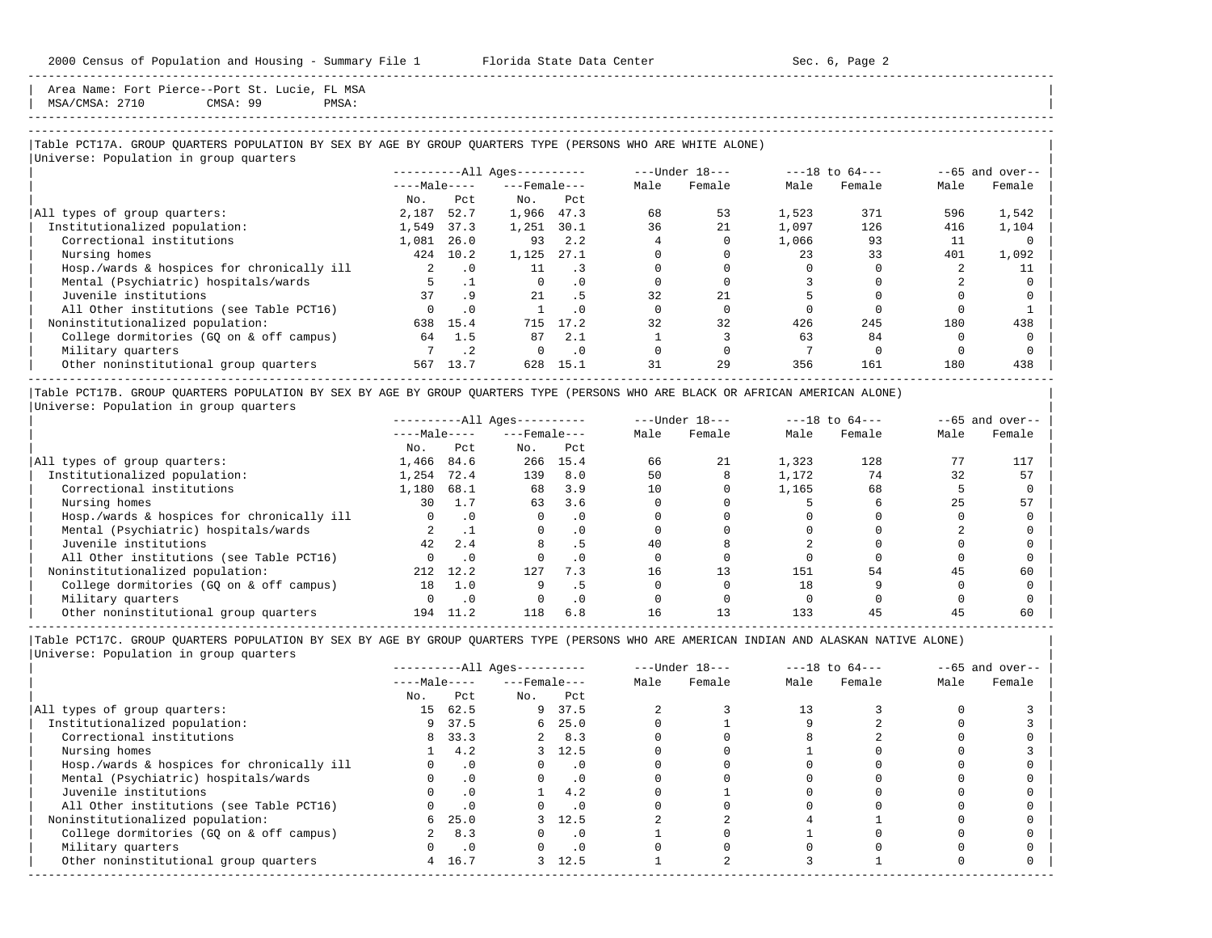Area Name: Fort Pierce--Port St. Lucie, FL MSA | MSA/CMSA: 2710 CMSA: 99 PMSA: |

# -----------------------------------------------------------------------------------------------------------------------------------------------------

-----------------------------------------------------------------------------------------------------------------------------------------------------

## |Table PCT17A. GROUP QUARTERS POPULATION BY SEX BY AGE BY GROUP QUARTERS TYPE (PERSONS WHO ARE WHITE ALONE) |

|                                            |                      |           | $------All Aqes------$ |           |      | ---Under 18--- |       | $---18$ to $64---$ |      | $--65$ and over-- |
|--------------------------------------------|----------------------|-----------|------------------------|-----------|------|----------------|-------|--------------------|------|-------------------|
|                                            | $---Male---$         |           | $---$ Female $---$     |           | Male | Female         | Male  | Female             | Male | Female            |
|                                            | No.                  | Pct       | No.                    | Pct       |      |                |       |                    |      |                   |
| All types of group quarters:               | 2,187                | 52.7      | 1,966                  | 47.3      | 68   | 53             | 1,523 | 371                | 596  | 1,542             |
| Institutionalized population:              | 1,549                | 37.3      | 1,251                  | 30.1      | 36   | 21             | 1,097 | 126                | 416  | 1,104             |
| Correctional institutions                  | 1,081                | 26.0      | 93                     | 2.2       |      |                | 1,066 | 93                 | 11   |                   |
| Nursing homes                              | 424                  | 10.2      | 1,125                  | 27.1      |      |                | 23    | 33                 | 401  | 1,092             |
| Hosp./wards & hospices for chronically ill | $\mathbf{2}^{\circ}$ | $\cdot$ 0 | 11                     |           |      |                |       |                    |      |                   |
| Mental (Psychiatric) hospitals/wards       |                      |           | $\Omega$               | . 0       |      |                |       |                    |      |                   |
| Juvenile institutions                      | 37                   | .9        | 21                     | . 5       | 32   | 21             |       |                    |      |                   |
| All Other institutions (see Table PCT16)   |                      | $\cdot$ 0 |                        | . 0       |      |                |       |                    |      |                   |
| Noninstitutionalized population:           | 638                  | 15.4      | 715                    | 17.2      | 32   | 32             | 426   | 245                | 180  | 438               |
| College dormitories (GQ on & off campus)   | 64                   | 1.5       | 87                     | 2.1       |      |                | 63    | 84                 |      |                   |
| Military quarters                          |                      | $\cdot$ 2 | $\Omega$               | $\cdot$ 0 |      |                |       |                    |      |                   |
| Other noninstitutional group quarters      | 567                  | 13.7      | 628                    | 15.1      | 31   | 29             | 356   | 161                | 180  | 438               |

|Table PCT17B. GROUP QUARTERS POPULATION BY SEX BY AGE BY GROUP QUARTERS TYPE (PERSONS WHO ARE BLACK OR AFRICAN AMERICAN ALONE) | |Universe: Population in group quarters |

|                                            |              |           | $------All Ages------$ |      |      | $---Under 18---$ |       | $---18$ to $64---$ |      | $--65$ and over-- |
|--------------------------------------------|--------------|-----------|------------------------|------|------|------------------|-------|--------------------|------|-------------------|
|                                            | $---Male---$ |           | $---$ Female $---$     |      | Male | Female           | Male  | Female             | Male | Female            |
|                                            | No.          | Pct       | No.                    | Pct  |      |                  |       |                    |      |                   |
| All types of group quarters:               | 1,466        | 84.6      | 266                    | 15.4 | 66   | 21               | 1,323 | 128                |      | 117               |
| Institutionalized population:              | 1,254        | 72.4      | 139                    | 8.0  | 50   |                  | 1,172 | 74                 | 32   | 57                |
| Correctional institutions                  | 1,180        | 68.1      | 68                     | 3.9  | 10   |                  | 1,165 | 68                 |      |                   |
| Nursing homes                              | 30           | 1.7       | 63                     | 3.6  |      |                  |       |                    |      | 57                |
| Hosp./wards & hospices for chronically ill |              |           |                        | . 0  |      |                  |       |                    |      |                   |
| Mental (Psychiatric) hospitals/wards       |              |           |                        |      |      |                  |       |                    |      |                   |
| Juvenile institutions                      | 42           | 2.4       |                        |      | 40   |                  |       |                    |      |                   |
| All Other institutions (see Table PCT16)   |              |           |                        | . 0  |      |                  |       |                    |      |                   |
| Noninstitutionalized population:           | 212          | 12.2      | 127                    | 7.3  | 16   | 13               | 151   | 54                 | 45   | 60                |
| College dormitories (GO on & off campus)   | 18           | 1.0       |                        |      |      |                  | 18    |                    |      |                   |
| Military quarters                          |              | $\cdot$ 0 |                        | . 0  |      |                  |       |                    |      |                   |
| Other noninstitutional group quarters      | 194          |           | 118                    | 6.8  | 16   |                  | 133   |                    |      | 60                |

-----------------------------------------------------------------------------------------------------------------------------------------------------

|                                            |              |           | $------All Aqes------$ |            |      | $---Under 18---$ |      | $---18$ to $64---$ |      | $--65$ and over-- |
|--------------------------------------------|--------------|-----------|------------------------|------------|------|------------------|------|--------------------|------|-------------------|
|                                            | $---Male---$ |           | $---$ Female $---$     |            | Male | Female           | Male | Female             | Male | Female            |
|                                            | No.          | Pct       | No.                    | Pct        |      |                  |      |                    |      |                   |
| All types of group quarters:               |              | 15 62.5   |                        | 9 37.5     |      |                  |      |                    |      |                   |
| Institutionalized population:              |              | 9 37.5    |                        | 6, 25.0    |      |                  |      |                    |      |                   |
| Correctional institutions                  |              | 8 33.3    |                        | $2 \t 8.3$ |      |                  |      |                    |      |                   |
| Nursing homes                              |              | 4.2       |                        | 3, 12.5    |      |                  |      |                    |      |                   |
| Hosp./wards & hospices for chronically ill |              | .0        |                        | . 0        |      |                  |      |                    |      |                   |
| Mental (Psychiatric) hospitals/wards       |              | $\cdot$ 0 |                        | $\cdot$ 0  |      |                  |      |                    |      |                   |
| Juvenile institutions                      |              | .0        |                        | 4.2        |      |                  |      |                    |      |                   |
| All Other institutions (see Table PCT16)   |              |           |                        | . 0        |      |                  |      |                    |      |                   |
| Noninstitutionalized population:           | 6.           | 25.0      |                        | 3, 12.5    |      |                  |      |                    |      |                   |
| College dormitories (GO on & off campus)   |              | 8.3       |                        | $\cdot$ 0  |      |                  |      |                    |      |                   |
| Military quarters                          |              | $\cdot$ 0 |                        | $\cdot$ 0  |      |                  |      |                    |      |                   |
| Other noninstitutional group quarters      | 4            | 16.7      |                        | 3, 12.5    |      |                  |      |                    |      |                   |
|                                            |              |           |                        |            |      |                  |      |                    |      |                   |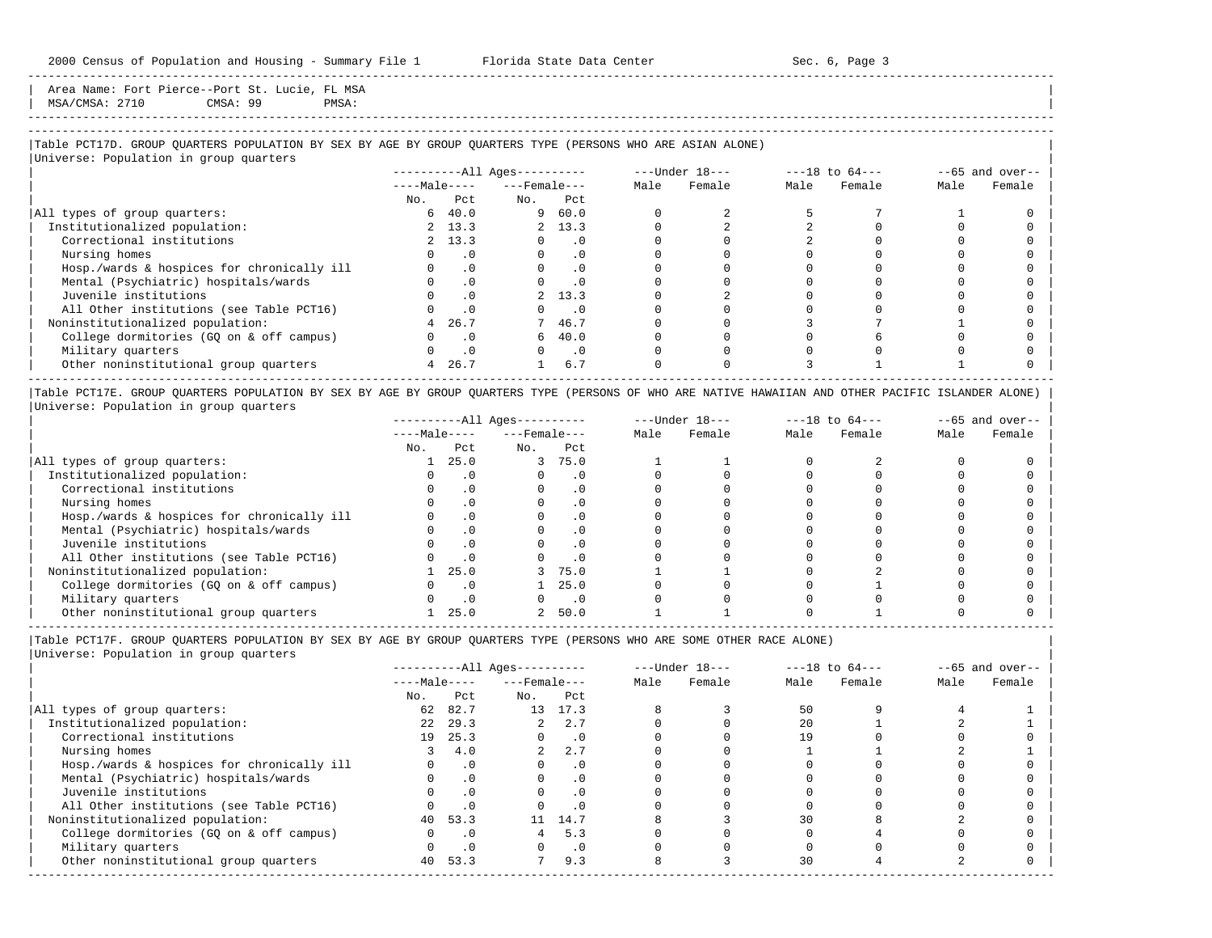Area Name: Fort Pierce--Port St. Lucie, FL MSA | MSA/CMSA: 2710 CMSA: 99 PMSA: |

# -----------------------------------------------------------------------------------------------------------------------------------------------------

-----------------------------------------------------------------------------------------------------------------------------------------------------

## |Table PCT17D. GROUP QUARTERS POPULATION BY SEX BY AGE BY GROUP QUARTERS TYPE (PERSONS WHO ARE ASIAN ALONE) |

|                                            |              |           | $------All Ages------$ |           |      | ---Under 18--- |      | $---18$ to $64---$ |      | $--65$ and over-- |
|--------------------------------------------|--------------|-----------|------------------------|-----------|------|----------------|------|--------------------|------|-------------------|
|                                            | $---Male---$ |           | $---$ Female $---$     |           | Male | Female         | Male | Female             | Male | Female            |
|                                            | No.          | Pct       | No.                    | Pct       |      |                |      |                    |      |                   |
| All types of group quarters:               |              | 640.0     |                        | 960.0     |      |                |      |                    |      |                   |
| Institutionalized population:              |              | 2 13.3    |                        | 2, 13.3   |      |                |      |                    |      |                   |
| Correctional institutions                  |              | 2, 13.3   | $\Omega$               | $\cdot$ 0 |      |                |      |                    |      |                   |
| Nursing homes                              |              | . 0       |                        | .0        |      |                |      |                    |      |                   |
| Hosp./wards & hospices for chronically ill |              | $\cdot$ 0 | $\Omega$               | $\cdot$ 0 |      |                |      |                    |      |                   |
| Mental (Psychiatric) hospitals/wards       |              | $\cdot$ 0 | $\Omega$               | $\cdot$ 0 |      |                |      |                    |      |                   |
| Juvenile institutions                      |              | $\cdot$ 0 |                        | 2, 13.3   |      |                |      |                    |      |                   |
| All Other institutions (see Table PCT16)   |              | $\cdot$ 0 |                        | $\cdot$ 0 |      |                |      |                    |      |                   |
| Noninstitutionalized population:           | 4            | 26.7      |                        | 7 46.7    |      |                |      |                    |      |                   |
| College dormitories (GQ on & off campus)   |              | $\cdot$ 0 |                        | 640.0     |      |                |      |                    |      |                   |
| Military quarters                          |              | $\cdot$ 0 | $\Omega$               | $\cdot$ 0 |      |                |      |                    |      |                   |
| Other noninstitutional group quarters      | 4            | 26.7      |                        | 6.7       |      |                |      |                    |      |                   |

|Table PCT17E. GROUP QUARTERS POPULATION BY SEX BY AGE BY GROUP QUARTERS TYPE (PERSONS OF WHO ARE NATIVE HAWAIIAN AND OTHER PACIFIC ISLANDER ALONE) | |Universe: Population in group quarters |

|                                            |              |           | $------All Aqes------$ |           |      | $---Under 18---$ |      | $---18$ to $64---$ |      | $--65$ and over-- |
|--------------------------------------------|--------------|-----------|------------------------|-----------|------|------------------|------|--------------------|------|-------------------|
|                                            | $---Male---$ |           | $---$ Female $---$     |           | Male | Female           | Male | Female             | Male | Female            |
|                                            | No.          | Pct       | No.                    | Pct       |      |                  |      |                    |      |                   |
| All types of group quarters:               |              | 25.0      | 3                      | 75.0      |      |                  |      |                    |      |                   |
| Institutionalized population:              |              |           |                        | . 0       |      |                  |      |                    |      |                   |
| Correctional institutions                  |              |           |                        | . 0       |      |                  |      |                    |      |                   |
| Nursing homes                              |              |           |                        | $\cdot$ 0 |      |                  |      |                    |      |                   |
| Hosp./wards & hospices for chronically ill |              |           |                        | . 0       |      |                  |      |                    |      |                   |
| Mental (Psychiatric) hospitals/wards       |              |           |                        | . 0       |      |                  |      |                    |      |                   |
| Juvenile institutions                      |              |           |                        | . 0       |      |                  |      |                    |      |                   |
| All Other institutions (see Table PCT16)   |              |           |                        | $\cdot$ 0 |      |                  |      |                    |      |                   |
| Noninstitutionalized population:           |              | 25.0      |                        | 75.0      |      |                  |      |                    |      |                   |
| College dormitories (GO on & off campus)   |              |           |                        | 25.0      |      |                  |      |                    |      |                   |
| Military quarters                          |              | $\cdot$ 0 |                        | $\cdot$ 0 |      |                  |      |                    |      |                   |
| Other noninstitutional group quarters      |              | 25.0      |                        | 50.0      |      |                  |      |                    |      |                   |

----------------------------------------------------------------------------------------------------------------------------------------------------- |Table PCT17F. GROUP QUARTERS POPULATION BY SEX BY AGE BY GROUP QUARTERS TYPE (PERSONS WHO ARE SOME OTHER RACE ALONE) |

|                                            |              |           | $------All Ages------$ |           |      | $---Under 18---$ |      | $---18$ to $64---$ |      | $--65$ and over-- |
|--------------------------------------------|--------------|-----------|------------------------|-----------|------|------------------|------|--------------------|------|-------------------|
|                                            | $---Male---$ |           | $---$ Female $---$     |           | Male | Female           | Male | Female             | Male | Female            |
|                                            | No.          | Pct       | No.                    | Pct       |      |                  |      |                    |      |                   |
| All types of group quarters:               | 62           | 82.7      |                        | 13 17.3   |      |                  | 50   |                    |      |                   |
| Institutionalized population:              | 2.2          | 29.3      | $\overline{a}$         | 2.7       |      |                  | 2.0  |                    |      |                   |
| Correctional institutions                  | 19           | 25.3      |                        | $\cdot$ 0 |      |                  | 19   |                    |      |                   |
| Nursing homes                              |              | 4.0       | $\overline{2}$         | 2.7       |      |                  |      |                    |      |                   |
| Hosp./wards & hospices for chronically ill |              | $\cdot$ 0 |                        | . 0       |      |                  |      |                    |      |                   |
| Mental (Psychiatric) hospitals/wards       |              | $\cdot$ 0 |                        | $\cdot$ 0 |      |                  |      |                    |      |                   |
| Juvenile institutions                      |              | .0        | O                      | $\cdot$ 0 |      |                  |      |                    |      |                   |
| All Other institutions (see Table PCT16)   |              | $\cdot$ 0 |                        | $\cdot$ 0 |      |                  |      |                    |      |                   |
| Noninstitutionalized population:           |              | 40 53.3   | 11                     | 14.7      |      |                  | 30   |                    |      |                   |
| College dormitories (GQ on & off campus)   |              | $\cdot$ 0 |                        | 5.3       |      |                  |      |                    |      |                   |
| Military quarters                          |              | $\cdot$ 0 |                        | $\cdot$ 0 |      |                  |      |                    |      |                   |
| Other noninstitutional group quarters      |              | 40 53.3   |                        | 9.3       |      |                  | 30   |                    |      |                   |
|                                            |              |           |                        |           |      |                  |      |                    |      |                   |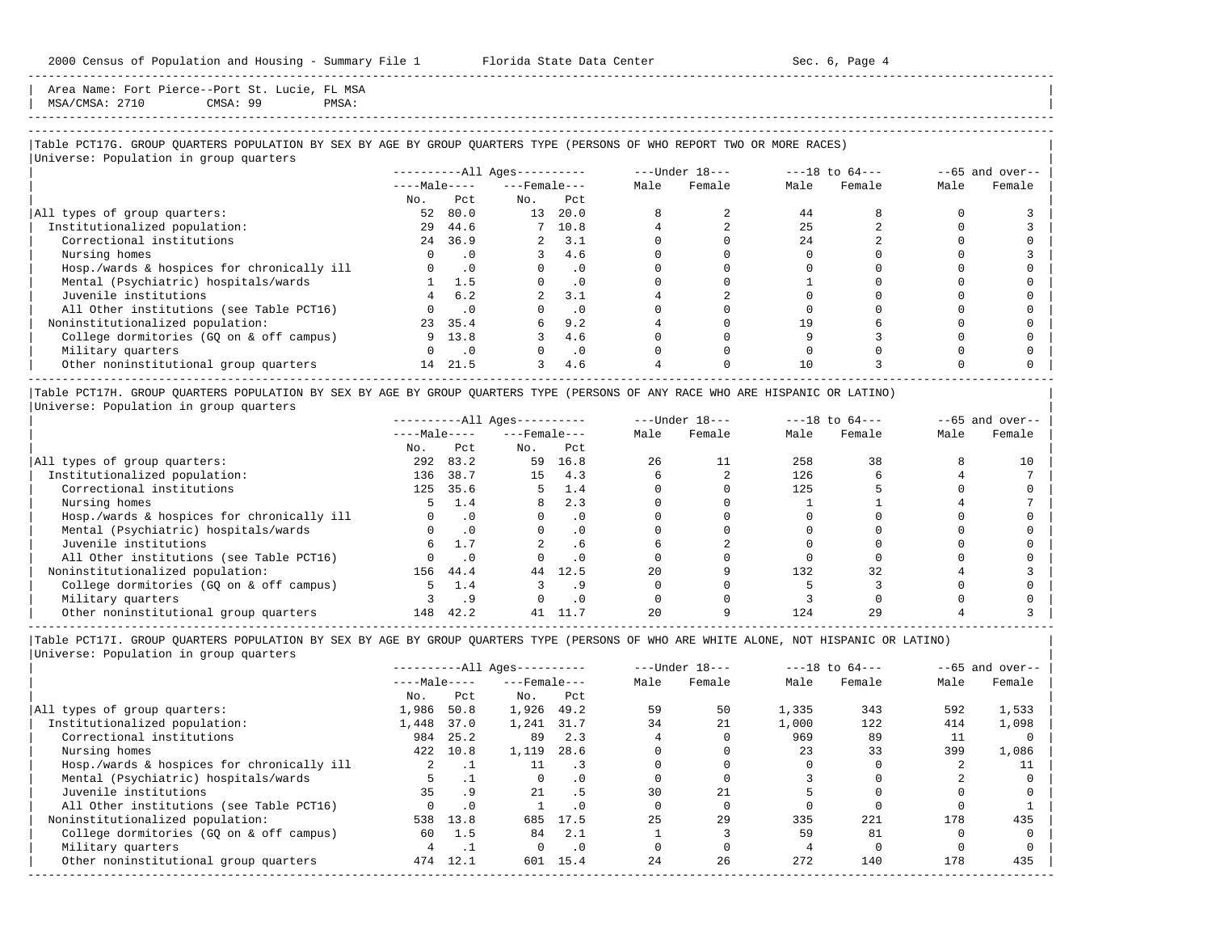Area Name: Fort Pierce--Port St. Lucie, FL MSA | MSA/CMSA: 2710 CMSA: 99 PMSA: |

-----------------------------------------------------------------------------------------------------------------------------------------------------

## |Table PCT17G. GROUP QUARTERS POPULATION BY SEX BY AGE BY GROUP QUARTERS TYPE (PERSONS OF WHO REPORT TWO OR MORE RACES) |

|                                            |              |                | $------All Ages------$ |           |      | $---Under 18---$ |      | $---18$ to $64---$ |      | $--65$ and over-- |
|--------------------------------------------|--------------|----------------|------------------------|-----------|------|------------------|------|--------------------|------|-------------------|
|                                            | $---Male---$ |                | $---$ Female $---$     |           | Male | Female           | Male | Female             | Male | Female            |
|                                            | No.          | Pct.           | No.                    | Pct       |      |                  |      |                    |      |                   |
| All types of group quarters:               | 52           | 80.0           | 13                     | 20.0      |      |                  | 44   |                    |      |                   |
| Institutionalized population:              | 29           | 44.6           |                        | 7 10.8    |      |                  | 25   |                    |      |                   |
| Correctional institutions                  |              | 24 36.9        |                        | 2, 3.1    |      |                  | 2.4  |                    |      |                   |
| Nursing homes                              |              | $\cdot$ 0      |                        | 4.6       |      |                  |      |                    |      |                   |
| Hosp./wards & hospices for chronically ill |              | $0 \qquad .0$  |                        | $\cdot$ 0 |      |                  |      |                    |      |                   |
| Mental (Psychiatric) hospitals/wards       |              | 1.5            |                        | $\cdot$ 0 |      |                  |      |                    |      |                   |
| Juvenile institutions                      |              | 6.2            |                        | 3.1       |      |                  |      |                    |      |                   |
| All Other institutions (see Table PCT16)   |              | $\cdot$ 0      |                        | $\cdot$ 0 |      |                  |      |                    |      |                   |
| Noninstitutionalized population:           | 23           | 35.4           | 6                      | 9.2       |      |                  | 19   |                    |      |                   |
| College dormitories (GQ on & off campus)   |              | 9 13.8         |                        | 4.6       |      |                  |      |                    |      |                   |
| Military quarters                          |              | $\overline{0}$ |                        | $\cdot$ 0 |      |                  |      |                    |      |                   |
| Other noninstitutional group quarters      | 14           | 21.5           |                        | 4.6       |      |                  | 10   |                    |      |                   |

|Table PCT17H. GROUP QUARTERS POPULATION BY SEX BY AGE BY GROUP QUARTERS TYPE (PERSONS OF ANY RACE WHO ARE HISPANIC OR LATINO) | |Universe: Population in group quarters |

|                                            |              |           | $------All Aqes------$ |           |      | $---Under 18---$ |      | $---18$ to $64---$ |      | $- -65$ and over-- |
|--------------------------------------------|--------------|-----------|------------------------|-----------|------|------------------|------|--------------------|------|--------------------|
|                                            | $---Male---$ |           | $---$ Female $---$     |           | Male | Female           | Male | Female             | Male | Female             |
|                                            | No.          | Pct       | No.                    | Pct       |      |                  |      |                    |      |                    |
| All types of group quarters:               | 292          | 83.2      | 59                     | 16.8      | 26   | 11               | 258  | 38                 |      | 10                 |
| Institutionalized population:              | 136          | 38.7      | 15                     | 4.3       |      |                  | 126  |                    |      |                    |
| Correctional institutions                  | 125          | 35.6      |                        | 1.4       |      |                  | 125  |                    |      |                    |
| Nursing homes                              |              | 1.4       | 8                      | 2.3       |      |                  |      |                    |      |                    |
| Hosp./wards & hospices for chronically ill |              | $\cdot$ 0 |                        | $\cdot$ 0 |      |                  |      |                    |      |                    |
| Mental (Psychiatric) hospitals/wards       |              | $\cdot$ 0 |                        | $\cdot$ 0 |      |                  |      |                    |      |                    |
| Juvenile institutions                      | 6            | 1.7       |                        | . 6       |      |                  |      |                    |      |                    |
| All Other institutions (see Table PCT16)   |              |           |                        | $\cdot$ 0 |      |                  |      |                    |      |                    |
| Noninstitutionalized population:           | 156          | 44.4      | 44                     | 12.5      | 20   |                  | 132  | 32                 |      |                    |
| College dormitories (GO on & off campus)   |              | 1.4       |                        |           |      |                  |      |                    |      |                    |
| Military quarters                          |              |           |                        | $\cdot$ 0 |      |                  |      |                    |      |                    |
| Other noninstitutional group quarters      | 148          | 42.2      |                        |           |      |                  | 124  |                    |      |                    |

-----------------------------------------------------------------------------------------------------------------------------------------------------

|                                            | $------All Aqes------$ |           |                    |           |      | $---Under 18---$ |       | $---18$ to $64---$ |      | $--65$ and over-- |
|--------------------------------------------|------------------------|-----------|--------------------|-----------|------|------------------|-------|--------------------|------|-------------------|
|                                            | $---Male---$           |           | $---$ Female $---$ |           | Male | Female           | Male  | Female             | Male | Female            |
|                                            | No.                    | Pct       | No.                | Pct       |      |                  |       |                    |      |                   |
| All types of group quarters:               | 1,986                  | 50.8      | 1,926              | 49.2      | 59   | 50               | 1,335 | 343                | 592  | 1,533             |
| Institutionalized population:              | 1,448                  | 37.0      | 1,241              | 31.7      | 34   | 21               | 1,000 | 122                | 414  | 1,098             |
| Correctional institutions                  | 984                    | 25.2      | 89                 | 2.3       |      |                  | 969   | 89                 |      |                   |
| Nursing homes                              | 422                    | 10.8      | 1,119              | 28.6      |      |                  | 23    | 33                 | 399  | 1,086             |
| Hosp./wards & hospices for chronically ill |                        | . .       | 11                 | . 3       |      |                  |       |                    |      |                   |
| Mental (Psychiatric) hospitals/wards       |                        |           | $\Omega$           | $\cdot$ 0 |      |                  |       |                    |      |                   |
| Juvenile institutions                      | 35                     | . 9       | 21                 | . 5       | 30   | 21               |       |                    |      |                   |
| All Other institutions (see Table PCT16)   |                        | $\cdot$ 0 |                    | . 0       |      |                  |       |                    |      |                   |
| Noninstitutionalized population:           | 538                    | 13.8      | 685                | 17.5      | 25   | 29               | 335   | 221                | 178  | 435               |
| College dormitories (GO on & off campus)   | 60                     | 1.5       | 84                 | 2.1       |      |                  | 59    | 81                 |      |                   |
| Military quarters                          |                        |           |                    | $\cdot$ 0 |      |                  |       |                    |      |                   |
| Other noninstitutional group quarters      | 474                    | 12.1      | 601                | 15.4      | 24   | 26               | 272   | 140                | 178  | 435               |
|                                            |                        |           |                    |           |      |                  |       |                    |      |                   |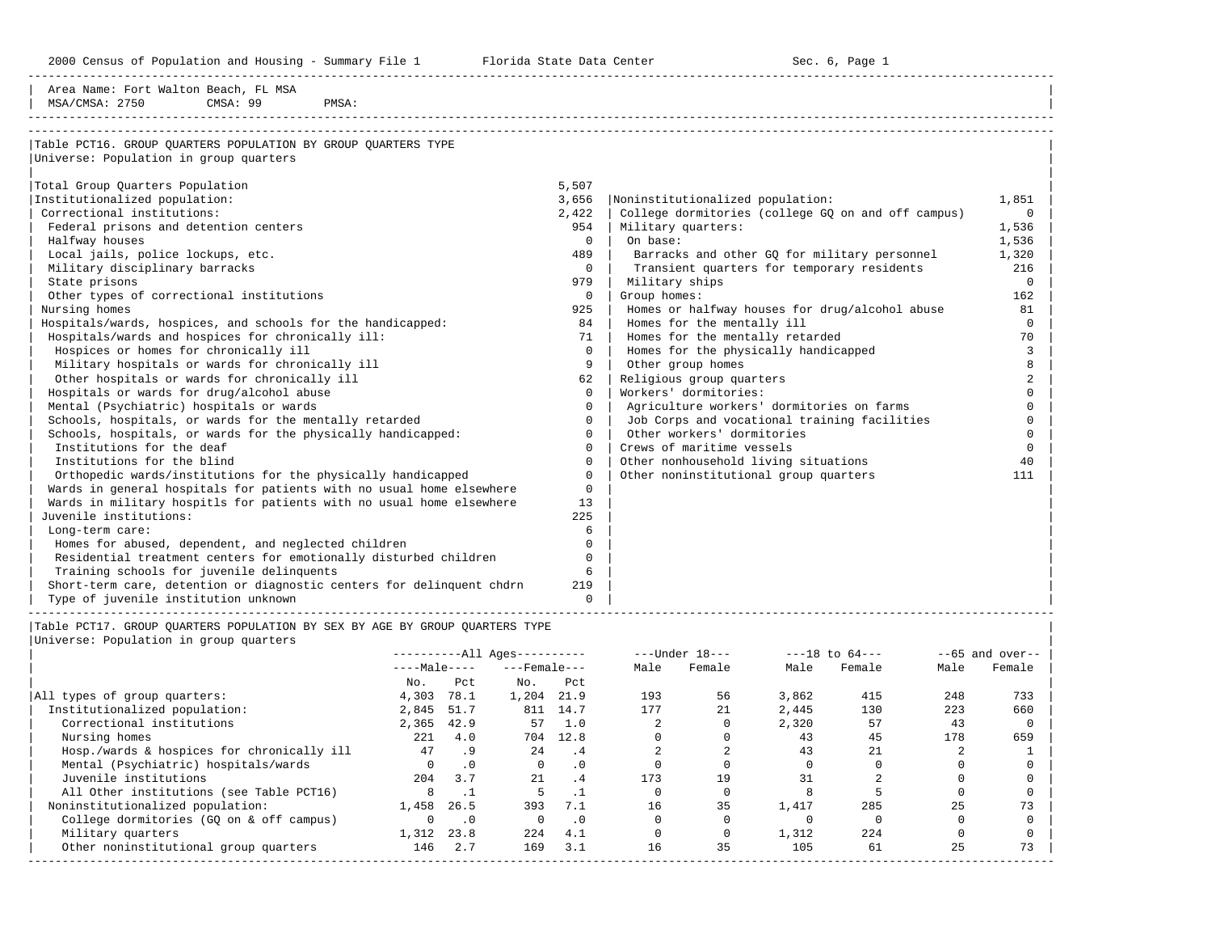2000 Census of Population and Housing - Summary File 1 Florida State Data Center 6 1 Sec. 6, Page 1

-----------------------------------------------------------------------------------------------------------------------------------------------------

| Area Name: Fort Walton Beach, FL MSA<br>MSA/CMSA: 2750<br>CMSA: 99<br>PMSA:                             |              |                                                    |                |
|---------------------------------------------------------------------------------------------------------|--------------|----------------------------------------------------|----------------|
| Table PCT16. GROUP OUARTERS POPULATION BY GROUP OUARTERS TYPE<br>Universe: Population in group quarters |              |                                                    |                |
|                                                                                                         |              |                                                    |                |
| Total Group Quarters Population                                                                         | 5,507        |                                                    |                |
| Institutionalized population:                                                                           | 3,656        | Noninstitutionalized population:                   | 1,851          |
| Correctional institutions:                                                                              | 2,422        | College dormitories (college GO on and off campus) | $\Omega$       |
| Federal prisons and detention centers                                                                   | 954          | Military quarters:                                 | 1,536          |
| Halfway houses                                                                                          | $\Omega$     | On base:                                           | 1,536          |
| Local jails, police lockups, etc.                                                                       | 489          | Barracks and other GO for military personnel       | 1,320          |
| Military disciplinary barracks                                                                          | $\Omega$     | Transient quarters for temporary residents         | 216            |
| State prisons                                                                                           | 979          | Military ships                                     | $\Omega$       |
| Other types of correctional institutions                                                                | 0            | Group homes:                                       | 162            |
| Nursing homes                                                                                           | 925          | Homes or halfway houses for drug/alcohol abuse     | 81             |
| Hospitals/wards, hospices, and schools for the handicapped:                                             | 84           | Homes for the mentally ill                         | $\Omega$       |
| Hospitals/wards and hospices for chronically ill:                                                       | 71           | Homes for the mentally retarded                    | 70             |
| Hospices or homes for chronically ill                                                                   | $\Omega$     | Homes for the physically handicapped               | 3              |
| Military hospitals or wards for chronically ill                                                         | 9            | Other group homes                                  |                |
| Other hospitals or wards for chronically ill                                                            | 62           | Religious group quarters                           | $\mathfrak{D}$ |
| Hospitals or wards for drug/alcohol abuse                                                               | $\Omega$     | Workers' dormitories:                              | $\cap$         |
| Mental (Psychiatric) hospitals or wards                                                                 | $\Omega$     | Agriculture workers' dormitories on farms          | $\Omega$       |
| Schools, hospitals, or wards for the mentally retarded                                                  | $\Omega$     | Job Corps and vocational training facilities       | $\Omega$       |
| Schools, hospitals, or wards for the physically handicapped:                                            | $\Omega$     | Other workers' dormitories                         | $\Omega$       |
| Institutions for the deaf                                                                               | $\Omega$     | Crews of maritime vessels                          | $\Omega$       |
| Institutions for the blind                                                                              | $\Omega$     | Other nonhousehold living situations               | 40             |
| Orthopedic wards/institutions for the physically handicapped                                            | $\Omega$     | Other noninstitutional group quarters              | 111            |
| Wards in general hospitals for patients with no usual home elsewhere                                    | $\mathbf{0}$ |                                                    |                |
| Wards in military hospitls for patients with no usual home elsewhere                                    | 13           |                                                    |                |
| Juvenile institutions:                                                                                  | 225          |                                                    |                |
| Long-term care:                                                                                         | 6            |                                                    |                |
| Homes for abused, dependent, and neglected children                                                     | $\Omega$     |                                                    |                |
| Residential treatment centers for emotionally disturbed children                                        | 0            |                                                    |                |
| Training schools for juvenile delinquents                                                               | 6            |                                                    |                |
| Short-term care, detention or diagnostic centers for delinguent chdrn                                   | 219          |                                                    |                |
| Type of juvenile institution unknown                                                                    | $\Omega$     |                                                    |                |

|Table PCT17. GROUP QUARTERS POPULATION BY SEX BY AGE BY GROUP QUARTERS TYPE |

| Universe: Population in group quarters |  |
|----------------------------------------|--|
|                                        |  |

|                                            |              |           | $------All Aqes------$ |                      |      | $---Under 18---$ |       | $---18$ to $64---$ | $--65$ and over-- |        |
|--------------------------------------------|--------------|-----------|------------------------|----------------------|------|------------------|-------|--------------------|-------------------|--------|
|                                            | $---Male---$ |           | $---$ Female $---$     |                      | Male | Female           | Male  | Female             | Male              | Female |
|                                            | No.          | Pct       | No.                    | Pct                  |      |                  |       |                    |                   |        |
| All types of group quarters:               | 4,303        | 78.1      | 1,204                  | 21.9                 | 193  | 56               | 3,862 | 415                | 248               | 733    |
| Institutionalized population:              | 2,845        | 51.7      |                        | 811 14.7             | 177  | 21               | 2,445 | 130                | 223               | 660    |
| Correctional institutions                  | 2,365        | 42.9      | 57                     | 1.0                  |      |                  | 2,320 | 57                 | 43                |        |
| Nursing homes                              | 221          | 4.0       |                        | 704 12.8             |      |                  | 43    | 45                 | 178               | 659    |
| Hosp./wards & hospices for chronically ill | 47           | .9        | 2.4                    | $\cdot$ <sup>4</sup> |      |                  | 43    | 21                 |                   |        |
| Mental (Psychiatric) hospitals/wards       |              | $\cdot$ 0 | 0                      | $\cdot$ 0            |      |                  |       |                    |                   |        |
| Juvenile institutions                      | 204          | 3.7       | 21                     | .4                   | 173  | 19               | 31    |                    |                   |        |
| All Other institutions (see Table PCT16)   | 8            |           |                        |                      |      |                  |       |                    |                   |        |
| Noninstitutionalized population:           | 1,458        | 26.5      | 393                    | 7.1                  | 16   | 35               | 1,417 | 285                | 25                | 73     |
| College dormitories (GO on & off campus)   |              | $\cdot$ 0 | $\Omega$               | $\cdot$ 0            |      |                  |       |                    |                   |        |
| Military quarters                          | 1,312        | 23.8      | 224                    | 4.1                  |      |                  | 1,312 | 224                |                   |        |
| Other noninstitutional group quarters      | 146          | 2.7       | 169                    | 3.1                  | 16   | 35               | 105   | 61                 | 25                | 73     |
|                                            |              |           |                        |                      |      |                  |       |                    |                   |        |

-----------------------------------------------------------------------------------------------------------------------------------------------------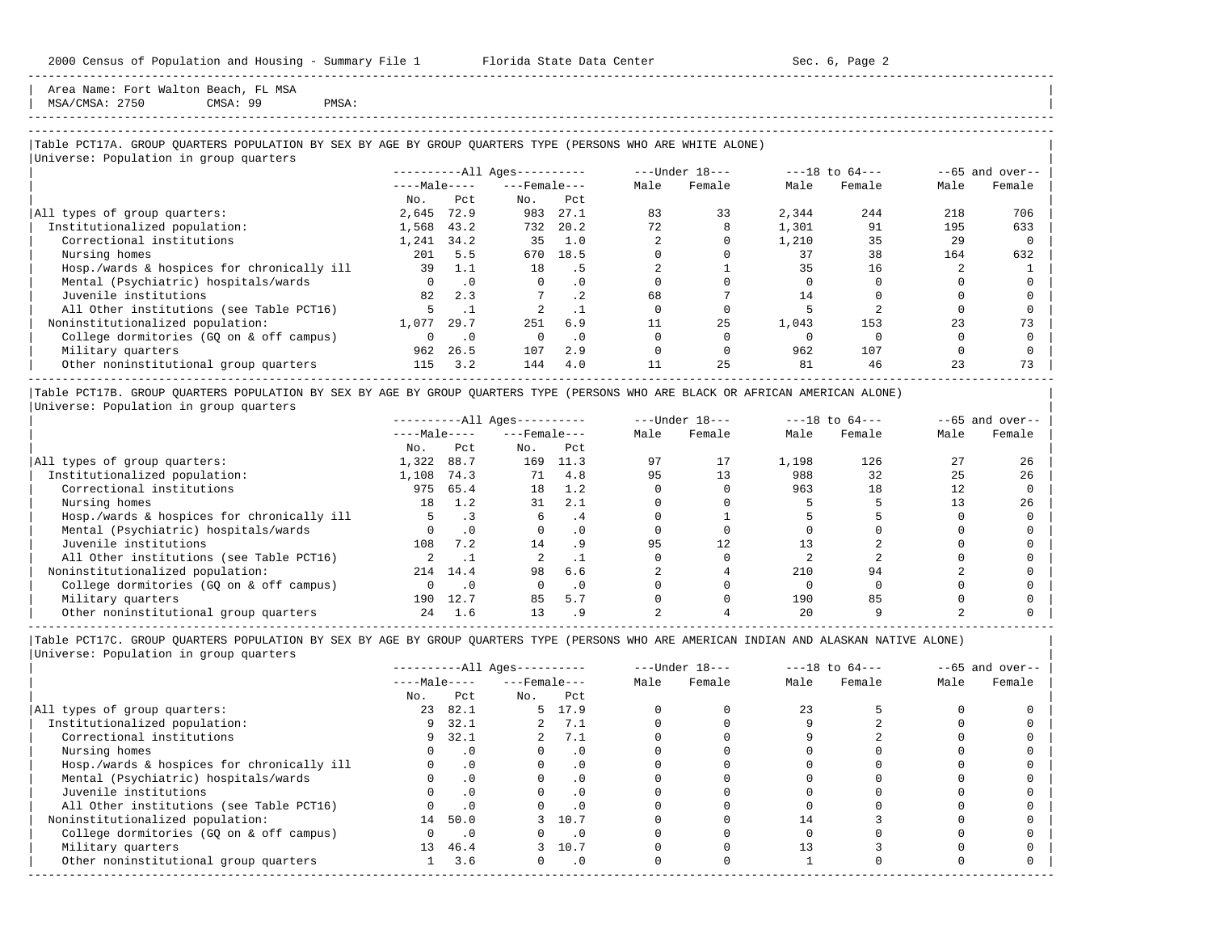Area Name: Fort Walton Beach, FL MSA | MSA/CMSA: 2750 CMSA: 99 PMSA:

#### ----------------------------------------------------------------------------------------------------------------------------------------------------- -----------------------------------------------------------------------------------------------------------------------------------------------------

-----------------------------------------------------------------------------------------------------------------------------------------------------

## |Table PCT17A. GROUP QUARTERS POPULATION BY SEX BY AGE BY GROUP QUARTERS TYPE (PERSONS WHO ARE WHITE ALONE) |

|                                            |              |           | $------All Aqes------$ |           |      | ---Under 18--- |       | $---18$ to $64---$ |      | $--65$ and over-- |
|--------------------------------------------|--------------|-----------|------------------------|-----------|------|----------------|-------|--------------------|------|-------------------|
|                                            | $---Male---$ |           | $---$ Female $---$     |           | Male | Female         | Male  | Female             | Male | Female            |
|                                            | No.          | Pct       | No.                    | Pct       |      |                |       |                    |      |                   |
| All types of group quarters:               | 2,645        | 72.9      | 983                    | 27.1      | 83   | 33             | 2,344 | 244                | 218  | 706               |
| Institutionalized population:              | 1,568        | 43.2      | 732                    | 20.2      | 72   |                | 1,301 | 91                 | 195  | 633               |
| Correctional institutions                  | 1,241        | 34.2      | 35                     | 1.0       |      |                | 1,210 | 35                 | 29   |                   |
| Nursing homes                              | 201          | 5.5       | 670                    | 18.5      |      |                | 37    | 38                 | 164  | 632               |
| Hosp./wards & hospices for chronically ill | 39           | 1.1       | 18                     | . 5       |      |                | 35    | 16                 |      |                   |
| Mental (Psychiatric) hospitals/wards       |              | $\cdot$ 0 | $\Omega$               | . 0       |      |                |       |                    |      |                   |
| Juvenile institutions                      | 82           | 2.3       |                        | $\cdot$ 2 | 68   |                | 14    |                    |      |                   |
| All Other institutions (see Table PCT16)   |              |           |                        |           |      |                |       |                    |      |                   |
| Noninstitutionalized population:           | 1,077        | 29.7      | 251                    | 6.9       |      | 25             | 1,043 | 153                | 23   | 73                |
| College dormitories (GQ on & off campus)   |              | $\cdot$ 0 |                        | $\cdot$ 0 |      |                |       |                    |      |                   |
| Military quarters                          | 962          | 26.5      | 107                    | 2.9       |      |                | 962   | 107                |      |                   |
| Other noninstitutional group quarters      | 115          | 3.2       | 144                    | 4.0       |      | 25             | 81    | 46                 | 23   | 73                |

|Table PCT17B. GROUP QUARTERS POPULATION BY SEX BY AGE BY GROUP QUARTERS TYPE (PERSONS WHO ARE BLACK OR AFRICAN AMERICAN ALONE) | |Universe: Population in group quarters |

|                                            |              |          | $------All Ages------$ |           |      | $---Under 18---$ |       | $---18$ to $64---$ |      | $--65$ and over-- |
|--------------------------------------------|--------------|----------|------------------------|-----------|------|------------------|-------|--------------------|------|-------------------|
|                                            | $---Male---$ |          | $---$ Female $---$     |           | Male | Female           | Male  | Female             | Male | Female            |
|                                            | No.          | Pct      | No.                    | Pct       |      |                  |       |                    |      |                   |
| All types of group quarters:               | 1,322        | 88.7     | 169                    | 11.3      | 97   | 17               | 1,198 | 126                |      | 26                |
| Institutionalized population:              | 1,108        | 74.3     | 71                     | 4.8       | 95   | 13               | 988   | 32                 | 25   | 26                |
| Correctional institutions                  | 975          | 65.4     | 18                     | 1.2       |      |                  | 963   | 18                 | 12   |                   |
| Nursing homes                              | 18           | 1.2      | 31                     | 2.1       |      |                  |       |                    |      | 26                |
| Hosp./wards & hospices for chronically ill |              |          |                        | . 4       |      |                  |       |                    |      |                   |
| Mental (Psychiatric) hospitals/wards       |              |          |                        | . 0       |      |                  |       |                    |      |                   |
| Juvenile institutions                      | 108          | 7.2      | 14                     |           | 95   | 12.              |       |                    |      |                   |
| All Other institutions (see Table PCT16)   |              |          |                        |           |      |                  |       |                    |      |                   |
| Noninstitutionalized population:           |              | 214 14.4 | 98                     | 6.6       |      |                  | 210   | 94                 |      |                   |
| College dormitories (GO on & off campus)   |              |          |                        | $\cdot$ 0 |      |                  |       |                    |      |                   |
| Military quarters                          | 190          | 12.7     | 85                     | 5.7       |      |                  | 190   | 85                 |      |                   |
| Other noninstitutional group quarters      | 24           | 1.6      | 13                     |           |      |                  | 20    |                    |      |                   |

|                                            |              |           | $------All Aqes------$ |           | $---Under 18---$ |        | $---18$ to $64---$ |        | $--65$ and over-- |        |
|--------------------------------------------|--------------|-----------|------------------------|-----------|------------------|--------|--------------------|--------|-------------------|--------|
|                                            | $---Male---$ |           | $---$ Female $---$     |           | Male             | Female | Male               | Female | Male              | Female |
|                                            | No.          | Pct       | No.                    | Pct       |                  |        |                    |        |                   |        |
| All types of group quarters:               | 23           | 82.1      |                        | 5 17.9    |                  |        | 2.3                |        |                   |        |
| Institutionalized population:              | 9            | 32.1      | $\overline{a}$         | 7.1       |                  |        |                    |        |                   |        |
| Correctional institutions                  | 9            | 32.1      |                        | 2, 7.1    |                  |        |                    |        |                   |        |
| Nursing homes                              |              | $\cdot$ 0 |                        | $\cdot$ 0 |                  |        |                    |        |                   |        |
| Hosp./wards & hospices for chronically ill |              | $\cdot$ 0 |                        | . 0       |                  |        |                    |        |                   |        |
| Mental (Psychiatric) hospitals/wards       |              | $\cdot$ 0 |                        | $\cdot$ 0 |                  |        |                    |        |                   |        |
| Juvenile institutions                      |              |           |                        | $\cdot$ 0 |                  |        |                    |        |                   |        |
| All Other institutions (see Table PCT16)   |              | $\cdot$ 0 |                        |           |                  |        |                    |        |                   |        |
| Noninstitutionalized population:           | 14           | 50.0      |                        | 3 10.7    |                  |        | 14                 |        |                   |        |
| College dormitories (GQ on & off campus)   |              | $\cdot$ 0 |                        | $\cdot$ 0 |                  |        |                    |        |                   |        |
| Military quarters                          | 13           | 46.4      |                        | 3 10.7    |                  |        |                    |        |                   |        |
| Other noninstitutional group quarters      |              | 3.6       | $\Omega$               | $\cdot$ 0 |                  |        |                    |        |                   |        |
|                                            |              |           |                        |           |                  |        |                    |        |                   |        |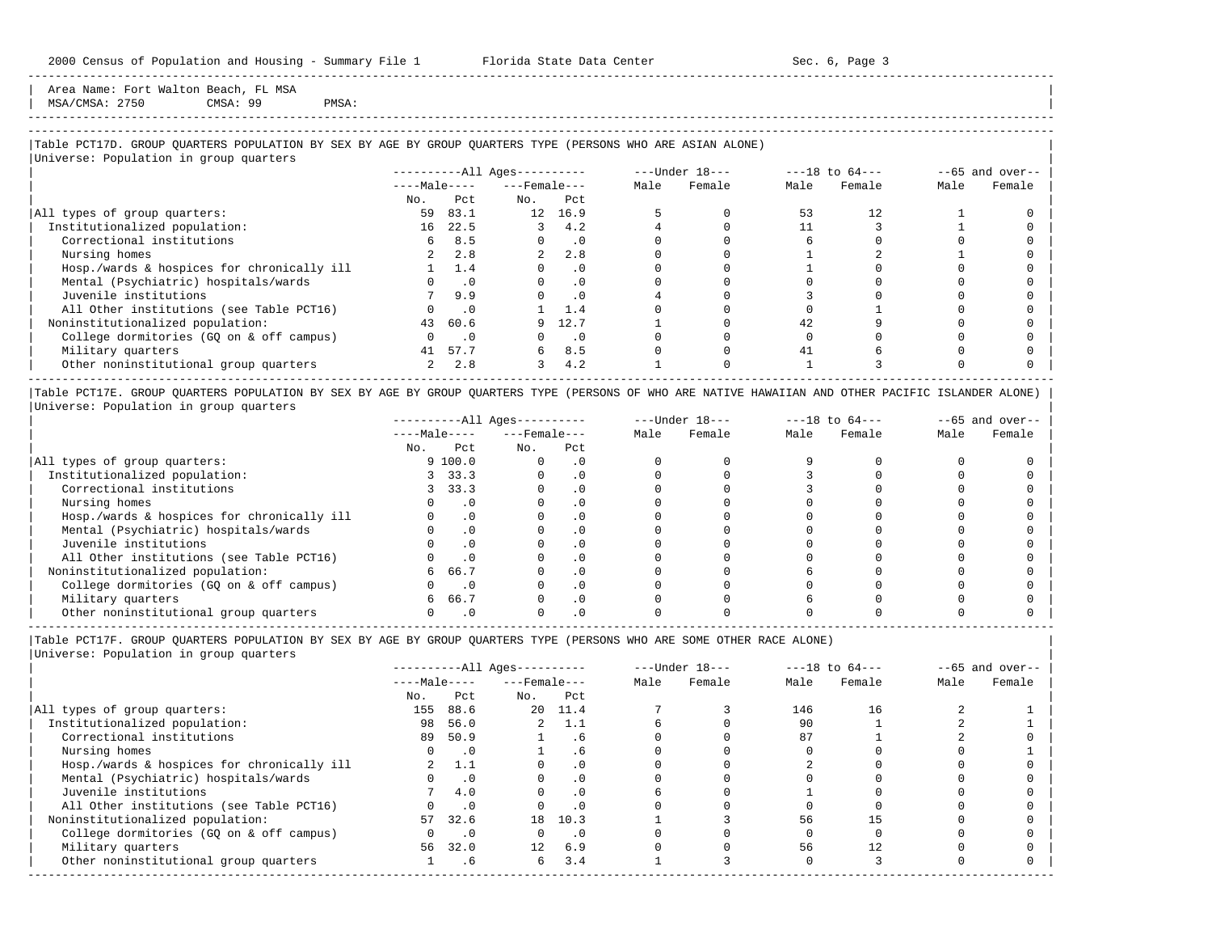Area Name: Fort Walton Beach, FL MSA  $MSA/CMSA: 2750$  CMSA: 99 PMSA:

-----------------------------------------------------------------------------------------------------------------------------------------------------

-----------------------------------------------------------------------------------------------------------------------------------------------------

## |Table PCT17D. GROUP QUARTERS POPULATION BY SEX BY AGE BY GROUP QUARTERS TYPE (PERSONS WHO ARE ASIAN ALONE) |

|                                            |              |           | $------All \text{Aqes}---$ |           |      | ---Under 18--- |      | $---18$ to $64---$ |      | $--65$ and over-- |
|--------------------------------------------|--------------|-----------|----------------------------|-----------|------|----------------|------|--------------------|------|-------------------|
|                                            | $---Male---$ |           | $---$ Female $---$         |           | Male | Female         | Male | Female             | Male | Female            |
|                                            | No.          | Pct       | No.                        | Pct       |      |                |      |                    |      |                   |
| All types of group quarters:               | 59           | 83.1      | 12 <sup>7</sup>            | 16.9      |      |                | 53   | 12.                |      |                   |
| Institutionalized population:              | 16           | 22.5      |                            | 4.2       |      |                |      |                    |      |                   |
| Correctional institutions                  | 6            | 8.5       |                            | $\cdot$ 0 |      |                |      |                    |      |                   |
| Nursing homes                              |              | 2.8       |                            | 2.8       |      |                |      |                    |      |                   |
| Hosp./wards & hospices for chronically ill |              | 1.4       |                            | $\cdot$ 0 |      |                |      |                    |      |                   |
| Mental (Psychiatric) hospitals/wards       |              | $\cdot$ 0 | $\Omega$                   | .0        |      |                |      |                    |      |                   |
| Juvenile institutions                      |              | 9.9       |                            | $\cdot$ 0 |      |                |      |                    |      |                   |
| All Other institutions (see Table PCT16)   |              | $\cdot$ 0 |                            | 1.4       |      |                |      |                    |      |                   |
| Noninstitutionalized population:           | 43           | 60.6      |                            | 12.7      |      |                | 42   |                    |      |                   |
| College dormitories (GQ on & off campus)   |              | $\cdot$ 0 |                            | $\cdot$ 0 |      |                |      |                    |      |                   |
| Military quarters                          | 41           | 57.7      | б.                         | 8.5       |      |                | 41   |                    |      |                   |
| Other noninstitutional group quarters      |              | 2.8       |                            | 4.2       |      |                |      |                    |      |                   |

|Table PCT17E. GROUP QUARTERS POPULATION BY SEX BY AGE BY GROUP QUARTERS TYPE (PERSONS OF WHO ARE NATIVE HAWAIIAN AND OTHER PACIFIC ISLANDER ALONE) | |Universe: Population in group quarters |

|                                            |              |           | ----------All Ages--------- |           |      | $---Under 18---$ | $---18$ to $64---$ |        | $--65$ and over-- |        |
|--------------------------------------------|--------------|-----------|-----------------------------|-----------|------|------------------|--------------------|--------|-------------------|--------|
|                                            | $---Male---$ |           | $---$ Female $---$          |           | Male | Female           | Male               | Female | Male              | Female |
|                                            | No.          | Pct       | No.                         | Pct       |      |                  |                    |        |                   |        |
| All types of group quarters:               |              | 9100.0    |                             | $\cdot$ 0 |      |                  |                    |        |                   |        |
| Institutionalized population:              |              | 33.3      |                             | . 0       |      |                  |                    |        |                   |        |
| Correctional institutions                  |              | 33.3      |                             |           |      |                  |                    |        |                   |        |
| Nursing homes                              |              | $\cdot$ 0 |                             |           |      |                  |                    |        |                   |        |
| Hosp./wards & hospices for chronically ill |              |           |                             |           |      |                  |                    |        |                   |        |
| Mental (Psychiatric) hospitals/wards       |              |           |                             |           |      |                  |                    |        |                   |        |
| Juvenile institutions                      |              |           |                             | . 0       |      |                  |                    |        |                   |        |
| All Other institutions (see Table PCT16)   |              |           |                             |           |      |                  |                    |        |                   |        |
| Noninstitutionalized population:           | 6            | 66.7      |                             | $\cdot$ 0 |      |                  |                    |        |                   |        |
| College dormitories (GO on & off campus)   |              |           |                             |           |      |                  |                    |        |                   |        |
| Military quarters                          | 6            | 66.7      |                             | $\cdot$ 0 |      |                  |                    |        |                   |        |
| Other noninstitutional group quarters      |              |           |                             |           |      |                  |                    |        |                   |        |

-----------------------------------------------------------------------------------------------------------------------------------------------------

|Table PCT17F. GROUP QUARTERS POPULATION BY SEX BY AGE BY GROUP QUARTERS TYPE (PERSONS WHO ARE SOME OTHER RACE ALONE) |

| Male | Female | Male | Female | Male | Female |
|------|--------|------|--------|------|--------|
|      |        |      |        |      |        |
|      |        |      |        |      |        |
|      |        | 146  | 16     |      |        |
|      |        | 90   |        |      |        |
|      |        | 87   |        |      |        |
|      |        |      |        |      |        |
|      |        |      |        |      |        |
|      |        |      |        |      |        |
|      |        |      |        |      |        |
|      |        |      |        |      |        |
|      |        | 56   |        |      |        |
|      |        |      |        |      |        |
|      |        | 56   | 12     |      |        |
|      |        |      |        |      |        |
|      |        |      |        |      |        |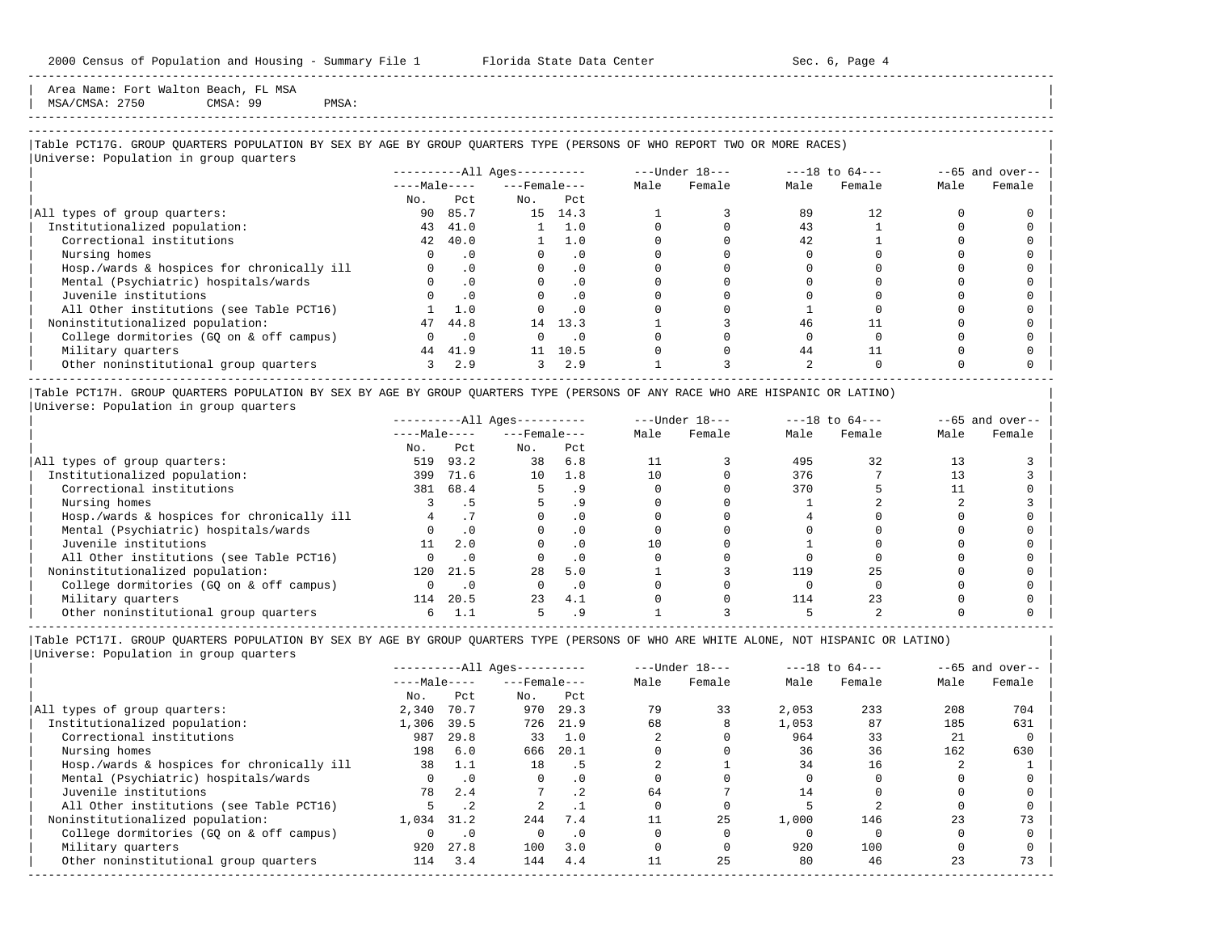Area Name: Fort Walton Beach, FL MSA | MSA/CMSA: 2750 CMSA: 99 PMSA:

-----------------------------------------------------------------------------------------------------------------------------------------------------

## ----------------------------------------------------------------------------------------------------------------------------------------------------- |Table PCT17G. GROUP QUARTERS POPULATION BY SEX BY AGE BY GROUP QUARTERS TYPE (PERSONS OF WHO REPORT TWO OR MORE RACES) |

|                                            |               |           | $------All Aqes------$ |           |      | $---Under 18---$ |      | $---18$ to $64---$ |      | $--65$ and over-- |
|--------------------------------------------|---------------|-----------|------------------------|-----------|------|------------------|------|--------------------|------|-------------------|
|                                            | $---Male---$  |           | $---$ Female $---$     |           | Male | Female           | Male | Female             | Male | Female            |
|                                            | No.           | Pct       | No.                    | Pct       |      |                  |      |                    |      |                   |
| All types of group quarters:               | 90            | 85.7      |                        | 15 14.3   |      |                  | 89   | 12.                |      |                   |
| Institutionalized population:              | 43            | 41.0      |                        | 1.0       |      |                  | 43   |                    |      |                   |
| Correctional institutions                  | 42            | 40.0      |                        | 1.0       |      |                  | 42.  |                    |      |                   |
| Nursing homes                              |               | . 0       |                        | . 0       |      |                  |      |                    |      |                   |
| Hosp./wards & hospices for chronically ill |               | .0        |                        | $\cdot$ 0 |      |                  |      |                    |      |                   |
| Mental (Psychiatric) hospitals/wards       |               | $\cdot$ 0 |                        | $\cdot$ 0 |      |                  |      |                    |      |                   |
| Juvenile institutions                      |               |           |                        | . 0       |      |                  |      |                    |      |                   |
| All Other institutions (see Table PCT16)   |               | 1.0       |                        | $\cdot$ 0 |      |                  |      |                    |      |                   |
| Noninstitutionalized population:           | 47            | 44.8      |                        | 14 13.3   |      |                  | 46   |                    |      |                   |
| College dormitories (GO on & off campus)   |               | $\cdot$ 0 |                        | $\cdot$ 0 |      |                  |      |                    |      |                   |
| Military quarters                          | 44            | 41.9      | 11                     | 10.5      |      |                  | 44   |                    |      |                   |
| Other noninstitutional group quarters      | $\mathcal{L}$ | 2.9       |                        | 2.9       |      |                  |      |                    |      |                   |

|Table PCT17H. GROUP QUARTERS POPULATION BY SEX BY AGE BY GROUP QUARTERS TYPE (PERSONS OF ANY RACE WHO ARE HISPANIC OR LATINO) | |Universe: Population in group quarters |

|                                            |              |      | $------All Aqes------$ |           |      | $---Under 18---$ |      | $---18$ to $64---$ | $--65$ and over-- |        |
|--------------------------------------------|--------------|------|------------------------|-----------|------|------------------|------|--------------------|-------------------|--------|
|                                            | $---Male---$ |      | $---$ Female $---$     |           | Male | Female           | Male | Female             | Male              | Female |
|                                            | No.          | Pct  | No.                    | Pct       |      |                  |      |                    |                   |        |
| All types of group quarters:               | 519          | 93.2 | 38                     | 6.8       |      |                  | 495  | 32                 |                   |        |
| Institutionalized population:              | 399          | 71.6 | 10                     | 1.8       | 10   |                  | 376  |                    |                   |        |
| Correctional institutions                  | 381          | 68.4 |                        |           |      |                  | 370  |                    |                   |        |
| Nursing homes                              |              |      |                        |           |      |                  |      |                    |                   |        |
| Hosp./wards & hospices for chronically ill |              |      |                        |           |      |                  |      |                    |                   |        |
| Mental (Psychiatric) hospitals/wards       |              |      |                        |           |      |                  |      |                    |                   |        |
| Juvenile institutions                      |              | 2.0  |                        |           |      |                  |      |                    |                   |        |
| All Other institutions (see Table PCT16)   |              |      |                        |           |      |                  |      |                    |                   |        |
| Noninstitutionalized population:           | 120          | 21.5 | 28                     | 5.0       |      |                  | 119  |                    |                   |        |
| College dormitories (GO on & off campus)   |              |      |                        | $\cdot$ 0 |      |                  |      |                    |                   |        |
| Military quarters                          | 114          | 20.5 | 23                     | 4.1       |      |                  | 114  |                    |                   |        |
| Other noninstitutional group quarters      |              |      |                        |           |      |                  |      |                    |                   |        |

----------------------------------------------------------------------------------------------------------------------------------------------------- |Table PCT17I. GROUP QUARTERS POPULATION BY SEX BY AGE BY GROUP QUARTERS TYPE (PERSONS OF WHO ARE WHITE ALONE, NOT HISPANIC OR LATINO) |

|                                            |              |           | $------All Aqes------$ |           |      | $---Under 18---$ |       | $---18$ to $64---$ |      | $--65$ and over-- |
|--------------------------------------------|--------------|-----------|------------------------|-----------|------|------------------|-------|--------------------|------|-------------------|
|                                            | $---Male---$ |           | $---$ Female $---$     |           | Male | Female           | Male  | Female             | Male | Female            |
|                                            | No.          | Pct       | No.                    | Pct       |      |                  |       |                    |      |                   |
| All types of group quarters:               | 2,340        | 70.7      | 970                    | 29.3      | 79   | 33               | 2,053 | 233                | 208  | 704               |
| Institutionalized population:              | 1,306        | 39.5      | 726                    | 21.9      | 68   |                  | 1,053 | 87                 | 185  | 631               |
| Correctional institutions                  | 987          | 29.8      | 33                     | 1.0       |      |                  | 964   | 33                 | 21   |                   |
| Nursing homes                              | 198          | 6.0       | 666                    | 20.1      |      |                  | 36    | 36                 | 162  | 630               |
| Hosp./wards & hospices for chronically ill | 38           |           | 18                     | . 5       |      |                  | 34    | 16                 |      |                   |
| Mental (Psychiatric) hospitals/wards       |              | $\cdot$ 0 | 0                      | $\cdot$ 0 |      |                  |       |                    |      |                   |
| Juvenile institutions                      | 78           | 2.4       |                        | .2        | 64   |                  | 14    |                    |      |                   |
| All Other institutions (see Table PCT16)   |              | $\cdot$ 2 |                        |           |      |                  |       |                    |      |                   |
| Noninstitutionalized population:           | 1,034        | 31.2      | 2.44                   | 7.4       |      | 25               | 1,000 | 146                | 23   | 73                |
| College dormitories (GO on & off campus)   |              | $\cdot$ 0 | $\Omega$               | $\cdot$ 0 |      |                  |       |                    |      |                   |
| Military quarters                          | 920          | 27.8      | 100                    | 3.0       |      |                  | 920   | 100                |      |                   |
| Other noninstitutional group quarters      | 114          | 3.4       | 144                    | 4.4       |      | 25               | 80    | 46                 | 23   | 73                |
|                                            |              |           |                        |           |      |                  |       |                    |      |                   |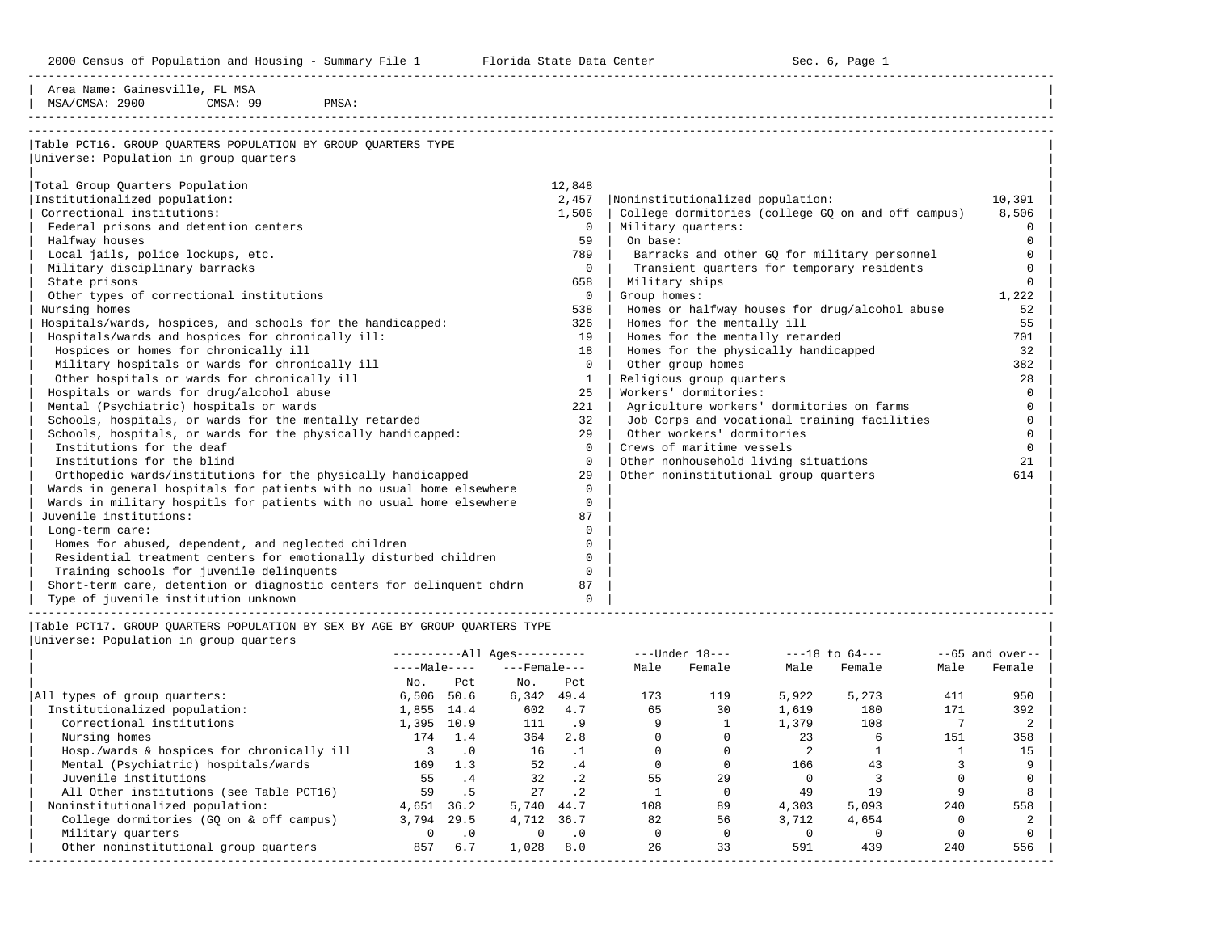2000 Census of Population and Housing - Summary File 1 Florida State Data Center Sec. 6, Page 1

-----------------------------------------------------------------------------------------------------------------------------------------------------

| Area Name: Gainesville, FL MSA                                        |              |                                                    |          |
|-----------------------------------------------------------------------|--------------|----------------------------------------------------|----------|
| MSA/CMSA: 2900<br>CMSA: 99<br>PMSA:                                   |              |                                                    |          |
|                                                                       |              |                                                    |          |
| Table PCT16. GROUP OUARTERS POPULATION BY GROUP OUARTERS TYPE         |              |                                                    |          |
| Universe: Population in group quarters                                |              |                                                    |          |
|                                                                       |              |                                                    |          |
| Total Group Quarters Population                                       | 12,848       |                                                    |          |
| Institutionalized population:                                         | 2,457        | Noninstitutionalized population:                   | 10,391   |
| Correctional institutions:                                            | 1,506        | College dormitories (college GQ on and off campus) | 8,506    |
| Federal prisons and detention centers                                 | $\mathbf 0$  | Military quarters:                                 | 0        |
| Halfway houses                                                        | 59           | On base:                                           | ∩        |
| Local jails, police lockups, etc.                                     | 789          | Barracks and other GQ for military personnel       | ∩        |
| Military disciplinary barracks                                        | $\mathbf{0}$ | Transient quarters for temporary residents         |          |
| State prisons                                                         | 658          | Military ships                                     |          |
| Other types of correctional institutions                              | $\mathbf 0$  | Group homes:                                       | 1,222    |
| Nursing homes                                                         | 538          | Homes or halfway houses for drug/alcohol abuse     | 52       |
| Hospitals/wards, hospices, and schools for the handicapped:           | 326          | Homes for the mentally ill                         | 55       |
| Hospitals/wards and hospices for chronically ill:                     | 19           | Homes for the mentally retarded                    | 701      |
| Hospices or homes for chronically ill                                 | 18           | Homes for the physically handicapped               | 32       |
| Military hospitals or wards for chronically ill                       | $\Omega$     | Other group homes                                  | 382      |
| Other hospitals or wards for chronically ill                          | 1            | Religious group quarters                           | 28       |
| Hospitals or wards for drug/alcohol abuse                             | 25           | Workers' dormitories:                              | $\Omega$ |
| Mental (Psychiatric) hospitals or wards                               | 221          | Agriculture workers' dormitories on farms          | $\Omega$ |
| Schools, hospitals, or wards for the mentally retarded                | 32           | Job Corps and vocational training facilities       | $\Omega$ |
| Schools, hospitals, or wards for the physically handicapped:          | 29           | Other workers' dormitories                         | $\Omega$ |
| Institutions for the deaf                                             | $\Omega$     | Crews of maritime vessels                          | $\Omega$ |
| Institutions for the blind                                            | $\Omega$     | Other nonhousehold living situations               | 21       |
| Orthopedic wards/institutions for the physically handicapped          | 29           | Other noninstitutional group quarters              | 614      |
| Wards in general hospitals for patients with no usual home elsewhere  | $\Omega$     |                                                    |          |
| Wards in military hospitls for patients with no usual home elsewhere  | $\Omega$     |                                                    |          |
| Juvenile institutions:                                                | 87           |                                                    |          |
| Long-term care:                                                       | $\Omega$     |                                                    |          |
| Homes for abused, dependent, and neglected children                   | $\cap$       |                                                    |          |
| Residential treatment centers for emotionally disturbed children      | $\Omega$     |                                                    |          |
| Training schools for juvenile delinquents                             | $\cap$       |                                                    |          |
| Short-term care, detention or diagnostic centers for delinquent chdrn | 87           |                                                    |          |
| Type of juvenile institution unknown                                  | $\Omega$     |                                                    |          |
|                                                                       |              |                                                    |          |

|Table PCT17. GROUP QUARTERS POPULATION BY SEX BY AGE BY GROUP QUARTERS TYPE |  $\overline{\mathsf{I}}$ Universe: Population in group quarters

|  | juliverse. Population in group quarters |  |           |
|--|-----------------------------------------|--|-----------|
|  |                                         |  | --------- |

|                                            |              |           | ----------All Ages---------- |           |      | $---Under 18---$ |       | $---18$ to $64---$ |      | $--65$ and over-- |
|--------------------------------------------|--------------|-----------|------------------------------|-----------|------|------------------|-------|--------------------|------|-------------------|
|                                            | $---Male---$ |           | $---$ Female $---$           |           | Male | Female           | Male  | Female             | Male | Female            |
|                                            | No.          | Pct       | No.                          | Pct       |      |                  |       |                    |      |                   |
| All types of group quarters:               | 6,506        | 50.6      | 6,342                        | 49.4      | 173  | 119              | 5,922 | 5,273              | 411  | 950               |
| Institutionalized population:              | 1,855 14.4   |           | 602                          | 4.7       | 65   | 30               | 1,619 | 180                | 171  | 392               |
| Correctional institutions                  | 1,395        | 10.9      | 111                          | . 9       | 9    |                  | 1,379 | 108                |      |                   |
| Nursing homes                              | 174          | 1.4       | 364                          | 2.8       |      |                  | 23    |                    | 151  | 358               |
| Hosp./wards & hospices for chronically ill |              | $\cdot$ 0 | 16                           |           |      |                  |       |                    |      | 15                |
| Mental (Psychiatric) hospitals/wards       | 169          | 1.3       | 52                           | .4        |      |                  | 166   | 43                 |      |                   |
| Juvenile institutions                      | 55           | . 4       | 32                           | $\cdot$ 2 | 55   | 29               |       |                    |      |                   |
| All Other institutions (see Table PCT16)   | 59           | .5        | 27                           | .2        |      |                  | 49    | 19                 |      |                   |
| Noninstitutionalized population:           | 4,651        | 36.2      | 5,740                        | 44.7      | 108  | 89               | 4,303 | 5,093              | 240  | 558               |
| College dormitories (GO on & off campus)   | 3,794        | 29.5      | 4,712                        | 36.7      | 82   | 56               | 3,712 | 4,654              |      |                   |
| Military quarters                          |              | $\cdot$ 0 | $\Omega$                     | $\cdot$ 0 |      |                  |       |                    |      |                   |
| Other noninstitutional group quarters      | 857          | 6.7       | 1,028                        | 8.0       | 26   | 33               | 591   | 439                | 240  | 556               |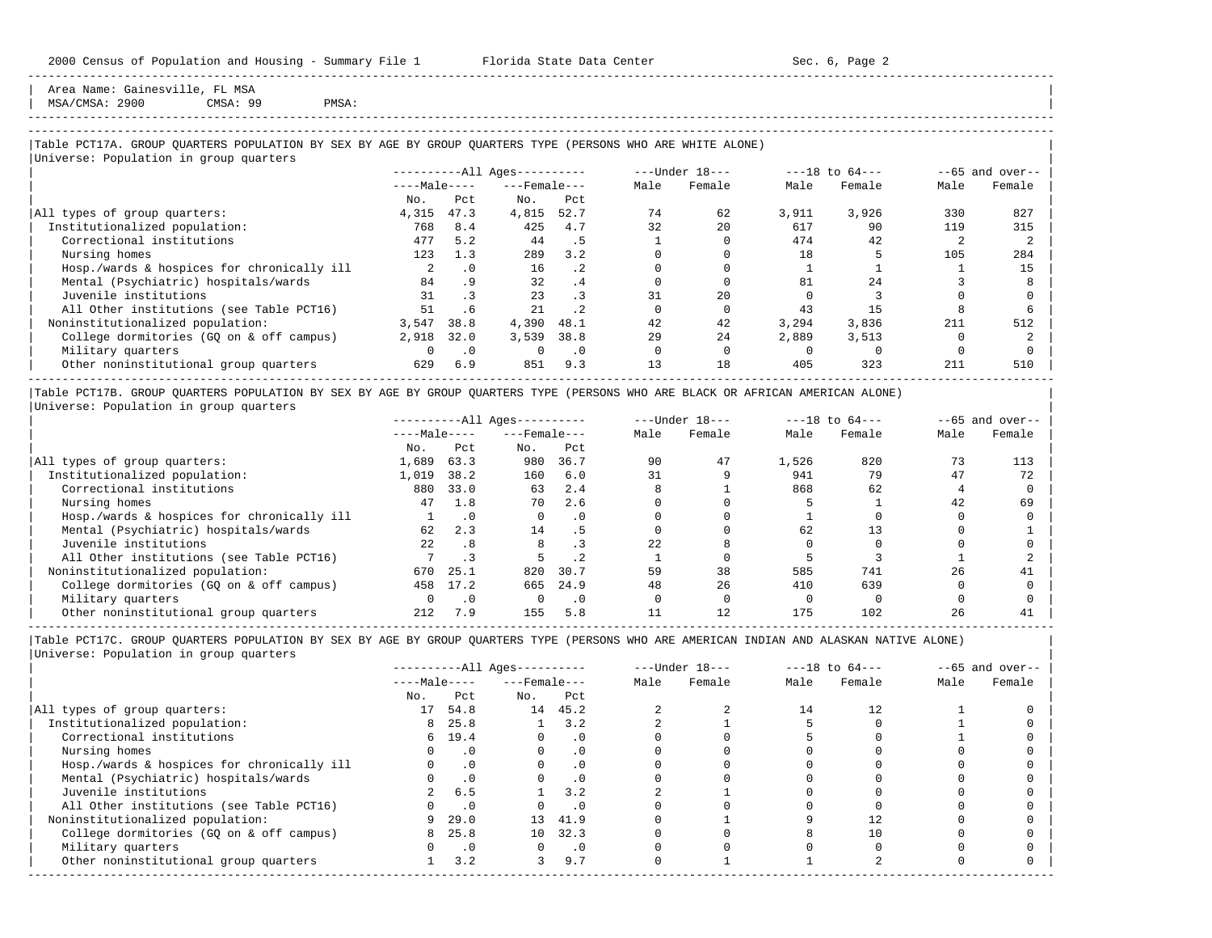Area Name: Gainesville, FL MSA

| MSA/CMSA: 2900 CMSA: 99 PMSA: |

# -----------------------------------------------------------------------------------------------------------------------------------------------------

-----------------------------------------------------------------------------------------------------------------------------------------------------

## |Table PCT17A. GROUP QUARTERS POPULATION BY SEX BY AGE BY GROUP QUARTERS TYPE (PERSONS WHO ARE WHITE ALONE) |

|                                            | $------All Aqes------$ |           |                    | ---Under 18--- |      |        | $---18$ to $64---$ | $--65$ and over-- |      |        |
|--------------------------------------------|------------------------|-----------|--------------------|----------------|------|--------|--------------------|-------------------|------|--------|
|                                            | $---Male---$           |           | $---$ Female $---$ |                | Male | Female | Male               | Female            | Male | Female |
|                                            | No.                    | Pct       | No.                | Pct            |      |        |                    |                   |      |        |
| All types of group quarters:               | 4,315                  | 47.3      | 4,815              | 52.7           | 74   | 62     | 3,911              | 3,926             | 330  | 827    |
| Institutionalized population:              | 768                    | 8.4       | 425                | 4.7            | 32   | 2.0    | 617                | 90                | 119  | 315    |
| Correctional institutions                  | 477                    | 5.2       | 44                 | . 5            |      |        | 474                | 42                |      |        |
| Nursing homes                              | 123                    | 1.3       | 289                | 3.2            |      |        | 18                 |                   | 105  | 284    |
| Hosp./wards & hospices for chronically ill |                        | $\cdot$ 0 | 16                 | $\cdot$ 2      |      |        |                    |                   |      | 15     |
| Mental (Psychiatric) hospitals/wards       | 84                     | .9        | 32                 | .4             |      |        | 81                 | 24                |      |        |
| Juvenile institutions                      | 31                     |           | 23                 | $\cdot$ 3      | 31   | 20     |                    |                   |      |        |
| All Other institutions (see Table PCT16)   | 51                     | . 6       | 21                 | $\cdot$ 2      |      |        | 43                 | 15                |      |        |
| Noninstitutionalized population:           | 3,547                  | 38.8      | 4,390              | 48.1           | 42   | 42     | 3,294              | 3,836             | 211  | 512    |
| College dormitories (GQ on & off campus)   | 2,918                  | 32.0      | 3,539              | 38.8           | 29   | 24     | 2,889              | 3,513             |      |        |
| Military quarters                          |                        | $\cdot$ 0 | $\Omega$           | $\cdot$ 0      |      |        |                    |                   |      |        |
| Other noninstitutional group quarters      | 629                    | 6.9       | 851                | 9.3            | 13   | 18     | 405                | 323               | 211  | 510    |

|Table PCT17B. GROUP QUARTERS POPULATION BY SEX BY AGE BY GROUP QUARTERS TYPE (PERSONS WHO ARE BLACK OR AFRICAN AMERICAN ALONE) | |Universe: Population in group quarters |

|                                            |              |      | $------All Aqes------$ |      |      | $---Under 18---$ | $---18$ to $64---$ |        | $- -65$ and over-- |        |
|--------------------------------------------|--------------|------|------------------------|------|------|------------------|--------------------|--------|--------------------|--------|
|                                            | $---Male---$ |      | $---$ Female $---$     |      | Male | Female           | Male               | Female | Male               | Female |
|                                            | No.          | Pct  | No.                    | Pct  |      |                  |                    |        |                    |        |
| All types of group quarters:               | 1,689        | 63.3 | 980                    | 36.7 | 90   | 47               | 1,526              | 820    |                    | 113    |
| Institutionalized population:              | 1,019        | 38.2 | 160                    | 6.0  | 31   |                  | 941                | 79     | 47                 | 72     |
| Correctional institutions                  | 880          | 33.0 | 63                     | 2.4  |      |                  | 868                | 62     |                    |        |
| Nursing homes                              | 47           | 1.8  | 70                     | 2.6  |      |                  |                    |        | 42                 | 69     |
| Hosp./wards & hospices for chronically ill |              |      |                        | . 0  |      |                  |                    |        |                    |        |
| Mental (Psychiatric) hospitals/wards       | 62           | 2.3  | 14                     | . 5  |      |                  | 62                 |        |                    |        |
| Juvenile institutions                      | 22           | .8   |                        |      | 22   |                  |                    |        |                    |        |
| All Other institutions (see Table PCT16)   |              |      |                        | .2   |      |                  |                    |        |                    |        |
| Noninstitutionalized population:           | 670          | 25.1 | 820                    | 30.7 | 59   | 38               | 585                | 741    | 26                 | 41     |
| College dormitories (GO on & off campus)   | 458          | 17.2 | 665                    | 24.9 | 48   | 26               | 410                | 639    |                    |        |
| Military quarters                          |              |      |                        | . 0  |      |                  |                    |        |                    |        |
| Other noninstitutional group quarters      | 212          | 7.9  | 155                    | 5.8  |      | 12               | 175                | 102    | 26                 |        |

----------------------------------------------------------------------------------------------------------------------------------------------------- |Table PCT17C. GROUP QUARTERS POPULATION BY SEX BY AGE BY GROUP QUARTERS TYPE (PERSONS WHO ARE AMERICAN INDIAN AND ALASKAN NATIVE ALONE) | |Universe: Population in group quarters |

|                                            |              |           | $------All Aqes------$ |           |      | $---Under 18---$ | $---18$ to $64---$ |        | $--65$ and over-- |        |
|--------------------------------------------|--------------|-----------|------------------------|-----------|------|------------------|--------------------|--------|-------------------|--------|
|                                            | $---Male---$ |           | $---$ Female $---$     |           | Male | Female           | Male               | Female | Male              | Female |
|                                            | No.          | Pct       | No.                    | Pct       |      |                  |                    |        |                   |        |
| All types of group quarters:               | 17           | 54.8      |                        | 14 45.2   |      |                  | 14                 | 12.    |                   |        |
| Institutionalized population:              | 8            | 25.8      |                        | 3.2       |      |                  |                    |        |                   |        |
| Correctional institutions                  |              | 6, 19.4   | $\Omega$               | . 0       |      |                  |                    |        |                   |        |
| Nursing homes                              |              | $\cdot$ 0 |                        | $\cdot$ 0 |      |                  |                    |        |                   |        |
| Hosp./wards & hospices for chronically ill |              | $\cdot$ 0 |                        | . 0       |      |                  |                    |        |                   |        |
| Mental (Psychiatric) hospitals/wards       |              | $\cdot$ 0 |                        | $\cdot$ 0 |      |                  |                    |        |                   |        |
| Juvenile institutions                      |              | 6.5       |                        | 3.2       |      |                  |                    |        |                   |        |
| All Other institutions (see Table PCT16)   |              | $\cdot$ 0 |                        | $\cdot$ 0 |      |                  |                    |        |                   |        |
| Noninstitutionalized population:           | 9            | 29.0      | 13                     | 41.9      |      |                  |                    |        |                   |        |
| College dormitories (GQ on & off campus)   | 8            | 25.8      | 10 <sup>1</sup>        | 32.3      |      |                  |                    |        |                   |        |
| Military quarters                          |              | $\cdot$ 0 |                        | $\cdot$ 0 |      |                  |                    |        |                   |        |
| Other noninstitutional group quarters      |              | 3.2       | 3                      | 9.7       |      |                  |                    |        |                   |        |
|                                            |              |           |                        |           |      |                  |                    |        |                   |        |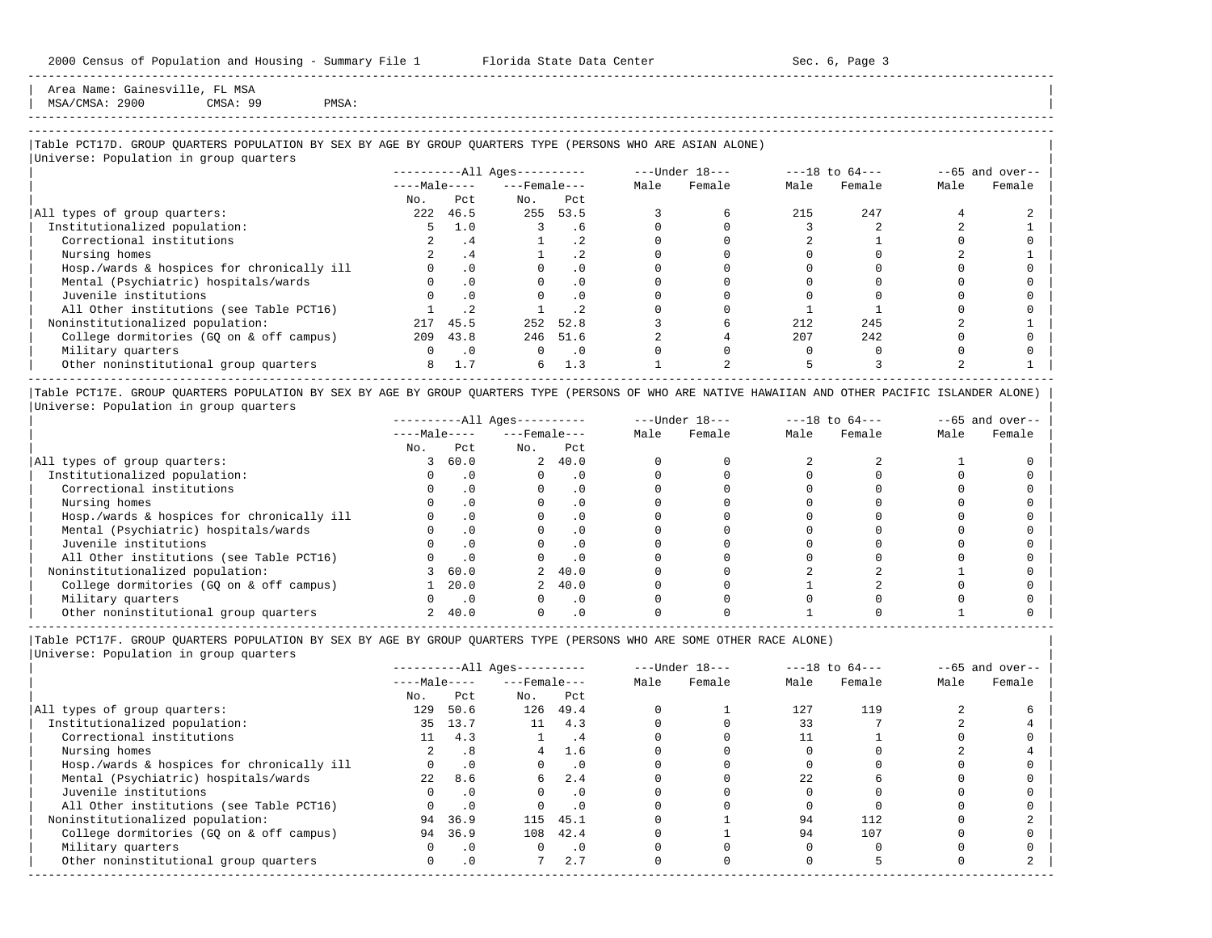Area Name: Gainesville, FL MSA MSA/CMSA: 2900 CMSA: 99 PMSA:

# -----------------------------------------------------------------------------------------------------------------------------------------------------

-----------------------------------------------------------------------------------------------------------------------------------------------------

## |Table PCT17D. GROUP QUARTERS POPULATION BY SEX BY AGE BY GROUP QUARTERS TYPE (PERSONS WHO ARE ASIAN ALONE) |

|                                            |              |           | $------All Ages------$ |                 |      | ---Under 18--- | $---18$ to $64---$ | $--65$ and over-- |      |        |
|--------------------------------------------|--------------|-----------|------------------------|-----------------|------|----------------|--------------------|-------------------|------|--------|
|                                            | $---Male---$ |           | $---$ Female $---$     |                 | Male | Female         | Male               | Female            | Male | Female |
|                                            | No.          | Pct       | No.                    | Pct             |      |                |                    |                   |      |        |
| All types of group quarters:               | 222          | 46.5      | 255                    | 53.5            |      |                | 215                | 247               |      |        |
| Institutionalized population:              |              | 1.0       |                        | . 6             |      |                |                    |                   |      |        |
| Correctional institutions                  |              | . 4       |                        | .2 <sub>2</sub> |      |                |                    |                   |      |        |
| Nursing homes                              |              | . 4       |                        | $\cdot$ 2       |      |                |                    |                   |      |        |
| Hosp./wards & hospices for chronically ill |              | $\cdot$ 0 |                        | .0              |      |                |                    |                   |      |        |
| Mental (Psychiatric) hospitals/wards       |              | $\cdot$ 0 |                        | $\cdot$ 0       |      |                |                    |                   |      |        |
| Juvenile institutions                      |              |           |                        | $\cdot$ 0       |      |                |                    |                   |      |        |
| All Other institutions (see Table PCT16)   |              |           |                        |                 |      |                |                    |                   |      |        |
| Noninstitutionalized population:           | 217          | 45.5      | 252                    | 52.8            |      |                | 212                | 245               |      |        |
| College dormitories (GO on & off campus)   | 209          | 43.8      |                        | 246 51.6        |      |                | 207                | 2.42              |      |        |
| Military quarters                          |              | $\cdot$ 0 | $\Omega$               | $\cdot$ 0       |      |                |                    |                   |      |        |
| Other noninstitutional group quarters      | 8            | 1.7       | б.                     | 1.3             |      |                |                    |                   |      |        |

|Table PCT17E. GROUP QUARTERS POPULATION BY SEX BY AGE BY GROUP QUARTERS TYPE (PERSONS OF WHO ARE NATIVE HAWAIIAN AND OTHER PACIFIC ISLANDER ALONE) | |Universe: Population in group quarters |

|                                            |              |           | $------All Ages------$ |           |      | $---Under 18---$ | $---18$ to $64---$ |        | $--65$ and over-- |        |
|--------------------------------------------|--------------|-----------|------------------------|-----------|------|------------------|--------------------|--------|-------------------|--------|
|                                            | $---Male---$ |           | $---$ Female $---$     |           | Male | Female           | Male               | Female | Male              | Female |
|                                            | No.          | Pct.      | No.                    | Pct       |      |                  |                    |        |                   |        |
| All types of group quarters:               |              | 60.0      |                        | 2, 40.0   |      |                  |                    |        |                   |        |
| Institutionalized population:              |              |           |                        | $\cdot$ 0 |      |                  |                    |        |                   |        |
| Correctional institutions                  |              |           |                        | . 0       |      |                  |                    |        |                   |        |
| Nursing homes                              |              |           |                        | . 0       |      |                  |                    |        |                   |        |
| Hosp./wards & hospices for chronically ill |              |           |                        | . 0       |      |                  |                    |        |                   |        |
| Mental (Psychiatric) hospitals/wards       |              |           |                        | $\cdot$ 0 |      |                  |                    |        |                   |        |
| Juvenile institutions                      |              |           |                        | . 0       |      |                  |                    |        |                   |        |
| All Other institutions (see Table PCT16)   |              |           |                        | $\cdot$ 0 |      |                  |                    |        |                   |        |
| Noninstitutionalized population:           |              | 60.0      |                        | 2, 40.0   |      |                  |                    |        |                   |        |
| College dormitories (GQ on & off campus)   |              | 20.0      |                        | 40.0      |      |                  |                    |        |                   |        |
| Military quarters                          |              | $\cdot$ 0 |                        | $\cdot$ 0 |      |                  |                    |        |                   |        |
| Other noninstitutional group quarters      |              | 40.0      |                        | $\cdot$ 0 |      |                  |                    |        |                   |        |

-----------------------------------------------------------------------------------------------------------------------------------------------------

|Table PCT17F. GROUP QUARTERS POPULATION BY SEX BY AGE BY GROUP QUARTERS TYPE (PERSONS WHO ARE SOME OTHER RACE ALONE) |

| $---Male---$ |                                    | ----------All Ages---------- |                                |        |      |        | $--65$ and over-- |        |
|--------------|------------------------------------|------------------------------|--------------------------------|--------|------|--------|-------------------|--------|
|              |                                    |                              | Male                           | Female | Male | Female | Male              | Female |
| Pct          | No.                                | Pct                          |                                |        |      |        |                   |        |
| 50.6         | 126                                | 49.4                         |                                |        | 127  | 119    |                   |        |
| 13.7         | 11                                 | 4.3                          |                                |        | 33   |        |                   |        |
| 4.3          |                                    | . 4                          |                                |        |      |        |                   |        |
| .8           | 4                                  | 1.6                          |                                |        |      |        |                   |        |
| $\cdot$ 0    |                                    | $\cdot$ 0                    |                                |        |      |        |                   |        |
| 8.6          | 6                                  | 2.4                          |                                |        | 2.2. |        |                   |        |
| $\cdot$ 0    | $\Omega$                           | .0                           |                                |        |      |        |                   |        |
| .0           |                                    | $\cdot$ 0                    |                                |        |      |        |                   |        |
| 36.9         |                                    |                              |                                |        | 94   | 112    |                   |        |
| 36.9         | 108                                | 42.4                         |                                |        | 94   | 107    |                   |        |
| $\cdot$ 0    | 0                                  | $\cdot$ 0                    |                                |        |      |        |                   |        |
| $\cdot$ 0    |                                    | 2.7                          |                                |        |      |        |                   |        |
| 11<br>0      | 35<br>2.2 <sub>1</sub><br>94<br>94 |                              | $---$ Female $---$<br>115 45.1 |        |      |        |                   |        |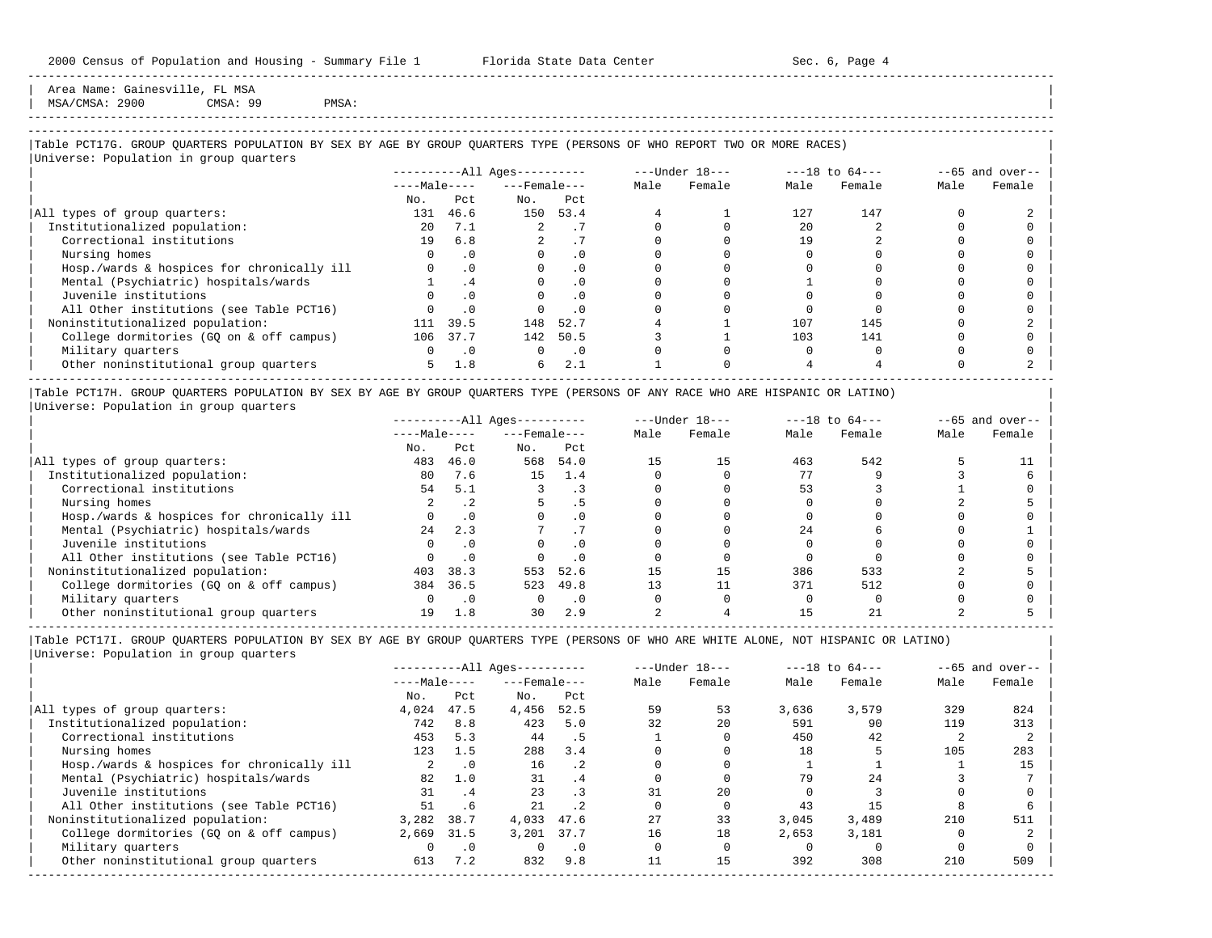Area Name: Gainesville, FL MSA  $MSA/CMSA: 2900$  CMSA: 99 PMSA:

-----------------------------------------------------------------------------------------------------------------------------------------------------

## |Table PCT17G. GROUP QUARTERS POPULATION BY SEX BY AGE BY GROUP QUARTERS TYPE (PERSONS OF WHO REPORT TWO OR MORE RACES) |

|Universe: Population in group quarters |

| $------All \text{Aqes}---$ |           |              |           |                    |        |                  | $--65$ and over-- |                    |        |
|----------------------------|-----------|--------------|-----------|--------------------|--------|------------------|-------------------|--------------------|--------|
|                            |           |              |           | Male               | Female | Male             | Female            | Male               | Female |
| No.                        | Pct.      | No.          | Pct       |                    |        |                  |                   |                    |        |
| 131                        | 46.6      | 150          | 53.4      |                    |        | 127              | 147               |                    |        |
| $20^{\circ}$               | 7.1       |              |           |                    |        | 20               |                   |                    |        |
| 19                         | 6.8       |              |           |                    |        | 19               |                   |                    |        |
|                            | $\cdot$ 0 |              | . 0       |                    |        |                  |                   |                    |        |
|                            | $\cdot$ 0 |              | . 0       |                    |        |                  |                   |                    |        |
|                            | $\cdot$ 4 |              |           |                    |        |                  |                   |                    |        |
|                            |           |              |           |                    |        |                  |                   |                    |        |
|                            | $\cdot$ 0 |              | . 0       |                    |        |                  |                   |                    |        |
| 111                        | 39.5      | 148          | 52.7      |                    |        | 107              | 145               |                    |        |
| 106                        | 37.7      | 142          | 50.5      |                    |        | 103              | 141               |                    |        |
|                            | $\cdot$ 0 |              | $\cdot$ 0 |                    |        |                  |                   |                    |        |
| 5.                         | 1.8       | 6            | 2.1       |                    |        |                  |                   |                    |        |
|                            |           | $---Male---$ |           | $---$ Female $---$ |        | $---Under 18---$ |                   | $---18$ to $64---$ |        |

|Table PCT17H. GROUP QUARTERS POPULATION BY SEX BY AGE BY GROUP QUARTERS TYPE (PERSONS OF ANY RACE WHO ARE HISPANIC OR LATINO) | |Universe: Population in group quarters |

|                                            |              |           | $------All Aqes------$ |      |      | $---Under 18---$ |      | $---18$ to $64---$ |      | $--65$ and over-- |
|--------------------------------------------|--------------|-----------|------------------------|------|------|------------------|------|--------------------|------|-------------------|
|                                            | $---Male---$ |           | $---$ Female $---$     |      | Male | Female           | Male | Female             | Male | Female            |
|                                            | No.          | Pct       | No.                    | Pct  |      |                  |      |                    |      |                   |
| All types of group quarters:               | 483          | 46.0      | 568                    | 54.0 |      | 15               | 463  | 542                |      |                   |
| Institutionalized population:              | 80           | 7.6       | 15                     | 1.4  |      |                  |      |                    |      |                   |
| Correctional institutions                  | 54           | 5.1       |                        |      |      |                  | 53   |                    |      |                   |
| Nursing homes                              |              |           |                        |      |      |                  |      |                    |      |                   |
| Hosp./wards & hospices for chronically ill |              | $\cdot$ 0 |                        |      |      |                  |      |                    |      |                   |
| Mental (Psychiatric) hospitals/wards       | 2.4          | 2.3       |                        |      |      |                  | 2.4  |                    |      |                   |
| Juvenile institutions                      |              | . 0       |                        |      |      |                  |      |                    |      |                   |
| All Other institutions (see Table PCT16)   |              | $\cdot$ 0 |                        |      |      |                  |      |                    |      |                   |
| Noninstitutionalized population:           | 403          | 38.3      | 553                    | 52.6 |      | 15               | 386  | 533                |      |                   |
| College dormitories (GO on & off campus)   | 384          | 36.5      | 523                    | 49.8 |      |                  | 371  | 512                |      |                   |
| Military quarters                          |              | $\cdot$ 0 |                        | . 0  |      |                  |      |                    |      |                   |
| Other noninstitutional group quarters      | 19           | 1.8       | 30                     | 2.9  |      |                  |      |                    |      |                   |

-----------------------------------------------------------------------------------------------------------------------------------------------------

|                                            |              |           | $------All Aqes------$ |           |      | $---Under 18---$ |       | $---18$ to $64---$ |      | $--65$ and over-- |
|--------------------------------------------|--------------|-----------|------------------------|-----------|------|------------------|-------|--------------------|------|-------------------|
|                                            | $---Male---$ |           | $---$ Female ---       |           | Male | Female           | Male  | Female             | Male | Female            |
|                                            | No.          | Pct       | No.                    | Pct       |      |                  |       |                    |      |                   |
| All types of group quarters:               | 4,024        | 47.5      | 4,456                  | 52.5      | 59   | 53               | 3,636 | 3,579              | 329  | 824               |
| Institutionalized population:              | 742          | 8.8       | 423                    | 5.0       | 32   | 20               | 591   | 90                 | 119  | 313               |
| Correctional institutions                  | 453          | 5.3       | 44                     | . 5       |      |                  | 450   | 42                 |      |                   |
| Nursing homes                              | 123          | 1.5       | 288                    | 3.4       |      |                  | 18    |                    | 105  | 283               |
| Hosp./wards & hospices for chronically ill |              | $\cdot$ 0 | 16                     | $\cdot$ 2 |      |                  |       |                    |      | 15                |
| Mental (Psychiatric) hospitals/wards       | 82           | 1.0       | 31                     | .4        |      |                  | 79    | 2.4                |      |                   |
| Juvenile institutions                      | 31           | .4        | 23                     | $\cdot$ 3 |      | 2.0              |       |                    |      |                   |
| All Other institutions (see Table PCT16)   | 51           | .6        | 21                     | $\cdot$ 2 |      |                  | 43    |                    |      |                   |
| Noninstitutionalized population:           | 3,282        | 38.7      | 4,033                  | 47.6      | 2.7  | 33               | 3.045 | 3,489              | 210  | 511               |
| College dormitories (GO on & off campus)   | 2,669        | 31.5      | 3.201                  | 37.7      | 16   | 18               | 2,653 | 3,181              |      |                   |
| Military quarters                          |              | $\cdot$ 0 |                        | $\cdot$ 0 |      |                  |       |                    |      |                   |
| Other noninstitutional group quarters      | 613          | 7.2       | 832                    | 9.8       |      | 15               | 392   | 308                | 210  | 509               |
|                                            |              |           |                        |           |      |                  |       |                    |      |                   |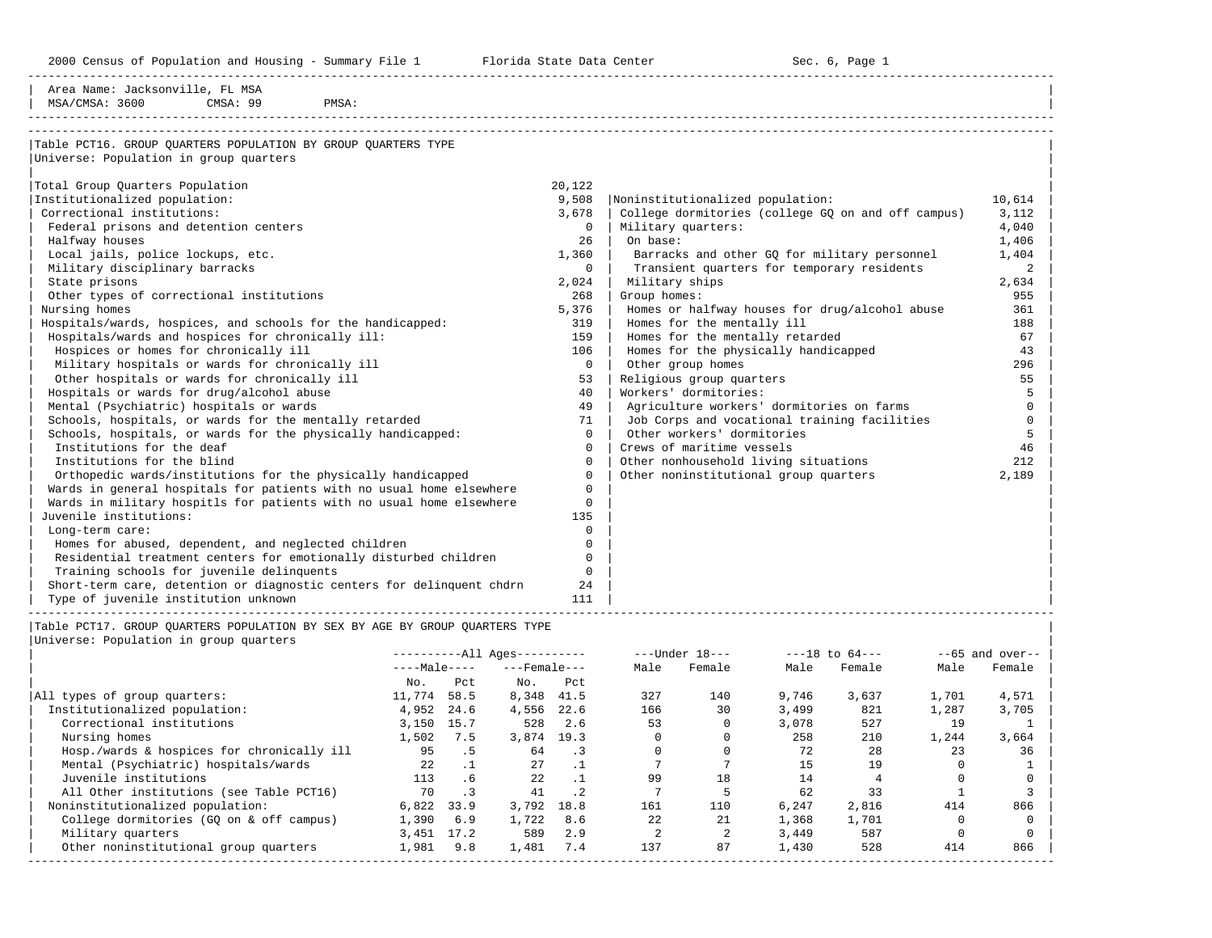2000 Census of Population and Housing - Summary File 1 Telorida State Data Center Sec. 6, Page 1 North Sec. 6, Page

-----------------------------------------------------------------------------------------------------------------------------------------------------

| Area Name: Jacksonville, FL MSA                                       |          |                                                    |          |
|-----------------------------------------------------------------------|----------|----------------------------------------------------|----------|
| MSA/CMSA: 3600<br>CMSA: 99<br>PMSA:                                   |          |                                                    |          |
|                                                                       |          |                                                    |          |
| Table PCT16. GROUP QUARTERS POPULATION BY GROUP QUARTERS TYPE         |          |                                                    |          |
| Universe: Population in group quarters                                |          |                                                    |          |
|                                                                       |          |                                                    |          |
| Total Group Quarters Population                                       | 20,122   |                                                    |          |
| Institutionalized population:                                         | 9,508    | Noninstitutionalized population:                   | 10,614   |
| Correctional institutions:                                            | 3,678    | College dormitories (college GQ on and off campus) | 3,112    |
| Federal prisons and detention centers                                 | 0        | Military quarters:                                 | 4,040    |
| Halfway houses                                                        | 26       | On base:                                           | 1,406    |
| Local jails, police lockups, etc.                                     | 1,360    | Barracks and other GO for military personnel       | 1,404    |
| Military disciplinary barracks                                        | $\Omega$ | Transient quarters for temporary residents         | 2        |
| State prisons                                                         | 2,024    | Military ships                                     | 2,634    |
| Other types of correctional institutions                              | 268      | Group homes:                                       | 955      |
| Nursing homes                                                         | 5,376    | Homes or halfway houses for drug/alcohol abuse     | 361      |
| Hospitals/wards, hospices, and schools for the handicapped:           | 319      | Homes for the mentally ill                         | 188      |
| Hospitals/wards and hospices for chronically ill:                     | 159      | Homes for the mentally retarded                    | 67       |
| Hospices or homes for chronically ill                                 | 106      | Homes for the physically handicapped               | 43       |
| Military hospitals or wards for chronically ill                       | $\Omega$ | Other group homes                                  | 296      |
| Other hospitals or wards for chronically ill                          | 53       | Religious group quarters                           | 55       |
| Hospitals or wards for drug/alcohol abuse                             | 40       | Workers' dormitories:                              | 5        |
| Mental (Psychiatric) hospitals or wards                               | 49       | Agriculture workers' dormitories on farms          | $\Omega$ |
| Schools, hospitals, or wards for the mentally retarded                | 71       | Job Corps and vocational training facilities       | $\Omega$ |
| Schools, hospitals, or wards for the physically handicapped:          | $\Omega$ | Other workers' dormitories                         | 5        |
| Institutions for the deaf                                             | $\Omega$ | Crews of maritime vessels                          | 46       |
| Institutions for the blind                                            | $\Omega$ | Other nonhousehold living situations               | 212      |
| Orthopedic wards/institutions for the physically handicapped          | $\Omega$ | Other noninstitutional group quarters              | 2,189    |
| Wards in general hospitals for patients with no usual home elsewhere  | $\Omega$ |                                                    |          |
| Wards in military hospitls for patients with no usual home elsewhere  | $\Omega$ |                                                    |          |
| Juvenile institutions:                                                | 135      |                                                    |          |
| Long-term care:                                                       | $\Omega$ |                                                    |          |
| Homes for abused, dependent, and neglected children                   | $\Omega$ |                                                    |          |
| Residential treatment centers for emotionally disturbed children      | $\Omega$ |                                                    |          |
| Training schools for juvenile delinquents                             | $\Omega$ |                                                    |          |
| Short-term care, detention or diagnostic centers for delinquent chdrn | 24       |                                                    |          |
| Type of juvenile institution unknown                                  | 111      |                                                    |          |
|                                                                       |          |                                                    |          |

|Table PCT17. GROUP QUARTERS POPULATION BY SEX BY AGE BY GROUP QUARTERS TYPE |

| Universe: Population in group quarters |  |
|----------------------------------------|--|
|                                        |  |

|                                            |              |           | $------All Aqes------$ |           |      | $---Under 18---$ |       | $---18$ to $64---$ |       | $--65$ and over-- |
|--------------------------------------------|--------------|-----------|------------------------|-----------|------|------------------|-------|--------------------|-------|-------------------|
|                                            | $---Male---$ |           | $---$ Female $---$     |           | Male | Female           | Male  | Female             | Male  | Female            |
|                                            | No.          | Pct       | No.                    | Pct       |      |                  |       |                    |       |                   |
| All types of group quarters:               | 11,774       | 58.5      | 8,348                  | 41.5      | 327  | 140              | 9,746 | 3,637              | 1,701 | 4,571             |
| Institutionalized population:              | 4,952        | 24.6      | 4,556                  | 22.6      | 166  | 30               | 3,499 | 821                | 1,287 | 3,705             |
| Correctional institutions                  | 3,150        | 15.7      | 528                    | 2.6       | 53   |                  | 3,078 | 527                | 19    |                   |
| Nursing homes                              | 1,502        | 7.5       | 3,874                  | 19.3      |      |                  | 258   | 210                | 1,244 | 3,664             |
| Hosp./wards & hospices for chronically ill | 95           | . 5       | 64                     | $\cdot$ 3 |      |                  | 72    | 28                 | 23    | 36                |
| Mental (Psychiatric) hospitals/wards       | 2.2.         |           | 27                     |           |      |                  | 15    | 19                 |       |                   |
| Juvenile institutions                      | 113          | .6        | 22                     |           | 99   | 18               | 14    |                    |       |                   |
| All Other institutions (see Table PCT16)   | 70           | $\cdot$ 3 | 41                     | $\cdot$ 2 |      |                  | 62    | 33                 |       |                   |
| Noninstitutionalized population:           | 6,822        | 33.9      | 3,792                  | 18.8      | 161  | 110              | 6,247 | 2,816              | 414   | 866               |
| College dormitories (GO on & off campus)   | 1,390        | 6.9       | 1,722                  | 8.6       | 22   | 21               | 1,368 | 1,701              |       |                   |
| Military quarters                          | 3,451 17.2   |           | 589                    | 2.9       |      |                  | 3,449 | 587                |       |                   |
| Other noninstitutional group quarters      | 1,981        | 9.8       | 1,481                  | 7.4       | 137  | 87               | 1,430 | 528                | 414   | 866               |
|                                            |              |           |                        |           |      |                  |       |                    |       |                   |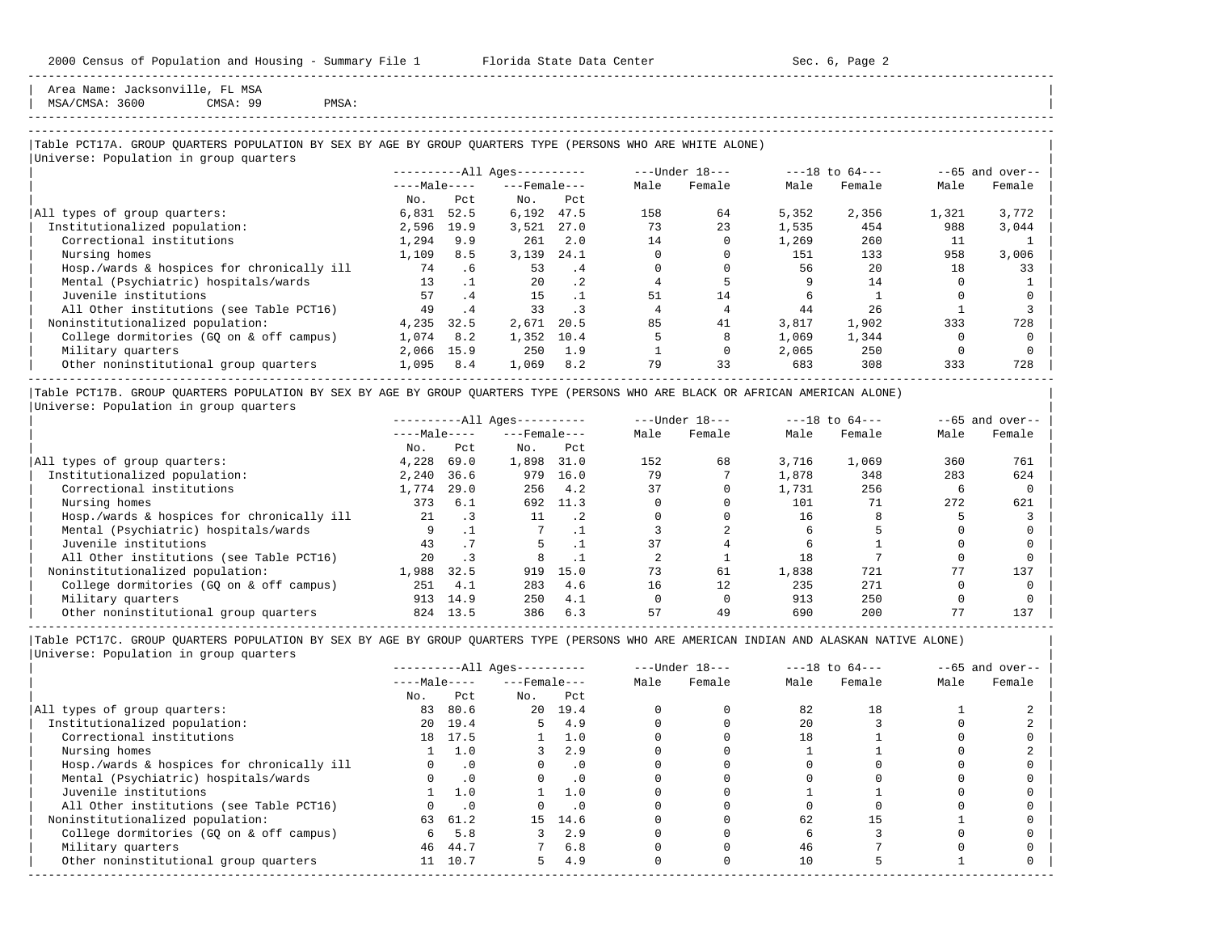Area Name: Jacksonville, FL MSA

| MSA/CMSA: 3600 CMSA: 99 PMSA: |

# -----------------------------------------------------------------------------------------------------------------------------------------------------

-----------------------------------------------------------------------------------------------------------------------------------------------------

#### |Table PCT17A. GROUP QUARTERS POPULATION BY SEX BY AGE BY GROUP QUARTERS TYPE (PERSONS WHO ARE WHITE ALONE) |

|                                            |              |           | $------All Aqes------$ |           |      | $---Under 18---$ |       | $---18$ to $64---$ |       | $--65$ and over-- |
|--------------------------------------------|--------------|-----------|------------------------|-----------|------|------------------|-------|--------------------|-------|-------------------|
|                                            | $---Male---$ |           | $---$ Female $---$     |           | Male | Female           | Male  | Female             | Male  | Female            |
|                                            | No.          | Pct       | No.                    | Pct       |      |                  |       |                    |       |                   |
| All types of group quarters:               | 6,831        | 52.5      | 6,192                  | 47.5      | 158  | 64               | 5,352 | 2,356              | 1,321 | 3,772             |
| Institutionalized population:              | 2,596        | 19.9      | 3,521                  | 27.0      | 73   | 23               | 1,535 | 454                | 988   | 3,044             |
| Correctional institutions                  | 1,294        | 9.9       | 261                    | 2.0       | 14   |                  | 1,269 | 260                | 11    |                   |
| Nursing homes                              | 1,109        | 8.5       | 3,139                  | 24.1      |      |                  | 151   | 133                | 958   | 3,006             |
| Hosp./wards & hospices for chronically ill | 74           | . 6       | 53                     | .4        |      |                  | 56    | 20                 | 18    | 33                |
| Mental (Psychiatric) hospitals/wards       | 13           | $\cdot$ 1 | 20                     | $\cdot$ 2 |      |                  |       | 14                 |       |                   |
| Juvenile institutions                      | 57           | .4        | 15                     |           | 51   | 14               |       |                    |       |                   |
| All Other institutions (see Table PCT16)   | 49           | .4        | 33                     |           |      |                  | 44    | 26                 |       |                   |
| Noninstitutionalized population:           | 4,235        | 32.5      | 2,671                  | 20.5      | 85   | 41               | 3,817 | 1,902              | 333   | 728               |
| College dormitories (GO on & off campus)   | 1,074        | 8.2       | 1,352                  | 10.4      |      |                  | 1,069 | 1,344              |       |                   |
| Military quarters                          | 2,066        | 15.9      | 250                    | 1.9       |      |                  | 2,065 | 250                |       |                   |
| Other noninstitutional group quarters      | 1,095        | 8.4       | 1,069                  | 8.2       | 79   | 33               | 683   | 308                | 333   | 728               |

|Table PCT17B. GROUP QUARTERS POPULATION BY SEX BY AGE BY GROUP QUARTERS TYPE (PERSONS WHO ARE BLACK OR AFRICAN AMERICAN ALONE) | |Universe: Population in group quarters |

|                                            |              |      | $------All Aqes------$ |           |      | $---Under 18---$ |       | $---18$ to $64---$ |      | $--65$ and over-- |
|--------------------------------------------|--------------|------|------------------------|-----------|------|------------------|-------|--------------------|------|-------------------|
|                                            | $---Male---$ |      | $---$ Female $---$     |           | Male | Female           | Male  | Female             | Male | Female            |
|                                            | No.          | Pct  | No.                    | Pct       |      |                  |       |                    |      |                   |
| All types of group quarters:               | 4,228        | 69.0 | 1,898                  | 31.0      | 152  | 68               | 3,716 | 1,069              | 360  | 761               |
| Institutionalized population:              | 2,240        | 36.6 | 979                    | 16.0      | 79   |                  | 1,878 | 348                | 283  | 624               |
| Correctional institutions                  | 1,774        | 29.0 | 256                    | 4.2       | 37   |                  | 1,731 | 256                |      |                   |
| Nursing homes                              | 373          | 6.1  | 692                    | 11.3      |      |                  | 101   |                    | 272  | 621               |
| Hosp./wards & hospices for chronically ill | 21           |      | 11                     | $\cdot$ 2 |      |                  | 16    |                    |      |                   |
| Mental (Psychiatric) hospitals/wards       |              |      |                        |           |      |                  |       |                    |      |                   |
| Juvenile institutions                      | 43           |      |                        |           |      |                  |       |                    |      |                   |
| All Other institutions (see Table PCT16)   | 2.0          |      | 8                      |           |      |                  | 18    |                    |      |                   |
| Noninstitutionalized population:           | 1,988        | 32.5 | 919                    | 15.0      | 73   | 61               | 1,838 | 721                | 77   | 137               |
| College dormitories (GO on & off campus)   | 251          | 4.1  | 283                    | 4.6       | 16   | 12.              | 235   | 271                |      |                   |
| Military quarters                          | 913          | 14.9 | 250                    | 4.1       |      |                  | 913   | 250                |      |                   |
| Other noninstitutional group quarters      | 824          | 13.5 | 386                    | 6.3       | 57   | 49               | 690   | 200                |      | 137               |

-----------------------------------------------------------------------------------------------------------------------------------------------------

|                                            |              |           | $------All Aqes------$ |           |      | $---Under 18---$ |      | $---18$ to $64---$ |      | $--65$ and over-- |
|--------------------------------------------|--------------|-----------|------------------------|-----------|------|------------------|------|--------------------|------|-------------------|
|                                            | $---Male---$ |           | $---$ Female $---$     |           | Male | Female           | Male | Female             | Male | Female            |
|                                            | No.          | Pct       | No.                    | Pct       |      |                  |      |                    |      |                   |
| All types of group quarters:               | 83           | 80.6      |                        | 20 19.4   |      |                  | 82   | 18                 |      |                   |
| Institutionalized population:              | 20           | 19.4      | 5.                     | 4.9       |      |                  | 2.0  |                    |      |                   |
| Correctional institutions                  |              | 18 17.5   |                        | 1.0       |      |                  | 18   |                    |      |                   |
| Nursing homes                              |              | 1.0       |                        | 2.9       |      |                  |      |                    |      |                   |
| Hosp./wards & hospices for chronically ill |              | $\cdot$ 0 |                        | $\cdot$ 0 |      |                  |      |                    |      |                   |
| Mental (Psychiatric) hospitals/wards       |              | $\cdot$ 0 |                        | $\cdot$ 0 |      |                  |      |                    |      |                   |
| Juvenile institutions                      |              | 1.0       |                        | 1.0       |      |                  |      |                    |      |                   |
| All Other institutions (see Table PCT16)   |              | $\cdot$ 0 |                        | .0        |      |                  |      |                    |      |                   |
| Noninstitutionalized population:           | 63           | 61.2      | 15                     | 14.6      |      |                  | 62   |                    |      |                   |
| College dormitories (GQ on & off campus)   | 6            | 5.8       |                        | 2.9       |      |                  |      |                    |      |                   |
| Military quarters                          | 46           | 44.7      |                        | 6.8       |      |                  | 46   |                    |      |                   |
| Other noninstitutional group quarters      |              | 11 10.7   | 5.                     | 4.9       |      |                  | 10   |                    |      |                   |
|                                            |              |           |                        |           |      |                  |      |                    |      |                   |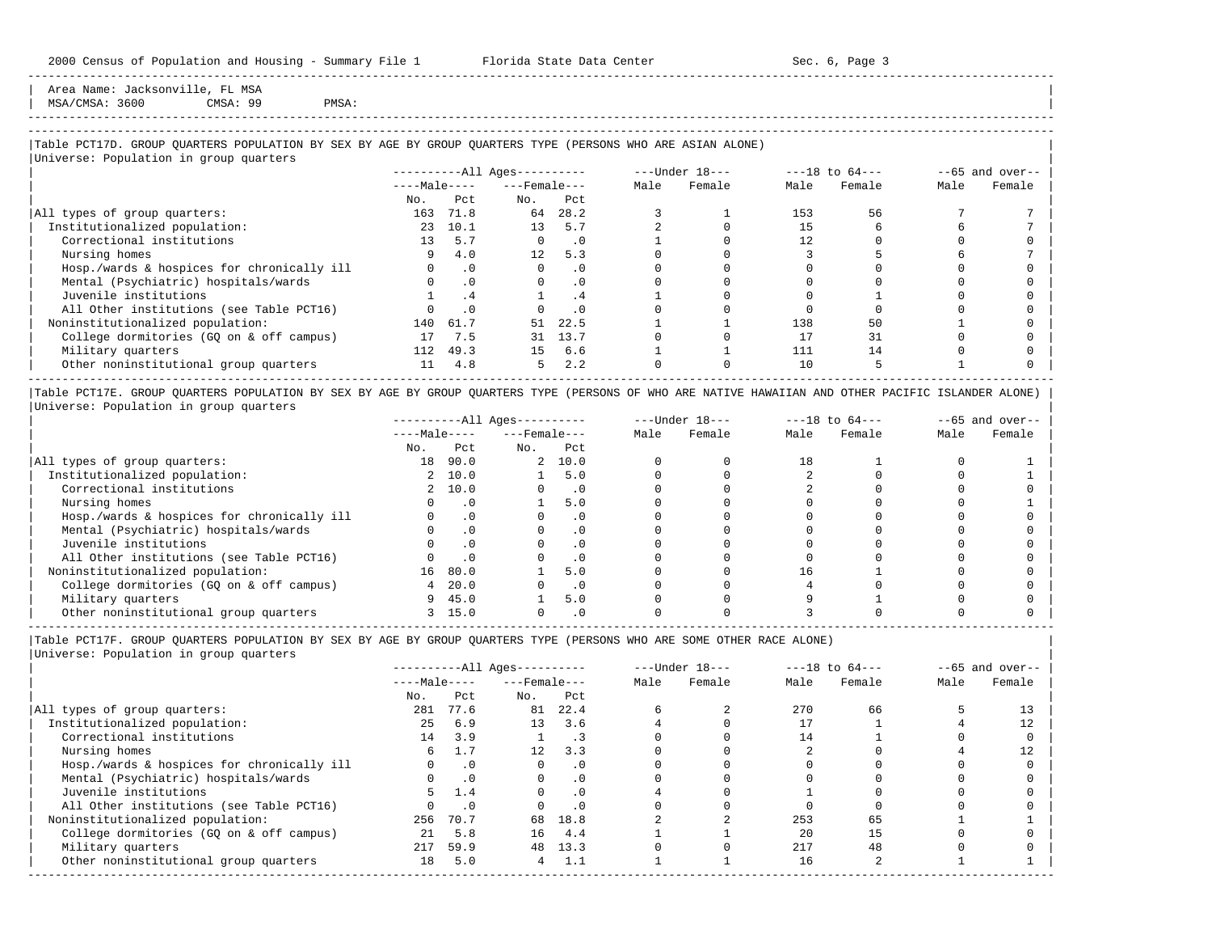Area Name: Jacksonville, FL MSA | MSA/CMSA: 3600 CMSA: 99 PMSA: |

# -----------------------------------------------------------------------------------------------------------------------------------------------------

-----------------------------------------------------------------------------------------------------------------------------------------------------

## |Table PCT17D. GROUP QUARTERS POPULATION BY SEX BY AGE BY GROUP QUARTERS TYPE (PERSONS WHO ARE ASIAN ALONE) |

|                                            |                 |           | $------All Ages------$ |           |      | ---Under 18--- |      | $---18$ to $64---$ |      | $--65$ and over-- |
|--------------------------------------------|-----------------|-----------|------------------------|-----------|------|----------------|------|--------------------|------|-------------------|
|                                            | $---Male---$    |           | $---$ Female $---$     |           | Male | Female         | Male | Female             | Male | Female            |
|                                            | No.             | Pct       | No.                    | Pct       |      |                |      |                    |      |                   |
| All types of group quarters:               | 163             | 71.8      | 64                     | 28.2      |      |                | 153  | 56                 |      |                   |
| Institutionalized population:              | 23              | 10.1      | 13                     | 5.7       |      |                | 15   |                    |      |                   |
| Correctional institutions                  | 13 <sup>°</sup> | 5.7       | $\Omega$               | $\cdot$ 0 |      |                |      |                    |      |                   |
| Nursing homes                              | 9               | 4.0       | 12                     | 5.3       |      |                |      |                    |      |                   |
| Hosp./wards & hospices for chronically ill |                 | $\cdot$ 0 | $\Omega$               | $\cdot$ 0 |      |                |      |                    |      |                   |
| Mental (Psychiatric) hospitals/wards       |                 | $\cdot$ 0 | $\Omega$               | $\cdot$ 0 |      |                |      |                    |      |                   |
| Juvenile institutions                      |                 | . 4       |                        | . 4       |      |                |      |                    |      |                   |
| All Other institutions (see Table PCT16)   |                 | $\cdot$ 0 |                        | $\cdot$ 0 |      |                |      |                    |      |                   |
| Noninstitutionalized population:           | 140             | 61.7      | 51                     | 22.5      |      |                | 138  | 50                 |      |                   |
| College dormitories (GQ on & off campus)   | 17              | 7.5       | 31                     | 13.7      |      |                |      | 31                 |      |                   |
| Military quarters                          | 112             | 49.3      | 1.5                    | 6.6       |      |                | 111  | 14                 |      |                   |
| Other noninstitutional group quarters      | 11              | 4.8       | 5                      | 2.2       |      |                | 10   |                    |      |                   |

|Table PCT17E. GROUP QUARTERS POPULATION BY SEX BY AGE BY GROUP QUARTERS TYPE (PERSONS OF WHO ARE NATIVE HAWAIIAN AND OTHER PACIFIC ISLANDER ALONE) | |Universe: Population in group quarters |

|                                            |              |           | $------All Aqes------$ |           |      | $---Under 18---$ |      | $---18$ to $64---$ |      | $--65$ and over-- |
|--------------------------------------------|--------------|-----------|------------------------|-----------|------|------------------|------|--------------------|------|-------------------|
|                                            | $---Male---$ |           | $---$ Female $---$     |           | Male | Female           | Male | Female             | Male | Female            |
|                                            | No.          | Pct       | No.                    | Pct       |      |                  |      |                    |      |                   |
| All types of group quarters:               | 18           | 90.0      |                        | 2, 10.0   |      |                  | 18   |                    |      |                   |
| Institutionalized population:              |              | 2, 10.0   |                        | 5.0       |      |                  |      |                    |      |                   |
| Correctional institutions                  |              | 2, 10.0   |                        |           |      |                  |      |                    |      |                   |
| Nursing homes                              |              | $\cdot$ 0 |                        | 5.0       |      |                  |      |                    |      |                   |
| Hosp./wards & hospices for chronically ill |              |           |                        |           |      |                  |      |                    |      |                   |
| Mental (Psychiatric) hospitals/wards       |              |           |                        |           |      |                  |      |                    |      |                   |
| Juvenile institutions                      |              |           |                        |           |      |                  |      |                    |      |                   |
| All Other institutions (see Table PCT16)   |              |           |                        |           |      |                  |      |                    |      |                   |
| Noninstitutionalized population:           | 16           | 80.0      |                        | 5.0       |      |                  | 16   |                    |      |                   |
| College dormitories (GO on & off campus)   |              | 20.0      |                        | $\cdot$ 0 |      |                  |      |                    |      |                   |
| Military quarters                          | 9            | 45.0      |                        | 5.0       |      |                  |      |                    |      |                   |
| Other noninstitutional group quarters      |              | 15.0      |                        | . 0       |      |                  |      |                    |      |                   |

-----------------------------------------------------------------------------------------------------------------------------------------------------

|Table PCT17F. GROUP QUARTERS POPULATION BY SEX BY AGE BY GROUP QUARTERS TYPE (PERSONS WHO ARE SOME OTHER RACE ALONE) |

|                                            |              |           | ----------All Ages---------- |           |      | $---Under 18---$ |      | $---18$ to $64---$ |      | $--65$ and over-- |
|--------------------------------------------|--------------|-----------|------------------------------|-----------|------|------------------|------|--------------------|------|-------------------|
|                                            | $---Male---$ |           | $---$ Female $---$           |           | Male | Female           | Male | Female             | Male | Female            |
|                                            | No.          | Pct       | No.                          | Pct       |      |                  |      |                    |      |                   |
| All types of group quarters:               | 281          | 77.6      | 81                           | 22.4      |      |                  | 270  | 66                 |      |                   |
| Institutionalized population:              | 25           | 6.9       | 13                           | 3.6       |      |                  |      |                    |      |                   |
| Correctional institutions                  | 14           | 3.9       |                              |           |      |                  |      |                    |      |                   |
| Nursing homes                              | 6.           |           | $12 \overline{ }$            | 3.3       |      |                  |      |                    |      |                   |
| Hosp./wards & hospices for chronically ill |              | $\cdot$ 0 | $\Omega$                     | $\cdot$ 0 |      |                  |      |                    |      |                   |
| Mental (Psychiatric) hospitals/wards       |              | $\cdot$ 0 |                              |           |      |                  |      |                    |      |                   |
| Juvenile institutions                      | 5.           | 1.4       | $\Omega$                     | $\cdot$ 0 |      |                  |      |                    |      |                   |
| All Other institutions (see Table PCT16)   |              | .0        |                              | $\cdot$ 0 |      |                  |      |                    |      |                   |
| Noninstitutionalized population:           | 256          | 70.7      | 68                           | 18.8      |      |                  | 253  | 65                 |      |                   |
| College dormitories (GQ on & off campus)   | 21           | 5.8       | 16                           | 4.4       |      |                  | 20   | 15                 |      |                   |
| Military quarters                          | 217          | 59.9      | 48                           | 13.3      |      |                  | 217  | 48                 |      |                   |
| Other noninstitutional group quarters      | 18           | 5.0       | 4                            | 1.1       |      |                  | 16   |                    |      |                   |
|                                            |              |           |                              |           |      |                  |      |                    |      |                   |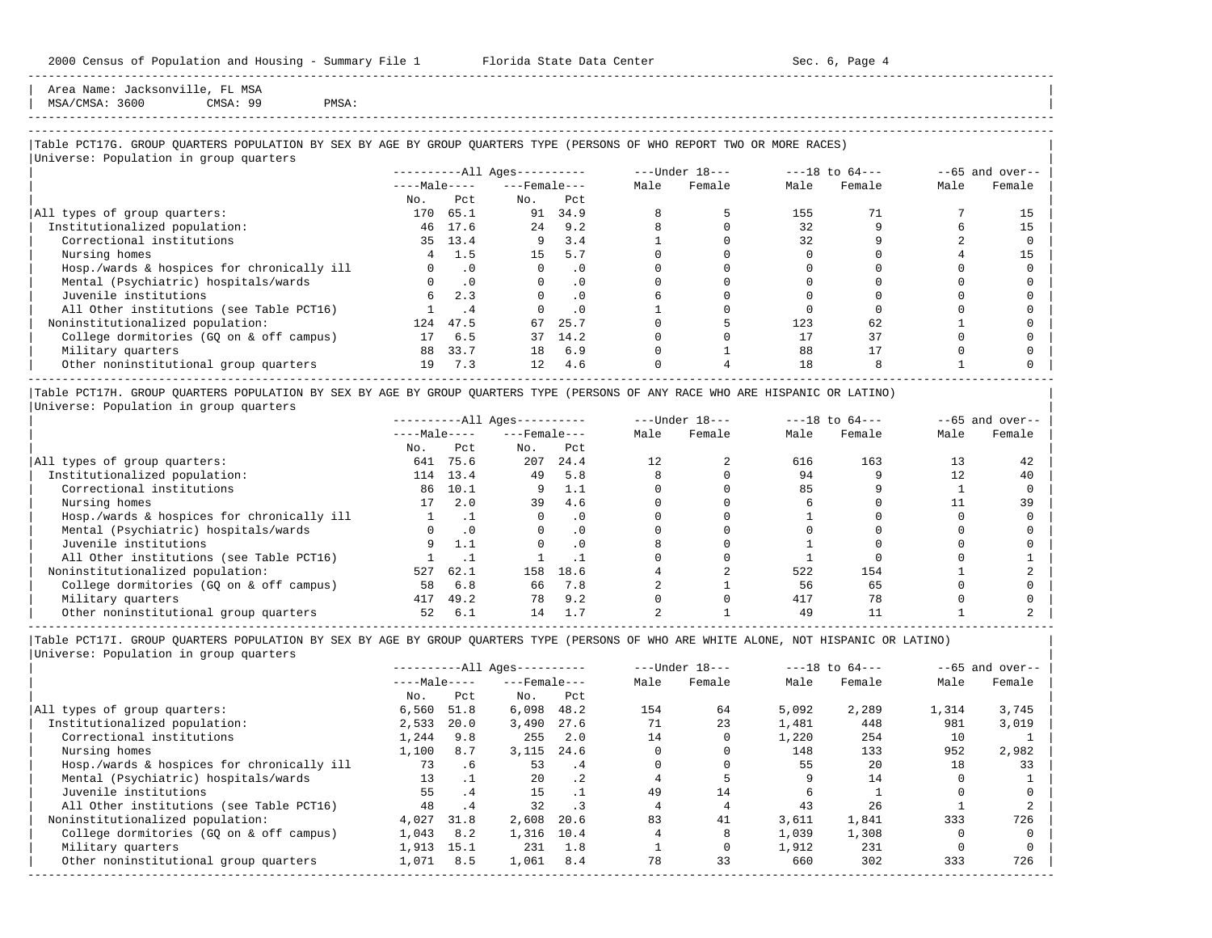Area Name: Jacksonville, FL MSA | MSA/CMSA: 3600 CMSA: 99 PMSA: |

-----------------------------------------------------------------------------------------------------------------------------------------------------

## |Table PCT17G. GROUP QUARTERS POPULATION BY SEX BY AGE BY GROUP QUARTERS TYPE (PERSONS OF WHO REPORT TWO OR MORE RACES) |

|                                            |              |           | $------All Ages------$ |           |      | $---Under 18---$ |      | $---18$ to $64---$ |      | $--65$ and over-- |
|--------------------------------------------|--------------|-----------|------------------------|-----------|------|------------------|------|--------------------|------|-------------------|
|                                            | $---Male---$ |           | $---$ Female $---$     |           | Male | Female           | Male | Female             | Male | Female            |
|                                            | No.          | Pct       | No.                    | Pct       |      |                  |      |                    |      |                   |
| All types of group quarters:               | 170          | 65.1      | 91                     | 34.9      |      |                  | 155  |                    |      | 15                |
| Institutionalized population:              | 46           | 17.6      | 2.4                    | 9.2       |      |                  | 32   |                    |      | 15                |
| Correctional institutions                  |              | 35 13.4   | 9                      | 3.4       |      |                  | 32   |                    |      |                   |
| Nursing homes                              |              | 1.5       | 15                     | 5.7       |      |                  |      |                    |      | 15                |
| Hosp./wards & hospices for chronically ill |              | $\cdot$ 0 | $\Omega$               | $\cdot$ 0 |      |                  |      |                    |      |                   |
| Mental (Psychiatric) hospitals/wards       |              | $\cdot$ 0 | $\Omega$               | $\cdot$ 0 |      |                  |      |                    |      |                   |
| Juvenile institutions                      | 6            | 2.3       |                        | . 0       |      |                  |      |                    |      |                   |
| All Other institutions (see Table PCT16)   |              | . 4       |                        | $\cdot$ 0 |      |                  |      |                    |      |                   |
| Noninstitutionalized population:           | 124          | 47.5      | 67                     | 25.7      |      |                  | 123  | 62                 |      |                   |
| College dormitories (GO on & off campus)   | 17           | 6.5       | 37                     | 14.2      |      |                  |      | 37                 |      |                   |
| Military quarters                          | 88           | 33.7      | 18                     | 6.9       |      |                  | 88   |                    |      |                   |
| Other noninstitutional group quarters      | 19           | 7.3       | 12 <sup>°</sup>        | 4.6       |      |                  | 18   |                    |      |                   |

|Table PCT17H. GROUP QUARTERS POPULATION BY SEX BY AGE BY GROUP QUARTERS TYPE (PERSONS OF ANY RACE WHO ARE HISPANIC OR LATINO) | |Universe: Population in group quarters |

|                                            |              |           | $------All Aqes------$ |           |      | $---Under 18---$ |      | $---18$ to $64---$ |      | $- -65$ and over-- |
|--------------------------------------------|--------------|-----------|------------------------|-----------|------|------------------|------|--------------------|------|--------------------|
|                                            | $---Male---$ |           | $---$ Female $---$     |           | Male | Female           | Male | Female             | Male | Female             |
|                                            | No.          | Pct       | No.                    | Pct       |      |                  |      |                    |      |                    |
| All types of group quarters:               | 641          | 75.6      | 207                    | 24.4      |      |                  | 616  | 163                |      | 42                 |
| Institutionalized population:              | 114          | 13.4      | 49                     | 5.8       |      |                  | 94   |                    |      | 40                 |
| Correctional institutions                  | 86           | 10.1      |                        | 1.1       |      |                  | 85   |                    |      |                    |
| Nursing homes                              | 17           | 2.0       | 39                     | 4.6       |      |                  |      |                    |      | 39                 |
| Hosp./wards & hospices for chronically ill |              |           |                        | $\cdot$ 0 |      |                  |      |                    |      |                    |
| Mental (Psychiatric) hospitals/wards       |              | $\cdot$ 0 |                        | $\cdot$ 0 |      |                  |      |                    |      |                    |
| Juvenile institutions                      |              | 1.1       |                        | $\cdot$ 0 |      |                  |      |                    |      |                    |
| All Other institutions (see Table PCT16)   |              |           |                        |           |      |                  |      |                    |      |                    |
| Noninstitutionalized population:           | 527          | 62.1      | 158                    | 18.6      |      |                  | 522  | 154                |      |                    |
| College dormitories (GO on & off campus)   | 58           | 6.8       | 66                     | 7.8       |      |                  | 56   | 65                 |      |                    |
| Military quarters                          | 417          | 49.2      | 78                     | 9.2       |      |                  | 417  | 78                 |      |                    |
| Other noninstitutional group quarters      | 52           | 6.1       | 14                     |           |      |                  | 49   |                    |      |                    |

-----------------------------------------------------------------------------------------------------------------------------------------------------

|                                            |              |                | $------All Aqes------$ |           |      | $---Under 18---$ |       | $---18$ to $64---$ |       | $--65$ and over-- |
|--------------------------------------------|--------------|----------------|------------------------|-----------|------|------------------|-------|--------------------|-------|-------------------|
|                                            | $---Male---$ |                | $---$ Female $---$     |           | Male | Female           | Male  | Female             | Male  | Female            |
|                                            | No.          | Pct            | No.                    | Pct       |      |                  |       |                    |       |                   |
| All types of group quarters:               | 6,560        | 51.8           | 6,098                  | 48.2      | 154  | 64               | 5,092 | 2,289              | 1,314 | 3,745             |
| Institutionalized population:              | 2,533        | 20.0           | 3,490                  | 27.6      |      | 23               | 1,481 | 448                | 981   | 3,019             |
| Correctional institutions                  | 1,244        | 9.8            | 255                    | 2.0       | 14   |                  | 1,220 | 254                | 10    |                   |
| Nursing homes                              | 1,100        | 8.7            | 3,115                  | 24.6      |      |                  | 148   | 133                | 952   | 2,982             |
| Hosp./wards & hospices for chronically ill | 73           | .6             | 53                     | .4        |      |                  | 55    | 20                 | 18    | 33                |
| Mental (Psychiatric) hospitals/wards       | 13           |                | 20                     | $\cdot$ 2 |      |                  |       | 14                 |       |                   |
| Juvenile institutions                      | 55           | $\overline{4}$ | 15                     |           | 49   | 14               |       |                    |       |                   |
| All Other institutions (see Table PCT16)   | 48           | .4             | 32                     |           |      |                  | 43    | 26                 |       |                   |
| Noninstitutionalized population:           | 4,027        | 31.8           | 2,608                  | 20.6      | 83   | 41               | 3,611 | 1,841              | 333   | 726               |
| College dormitories (GQ on & off campus)   | 1,043        | 8.2            | 1,316                  | 10.4      |      |                  | 1,039 | 1,308              |       |                   |
| Military quarters                          | 1,913        | 15.1           | 231                    | 1.8       |      |                  | 1,912 | 231                |       |                   |
| Other noninstitutional group quarters      | 1,071        | 8.5            | 1,061                  | 8.4       | 78   | 33               | 660   | 302                | 333   | 726               |
|                                            |              |                |                        |           |      |                  |       |                    |       |                   |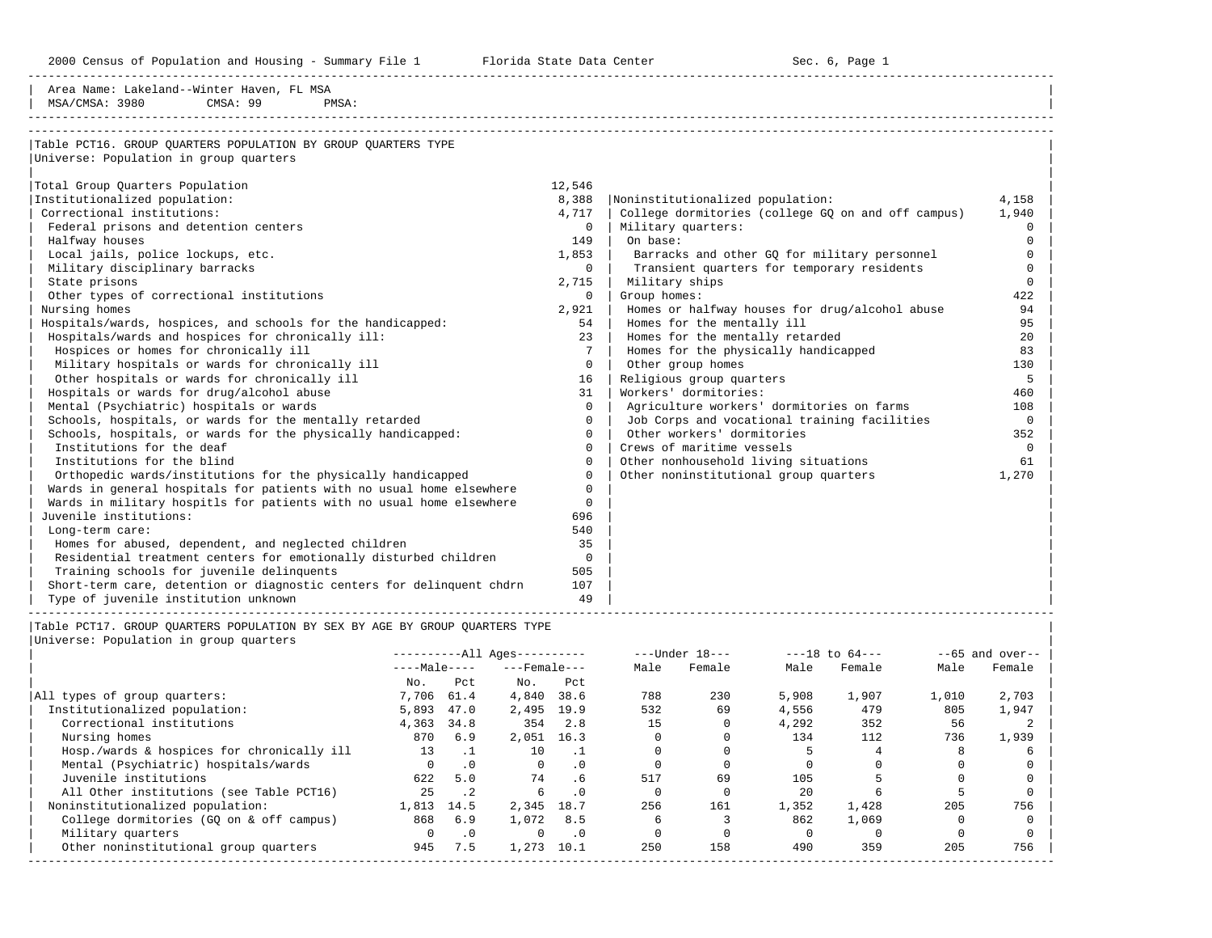2000 Census of Population and Housing - Summary File 1 Florida State Data Center Sec. 6, Page 1

-----------------------------------------------------------------------------------------------------------------------------------------------------

| Table PCT16. GROUP QUARTERS POPULATION BY GROUP QUARTERS TYPE<br>12,546<br>Total Group Quarters Population<br>Institutionalized population:<br>8,388<br>Noninstitutionalized population:<br>4,158<br>Correctional institutions:<br>4,717<br>College dormitories (college GQ on and off campus)<br>1,940<br>Federal prisons and detention centers<br>$\mathbf{0}$<br>Military quarters:<br>$\mathbf 0$<br>149<br>On base:<br>$\mathbf 0$<br>Halfway houses<br>1,853<br>$\Omega$<br>Local jails, police lockups, etc.<br>Barracks and other GQ for military personnel<br>Military disciplinary barracks<br>Transient quarters for temporary residents<br>$\Omega$<br>$\overline{0}$<br>Military ships<br>State prisons<br>2,715<br>$\Omega$<br>Other types of correctional institutions<br>Group homes:<br>422<br>$\mathbf{0}$<br>Nursing homes<br>2,921<br>Homes or halfway houses for drug/alcohol abuse<br>94<br>Hospitals/wards, hospices, and schools for the handicapped:<br>Homes for the mentally ill<br>95<br>54<br>Hospitals/wards and hospices for chronically ill:<br>Homes for the mentally retarded<br>23<br>20<br>7 <sup>7</sup><br>Hospices or homes for chronically ill<br>Homes for the physically handicapped<br>83<br>Military hospitals or wards for chronically ill<br>$\Omega$<br>Other group homes<br>130<br>Other hospitals or wards for chronically ill<br>Religious group quarters<br>5<br>16<br>Workers' dormitories:<br>Hospitals or wards for drug/alcohol abuse<br>31<br>460<br>Mental (Psychiatric) hospitals or wards<br>$\mathbf 0$<br>Agriculture workers' dormitories on farms<br>108<br>Schools, hospitals, or wards for the mentally retarded<br>$\mathbf 0$<br>Job Corps and vocational training facilities<br>$\mathbb O$<br>Schools, hospitals, or wards for the physically handicapped:<br>$\mathbf 0$<br>Other workers' dormitories<br>352<br>Institutions for the deaf<br>$\mathbf 0$<br>Crews of maritime vessels<br>$\mathbf 0$<br>Institutions for the blind<br>$\Omega$<br>Other nonhousehold living situations<br>61<br>$\Omega$<br>Other noninstitutional group quarters<br>Orthopedic wards/institutions for the physically handicapped<br>1,270<br>Wards in general hospitals for patients with no usual home elsewhere<br>$\Omega$<br>Wards in military hospitls for patients with no usual home elsewhere<br>$\mathbf 0$<br>Juvenile institutions:<br>696<br>Long-term care:<br>540<br>Homes for abused, dependent, and neglected children<br>35<br>Residential treatment centers for emotionally disturbed children<br>$\mathbf 0$<br>Training schools for juvenile delinquents<br>505<br>Short-term care, detention or diagnostic centers for delinquent chdrn<br>107<br>Type of juvenile institution unknown<br>49<br>Table PCT17. GROUP OUARTERS POPULATION BY SEX BY AGE BY GROUP OUARTERS TYPE<br>Universe: Population in group quarters<br>$---Under 18---$<br>$---18$ to $64---$<br>$--65$ and over--<br>$------All Ages------$<br>$---Male---$<br>Male<br>Female<br>Male<br>$---$ Female $---$<br>Female<br>Male<br>Female<br>No.<br>Pct<br>No.<br>Pct<br>All types of group quarters:<br>7,706 61.4<br>4,840 38.6<br>788<br>230<br>5,908<br>1,907<br>1,010<br>2,703<br>Institutionalized population:<br>5,893 47.0<br>2,495 19.9<br>532<br>69<br>4,556<br>479<br>805<br>1,947<br>Correctional institutions<br>4,363 34.8<br>354 2.8<br>15<br>$\Omega$<br>4,292<br>352<br>56<br>2<br>Nursing homes<br>870 6.9<br>2,051 16.3<br>$\Omega$<br>$\Omega$<br>134<br>112<br>736<br>1,939<br>$\mathbf 0$<br>$\mathbf 0$<br>5<br>$\overline{4}$<br>8<br>Hosp./wards & hospices for chronically ill<br>13<br>$\ldots$ 1<br>10<br>$\cdot$ 1<br>6 | Area Name: Lakeland--Winter Haven, FL MSA<br>MSA/CMSA: 3980<br>CMSA: 99<br>PMSA: |                |           |                |           |             |             |              |             |             |             |
|----------------------------------------------------------------------------------------------------------------------------------------------------------------------------------------------------------------------------------------------------------------------------------------------------------------------------------------------------------------------------------------------------------------------------------------------------------------------------------------------------------------------------------------------------------------------------------------------------------------------------------------------------------------------------------------------------------------------------------------------------------------------------------------------------------------------------------------------------------------------------------------------------------------------------------------------------------------------------------------------------------------------------------------------------------------------------------------------------------------------------------------------------------------------------------------------------------------------------------------------------------------------------------------------------------------------------------------------------------------------------------------------------------------------------------------------------------------------------------------------------------------------------------------------------------------------------------------------------------------------------------------------------------------------------------------------------------------------------------------------------------------------------------------------------------------------------------------------------------------------------------------------------------------------------------------------------------------------------------------------------------------------------------------------------------------------------------------------------------------------------------------------------------------------------------------------------------------------------------------------------------------------------------------------------------------------------------------------------------------------------------------------------------------------------------------------------------------------------------------------------------------------------------------------------------------------------------------------------------------------------------------------------------------------------------------------------------------------------------------------------------------------------------------------------------------------------------------------------------------------------------------------------------------------------------------------------------------------------------------------------------------------------------------------------------------------------------------------------------------------------------------------------------------------------------------------------------------------------------------------------------------------------------------------------------------------------------------------------------------------------------------------------------------------------------------------------------------------------------------------------------------------------------------------------------------------------------------------------------------------------------------------------------------------------------------------------|----------------------------------------------------------------------------------|----------------|-----------|----------------|-----------|-------------|-------------|--------------|-------------|-------------|-------------|
|                                                                                                                                                                                                                                                                                                                                                                                                                                                                                                                                                                                                                                                                                                                                                                                                                                                                                                                                                                                                                                                                                                                                                                                                                                                                                                                                                                                                                                                                                                                                                                                                                                                                                                                                                                                                                                                                                                                                                                                                                                                                                                                                                                                                                                                                                                                                                                                                                                                                                                                                                                                                                                                                                                                                                                                                                                                                                                                                                                                                                                                                                                                                                                                                                                                                                                                                                                                                                                                                                                                                                                                                                                                                                                    |                                                                                  |                |           |                |           |             |             |              |             |             |             |
|                                                                                                                                                                                                                                                                                                                                                                                                                                                                                                                                                                                                                                                                                                                                                                                                                                                                                                                                                                                                                                                                                                                                                                                                                                                                                                                                                                                                                                                                                                                                                                                                                                                                                                                                                                                                                                                                                                                                                                                                                                                                                                                                                                                                                                                                                                                                                                                                                                                                                                                                                                                                                                                                                                                                                                                                                                                                                                                                                                                                                                                                                                                                                                                                                                                                                                                                                                                                                                                                                                                                                                                                                                                                                                    |                                                                                  |                |           |                |           |             |             |              |             |             |             |
|                                                                                                                                                                                                                                                                                                                                                                                                                                                                                                                                                                                                                                                                                                                                                                                                                                                                                                                                                                                                                                                                                                                                                                                                                                                                                                                                                                                                                                                                                                                                                                                                                                                                                                                                                                                                                                                                                                                                                                                                                                                                                                                                                                                                                                                                                                                                                                                                                                                                                                                                                                                                                                                                                                                                                                                                                                                                                                                                                                                                                                                                                                                                                                                                                                                                                                                                                                                                                                                                                                                                                                                                                                                                                                    | Universe: Population in group quarters                                           |                |           |                |           |             |             |              |             |             |             |
|                                                                                                                                                                                                                                                                                                                                                                                                                                                                                                                                                                                                                                                                                                                                                                                                                                                                                                                                                                                                                                                                                                                                                                                                                                                                                                                                                                                                                                                                                                                                                                                                                                                                                                                                                                                                                                                                                                                                                                                                                                                                                                                                                                                                                                                                                                                                                                                                                                                                                                                                                                                                                                                                                                                                                                                                                                                                                                                                                                                                                                                                                                                                                                                                                                                                                                                                                                                                                                                                                                                                                                                                                                                                                                    |                                                                                  |                |           |                |           |             |             |              |             |             |             |
|                                                                                                                                                                                                                                                                                                                                                                                                                                                                                                                                                                                                                                                                                                                                                                                                                                                                                                                                                                                                                                                                                                                                                                                                                                                                                                                                                                                                                                                                                                                                                                                                                                                                                                                                                                                                                                                                                                                                                                                                                                                                                                                                                                                                                                                                                                                                                                                                                                                                                                                                                                                                                                                                                                                                                                                                                                                                                                                                                                                                                                                                                                                                                                                                                                                                                                                                                                                                                                                                                                                                                                                                                                                                                                    |                                                                                  |                |           |                |           |             |             |              |             |             |             |
|                                                                                                                                                                                                                                                                                                                                                                                                                                                                                                                                                                                                                                                                                                                                                                                                                                                                                                                                                                                                                                                                                                                                                                                                                                                                                                                                                                                                                                                                                                                                                                                                                                                                                                                                                                                                                                                                                                                                                                                                                                                                                                                                                                                                                                                                                                                                                                                                                                                                                                                                                                                                                                                                                                                                                                                                                                                                                                                                                                                                                                                                                                                                                                                                                                                                                                                                                                                                                                                                                                                                                                                                                                                                                                    |                                                                                  |                |           |                |           |             |             |              |             |             |             |
|                                                                                                                                                                                                                                                                                                                                                                                                                                                                                                                                                                                                                                                                                                                                                                                                                                                                                                                                                                                                                                                                                                                                                                                                                                                                                                                                                                                                                                                                                                                                                                                                                                                                                                                                                                                                                                                                                                                                                                                                                                                                                                                                                                                                                                                                                                                                                                                                                                                                                                                                                                                                                                                                                                                                                                                                                                                                                                                                                                                                                                                                                                                                                                                                                                                                                                                                                                                                                                                                                                                                                                                                                                                                                                    |                                                                                  |                |           |                |           |             |             |              |             |             |             |
|                                                                                                                                                                                                                                                                                                                                                                                                                                                                                                                                                                                                                                                                                                                                                                                                                                                                                                                                                                                                                                                                                                                                                                                                                                                                                                                                                                                                                                                                                                                                                                                                                                                                                                                                                                                                                                                                                                                                                                                                                                                                                                                                                                                                                                                                                                                                                                                                                                                                                                                                                                                                                                                                                                                                                                                                                                                                                                                                                                                                                                                                                                                                                                                                                                                                                                                                                                                                                                                                                                                                                                                                                                                                                                    |                                                                                  |                |           |                |           |             |             |              |             |             |             |
|                                                                                                                                                                                                                                                                                                                                                                                                                                                                                                                                                                                                                                                                                                                                                                                                                                                                                                                                                                                                                                                                                                                                                                                                                                                                                                                                                                                                                                                                                                                                                                                                                                                                                                                                                                                                                                                                                                                                                                                                                                                                                                                                                                                                                                                                                                                                                                                                                                                                                                                                                                                                                                                                                                                                                                                                                                                                                                                                                                                                                                                                                                                                                                                                                                                                                                                                                                                                                                                                                                                                                                                                                                                                                                    |                                                                                  |                |           |                |           |             |             |              |             |             |             |
|                                                                                                                                                                                                                                                                                                                                                                                                                                                                                                                                                                                                                                                                                                                                                                                                                                                                                                                                                                                                                                                                                                                                                                                                                                                                                                                                                                                                                                                                                                                                                                                                                                                                                                                                                                                                                                                                                                                                                                                                                                                                                                                                                                                                                                                                                                                                                                                                                                                                                                                                                                                                                                                                                                                                                                                                                                                                                                                                                                                                                                                                                                                                                                                                                                                                                                                                                                                                                                                                                                                                                                                                                                                                                                    |                                                                                  |                |           |                |           |             |             |              |             |             |             |
|                                                                                                                                                                                                                                                                                                                                                                                                                                                                                                                                                                                                                                                                                                                                                                                                                                                                                                                                                                                                                                                                                                                                                                                                                                                                                                                                                                                                                                                                                                                                                                                                                                                                                                                                                                                                                                                                                                                                                                                                                                                                                                                                                                                                                                                                                                                                                                                                                                                                                                                                                                                                                                                                                                                                                                                                                                                                                                                                                                                                                                                                                                                                                                                                                                                                                                                                                                                                                                                                                                                                                                                                                                                                                                    |                                                                                  |                |           |                |           |             |             |              |             |             |             |
|                                                                                                                                                                                                                                                                                                                                                                                                                                                                                                                                                                                                                                                                                                                                                                                                                                                                                                                                                                                                                                                                                                                                                                                                                                                                                                                                                                                                                                                                                                                                                                                                                                                                                                                                                                                                                                                                                                                                                                                                                                                                                                                                                                                                                                                                                                                                                                                                                                                                                                                                                                                                                                                                                                                                                                                                                                                                                                                                                                                                                                                                                                                                                                                                                                                                                                                                                                                                                                                                                                                                                                                                                                                                                                    |                                                                                  |                |           |                |           |             |             |              |             |             |             |
|                                                                                                                                                                                                                                                                                                                                                                                                                                                                                                                                                                                                                                                                                                                                                                                                                                                                                                                                                                                                                                                                                                                                                                                                                                                                                                                                                                                                                                                                                                                                                                                                                                                                                                                                                                                                                                                                                                                                                                                                                                                                                                                                                                                                                                                                                                                                                                                                                                                                                                                                                                                                                                                                                                                                                                                                                                                                                                                                                                                                                                                                                                                                                                                                                                                                                                                                                                                                                                                                                                                                                                                                                                                                                                    |                                                                                  |                |           |                |           |             |             |              |             |             |             |
|                                                                                                                                                                                                                                                                                                                                                                                                                                                                                                                                                                                                                                                                                                                                                                                                                                                                                                                                                                                                                                                                                                                                                                                                                                                                                                                                                                                                                                                                                                                                                                                                                                                                                                                                                                                                                                                                                                                                                                                                                                                                                                                                                                                                                                                                                                                                                                                                                                                                                                                                                                                                                                                                                                                                                                                                                                                                                                                                                                                                                                                                                                                                                                                                                                                                                                                                                                                                                                                                                                                                                                                                                                                                                                    |                                                                                  |                |           |                |           |             |             |              |             |             |             |
|                                                                                                                                                                                                                                                                                                                                                                                                                                                                                                                                                                                                                                                                                                                                                                                                                                                                                                                                                                                                                                                                                                                                                                                                                                                                                                                                                                                                                                                                                                                                                                                                                                                                                                                                                                                                                                                                                                                                                                                                                                                                                                                                                                                                                                                                                                                                                                                                                                                                                                                                                                                                                                                                                                                                                                                                                                                                                                                                                                                                                                                                                                                                                                                                                                                                                                                                                                                                                                                                                                                                                                                                                                                                                                    |                                                                                  |                |           |                |           |             |             |              |             |             |             |
|                                                                                                                                                                                                                                                                                                                                                                                                                                                                                                                                                                                                                                                                                                                                                                                                                                                                                                                                                                                                                                                                                                                                                                                                                                                                                                                                                                                                                                                                                                                                                                                                                                                                                                                                                                                                                                                                                                                                                                                                                                                                                                                                                                                                                                                                                                                                                                                                                                                                                                                                                                                                                                                                                                                                                                                                                                                                                                                                                                                                                                                                                                                                                                                                                                                                                                                                                                                                                                                                                                                                                                                                                                                                                                    |                                                                                  |                |           |                |           |             |             |              |             |             |             |
|                                                                                                                                                                                                                                                                                                                                                                                                                                                                                                                                                                                                                                                                                                                                                                                                                                                                                                                                                                                                                                                                                                                                                                                                                                                                                                                                                                                                                                                                                                                                                                                                                                                                                                                                                                                                                                                                                                                                                                                                                                                                                                                                                                                                                                                                                                                                                                                                                                                                                                                                                                                                                                                                                                                                                                                                                                                                                                                                                                                                                                                                                                                                                                                                                                                                                                                                                                                                                                                                                                                                                                                                                                                                                                    |                                                                                  |                |           |                |           |             |             |              |             |             |             |
|                                                                                                                                                                                                                                                                                                                                                                                                                                                                                                                                                                                                                                                                                                                                                                                                                                                                                                                                                                                                                                                                                                                                                                                                                                                                                                                                                                                                                                                                                                                                                                                                                                                                                                                                                                                                                                                                                                                                                                                                                                                                                                                                                                                                                                                                                                                                                                                                                                                                                                                                                                                                                                                                                                                                                                                                                                                                                                                                                                                                                                                                                                                                                                                                                                                                                                                                                                                                                                                                                                                                                                                                                                                                                                    |                                                                                  |                |           |                |           |             |             |              |             |             |             |
|                                                                                                                                                                                                                                                                                                                                                                                                                                                                                                                                                                                                                                                                                                                                                                                                                                                                                                                                                                                                                                                                                                                                                                                                                                                                                                                                                                                                                                                                                                                                                                                                                                                                                                                                                                                                                                                                                                                                                                                                                                                                                                                                                                                                                                                                                                                                                                                                                                                                                                                                                                                                                                                                                                                                                                                                                                                                                                                                                                                                                                                                                                                                                                                                                                                                                                                                                                                                                                                                                                                                                                                                                                                                                                    |                                                                                  |                |           |                |           |             |             |              |             |             |             |
|                                                                                                                                                                                                                                                                                                                                                                                                                                                                                                                                                                                                                                                                                                                                                                                                                                                                                                                                                                                                                                                                                                                                                                                                                                                                                                                                                                                                                                                                                                                                                                                                                                                                                                                                                                                                                                                                                                                                                                                                                                                                                                                                                                                                                                                                                                                                                                                                                                                                                                                                                                                                                                                                                                                                                                                                                                                                                                                                                                                                                                                                                                                                                                                                                                                                                                                                                                                                                                                                                                                                                                                                                                                                                                    |                                                                                  |                |           |                |           |             |             |              |             |             |             |
|                                                                                                                                                                                                                                                                                                                                                                                                                                                                                                                                                                                                                                                                                                                                                                                                                                                                                                                                                                                                                                                                                                                                                                                                                                                                                                                                                                                                                                                                                                                                                                                                                                                                                                                                                                                                                                                                                                                                                                                                                                                                                                                                                                                                                                                                                                                                                                                                                                                                                                                                                                                                                                                                                                                                                                                                                                                                                                                                                                                                                                                                                                                                                                                                                                                                                                                                                                                                                                                                                                                                                                                                                                                                                                    |                                                                                  |                |           |                |           |             |             |              |             |             |             |
|                                                                                                                                                                                                                                                                                                                                                                                                                                                                                                                                                                                                                                                                                                                                                                                                                                                                                                                                                                                                                                                                                                                                                                                                                                                                                                                                                                                                                                                                                                                                                                                                                                                                                                                                                                                                                                                                                                                                                                                                                                                                                                                                                                                                                                                                                                                                                                                                                                                                                                                                                                                                                                                                                                                                                                                                                                                                                                                                                                                                                                                                                                                                                                                                                                                                                                                                                                                                                                                                                                                                                                                                                                                                                                    |                                                                                  |                |           |                |           |             |             |              |             |             |             |
|                                                                                                                                                                                                                                                                                                                                                                                                                                                                                                                                                                                                                                                                                                                                                                                                                                                                                                                                                                                                                                                                                                                                                                                                                                                                                                                                                                                                                                                                                                                                                                                                                                                                                                                                                                                                                                                                                                                                                                                                                                                                                                                                                                                                                                                                                                                                                                                                                                                                                                                                                                                                                                                                                                                                                                                                                                                                                                                                                                                                                                                                                                                                                                                                                                                                                                                                                                                                                                                                                                                                                                                                                                                                                                    |                                                                                  |                |           |                |           |             |             |              |             |             |             |
|                                                                                                                                                                                                                                                                                                                                                                                                                                                                                                                                                                                                                                                                                                                                                                                                                                                                                                                                                                                                                                                                                                                                                                                                                                                                                                                                                                                                                                                                                                                                                                                                                                                                                                                                                                                                                                                                                                                                                                                                                                                                                                                                                                                                                                                                                                                                                                                                                                                                                                                                                                                                                                                                                                                                                                                                                                                                                                                                                                                                                                                                                                                                                                                                                                                                                                                                                                                                                                                                                                                                                                                                                                                                                                    |                                                                                  |                |           |                |           |             |             |              |             |             |             |
|                                                                                                                                                                                                                                                                                                                                                                                                                                                                                                                                                                                                                                                                                                                                                                                                                                                                                                                                                                                                                                                                                                                                                                                                                                                                                                                                                                                                                                                                                                                                                                                                                                                                                                                                                                                                                                                                                                                                                                                                                                                                                                                                                                                                                                                                                                                                                                                                                                                                                                                                                                                                                                                                                                                                                                                                                                                                                                                                                                                                                                                                                                                                                                                                                                                                                                                                                                                                                                                                                                                                                                                                                                                                                                    |                                                                                  |                |           |                |           |             |             |              |             |             |             |
|                                                                                                                                                                                                                                                                                                                                                                                                                                                                                                                                                                                                                                                                                                                                                                                                                                                                                                                                                                                                                                                                                                                                                                                                                                                                                                                                                                                                                                                                                                                                                                                                                                                                                                                                                                                                                                                                                                                                                                                                                                                                                                                                                                                                                                                                                                                                                                                                                                                                                                                                                                                                                                                                                                                                                                                                                                                                                                                                                                                                                                                                                                                                                                                                                                                                                                                                                                                                                                                                                                                                                                                                                                                                                                    |                                                                                  |                |           |                |           |             |             |              |             |             |             |
|                                                                                                                                                                                                                                                                                                                                                                                                                                                                                                                                                                                                                                                                                                                                                                                                                                                                                                                                                                                                                                                                                                                                                                                                                                                                                                                                                                                                                                                                                                                                                                                                                                                                                                                                                                                                                                                                                                                                                                                                                                                                                                                                                                                                                                                                                                                                                                                                                                                                                                                                                                                                                                                                                                                                                                                                                                                                                                                                                                                                                                                                                                                                                                                                                                                                                                                                                                                                                                                                                                                                                                                                                                                                                                    |                                                                                  |                |           |                |           |             |             |              |             |             |             |
|                                                                                                                                                                                                                                                                                                                                                                                                                                                                                                                                                                                                                                                                                                                                                                                                                                                                                                                                                                                                                                                                                                                                                                                                                                                                                                                                                                                                                                                                                                                                                                                                                                                                                                                                                                                                                                                                                                                                                                                                                                                                                                                                                                                                                                                                                                                                                                                                                                                                                                                                                                                                                                                                                                                                                                                                                                                                                                                                                                                                                                                                                                                                                                                                                                                                                                                                                                                                                                                                                                                                                                                                                                                                                                    |                                                                                  |                |           |                |           |             |             |              |             |             |             |
|                                                                                                                                                                                                                                                                                                                                                                                                                                                                                                                                                                                                                                                                                                                                                                                                                                                                                                                                                                                                                                                                                                                                                                                                                                                                                                                                                                                                                                                                                                                                                                                                                                                                                                                                                                                                                                                                                                                                                                                                                                                                                                                                                                                                                                                                                                                                                                                                                                                                                                                                                                                                                                                                                                                                                                                                                                                                                                                                                                                                                                                                                                                                                                                                                                                                                                                                                                                                                                                                                                                                                                                                                                                                                                    |                                                                                  |                |           |                |           |             |             |              |             |             |             |
|                                                                                                                                                                                                                                                                                                                                                                                                                                                                                                                                                                                                                                                                                                                                                                                                                                                                                                                                                                                                                                                                                                                                                                                                                                                                                                                                                                                                                                                                                                                                                                                                                                                                                                                                                                                                                                                                                                                                                                                                                                                                                                                                                                                                                                                                                                                                                                                                                                                                                                                                                                                                                                                                                                                                                                                                                                                                                                                                                                                                                                                                                                                                                                                                                                                                                                                                                                                                                                                                                                                                                                                                                                                                                                    |                                                                                  |                |           |                |           |             |             |              |             |             |             |
|                                                                                                                                                                                                                                                                                                                                                                                                                                                                                                                                                                                                                                                                                                                                                                                                                                                                                                                                                                                                                                                                                                                                                                                                                                                                                                                                                                                                                                                                                                                                                                                                                                                                                                                                                                                                                                                                                                                                                                                                                                                                                                                                                                                                                                                                                                                                                                                                                                                                                                                                                                                                                                                                                                                                                                                                                                                                                                                                                                                                                                                                                                                                                                                                                                                                                                                                                                                                                                                                                                                                                                                                                                                                                                    |                                                                                  |                |           |                |           |             |             |              |             |             |             |
|                                                                                                                                                                                                                                                                                                                                                                                                                                                                                                                                                                                                                                                                                                                                                                                                                                                                                                                                                                                                                                                                                                                                                                                                                                                                                                                                                                                                                                                                                                                                                                                                                                                                                                                                                                                                                                                                                                                                                                                                                                                                                                                                                                                                                                                                                                                                                                                                                                                                                                                                                                                                                                                                                                                                                                                                                                                                                                                                                                                                                                                                                                                                                                                                                                                                                                                                                                                                                                                                                                                                                                                                                                                                                                    |                                                                                  |                |           |                |           |             |             |              |             |             |             |
|                                                                                                                                                                                                                                                                                                                                                                                                                                                                                                                                                                                                                                                                                                                                                                                                                                                                                                                                                                                                                                                                                                                                                                                                                                                                                                                                                                                                                                                                                                                                                                                                                                                                                                                                                                                                                                                                                                                                                                                                                                                                                                                                                                                                                                                                                                                                                                                                                                                                                                                                                                                                                                                                                                                                                                                                                                                                                                                                                                                                                                                                                                                                                                                                                                                                                                                                                                                                                                                                                                                                                                                                                                                                                                    |                                                                                  |                |           |                |           |             |             |              |             |             |             |
|                                                                                                                                                                                                                                                                                                                                                                                                                                                                                                                                                                                                                                                                                                                                                                                                                                                                                                                                                                                                                                                                                                                                                                                                                                                                                                                                                                                                                                                                                                                                                                                                                                                                                                                                                                                                                                                                                                                                                                                                                                                                                                                                                                                                                                                                                                                                                                                                                                                                                                                                                                                                                                                                                                                                                                                                                                                                                                                                                                                                                                                                                                                                                                                                                                                                                                                                                                                                                                                                                                                                                                                                                                                                                                    |                                                                                  |                |           |                |           |             |             |              |             |             |             |
|                                                                                                                                                                                                                                                                                                                                                                                                                                                                                                                                                                                                                                                                                                                                                                                                                                                                                                                                                                                                                                                                                                                                                                                                                                                                                                                                                                                                                                                                                                                                                                                                                                                                                                                                                                                                                                                                                                                                                                                                                                                                                                                                                                                                                                                                                                                                                                                                                                                                                                                                                                                                                                                                                                                                                                                                                                                                                                                                                                                                                                                                                                                                                                                                                                                                                                                                                                                                                                                                                                                                                                                                                                                                                                    |                                                                                  |                |           |                |           |             |             |              |             |             |             |
|                                                                                                                                                                                                                                                                                                                                                                                                                                                                                                                                                                                                                                                                                                                                                                                                                                                                                                                                                                                                                                                                                                                                                                                                                                                                                                                                                                                                                                                                                                                                                                                                                                                                                                                                                                                                                                                                                                                                                                                                                                                                                                                                                                                                                                                                                                                                                                                                                                                                                                                                                                                                                                                                                                                                                                                                                                                                                                                                                                                                                                                                                                                                                                                                                                                                                                                                                                                                                                                                                                                                                                                                                                                                                                    |                                                                                  |                |           |                |           |             |             |              |             |             |             |
|                                                                                                                                                                                                                                                                                                                                                                                                                                                                                                                                                                                                                                                                                                                                                                                                                                                                                                                                                                                                                                                                                                                                                                                                                                                                                                                                                                                                                                                                                                                                                                                                                                                                                                                                                                                                                                                                                                                                                                                                                                                                                                                                                                                                                                                                                                                                                                                                                                                                                                                                                                                                                                                                                                                                                                                                                                                                                                                                                                                                                                                                                                                                                                                                                                                                                                                                                                                                                                                                                                                                                                                                                                                                                                    |                                                                                  |                |           |                |           |             |             |              |             |             |             |
|                                                                                                                                                                                                                                                                                                                                                                                                                                                                                                                                                                                                                                                                                                                                                                                                                                                                                                                                                                                                                                                                                                                                                                                                                                                                                                                                                                                                                                                                                                                                                                                                                                                                                                                                                                                                                                                                                                                                                                                                                                                                                                                                                                                                                                                                                                                                                                                                                                                                                                                                                                                                                                                                                                                                                                                                                                                                                                                                                                                                                                                                                                                                                                                                                                                                                                                                                                                                                                                                                                                                                                                                                                                                                                    |                                                                                  |                |           |                |           |             |             |              |             |             |             |
|                                                                                                                                                                                                                                                                                                                                                                                                                                                                                                                                                                                                                                                                                                                                                                                                                                                                                                                                                                                                                                                                                                                                                                                                                                                                                                                                                                                                                                                                                                                                                                                                                                                                                                                                                                                                                                                                                                                                                                                                                                                                                                                                                                                                                                                                                                                                                                                                                                                                                                                                                                                                                                                                                                                                                                                                                                                                                                                                                                                                                                                                                                                                                                                                                                                                                                                                                                                                                                                                                                                                                                                                                                                                                                    |                                                                                  |                |           |                |           |             |             |              |             |             |             |
|                                                                                                                                                                                                                                                                                                                                                                                                                                                                                                                                                                                                                                                                                                                                                                                                                                                                                                                                                                                                                                                                                                                                                                                                                                                                                                                                                                                                                                                                                                                                                                                                                                                                                                                                                                                                                                                                                                                                                                                                                                                                                                                                                                                                                                                                                                                                                                                                                                                                                                                                                                                                                                                                                                                                                                                                                                                                                                                                                                                                                                                                                                                                                                                                                                                                                                                                                                                                                                                                                                                                                                                                                                                                                                    |                                                                                  |                |           |                |           |             |             |              |             |             |             |
|                                                                                                                                                                                                                                                                                                                                                                                                                                                                                                                                                                                                                                                                                                                                                                                                                                                                                                                                                                                                                                                                                                                                                                                                                                                                                                                                                                                                                                                                                                                                                                                                                                                                                                                                                                                                                                                                                                                                                                                                                                                                                                                                                                                                                                                                                                                                                                                                                                                                                                                                                                                                                                                                                                                                                                                                                                                                                                                                                                                                                                                                                                                                                                                                                                                                                                                                                                                                                                                                                                                                                                                                                                                                                                    |                                                                                  |                |           |                |           |             |             |              |             |             |             |
|                                                                                                                                                                                                                                                                                                                                                                                                                                                                                                                                                                                                                                                                                                                                                                                                                                                                                                                                                                                                                                                                                                                                                                                                                                                                                                                                                                                                                                                                                                                                                                                                                                                                                                                                                                                                                                                                                                                                                                                                                                                                                                                                                                                                                                                                                                                                                                                                                                                                                                                                                                                                                                                                                                                                                                                                                                                                                                                                                                                                                                                                                                                                                                                                                                                                                                                                                                                                                                                                                                                                                                                                                                                                                                    |                                                                                  |                |           |                |           |             |             |              |             |             |             |
|                                                                                                                                                                                                                                                                                                                                                                                                                                                                                                                                                                                                                                                                                                                                                                                                                                                                                                                                                                                                                                                                                                                                                                                                                                                                                                                                                                                                                                                                                                                                                                                                                                                                                                                                                                                                                                                                                                                                                                                                                                                                                                                                                                                                                                                                                                                                                                                                                                                                                                                                                                                                                                                                                                                                                                                                                                                                                                                                                                                                                                                                                                                                                                                                                                                                                                                                                                                                                                                                                                                                                                                                                                                                                                    |                                                                                  |                |           |                |           |             |             |              |             |             |             |
|                                                                                                                                                                                                                                                                                                                                                                                                                                                                                                                                                                                                                                                                                                                                                                                                                                                                                                                                                                                                                                                                                                                                                                                                                                                                                                                                                                                                                                                                                                                                                                                                                                                                                                                                                                                                                                                                                                                                                                                                                                                                                                                                                                                                                                                                                                                                                                                                                                                                                                                                                                                                                                                                                                                                                                                                                                                                                                                                                                                                                                                                                                                                                                                                                                                                                                                                                                                                                                                                                                                                                                                                                                                                                                    |                                                                                  |                |           |                |           |             |             |              |             |             |             |
|                                                                                                                                                                                                                                                                                                                                                                                                                                                                                                                                                                                                                                                                                                                                                                                                                                                                                                                                                                                                                                                                                                                                                                                                                                                                                                                                                                                                                                                                                                                                                                                                                                                                                                                                                                                                                                                                                                                                                                                                                                                                                                                                                                                                                                                                                                                                                                                                                                                                                                                                                                                                                                                                                                                                                                                                                                                                                                                                                                                                                                                                                                                                                                                                                                                                                                                                                                                                                                                                                                                                                                                                                                                                                                    | Mental (Psychiatric) hospitals/wards                                             | $\overline{0}$ | $\cdot$ 0 | $\overline{0}$ | $\cdot$ 0 | $\mathbf 0$ | $\mathbf 0$ | $\mathbf{0}$ | $\mathbf 0$ | $\mathbf 0$ | $\mathbf 0$ |
| 5<br>$\Omega$<br>622<br>5.0<br>74<br>517<br>69<br>$\Omega$<br>Juvenile institutions<br>.6<br>105                                                                                                                                                                                                                                                                                                                                                                                                                                                                                                                                                                                                                                                                                                                                                                                                                                                                                                                                                                                                                                                                                                                                                                                                                                                                                                                                                                                                                                                                                                                                                                                                                                                                                                                                                                                                                                                                                                                                                                                                                                                                                                                                                                                                                                                                                                                                                                                                                                                                                                                                                                                                                                                                                                                                                                                                                                                                                                                                                                                                                                                                                                                                                                                                                                                                                                                                                                                                                                                                                                                                                                                                   |                                                                                  |                |           |                |           |             |             |              |             |             |             |
| 6<br>$\overline{a}$<br>$\Omega$<br>2.5<br>$\cdot$ 2<br>6<br>$\Omega$<br>2.0<br>All Other institutions (see Table PCT16)<br>.0<br>$\cap$                                                                                                                                                                                                                                                                                                                                                                                                                                                                                                                                                                                                                                                                                                                                                                                                                                                                                                                                                                                                                                                                                                                                                                                                                                                                                                                                                                                                                                                                                                                                                                                                                                                                                                                                                                                                                                                                                                                                                                                                                                                                                                                                                                                                                                                                                                                                                                                                                                                                                                                                                                                                                                                                                                                                                                                                                                                                                                                                                                                                                                                                                                                                                                                                                                                                                                                                                                                                                                                                                                                                                            |                                                                                  |                |           |                |           |             |             |              |             |             |             |

| Noninstitutionalized population: 1,813 14.5 2,345 18.7 256 161 1,352 1,428 205 756 | | College dormitories (GQ on & off campus) 868 6.9 1,072 8.5 6 3 862 1,069 0 0 | | Military quarters 0 .0 0 .0 0 0 0 0 0 0 | | Other noninstitutional group quarters 945 7.5 1,273 10.1 250 158 490 359 205 756 | -----------------------------------------------------------------------------------------------------------------------------------------------------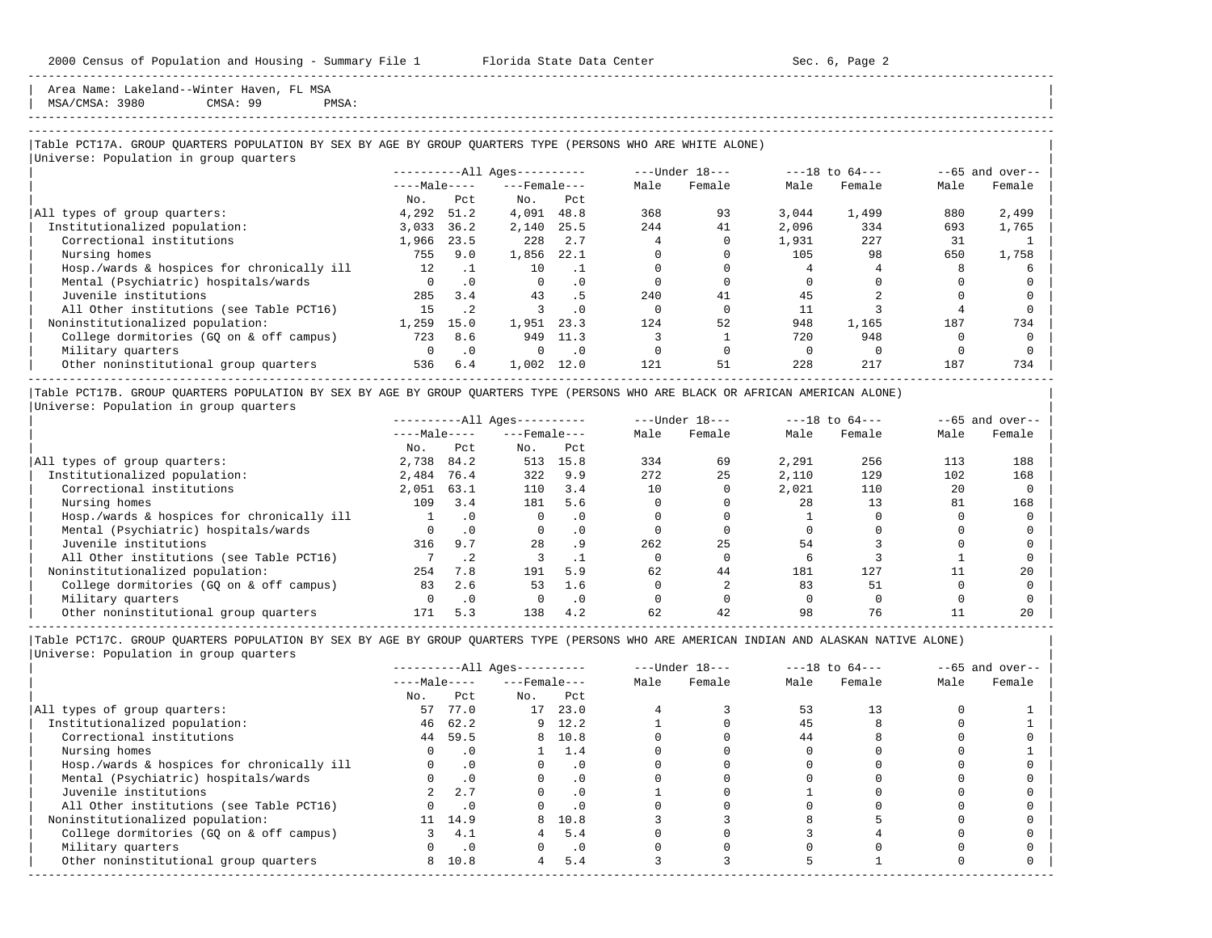Area Name: Lakeland--Winter Haven, FL MSA<br>
MSA/CMSA: 3980 CMSA: 99 PM | MSA/CMSA: 3980 CMSA: 99 PMSA: |

# -----------------------------------------------------------------------------------------------------------------------------------------------------

-----------------------------------------------------------------------------------------------------------------------------------------------------

## |Table PCT17A. GROUP QUARTERS POPULATION BY SEX BY AGE BY GROUP QUARTERS TYPE (PERSONS WHO ARE WHITE ALONE) |

|                                            |                 |           | $------All Aqes------$ |           |      | $---Under 18---$ |       | $---18$ to $64---$ |      | $--65$ and over-- |
|--------------------------------------------|-----------------|-----------|------------------------|-----------|------|------------------|-------|--------------------|------|-------------------|
|                                            | $---Male---$    |           | $---$ Female $---$     |           | Male | Female           | Male  | Female             | Male | Female            |
|                                            | No.             | Pct       | No.                    | Pct       |      |                  |       |                    |      |                   |
| All types of group quarters:               | 4,292           | 51.2      | 4,091                  | 48.8      | 368  | 93               | 3.044 | 1,499              | 880  | 2,499             |
| Institutionalized population:              | 3,033           | 36.2      | 2,140                  | 25.5      | 2.44 | 41               | 2,096 | 334                | 693  | 1,765             |
| Correctional institutions                  | 1,966           | 23.5      | 228                    | 2.7       |      |                  | 1,931 | 227                | 31   |                   |
| Nursing homes                              | 755             | 9.0       | 1,856                  | 22.1      |      |                  | 105   | 98                 | 650  | 1,758             |
| Hosp./wards & hospices for chronically ill | 12 <sup>°</sup> | . 1       | 10                     |           |      |                  |       |                    |      |                   |
| Mental (Psychiatric) hospitals/wards       | $\Omega$        | $\cdot$ 0 | $\Omega$               | . 0       |      |                  |       |                    |      |                   |
| Juvenile institutions                      | 285             | 3.4       | 43                     | . 5       | 240  | 41               | 45    |                    |      |                   |
| All Other institutions (see Table PCT16)   | 15              | $\cdot$ 2 |                        | $\cdot$ 0 |      |                  |       |                    |      |                   |
| Noninstitutionalized population:           | 1,259           | 15.0      | 1,951                  | 23.3      | 124  | 52               | 948   | 1,165              | 187  | 734               |
| College dormitories (GO on & off campus)   | 723             | 8.6       | 949                    | 11.3      |      |                  | 720   | 948                |      |                   |
| Military quarters                          | $\Omega$        | $\cdot$ 0 | $\Omega$               | $\cdot$ 0 |      |                  |       |                    |      |                   |
| Other noninstitutional group quarters      | 536             | 6.4       | 1,002                  | 12.0      | 121  | 51               | 228   | 217                | 187  | 734               |

|Table PCT17B. GROUP QUARTERS POPULATION BY SEX BY AGE BY GROUP QUARTERS TYPE (PERSONS WHO ARE BLACK OR AFRICAN AMERICAN ALONE) | |Universe: Population in group quarters |

|                                            |              |           | $------All Aqes------$ |           |      | $---Under 18---$ |       | $---18$ to $64---$ |      | $--65$ and over-- |
|--------------------------------------------|--------------|-----------|------------------------|-----------|------|------------------|-------|--------------------|------|-------------------|
|                                            | $---Male---$ |           | $---$ Female $---$     |           | Male | Female           | Male  | Female             | Male | Female            |
|                                            | No.          | Pct       | No.                    | Pct       |      |                  |       |                    |      |                   |
| All types of group quarters:               | 2,738        | 84.2      | 513                    | 15.8      | 334  | 69               | 2,291 | 256                | 113  | 188               |
| Institutionalized population:              | 2,484        | 76.4      | 322                    | 9.9       | 272  | 25               | 2,110 | 129                | 102  | 168               |
| Correctional institutions                  | 2,051        | 63.1      | 110                    | 3.4       | 10   |                  | 2,021 | 110                | 20   |                   |
| Nursing homes                              | 109          | 3.4       | 181                    | 5.6       |      |                  | 28    | 13                 | 81   | 168               |
| Hosp./wards & hospices for chronically ill |              |           |                        | $\cdot$ 0 |      |                  |       |                    |      |                   |
| Mental (Psychiatric) hospitals/wards       |              | $\cdot$ 0 |                        | $\cdot$ 0 |      |                  |       |                    |      |                   |
| Juvenile institutions                      | 316          | 9.7       | 28                     | . 9       | 262  | 25               | 54    |                    |      |                   |
| All Other institutions (see Table PCT16)   |              |           |                        |           |      |                  |       |                    |      |                   |
| Noninstitutionalized population:           | 254          | 7.8       | 191                    | 5.9       | 62   | 44               | 181   | 127                |      | 20                |
| College dormitories (GO on & off campus)   | 83           | 2.6       | 53                     | 1.6       |      |                  | 83    | 51                 |      |                   |
| Military quarters                          |              | $\cdot$ 0 |                        | $\cdot$ 0 |      |                  |       |                    |      |                   |
| Other noninstitutional group quarters      | 171          | 5.3       | 138                    | 4.2       | 62   | 42               | 98    | 76                 |      | 20                |

-----------------------------------------------------------------------------------------------------------------------------------------------------

|                                            |              |           | $------All Aqes------$ |           |      | $---Under 18---$ |      | $---18$ to $64---$ |      | $--65$ and over-- |
|--------------------------------------------|--------------|-----------|------------------------|-----------|------|------------------|------|--------------------|------|-------------------|
|                                            | $---Male---$ |           | $---$ Female $---$     |           | Male | Female           | Male | Female             | Male | Female            |
|                                            | No.          | Pct       | No.                    | Pct       |      |                  |      |                    |      |                   |
| All types of group quarters:               | 57           | 77.0      | 17                     | 23.0      |      |                  | 53   | 13                 |      |                   |
| Institutionalized population:              | 46           | 62.2      |                        | $9$ 12.2  |      |                  | 45   |                    |      |                   |
| Correctional institutions                  | 44           | 59.5      |                        | 8 10.8    |      |                  | 44   |                    |      |                   |
| Nursing homes                              |              | . 0       |                        | 1.4       |      |                  |      |                    |      |                   |
| Hosp./wards & hospices for chronically ill |              | $\cdot$ 0 |                        | $\cdot$ 0 |      |                  |      |                    |      |                   |
| Mental (Psychiatric) hospitals/wards       |              | $\cdot$ 0 |                        | $\cdot$ 0 |      |                  |      |                    |      |                   |
| Juvenile institutions                      |              | 2.7       |                        | $\cdot$ 0 |      |                  |      |                    |      |                   |
| All Other institutions (see Table PCT16)   |              | $\cdot$ 0 |                        |           |      |                  |      |                    |      |                   |
| Noninstitutionalized population:           |              | 11 14.9   | 8                      | 10.8      |      |                  |      |                    |      |                   |
| College dormitories (GQ on & off campus)   |              | 4.1       |                        | 5.4       |      |                  |      |                    |      |                   |
| Military quarters                          |              | $\cdot$ 0 |                        | $\cdot$ 0 |      |                  |      |                    |      |                   |
| Other noninstitutional group quarters      | 8            | 10.8      | 4                      | 5.4       |      |                  |      |                    |      |                   |
|                                            |              |           |                        |           |      |                  |      |                    |      |                   |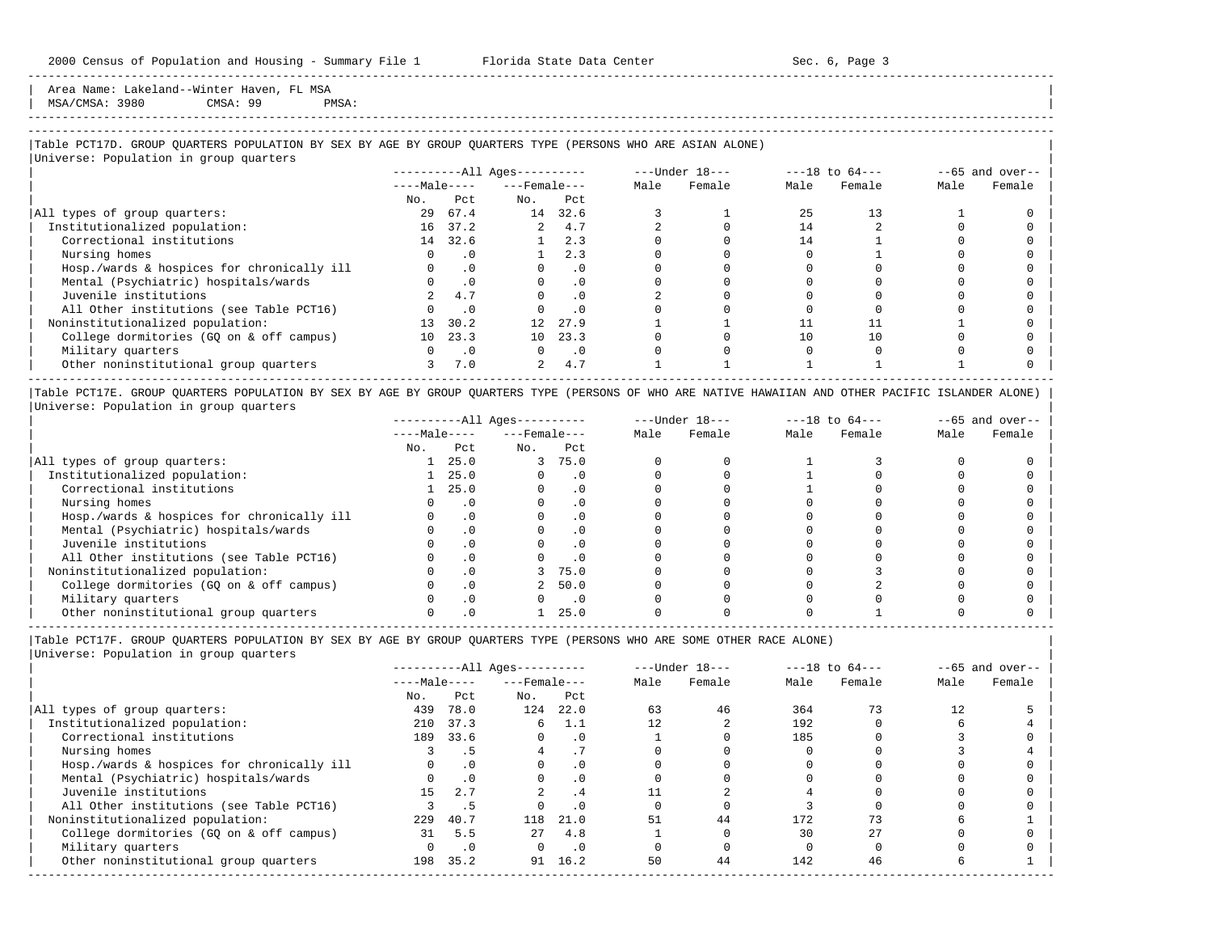Area Name: Lakeland--Winter Haven, FL MSA | MSA/CMSA: 3980 CMSA: 99 PMSA: |

# -----------------------------------------------------------------------------------------------------------------------------------------------------

-----------------------------------------------------------------------------------------------------------------------------------------------------

#### |Table PCT17D. GROUP QUARTERS POPULATION BY SEX BY AGE BY GROUP QUARTERS TYPE (PERSONS WHO ARE ASIAN ALONE) |

|                                            |              |           | $------All Ages------$ |           | ---Under 18--- |        | $---18$ to $64---$ |        | $--65$ and over-- |        |
|--------------------------------------------|--------------|-----------|------------------------|-----------|----------------|--------|--------------------|--------|-------------------|--------|
|                                            | $---Male---$ |           | $---$ Female $---$     |           | Male           | Female | Male               | Female | Male              | Female |
|                                            | No.          | Pct.      | No.                    | Pct       |                |        |                    |        |                   |        |
| All types of group quarters:               | 29           | 67.4      | 14                     | 32.6      |                |        | 25                 | 13     |                   |        |
| Institutionalized population:              |              | 16 37.2   | $\overline{a}$         | 4.7       |                |        | 14                 |        |                   |        |
| Correctional institutions                  |              | 14 32.6   |                        | 2.3       |                |        | 14                 |        |                   |        |
| Nursing homes                              |              | . 0       |                        | 2.3       |                |        |                    |        |                   |        |
| Hosp./wards & hospices for chronically ill |              | $\cdot$ 0 |                        | $\cdot$ 0 |                |        |                    |        |                   |        |
| Mental (Psychiatric) hospitals/wards       |              | $\cdot$ 0 |                        | $\cdot$ 0 |                |        |                    |        |                   |        |
| Juvenile institutions                      |              | 4.7       |                        | $\cdot$ 0 |                |        |                    |        |                   |        |
| All Other institutions (see Table PCT16)   |              | $\cdot$ 0 |                        | $\cdot$ 0 |                |        |                    |        |                   |        |
| Noninstitutionalized population:           | 13           | 30.2      | 12 <sup>°</sup>        | 27.9      |                |        |                    |        |                   |        |
| College dormitories (GQ on & off campus)   | 10           | 23.3      | 10 <sup>1</sup>        | 23.3      |                |        | 10                 | 10     |                   |        |
| Military quarters                          |              | $\cdot$ 0 | $\Omega$               | $\cdot$ 0 |                |        |                    |        |                   |        |
| Other noninstitutional group quarters      |              | 7.0       | 2                      | 4.7       |                |        |                    |        |                   |        |

|Table PCT17E. GROUP QUARTERS POPULATION BY SEX BY AGE BY GROUP QUARTERS TYPE (PERSONS OF WHO ARE NATIVE HAWAIIAN AND OTHER PACIFIC ISLANDER ALONE) | |Universe: Population in group quarters |

|                                            |              |           | $------All Ages------$ |           |      | $---Under 18---$ |      | $---18$ to $64---$ |      | $--65$ and over-- |
|--------------------------------------------|--------------|-----------|------------------------|-----------|------|------------------|------|--------------------|------|-------------------|
|                                            | $---Male---$ |           | $---$ Female $---$     |           | Male | Female           | Male | Female             | Male | Female            |
|                                            | No.          | Pct       | No.                    | Pct       |      |                  |      |                    |      |                   |
| All types of group quarters:               |              | 25.0      | 3                      | 75.0      |      |                  |      |                    |      |                   |
| Institutionalized population:              |              | 25.0      |                        | . 0       |      |                  |      |                    |      |                   |
| Correctional institutions                  |              | 25.0      |                        |           |      |                  |      |                    |      |                   |
| Nursing homes                              |              | $\cdot$ 0 |                        |           |      |                  |      |                    |      |                   |
| Hosp./wards & hospices for chronically ill |              |           |                        |           |      |                  |      |                    |      |                   |
| Mental (Psychiatric) hospitals/wards       |              |           |                        |           |      |                  |      |                    |      |                   |
| Juvenile institutions                      |              |           |                        | . 0       |      |                  |      |                    |      |                   |
| All Other institutions (see Table PCT16)   |              |           |                        | $\cdot$ 0 |      |                  |      |                    |      |                   |
| Noninstitutionalized population:           |              |           |                        | 75.0      |      |                  |      |                    |      |                   |
| College dormitories (GO on & off campus)   |              |           |                        | 50.0      |      |                  |      |                    |      |                   |
| Military quarters                          |              |           |                        | $\cdot$ 0 |      |                  |      |                    |      |                   |
| Other noninstitutional group quarters      |              |           |                        | 25.0      |      |                  |      |                    |      |                   |

----------------------------------------------------------------------------------------------------------------------------------------------------- |Table PCT17F. GROUP QUARTERS POPULATION BY SEX BY AGE BY GROUP QUARTERS TYPE (PERSONS WHO ARE SOME OTHER RACE ALONE) |

|                                            |              |                 | $------All Ages------$ |           |      | $---Under 18---$ |      | $---18$ to $64---$ |      | $--65$ and over-- |
|--------------------------------------------|--------------|-----------------|------------------------|-----------|------|------------------|------|--------------------|------|-------------------|
|                                            | $---Male---$ |                 | $---$ Female ---       |           | Male | Female           | Male | Female             | Male | Female            |
|                                            | No.          | Pct             | No.                    | Pct       |      |                  |      |                    |      |                   |
| All types of group quarters:               | 439          | 78.0            | 124                    | 22.0      | 63   | 46               | 364  | 73                 | 12   |                   |
| Institutionalized population:              | 210          | 37.3            | 6                      | 1.1       | 12   |                  | 192  |                    |      |                   |
| Correctional institutions                  | 189          | 33.6            | $\Omega$               | $\cdot$ 0 |      |                  | 185  |                    |      |                   |
| Nursing homes                              |              | .5 <sub>1</sub> |                        |           |      |                  |      |                    |      |                   |
| Hosp./wards & hospices for chronically ill |              | .0              |                        | $\cdot$ 0 |      |                  |      |                    |      |                   |
| Mental (Psychiatric) hospitals/wards       |              | $\cdot$ 0       | $\Omega$               | $\cdot$ 0 |      |                  |      |                    |      |                   |
| Juvenile institutions                      | 15           | 2.7             |                        | .4        |      |                  |      |                    |      |                   |
| All Other institutions (see Table PCT16)   |              | .5              |                        | .0        |      |                  |      |                    |      |                   |
| Noninstitutionalized population:           | 229          | 40.7            | 118                    | 21.0      | 51   | 44               | 172  |                    |      |                   |
| College dormitories (GO on & off campus)   | 31           | 5.5             | 27                     | 4.8       |      |                  | 30   | 27                 |      |                   |
| Military quarters                          |              | $\cdot$ 0       | $\Omega$               | $\cdot$ 0 |      |                  |      |                    |      |                   |
| Other noninstitutional group quarters      | 198          | 35.2            | 91                     | 16.2      | 50   | 44               | 142  | 46                 |      |                   |
|                                            |              |                 |                        |           |      |                  |      |                    |      |                   |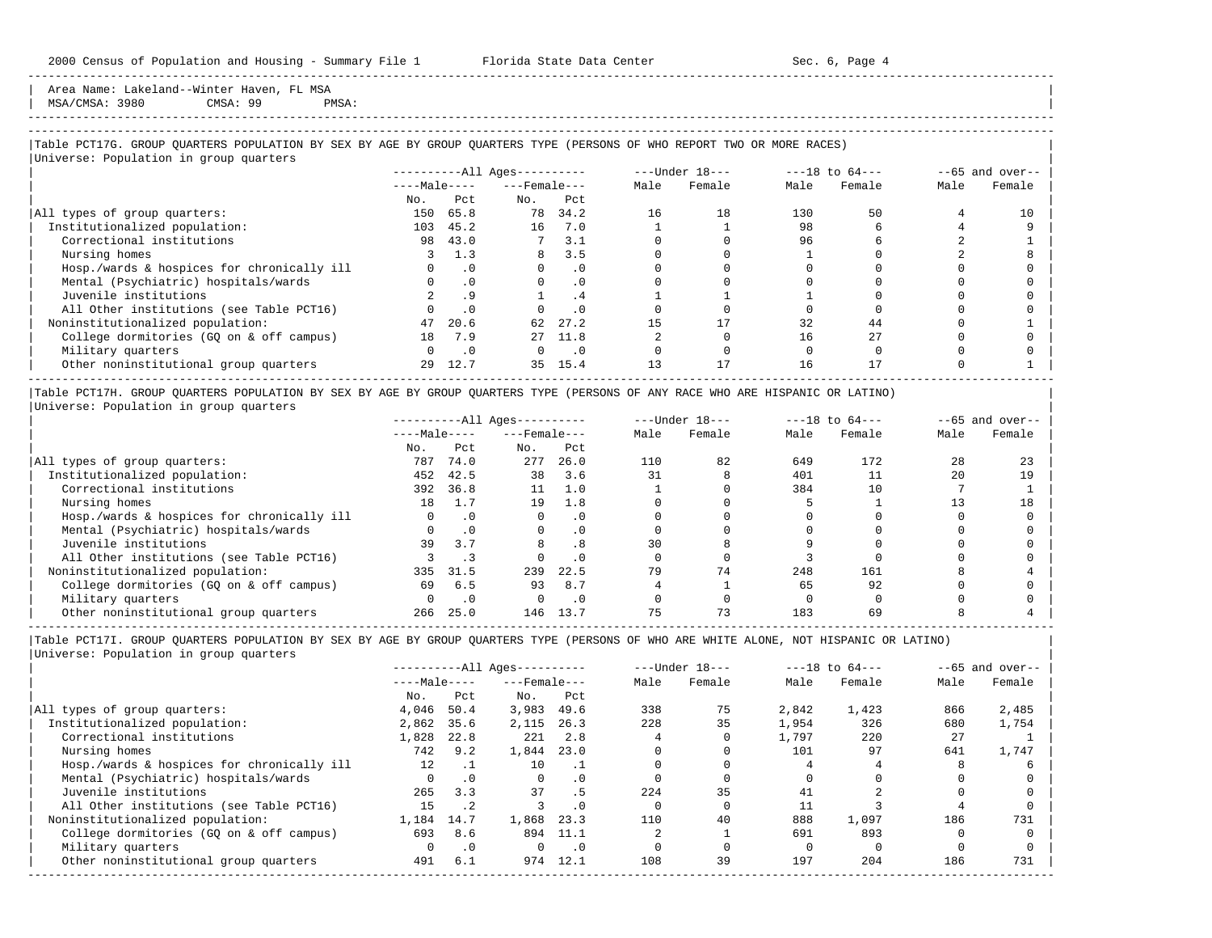Area Name: Lakeland--Winter Haven, FL MSA | MSA/CMSA: 3980 CMSA: 99 PMSA: |

-----------------------------------------------------------------------------------------------------------------------------------------------------

## |Table PCT17G. GROUP QUARTERS POPULATION BY SEX BY AGE BY GROUP QUARTERS TYPE (PERSONS OF WHO REPORT TWO OR MORE RACES) |

|                                            |              | $---Under 18---$<br>$------All Ages------$ |                    |                             |      | $---18$ to $64---$ |      | $--65$ and over-- |      |        |
|--------------------------------------------|--------------|--------------------------------------------|--------------------|-----------------------------|------|--------------------|------|-------------------|------|--------|
|                                            | $---Male---$ |                                            | $---$ Female $---$ |                             | Male | Female             | Male | Female            | Male | Female |
|                                            | No.          | Pct                                        | No.                | Pct                         |      |                    |      |                   |      |        |
| All types of group quarters:               | 150          | 65.8                                       | 78                 | 34.2                        | 16   | 18                 | 130  | 50                |      | 10     |
| Institutionalized population:              | 103          | 45.2                                       | 16                 | 7.0                         |      |                    | 98   |                   |      |        |
| Correctional institutions                  | 98           | 43.0                                       |                    | 3.1                         |      |                    | 96   |                   |      |        |
| Nursing homes                              |              | 1.3                                        | 8                  | 3.5                         |      |                    |      |                   |      |        |
| Hosp./wards & hospices for chronically ill |              | $\cdot$ 0                                  |                    | $\cdot$ 0                   |      |                    |      |                   |      |        |
| Mental (Psychiatric) hospitals/wards       |              | $\cdot$ 0                                  | $\Omega$           | $\cdot$ 0                   |      |                    |      |                   |      |        |
| Juvenile institutions                      |              | . 9                                        |                    | . 4                         |      |                    |      |                   |      |        |
| All Other institutions (see Table PCT16)   |              | .0                                         |                    | $\cdot$ 0                   |      |                    |      |                   |      |        |
| Noninstitutionalized population:           | 47           | 20.6                                       | 62                 | 27.2                        |      |                    | 32   | 44                |      |        |
| College dormitories (GQ on & off campus)   | 18           | 7.9                                        | $27 -$             | 11.8                        |      |                    | 16   | 27                |      |        |
| Military quarters                          | $\Omega$     | $\cdot$ 0                                  | $\Omega$           | $\overline{\phantom{0}}$ .0 |      |                    |      |                   |      |        |
| Other noninstitutional group quarters      | 29           | 12.7                                       | 35                 | 15.4                        |      | 17                 | 16   |                   |      |        |

|Table PCT17H. GROUP QUARTERS POPULATION BY SEX BY AGE BY GROUP QUARTERS TYPE (PERSONS OF ANY RACE WHO ARE HISPANIC OR LATINO) | |Universe: Population in group quarters |

|                                            |              |           | $------All Aqes------$ |           |      | $---Under 18---$ |      | $---18$ to $64---$ |      | $--65$ and over-- |
|--------------------------------------------|--------------|-----------|------------------------|-----------|------|------------------|------|--------------------|------|-------------------|
|                                            | $---Male---$ |           | $---$ Female $---$     |           | Male | Female           | Male | Female             | Male | Female            |
|                                            | No.          | Pct       | No.                    | Pct       |      |                  |      |                    |      |                   |
| All types of group quarters:               | 787          | 74.0      | 277                    | 26.0      | 110  | 82               | 649  | 172                | 28   | 23                |
| Institutionalized population:              | 452          | 42.5      | 38                     | 3.6       | 31   |                  | 401  |                    | 20   | 19                |
| Correctional institutions                  | 392          | 36.8      | 11                     | 1.0       |      |                  | 384  | 10                 |      |                   |
| Nursing homes                              | 18           | 1.7       | 19                     | 1.8       |      |                  |      |                    |      | 18                |
| Hosp./wards & hospices for chronically ill |              | $\cdot$ 0 |                        | $\cdot$ 0 |      |                  |      |                    |      |                   |
| Mental (Psychiatric) hospitals/wards       |              | $\cdot$ 0 |                        | $\cdot$ 0 |      |                  |      |                    |      |                   |
| Juvenile institutions                      | 39           | 3.7       |                        | .8        | 30   |                  |      |                    |      |                   |
| All Other institutions (see Table PCT16)   |              |           |                        | $\cdot$ 0 |      |                  |      |                    |      |                   |
| Noninstitutionalized population:           | 335          | 31.5      | 239                    | 22.5      | 79   | 74               | 248  | 161                |      |                   |
| College dormitories (GO on & off campus)   | 69           | 6.5       | 93                     | 8.7       |      |                  | 65   | 92                 |      |                   |
| Military quarters                          |              | $\cdot$ 0 |                        | $\cdot$ 0 |      |                  |      |                    |      |                   |
| Other noninstitutional group quarters      | 266          | 25.0      | 146                    | 13.7      |      | 73               | 183  | 69                 |      |                   |

-----------------------------------------------------------------------------------------------------------------------------------------------------

| $---Under 18---$<br>$---18$ to $64---$<br>$------All Aqes------$                                | $--65$ and over-- |
|-------------------------------------------------------------------------------------------------|-------------------|
| $---Male---$<br>$---$ Female $---$<br>Male<br>Male<br>Female<br>Female                          | Male<br>Female    |
| Pct<br>No.<br>Pct<br>No.                                                                        |                   |
| 3,983<br>75<br>1,423<br>4,046<br>338<br>2,842<br>All types of group quarters:<br>50.4<br>49.6   | 866<br>2,485      |
| 35<br>228<br>2,862<br>1,954<br>326<br>Institutionalized population:<br>35.6<br>2,115<br>26.3    | 680<br>1,754      |
| Correctional institutions<br>220<br>1,828<br>22.8<br>2.8<br>1,797<br>221                        | 27                |
| 1,844<br>742<br>9.2<br>23.0<br>101<br>97                                                        | 641<br>1,747      |
| Hosp./wards & hospices for chronically ill<br>12<br>10                                          |                   |
| Mental (Psychiatric) hospitals/wards<br>$\cdot$ 0<br>$\Omega$<br>. 0                            |                   |
| 35<br>37<br>2.2.4<br>265<br>3.3<br>. 5<br>41                                                    |                   |
| All Other institutions (see Table PCT16)<br>15<br>$\cdot$ 2<br>$\cdot$ 0                        |                   |
| Noninstitutionalized population:<br>888<br>1,868<br>110<br>40<br>1,097<br>1,184<br>23.3<br>14.7 | 731<br>186        |
| 691<br>893<br>College dormitories (GO on & off campus)<br>693<br>11.1<br>8.6<br>894             |                   |
| $\cdot$ 0<br>$\cdot$ 0                                                                          |                   |
| 39<br>197<br>204<br>6.1<br>974<br>12.1<br>108<br>Other noninstitutional group quarters<br>491   | 731<br>186        |
|                                                                                                 |                   |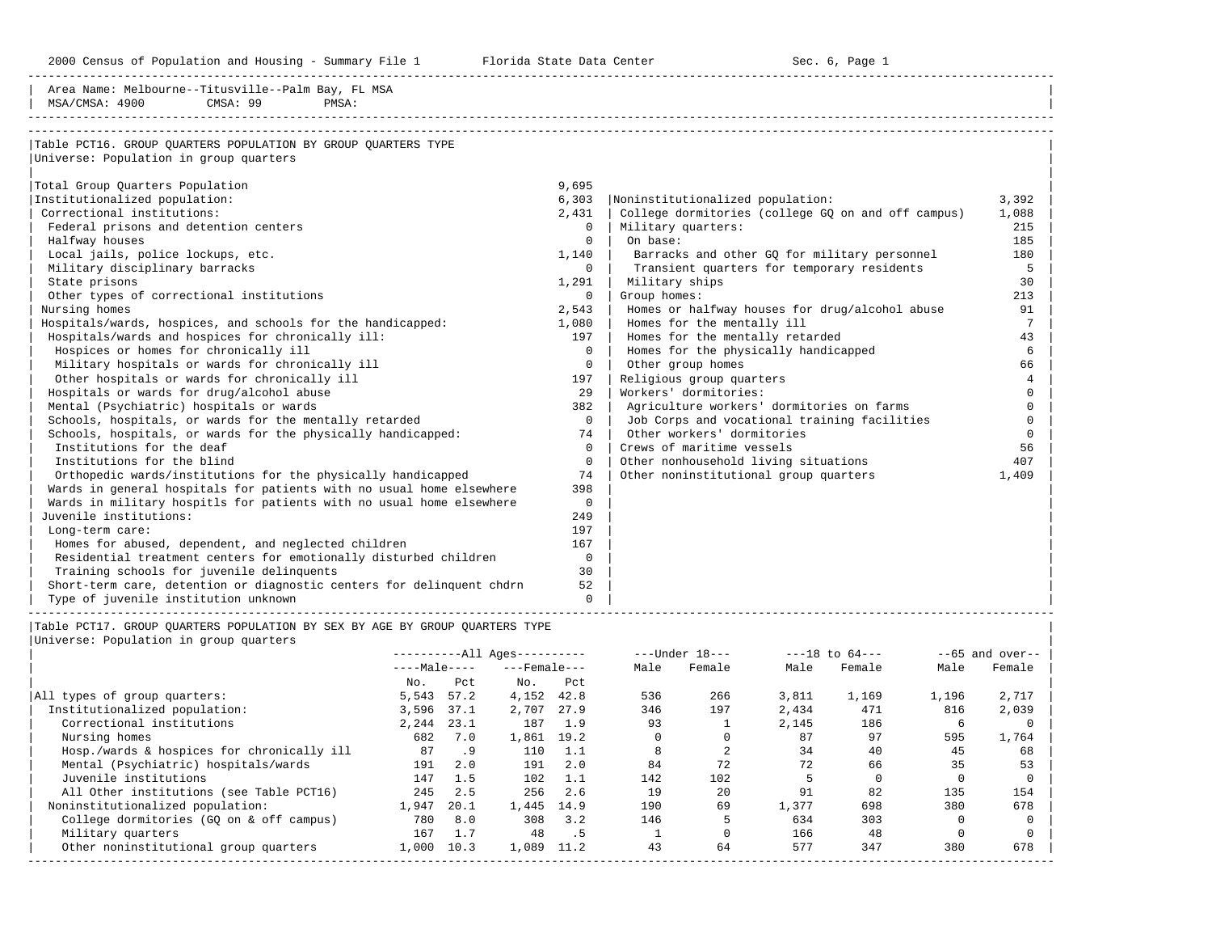2000 Census of Population and Housing - Summary File 1 Telorida State Data Center Sec. 6, Page 1 North Sec. 6, Page

| Area Name: Melbourne--Titusville--Palm Bay, FL MSA<br>CMSA: 99<br>MSA/CMSA: 4900<br>PMSA:               |              |                        |              |                                                    |                   |
|---------------------------------------------------------------------------------------------------------|--------------|------------------------|--------------|----------------------------------------------------|-------------------|
| Table PCT16. GROUP QUARTERS POPULATION BY GROUP QUARTERS TYPE<br>Universe: Population in group quarters |              |                        |              |                                                    |                   |
|                                                                                                         |              |                        |              |                                                    |                   |
| Total Group Quarters Population                                                                         |              |                        | 9,695        |                                                    |                   |
| Institutionalized population:                                                                           |              |                        | 6,303        | Noninstitutionalized population:                   | 3,392             |
| Correctional institutions:                                                                              |              |                        | 2,431        | College dormitories (college GO on and off campus) | 1,088             |
| Federal prisons and detention centers                                                                   |              |                        | $\circ$      | Military quarters:                                 | 215               |
| Halfway houses                                                                                          |              |                        | $\Omega$     | On base:                                           | 185               |
| Local jails, police lockups, etc.                                                                       |              |                        | $1,140$      | Barracks and other GQ for military personnel       | 180               |
| Military disciplinary barracks                                                                          |              |                        | $\Omega$     | Transient quarters for temporary residents         | 5                 |
| State prisons                                                                                           |              |                        | 1,291        | Military ships                                     | 30                |
| Other types of correctional institutions                                                                |              |                        | $\Omega$     | Group homes:                                       | 213               |
| Nursing homes                                                                                           |              |                        | 2,543        | Homes or halfway houses for drug/alcohol abuse     | 91                |
| Hospitals/wards, hospices, and schools for the handicapped:                                             |              |                        | 1,080        | Homes for the mentally ill                         | $7\phantom{.0}$   |
| Hospitals/wards and hospices for chronically ill:                                                       |              |                        | 197          | Homes for the mentally retarded                    | 43                |
| Hospices or homes for chronically ill                                                                   |              |                        | $\Omega$     | Homes for the physically handicapped               | 6                 |
| Military hospitals or wards for chronically ill                                                         |              |                        | $\mathbf{0}$ | Other group homes                                  | 66                |
| Other hospitals or wards for chronically ill                                                            |              |                        | 197          | Religious group quarters                           | 4                 |
| Hospitals or wards for drug/alcohol abuse                                                               |              |                        | 29           | Workers' dormitories:                              | $\Omega$          |
| Mental (Psychiatric) hospitals or wards                                                                 |              |                        | 382          | Agriculture workers' dormitories on farms          | $\Omega$          |
| Schools, hospitals, or wards for the mentally retarded                                                  |              |                        | $\mathbf{0}$ | Job Corps and vocational training facilities       | $\mathbf 0$       |
| Schools, hospitals, or wards for the physically handicapped:                                            |              |                        | 74           | Other workers' dormitories                         | $\mathbf 0$       |
| Institutions for the deaf                                                                               |              |                        | $\Omega$     | Crews of maritime vessels                          | 56                |
| Institutions for the blind                                                                              |              |                        | $\Omega$     | Other nonhousehold living situations               | 407               |
| Orthopedic wards/institutions for the physically handicapped                                            |              |                        | 74           | Other noninstitutional group quarters              | 1,409             |
| Wards in general hospitals for patients with no usual home elsewhere                                    |              |                        | 398          |                                                    |                   |
| Wards in military hospitls for patients with no usual home elsewhere                                    |              |                        | $\mathbf 0$  |                                                    |                   |
| Juvenile institutions:                                                                                  |              |                        | 249          |                                                    |                   |
| Long-term care:                                                                                         |              |                        | 197          |                                                    |                   |
| Homes for abused, dependent, and neglected children                                                     |              |                        | 167          |                                                    |                   |
| Residential treatment centers for emotionally disturbed children                                        |              |                        | $\mathbf 0$  |                                                    |                   |
| Training schools for juvenile delinquents                                                               |              |                        | 30           |                                                    |                   |
| Short-term care, detention or diagnostic centers for delinquent chdrn                                   |              |                        | 52           |                                                    |                   |
| Type of juvenile institution unknown                                                                    |              |                        | $\Omega$     |                                                    |                   |
| Table PCT17. GROUP QUARTERS POPULATION BY SEX BY AGE BY GROUP QUARTERS TYPE                             |              |                        |              |                                                    |                   |
| Universe: Population in group quarters                                                                  |              |                        |              |                                                    |                   |
|                                                                                                         |              | $------All Aqes------$ |              | $---18$ to $64---$<br>$---Under 18---$             | $--65$ and over-- |
|                                                                                                         | $---Ma2e---$ | ---Female---           |              | Female<br>Male<br>Female<br>Male<br>Male           | Female            |
| No.                                                                                                     | Pct          | No.                    | Pct          |                                                    |                   |
| All types of group quarters:                                                                            | 5,543 57.2   | 4,152 42.8             |              | 536<br>3,811<br>266<br>1,169<br>1,196              | 2,717             |

| 2,039<br>2,434<br>Institutionalized population:<br>346<br>197<br>37.1<br>2,707<br>27.9<br>471<br>816<br>3,596<br>Correctional institutions<br>186<br>2,145<br>93<br>2,244<br>23.1<br>187<br>1.9<br>1,764<br>97<br>595<br>1,861<br>682<br>19.2<br>87<br>Nursing homes<br>7.0<br>Hosp./wards & hospices for chronically ill<br>87<br>34<br>.9<br>110<br>- 1.1<br>40<br>45<br>68<br>Mental (Psychiatric) hospitals/wards<br>66<br>191<br>84<br>35<br>191<br>2.0<br>2.0 |  |
|---------------------------------------------------------------------------------------------------------------------------------------------------------------------------------------------------------------------------------------------------------------------------------------------------------------------------------------------------------------------------------------------------------------------------------------------------------------------|--|
|                                                                                                                                                                                                                                                                                                                                                                                                                                                                     |  |
|                                                                                                                                                                                                                                                                                                                                                                                                                                                                     |  |
|                                                                                                                                                                                                                                                                                                                                                                                                                                                                     |  |
|                                                                                                                                                                                                                                                                                                                                                                                                                                                                     |  |
|                                                                                                                                                                                                                                                                                                                                                                                                                                                                     |  |
| Juvenile institutions<br>142<br>102<br>147<br>1.5<br>102<br>-1.1                                                                                                                                                                                                                                                                                                                                                                                                    |  |
| 135<br>All Other institutions (see Table PCT16)<br>154<br>256<br>20<br>82<br>245<br>2.5<br>19<br>91<br>2.6                                                                                                                                                                                                                                                                                                                                                          |  |
| 678<br>380<br>Noninstitutionalized population:<br>190<br>1,377<br>698<br>.947<br>1,445<br>69<br>20.1<br>14.9                                                                                                                                                                                                                                                                                                                                                        |  |
| College dormitories (GO on & off campus)<br>303<br>146<br>634<br>780<br>308<br>8.0<br>3.2                                                                                                                                                                                                                                                                                                                                                                           |  |
| 166<br>48<br>48<br>167<br>1.7<br>Military quarters<br>. 5                                                                                                                                                                                                                                                                                                                                                                                                           |  |
| 678<br>380<br>577<br>347<br>Other noninstitutional group quarters<br>.000<br>64<br>1,089<br>10.3<br>43<br>11.2                                                                                                                                                                                                                                                                                                                                                      |  |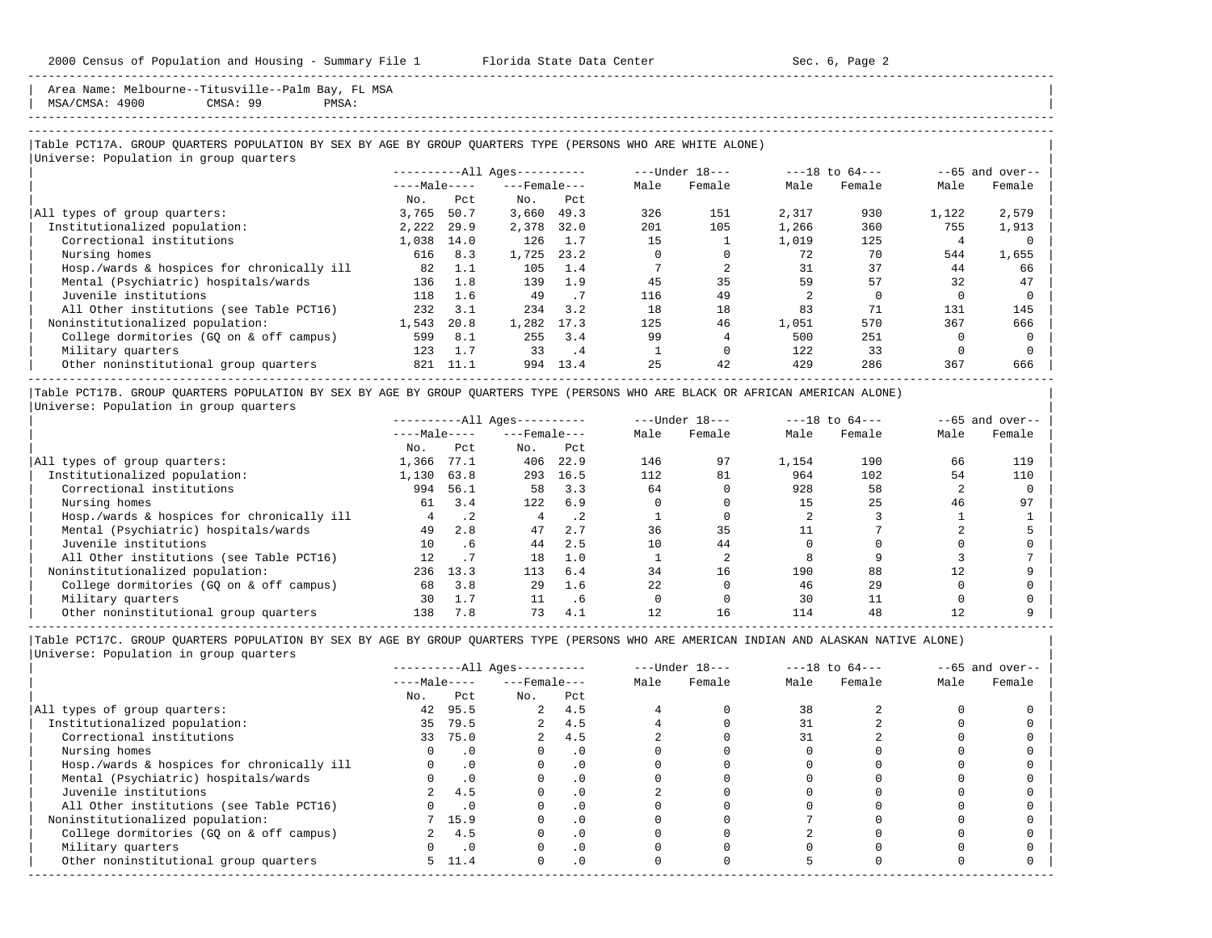Area Name: Melbourne--Titusville--Palm Bay, FL MSA | MSA/CMSA: 4900 CMSA: 99 PMSA: |

-----------------------------------------------------------------------------------------------------------------------------------------------------

-----------------------------------------------------------------------------------------------------------------------------------------------------

#### |Table PCT17A. GROUP QUARTERS POPULATION BY SEX BY AGE BY GROUP QUARTERS TYPE (PERSONS WHO ARE WHITE ALONE) | |<br>|Universe: Population in group quarters

|                                            |              |      | ----------All Ages---------- |      |      | $---Under 18---$ |       | $---18$ to $64---$ |       | $--65$ and over-- |
|--------------------------------------------|--------------|------|------------------------------|------|------|------------------|-------|--------------------|-------|-------------------|
|                                            | $---Male---$ |      | $---$ Female $---$           |      | Male | Female           | Male  | Female             | Male  | Female            |
|                                            | No.          | Pct  | No.                          | Pct  |      |                  |       |                    |       |                   |
| All types of group quarters:               | 3,765        | 50.7 | 3,660                        | 49.3 | 326  | 151              | 2,317 | 930                | 1,122 | 2,579             |
| Institutionalized population:              | 2,222        | 29.9 | 2,378                        | 32.0 | 201  | 105              | 1,266 | 360                | 755   | 1,913             |
| Correctional institutions                  | 1,038        | 14.0 | 126                          | 1.7  | 15   |                  | 1,019 | 125                |       |                   |
| Nursing homes                              | 616          | 8.3  | 1,725                        | 23.2 |      |                  | 72    | 70                 | 544   | 1,655             |
| Hosp./wards & hospices for chronically ill | 82           | 1.1  | 105                          | 1.4  |      |                  | 31    | 37                 | 44    | 66                |
| Mental (Psychiatric) hospitals/wards       | 136          | 1.8  | 139                          | 1.9  | 45   | 35               | 59    | 57                 | 32    | 47                |
| Juvenile institutions                      | 118          | 1.6  | 49                           | . 7  | 116  | 49               |       |                    |       |                   |
| All Other institutions (see Table PCT16)   | 232          | 3.1  | 234                          | 3.2  | 18   | 18               | 83    | 71                 | 131   | 145               |
| Noninstitutionalized population:           | 1,543        | 20.8 | 1,282                        | 17.3 | 125  | 46               | 1,051 | 570                | 367   | 666               |
| College dormitories (GO on & off campus)   | 599          | 8.1  | 255                          | 3.4  | 99   |                  | 500   | 251                |       |                   |
| Military quarters                          | 123          | 1.7  | 33                           | . 4  |      |                  | 122   | 33                 |       |                   |
| Other noninstitutional group quarters      | 821          | 11.1 | 994                          | 13.4 | 25   | 42               | 429   | 286                | 367   | 666               |

|Table PCT17B. GROUP QUARTERS POPULATION BY SEX BY AGE BY GROUP QUARTERS TYPE (PERSONS WHO ARE BLACK OR AFRICAN AMERICAN ALONE) | |Universe: Population in group quarters |

|                                            |              |           | $------All Aqes------$ |           |      | $---Under 18---$ |       | $---18$ to $64---$ |      | $--65$ and over-- |
|--------------------------------------------|--------------|-----------|------------------------|-----------|------|------------------|-------|--------------------|------|-------------------|
|                                            | $---Male---$ |           | $---$ Female $---$     |           | Male | Female           | Male  | Female             | Male | Female            |
|                                            | No.          | Pct       | No.                    | Pct       |      |                  |       |                    |      |                   |
| All types of group quarters:               | 1,366        | 77.1      | 406                    | 22.9      | 146  | 97               | 1,154 | 190                | 66   | 119               |
| Institutionalized population:              | 1,130        | 63.8      | 293                    | 16.5      | 112  | 81               | 964   | 102                | 54   | 110               |
| Correctional institutions                  | 994          | 56.1      | 58                     | 3.3       | 64   |                  | 928   | 58                 |      |                   |
| Nursing homes                              | 61           | 3.4       | 122                    | 6.9       |      |                  | 15    | 25                 | 46   | 97                |
| Hosp./wards & hospices for chronically ill |              | $\cdot$ 2 |                        | $\cdot$ 2 |      |                  |       |                    |      |                   |
| Mental (Psychiatric) hospitals/wards       | 49           | 2.8       | 47                     | 2.7       | 36   | 35               |       |                    |      |                   |
| Juvenile institutions                      | 10           | . 6       | 44                     | 2.5       |      | 44               |       |                    |      |                   |
| All Other institutions (see Table PCT16)   | 12           |           | 18                     | 1.0       |      |                  |       |                    |      |                   |
| Noninstitutionalized population:           | 236          | 13.3      | 113                    | 6.4       | 34   | 16               | 190   | 88                 | 12   |                   |
| College dormitories (GO on & off campus)   | 68           | 3.8       | 29                     | 1.6       | 22   |                  | 46    | 29                 |      |                   |
| Military quarters                          | 30           | 1.7       |                        | . 6       |      |                  | 30    |                    |      |                   |
| Other noninstitutional group quarters      | 138          | 7.8       | 73                     | 4.1       |      | 16               | 114   | 48                 |      |                   |

|                                            |              |            | $------All Aqes------$ |           |      | $---Under 18---$ |      | $---18$ to $64---$ |      | $--65$ and over-- |
|--------------------------------------------|--------------|------------|------------------------|-----------|------|------------------|------|--------------------|------|-------------------|
|                                            | $---Male---$ |            | $---$ Female $---$     |           | Male | Female           | Male | Female             | Male | Female            |
|                                            | No.          | Pct        | No.                    | Pct       |      |                  |      |                    |      |                   |
| All types of group quarters:               | 42           | 95.5       |                        | 2, 4.5    |      |                  | 38   |                    |      |                   |
| Institutionalized population:              | 35           | 79.5       | $\overline{a}$         | 4.5       |      |                  |      |                    |      |                   |
| Correctional institutions                  | 33           | 75.0       |                        | 4.5       |      |                  | 31   |                    |      |                   |
| Nursing homes                              |              | $\cdot$ 0  |                        | . 0       |      |                  |      |                    |      |                   |
| Hosp./wards & hospices for chronically ill |              | $\cdot$ 0  |                        | . 0       |      |                  |      |                    |      |                   |
| Mental (Psychiatric) hospitals/wards       |              | $\cdot$ 0  |                        | . 0       |      |                  |      |                    |      |                   |
| Juvenile institutions                      |              | 4.5        |                        | $\cdot$ 0 |      |                  |      |                    |      |                   |
| All Other institutions (see Table PCT16)   |              | $\cdot$ .0 |                        |           |      |                  |      |                    |      |                   |
| Noninstitutionalized population:           |              | 7 15.9     |                        | .0        |      |                  |      |                    |      |                   |
| College dormitories (GQ on & off campus)   |              | 4.5        |                        | $\cdot$ 0 |      |                  |      |                    |      |                   |
| Military quarters                          |              | $\cdot$ 0  |                        | $\cdot$ 0 |      |                  |      |                    |      |                   |
| Other noninstitutional group quarters      |              | 5, 11.4    | $\Omega$               | $\cdot$ 0 |      |                  |      |                    |      |                   |
|                                            |              |            |                        |           |      |                  |      |                    |      |                   |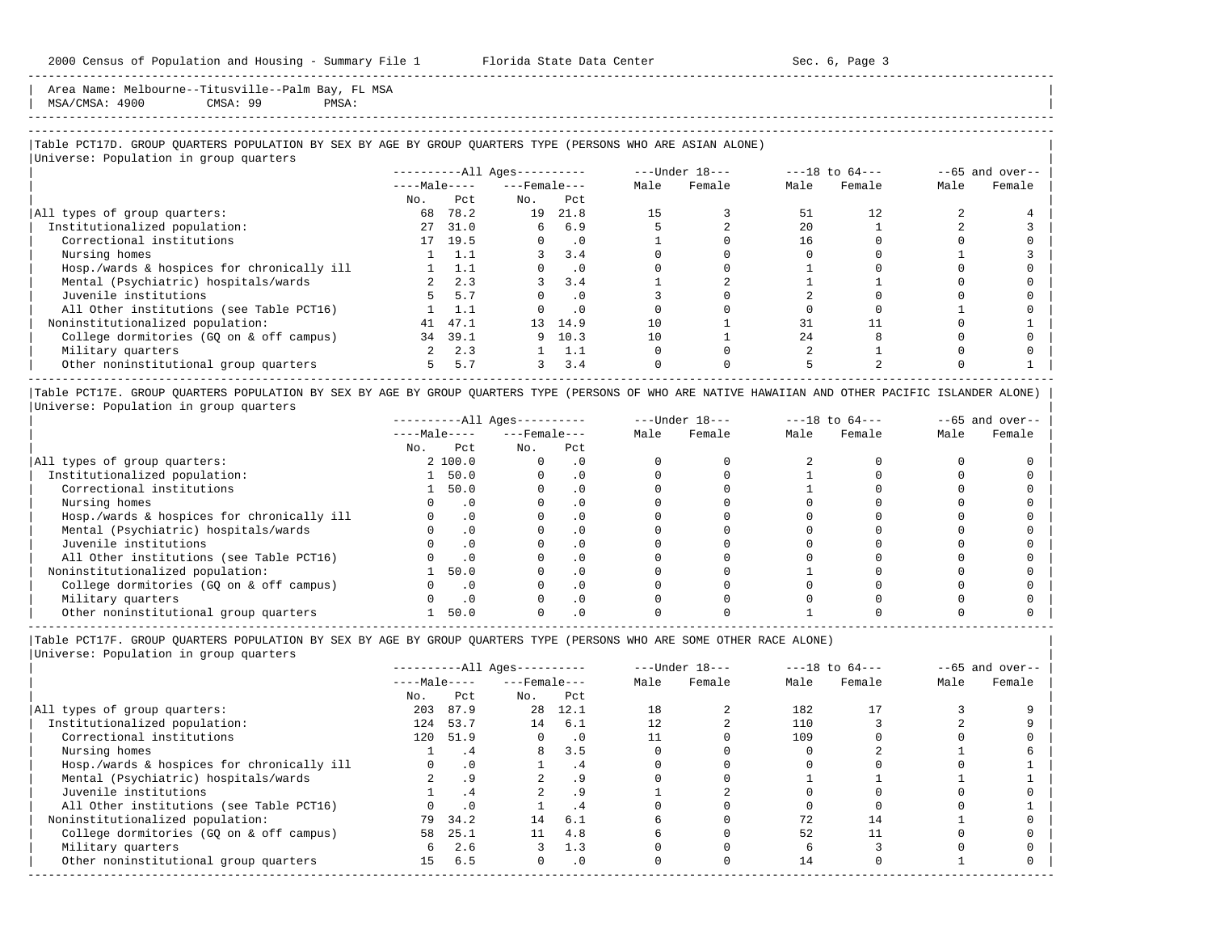Area Name: Melbourne--Titusville--Palm Bay, FL MSA | MSA/CMSA: 4900 CMSA: 99 PMSA: |

# -----------------------------------------------------------------------------------------------------------------------------------------------------

-----------------------------------------------------------------------------------------------------------------------------------------------------

#### |Table PCT17D. GROUP QUARTERS POPULATION BY SEX BY AGE BY GROUP QUARTERS TYPE (PERSONS WHO ARE ASIAN ALONE) |

|                                            |              |               | $------All Aqes------$ |           |      | $---Under 18---$ |      | $---18$ to $64---$ |      | $--65$ and over-- |
|--------------------------------------------|--------------|---------------|------------------------|-----------|------|------------------|------|--------------------|------|-------------------|
|                                            | $---Male---$ |               | $---$ Female $---$     |           | Male | Female           | Male | Female             | Male | Female            |
|                                            | No.          | Pct.          | No.                    | Pct       |      |                  |      |                    |      |                   |
| All types of group quarters:               | 68           | 78.2          | 19                     | 21.8      | 15   |                  | 51   | 12.                |      |                   |
| Institutionalized population:              | 27           | 31.0          | 6                      | 6.9       |      |                  | 2.0  |                    |      |                   |
| Correctional institutions                  |              | 17 19.5       |                        | $\cdot$ 0 |      |                  | 16   |                    |      |                   |
| Nursing homes                              |              | 1 1.1         |                        | 3.4       |      |                  |      |                    |      |                   |
| Hosp./wards & hospices for chronically ill |              | $1 \quad 1.1$ |                        | $\cdot$ 0 |      |                  |      |                    |      |                   |
| Mental (Psychiatric) hospitals/wards       |              | $2 \quad 2.3$ |                        | 3.4       |      |                  |      |                    |      |                   |
| Juvenile institutions                      |              | 5, 5.7        |                        | $\cdot$ 0 |      |                  |      |                    |      |                   |
| All Other institutions (see Table PCT16)   |              | 1.1           |                        | $\cdot$ 0 |      |                  |      |                    |      |                   |
| Noninstitutionalized population:           | 41           | 47.1          | 13 <sup>1</sup>        | 14.9      | 10   |                  | 31   |                    |      |                   |
| College dormitories (GO on & off campus)   | 34           | 39.1          | 9                      | 10.3      | 10   |                  | 2.4  |                    |      |                   |
| Military quarters                          |              | 2.3           |                        | 1.1       |      |                  |      |                    |      |                   |
| Other noninstitutional group quarters      | 5.           | 5.7           | 3                      | 3.4       |      |                  |      |                    |      |                   |

|Table PCT17E. GROUP QUARTERS POPULATION BY SEX BY AGE BY GROUP QUARTERS TYPE (PERSONS OF WHO ARE NATIVE HAWAIIAN AND OTHER PACIFIC ISLANDER ALONE) | |Universe: Population in group quarters |

|                                            |              |           | $------All Ages------$ |           |      | $---Under 18---$ |      | $---18$ to $64---$ |      | $--65$ and over-- |
|--------------------------------------------|--------------|-----------|------------------------|-----------|------|------------------|------|--------------------|------|-------------------|
|                                            | $---Male---$ |           | $---$ Female $---$     |           | Male | Female           | Male | Female             | Male | Female            |
|                                            | No.          | Pct       | No.                    | Pct       |      |                  |      |                    |      |                   |
| All types of group quarters:               |              | 2 100.0   |                        | . 0       |      |                  |      |                    |      |                   |
| Institutionalized population:              |              | 50.0      |                        | . 0       |      |                  |      |                    |      |                   |
| Correctional institutions                  |              | 50.0      |                        |           |      |                  |      |                    |      |                   |
| Nursing homes                              |              | $\cdot$ 0 |                        |           |      |                  |      |                    |      |                   |
| Hosp./wards & hospices for chronically ill |              |           |                        |           |      |                  |      |                    |      |                   |
| Mental (Psychiatric) hospitals/wards       |              |           |                        |           |      |                  |      |                    |      |                   |
| Juvenile institutions                      |              |           |                        |           |      |                  |      |                    |      |                   |
| All Other institutions (see Table PCT16)   |              |           |                        |           |      |                  |      |                    |      |                   |
| Noninstitutionalized population:           |              | 50.0      |                        | . 0       |      |                  |      |                    |      |                   |
| College dormitories (GO on & off campus)   |              |           |                        |           |      |                  |      |                    |      |                   |
| Military quarters                          |              |           |                        | $\cdot$ 0 |      |                  |      |                    |      |                   |
| Other noninstitutional group quarters      |              | 50.0      |                        |           |      |                  |      |                    |      |                   |

-----------------------------------------------------------------------------------------------------------------------------------------------------

|Table PCT17F. GROUP QUARTERS POPULATION BY SEX BY AGE BY GROUP QUARTERS TYPE (PERSONS WHO ARE SOME OTHER RACE ALONE) |

|     |           |                                 |           |                                                          |        |                  |        |                    | $--65$ and over-- |
|-----|-----------|---------------------------------|-----------|----------------------------------------------------------|--------|------------------|--------|--------------------|-------------------|
|     |           |                                 |           | Male                                                     | Female | Male             | Female | Male               | Female            |
| No. | Pct       | No.                             | Pct       |                                                          |        |                  |        |                    |                   |
| 203 | 87.9      |                                 | 12.1      | 18                                                       |        | 182              |        |                    |                   |
| 124 | 53.7      | 14                              | 6.1       |                                                          |        | 110              |        |                    |                   |
| 120 |           | $\Omega$                        | $\cdot$ 0 |                                                          |        | 109              |        |                    |                   |
|     | .4        | 8                               | 3.5       |                                                          |        |                  |        |                    |                   |
|     | $\cdot$ 0 |                                 | . 4       |                                                          |        |                  |        |                    |                   |
|     | .9        |                                 | . 9       |                                                          |        |                  |        |                    |                   |
|     | .4        |                                 | .9        |                                                          |        |                  |        |                    |                   |
|     | $\cdot$ 0 |                                 | . 4       |                                                          |        |                  |        |                    |                   |
|     |           | 14                              | 6.1       |                                                          |        | 72               | 14     |                    |                   |
|     | 25.1      | 11                              | 4.8       |                                                          |        | 52               |        |                    |                   |
|     | 2.6       |                                 | 1.3       |                                                          |        |                  |        |                    |                   |
| 15  | 6.5       | $\Omega$                        | $\cdot$ 0 |                                                          |        | 14               |        |                    |                   |
|     | 58<br>6   | $---Male---$<br>51.9<br>79 34.2 |           | ----------All Ages----------<br>$---$ Female $---$<br>28 |        | $---Under 18---$ |        | $---18$ to $64---$ |                   |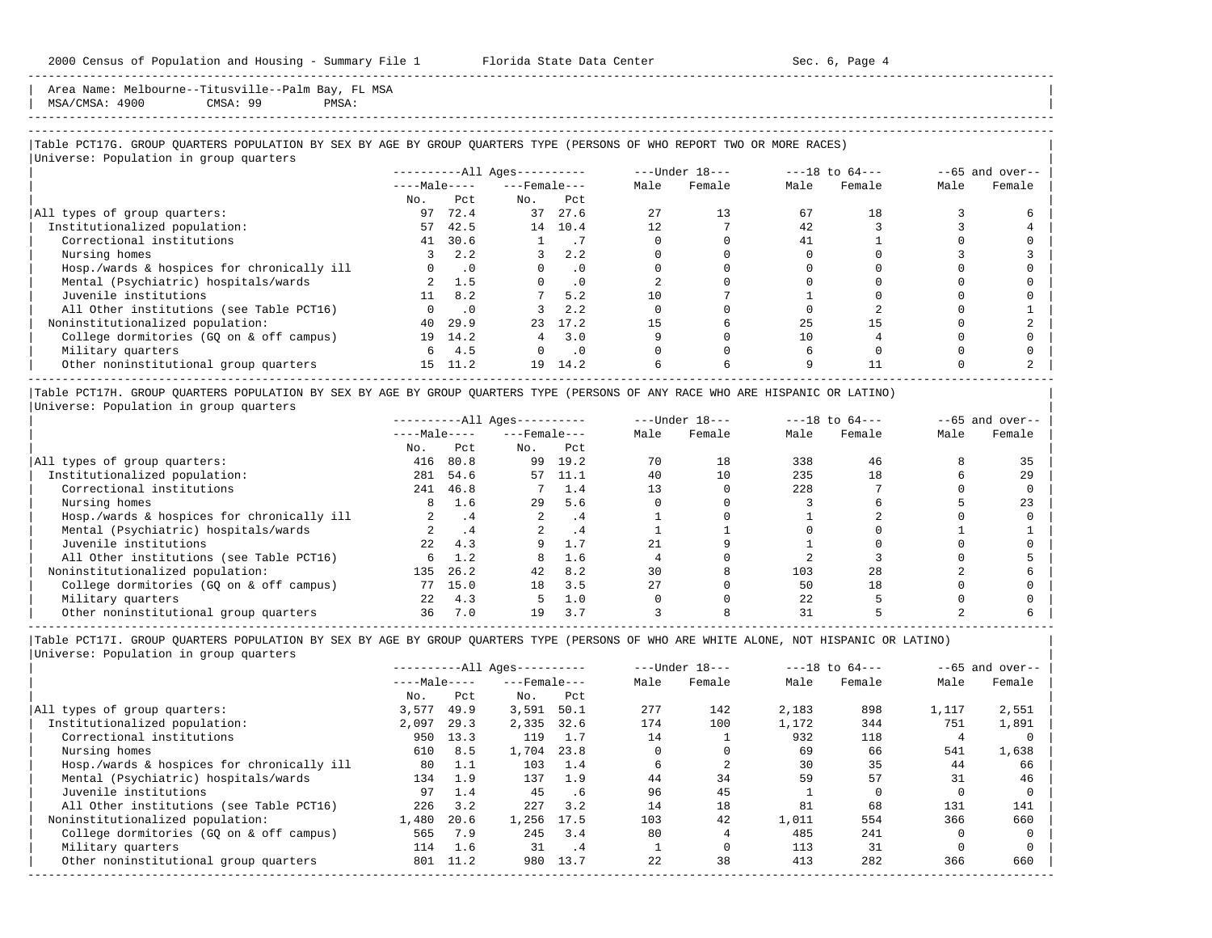Area Name: Melbourne--Titusville--Palm Bay, FL MSA | MSA/CMSA: 4900 CMSA: 99 PMSA: |

-----------------------------------------------------------------------------------------------------------------------------------------------------

|Table PCT17G. GROUP QUARTERS POPULATION BY SEX BY AGE BY GROUP QUARTERS TYPE (PERSONS OF WHO REPORT TWO OR MORE RACES) |

|                                            |              |           | ----------All Ages---------- |           |      | ---Under 18--- |      | $---18$ to $64---$ |      | $--65$ and over-- |
|--------------------------------------------|--------------|-----------|------------------------------|-----------|------|----------------|------|--------------------|------|-------------------|
|                                            | $---Male---$ |           | $---$ Female $---$           |           | Male | Female         | Male | Female             | Male | Female            |
|                                            | No.          | Pct.      | No.                          | Pct       |      |                |      |                    |      |                   |
| All types of group quarters:               | 97           | 72.4      | 37                           | 27.6      | 27   | 13             | 67   | 18                 |      |                   |
| Institutionalized population:              | 57           | 42.5      |                              | 14 10.4   | 12   |                | 42   |                    |      |                   |
| Correctional institutions                  | 41           | 30.6      |                              | $\cdot$ / |      |                | 41   |                    |      |                   |
| Nursing homes                              |              | 2.2       |                              | 2.2       |      |                |      |                    |      |                   |
| Hosp./wards & hospices for chronically ill |              | $\cdot$ 0 |                              | $\cdot$ 0 |      |                |      |                    |      |                   |
| Mental (Psychiatric) hospitals/wards       |              | 1.5       |                              | $\cdot$ 0 |      |                |      |                    |      |                   |
| Juvenile institutions                      | 11           | 8.2       |                              | 5.2       | 10   |                |      |                    |      |                   |
| All Other institutions (see Table PCT16)   |              | $\cdot$ 0 |                              | 2.2       |      |                |      |                    |      |                   |
| Noninstitutionalized population:           | 40           | 29.9      | 23                           | 17.2      | 15   |                | 25   |                    |      |                   |
| College dormitories (GO on & off campus)   |              | 19 14.2   |                              | 3.0       |      |                | 10   |                    |      |                   |
| Military quarters                          | 6.           | 4.5       |                              | $\cdot$ 0 |      |                |      |                    |      |                   |
| Other noninstitutional group quarters      |              | 15 11.2   | 19                           | 14.2      |      |                |      |                    |      |                   |

|Table PCT17H. GROUP QUARTERS POPULATION BY SEX BY AGE BY GROUP QUARTERS TYPE (PERSONS OF ANY RACE WHO ARE HISPANIC OR LATINO) | |Universe: Population in group quarters |

|                                            |                  |           | $------All Aqes------$ |      |      | $---Under 18---$ |      | $---18$ to $64---$ |      | $--65$ and over-- |
|--------------------------------------------|------------------|-----------|------------------------|------|------|------------------|------|--------------------|------|-------------------|
|                                            | $---Male---$     |           | $---$ Female $---$     |      | Male | Female           | Male | Female             | Male | Female            |
|                                            | No.              | Pct       | No.                    | Pct  |      |                  |      |                    |      |                   |
| All types of group quarters:               | 416              | 80.8      | 99                     | 19.2 | 70   | 18               | 338  | 46                 |      | 35                |
| Institutionalized population:              | 281              | 54.6      | 57                     | 11.1 | 40   |                  | 235  | 18                 |      | 29                |
| Correctional institutions                  | 241              | 46.8      |                        | 1.4  |      |                  | 228  |                    |      |                   |
| Nursing homes                              | 8                | 1.6       | 29                     | 5.6  |      |                  |      |                    |      | 23                |
| Hosp./wards & hospices for chronically ill |                  | . 4       |                        | . 4  |      |                  |      |                    |      |                   |
| Mental (Psychiatric) hospitals/wards       |                  | $\cdot$ 4 |                        | .4   |      |                  |      |                    |      |                   |
| Juvenile institutions                      | 2.2 <sub>1</sub> | 4.3       |                        |      |      |                  |      |                    |      |                   |
| All Other institutions (see Table PCT16)   | б.               | 1.2       | 8                      | 1.6  |      |                  |      |                    |      |                   |
| Noninstitutionalized population:           | 135              | 26.2      | 42                     | 8.2  | 30   |                  | 103  | 28                 |      |                   |
| College dormitories (GO on & off campus)   | 77               | 15.0      | 18                     | 3.5  | 2.7  |                  | 50   | 18                 |      |                   |
| Military quarters                          | 2.2.             | 4.3       |                        | 1.0  |      |                  | 22   |                    |      |                   |
| Other noninstitutional group quarters      | 36               | 7.0       | 19                     | 3.7  |      |                  | 31   |                    |      |                   |

-----------------------------------------------------------------------------------------------------------------------------------------------------

|                                            |              |      | $------All Aqes------$ |      |      | $---Under 18---$ |       | $---18$ to $64---$ |       | $--65$ and over-- |
|--------------------------------------------|--------------|------|------------------------|------|------|------------------|-------|--------------------|-------|-------------------|
|                                            | $---Male---$ |      | $---$ Female $---$     |      | Male | Female           | Male  | Female             | Male  | Female            |
|                                            | No.          | Pct  | No.                    | Pct  |      |                  |       |                    |       |                   |
| All types of group quarters:               | 3,577        | 49.9 | 3,591                  | 50.1 | 277  | 142              | 2,183 | 898                | 1,117 | 2,551             |
| Institutionalized population:              | 2,097        | 29.3 | 2,335                  | 32.6 | 174  | 100              | 1,172 | 344                | 751   | 1,891             |
| Correctional institutions                  | 950          | 13.3 | 119                    | 1.7  | 14   |                  | 932   | 118                |       |                   |
| Nursing homes                              | 610          | 8.5  | 1,704                  | 23.8 |      |                  | 69    | 66                 | 541   | 1,638             |
| Hosp./wards & hospices for chronically ill | 80           | 1.1  | 103                    | 1.4  |      |                  | 30    | 35                 | 44    | 66                |
| Mental (Psychiatric) hospitals/wards       | 134          | 1.9  | 137                    | 1.9  | 44   | 34               | 59    | 57                 | 31    | 46                |
| Juvenile institutions                      | 97           | 1.4  | 45                     | . 6  | 96   | 45               |       |                    |       |                   |
| All Other institutions (see Table PCT16)   | 226          | 3.2  | 227                    | 3.2  | 14   | 18               | 81    | 68                 | 131   | 141               |
| Noninstitutionalized population:           | 1,480        | 20.6 | 1,256                  | 17.5 | 103  | 42               | 1,011 | 554                | 366   | 660               |
| College dormitories (GO on & off campus)   | 565          | 7.9  | 245                    | 3.4  | 80   |                  | 485   | 241                |       |                   |
| Military quarters                          | 114          | 1.6  | 31                     | . 4  |      |                  | 113   | 31                 |       |                   |
| Other noninstitutional group quarters      | 801          | 11.2 | 980                    | 13.7 | 22   | 38               | 413   | 282                | 366   | 660               |
|                                            |              |      |                        |      |      |                  |       |                    |       |                   |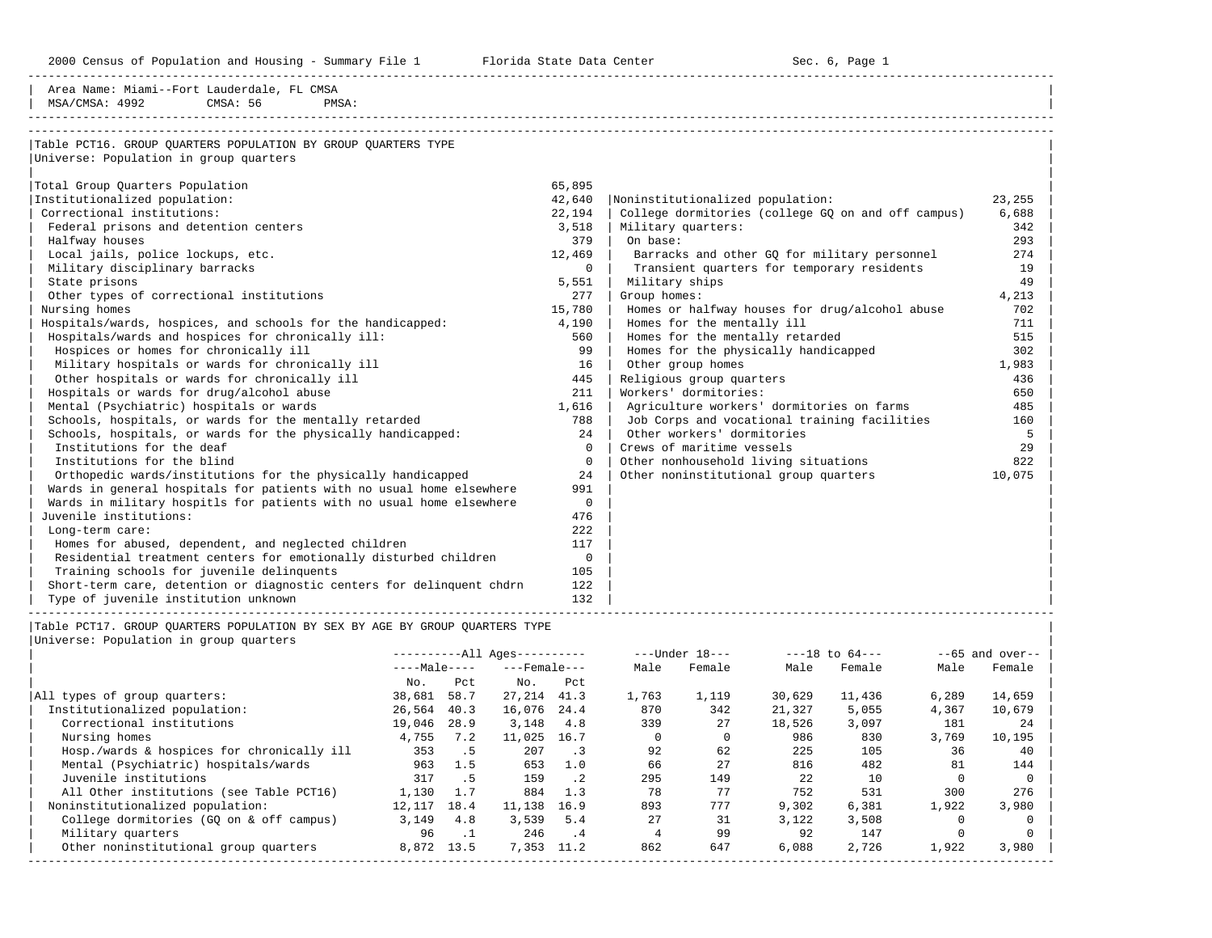2000 Census of Population and Housing - Summary File 1 Telorida State Data Center Sec. 6, Page 1 North Sec. 6, Page

Area Name: Miami--Fort Lauderdale, FL CMSA

-----------------------------------------------------------------------------------------------------------------------------------------------------

| PMSA:<br>MSA/CMSA: 4992<br>CMSA: 56                                                                                                  |                  |          |                        |                      |                |                            |                                                    |                    |                      |                    |
|--------------------------------------------------------------------------------------------------------------------------------------|------------------|----------|------------------------|----------------------|----------------|----------------------------|----------------------------------------------------|--------------------|----------------------|--------------------|
|                                                                                                                                      |                  |          |                        |                      |                |                            |                                                    |                    |                      |                    |
| Table PCT16. GROUP QUARTERS POPULATION BY GROUP QUARTERS TYPE                                                                        |                  |          |                        |                      |                |                            |                                                    |                    |                      |                    |
| Universe: Population in group quarters                                                                                               |                  |          |                        |                      |                |                            |                                                    |                    |                      |                    |
| Total Group Quarters Population                                                                                                      |                  |          |                        | 65,895               |                |                            |                                                    |                    |                      |                    |
| Institutionalized population:                                                                                                        |                  |          |                        | 42,640               |                |                            | Noninstitutionalized population:                   |                    |                      | 23,255             |
| Correctional institutions:                                                                                                           |                  |          |                        | 22,194               |                |                            | College dormitories (college GQ on and off campus) |                    |                      | 6,688              |
| Federal prisons and detention centers                                                                                                |                  |          |                        | 3,518                |                | Military quarters:         |                                                    |                    |                      | 342                |
| Halfway houses                                                                                                                       |                  |          |                        | 379                  | On base:       |                            |                                                    |                    |                      | 293                |
| Local jails, police lockups, etc.                                                                                                    |                  |          |                        | 12,469               |                |                            | Barracks and other GQ for military personnel       |                    |                      | 274                |
| Military disciplinary barracks                                                                                                       |                  |          |                        | $\mathbf 0$          |                |                            | Transient quarters for temporary residents         |                    |                      | 19                 |
| State prisons                                                                                                                        |                  |          |                        | 5,551                |                | Military ships             |                                                    |                    |                      | 49                 |
| Other types of correctional institutions                                                                                             |                  |          |                        | 277                  | Group homes:   |                            |                                                    |                    |                      | 4,213              |
| Nursing homes                                                                                                                        |                  |          |                        | 15,780               |                |                            | Homes or halfway houses for drug/alcohol abuse     |                    |                      | 702                |
| Hospitals/wards, hospices, and schools for the handicapped:                                                                          |                  |          |                        | 4,190                |                | Homes for the mentally ill |                                                    |                    |                      | 711                |
| Hospitals/wards and hospices for chronically ill:                                                                                    |                  |          |                        | 560                  |                |                            | Homes for the mentally retarded                    |                    |                      | 515                |
| Hospices or homes for chronically ill                                                                                                |                  |          |                        | 99                   |                |                            | Homes for the physically handicapped               |                    |                      | 302                |
| Military hospitals or wards for chronically ill                                                                                      |                  |          |                        | 16                   |                | Other group homes          |                                                    |                    |                      | 1,983              |
| Other hospitals or wards for chronically ill                                                                                         |                  |          |                        | 445                  |                | Religious group quarters   |                                                    |                    |                      | 436                |
| Hospitals or wards for drug/alcohol abuse                                                                                            |                  |          |                        | 211                  |                | Workers' dormitories:      |                                                    |                    |                      | 650                |
| Mental (Psychiatric) hospitals or wards                                                                                              |                  |          |                        | 1,616                |                |                            | Agriculture workers' dormitories on farms          |                    |                      | 485                |
| Schools, hospitals, or wards for the mentally retarded                                                                               |                  |          |                        | 788                  |                |                            | Job Corps and vocational training facilities       |                    |                      | 160                |
| Schools, hospitals, or wards for the physically handicapped:                                                                         |                  |          |                        | 24                   |                | Other workers' dormitories |                                                    |                    |                      | 5                  |
| Institutions for the deaf                                                                                                            |                  |          |                        | $\Omega$<br>$\Omega$ |                | Crews of maritime vessels  |                                                    |                    |                      | 29                 |
| Institutions for the blind                                                                                                           |                  |          |                        | 24                   |                |                            | Other nonhousehold living situations               |                    |                      | 822<br>10,075      |
| Orthopedic wards/institutions for the physically handicapped<br>Wards in general hospitals for patients with no usual home elsewhere |                  |          |                        | 991                  |                |                            | Other noninstitutional group quarters              |                    |                      |                    |
| Wards in military hospitls for patients with no usual home elsewhere                                                                 |                  |          |                        | $\mathbf 0$          |                |                            |                                                    |                    |                      |                    |
| Juvenile institutions:                                                                                                               |                  |          |                        | 476                  |                |                            |                                                    |                    |                      |                    |
| Long-term care:                                                                                                                      |                  |          |                        | 222                  |                |                            |                                                    |                    |                      |                    |
| Homes for abused, dependent, and neglected children                                                                                  |                  |          |                        | 117                  |                |                            |                                                    |                    |                      |                    |
| Residential treatment centers for emotionally disturbed children                                                                     |                  |          |                        | $\mathbf{0}$         |                |                            |                                                    |                    |                      |                    |
| Training schools for juvenile delinquents                                                                                            |                  |          |                        | 105                  |                |                            |                                                    |                    |                      |                    |
| Short-term care, detention or diagnostic centers for delinquent chdrn                                                                |                  |          |                        | 122                  |                |                            |                                                    |                    |                      |                    |
| Type of juvenile institution unknown                                                                                                 |                  |          |                        | 132                  |                |                            |                                                    |                    |                      |                    |
|                                                                                                                                      |                  |          |                        |                      |                |                            |                                                    |                    |                      |                    |
| Table PCT17. GROUP OUARTERS POPULATION BY SEX BY AGE BY GROUP OUARTERS TYPE                                                          |                  |          |                        |                      |                |                            |                                                    |                    |                      |                    |
| Universe: Population in group quarters                                                                                               |                  |          |                        |                      |                |                            |                                                    |                    |                      |                    |
|                                                                                                                                      |                  |          | $------All Ages------$ |                      |                | $---Under 18---$           |                                                    | $---18$ to $64---$ |                      | $- -65$ and over-- |
|                                                                                                                                      | $---Male---$     |          | $---$ Female $---$     |                      | Male           | Female                     | Male                                               | Female             | Male                 | Female             |
|                                                                                                                                      | No.              | Pct.     | No.                    | Pct.                 |                |                            |                                                    |                    |                      |                    |
| All types of group quarters:                                                                                                         | 38,681 58.7      |          | 27, 214 41.3           |                      | 1,763          | 1,119                      | 30,629                                             | 11,436             | 6,289                | 14,659             |
| Institutionalized population:                                                                                                        | 26,564 40.3      |          | 16,076 24.4            |                      | 870            | 342                        | 21,327                                             | 5,055              | 4,367                | 10,679             |
| Correctional institutions                                                                                                            | 19,046 28.9      |          | 3,148 4.8              |                      | 339            | 2.7                        | 18,526                                             | 3,097              | 181                  | 24                 |
| Nursing homes                                                                                                                        | 4,755 7.2        |          | 11,025 16.7            |                      | $\overline{0}$ | $\mathbf 0$                | 986                                                | 830                | 3,769                | 10,195             |
| Hosp./wards & hospices for chronically ill                                                                                           | 353              | .5       | 207                    | $\cdot$ 3            | 92             | 62                         | 225                                                | 105                | 36                   | 40                 |
| Mental (Psychiatric) hospitals/wards                                                                                                 |                  | 963 1.5  |                        | 653 1.0              | 66             | 2.7                        | 816                                                | 482                | 81                   | 144                |
| Juvenile institutions                                                                                                                | 317              | .5       |                        | 159 .2               | 295            | 149                        | 22                                                 | 10                 | $\mathbf 0$          | $\circ$            |
| All Other institutions (see Table PCT16)                                                                                             | 1,130            | 1.7      |                        | 884 1.3              | 78             | 77<br>777                  | 752                                                | 531                | 300                  | 276                |
| Noninstitutionalized population:                                                                                                     | 12, 117 18.4     |          | 11,138 16.9            |                      | 893<br>27      | 31                         | 9.302<br>3,122                                     | 6,381              | 1,922<br>$\mathbf 0$ | 3,980<br>$\Omega$  |
| College dormitories (GQ on & off campus)                                                                                             | $3,149$ 4.8      |          | 3,539 5.4              | $\cdot$ 4            | $\overline{4}$ | 99                         | 92                                                 | 3,508              | $\mathbf 0$          | $\mathbf 0$        |
| Military quarters<br>Other noninstitutional group quarters                                                                           | 96<br>8,872 13.5 | $\ldots$ | 246<br>$7.353$ 11.2    |                      | 862            | 647                        | 6,088                                              | 147<br>2,726       | 1,922                | 3,980              |
|                                                                                                                                      |                  |          |                        |                      |                |                            |                                                    |                    |                      |                    |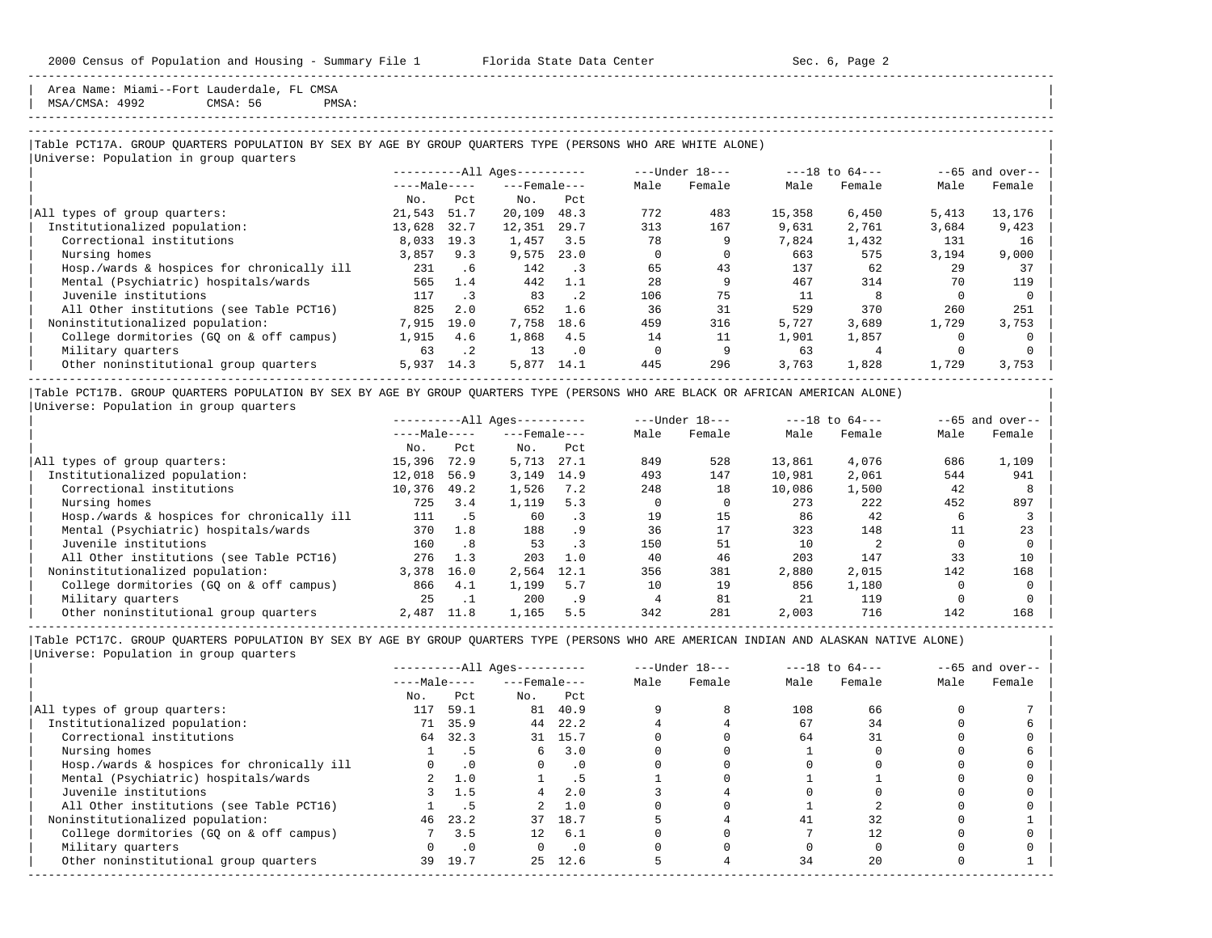Area Name: Miami--Fort Lauderdale, FL CMSA | MSA/CMSA: 4992 CMSA: 56 PMSA: |

-----------------------------------------------------------------------------------------------------------------------------------------------------

-----------------------------------------------------------------------------------------------------------------------------------------------------

#### |Table PCT17A. GROUP QUARTERS POPULATION BY SEX BY AGE BY GROUP QUARTERS TYPE (PERSONS WHO ARE WHITE ALONE) | |<br>|Universe: Population in group quarters

|                                            |              |           | ----------All Ages---------- |                              |      | ---Under 18--- |        | $---18$ to $64---$ |       | $--65$ and over-- |
|--------------------------------------------|--------------|-----------|------------------------------|------------------------------|------|----------------|--------|--------------------|-------|-------------------|
|                                            | $---Male---$ |           | $---$ Female $---$           |                              | Male | Female         | Male   | Female             | Male  | Female            |
|                                            | No.          | Pct       | No.                          | Pct                          |      |                |        |                    |       |                   |
| All types of group quarters:               | 21,543       | 51.7      | 20,109                       | 48.3                         | 772  | 483            | 15,358 | 6,450              | 5,413 | 13,176            |
| Institutionalized population:              | 13,628       | 32.7      | 12,351                       | 29.7                         | 313  | 167            | 9,631  | 2,761              | 3,684 | 9,423             |
| Correctional institutions                  | 8,033        | 19.3      | 1,457                        | 3.5                          | 78   | 9              | 7,824  | 1,432              | 131   | 16                |
| Nursing homes                              | 3,857        | 9.3       | 9,575                        | 23.0                         |      |                | 663    | 575                | 3,194 | 9,000             |
| Hosp./wards & hospices for chronically ill | 231          | . 6       | 142                          | $\overline{\phantom{a}}$ . 3 | 65   | 43             | 137    | 62                 | 29    | 37                |
| Mental (Psychiatric) hospitals/wards       | 565          | 1.4       | 442                          | 1.1                          | 28   | 9              | 467    | 314                | 70    | 119               |
| Juvenile institutions                      | 117          | $\cdot$ 3 | 83                           | $\cdot$ 2                    | 106  | 75             |        | 8                  |       |                   |
| All Other institutions (see Table PCT16)   | 825          | 2.0       | 652                          | 1.6                          | 36   | 31             | 529    | 370                | 260   | 251               |
| Noninstitutionalized population:           | 7,915        | 19.0      | 7,758                        | 18.6                         | 459  | 316            | 5,727  | 3,689              | 1,729 | 3,753             |
| College dormitories (GO on & off campus)   | 1,915        | 4.6       | 1,868                        | 4.5                          | 14   | 11             | 1,901  | 1,857              |       |                   |
| Military quarters                          | 63           | $\cdot$ 2 | 13                           | $\cdot$ 0                    |      |                | 63     |                    |       |                   |
| Other noninstitutional group quarters      | 5,937        | 14.3      | 5,877                        | 14.1                         | 445  | 296            | 3,763  | 1,828              | 1,729 | 3,753             |

|Table PCT17B. GROUP QUARTERS POPULATION BY SEX BY AGE BY GROUP QUARTERS TYPE (PERSONS WHO ARE BLACK OR AFRICAN AMERICAN ALONE) | |Universe: Population in group quarters |

|                                            |              |      | $------All Aqes------$ |      |      | $---Under 18---$ |        | $---18$ to $64---$ |      | $--65$ and over-- |
|--------------------------------------------|--------------|------|------------------------|------|------|------------------|--------|--------------------|------|-------------------|
|                                            | $---Male---$ |      | $---$ Female $---$     |      | Male | Female           | Male   | Female             | Male | Female            |
|                                            | No.          | Pct  | No.                    | Pct  |      |                  |        |                    |      |                   |
| All types of group quarters:               | 15,396       | 72.9 | 5,713                  | 27.1 | 849  | 528              | 13,861 | 4,076              | 686  | 1,109             |
| Institutionalized population:              | 12,018       | 56.9 | 3,149                  | 14.9 | 493  | 147              | 10,981 | 2,061              | 544  | 941               |
| Correctional institutions                  | 10,376       | 49.2 | 1,526                  | 7.2  | 248  | 18               | 10,086 | 1,500              | 42   |                   |
| Nursing homes                              | 725          | 3.4  | 1,119                  | 5.3  |      |                  | 273    | 222                | 452  | 897               |
| Hosp./wards & hospices for chronically ill | 111          | . 5  | 60                     | . 3  | 19   | 15               | 86     | 42                 | b    |                   |
| Mental (Psychiatric) hospitals/wards       | 370          | 1.8  | 188                    | . 9  | 36   | 17               | 323    | 148                |      | 23                |
| Juvenile institutions                      | 160          | .8   | 53                     | . 3  | 150  | 51               | 10     |                    |      |                   |
| All Other institutions (see Table PCT16)   | 276          | 1.3  | 203                    | 1.0  | 40   | 46               | 203    | 147                | 33   | 10                |
| Noninstitutionalized population:           | 3,378        | 16.0 | 2,564                  | 12.1 | 356  | 381              | 2,880  | 2,015              | 142  | 168               |
| College dormitories (GQ on & off campus)   | 866          | 4.1  | 1,199                  | 5.7  | 10   | 19               | 856    | 1,180              |      |                   |
| Military quarters                          | 25           |      | 200                    | . 9  |      | 81               | 21     | 119                |      |                   |
| Other noninstitutional group quarters      | 2,487        | 11.8 | 1,165                  | 5.5  | 342  | 281              | 2,003  | 716                | 142  | 168               |

-----------------------------------------------------------------------------------------------------------------------------------------------------

|                                            |              |           | $------All Aqes------$ |           |      | $---Under 18---$ |      | $---18$ to $64---$ |      | $--65$ and over-- |
|--------------------------------------------|--------------|-----------|------------------------|-----------|------|------------------|------|--------------------|------|-------------------|
|                                            | $---Male---$ |           | $---$ Female $---$     |           | Male | Female           | Male | Female             | Male | Female            |
|                                            | No.          | Pct       | No.                    | Pct       |      |                  |      |                    |      |                   |
| All types of group quarters:               | 117          | 59.1      |                        | 81 40.9   |      |                  | 108  | 66                 |      |                   |
| Institutionalized population:              | 71           | 35.9      | 44                     | 22.2      |      |                  | 67   | 34                 |      |                   |
| Correctional institutions                  | 64           | 32.3      |                        | 31 15.7   |      |                  | 64   | 31                 |      |                   |
| Nursing homes                              |              | . 5       | 6                      | 3.0       |      |                  |      |                    |      |                   |
| Hosp./wards & hospices for chronically ill |              | $\cdot$ 0 |                        | $\cdot$ 0 |      |                  |      |                    |      |                   |
| Mental (Psychiatric) hospitals/wards       |              | 1.0       |                        | . 5       |      |                  |      |                    |      |                   |
| Juvenile institutions                      |              | 1.5       |                        | 2.0       |      |                  |      |                    |      |                   |
| All Other institutions (see Table PCT16)   |              |           |                        | 1.0       |      |                  |      |                    |      |                   |
| Noninstitutionalized population:           | 46           | 23.2      | 37                     | 18.7      |      |                  | 41   | 32                 |      |                   |
| College dormitories (GQ on & off campus)   |              | 3.5       | 12 <sup>°</sup>        | 6.1       |      |                  |      |                    |      |                   |
| Military quarters                          |              | $\cdot$ 0 |                        | $\cdot$ 0 |      |                  |      |                    |      |                   |
| Other noninstitutional group quarters      | 39           | 19.7      | 25                     | 12.6      |      |                  | 34   | 2.0                |      |                   |
|                                            |              |           |                        |           |      |                  |      |                    |      |                   |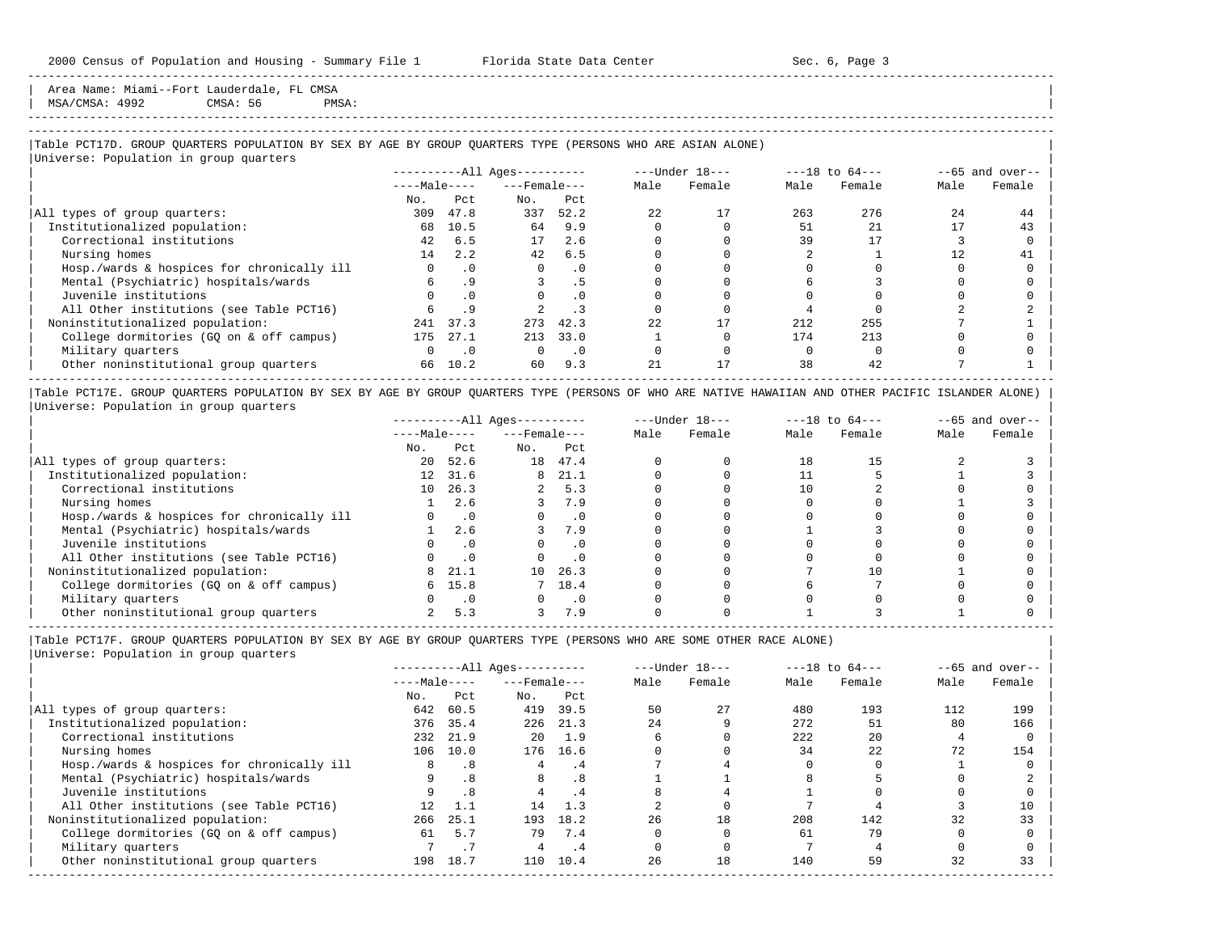Area Name: Miami--Fort Lauderdale, FL CMSA  $MSA/CMSA: 4992$  CMSA: 56 PMSA:

# -----------------------------------------------------------------------------------------------------------------------------------------------------

-----------------------------------------------------------------------------------------------------------------------------------------------------

## |Table PCT17D. GROUP QUARTERS POPULATION BY SEX BY AGE BY GROUP QUARTERS TYPE (PERSONS WHO ARE ASIAN ALONE) |

|                                            |              |           | $------All Aqes------$ |           |      | $---Under 18---$ |      | $---18$ to $64---$ |      | $--65$ and over-- |
|--------------------------------------------|--------------|-----------|------------------------|-----------|------|------------------|------|--------------------|------|-------------------|
|                                            | $---Male---$ |           | $---$ Female $---$     |           | Male | Female           | Male | Female             | Male | Female            |
|                                            | No.          | Pct.      | No.                    | Pct       |      |                  |      |                    |      |                   |
| All types of group quarters:               | 309          | 47.8      | 337                    | 52.2      | 22   | 17               | 263  | 276                | 2.4  | 44                |
| Institutionalized population:              | 68           | 10.5      | 64                     | 9.9       |      |                  | 51   | 2.1                | 17   | 43                |
| Correctional institutions                  | 42           | 6.5       | 17                     | 2.6       |      |                  | 39   |                    |      |                   |
| Nursing homes                              | 14           | 2.2       | 42                     | 6.5       |      |                  |      |                    |      | 41                |
| Hosp./wards & hospices for chronically ill | $\Omega$     | $\cdot$ 0 | $\Omega$               | $\cdot$ 0 |      |                  |      |                    |      |                   |
| Mental (Psychiatric) hospitals/wards       |              | .9        |                        | .5        |      |                  |      |                    |      |                   |
| Juvenile institutions                      |              | $\cdot$ 0 |                        | $\cdot$ 0 |      |                  |      |                    |      |                   |
| All Other institutions (see Table PCT16)   |              |           |                        |           |      |                  |      |                    |      |                   |
| Noninstitutionalized population:           | 241          | 37.3      | 273                    | 42.3      | 22   |                  | 212  | 255                |      |                   |
| College dormitories (GQ on & off campus)   | 175          | 27.1      | 213                    | 33.0      |      |                  | 174  | 213                |      |                   |
| Military quarters                          | $\Omega$     | $\cdot$ 0 | $\Omega$               | $\cdot$ 0 |      |                  |      |                    |      |                   |
| Other noninstitutional group quarters      | 66           | 10.2      | 60                     | 9.3       | 2.1  | 17               | 38   | 42                 |      |                   |

|Table PCT17E. GROUP QUARTERS POPULATION BY SEX BY AGE BY GROUP QUARTERS TYPE (PERSONS OF WHO ARE NATIVE HAWAIIAN AND OTHER PACIFIC ISLANDER ALONE) | |Universe: Population in group quarters |

|                                            | $------All Aqes------$ |           |                    |           | $---Under 18---$ |        | $---18$ to $64---$ |        | $- -65$ and over-- |        |
|--------------------------------------------|------------------------|-----------|--------------------|-----------|------------------|--------|--------------------|--------|--------------------|--------|
|                                            | $---Male---$           |           | $---$ Female $---$ |           | Male             | Female | Male               | Female | Male               | Female |
|                                            | No.                    | Pct       | No.                | Pct       |                  |        |                    |        |                    |        |
| All types of group quarters:               | 20                     | 52.6      | 18                 | 47.4      |                  |        | 18                 |        |                    |        |
| Institutionalized population:              | 12                     | 31.6      | 8                  | 21.1      |                  |        |                    |        |                    |        |
| Correctional institutions                  | 10                     | 26.3      |                    | 5.3       |                  |        |                    |        |                    |        |
| Nursing homes                              |                        | 2.6       |                    | 7.9       |                  |        |                    |        |                    |        |
| Hosp./wards & hospices for chronically ill |                        | $\cdot$ 0 |                    | $\cdot$ 0 |                  |        |                    |        |                    |        |
| Mental (Psychiatric) hospitals/wards       |                        | 2.6       |                    | 7.9       |                  |        |                    |        |                    |        |
| Juvenile institutions                      |                        | $\cdot$ 0 |                    | $\cdot$ 0 |                  |        |                    |        |                    |        |
| All Other institutions (see Table PCT16)   |                        |           |                    | $\cdot$ 0 |                  |        |                    |        |                    |        |
| Noninstitutionalized population:           | 8                      | 21.1      | 10                 | 26.3      |                  |        |                    |        |                    |        |
| College dormitories (GO on & off campus)   | б.                     | 15.8      |                    | 18.4      |                  |        |                    |        |                    |        |
| Military quarters                          |                        | $\cdot$ 0 |                    | $\cdot$ 0 |                  |        |                    |        |                    |        |
| Other noninstitutional group quarters      |                        | 5.3       |                    | 7.9       |                  |        |                    |        |                    |        |

----------------------------------------------------------------------------------------------------------------------------------------------------- |Table PCT17F. GROUP QUARTERS POPULATION BY SEX BY AGE BY GROUP QUARTERS TYPE (PERSONS WHO ARE SOME OTHER RACE ALONE) |

| $------All Aqes------$ |      |                 |      |                    |        |                  |        | $--65$ and over--  |        |
|------------------------|------|-----------------|------|--------------------|--------|------------------|--------|--------------------|--------|
| $---Male---$           |      |                 |      | Male               | Female | Male             | Female | Male               | Female |
| No.                    | Pct  | No.             | Pct  |                    |        |                  |        |                    |        |
| 642                    | 60.5 | 419             | 39.5 | 50                 | 27     | 480              | 193    | 112                | 199    |
|                        | 35.4 | 226             | 21.3 | 24                 |        | 272              | 51     | 80                 | 166    |
|                        |      | 20              | 1.9  |                    |        | 222              | 20     |                    |        |
| 106                    | 10.0 | 176             | 16.6 |                    |        | 34               | 22     | 72                 | 154    |
| 8                      | .8   |                 | .4   |                    |        |                  |        |                    |        |
|                        | .8   | 8               | . 8  |                    |        |                  |        |                    |        |
|                        | .8   |                 | . 4  |                    |        |                  |        |                    |        |
| 12.                    |      | 14              | 1.3  |                    |        |                  |        |                    | 10     |
| 266                    | 25.1 | 193             | 18.2 | 26                 | 18     | 208              | 142    | 32                 | 33     |
| 61                     | 5.7  | 79              | 7.4  |                    |        | 61               | 79     |                    |        |
|                        |      |                 | . 4  |                    |        |                  |        |                    |        |
| 198                    | 18.7 | 110             | 10.4 | 26                 | 18     | 140              | 59     | 32                 | 33     |
|                        |      | 376<br>232 21.9 |      | $---$ Female $---$ |        | $---Under 18---$ |        | $---18$ to $64---$ |        |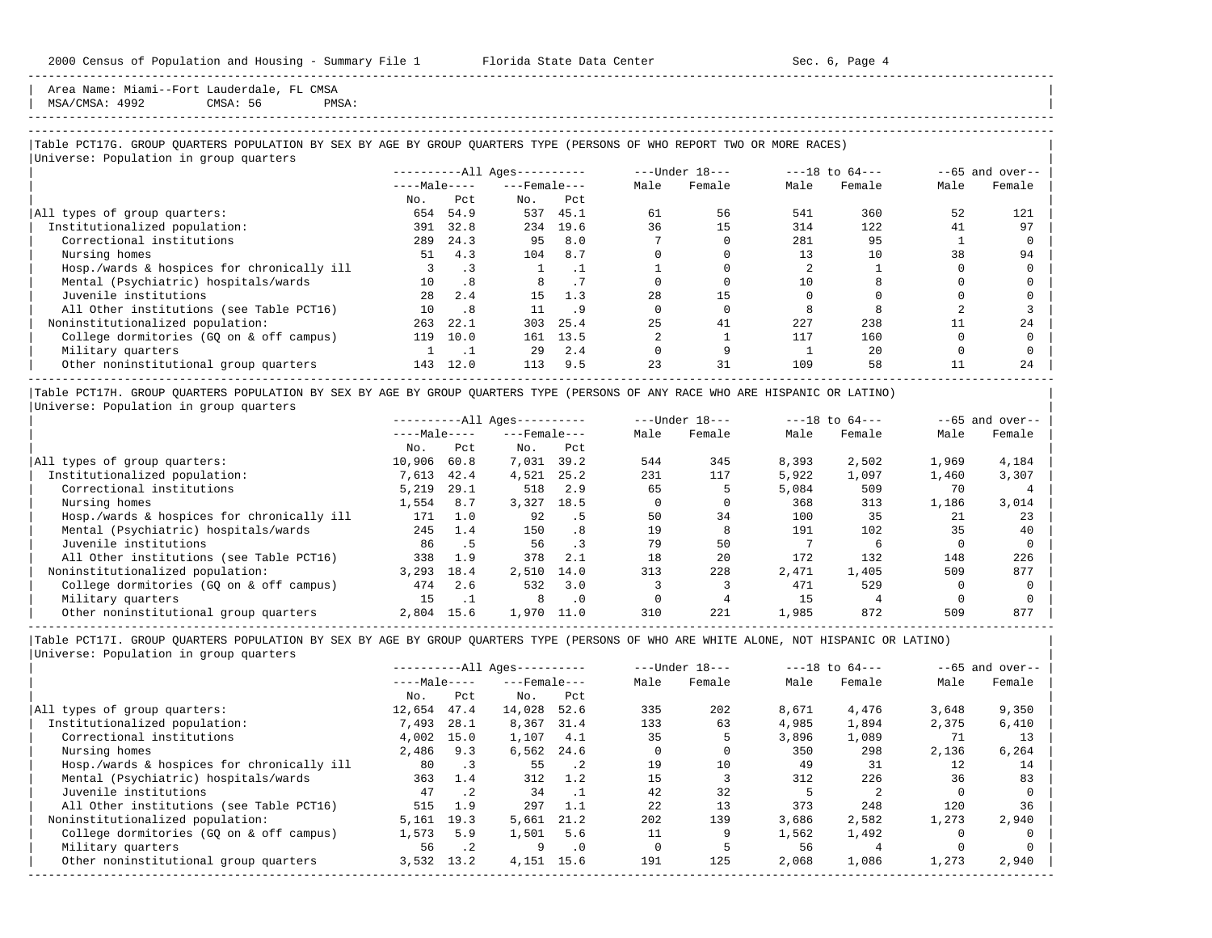Area Name: Miami--Fort Lauderdale, FL CMSA MSA/CMSA: 4992 CMSA: 56 PMSA:

-----------------------------------------------------------------------------------------------------------------------------------------------------

|Table PCT17G. GROUP QUARTERS POPULATION BY SEX BY AGE BY GROUP QUARTERS TYPE (PERSONS OF WHO REPORT TWO OR MORE RACES) |

| Universe: Population in group quarters     |              |      |                        |                  |      |        |                    |        |                   |        |
|--------------------------------------------|--------------|------|------------------------|------------------|------|--------|--------------------|--------|-------------------|--------|
|                                            |              |      | $------All Aqes------$ | $---Under 18---$ |      |        | $---18$ to $64---$ |        | $--65$ and over-- |        |
|                                            | $---Male---$ |      | $---$ Female $---$     |                  | Male | Female | Male               | Female | Male              | Female |
|                                            | No.          | Pct  | No.                    | Pct              |      |        |                    |        |                   |        |
| All types of group quarters:               | 654          | 54.9 | 537                    | 45.1             | 61   | 56     | 541                | 360    | 52                | 121    |
| Institutionalized population:              | 391          | 32.8 | 234                    | 19.6             | 36   | 15     | 314                | 122.   | 41                | 97     |
| Correctional institutions                  | 289          | 24.3 | 95                     | 8.0              |      |        | 281                | 95     |                   |        |
| Nursing homes                              | 51           | 4.3  | 104                    | 8.7              |      |        | 13                 | 10     | 38                | 94     |
| Hosp./wards & hospices for chronically ill |              | . 3  |                        |                  |      |        |                    |        |                   |        |
| Mental (Psychiatric) hospitals/wards       | 10           | .8   | 8                      | . 7              |      |        | 10                 |        |                   |        |
| Juvenile institutions                      | 2.8          | 2.4  | 15                     | 1.3              | 28   | 15     |                    |        |                   |        |
| All Other institutions (see Table PCT16)   | 10           | .8   |                        | .9               |      |        |                    |        |                   |        |
| Noninstitutionalized population:           | 263          | 22.1 | 303                    | 25.4             | 25   | 41     | 227                | 238    |                   | 24     |
| College dormitories (GO on & off campus)   | 119          | 10.0 | 161                    | 13.5             |      |        | 117                | 160    |                   |        |
| Military quarters                          |              |      | 29                     | 2.4              |      |        |                    | 20     |                   |        |
| Other noninstitutional group quarters      | 143          | 12.0 | 113                    | 9.5              | 23   | 31     | 109                | 58     |                   | 24     |

|Table PCT17H. GROUP QUARTERS POPULATION BY SEX BY AGE BY GROUP QUARTERS TYPE (PERSONS OF ANY RACE WHO ARE HISPANIC OR LATINO) | |Universe: Population in group quarters |

|                                            | $------All Aqes------$ |      |                    |           | $---Under 18---$ |        | $---18$ to $64---$ |        | $--65$ and over-- |        |
|--------------------------------------------|------------------------|------|--------------------|-----------|------------------|--------|--------------------|--------|-------------------|--------|
|                                            | $---Male---$           |      | $---$ Female $---$ |           | Male             | Female | Male               | Female | Male              | Female |
|                                            | No.                    | Pct  | No.                | Pct       |                  |        |                    |        |                   |        |
| All types of group quarters:               | 10,906                 | 60.8 | 7,031              | 39.2      | 544              | 345    | 8,393              | 2,502  | 1,969             | 4,184  |
| Institutionalized population:              | 7,613                  | 42.4 | 4,521              | 25.2      | 231              | 117    | 5,922              | 1,097  | 1,460             | 3,307  |
| Correctional institutions                  | 5,219                  | 29.1 | 518                | 2.9       | 65               |        | 5,084              | 509    | 70                |        |
| Nursing homes                              | 1,554                  | 8.7  | 3,327              | 18.5      |                  |        | 368                | 313    | 1,186             | 3,014  |
| Hosp./wards & hospices for chronically ill | 171                    | 1.0  | 92                 | . 5       | 50               | 34     | 100                | 35     | 21                | 23     |
| Mental (Psychiatric) hospitals/wards       | 245                    | 1.4  | 150                | .8        | 19               | 8      | 191                | 102    | 35                | 40     |
| Juvenile institutions                      | 86                     | . 5  | 56                 | $\cdot$ 3 | 79               | 50     |                    |        |                   |        |
| All Other institutions (see Table PCT16)   | 338                    | 1.9  | 378                | 2.1       | 18               | 20     | 172                | 132    | 148               | 226    |
| Noninstitutionalized population:           | 3,293                  | 18.4 | 2,510              | 14.0      | 313              | 228    | 2,471              | 1,405  | 509               | 877    |
| College dormitories (GO on & off campus)   | 474                    | 2.6  | 532                | 3.0       |                  |        | 471                | 529    |                   |        |
| Military quarters                          | 15                     | . .  | 8                  | $\cdot$ 0 |                  |        | 15                 |        |                   |        |
| Other noninstitutional group quarters      | 2,804                  | 15.6 | 1,970              | 11.0      | 310              | 221    | 1,985              | 872    | 509               | 877    |

-----------------------------------------------------------------------------------------------------------------------------------------------------

|                                            | $------All Aqes------$ |                              |                    |             | $---Under 18---$ |        | $---18$ to $64---$ |        | $--65$ and over-- |        |
|--------------------------------------------|------------------------|------------------------------|--------------------|-------------|------------------|--------|--------------------|--------|-------------------|--------|
|                                            | $---Male---$           |                              | $---$ Female $---$ |             | Male             | Female | Male               | Female | Male              | Female |
|                                            | No.                    | Pct                          | No.                | Pct         |                  |        |                    |        |                   |        |
| All types of group quarters:               | 12,654                 | 47.4                         | 14,028             | 52.6        | 335              | 202    | 8,671              | 4,476  | 3,648             | 9,350  |
| Institutionalized population:              | 7,493                  | 28.1                         | 8,367              | 31.4        | 133              | 63     | 4,985              | 1,894  | 2,375             | 6,410  |
| Correctional institutions                  | 4,002                  | 15.0                         | 1,107              | 4.1         | 35               | 5      | 3,896              | 1,089  | 71                | 13     |
| Nursing homes                              | 2,486                  | 9.3                          | 6,562              | 24.6        |                  |        | 350                | 298    | 2,136             | 6,264  |
| Hosp./wards & hospices for chronically ill | 80                     | $\overline{\phantom{a}}$ . 3 | 55                 | $\cdot$ . 2 | 19               | 10     | 49                 | 31     | 12                | 14     |
| Mental (Psychiatric) hospitals/wards       | 363                    | 1.4                          | 312                | 1.2         | 15               |        | 312                | 226    | 36                | 83     |
| Juvenile institutions                      | 47                     | .2                           | 34                 |             | 42               | 32     |                    |        |                   |        |
| All Other institutions (see Table PCT16)   | 515                    | 1.9                          | 297                | 1.1         | 22               | 13     | 373                | 248    | 120               | 36     |
| Noninstitutionalized population:           | 5,161                  | 19.3                         | 5,661              | 21.2        | 202              | 139    | 3,686              | 2,582  | 1,273             | 2,940  |
| College dormitories (GO on & off campus)   | 1,573                  | 5.9                          | 1,501              | 5.6         |                  |        | 1,562              | 1,492  |                   |        |
| Military quarters                          | 56                     | $\cdot$ . 2                  | 9                  | $\cdot$ 0   |                  |        | 56                 |        |                   |        |
| Other noninstitutional group quarters      | 3,532                  | 13.2                         | 4,151              | 15.6        | 191              | 125    | 2,068              | 1,086  | 1,273             | 2,940  |
|                                            |                        |                              |                    |             |                  |        |                    |        |                   |        |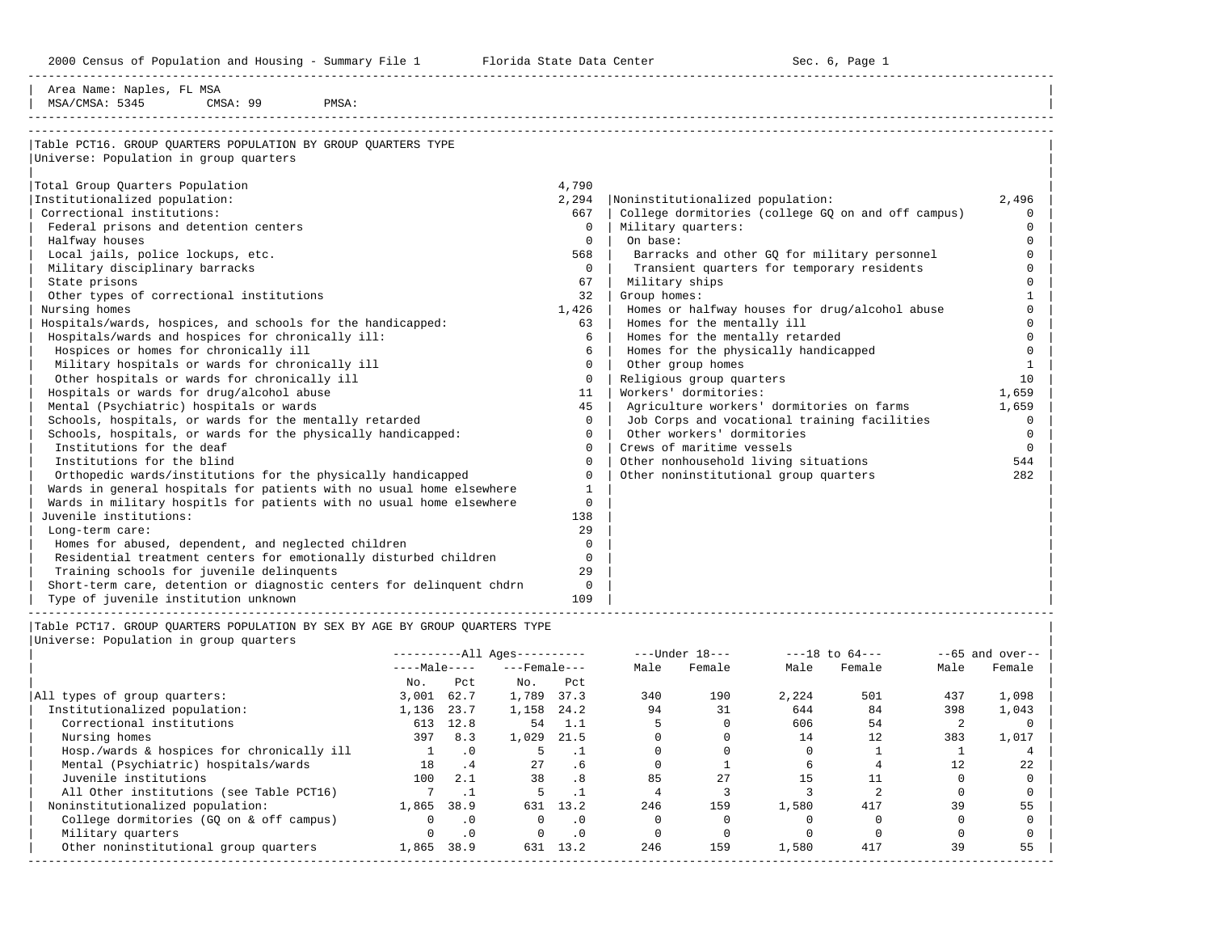2000 Census of Population and Housing - Summary File 1 Telorida State Data Center Sec. 6, Page 1 North Sec. 6, Page

-----------------------------------------------------------------------------------------------------------------------------------------------------

| Area Name: Naples, FL MSA                                             |              |                                                    |          |
|-----------------------------------------------------------------------|--------------|----------------------------------------------------|----------|
| MSA/CMSA: 5345<br>CMSA: 99<br>PMSA:                                   |              |                                                    |          |
|                                                                       |              |                                                    |          |
| Table PCT16. GROUP QUARTERS POPULATION BY GROUP QUARTERS TYPE         |              |                                                    |          |
| Universe: Population in group quarters                                |              |                                                    |          |
|                                                                       |              |                                                    |          |
| Total Group Quarters Population                                       | 4,790        |                                                    |          |
| Institutionalized population:                                         | 2,294        | Noninstitutionalized population:                   | 2,496    |
| Correctional institutions:                                            | 667          | College dormitories (college GO on and off campus) | $\Omega$ |
| Federal prisons and detention centers                                 | $\Omega$     | Military quarters:                                 |          |
| Halfway houses                                                        | $\Omega$     | On base:                                           |          |
| Local jails, police lockups, etc.                                     | 568          | Barracks and other GQ for military personnel       |          |
| Military disciplinary barracks                                        | $\Omega$     | Transient quarters for temporary residents         |          |
| State prisons                                                         | 67           | Military ships                                     |          |
| Other types of correctional institutions                              | 32           | Group homes:                                       |          |
| Nursing homes                                                         | 1,426        | Homes or halfway houses for drug/alcohol abuse     |          |
| Hospitals/wards, hospices, and schools for the handicapped:           | 63           | Homes for the mentally ill                         |          |
| Hospitals/wards and hospices for chronically ill:                     | б.           | Homes for the mentally retarded                    |          |
| Hospices or homes for chronically ill                                 | б.           | Homes for the physically handicapped               |          |
| Military hospitals or wards for chronically ill                       | $\Omega$     | Other group homes                                  |          |
| Other hospitals or wards for chronically ill                          | $\Omega$     | Religious group quarters                           | 10       |
| Hospitals or wards for drug/alcohol abuse                             | 11           | Workers' dormitories:                              | 1,659    |
| Mental (Psychiatric) hospitals or wards                               | 45           | Agriculture workers' dormitories on farms          | 1,659    |
| Schools, hospitals, or wards for the mentally retarded                | 0            | Job Corps and vocational training facilities       | $\Omega$ |
| Schools, hospitals, or wards for the physically handicapped:          | $\Omega$     | Other workers' dormitories                         | $\cap$   |
| Institutions for the deaf                                             | $\Omega$     | Crews of maritime vessels                          | $\cap$   |
| Institutions for the blind                                            | $\Omega$     | Other nonhousehold living situations               | 544      |
| Orthopedic wards/institutions for the physically handicapped          | $\Omega$     | Other noninstitutional group quarters              | 282      |
| Wards in general hospitals for patients with no usual home elsewhere  | $\mathbf{1}$ |                                                    |          |
| Wards in military hospitls for patients with no usual home elsewhere  | $\Omega$     |                                                    |          |
| Juvenile institutions:                                                | 138          |                                                    |          |
| Long-term care:                                                       | 29           |                                                    |          |
| Homes for abused, dependent, and neglected children                   | $\Omega$     |                                                    |          |
| Residential treatment centers for emotionally disturbed children      | $\Omega$     |                                                    |          |
| Training schools for juvenile delinquents                             | 29           |                                                    |          |
| Short-term care, detention or diagnostic centers for delinquent chdrn | $\mathbf 0$  |                                                    |          |
| Type of juvenile institution unknown                                  | 109          |                                                    |          |
|                                                                       |              |                                                    |          |

|Table PCT17. GROUP QUARTERS POPULATION BY SEX BY AGE BY GROUP QUARTERS TYPE | |<br>|Universe: Population in group quarters

|       |           | $------All Ages------$ |           |                    | $---Under 18---$ |       | $---18$ to $64---$ |      | $--65$ and over-- |
|-------|-----------|------------------------|-----------|--------------------|------------------|-------|--------------------|------|-------------------|
|       |           |                        |           | Male               | Female           | Male  | Female             | Male | Female            |
| No.   | Pct       | No.                    | Pct       |                    |                  |       |                    |      |                   |
| 3,001 | 62.7      | 1,789                  | 37.3      | 340                | 190              | 2,224 | 501                | 437  | 1,098             |
| 1,136 | 23.7      | 1,158                  | 24.2      | 94                 | 31               | 644   | 84                 | 398  | 1,043             |
| 613   | 12.8      | 54                     | 1.1       |                    |                  | 606   | 54                 |      |                   |
| 397   | 8.3       | 1,029                  | 21.5      |                    |                  | 14    | 12                 | 383  | 1,017             |
|       | $\cdot$ 0 | 5                      |           |                    |                  |       |                    |      |                   |
| 18    | .4        | 2.7                    | $.6 \,$   |                    |                  |       |                    | 12   | 2.2.              |
| 100   | 2.1       | 38                     | .8        | 85                 | 2.7              | 15    |                    |      |                   |
|       |           |                        |           |                    |                  |       |                    |      |                   |
| 1,865 | 38.9      | 631                    | 13.2      | 246                | 159              | 1,580 | 417                | 39   | 55                |
| 0     | $\cdot$ 0 | $\Omega$               | . 0       |                    |                  |       |                    |      |                   |
|       | $\cdot$ 0 |                        | $\cdot$ 0 |                    |                  |       |                    |      |                   |
| 1,865 | 38.9      | 631                    | 13.2      | 246                | 159              | 1,580 | 417                | 39   | 55                |
|       |           | $---Male---$           |           | $---$ Female $---$ |                  |       |                    |      |                   |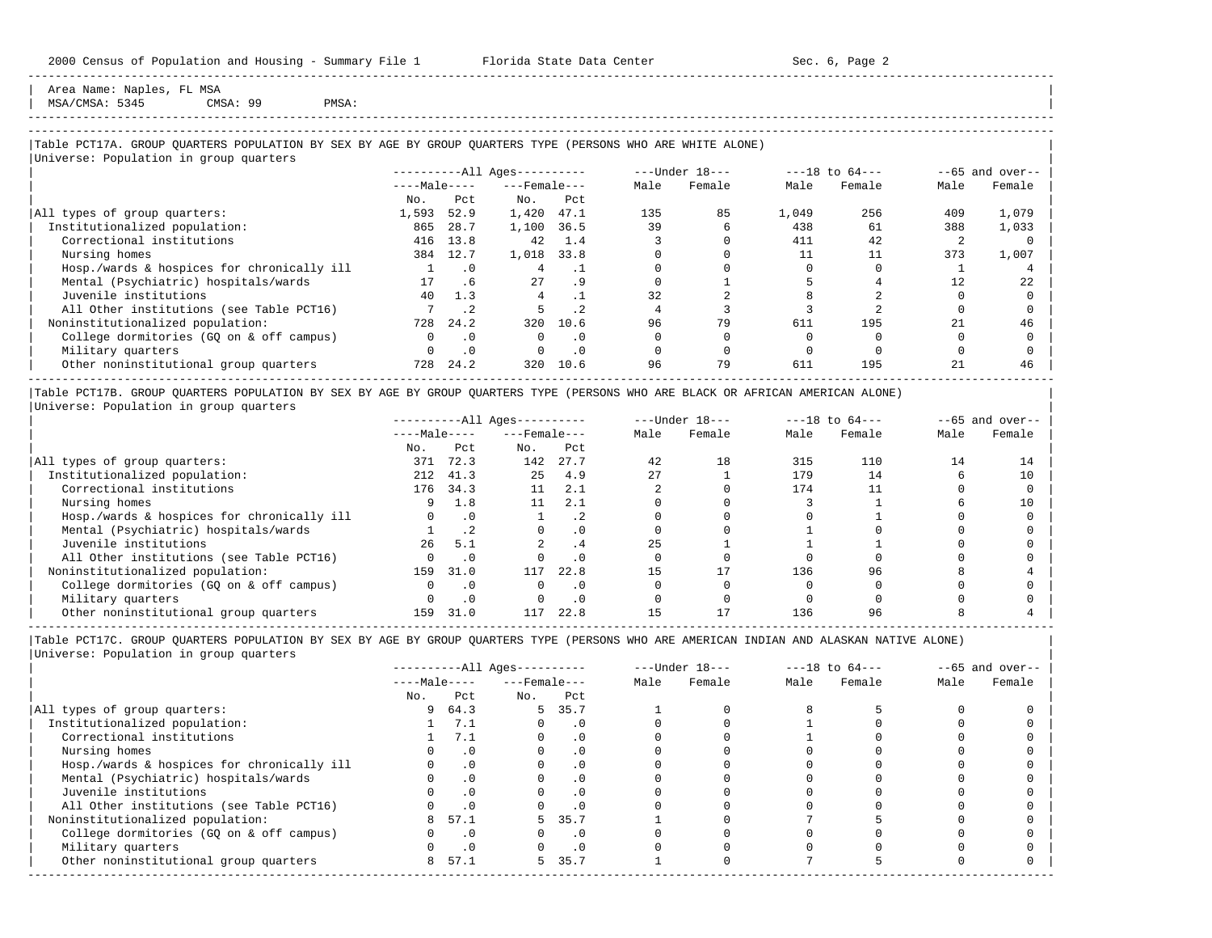Area Name: Naples, FL MSA MSA/CMSA: 5345 CMSA: 99 PMSA:

### ----------------------------------------------------------------------------------------------------------------------------------------------------- -----------------------------------------------------------------------------------------------------------------------------------------------------

-----------------------------------------------------------------------------------------------------------------------------------------------------

## |Table PCT17A. GROUP QUARTERS POPULATION BY SEX BY AGE BY GROUP QUARTERS TYPE (PERSONS WHO ARE WHITE ALONE) |

|                                            |              |           | $------All Aqes------$ |           |      | $---Under 18---$ |       | $---18$ to $64---$ |      | $--65$ and over-- |
|--------------------------------------------|--------------|-----------|------------------------|-----------|------|------------------|-------|--------------------|------|-------------------|
|                                            | $---Male---$ |           | $---$ Female $---$     |           | Male | Female           | Male  | Female             | Male | Female            |
|                                            | No.          | Pct.      | No.                    | Pct       |      |                  |       |                    |      |                   |
| All types of group quarters:               | 1,593        | 52.9      | 1,420                  | 47.1      | 135  | 85               | 1,049 | 256                | 409  | 1,079             |
| Institutionalized population:              | 865          | 28.7      | 1,100                  | 36.5      | 39   |                  | 438   | 61                 | 388  | 1,033             |
| Correctional institutions                  | 416          | 13.8      | 42                     | 1.4       |      |                  | 411   | 42                 |      |                   |
| Nursing homes                              | 384          | 12.7      | 1,018                  | 33.8      |      |                  | 11    | 11                 | 373  | 1,007             |
| Hosp./wards & hospices for chronically ill |              | $\cdot$ 0 | 4                      |           |      |                  |       |                    |      |                   |
| Mental (Psychiatric) hospitals/wards       | 17           | . 6       | 27                     | . 9       |      |                  |       |                    | 12   | 22                |
| Juvenile institutions                      | 40           | 1.3       |                        |           | 32   |                  |       |                    |      |                   |
| All Other institutions (see Table PCT16)   |              | $\cdot$ 2 |                        | $\cdot$ 2 |      |                  |       |                    |      |                   |
| Noninstitutionalized population:           | 728          | 24.2      | 320                    | 10.6      | 96   | 79               | 611   | 195                | 21   | 46                |
| College dormitories (GO on & off campus)   |              | $\cdot$ 0 | $\Omega$               | $\cdot$ 0 |      |                  |       |                    |      |                   |
| Military quarters                          |              | $\cdot$ 0 | $\Omega$               | $\cdot$ 0 |      |                  |       |                    |      |                   |
| Other noninstitutional group quarters      | 728          | 24.2      | 320                    | 10.6      | 96   | 79               | 611   | 195                | 21   | 46                |

|Table PCT17B. GROUP QUARTERS POPULATION BY SEX BY AGE BY GROUP QUARTERS TYPE (PERSONS WHO ARE BLACK OR AFRICAN AMERICAN ALONE) | |Universe: Population in group quarters |

|                                            |              |      | $------All Ages------$ |           |      | $---Under 18---$ |      | $---18$ to $64---$ |      | $- -65$ and over-- |
|--------------------------------------------|--------------|------|------------------------|-----------|------|------------------|------|--------------------|------|--------------------|
|                                            | $---Male---$ |      | $---$ Female $---$     |           | Male | Female           | Male | Female             | Male | Female             |
|                                            | No.          | Pct  | No.                    | Pct       |      |                  |      |                    |      |                    |
| All types of group quarters:               | 371          | 72.3 | 142                    | 27.7      | 42   | 18               | 315  | 110                | 14   |                    |
| Institutionalized population:              | 212          | 41.3 | 2.5                    | 4.9       | 2.7  |                  | 179  | 14                 |      | 10                 |
| Correctional institutions                  | 176          | 34.3 | 11                     | 2.1       |      |                  | 174  |                    |      |                    |
| Nursing homes                              |              | 1.8  | 11                     | 2.1       |      |                  |      |                    |      | 10                 |
| Hosp./wards & hospices for chronically ill |              | . 0  |                        | . 4       |      |                  |      |                    |      |                    |
| Mental (Psychiatric) hospitals/wards       |              | . 2  |                        | . 0       |      |                  |      |                    |      |                    |
| Juvenile institutions                      | 26           | 5.1  |                        | . 4       | 25   |                  |      |                    |      |                    |
| All Other institutions (see Table PCT16)   |              |      |                        | $\cdot$ 0 |      |                  |      |                    |      |                    |
| Noninstitutionalized population:           | 159          | 31.0 | 117                    | 22.8      |      |                  | 136  | 96                 |      |                    |
| College dormitories (GO on & off campus)   |              |      |                        | $\cdot$ 0 |      |                  |      |                    |      |                    |
| Military quarters                          |              | .0   |                        | . 0       |      |                  |      |                    |      |                    |
| Other noninstitutional group quarters      | 159          | 31.0 | 117                    | 22.8      |      |                  | 136  |                    |      |                    |

|                                            |              |           | $------All Aqes------$ |           |      | $---Under 18---$ |      | $---18$ to $64---$ |      | $- -65$ and over-- |
|--------------------------------------------|--------------|-----------|------------------------|-----------|------|------------------|------|--------------------|------|--------------------|
|                                            | $---Male---$ |           | $---$ Female $---$     |           | Male | Female           | Male | Female             | Male | Female             |
|                                            | No.          | Pct       | No.                    | Pct       |      |                  |      |                    |      |                    |
| All types of group quarters:               | 9            | 64.3      |                        | 5 35.7    |      |                  |      |                    |      |                    |
| Institutionalized population:              |              | 7.1       |                        | . 0       |      |                  |      |                    |      |                    |
| Correctional institutions                  |              | 7.1       |                        | . 0       |      |                  |      |                    |      |                    |
| Nursing homes                              |              |           |                        | . 0       |      |                  |      |                    |      |                    |
| Hosp./wards & hospices for chronically ill |              |           |                        | . 0       |      |                  |      |                    |      |                    |
| Mental (Psychiatric) hospitals/wards       |              | $\cdot$ 0 |                        | . 0       |      |                  |      |                    |      |                    |
| Juvenile institutions                      |              |           |                        | $\cdot$ 0 |      |                  |      |                    |      |                    |
| All Other institutions (see Table PCT16)   |              |           |                        |           |      |                  |      |                    |      |                    |
| Noninstitutionalized population:           |              | 57.1      | 5.                     | 35.7      |      |                  |      |                    |      |                    |
| College dormitories (GQ on & off campus)   |              | $\cdot$ 0 |                        | . 0       |      |                  |      |                    |      |                    |
| Military quarters                          |              |           |                        | . 0       |      |                  |      |                    |      |                    |
| Other noninstitutional group quarters      | 8            | 57.1      | 5.                     | 35.7      |      |                  |      |                    |      |                    |
|                                            |              |           |                        |           |      |                  |      |                    |      |                    |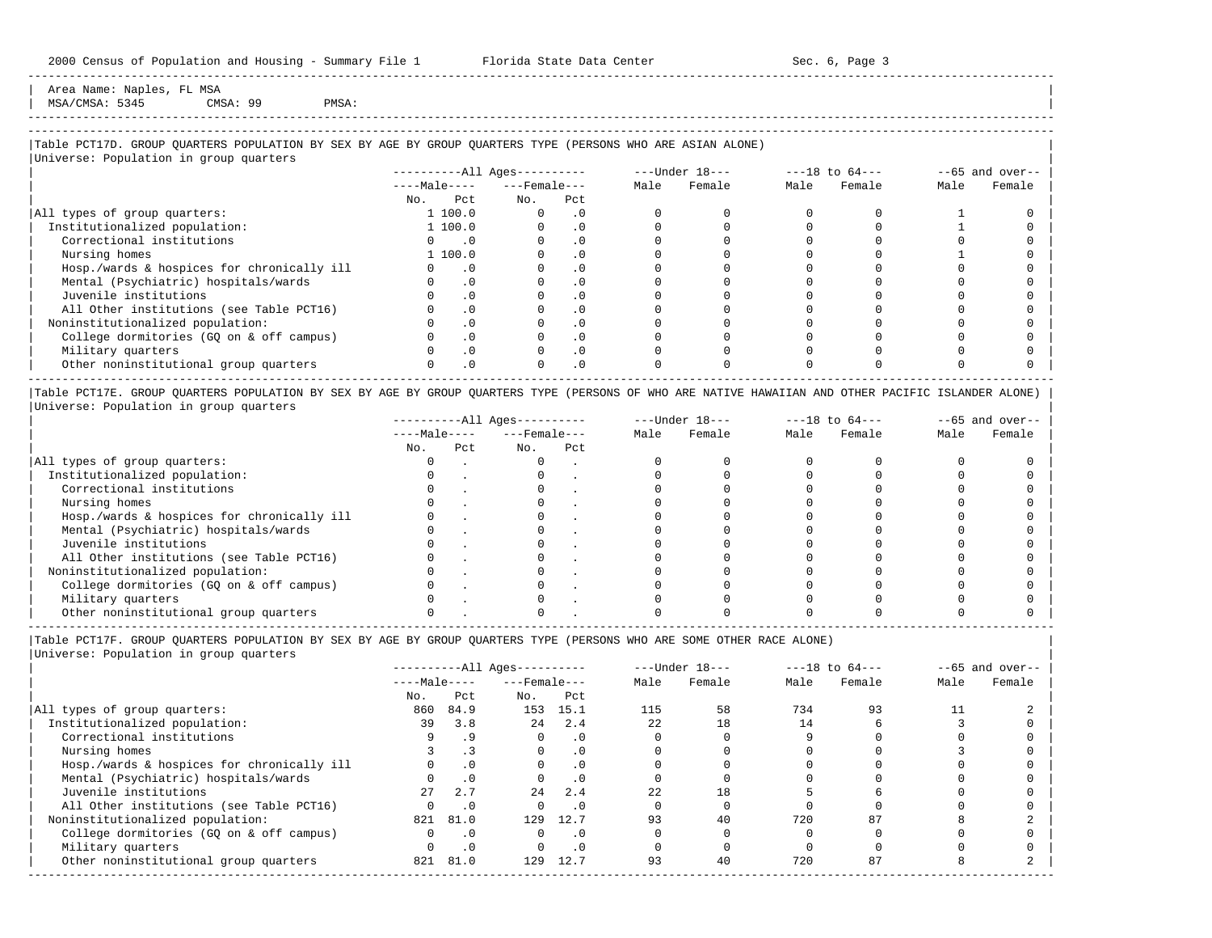Area Name: Naples, FL MSA MSA/CMSA: 5345 CMSA: 99 PMSA:

# -----------------------------------------------------------------------------------------------------------------------------------------------------

-----------------------------------------------------------------------------------------------------------------------------------------------------

## |Table PCT17D. GROUP QUARTERS POPULATION BY SEX BY AGE BY GROUP QUARTERS TYPE (PERSONS WHO ARE ASIAN ALONE) |

|                                            | $------All Aqes------$ |                             |                    |           |      | $---Under 18---$ |      | $---18$ to $64---$ |      | $--65$ and over-- |
|--------------------------------------------|------------------------|-----------------------------|--------------------|-----------|------|------------------|------|--------------------|------|-------------------|
|                                            | $---Male---$           |                             | $---$ Female $---$ |           | Male | Female           | Male | Female             | Male | Female            |
|                                            | No.                    | Pct                         | No.                | Pct       |      |                  |      |                    |      |                   |
| All types of group quarters:               | 1 100.0                |                             | $\Omega$           | $\cdot$ 0 |      |                  |      |                    |      |                   |
| Institutionalized population:              | 1 100.0                |                             |                    | $\cdot$ 0 |      |                  |      |                    |      |                   |
| Correctional institutions                  |                        | $\overline{\phantom{0}}$ .0 |                    | $\cdot$ 0 |      |                  |      |                    |      |                   |
| Nursing homes                              | 1 100.0                |                             |                    | $\cdot$ 0 |      |                  |      |                    |      |                   |
| Hosp./wards & hospices for chronically ill |                        | $\cdot$ 0                   |                    | $\cdot$ 0 |      |                  |      |                    |      |                   |
| Mental (Psychiatric) hospitals/wards       |                        | $\cdot$ 0                   |                    | .0        |      |                  |      |                    |      |                   |
| Juvenile institutions                      |                        | $\cdot$ 0                   |                    | $\cdot$ 0 |      |                  |      |                    |      |                   |
| All Other institutions (see Table PCT16)   |                        | $\cdot$ 0                   |                    | $\cdot$ 0 |      |                  |      |                    |      |                   |
| Noninstitutionalized population:           |                        | $\cdot$ 0                   |                    | $\cdot$ 0 |      |                  |      |                    |      |                   |
| College dormitories (GQ on & off campus)   |                        | $\cdot$ 0                   |                    | $\cdot$ 0 |      |                  |      |                    |      |                   |
| Military quarters                          |                        | $\cdot$ 0                   |                    | $\cdot$ 0 |      |                  |      |                    |      |                   |
| Other noninstitutional group quarters      |                        | $\cdot$ 0                   |                    | $\cdot$ 0 |      |                  |      |                    |      |                   |

|Table PCT17E. GROUP QUARTERS POPULATION BY SEX BY AGE BY GROUP QUARTERS TYPE (PERSONS OF WHO ARE NATIVE HAWAIIAN AND OTHER PACIFIC ISLANDER ALONE) | |Universe: Population in group quarters |

|                                            |              |     | $------All Aqes------$ |     |      | $---Under 18---$ |      | $---18$ to $64---$ |      | $--65$ and over-- |
|--------------------------------------------|--------------|-----|------------------------|-----|------|------------------|------|--------------------|------|-------------------|
|                                            | $---Male---$ |     | $---$ Female $---$     |     | Male | Female           | Male | Female             | Male | Female            |
|                                            | No.          | Pct | No.                    | Pct |      |                  |      |                    |      |                   |
| All types of group quarters:               |              |     |                        |     |      |                  |      |                    |      |                   |
| Institutionalized population:              |              |     |                        |     |      |                  |      |                    |      |                   |
| Correctional institutions                  |              |     |                        |     |      |                  |      |                    |      |                   |
| Nursing homes                              |              |     |                        |     |      |                  |      |                    |      |                   |
| Hosp./wards & hospices for chronically ill |              |     |                        |     |      |                  |      |                    |      |                   |
| Mental (Psychiatric) hospitals/wards       |              |     |                        |     |      |                  |      |                    |      |                   |
| Juvenile institutions                      |              |     |                        |     |      |                  |      |                    |      |                   |
| All Other institutions (see Table PCT16)   |              |     |                        |     |      |                  |      |                    |      |                   |
| Noninstitutionalized population:           |              |     |                        |     |      |                  |      |                    |      |                   |
| College dormitories (GO on & off campus)   |              |     |                        |     |      |                  |      |                    |      |                   |
| Military quarters                          |              |     |                        |     |      |                  |      |                    |      |                   |
| Other noninstitutional group quarters      |              |     |                        |     |      |                  |      |                    |      |                   |

-----------------------------------------------------------------------------------------------------------------------------------------------------

|Table PCT17F. GROUP QUARTERS POPULATION BY SEX BY AGE BY GROUP QUARTERS TYPE (PERSONS WHO ARE SOME OTHER RACE ALONE) |

|                                            |              |           | ----------All Ages---------- |           |      | $---Under 18---$ |      | $---18$ to $64---$ |      | $--65$ and over-- |
|--------------------------------------------|--------------|-----------|------------------------------|-----------|------|------------------|------|--------------------|------|-------------------|
|                                            | $---Male---$ |           | $---$ Female $---$           |           | Male | Female           | Male | Female             | Male | Female            |
|                                            | No.          | Pct       | No.                          | Pct       |      |                  |      |                    |      |                   |
| All types of group quarters:               | 860          | 84.9      |                              | 153 15.1  | 115  | 58               | 734  | 93                 |      |                   |
| Institutionalized population:              | 39           | 3.8       | 24                           | 2.4       | 22   | 18               | 14   |                    |      |                   |
| Correctional institutions                  |              | .9        |                              | $\cdot$ 0 |      |                  |      |                    |      |                   |
| Nursing homes                              |              |           | $\Omega$                     | .0        |      |                  |      |                    |      |                   |
| Hosp./wards & hospices for chronically ill |              | $\cdot$ 0 |                              | $\cdot$ 0 |      |                  |      |                    |      |                   |
| Mental (Psychiatric) hospitals/wards       |              | $\cdot$ 0 |                              |           |      |                  |      |                    |      |                   |
| Juvenile institutions                      | $27^{\circ}$ | 2.7       | 2.4                          | 2.4       | 2.2  | 18               |      |                    |      |                   |
| All Other institutions (see Table PCT16)   |              | .0        |                              | $\cdot$ 0 |      |                  |      |                    |      |                   |
| Noninstitutionalized population:           | 821          | 81.0      | 129                          | 12.7      | 93   | 40               | 720  | 87                 |      |                   |
| College dormitories (GQ on & off campus)   |              | . 0       | 0                            | . 0       |      |                  |      |                    |      |                   |
| Military quarters                          |              | $\cdot$ 0 |                              | $\cdot$ 0 |      |                  |      |                    |      |                   |
| Other noninstitutional group quarters      | 821          | 81.0      | 129                          | 12.7      | 93   | 40               | 720  | 87                 |      |                   |
|                                            |              |           |                              |           |      |                  |      |                    |      |                   |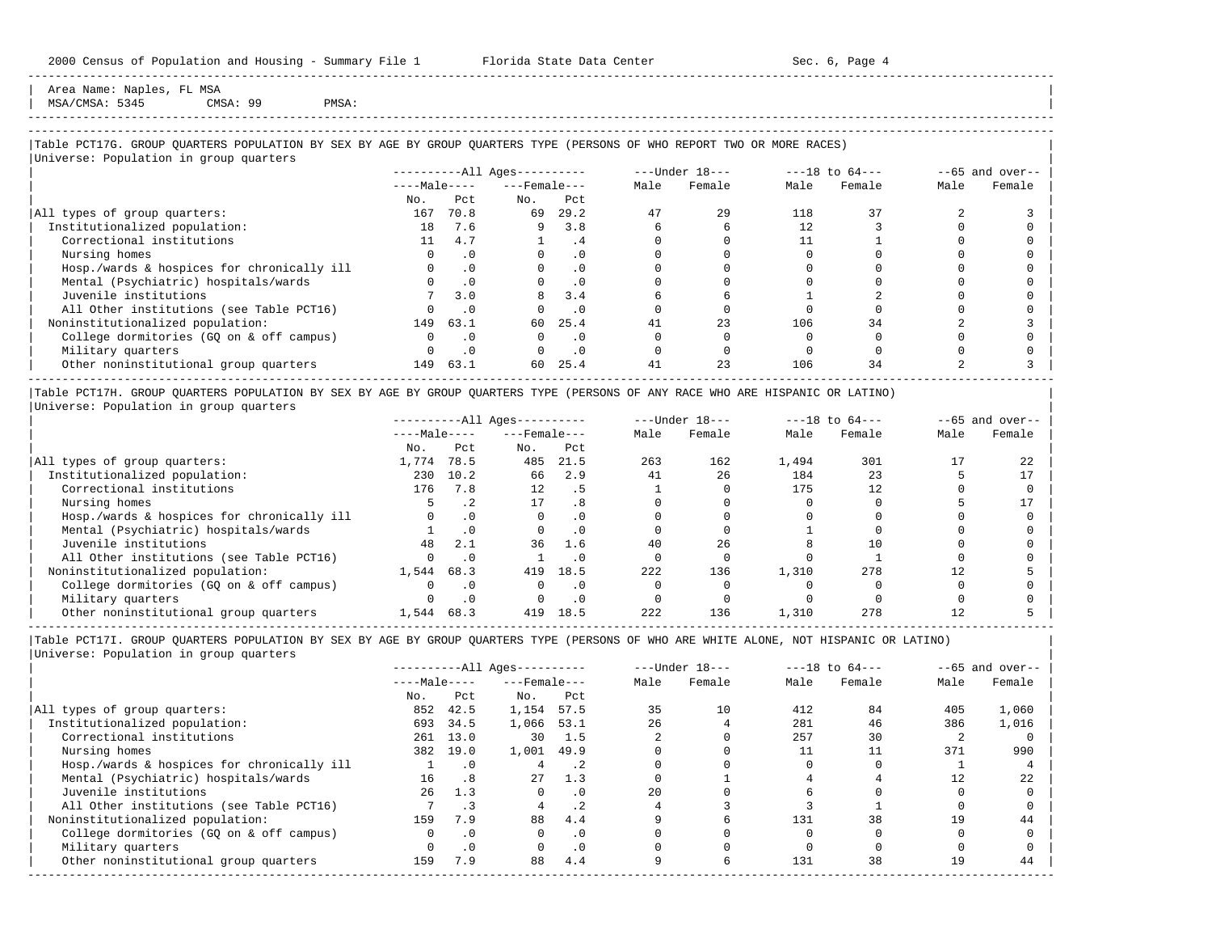Area Name: Naples, FL MSA MSA/CMSA: 5345 CMSA: 99 PMSA:

-----------------------------------------------------------------------------------------------------------------------------------------------------

## |Table PCT17G. GROUP QUARTERS POPULATION BY SEX BY AGE BY GROUP QUARTERS TYPE (PERSONS OF WHO REPORT TWO OR MORE RACES) |

|                                            |              |           | $------All Ages------$ |           |      | $---Under 18---$ |      | $---18$ to $64---$ |      | $--65$ and over-- |
|--------------------------------------------|--------------|-----------|------------------------|-----------|------|------------------|------|--------------------|------|-------------------|
|                                            | $---Male---$ |           | $---$ Female $---$     |           | Male | Female           | Male | Female             | Male | Female            |
|                                            | No.          | Pct.      | No.                    | Pct       |      |                  |      |                    |      |                   |
| All types of group quarters:               | 167          | 70.8      | 69                     | 29.2      | 47   | 29               | 118  | 37                 |      |                   |
| Institutionalized population:              | 18           | 7.6       | 9                      | 3.8       |      |                  |      |                    |      |                   |
| Correctional institutions                  |              | 4.7       |                        | . 4       |      |                  |      |                    |      |                   |
| Nursing homes                              |              | $\cdot$ 0 |                        | $\cdot$ 0 |      |                  |      |                    |      |                   |
| Hosp./wards & hospices for chronically ill |              | $\cdot$ 0 |                        | . 0       |      |                  |      |                    |      |                   |
| Mental (Psychiatric) hospitals/wards       |              | $\cdot$ 0 |                        | $\cdot$ 0 |      |                  |      |                    |      |                   |
| Juvenile institutions                      |              | 3.0       | 8                      | 3.4       |      |                  |      |                    |      |                   |
| All Other institutions (see Table PCT16)   |              | $\cdot$ 0 |                        | $\cdot$ 0 |      |                  |      |                    |      |                   |
| Noninstitutionalized population:           | 149          | 63.1      | 60                     | 25.4      |      | 23               | 106  | 34                 |      |                   |
| College dormitories (GQ on & off campus)   |              | $\cdot$ 0 |                        | $\cdot$ 0 |      |                  |      |                    |      |                   |
| Military quarters                          |              | $\cdot$ 0 | $\Omega$               | $\cdot$ 0 |      |                  |      |                    |      |                   |
| Other noninstitutional group quarters      | 149          | 63.1      | 60                     | 25.4      | 41   | 23               | 106  | 34                 |      |                   |

|Table PCT17H. GROUP QUARTERS POPULATION BY SEX BY AGE BY GROUP QUARTERS TYPE (PERSONS OF ANY RACE WHO ARE HISPANIC OR LATINO) | |Universe: Population in group quarters |

|                                            |              |           | $------All Aqes------$ |           |      | $---Under 18---$ |       | $---18$ to $64---$ |      | $- -65$ and over-- |
|--------------------------------------------|--------------|-----------|------------------------|-----------|------|------------------|-------|--------------------|------|--------------------|
|                                            | $---Male---$ |           | $---$ Female $---$     |           | Male | Female           | Male  | Female             | Male | Female             |
|                                            | No.          | Pct       | No.                    | Pct       |      |                  |       |                    |      |                    |
| All types of group quarters:               | 1,774        | 78.5      | 485                    | 21.5      | 263  | 162              | 1,494 | 301                |      |                    |
| Institutionalized population:              | 230          | 10.2      | 66                     | 2.9       | 41   | 26               | 184   | 23                 |      |                    |
| Correctional institutions                  | 176          | 7.8       | 12                     | . 5       |      |                  | 175   | 12                 |      |                    |
| Nursing homes                              |              | $\cdot$ 2 | 17                     | . 8       |      |                  |       |                    |      |                    |
| Hosp./wards & hospices for chronically ill |              |           |                        | . 0       |      |                  |       |                    |      |                    |
| Mental (Psychiatric) hospitals/wards       |              | $\cdot$ 0 |                        | $\cdot$ 0 |      |                  |       |                    |      |                    |
| Juvenile institutions                      | 48           | 2.1       | 36                     | 1.6       | 40   | 26               |       |                    |      |                    |
| All Other institutions (see Table PCT16)   |              | $\cdot$ 0 |                        | $\Omega$  |      |                  |       |                    |      |                    |
| Noninstitutionalized population:           | 1,544        | 68.3      | 419                    | 18.5      | 222  | 136              | 1,310 | 278                |      |                    |
| College dormitories (GQ on & off campus)   |              |           |                        | $\Omega$  |      |                  |       |                    |      |                    |
| Military quarters                          |              |           |                        |           |      |                  |       |                    |      |                    |
| Other noninstitutional group quarters      | 1,544        | 68.3      | 419                    | 18.5      | 222  | 136              | 1,310 | 278                |      |                    |

-----------------------------------------------------------------------------------------------------------------------------------------------------

|Table PCT17I. GROUP QUARTERS POPULATION BY SEX BY AGE BY GROUP QUARTERS TYPE (PERSONS OF WHO ARE WHITE ALONE, NOT HISPANIC OR LATINO) | |Universe: Population in group quarters |

|                                            |              |           | $------All Ages------$ |           |      | $---Under 18---$ |      | $---18$ to $64---$ |      | $--65$ and over-- |
|--------------------------------------------|--------------|-----------|------------------------|-----------|------|------------------|------|--------------------|------|-------------------|
|                                            | $---Male---$ |           | $---$ Female $---$     |           | Male | Female           | Male | Female             | Male | Female            |
|                                            | No.          | Pct       | No.                    | Pct       |      |                  |      |                    |      |                   |
| All types of group quarters:               | 852          | 42.5      | 1,154                  | 57.5      | 35   | 10               | 412  | 84                 | 405  | 1,060             |
| Institutionalized population:              | 693          | 34.5      | 1,066                  | 53.1      | 2.6  |                  | 281  | 46                 | 386  | 1,016             |
| Correctional institutions                  | 261          | 13.0      | 30                     | 1.5       |      |                  | 257  | 30                 |      |                   |
| Nursing homes                              | 382          | 19.0      | 1,001                  | 49.9      |      |                  |      |                    | 371  | 990               |
| Hosp./wards & hospices for chronically ill |              | $\cdot$ 0 |                        | . 2       |      |                  |      |                    |      |                   |
| Mental (Psychiatric) hospitals/wards       | 16           | .8        | 27                     | 1.3       |      |                  |      |                    |      | 22                |
| Juvenile institutions                      | 26           | 1.3       |                        |           | 2.0  |                  |      |                    |      |                   |
| All Other institutions (see Table PCT16)   |              |           |                        | $\cdot$ 2 |      |                  |      |                    |      |                   |
| Noninstitutionalized population:           | 159          | 7.9       | 88                     | 4.4       |      |                  | 131  | 38                 | 19   | 44                |
| College dormitories (GQ on & off campus)   |              | $\cdot$ 0 |                        | $\cdot$ 0 |      |                  |      |                    |      |                   |
| Military quarters                          |              | $\cdot$ 0 |                        | $\cdot$ 0 |      |                  |      |                    |      |                   |
| Other noninstitutional group quarters      | 159          | 7.9       | 88                     | 4.4       |      |                  | 131  | 38                 | 19   | 44                |
|                                            |              |           |                        |           |      |                  |      |                    |      |                   |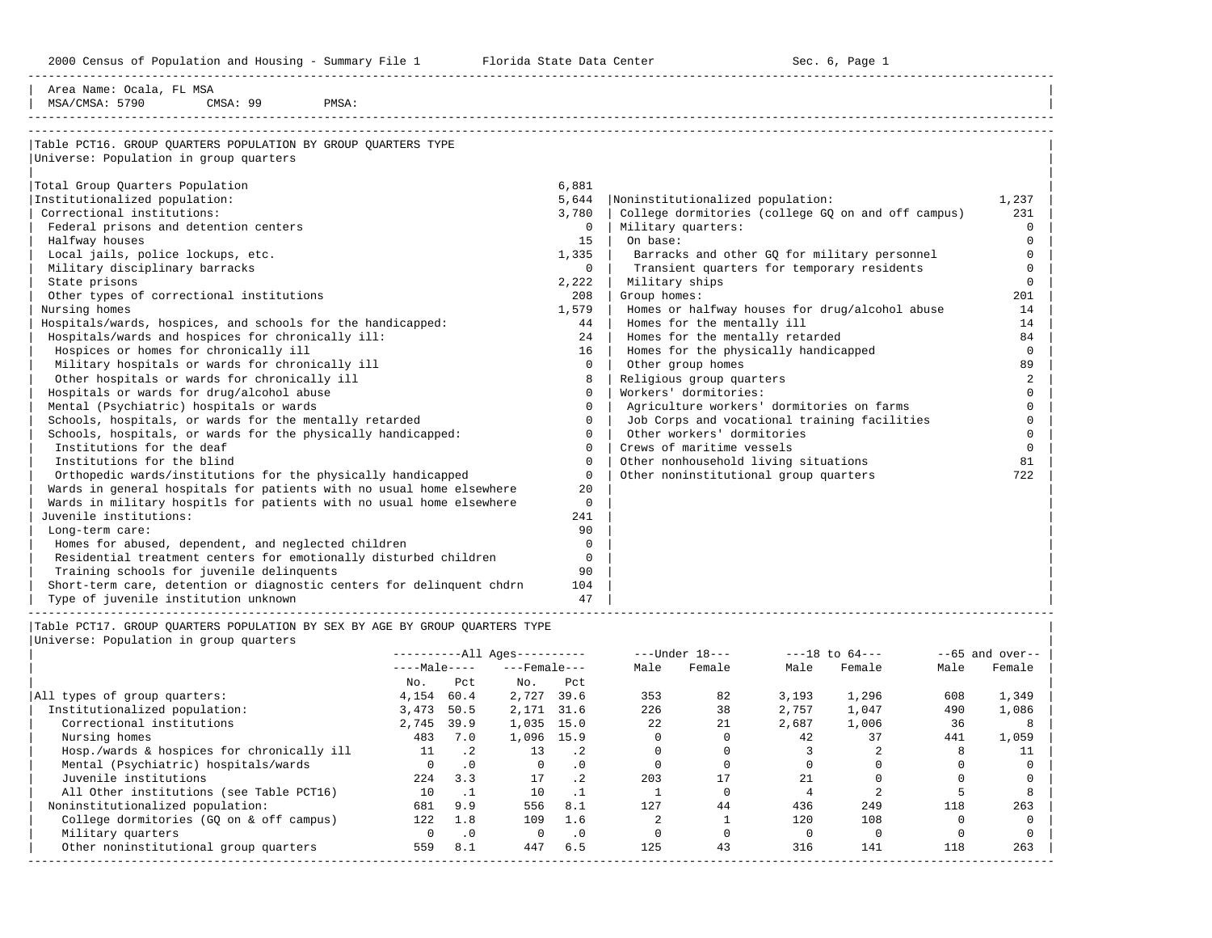2000 Census of Population and Housing - Summary File 1 Florida State Data Center Sec. 6, Page 1

-----------------------------------------------------------------------------------------------------------------------------------------------------

| Area Name: Ocala, FL MSA                                              |              |                                                    |                |
|-----------------------------------------------------------------------|--------------|----------------------------------------------------|----------------|
| MSA/CMSA: 5790<br>CMSA: 99<br>PMSA:                                   |              |                                                    |                |
|                                                                       |              |                                                    |                |
| Table PCT16. GROUP OUARTERS POPULATION BY GROUP OUARTERS TYPE         |              |                                                    |                |
| Universe: Population in group quarters                                |              |                                                    |                |
|                                                                       |              |                                                    |                |
| Total Group Quarters Population                                       | 6,881        |                                                    |                |
| Institutionalized population:                                         | 5,644        | Noninstitutionalized population:                   | 1,237          |
| Correctional institutions:                                            | 3,780        | College dormitories (college GO on and off campus) | 231            |
| Federal prisons and detention centers                                 | $\mathbf{0}$ | Military quarters:                                 | $\Omega$       |
| Halfway houses                                                        | 15           | On base:                                           | $\Omega$       |
| Local jails, police lockups, etc.                                     | 1,335        | Barracks and other GQ for military personnel       |                |
| Military disciplinary barracks                                        | $\Omega$     | Transient quarters for temporary residents         | $\Omega$       |
| State prisons                                                         | 2,222        | Military ships                                     | $\Omega$       |
| Other types of correctional institutions                              | 208          | Group homes:                                       | 201            |
| Nursing homes                                                         | 1,579        | Homes or halfway houses for drug/alcohol abuse     | 14             |
| Hospitals/wards, hospices, and schools for the handicapped:           | 44           | Homes for the mentally ill                         | 14             |
| Hospitals/wards and hospices for chronically ill:                     | 24           | Homes for the mentally retarded                    | 84             |
| Hospices or homes for chronically ill                                 | 16           | Homes for the physically handicapped               | $\Omega$       |
| Military hospitals or wards for chronically ill                       | $\Omega$     | Other group homes                                  | 89             |
| Other hospitals or wards for chronically ill                          | 8            | Religious group quarters                           | $\mathfrak{D}$ |
| Hospitals or wards for drug/alcohol abuse                             | $\Omega$     | Workers' dormitories:                              | $\cap$         |
| Mental (Psychiatric) hospitals or wards                               | $\Omega$     | Agriculture workers' dormitories on farms          |                |
| Schools, hospitals, or wards for the mentally retarded                | $\Omega$     | Job Corps and vocational training facilities       | $\cap$         |
| Schools, hospitals, or wards for the physically handicapped:          | $\Omega$     | Other workers' dormitories                         | $\Omega$       |
| Institutions for the deaf                                             | $\Omega$     | Crews of maritime vessels                          | $\Omega$       |
| Institutions for the blind                                            | $\Omega$     | Other nonhousehold living situations               | 81             |
| Orthopedic wards/institutions for the physically handicapped          | $\Omega$     | Other noninstitutional group quarters              | 722            |
| Wards in general hospitals for patients with no usual home elsewhere  | 20           |                                                    |                |
| Wards in military hospitls for patients with no usual home elsewhere  | $\mathbf{0}$ |                                                    |                |
| Juvenile institutions:                                                | 241          |                                                    |                |
| Long-term care:                                                       | 90           |                                                    |                |
| Homes for abused, dependent, and neglected children                   | $\mathbf 0$  |                                                    |                |
| Residential treatment centers for emotionally disturbed children      | $\Omega$     |                                                    |                |
| Training schools for juvenile delinquents                             | 90           |                                                    |                |
| Short-term care, detention or diagnostic centers for delinquent chdrn | 104          |                                                    |                |
| Type of juvenile institution unknown                                  | 47           |                                                    |                |

|Table PCT17. GROUP QUARTERS POPULATION BY SEX BY AGE BY GROUP QUARTERS TYPE | |<br>|Universe: Population in group quarters

|                                            |              |           | ----------All Ages---------- |                 |      | $---Under 18---$ |       | $---18$ to $64---$ |      | $--65$ and over-- |
|--------------------------------------------|--------------|-----------|------------------------------|-----------------|------|------------------|-------|--------------------|------|-------------------|
|                                            | $---Male---$ |           | $---$ Female $---$           |                 | Male | Female           | Male  | Female             | Male | Female            |
|                                            | No.          | Pct       | No.                          | Pct             |      |                  |       |                    |      |                   |
| All types of group quarters:               | 4,154        | 60.4      | 2,727                        | 39.6            | 353  | 82               | 3,193 | 1,296              | 608  | 1,349             |
| Institutionalized population:              | 3,473        | 50.5      | 2,171                        | 31.6            | 226  | 38               | 2,757 | 1,047              | 490  | 1,086             |
| Correctional institutions                  | 2,745        | 39.9      | 1,035 15.0                   |                 | 22   | 21               | 2,687 | 1,006              | 36   |                   |
| Nursing homes                              | 483          | 7.0       | 1,096 15.9                   |                 |      |                  | 42    | 37                 | 441  | 1,059             |
| Hosp./wards & hospices for chronically ill | 11           | $\cdot$ 2 | 13                           | . 2             |      |                  |       |                    | 8    |                   |
| Mental (Psychiatric) hospitals/wards       | $\Omega$     | $\cdot$ 0 | $\Omega$                     | $\cdot$ 0       |      |                  |       |                    |      |                   |
| Juvenile institutions                      | 224          | 3.3       | 17                           | .2 <sub>2</sub> | 203  |                  | 21    |                    |      |                   |
| All Other institutions (see Table PCT16)   | 10           |           | 10                           |                 |      |                  |       |                    |      |                   |
| Noninstitutionalized population:           | 681          | 9.9       | 556                          | 8.1             | 127  | 44               | 436   | 249                | 118  | 263               |
| College dormitories (GO on & off campus)   | 122          | 1.8       | 109                          | 1.6             |      |                  | 120   | 108                |      |                   |
| Military quarters                          | <sup>n</sup> | $\cdot$ 0 | $\Omega$                     | .0              |      |                  |       |                    |      |                   |
| Other noninstitutional group quarters      | 559          | 8.1       | 447                          | 6.5             | 125  | 43               | 316   | 141                | 118  | 263               |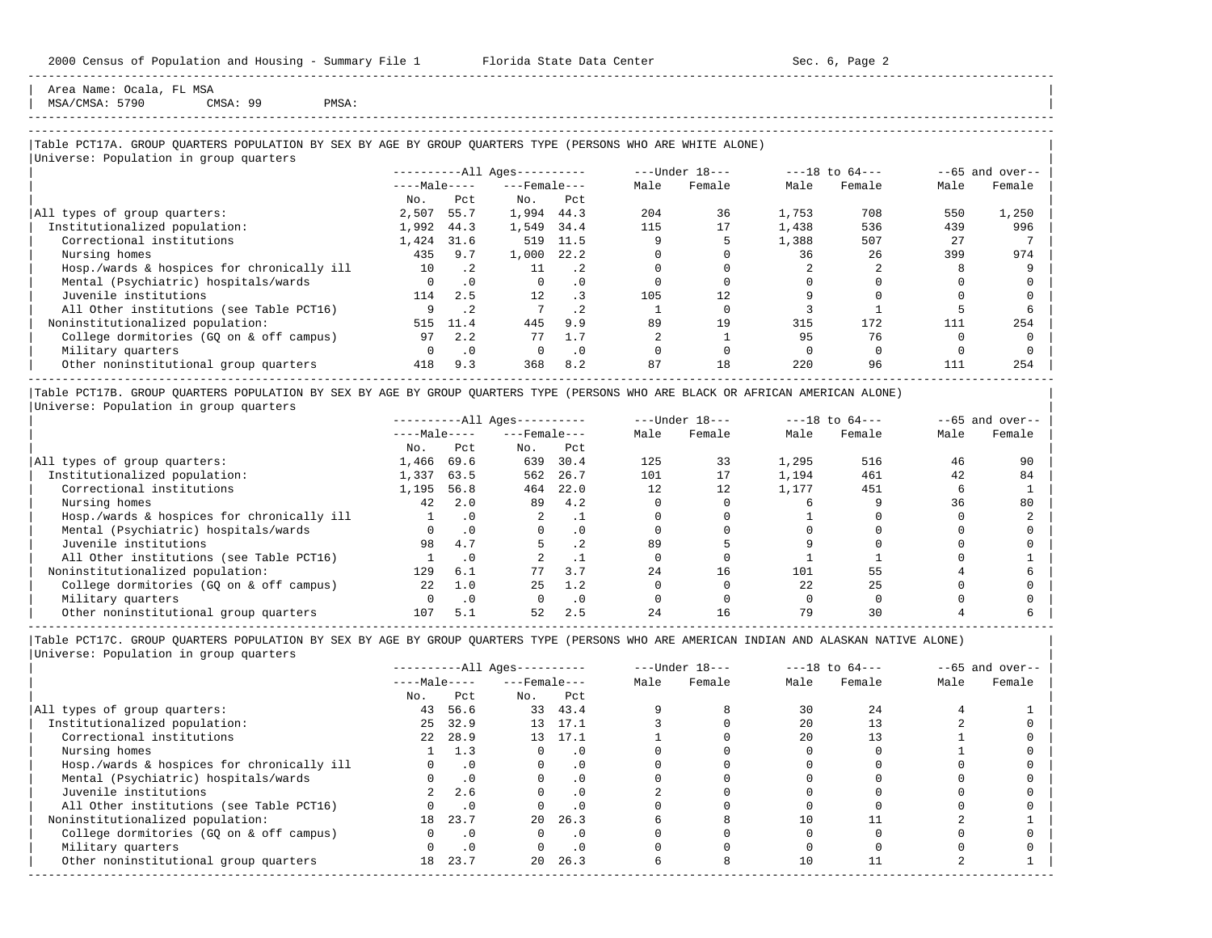Area Name: Ocala, FL MSA MSA/CMSA: 5790 CMSA: 99 PMSA:

## -----------------------------------------------------------------------------------------------------------------------------------------------------

-----------------------------------------------------------------------------------------------------------------------------------------------------

## |Table PCT17A. GROUP QUARTERS POPULATION BY SEX BY AGE BY GROUP QUARTERS TYPE (PERSONS WHO ARE WHITE ALONE) |

|                                            |              |           | $------All Aqes------$ |           |      | $---Under 18---$ |       | $---18$ to $64---$ |      | $--65$ and over-- |
|--------------------------------------------|--------------|-----------|------------------------|-----------|------|------------------|-------|--------------------|------|-------------------|
|                                            | $---Male---$ |           | $---$ Female $---$     |           | Male | Female           | Male  | Female             | Male | Female            |
|                                            | No.          | Pct.      | No.                    | Pct       |      |                  |       |                    |      |                   |
| All types of group quarters:               | 2,507        | 55.7      | 1,994                  | 44.3      | 204  | 36               | 1,753 | 708                | 550  | 1,250             |
| Institutionalized population:              | 1,992        | 44.3      | 1,549                  | 34.4      | 115  | 17               | 1,438 | 536                | 439  | 996               |
| Correctional institutions                  | 1,424        | 31.6      | 519                    | 11.5      |      |                  | 1,388 | 507                | 27   |                   |
| Nursing homes                              | 435          | 9.7       | 1,000                  | 22.2      |      |                  | 36    | 26                 | 399  | 974               |
| Hosp./wards & hospices for chronically ill | 10           | $\cdot$ 2 | 11                     | $\cdot$ 2 |      |                  |       |                    |      |                   |
| Mental (Psychiatric) hospitals/wards       | $\Omega$     | $\cdot$ 0 | $\Omega$               | . 0       |      |                  |       |                    |      |                   |
| Juvenile institutions                      | 114          | 2.5       | 12                     |           | 105  | 12               |       |                    |      |                   |
| All Other institutions (see Table PCT16)   |              | $\cdot$ 2 |                        | $\cdot$ 2 |      |                  |       |                    |      |                   |
| Noninstitutionalized population:           | 515          | 11.4      | 445                    | 9.9       | 89   | 19               | 315   | 172                | 111  | 254               |
| College dormitories (GO on & off campus)   | 97           | 2.2       | 77                     | 1.7       |      |                  | 95    | 76                 |      |                   |
| Military quarters                          | $\Omega$     | $\cdot$ 0 | $\Omega$               | $\cdot$ 0 |      |                  |       |                    |      |                   |
| Other noninstitutional group quarters      | 418          | 9.3       | 368                    | 8.2       | 87   | 18               | 220   | 96                 | 111  | 254               |

|Table PCT17B. GROUP QUARTERS POPULATION BY SEX BY AGE BY GROUP QUARTERS TYPE (PERSONS WHO ARE BLACK OR AFRICAN AMERICAN ALONE) | |Universe: Population in group quarters |

|                                            |              |      | $------All Ages------$ |      |      | $---Under 18---$ |       | $---18$ to $64---$ |      | $--65$ and over-- |
|--------------------------------------------|--------------|------|------------------------|------|------|------------------|-------|--------------------|------|-------------------|
|                                            | $---Male---$ |      | $---$ Female $---$     |      | Male | Female           | Male  | Female             | Male | Female            |
|                                            | No.          | Pct  | No.                    | Pct  |      |                  |       |                    |      |                   |
| All types of group quarters:               | 1,466        | 69.6 | 639                    | 30.4 | 125  | 33               | 1,295 | 516                | 46   | 90                |
| Institutionalized population:              | 1,337        | 63.5 | 562                    | 26.7 | 101  | 17               | 1,194 | 461                | 42   | 84                |
| Correctional institutions                  | 1,195        | 56.8 | 464                    | 22.0 | 12   | 12               | 1,177 | 451                |      |                   |
| Nursing homes                              | 42           | 2.0  | 89                     | 4.2  |      |                  |       |                    | 36   | 80                |
| Hosp./wards & hospices for chronically ill |              |      |                        |      |      |                  |       |                    |      |                   |
| Mental (Psychiatric) hospitals/wards       |              |      |                        | . 0  |      |                  |       |                    |      |                   |
| Juvenile institutions                      | 98           | 4.7  |                        | .2   | 89   |                  |       |                    |      |                   |
| All Other institutions (see Table PCT16)   |              |      |                        |      |      |                  |       |                    |      |                   |
| Noninstitutionalized population:           | 129          | 6.1  |                        | 3.7  | 24   | 16               | 101   | 55                 |      |                   |
| College dormitories (GO on & off campus)   | 2.2.         | 1.0  | 2.5                    | 1.2  |      |                  | 2.2.  | 25                 |      |                   |
| Military quarters                          |              | .0   |                        | . 0  |      |                  |       |                    |      |                   |
| Other noninstitutional group quarters      | 107          | 5.1  | 52                     | 2.5  | 24   | 16               | 79    |                    |      |                   |

-----------------------------------------------------------------------------------------------------------------------------------------------------

|                                            |              |           | $------All Aqes------$ |           |      | $---Under 18---$ |      | $---18$ to $64---$ |      | $--65$ and over-- |
|--------------------------------------------|--------------|-----------|------------------------|-----------|------|------------------|------|--------------------|------|-------------------|
|                                            | $---Male---$ |           | $---$ Female $---$     |           | Male | Female           | Male | Female             | Male | Female            |
|                                            | No.          | Pct       | No.                    | Pct       |      |                  |      |                    |      |                   |
| All types of group quarters:               | 43           | 56.6      |                        | 33 43.4   |      |                  | 30   | 2.4                |      |                   |
| Institutionalized population:              | 25           | 32.9      |                        | 13 17.1   |      |                  | 2.0  |                    |      |                   |
| Correctional institutions                  | 22           | 28.9      |                        | 13 17.1   |      |                  | 2.0  |                    |      |                   |
| Nursing homes                              |              | 1.3       |                        | . 0       |      |                  |      |                    |      |                   |
| Hosp./wards & hospices for chronically ill |              | $\cdot$ 0 |                        | . 0       |      |                  |      |                    |      |                   |
| Mental (Psychiatric) hospitals/wards       |              | $\cdot$ 0 |                        | . 0       |      |                  |      |                    |      |                   |
| Juvenile institutions                      |              | 2.6       |                        | $\cdot$ 0 |      |                  |      |                    |      |                   |
| All Other institutions (see Table PCT16)   |              | $\cdot$ 0 |                        |           |      |                  |      |                    |      |                   |
| Noninstitutionalized population:           | 18           | 23.7      | $20 -$                 | 26.3      |      |                  | 10   |                    |      |                   |
| College dormitories (GQ on & off campus)   |              | $\cdot$ 0 |                        | $\cdot$ 0 |      |                  |      |                    |      |                   |
| Military quarters                          |              | $\cdot$ 0 |                        | $\cdot$ 0 |      |                  |      |                    |      |                   |
| Other noninstitutional group quarters      | 18           | 23.7      | $20 -$                 | 26.3      |      |                  | 10   |                    |      |                   |
|                                            |              |           |                        |           |      |                  |      |                    |      |                   |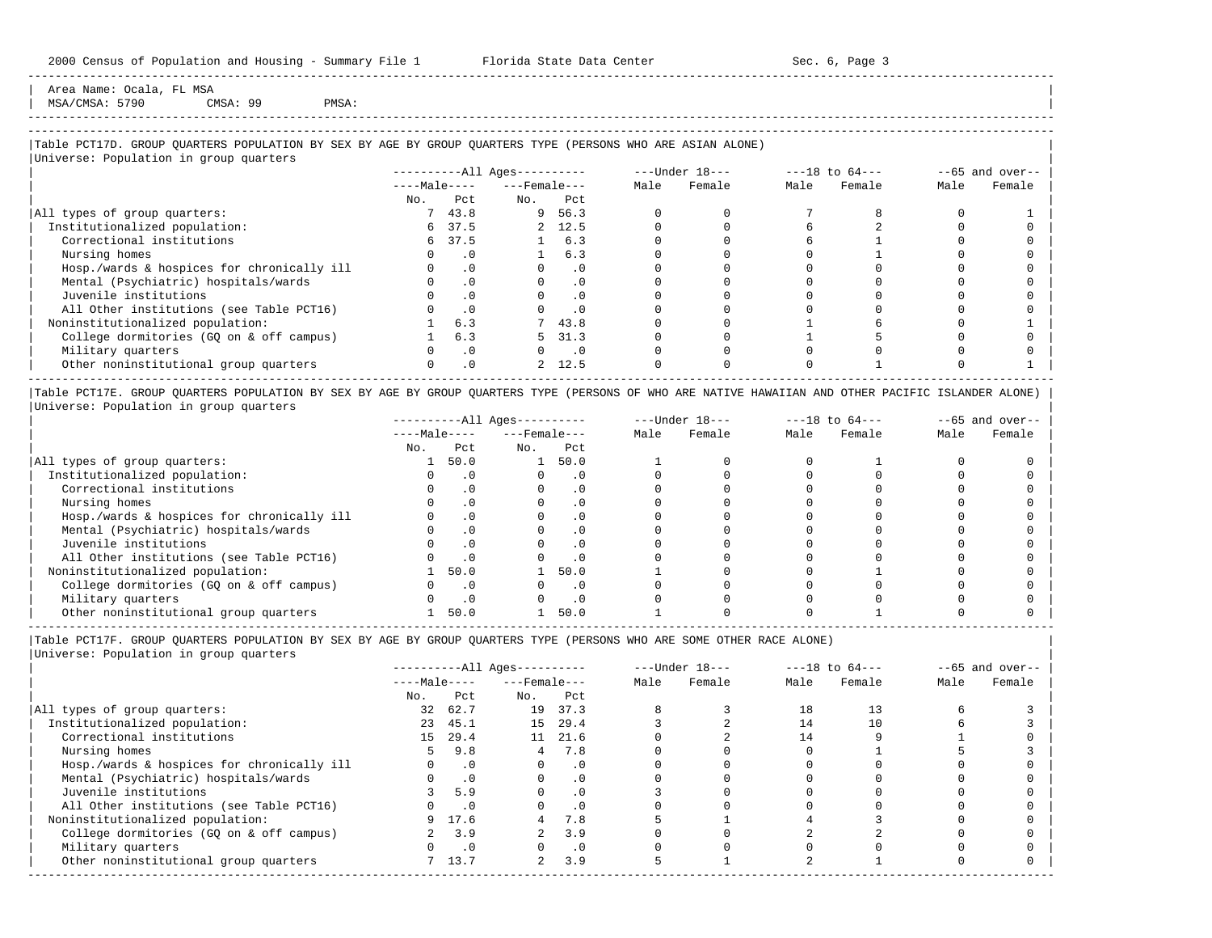Area Name: Ocala, FL MSA  $MSA/CMSA: 5790$  CMSA: 99 PMSA:

## -----------------------------------------------------------------------------------------------------------------------------------------------------

-----------------------------------------------------------------------------------------------------------------------------------------------------

## |Table PCT17D. GROUP QUARTERS POPULATION BY SEX BY AGE BY GROUP QUARTERS TYPE (PERSONS WHO ARE ASIAN ALONE) |

|                                            | $------All Ages------$ |           |                    |                             |      | $---Under 18---$ | $---18$ to $64---$ |        |      | $--65$ and over-- |
|--------------------------------------------|------------------------|-----------|--------------------|-----------------------------|------|------------------|--------------------|--------|------|-------------------|
|                                            | $---Male---$           |           | $---$ Female $---$ |                             | Male | Female           | Male               | Female | Male | Female            |
|                                            | No.                    | Pct       | No.                | Pct                         |      |                  |                    |        |      |                   |
| All types of group quarters:               |                        | 743.8     |                    | 9 56.3                      |      |                  |                    |        |      |                   |
| Institutionalized population:              |                        | 6 37.5    |                    | 2, 12.5                     |      |                  |                    |        |      |                   |
| Correctional institutions                  |                        | 6 37.5    |                    | 1 6.3                       |      |                  |                    |        |      |                   |
| Nursing homes                              |                        | . 0       |                    | 6.3                         |      |                  |                    |        |      |                   |
| Hosp./wards & hospices for chronically ill |                        | $\cdot$ 0 |                    | $\cdot$ 0                   |      |                  |                    |        |      |                   |
| Mental (Psychiatric) hospitals/wards       |                        | $\cdot$ 0 |                    | $\cdot$ 0                   |      |                  |                    |        |      |                   |
| Juvenile institutions                      |                        | $\cdot$ 0 |                    | . 0                         |      |                  |                    |        |      |                   |
| All Other institutions (see Table PCT16)   |                        | $\cdot$ 0 |                    | $\cdot$ 0                   |      |                  |                    |        |      |                   |
| Noninstitutionalized population:           |                        | 6.3       |                    | 743.8                       |      |                  |                    |        |      |                   |
| College dormitories (GQ on & off campus)   |                        | 6.3       | 5.                 | 31.3                        |      |                  |                    |        |      |                   |
| Military quarters                          |                        | $\cdot$ 0 |                    | $\overline{\phantom{0}}$ .0 |      |                  |                    |        |      |                   |
| Other noninstitutional group quarters      |                        | $\cdot$ 0 |                    | 2, 12.5                     |      |                  |                    |        |      |                   |

|Table PCT17E. GROUP QUARTERS POPULATION BY SEX BY AGE BY GROUP QUARTERS TYPE (PERSONS OF WHO ARE NATIVE HAWAIIAN AND OTHER PACIFIC ISLANDER ALONE) | |Universe: Population in group quarters |

|                                            |              |           | $------All Aqes------$ |           |      | $---Under 18---$ |      | $---18$ to $64---$ |      | $- -65$ and over-- |
|--------------------------------------------|--------------|-----------|------------------------|-----------|------|------------------|------|--------------------|------|--------------------|
|                                            | $---Male---$ |           | $---$ Female $---$     |           | Male | Female           | Male | Female             | Male | Female             |
|                                            | No.          | Pct       | No.                    | Pct       |      |                  |      |                    |      |                    |
| All types of group quarters:               |              | 50.0      |                        | 50.0      |      |                  |      |                    |      |                    |
| Institutionalized population:              |              |           |                        |           |      |                  |      |                    |      |                    |
| Correctional institutions                  |              |           |                        | . 0       |      |                  |      |                    |      |                    |
| Nursing homes                              |              |           |                        | $\cdot$ 0 |      |                  |      |                    |      |                    |
| Hosp./wards & hospices for chronically ill |              |           |                        | . 0       |      |                  |      |                    |      |                    |
| Mental (Psychiatric) hospitals/wards       |              |           |                        | . 0       |      |                  |      |                    |      |                    |
| Juvenile institutions                      |              |           |                        | . 0       |      |                  |      |                    |      |                    |
| All Other institutions (see Table PCT16)   |              |           |                        | $\cdot$ 0 |      |                  |      |                    |      |                    |
| Noninstitutionalized population:           |              | 50.0      |                        | 50.0      |      |                  |      |                    |      |                    |
| College dormitories (GO on & off campus)   |              |           |                        | $\cdot$ 0 |      |                  |      |                    |      |                    |
| Military quarters                          |              | $\cdot$ 0 |                        | $\cdot$ 0 |      |                  |      |                    |      |                    |
| Other noninstitutional group quarters      |              | 50.0      |                        | 50.0      |      |                  |      |                    |      |                    |

----------------------------------------------------------------------------------------------------------------------------------------------------- |Table PCT17F. GROUP QUARTERS POPULATION BY SEX BY AGE BY GROUP QUARTERS TYPE (PERSONS WHO ARE SOME OTHER RACE ALONE) |

|                                            |              |           | $------All Ages------$ |           |      | $---Under 18---$ |      | $---18$ to $64---$ |      | $--65$ and over-- |
|--------------------------------------------|--------------|-----------|------------------------|-----------|------|------------------|------|--------------------|------|-------------------|
|                                            | $---Male---$ |           | $---$ Female $---$     |           | Male | Female           | Male | Female             | Male | Female            |
|                                            | No.          | Pct       | No.                    | Pct       |      |                  |      |                    |      |                   |
| All types of group quarters:               | 32           | 62.7      | 19                     | 37.3      |      |                  | 18   | 13                 |      |                   |
| Institutionalized population:              | 23           | 45.1      | 15                     | 29.4      |      |                  | 14   | $10^{\circ}$       |      |                   |
| Correctional institutions                  |              | 15 29.4   |                        | 11 21.6   |      |                  |      |                    |      |                   |
| Nursing homes                              | 5.           | 9.8       | 4                      | 7.8       |      |                  |      |                    |      |                   |
| Hosp./wards & hospices for chronically ill |              | $\cdot$ 0 |                        | .0        |      |                  |      |                    |      |                   |
| Mental (Psychiatric) hospitals/wards       |              | $\cdot$ 0 |                        | $\cdot$ 0 |      |                  |      |                    |      |                   |
| Juvenile institutions                      |              | 5.9       | O                      | $\cdot$ 0 |      |                  |      |                    |      |                   |
| All Other institutions (see Table PCT16)   |              | $\cdot$ 0 |                        | .0        |      |                  |      |                    |      |                   |
| Noninstitutionalized population:           | 9.           | 17.6      | 4                      | 7.8       |      |                  |      |                    |      |                   |
| College dormitories (GQ on & off campus)   |              | 3.9       |                        | 3.9       |      |                  |      |                    |      |                   |
| Military quarters                          |              | $\cdot$ 0 |                        | $\cdot$ 0 |      |                  |      |                    |      |                   |
| Other noninstitutional group quarters      |              | 7 13.7    | $\overline{2}$         | 3.9       |      |                  |      |                    |      |                   |
|                                            |              |           |                        |           |      |                  |      |                    |      |                   |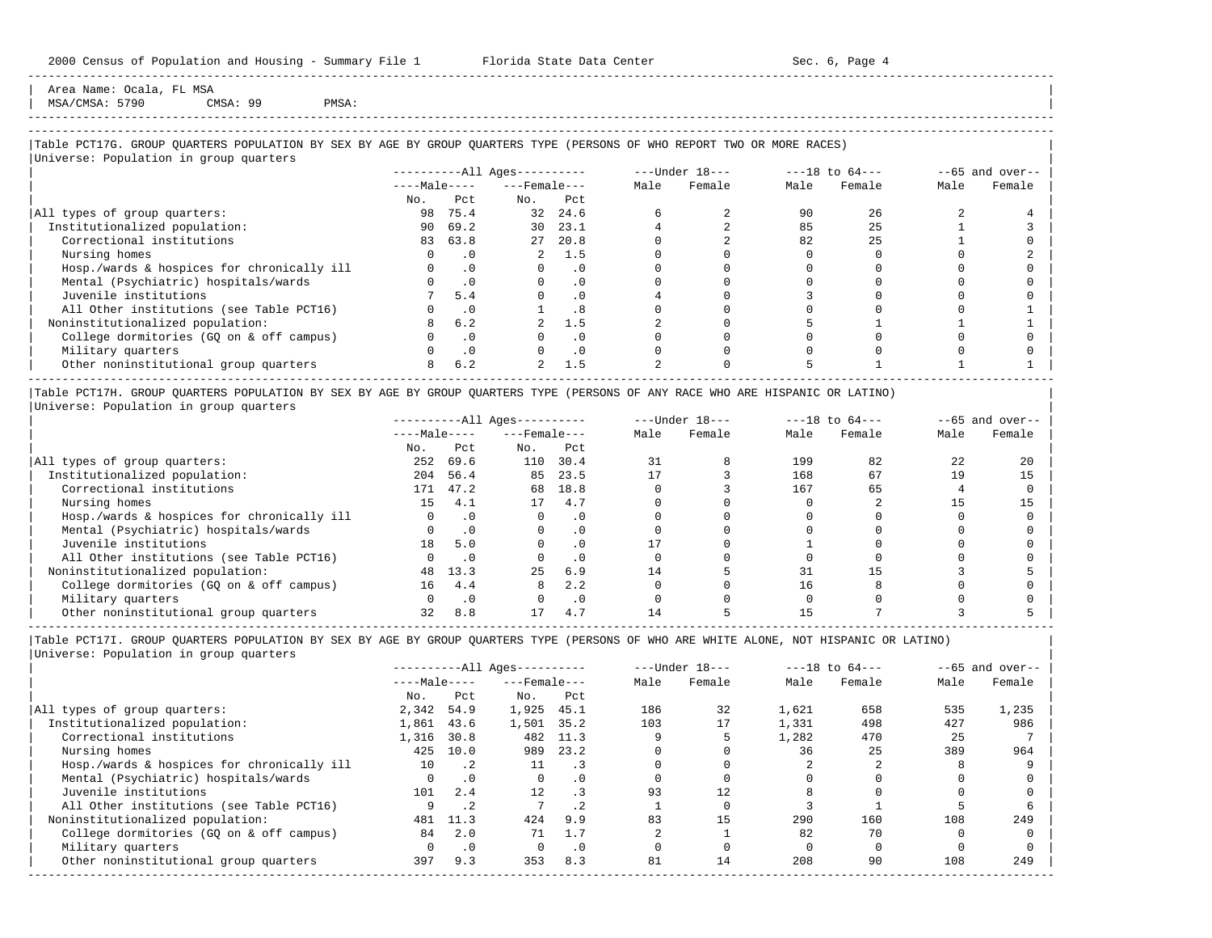Area Name: Ocala, FL MSA  $MSA/CMSA: 5790$  CMSA: 99 PMSA:

-----------------------------------------------------------------------------------------------------------------------------------------------------

## |Table PCT17G. GROUP QUARTERS POPULATION BY SEX BY AGE BY GROUP QUARTERS TYPE (PERSONS OF WHO REPORT TWO OR MORE RACES) |

|                                            |              |           | $------All Ages------$ |           |      | $---Under 18---$ | $---18$ to $64---$ |        |      | $--65$ and over-- |
|--------------------------------------------|--------------|-----------|------------------------|-----------|------|------------------|--------------------|--------|------|-------------------|
|                                            | $---Male---$ |           | $---$ Female $---$     |           | Male | Female           | Male               | Female | Male | Female            |
|                                            | No.          | Pct       | No.                    | Pct       |      |                  |                    |        |      |                   |
| All types of group quarters:               | 98           | 75.4      | 32                     | 24.6      |      |                  | 90                 | 26     |      |                   |
| Institutionalized population:              | 90           | 69.2      | 30                     | 23.1      |      |                  | 85                 | 25     |      |                   |
| Correctional institutions                  | 83           | 63.8      |                        | 27 20.8   |      |                  | 82                 | 25     |      |                   |
| Nursing homes                              |              | . 0       |                        | 2, 1.5    |      |                  |                    |        |      |                   |
| Hosp./wards & hospices for chronically ill |              | $\cdot$ 0 |                        | $\cdot$ 0 |      |                  |                    |        |      |                   |
| Mental (Psychiatric) hospitals/wards       |              | $\cdot$ 0 |                        | $\cdot$ 0 |      |                  |                    |        |      |                   |
| Juvenile institutions                      |              | 5.4       |                        | $\cdot$ 0 |      |                  |                    |        |      |                   |
| All Other institutions (see Table PCT16)   |              | $\cdot$ 0 |                        | .8        |      |                  |                    |        |      |                   |
| Noninstitutionalized population:           |              | 6.2       |                        | 1.5       |      |                  |                    |        |      |                   |
| College dormitories (GQ on & off campus)   |              | $\cdot$ 0 |                        | $\cdot$ 0 |      |                  |                    |        |      |                   |
| Military quarters                          |              | $\cdot$ 0 |                        | $\cdot$ 0 |      |                  |                    |        |      |                   |
| Other noninstitutional group quarters      |              | 6.2       | 2                      | 1.5       |      |                  |                    |        |      |                   |

|Table PCT17H. GROUP QUARTERS POPULATION BY SEX BY AGE BY GROUP QUARTERS TYPE (PERSONS OF ANY RACE WHO ARE HISPANIC OR LATINO) | |Universe: Population in group quarters |

|                                            |              |           | $------All Aqes------$ |           |      | $---Under 18---$ |      | $---18$ to $64---$ |      | $- -65$ and over-- |
|--------------------------------------------|--------------|-----------|------------------------|-----------|------|------------------|------|--------------------|------|--------------------|
|                                            | $---Male---$ |           | $---$ Female $---$     |           | Male | Female           | Male | Female             | Male | Female             |
|                                            | No.          | Pct       | No.                    | Pct       |      |                  |      |                    |      |                    |
| All types of group quarters:               | 252          | 69.6      | 110                    | 30.4      |      |                  | 199  | 82                 | 22   | 20                 |
| Institutionalized population:              | 204          | 56.4      | 85                     | 23.5      |      |                  | 168  | 67                 | 19   | 15                 |
| Correctional institutions                  | 171          | 47.2      | 68                     | 18.8      |      |                  | 167  | 65                 |      |                    |
| Nursing homes                              | 15           | 4.1       | 17                     | 4.7       |      |                  |      |                    |      |                    |
| Hosp./wards & hospices for chronically ill |              | $\cdot$ 0 |                        | $\cdot$ 0 |      |                  |      |                    |      |                    |
| Mental (Psychiatric) hospitals/wards       |              |           |                        | $\cdot$ 0 |      |                  |      |                    |      |                    |
| Juvenile institutions                      | 18           | 5.0       |                        | $\cdot$ 0 |      |                  |      |                    |      |                    |
| All Other institutions (see Table PCT16)   |              |           |                        | $\cdot$ 0 |      |                  |      |                    |      |                    |
| Noninstitutionalized population:           | 48           | 13.3      | 25                     | 6.9       | 14   |                  | 31   |                    |      |                    |
| College dormitories (GO on & off campus)   | 16           | 4.4       | 8                      | 2.2       |      |                  |      |                    |      |                    |
| Military quarters                          |              | $\cdot$ 0 |                        | $\cdot$ 0 |      |                  |      |                    |      |                    |
| Other noninstitutional group quarters      |              | 8.8       |                        | 4.7       |      |                  |      |                    |      |                    |

-----------------------------------------------------------------------------------------------------------------------------------------------------

|Table PCT17I. GROUP QUARTERS POPULATION BY SEX BY AGE BY GROUP QUARTERS TYPE (PERSONS OF WHO ARE WHITE ALONE, NOT HISPANIC OR LATINO) | |Universe: Population in group quarters |

|                                            |              |             | $------All Aqes------$ |           |      | $---Under 18---$ |       | $---18$ to $64---$ |      | $--65$ and over-- |
|--------------------------------------------|--------------|-------------|------------------------|-----------|------|------------------|-------|--------------------|------|-------------------|
|                                            | $---Male---$ |             | $---$ Female $---$     |           | Male | Female           | Male  | Female             | Male | Female            |
|                                            | No.          | Pct         | No.                    | Pct       |      |                  |       |                    |      |                   |
| All types of group quarters:               | 2,342        | 54.9        | 1,925                  | 45.1      | 186  | 32               | 1,621 | 658                | 535  | 1,235             |
| Institutionalized population:              | 1,861        | 43.6        | 1,501                  | 35.2      | 103  | 17               | 1,331 | 498                | 427  | 986               |
| Correctional institutions                  | 1,316        | 30.8        | 482                    | 11.3      |      |                  | 1,282 | 470                | 25   |                   |
| Nursing homes                              | 425          | 10.0        | 989                    | 23.2      |      |                  | 36    | 25                 | 389  | 964               |
| Hosp./wards & hospices for chronically ill | 10           | $\cdot$ . 2 | 11                     | $\cdot$ 3 |      |                  |       |                    |      |                   |
| Mental (Psychiatric) hospitals/wards       | $\Omega$     | $\cdot$ 0   | $\Omega$               | $\cdot$ 0 |      |                  |       |                    |      |                   |
| Juvenile institutions                      | 101          | 2.4         | 12                     |           | 93   | 12.              |       |                    |      |                   |
| All Other institutions (see Table PCT16)   |              | $\cdot$ 2   |                        | $\cdot$ 2 |      |                  |       |                    |      |                   |
| Noninstitutionalized population:           | 481          | 11.3        | 424                    | 9.9       | 83   | 15               | 290   | 160                | 108  | 249               |
| College dormitories (GO on & off campus)   | 84           | 2.0         | 71                     | 1.7       |      |                  | 82    | 70                 |      |                   |
| Military quarters                          | 0            | $\cdot$ 0   |                        | $\cdot$ 0 |      |                  |       |                    |      |                   |
| Other noninstitutional group quarters      | 397          | 9.3         | 353                    | 8.3       | 81   | 14               | 208   | 90                 | 108  | 249               |
|                                            |              |             |                        |           |      |                  |       |                    |      |                   |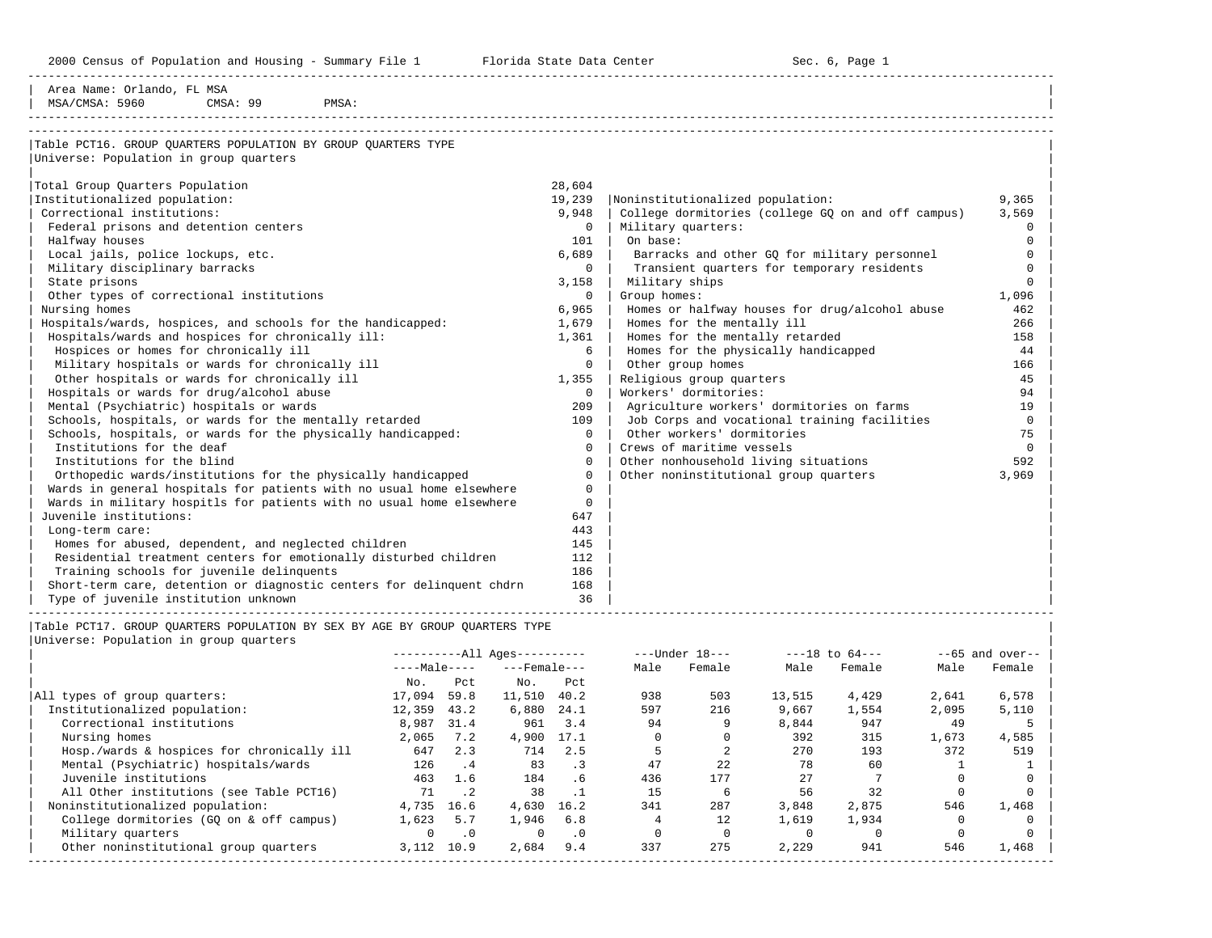2000 Census of Population and Housing - Summary File 1 Telorida State Data Center Sec. 6, Page 1 North Sec. 6, Page

-----------------------------------------------------------------------------------------------------------------------------------------------------

| CMSA: 99<br>MSA/CMSA: 5960<br>PMSA:                                   |          |                                                    |                |
|-----------------------------------------------------------------------|----------|----------------------------------------------------|----------------|
| Table PCT16. GROUP OUARTERS POPULATION BY GROUP OUARTERS TYPE         |          |                                                    |                |
| Universe: Population in group quarters                                |          |                                                    |                |
| Total Group Quarters Population                                       | 28,604   |                                                    |                |
| Institutionalized population:                                         | 19,239   | Noninstitutionalized population:                   | 9,365          |
| Correctional institutions:                                            | 9,948    | College dormitories (college GO on and off campus) | 3,569          |
| Federal prisons and detention centers                                 | $\Omega$ | Military quarters:                                 | $\Omega$       |
| Halfway houses                                                        | 101      | On base:                                           | $\Omega$       |
| Local jails, police lockups, etc.                                     | 6,689    | Barracks and other GO for military personnel       | $\Omega$       |
| Military disciplinary barracks                                        | $\Omega$ | Transient quarters for temporary residents         | $\Omega$       |
| State prisons                                                         | 3,158    | Military ships                                     | $\Omega$       |
| Other types of correctional institutions                              | $\Omega$ | Group homes:                                       | 1,096          |
| Nursing homes                                                         | 6,965    | Homes or halfway houses for drug/alcohol abuse     | 462            |
| Hospitals/wards, hospices, and schools for the handicapped:           | 1,679    | Homes for the mentally ill                         | 266            |
| Hospitals/wards and hospices for chronically ill:                     | 1,361    | Homes for the mentally retarded                    | 158            |
| Hospices or homes for chronically ill                                 | 6        | Homes for the physically handicapped               | 44             |
| Military hospitals or wards for chronically ill                       | $\Omega$ | Other group homes                                  | 166            |
| Other hospitals or wards for chronically ill                          | 1,355    | Religious group quarters                           | 45             |
| Hospitals or wards for drug/alcohol abuse                             | $\Omega$ | Workers' dormitories:                              | 94             |
| Mental (Psychiatric) hospitals or wards                               | 209      | Agriculture workers' dormitories on farms          | 19             |
| Schools, hospitals, or wards for the mentally retarded                | 109      | Job Corps and vocational training facilities       | $\overline{0}$ |
| Schools, hospitals, or wards for the physically handicapped:          | $\Omega$ | Other workers' dormitories                         | 75             |
| Institutions for the deaf                                             | $\Omega$ | Crews of maritime vessels                          | $\Omega$       |
| Institutions for the blind                                            | $\Omega$ | Other nonhousehold living situations               | 592            |
| Orthopedic wards/institutions for the physically handicapped          | $\Omega$ | Other noninstitutional group quarters              | 3,969          |
| Wards in general hospitals for patients with no usual home elsewhere  | $\Omega$ |                                                    |                |
| Wards in military hospitls for patients with no usual home elsewhere  | $\Omega$ |                                                    |                |
| Juvenile institutions:                                                | 647      |                                                    |                |
| Long-term care:                                                       | 443      |                                                    |                |
| Homes for abused, dependent, and neglected children                   | 145      |                                                    |                |
| Residential treatment centers for emotionally disturbed children      | 112      |                                                    |                |
| Training schools for juvenile delinquents                             | 186      |                                                    |                |
| Short-term care, detention or diagnostic centers for delinquent chdrn | 168      |                                                    |                |
| Type of juvenile institution unknown                                  | 36       |                                                    |                |

|                                            |              |           | $------All Aqes------$ |           |              | $---Under 18---$ |        | $---18$ to $64---$ |       | $--65$ and over-- |
|--------------------------------------------|--------------|-----------|------------------------|-----------|--------------|------------------|--------|--------------------|-------|-------------------|
|                                            | $---Male---$ |           | $---$ Female $---$     |           | Male         | Female           | Male   | Female             | Male  | Female            |
|                                            | No.          | Pct       | No.                    | Pct       |              |                  |        |                    |       |                   |
| All types of group quarters:               | 17,094       | 59.8      | 11,510                 | 40.2      | 938          | 503              | 13,515 | 4,429              | 2,641 | 6,578             |
| Institutionalized population:              | 12,359       | 43.2      | 6,880                  | 24.1      | 597          | 216              | 9,667  | 1,554              | 2,095 | 5,110             |
| Correctional institutions                  | 8,987        | 31.4      | 961                    | 3.4       | 94           |                  | 8,844  | 947                | 49    |                   |
| Nursing homes                              | 2,065        | 7.2       | 4,900                  | 17.1      | <sup>n</sup> |                  | 392    | 315                | 1,673 | 4,585             |
| Hosp./wards & hospices for chronically ill | 647          | 2.3       | 714                    | 2.5       |              |                  | 270    | 193                | 372   | 519               |
| Mental (Psychiatric) hospitals/wards       | 126          | $\cdot$ 4 | 83                     | . 3       | 47           | 22               | 78     | 60                 |       |                   |
| Juvenile institutions                      | 463          | 1.6       | 184                    | $.6 \,$   | 436          | 177              | 27     |                    |       |                   |
| All Other institutions (see Table PCT16)   | 71           | $\cdot$ 2 | 38                     |           | 15           | h                | 56     | 32                 |       |                   |
| Noninstitutionalized population:           | 4,735        | 16.6      | 4,630                  | 16.2      | 341          | 287              | 3,848  | 2,875              | 546   | 1,468             |
| College dormitories (GO on & off campus)   | 1,623        | 5.7       | 1,946                  | 6.8       |              | 12               | 1,619  | 1,934              |       |                   |
| Military quarters                          | $\Omega$     | $\cdot$ 0 | $\Omega$               | $\cdot$ 0 |              |                  |        |                    |       |                   |
| Other noninstitutional group quarters      | 3,112        | 10.9      | 2,684                  | 9.4       | 337          | 275              | 2,229  | 941                | 546   | 1,468             |
|                                            |              |           |                        |           |              |                  |        |                    |       |                   |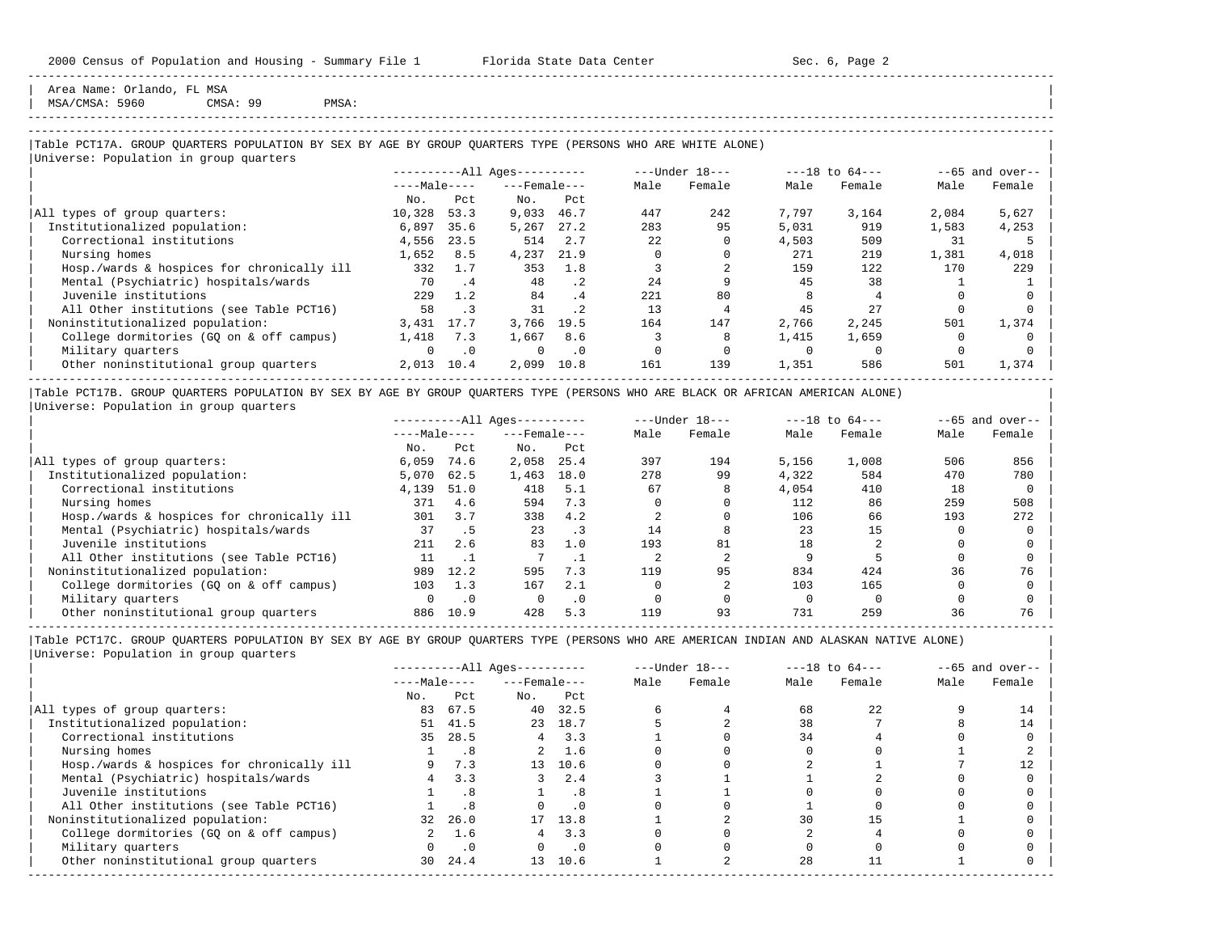Area Name: Orlando, FL MSA  $MSA/CMSA: 5960$  CMSA: 99 PMSA:

## -----------------------------------------------------------------------------------------------------------------------------------------------------

-----------------------------------------------------------------------------------------------------------------------------------------------------

## |Table PCT17A. GROUP QUARTERS POPULATION BY SEX BY AGE BY GROUP QUARTERS TYPE (PERSONS WHO ARE WHITE ALONE) |

|                                            |              |           | $------All Aqes------$ |                      |      | ---Under 18--- |       | $---18$ to $64---$ |       | $--65$ and over-- |
|--------------------------------------------|--------------|-----------|------------------------|----------------------|------|----------------|-------|--------------------|-------|-------------------|
|                                            | $---Male---$ |           | $---$ Female $---$     |                      | Male | Female         | Male  | Female             | Male  | Female            |
|                                            | No.          | Pct       | No.                    | Pct                  |      |                |       |                    |       |                   |
| All types of group quarters:               | 10,328       | 53.3      | 9,033                  | 46.7                 | 447  | 242            | 7,797 | 3,164              | 2,084 | 5,627             |
| Institutionalized population:              | 6,897        | 35.6      | 5,267                  | 27.2                 | 283  | 95             | 5,031 | 919                | 1,583 | 4,253             |
| Correctional institutions                  | 4,556        | 23.5      | 514                    | 2.7                  | 22   |                | 4,503 | 509                | 31    |                   |
| Nursing homes                              | 1,652        | 8.5       | 4,237                  | 21.9                 |      |                | 271   | 219                | 1,381 | 4,018             |
| Hosp./wards & hospices for chronically ill | 332          | 1.7       | 353                    | 1.8                  |      |                | 159   | 122                | 170   | 229               |
| Mental (Psychiatric) hospitals/wards       | 70           | $\cdot$ 4 | 48                     | $\cdot$ 2            | 2.4  |                | 45    | 38                 |       |                   |
| Juvenile institutions                      | 229          | 1.2       | 84                     | $\cdot$ <sup>4</sup> | 221  | 80             |       |                    |       |                   |
| All Other institutions (see Table PCT16)   | 58           |           | 31                     | $\cdot$ 2            | 13   |                | 45    | 27                 |       |                   |
| Noninstitutionalized population:           | 3,431        | 17.7      | 3,766                  | 19.5                 | 164  | 147            | 2,766 | 2,245              | 501   | 1,374             |
| College dormitories (GO on & off campus)   | 1,418        | 7.3       | 1,667                  | 8.6                  |      |                | 1,415 | 1,659              |       |                   |
| Military quarters                          | $\Omega$     | $\cdot$ 0 | $\Omega$               | $\cdot$ 0            |      |                |       |                    |       |                   |
| Other noninstitutional group quarters      | 2,013        | 10.4      | 2,099                  | 10.8                 | 161  | 139            | 1,351 | 586                | 501   | 1,374             |

|Table PCT17B. GROUP QUARTERS POPULATION BY SEX BY AGE BY GROUP QUARTERS TYPE (PERSONS WHO ARE BLACK OR AFRICAN AMERICAN ALONE) | |Universe: Population in group quarters |

|                                            |              |           | $------All Aqes------$ |           |      | $---Under 18---$ |       | $---18$ to $64---$ |      | $- -65$ and over-- |
|--------------------------------------------|--------------|-----------|------------------------|-----------|------|------------------|-------|--------------------|------|--------------------|
|                                            | $---Male---$ |           | $---$ Female $---$     |           | Male | Female           | Male  | Female             | Male | Female             |
|                                            | No.          | Pct       | No.                    | Pct       |      |                  |       |                    |      |                    |
| All types of group quarters:               | 6,059        | 74.6      | 2,058                  | 25.4      | 397  | 194              | 5,156 | 1,008              | 506  | 856                |
| Institutionalized population:              | 5,070        | 62.5      | 1,463                  | 18.0      | 278  | 99               | 4,322 | 584                | 470  | 780                |
| Correctional institutions                  | 4,139        | 51.0      | 418                    | 5.1       | 67   | 8                | 4,054 | 410                | 18   |                    |
| Nursing homes                              | 371          | 4.6       | 594                    | 7.3       |      |                  | 112   | 86                 | 259  | 508                |
| Hosp./wards & hospices for chronically ill | 301          | 3.7       | 338                    | 4.2       |      |                  | 106   | 66                 | 193  | 272                |
| Mental (Psychiatric) hospitals/wards       | 37           |           | 23                     |           | 14   |                  | 23    | 15                 |      |                    |
| Juvenile institutions                      | 211          | 2.6       | 83                     | 1.0       | 193  | 81               | 18    |                    |      |                    |
| All Other institutions (see Table PCT16)   | 11           |           |                        |           |      |                  |       |                    |      |                    |
| Noninstitutionalized population:           | 989          | 12.2      | 595                    | 7.3       | 119  | 95               | 834   | 424                | 36   | 76                 |
| College dormitories (GQ on & off campus)   | 103          | 1.3       | 167                    | 2.1       |      |                  | 103   | 165                |      |                    |
| Military quarters                          | 0            | $\cdot$ 0 |                        | $\cdot$ 0 |      |                  |       |                    |      |                    |
| Other noninstitutional group quarters      | 886          | 10.9      | 428                    | 5.3       | 119  | 93               | 731   | 259                | 36   | 76                 |

-----------------------------------------------------------------------------------------------------------------------------------------------------

|                                            |              |           | $------All Aqes------$ |               |      | $---Under 18---$ |      | $---18$ to $64---$ |      | $--65$ and over-- |
|--------------------------------------------|--------------|-----------|------------------------|---------------|------|------------------|------|--------------------|------|-------------------|
|                                            | $---Male---$ |           | $---$ Female $---$     |               | Male | Female           | Male | Female             | Male | Female            |
|                                            | No.          | Pct       | No.                    | Pct           |      |                  |      |                    |      |                   |
| All types of group quarters:               | 83           | 67.5      | 40                     | 32.5          |      |                  | 68   | 22                 |      | 14                |
| Institutionalized population:              | 51           | 41.5      |                        | 23 18.7       |      |                  | 38   |                    |      | 14                |
| Correctional institutions                  | 35           | 28.5      |                        | $4 \quad 3.3$ |      |                  | 34   |                    |      |                   |
| Nursing homes                              |              | . 8       | $\overline{a}$         | 1.6           |      |                  |      |                    |      |                   |
| Hosp./wards & hospices for chronically ill |              | 7.3       | $13 -$                 | 10.6          |      |                  |      |                    |      |                   |
| Mental (Psychiatric) hospitals/wards       |              | 3.3       | 3                      | 2.4           |      |                  |      |                    |      |                   |
| Juvenile institutions                      |              | . 8       |                        | . 8           |      |                  |      |                    |      |                   |
| All Other institutions (see Table PCT16)   |              | .8        |                        | $\cdot$ 0     |      |                  |      |                    |      |                   |
| Noninstitutionalized population:           | 32           | 26.0      |                        | 17 13.8       |      |                  | 30   | 15                 |      |                   |
| College dormitories (GQ on & off campus)   |              | 1.6       |                        | 3.3           |      |                  |      |                    |      |                   |
| Military quarters                          |              | $\cdot$ 0 |                        | $\cdot$ 0     |      |                  |      |                    |      |                   |
| Other noninstitutional group quarters      | 30 L         | 24.4      | 13 <sup>7</sup>        | 10.6          |      |                  | 28   |                    |      |                   |
|                                            |              |           |                        |               |      |                  |      |                    |      |                   |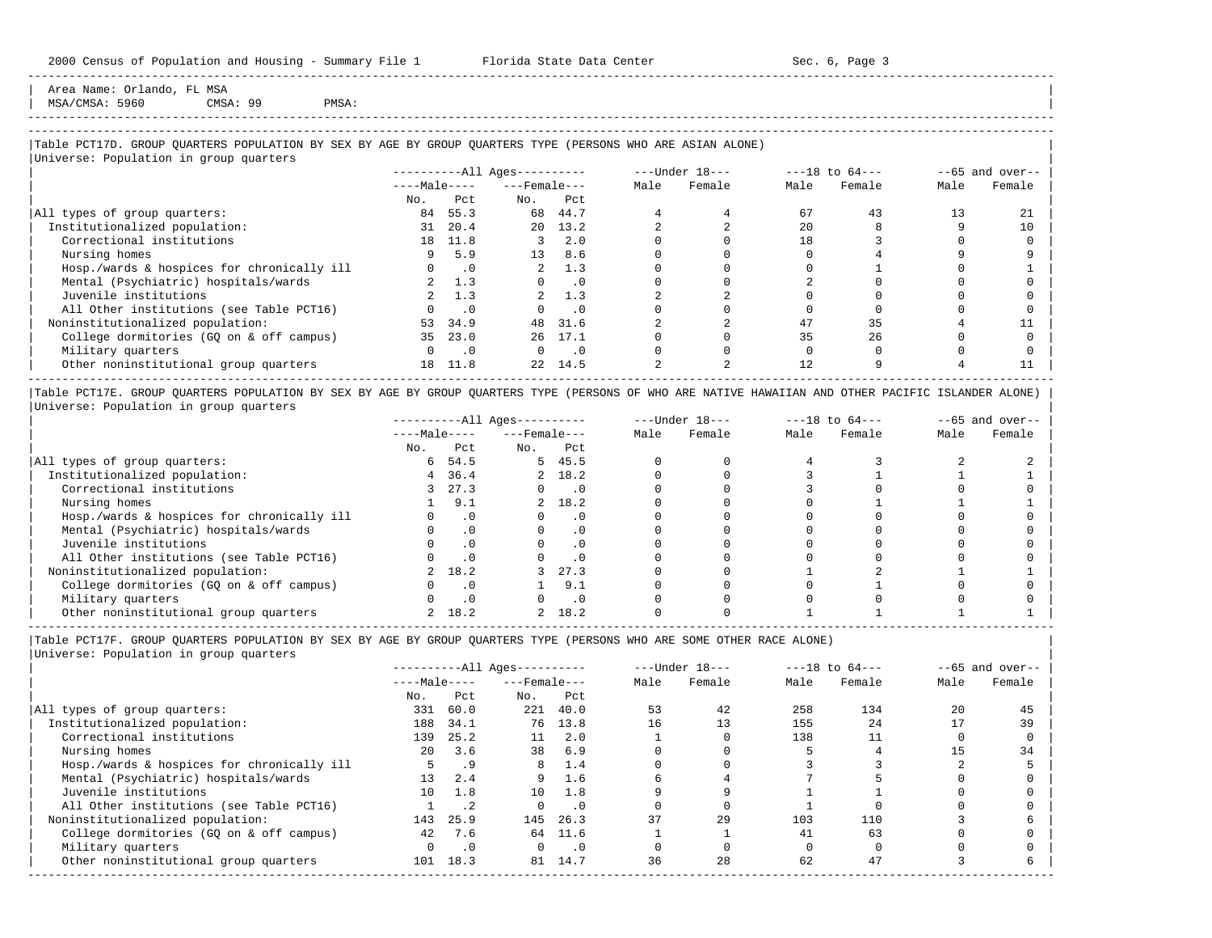Area Name: Orlando, FL MSA MSA/CMSA: 5960 CMSA: 99 PMSA:

# -----------------------------------------------------------------------------------------------------------------------------------------------------

-----------------------------------------------------------------------------------------------------------------------------------------------------

### |Table PCT17D. GROUP QUARTERS POPULATION BY SEX BY AGE BY GROUP QUARTERS TYPE (PERSONS WHO ARE ASIAN ALONE) | |<br>|Universe: Population in group quarters

|                                            |              |           | ----------All Ages---------- |           |      | $---Under 18---$ |      | $---18$ to $64---$ |      | $--65$ and over-- |
|--------------------------------------------|--------------|-----------|------------------------------|-----------|------|------------------|------|--------------------|------|-------------------|
|                                            | $---Male---$ |           | $---$ Female $---$           |           | Male | Female           | Male | Female             | Male | Female            |
|                                            | No.          | Pct       | No.                          | Pct       |      |                  |      |                    |      |                   |
| All types of group quarters:               | 84           | 55.3      | 68                           | 44.7      |      |                  | 67   | 43                 |      | 21                |
| Institutionalized population:              | 31           | 20.4      | 20                           | 13.2      |      |                  | 2.0  |                    |      | 10                |
| Correctional institutions                  | 18           | 11.8      |                              | 2.0       |      |                  | 18   |                    |      |                   |
| Nursing homes                              |              | 5.9       | 13                           | 8.6       |      |                  |      |                    |      |                   |
| Hosp./wards & hospices for chronically ill |              | $\cdot$ 0 | $\overline{a}$               | 1.3       |      |                  |      |                    |      |                   |
| Mental (Psychiatric) hospitals/wards       |              | 1.3       |                              | $\cdot$ 0 |      |                  |      |                    |      |                   |
| Juvenile institutions                      |              | 1.3       |                              | 1.3       |      |                  |      |                    |      |                   |
| All Other institutions (see Table PCT16)   |              | $\cdot$ 0 | $\Omega$                     | $\cdot$ 0 |      |                  |      |                    |      |                   |
| Noninstitutionalized population:           | 53           | 34.9      | 48                           | 31.6      |      |                  | 47   | 35                 |      |                   |
| College dormitories (GO on & off campus)   | 35           | 23.0      | 26                           | 17.1      |      |                  | 35   | 26                 |      |                   |
| Military quarters                          |              | $\cdot$ 0 | 0                            | $\cdot$ 0 |      |                  |      |                    |      |                   |
| Other noninstitutional group quarters      | 18           | 11.8      | 22                           | 14.5      |      |                  | 12   |                    |      |                   |

|Table PCT17E. GROUP QUARTERS POPULATION BY SEX BY AGE BY GROUP QUARTERS TYPE (PERSONS OF WHO ARE NATIVE HAWAIIAN AND OTHER PACIFIC ISLANDER ALONE) | |Universe: Population in group quarters |

|                                            |              |           | $------All Aqes------$ |           |      | $---Under 18---$ |      | $---18$ to $64---$ |      | $- -65$ and over-- |
|--------------------------------------------|--------------|-----------|------------------------|-----------|------|------------------|------|--------------------|------|--------------------|
|                                            | $---Male---$ |           | $---$ Female $---$     |           | Male | Female           | Male | Female             | Male | Female             |
|                                            | No.          | Pct       | No.                    | Pct       |      |                  |      |                    |      |                    |
| All types of group quarters:               | 6            | 54.5      |                        | 5, 45.5   |      |                  |      |                    |      |                    |
| Institutionalized population:              | 4            | 36.4      |                        | 2 18.2    |      |                  |      |                    |      |                    |
| Correctional institutions                  |              | 27.3      |                        | $\cdot$ 0 |      |                  |      |                    |      |                    |
| Nursing homes                              |              | 9.1       |                        | 2, 18.2   |      |                  |      |                    |      |                    |
| Hosp./wards & hospices for chronically ill |              | $\cdot$ 0 |                        | $\cdot$ 0 |      |                  |      |                    |      |                    |
| Mental (Psychiatric) hospitals/wards       |              |           |                        | $\cdot$ 0 |      |                  |      |                    |      |                    |
| Juvenile institutions                      |              |           |                        | $\cdot$ 0 |      |                  |      |                    |      |                    |
| All Other institutions (see Table PCT16)   |              |           |                        | $\cdot$ 0 |      |                  |      |                    |      |                    |
| Noninstitutionalized population:           |              | 18.2      |                        | 27.3      |      |                  |      |                    |      |                    |
| College dormitories (GO on & off campus)   |              |           |                        | 9.1       |      |                  |      |                    |      |                    |
| Military quarters                          |              | $\cdot$ 0 |                        | $\cdot$ 0 |      |                  |      |                    |      |                    |
| Other noninstitutional group quarters      |              | 18.2      |                        | 18.2      |      |                  |      |                    |      |                    |

----------------------------------------------------------------------------------------------------------------------------------------------------- |Table PCT17F. GROUP QUARTERS POPULATION BY SEX BY AGE BY GROUP QUARTERS TYPE (PERSONS WHO ARE SOME OTHER RACE ALONE) |

|                                            |                 |           | $------All Ages------$ |           |      | $---Under 18---$ |      | $---18$ to $64---$ |      | $--65$ and over-- |
|--------------------------------------------|-----------------|-----------|------------------------|-----------|------|------------------|------|--------------------|------|-------------------|
|                                            | $---Male---$    |           | $---$ Female $---$     |           | Male | Female           | Male | Female             | Male | Female            |
|                                            | No.             | Pct       | No.                    | Pct       |      |                  |      |                    |      |                   |
| All types of group quarters:               | 331             | 60.0      | 221                    | 40.0      | 53   | 42               | 258  | 134                | 20   | 45                |
| Institutionalized population:              | 188             | 34.1      | 76                     | 13.8      | 16   | 13               | 155  | 2.4                |      | 39                |
| Correctional institutions                  | 139             | 25.2      | 11                     | 2.0       |      |                  | 138  |                    |      |                   |
| Nursing homes                              | $20^{\circ}$    | 3.6       | 38                     | 6.9       |      |                  |      |                    |      | 34                |
| Hosp./wards & hospices for chronically ill |                 | .9        | 8                      | 1.4       |      |                  |      |                    |      |                   |
| Mental (Psychiatric) hospitals/wards       | 13              | 2.4       | 9                      | 1.6       |      |                  |      |                    |      |                   |
| Juvenile institutions                      | 10 <sup>1</sup> | 1.8       | 10                     | 1.8       |      |                  |      |                    |      |                   |
| All Other institutions (see Table PCT16)   |                 | $\cdot$ 2 |                        | $\cdot$ 0 |      |                  |      |                    |      |                   |
| Noninstitutionalized population:           | 143             | 25.9      | 145                    | 26.3      | 37   | 29               | 103  | 110                |      |                   |
| College dormitories (GO on & off campus)   | 42              | 7.6       |                        | 64 11.6   |      |                  | 41   | 63                 |      |                   |
| Military quarters                          |                 | $\cdot$ 0 | $\Omega$               | $\cdot$ 0 |      |                  |      |                    |      |                   |
| Other noninstitutional group quarters      | 101             | 18.3      | 81                     | 14.7      | 36   | 28               | 62   | 47                 |      |                   |
|                                            |                 |           |                        |           |      |                  |      |                    |      |                   |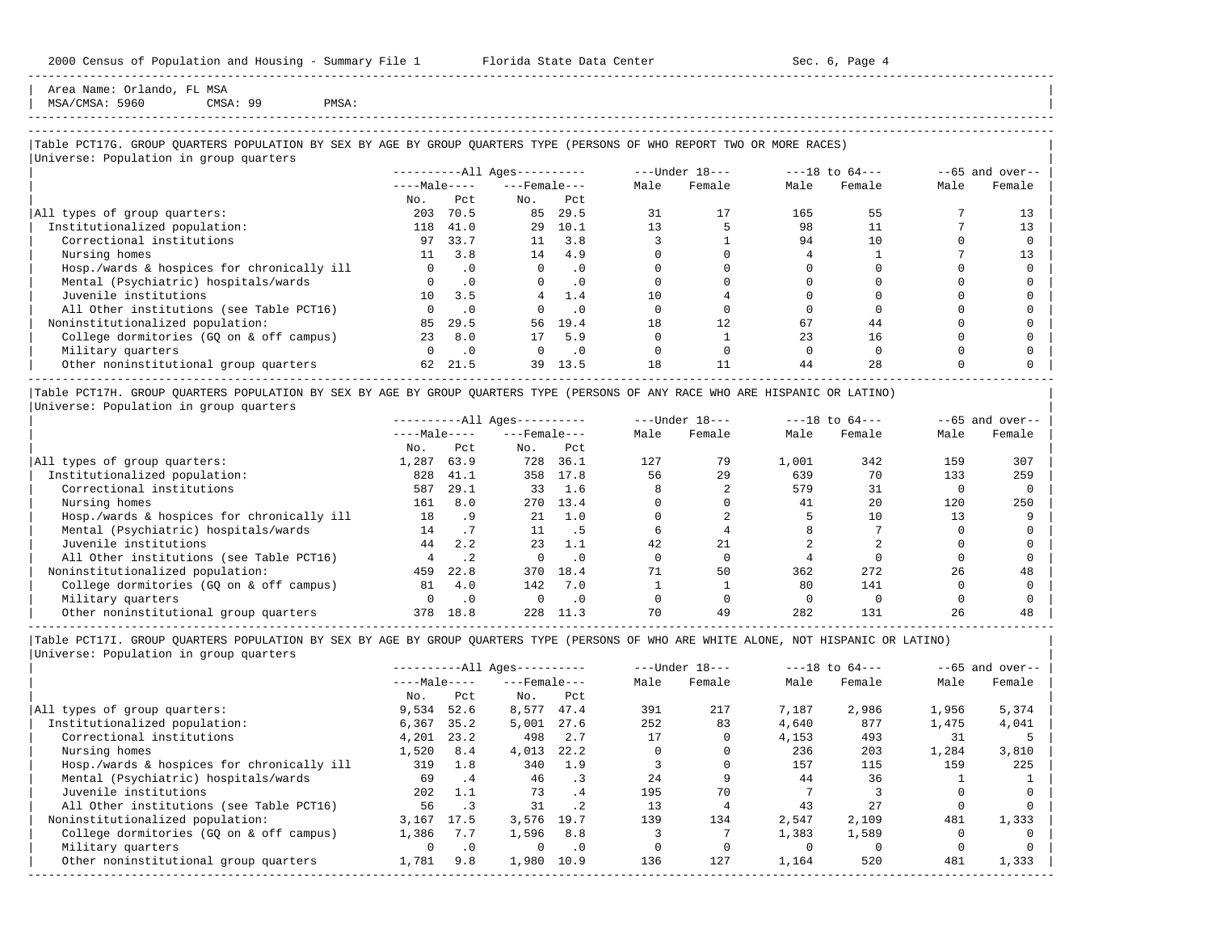Area Name: Orlando, FL MSA  $MSA/CMSA: 5960$  CMSA: 99 PMSA:

-----------------------------------------------------------------------------------------------------------------------------------------------------

## |Table PCT17G. GROUP QUARTERS POPULATION BY SEX BY AGE BY GROUP QUARTERS TYPE (PERSONS OF WHO REPORT TWO OR MORE RACES) |

|                                            |              |           | $------All Aqes------$ |           |      | $---Under 18---$ |      | $---18$ to $64---$ |      | $--65$ and over-- |
|--------------------------------------------|--------------|-----------|------------------------|-----------|------|------------------|------|--------------------|------|-------------------|
|                                            | $---Male---$ |           | $---$ Female $---$     |           | Male | Female           | Male | Female             | Male | Female            |
|                                            | No.          | Pct       | No.                    | Pct       |      |                  |      |                    |      |                   |
| All types of group quarters:               | 203          | 70.5      | 85                     | 29.5      | 31   | 17               | 165  | 55                 |      | 13                |
| Institutionalized population:              | 118          | 41.0      | 29                     | 10.1      | 13   |                  | 98   |                    |      | 13                |
| Correctional institutions                  | 97           | 33.7      | 11                     | 3.8       |      |                  | 94   | 10                 |      |                   |
| Nursing homes                              | 11           | 3.8       | 14                     | 4.9       |      |                  |      |                    |      | 13                |
| Hosp./wards & hospices for chronically ill | $\Omega$     | $\cdot$ 0 | $\Omega$               | $\cdot$ 0 |      |                  |      |                    |      |                   |
| Mental (Psychiatric) hospitals/wards       |              | $\cdot$ 0 | $\Omega$               | $\cdot$ 0 |      |                  |      |                    |      |                   |
| Juvenile institutions                      | 10           | 3.5       |                        | 1.4       | 10   |                  |      |                    |      |                   |
| All Other institutions (see Table PCT16)   |              | . 0       |                        | $\cdot$ 0 |      |                  |      |                    |      |                   |
| Noninstitutionalized population:           | 85           | 29.5      | 56                     | 19.4      | 18   | 12               | 67   | 44                 |      |                   |
| College dormitories (GO on & off campus)   | 23           | 8.0       | 17                     | 5.9       |      |                  | 23   | 16                 |      |                   |
| Military quarters                          | $\Omega$     | $\cdot$ 0 | $\Omega$               | $\cdot$ 0 |      |                  |      |                    |      |                   |
| Other noninstitutional group quarters      | 62           | 21.5      | 39                     | 13.5      | 18   | 11               | 44   | 2.8                |      |                   |

|Table PCT17H. GROUP QUARTERS POPULATION BY SEX BY AGE BY GROUP QUARTERS TYPE (PERSONS OF ANY RACE WHO ARE HISPANIC OR LATINO) | |Universe: Population in group quarters |

|                                            |              |      | $------All Aqes------$ |           |      | $---Under 18---$ |       | $---18$ to $64---$ |      | $--65$ and over-- |
|--------------------------------------------|--------------|------|------------------------|-----------|------|------------------|-------|--------------------|------|-------------------|
|                                            | $---Male---$ |      | $---$ Female $---$     |           | Male | Female           | Male  | Female             | Male | Female            |
|                                            | No.          | Pct  | No.                    | Pct       |      |                  |       |                    |      |                   |
| All types of group quarters:               | 1,287        | 63.9 | 728                    | 36.1      | 127  | 79               | 1,001 | 342                | 159  | 307               |
| Institutionalized population:              | 828          | 41.1 | 358                    | 17.8      | 56   | 29               | 639   | 70                 | 133  | 259               |
| Correctional institutions                  | 587          | 29.1 | 33                     | 1.6       |      |                  | 579   | 31                 |      |                   |
| Nursing homes                              | 161          | 8.0  | 270                    | 13.4      |      |                  | 41    | 20                 | 120  | 250               |
| Hosp./wards & hospices for chronically ill | 18           | . 9  | 21                     | 1.0       |      |                  |       | 10                 |      |                   |
| Mental (Psychiatric) hospitals/wards       | 14           |      | 11                     | . 5       |      |                  |       |                    |      |                   |
| Juvenile institutions                      | 44           | 2.2  | 23                     | 1.1       | 42   | 21               |       |                    |      |                   |
| All Other institutions (see Table PCT16)   |              |      |                        | $\Omega$  |      |                  |       |                    |      |                   |
| Noninstitutionalized population:           | 459          | 22.8 | 370                    | 18.4      |      | 50               | 362   | 272                | 26   | 48                |
| College dormitories (GQ on & off campus)   | 81           | 4.0  | 142                    | 7.0       |      |                  | 80    | 141                |      |                   |
| Military quarters                          |              |      |                        | $\cdot$ 0 |      |                  |       |                    |      |                   |
| Other noninstitutional group quarters      | 378          | 18.8 | 228                    | 11.3      | 70   | 49               | 282   | 131                | 26   | 48                |

-----------------------------------------------------------------------------------------------------------------------------------------------------

|Table PCT17I. GROUP QUARTERS POPULATION BY SEX BY AGE BY GROUP QUARTERS TYPE (PERSONS OF WHO ARE WHITE ALONE, NOT HISPANIC OR LATINO) | |Universe: Population in group quarters |

|                                            |              |           | $------All Aqes------$ |           |      | $---Under 18---$ |       | $---18$ to $64---$ |       | $--65$ and over-- |
|--------------------------------------------|--------------|-----------|------------------------|-----------|------|------------------|-------|--------------------|-------|-------------------|
|                                            | $---Male---$ |           | $---$ Female $---$     |           | Male | Female           | Male  | Female             | Male  | Female            |
|                                            | No.          | Pct       | No.                    | Pct       |      |                  |       |                    |       |                   |
| All types of group quarters:               | 9,534        | 52.6      | 8,577                  | 47.4      | 391  | 217              | 7,187 | 2,986              | 1,956 | 5,374             |
| Institutionalized population:              | 6,367        | 35.2      | 5,001                  | 27.6      | 252  | 83               | 4,640 | 877                | 1,475 | 4,041             |
| Correctional institutions                  | 4,201        | 23.2      | 498                    | 2.7       | 17   |                  | 4,153 | 493                | 31    |                   |
| Nursing homes                              | 1,520        | 8.4       | 4,013                  | 22.2      |      |                  | 236   | 203                | 1,284 | 3,810             |
| Hosp./wards & hospices for chronically ill | 319          | 1.8       | 340                    | 1.9       |      |                  | 157   | 115                | 159   | 225               |
| Mental (Psychiatric) hospitals/wards       | 69           | . 4       | 46                     | $\cdot$ 3 | 24   |                  | 44    | 36                 |       |                   |
| Juvenile institutions                      | 202          | 1.1       | 73                     | .4        | 195  | 70               |       |                    |       |                   |
| All Other institutions (see Table PCT16)   | 56           | $\cdot$ 3 | 31                     | $\cdot$ 2 | 13   |                  | 43    | 27                 |       |                   |
| Noninstitutionalized population:           | 3,167        | 17.5      | 3,576                  | 19.7      | 139  | 134              | 2,547 | 2,109              | 481   | 1,333             |
| College dormitories (GO on & off campus)   | 1,386        | 7.7       | 1,596                  | 8.8       |      |                  | 1,383 | 1,589              |       |                   |
| Military quarters                          |              | $\cdot$ 0 | $\Omega$               | $\cdot$ 0 |      |                  |       |                    |       |                   |
| Other noninstitutional group quarters      | 1,781        | 9.8       | 1,980                  | 10.9      | 136  | 127              | 1,164 | 520                | 481   | 1,333             |
|                                            |              |           |                        |           |      |                  |       |                    |       |                   |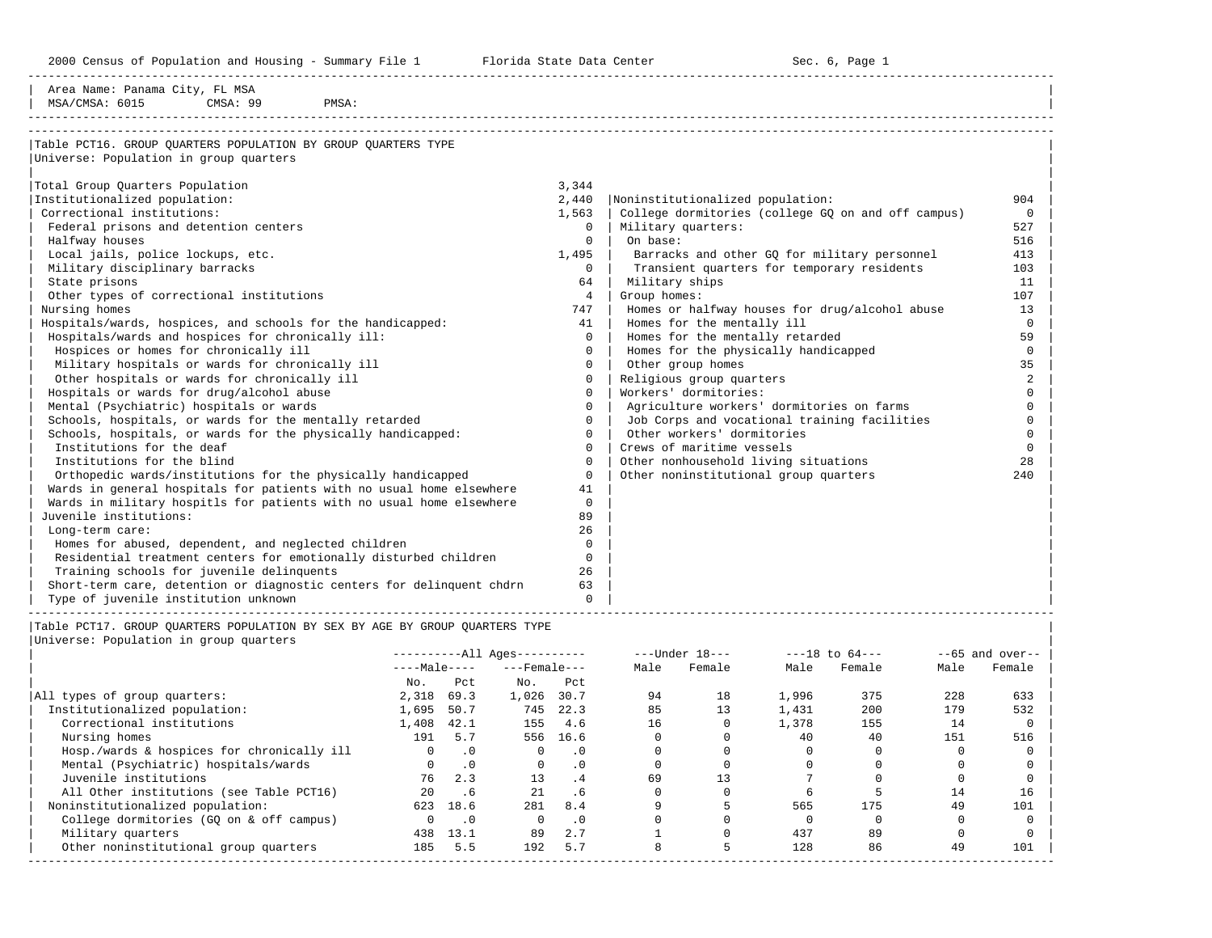2000 Census of Population and Housing - Summary File 1 Telorida State Data Center Sec. 6, Page 1 North Sec. 6, Page

| Area Name: Panama City, FL MSA<br>MSA/CMSA: 6015<br>CMSA: 99<br>PMSA:                                                                                                                                                                                                                                                                                                                                                                                                                                                                                                                                                                                                                                                                                                                                                                                                                                       |                                                                                                                    |                       |                                                                                                                                                                                                |                                            |                                                                                                                                                                                                                                                                         |                                       |                                                                                                                                                                                                                                                                                                 |                                 |                                                                                                                                                                        |
|-------------------------------------------------------------------------------------------------------------------------------------------------------------------------------------------------------------------------------------------------------------------------------------------------------------------------------------------------------------------------------------------------------------------------------------------------------------------------------------------------------------------------------------------------------------------------------------------------------------------------------------------------------------------------------------------------------------------------------------------------------------------------------------------------------------------------------------------------------------------------------------------------------------|--------------------------------------------------------------------------------------------------------------------|-----------------------|------------------------------------------------------------------------------------------------------------------------------------------------------------------------------------------------|--------------------------------------------|-------------------------------------------------------------------------------------------------------------------------------------------------------------------------------------------------------------------------------------------------------------------------|---------------------------------------|-------------------------------------------------------------------------------------------------------------------------------------------------------------------------------------------------------------------------------------------------------------------------------------------------|---------------------------------|------------------------------------------------------------------------------------------------------------------------------------------------------------------------|
| Table PCT16. GROUP OUARTERS POPULATION BY GROUP OUARTERS TYPE<br>Universe: Population in group quarters<br>Total Group Quarters Population<br>Institutionalized population:<br>Correctional institutions:<br>Federal prisons and detention centers<br>Halfway houses<br>Local jails, police lockups, etc.<br>Military disciplinary barracks<br>State prisons<br>Other types of correctional institutions<br>Nursing homes<br>Hospitals/wards, hospices, and schools for the handicapped:<br>Hospitals/wards and hospices for chronically ill:<br>Hospices or homes for chronically ill<br>Military hospitals or wards for chronically ill<br>Other hospitals or wards for chronically ill<br>Hospitals or wards for drug/alcohol abuse<br>Mental (Psychiatric) hospitals or wards<br>Schools, hospitals, or wards for the mentally retarded<br>Schools, hospitals, or wards for the physically handicapped: |                                                                                                                    |                       | 3,344<br>2,440<br>1,563<br>$\mathbf 0$<br>$\Omega$<br>1,495<br>$\Omega$<br>64<br>$\overline{4}$<br>747<br>41<br>$\Omega$<br>$\Omega$<br>$\Omega$<br>0<br>$\Omega$<br>$\Omega$<br>0<br>$\Omega$ | On base:<br>Military ships<br>Group homes: | Noninstitutionalized population:<br>Military quarters:<br>Homes for the mentally ill<br>Homes for the mentally retarded<br>Homes for the physically handicapped<br>Other group homes<br>Religious group quarters<br>Workers' dormitories:<br>Other workers' dormitories |                                       | College dormitories (college GQ on and off campus)<br>Barracks and other GQ for military personnel<br>Transient quarters for temporary residents<br>Homes or halfway houses for drug/alcohol abuse<br>Agriculture workers' dormitories on farms<br>Job Corps and vocational training facilities |                                 | 904<br>$\mathbf 0$<br>527<br>516<br>413<br>103<br>11<br>107<br>13<br>$\mathbf 0$<br>59<br>$\mathbf 0$<br>35<br>2<br>$\Omega$<br>$\mathbf 0$<br>$\mathbf 0$<br>$\Omega$ |
| Institutions for the deaf<br>Institutions for the blind<br>Orthopedic wards/institutions for the physically handicapped<br>Wards in general hospitals for patients with no usual home elsewhere<br>Wards in military hospitls for patients with no usual home elsewhere<br>Juvenile institutions:<br>Long-term care:<br>Homes for abused, dependent, and neglected children<br>Residential treatment centers for emotionally disturbed children<br>Training schools for juvenile delinquents<br>Short-term care, detention or diagnostic centers for delinguent chdrn<br>Type of juvenile institution unknown                                                                                                                                                                                                                                                                                               |                                                                                                                    |                       | $\Omega$<br>$\Omega$<br>$\mathbf 0$<br>41<br>$\mathbf 0$<br>89<br>26<br>$\mathbf 0$<br>$\Omega$<br>26<br>63<br>$\Omega$                                                                        |                                            | Crews of maritime vessels<br>Other nonhousehold living situations<br>Other noninstitutional group quarters                                                                                                                                                              |                                       |                                                                                                                                                                                                                                                                                                 |                                 | $\mathbf 0$<br>28<br>240                                                                                                                                               |
| Table PCT17. GROUP QUARTERS POPULATION BY SEX BY AGE BY GROUP QUARTERS TYPE<br>Universe: Population in group quarters<br>All types of group quarters:<br>Institutionalized population:<br>Correctional institutions<br>Nursing homes                                                                                                                                                                                                                                                                                                                                                                                                                                                                                                                                                                                                                                                                        | $------All Aqes------$<br>$---Male-- ---Female---$<br>No. Pct<br>2,318 69.3<br>1,695 50.7<br>1,408 42.1<br>191 5.7 | No. Pet<br>1,026 30.7 | 745 22.3<br>155 4.6<br>556 16.6                                                                                                                                                                | Male<br>94<br>85<br>16<br>$\Omega$         | ---Under 18---<br>Female<br>18<br>13<br>$\Omega$<br>$\Omega$                                                                                                                                                                                                            | Male<br>1,996<br>1,431<br>1,378<br>40 | ---18 to 64---<br>Female<br>375<br>200<br>155<br>40                                                                                                                                                                                                                                             | Male<br>228<br>179<br>14<br>151 | $- -65$ and over--<br>Female<br>633<br>532<br>$\mathbf 0$<br>516                                                                                                       |

|                                            | $------All$ Aqes- |           |                    |           |      | $---Under 18---$ |       | $---18$ to $64---$ |      | $--65$ and over-- |
|--------------------------------------------|-------------------|-----------|--------------------|-----------|------|------------------|-------|--------------------|------|-------------------|
|                                            | $---Male---$      |           | $---$ Female $---$ |           | Male | Female           | Male  | Female             | Male | Female            |
|                                            | No.               | Pct       | No.                | Pct       |      |                  |       |                    |      |                   |
| All types of group quarters:               | 2,318             | 69.3      | 1,026              | 30.7      | 94   | 18               | 1,996 | 375                | 228  | 633               |
| Institutionalized population:              | 1,695             | 50.7      | 745                | 22.3      | 85   | 13               | 1,431 | 200                | 179  | 532               |
| Correctional institutions                  | 1,408             | 42.1      | 155                | 4.6       | 16   |                  | 1,378 | 155                | 14   |                   |
| Nursing homes                              | 191               | 5.7       | 556                | 16.6      |      |                  | 40    | 40                 | 151  | 516               |
| Hosp./wards & hospices for chronically ill |                   | $\cdot$ 0 |                    | $\cdot$ 0 |      |                  |       |                    |      |                   |
| Mental (Psychiatric) hospitals/wards       |                   |           |                    | . 0       |      |                  |       |                    |      |                   |
| Juvenile institutions                      | 76                | 2.3       | 13                 | . 4       | 69   | 13               |       |                    |      |                   |
| All Other institutions (see Table PCT16)   | 2.0               | . 6       | 21                 | . 6       |      |                  |       |                    | 14   | 16                |
| Noninstitutionalized population:           | 623               | 18.6      | 281                | 8.4       |      |                  | 565   | 175                | 49   | 101               |
| College dormitories (GO on & off campus)   |                   |           |                    | $\cdot$ 0 |      |                  |       |                    |      |                   |
| Military quarters                          | 438               | 13.1      | 89                 | 2.7       |      |                  | 437   | 89                 |      |                   |
| Other noninstitutional group quarters      | 185               | 5.5       | 192                | 5.7       |      |                  | 128   | 86                 | 49   | 101               |
|                                            |                   |           |                    |           |      |                  |       |                    |      |                   |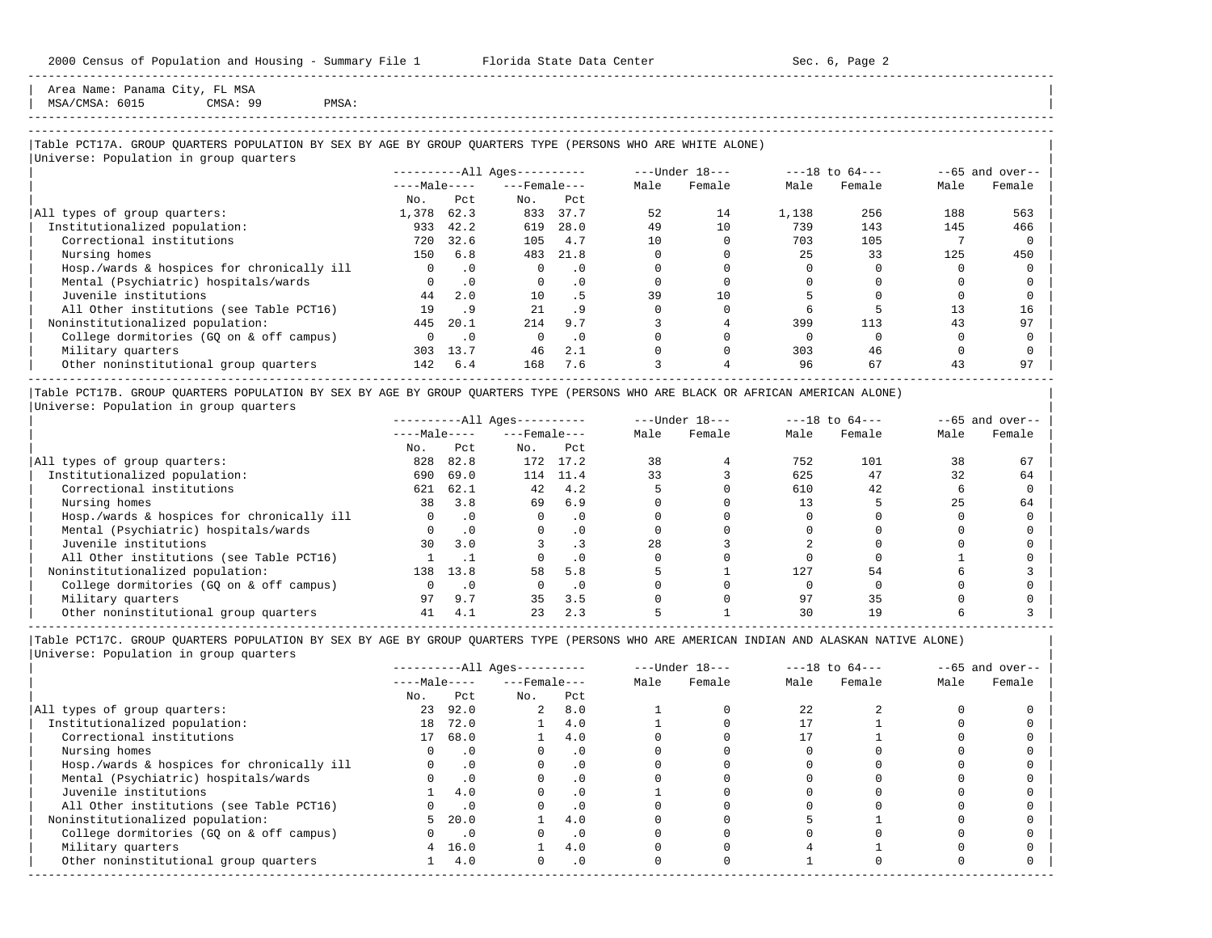Area Name: Panama City, FL MSA | MSA/CMSA: 6015 CMSA: 99 PMSA: |

# -----------------------------------------------------------------------------------------------------------------------------------------------------

-----------------------------------------------------------------------------------------------------------------------------------------------------

## |Table PCT17A. GROUP QUARTERS POPULATION BY SEX BY AGE BY GROUP QUARTERS TYPE (PERSONS WHO ARE WHITE ALONE) |

|                                            |              |           | $------All Aqes------$ |           |      | $---Under 18---$ |       | $---18$ to $64---$ |      | $--65$ and over-- |
|--------------------------------------------|--------------|-----------|------------------------|-----------|------|------------------|-------|--------------------|------|-------------------|
|                                            | $---Male---$ |           | $---$ Female $---$     |           | Male | Female           | Male  | Female             | Male | Female            |
|                                            | No.          | Pct.      | No.                    | Pct       |      |                  |       |                    |      |                   |
| All types of group quarters:               | 1,378        | 62.3      | 833                    | 37.7      | 52   | 14               | 1,138 | 256                | 188  | 563               |
| Institutionalized population:              | 933          | 42.2      | 619                    | 28.0      | 49   | 10               | 739   | 143                | 145  | 466               |
| Correctional institutions                  | 720          | 32.6      | 105                    | 4.7       | 10   |                  | 703   | 105                |      |                   |
| Nursing homes                              | 150          | 6.8       | 483                    | 21.8      |      |                  | 25    | 33                 | 125  | 450               |
| Hosp./wards & hospices for chronically ill | $\Omega$     | $\cdot$ 0 | $\Omega$               | $\cdot$ 0 |      |                  |       |                    |      |                   |
| Mental (Psychiatric) hospitals/wards       |              | $\cdot$ 0 | $\Omega$               | . 0       |      |                  |       |                    |      |                   |
| Juvenile institutions                      | 44           | 2.0       | 10                     | . 5       | 39   | 10               |       |                    |      |                   |
| All Other institutions (see Table PCT16)   | 19           | . 9       | 2.1                    | .9        |      |                  |       |                    | 13   | 16                |
| Noninstitutionalized population:           | 445          | 20.1      | 214                    | 9.7       |      |                  | 399   | 113                | 43   | 97                |
| College dormitories (GO on & off campus)   |              | $\cdot$ 0 |                        | $\cdot$ 0 |      |                  |       |                    |      |                   |
| Military quarters                          | 303          | 13.7      | 46                     | 2.1       |      |                  | 303   | 46                 |      |                   |
| Other noninstitutional group quarters      | 142          | 6.4       | 168                    | 7.6       |      |                  | 96    | 67                 | 43   | 97                |

|Table PCT17B. GROUP QUARTERS POPULATION BY SEX BY AGE BY GROUP QUARTERS TYPE (PERSONS WHO ARE BLACK OR AFRICAN AMERICAN ALONE) | |Universe: Population in group quarters |

|                                            |              |           | $------All Aqes------$ |          |      | $---Under 18---$ |      | $---18$ to $64---$ |      | $--65$ and over-- |
|--------------------------------------------|--------------|-----------|------------------------|----------|------|------------------|------|--------------------|------|-------------------|
|                                            | $---Male---$ |           | $---$ Female $---$     |          | Male | Female           | Male | Female             | Male | Female            |
|                                            | No.          | Pct       | No.                    | Pct      |      |                  |      |                    |      |                   |
| All types of group quarters:               | 828          | 82.8      |                        | 172 17.2 | 38   |                  | 752  | 101                | 38   | 67                |
| Institutionalized population:              | 690          | 69.0      | 114                    | 11.4     | 33   |                  | 625  | 47                 | 32   | 64                |
| Correctional institutions                  | 621          | 62.1      | 42                     | 4.2      |      |                  | 610  | 42                 |      |                   |
| Nursing homes                              | 38           | 3.8       | 69                     | 6.9      |      |                  |      |                    | 25   | 64                |
| Hosp./wards & hospices for chronically ill |              | $\cdot$ 0 |                        |          |      |                  |      |                    |      |                   |
| Mental (Psychiatric) hospitals/wards       |              | $\cdot$ 0 |                        |          |      |                  |      |                    |      |                   |
| Juvenile institutions                      | 30           | 3.0       |                        |          | 28   |                  |      |                    |      |                   |
| All Other institutions (see Table PCT16)   |              |           |                        |          |      |                  |      |                    |      |                   |
| Noninstitutionalized population:           | 138          | 13.8      | 58                     | 5.8      |      |                  | 127  | 54                 |      |                   |
| College dormitories (GQ on & off campus)   |              | $\cdot$ 0 |                        |          |      |                  |      |                    |      |                   |
| Military quarters                          | 97           | 9.7       | 35                     | 3.5      |      |                  | 97   | 35                 |      |                   |
| Other noninstitutional group quarters      |              | 4.1       | 23                     | 2.3      |      |                  | 30   |                    |      |                   |

-----------------------------------------------------------------------------------------------------------------------------------------------------

|                                            |              |           | $------All Aqes------$ |           |      | $---Under 18---$ |      | $---18$ to $64---$ |      | $- -65$ and over-- |
|--------------------------------------------|--------------|-----------|------------------------|-----------|------|------------------|------|--------------------|------|--------------------|
|                                            | $---Male---$ |           | $---$ Female $---$     |           | Male | Female           | Male | Female             | Male | Female             |
|                                            | No.          | Pct       | No.                    | Pct       |      |                  |      |                    |      |                    |
| All types of group quarters:               | 23           | 92.0      | $\overline{a}$         | 8.0       |      |                  | 2.2. |                    |      |                    |
| Institutionalized population:              | 18           | 72.0      |                        | 4.0       |      |                  |      |                    |      |                    |
| Correctional institutions                  | 17           | 68.0      |                        | 4.0       |      |                  |      |                    |      |                    |
| Nursing homes                              |              |           |                        | . 0       |      |                  |      |                    |      |                    |
| Hosp./wards & hospices for chronically ill |              |           |                        | . 0       |      |                  |      |                    |      |                    |
| Mental (Psychiatric) hospitals/wards       |              | $\cdot$ 0 |                        | . 0       |      |                  |      |                    |      |                    |
| Juvenile institutions                      |              | 4.0       |                        | $\cdot$ 0 |      |                  |      |                    |      |                    |
| All Other institutions (see Table PCT16)   |              |           |                        | . 0       |      |                  |      |                    |      |                    |
| Noninstitutionalized population:           |              | 20.0      |                        | 4.0       |      |                  |      |                    |      |                    |
| College dormitories (GQ on & off campus)   |              | $\cdot$ 0 |                        | . 0       |      |                  |      |                    |      |                    |
| Military quarters                          |              | 16.0      |                        | 4.0       |      |                  |      |                    |      |                    |
| Other noninstitutional group quarters      |              | 4.0       |                        | $\cdot$ 0 |      |                  |      |                    |      |                    |
|                                            |              |           |                        |           |      |                  |      |                    |      |                    |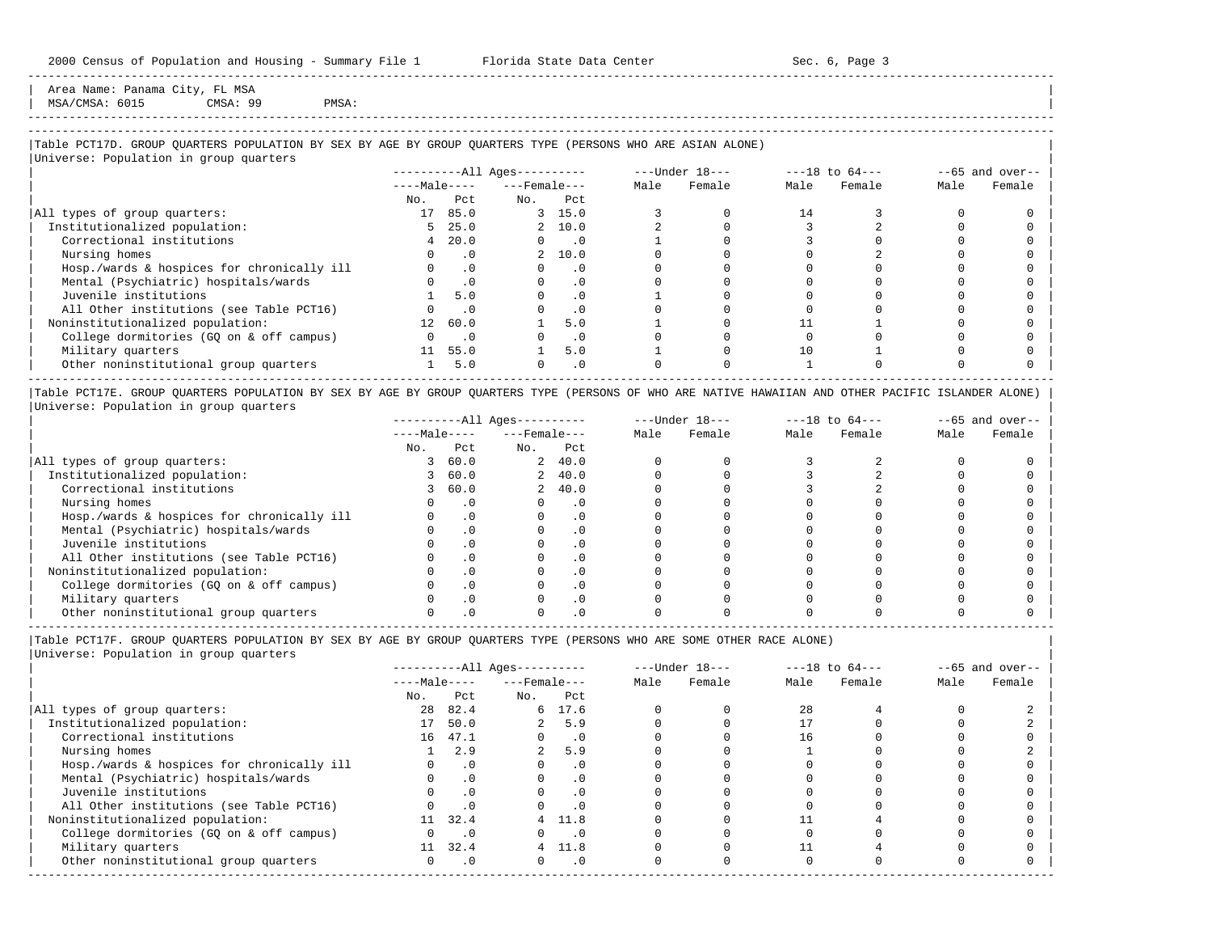Area Name: Panama City, FL MSA<br>MSA/CMSA: 6015 CMSA: 99 | MSA/CMSA: 6015 CMSA: 99 PMSA: |

# -----------------------------------------------------------------------------------------------------------------------------------------------------

-----------------------------------------------------------------------------------------------------------------------------------------------------

## |Table PCT17D. GROUP QUARTERS POPULATION BY SEX BY AGE BY GROUP QUARTERS TYPE (PERSONS WHO ARE ASIAN ALONE) |

|                                            |              |           | $------All Ages------$ |                             |      | ---Under 18--- |      | $---18$ to $64---$ |      | $--65$ and over-- |
|--------------------------------------------|--------------|-----------|------------------------|-----------------------------|------|----------------|------|--------------------|------|-------------------|
|                                            | $---Male---$ |           | $---$ Female $---$     |                             | Male | Female         | Male | Female             | Male | Female            |
|                                            | No.          | Pct       | No.                    | Pct                         |      |                |      |                    |      |                   |
| All types of group quarters:               | 17           | 85.0      |                        | 3, 15.0                     |      |                | 14   |                    |      |                   |
| Institutionalized population:              | 5.           | 25.0      |                        | 2 10.0                      |      |                |      |                    |      |                   |
| Correctional institutions                  | 4            | 20.0      | $\Omega$               | $\overline{\phantom{0}}$ .0 |      |                |      |                    |      |                   |
| Nursing homes                              |              | $\cdot$ 0 |                        | 2, 10.0                     |      |                |      |                    |      |                   |
| Hosp./wards & hospices for chronically ill |              | $\cdot$ 0 | $\Omega$               | $\cdot$ 0                   |      |                |      |                    |      |                   |
| Mental (Psychiatric) hospitals/wards       |              | $\cdot$ 0 | $\Omega$               | $\cdot$ 0                   |      |                |      |                    |      |                   |
| Juvenile institutions                      |              | 5.0       |                        | $\cdot$ 0                   |      |                |      |                    |      |                   |
| All Other institutions (see Table PCT16)   |              | $\cdot$ 0 |                        | $\cdot$ 0                   |      |                |      |                    |      |                   |
| Noninstitutionalized population:           | 12           | 60.0      |                        | 5.0                         |      |                |      |                    |      |                   |
| College dormitories (GQ on & off campus)   |              | $\cdot$ 0 |                        | $\cdot$ 0                   |      |                |      |                    |      |                   |
| Military quarters                          | 11           | 55.0      |                        | 5.0                         |      |                | 10   |                    |      |                   |
| Other noninstitutional group quarters      |              | 5.0       |                        | $\cdot$ 0                   |      |                |      |                    |      |                   |

|Table PCT17E. GROUP QUARTERS POPULATION BY SEX BY AGE BY GROUP QUARTERS TYPE (PERSONS OF WHO ARE NATIVE HAWAIIAN AND OTHER PACIFIC ISLANDER ALONE) | |Universe: Population in group quarters |

|                                            |              |      | $------All Aqes------$ |         |      | $---Under 18---$ |      | $---18$ to $64---$ |      | $--65$ and over-- |
|--------------------------------------------|--------------|------|------------------------|---------|------|------------------|------|--------------------|------|-------------------|
|                                            | $---Male---$ |      | $---$ Female $---$     |         | Male | Female           | Male | Female             | Male | Female            |
|                                            | No.          | Pct  | No.                    | Pct     |      |                  |      |                    |      |                   |
| All types of group quarters:               |              | 60.0 |                        | 2, 40.0 |      |                  |      |                    |      |                   |
| Institutionalized population:              |              | 60.0 |                        | 2, 40.0 |      |                  |      |                    |      |                   |
| Correctional institutions                  |              | 60.0 |                        | 2, 40.0 |      |                  |      |                    |      |                   |
| Nursing homes                              |              |      |                        | . 0     |      |                  |      |                    |      |                   |
| Hosp./wards & hospices for chronically ill |              |      |                        |         |      |                  |      |                    |      |                   |
| Mental (Psychiatric) hospitals/wards       |              |      |                        |         |      |                  |      |                    |      |                   |
| Juvenile institutions                      |              |      |                        |         |      |                  |      |                    |      |                   |
| All Other institutions (see Table PCT16)   |              |      |                        |         |      |                  |      |                    |      |                   |
| Noninstitutionalized population:           |              |      |                        | . 0     |      |                  |      |                    |      |                   |
| College dormitories (GO on & off campus)   |              |      |                        |         |      |                  |      |                    |      |                   |
| Military quarters                          |              |      |                        | . 0     |      |                  |      |                    |      |                   |
| Other noninstitutional group quarters      |              |      |                        |         |      |                  |      |                    |      |                   |

-----------------------------------------------------------------------------------------------------------------------------------------------------

|Table PCT17F. GROUP QUARTERS POPULATION BY SEX BY AGE BY GROUP QUARTERS TYPE (PERSONS WHO ARE SOME OTHER RACE ALONE) |

|                                            |              |           | ----------All Ages---------- |           |      | $---Under 18---$ |      | $---18$ to $64---$ |      | $--65$ and over-- |
|--------------------------------------------|--------------|-----------|------------------------------|-----------|------|------------------|------|--------------------|------|-------------------|
|                                            | $---Male---$ |           | $---$ Female $---$           |           | Male | Female           | Male | Female             | Male | Female            |
|                                            | No.          | Pct       | No.                          | Pct       |      |                  |      |                    |      |                   |
| All types of group quarters:               | 28           | 82.4      |                              | 6 17.6    |      |                  | 28   |                    |      |                   |
| Institutionalized population:              | 17           | 50.0      |                              | 5.9       |      |                  |      |                    |      |                   |
| Correctional institutions                  | 16           | 47.1      |                              | $\cdot$ 0 |      |                  | 16   |                    |      |                   |
| Nursing homes                              |              | 2.9       | $\overline{a}$               | 5.9       |      |                  |      |                    |      |                   |
| Hosp./wards & hospices for chronically ill |              | $\cdot$ 0 |                              | $\cdot$ 0 |      |                  |      |                    |      |                   |
| Mental (Psychiatric) hospitals/wards       |              | $\cdot$ 0 |                              |           |      |                  |      |                    |      |                   |
| Juvenile institutions                      |              | $\cdot$ 0 | O                            | $\cdot$ 0 |      |                  |      |                    |      |                   |
| All Other institutions (see Table PCT16)   |              | .0        |                              | $\cdot$ 0 |      |                  |      |                    |      |                   |
| Noninstitutionalized population:           | 11           | 32.4      |                              | 4 11.8    |      |                  |      |                    |      |                   |
| College dormitories (GQ on & off campus)   |              | $\cdot$ 0 |                              | $\cdot$ 0 |      |                  |      |                    |      |                   |
| Military quarters                          | 11           | 32.4      |                              | 4 11.8    |      |                  |      |                    |      |                   |
| Other noninstitutional group quarters      | 0            | $\cdot$ 0 | $\Omega$                     | $\cdot$ 0 |      |                  |      |                    |      |                   |
|                                            |              |           |                              |           |      |                  |      |                    |      |                   |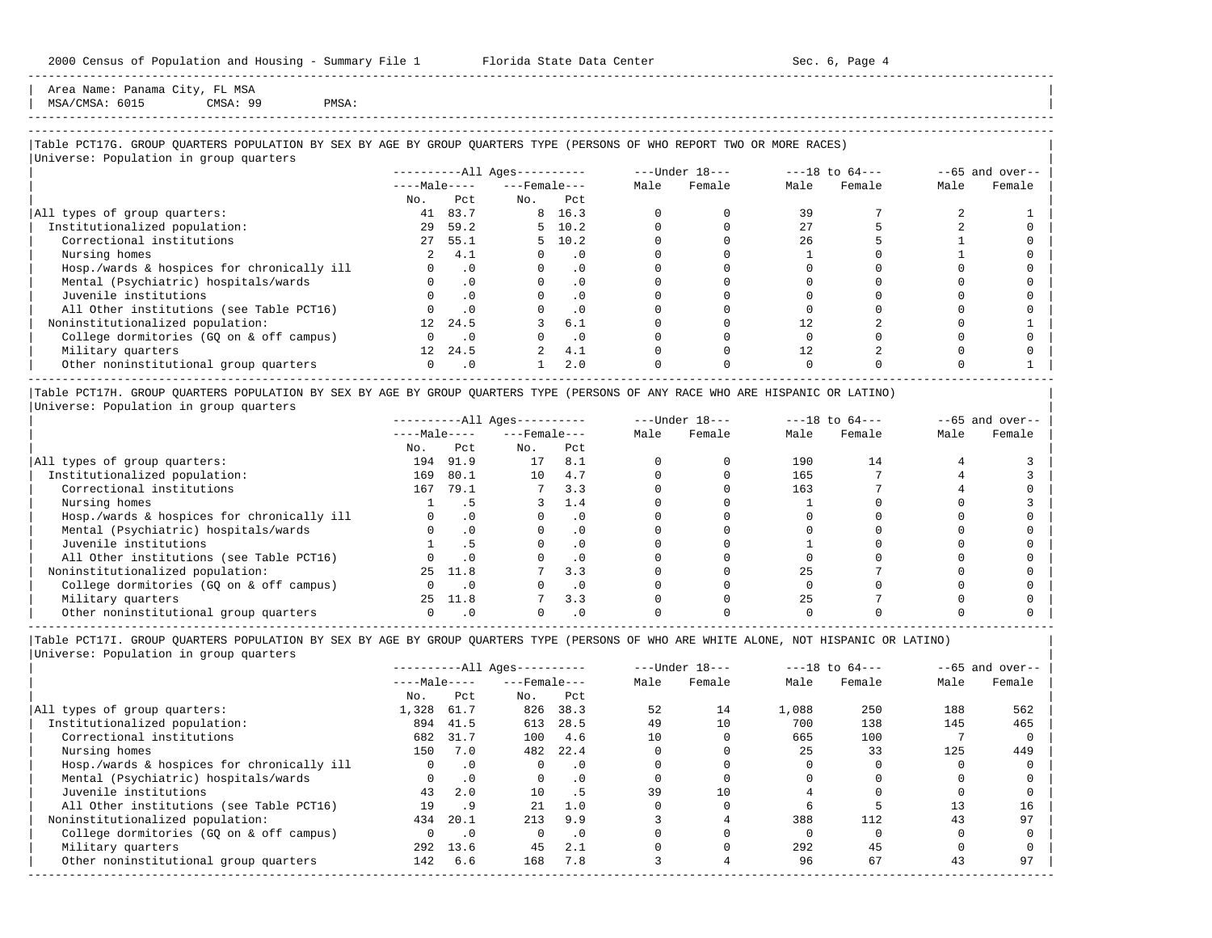Area Name: Panama City, FL MSA | MSA/CMSA: 6015 CMSA: 99 PMSA: |

-----------------------------------------------------------------------------------------------------------------------------------------------------

## ----------------------------------------------------------------------------------------------------------------------------------------------------- |Table PCT17G. GROUP QUARTERS POPULATION BY SEX BY AGE BY GROUP QUARTERS TYPE (PERSONS OF WHO REPORT TWO OR MORE RACES) |

|                                            |                  |           | $------All Ages------$ |                |      | $---Under 18---$ |      | $---18$ to $64---$ |      | $--65$ and over-- |
|--------------------------------------------|------------------|-----------|------------------------|----------------|------|------------------|------|--------------------|------|-------------------|
|                                            | $---Male---$     |           | $---$ Female $---$     |                | Male | Female           | Male | Female             | Male | Female            |
|                                            | No.              | Pct       | No.                    | Pct            |      |                  |      |                    |      |                   |
| All types of group quarters:               | 41               | 83.7      |                        | 8 16.3         |      |                  | 39   |                    |      |                   |
| Institutionalized population:              | 29               | 59.2      |                        | $5 \quad 10.2$ |      |                  | 27   |                    |      |                   |
| Correctional institutions                  | 27               | 55.1      |                        | $5 \quad 10.2$ |      |                  | 26   |                    |      |                   |
| Nursing homes                              |                  | 4.1       |                        | . 0            |      |                  |      |                    |      |                   |
| Hosp./wards & hospices for chronically ill |                  | $\cdot$ 0 |                        | $\cdot$ 0      |      |                  |      |                    |      |                   |
| Mental (Psychiatric) hospitals/wards       |                  | $\cdot$ 0 |                        | $\cdot$ 0      |      |                  |      |                    |      |                   |
| Juvenile institutions                      |                  | .0        |                        | . 0            |      |                  |      |                    |      |                   |
| All Other institutions (see Table PCT16)   |                  | $\cdot$ 0 |                        | $\cdot$ 0      |      |                  |      |                    |      |                   |
| Noninstitutionalized population:           | 12 <sup>12</sup> | 24.5      |                        | 6.1            |      |                  | 12   |                    |      |                   |
| College dormitories (GO on & off campus)   |                  | $\cdot$ 0 |                        | $\cdot$ 0      |      |                  |      |                    |      |                   |
| Military quarters                          | 12 <sup>1</sup>  | 24.5      |                        | 4.1            |      |                  | 12   |                    |      |                   |
| Other noninstitutional group quarters      |                  | $\cdot$ 0 |                        | 2.0            |      |                  |      |                    |      |                   |

|Table PCT17H. GROUP QUARTERS POPULATION BY SEX BY AGE BY GROUP QUARTERS TYPE (PERSONS OF ANY RACE WHO ARE HISPANIC OR LATINO) | |Universe: Population in group quarters |

|                                            |              |      | $------All Aqes------$ |           |      | $---Under 18---$ |      | $---18$ to $64---$ |      | $- -65$ and over-- |
|--------------------------------------------|--------------|------|------------------------|-----------|------|------------------|------|--------------------|------|--------------------|
|                                            | $---Male---$ |      | $---$ Female $---$     |           | Male | Female           | Male | Female             | Male | Female             |
|                                            | No.          | Pct  | No.                    | Pct       |      |                  |      |                    |      |                    |
| All types of group quarters:               | 194          | 91.9 | 17                     | 8.1       |      |                  | 190  | 14                 |      |                    |
| Institutionalized population:              | 169          | 80.1 | 10                     | 4.7       |      |                  | 165  |                    |      |                    |
| Correctional institutions                  | 167          | 79.1 |                        | 3.3       |      |                  | 163  |                    |      |                    |
| Nursing homes                              |              |      |                        | 1.4       |      |                  |      |                    |      |                    |
| Hosp./wards & hospices for chronically ill |              |      |                        | . 0       |      |                  |      |                    |      |                    |
| Mental (Psychiatric) hospitals/wards       |              |      |                        | $\cdot$ 0 |      |                  |      |                    |      |                    |
| Juvenile institutions                      |              | . 5  |                        | . 0       |      |                  |      |                    |      |                    |
| All Other institutions (see Table PCT16)   |              |      |                        | $\cdot$ 0 |      |                  |      |                    |      |                    |
| Noninstitutionalized population:           | 25           | 11.8 |                        | 3.3       |      |                  | 2.5  |                    |      |                    |
| College dormitories (GO on & off campus)   |              |      |                        | $\cdot$ 0 |      |                  |      |                    |      |                    |
| Military quarters                          | 25           | 11.8 |                        | 3.3       |      |                  | 2.5  |                    |      |                    |
| Other noninstitutional group quarters      |              |      |                        |           |      |                  |      |                    |      |                    |

----------------------------------------------------------------------------------------------------------------------------------------------------- |Table PCT17I. GROUP QUARTERS POPULATION BY SEX BY AGE BY GROUP QUARTERS TYPE (PERSONS OF WHO ARE WHITE ALONE, NOT HISPANIC OR LATINO) |

| Universe: Population in group quarters |  |
|----------------------------------------|--|
|                                        |  |

|                                            |              |           | $------All Aqes------$ |           |      | $---Under 18---$ |       | $---18$ to $64---$ |      | $--65$ and over-- |
|--------------------------------------------|--------------|-----------|------------------------|-----------|------|------------------|-------|--------------------|------|-------------------|
|                                            | $---Male---$ |           | $---$ Female $---$     |           | Male | Female           | Male  | Female             | Male | Female            |
|                                            | No.          | Pct       | No.                    | Pct       |      |                  |       |                    |      |                   |
| All types of group quarters:               | 1,328        | 61.7      | 826                    | 38.3      | 52   | 14               | 1,088 | 250                | 188  | 562               |
| Institutionalized population:              | 894          | 41.5      | 613                    | 28.5      | 49   | 10               | 700   | 138                | 145  | 465               |
| Correctional institutions                  | 682          | 31.7      | 100                    | 4.6       | 10   |                  | 665   | 100                |      |                   |
| Nursing homes                              | 150          | 7.0       | 482                    | 22.4      |      |                  | 25    | 33                 | 125  | 449               |
| Hosp./wards & hospices for chronically ill | $\Omega$     | .0        | $\Omega$               | $\cdot$ 0 |      |                  |       |                    |      |                   |
| Mental (Psychiatric) hospitals/wards       |              | $\cdot$ 0 | $\Omega$               | $\cdot$ 0 |      |                  |       |                    |      |                   |
| Juvenile institutions                      | 43           | 2.0       | 10                     | .5        | 39   | 10               |       |                    |      |                   |
| All Other institutions (see Table PCT16)   | 19           | . 9       | 21                     | 1.0       |      |                  |       |                    |      | 16                |
| Noninstitutionalized population:           | 434          | 20.1      | 213                    | 9.9       |      |                  | 388   | 112                | 43   | 97                |
| College dormitories (GO on & off campus)   |              | $\cdot$ 0 | $\Omega$               | $\cdot$ 0 |      |                  |       |                    |      |                   |
| Military quarters                          | 292          | 13.6      | 45                     | 2.1       |      |                  | 292   | 45                 |      |                   |
| Other noninstitutional group quarters      | 142          | 6.6       | 168                    | 7.8       |      |                  | 96    | 67                 | 43   | 97                |
|                                            |              |           |                        |           |      |                  |       |                    |      |                   |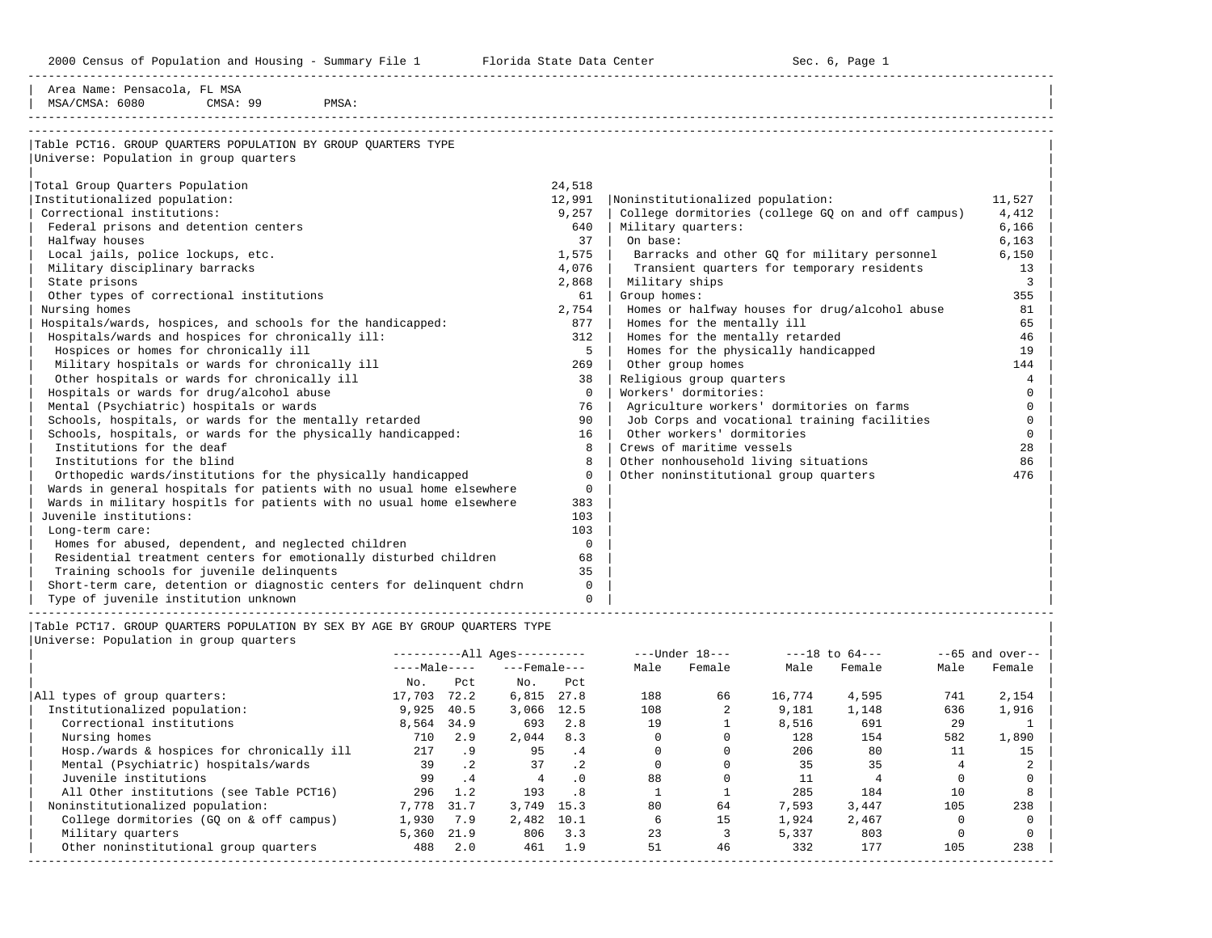2000 Census of Population and Housing - Summary File 1 Telorida State Data Center Sec. 6, Page 1 North Sec. 6, Page

| Area Name: Pensacola, FL MSA<br>MSA/CMSA: 6080<br>CMSA: 99<br>PMSA:                                     |             |                                                    |          |
|---------------------------------------------------------------------------------------------------------|-------------|----------------------------------------------------|----------|
| Table PCT16. GROUP OUARTERS POPULATION BY GROUP OUARTERS TYPE<br>Universe: Population in group quarters |             |                                                    |          |
|                                                                                                         |             |                                                    |          |
| Total Group Quarters Population                                                                         | 24,518      |                                                    |          |
| Institutionalized population:                                                                           | 12,991      | Noninstitutionalized population:                   | 11,527   |
| Correctional institutions:                                                                              | 9,257       | College dormitories (college GQ on and off campus) | 4,412    |
| Federal prisons and detention centers                                                                   | 640         | Military quarters:                                 | 6,166    |
| Halfway houses                                                                                          | 37          | On base:                                           | 6,163    |
| Local jails, police lockups, etc.                                                                       | 1,575       | Barracks and other GQ for military personnel       | 6,150    |
| Military disciplinary barracks                                                                          | 4,076       | Transient quarters for temporary residents         | 13       |
| State prisons                                                                                           | 2,868       | Military ships                                     | 3        |
| Other types of correctional institutions                                                                | 61          | Group homes:                                       | 355      |
| Nursing homes                                                                                           | 2,754       | Homes or halfway houses for drug/alcohol abuse     | 81       |
| Hospitals/wards, hospices, and schools for the handicapped:                                             | 877         | Homes for the mentally ill                         | 65       |
| Hospitals/wards and hospices for chronically ill:                                                       | 312         | Homes for the mentally retarded                    | 46       |
| Hospices or homes for chronically ill                                                                   | 5.          | Homes for the physically handicapped               | 19       |
| Military hospitals or wards for chronically ill                                                         | 269         | Other group homes                                  | 144      |
| Other hospitals or wards for chronically ill                                                            | 38          | Religious group quarters                           | 4        |
| Hospitals or wards for drug/alcohol abuse                                                               | $\Omega$    | Workers' dormitories:                              | $\Omega$ |
| Mental (Psychiatric) hospitals or wards                                                                 | 76          | Agriculture workers' dormitories on farms          | $\Omega$ |
| Schools, hospitals, or wards for the mentally retarded                                                  | 90          | Job Corps and vocational training facilities       | $\Omega$ |
| Schools, hospitals, or wards for the physically handicapped:                                            | 16          | Other workers' dormitories                         | $\Omega$ |
| Institutions for the deaf                                                                               | 8           | Crews of maritime vessels                          | 28       |
| Institutions for the blind                                                                              | 8           | Other nonhousehold living situations               | 86       |
| Orthopedic wards/institutions for the physically handicapped                                            | $\Omega$    | Other noninstitutional group quarters              | 476      |
| Wards in general hospitals for patients with no usual home elsewhere                                    | $\mathbf 0$ |                                                    |          |
| Wards in military hospitls for patients with no usual home elsewhere                                    | 383         |                                                    |          |
| Juvenile institutions:                                                                                  | 103         |                                                    |          |
| Long-term care:                                                                                         | 103         |                                                    |          |
| Homes for abused, dependent, and neglected children                                                     | $\mathbf 0$ |                                                    |          |
| Residential treatment centers for emotionally disturbed children                                        | 68          |                                                    |          |
| Training schools for juvenile delinquents                                                               | 35          |                                                    |          |
| Short-term care, detention or diagnostic centers for delinquent chdrn                                   | 0           |                                                    |          |
| Type of juvenile institution unknown                                                                    | $\Omega$    |                                                    |          |

|                                            |              |           | ----------All Ages---------- |           |      | $---Under 18---$ |        | $---18$ to $64---$ |      | $--65$ and over-- |
|--------------------------------------------|--------------|-----------|------------------------------|-----------|------|------------------|--------|--------------------|------|-------------------|
|                                            | $---Male---$ |           | $---$ Female $---$           |           | Male | Female           | Male   | Female             | Male | Female            |
|                                            | No.          | Pct.      | No.                          | Pct       |      |                  |        |                    |      |                   |
| All types of group quarters:               | 17,703       | 72.2      | 6,815                        | 27.8      | 188  | 66               | 16,774 | 4,595              | 741  | 2,154             |
| Institutionalized population:              | 9,925        | 40.5      | 3,066                        | 12.5      | 108  |                  | 9,181  | 1,148              | 636  | 1,916             |
| Correctional institutions                  | 8,564        | 34.9      | 693                          | 2.8       | 19   |                  | 8,516  | 691                | 29   |                   |
| Nursing homes                              | 710          | 2.9       | 2,044                        | 8.3       |      |                  | 128    | 154                | 582  | 1,890             |
| Hosp./wards & hospices for chronically ill | 217          | . 9       | 95                           | . 4       |      |                  | 206    | 80                 |      | 15                |
| Mental (Psychiatric) hospitals/wards       | 39           | $\cdot$ 2 | 37                           | $\cdot$ 2 |      |                  | 35     | 35                 |      |                   |
| Juvenile institutions                      | 99           | .4        | 4                            | $\cdot$ 0 | 88   |                  |        |                    |      |                   |
| All Other institutions (see Table PCT16)   | 296          | 1.2       | 193                          | .8        |      |                  | 285    | 184                | 10   |                   |
| Noninstitutionalized population:           | 7,778        | 31.7      | 3,749                        | 15.3      | 80   | 64               | 7,593  | 3,447              | 105  | 238               |
| College dormitories (GQ on & off campus)   | 1,930        | 7.9       | 2,482                        | 10.1      | 6    | 15               | 1,924  | 2,467              |      |                   |
| Military quarters                          | 5,360        | 21.9      | 806                          | 3.3       | 23   |                  | 5,337  | 803                |      |                   |
| Other noninstitutional group quarters      | 488          | 2.0       | 461                          | 1.9       | 51   | 46               | 332    | 177                | 105  | 238               |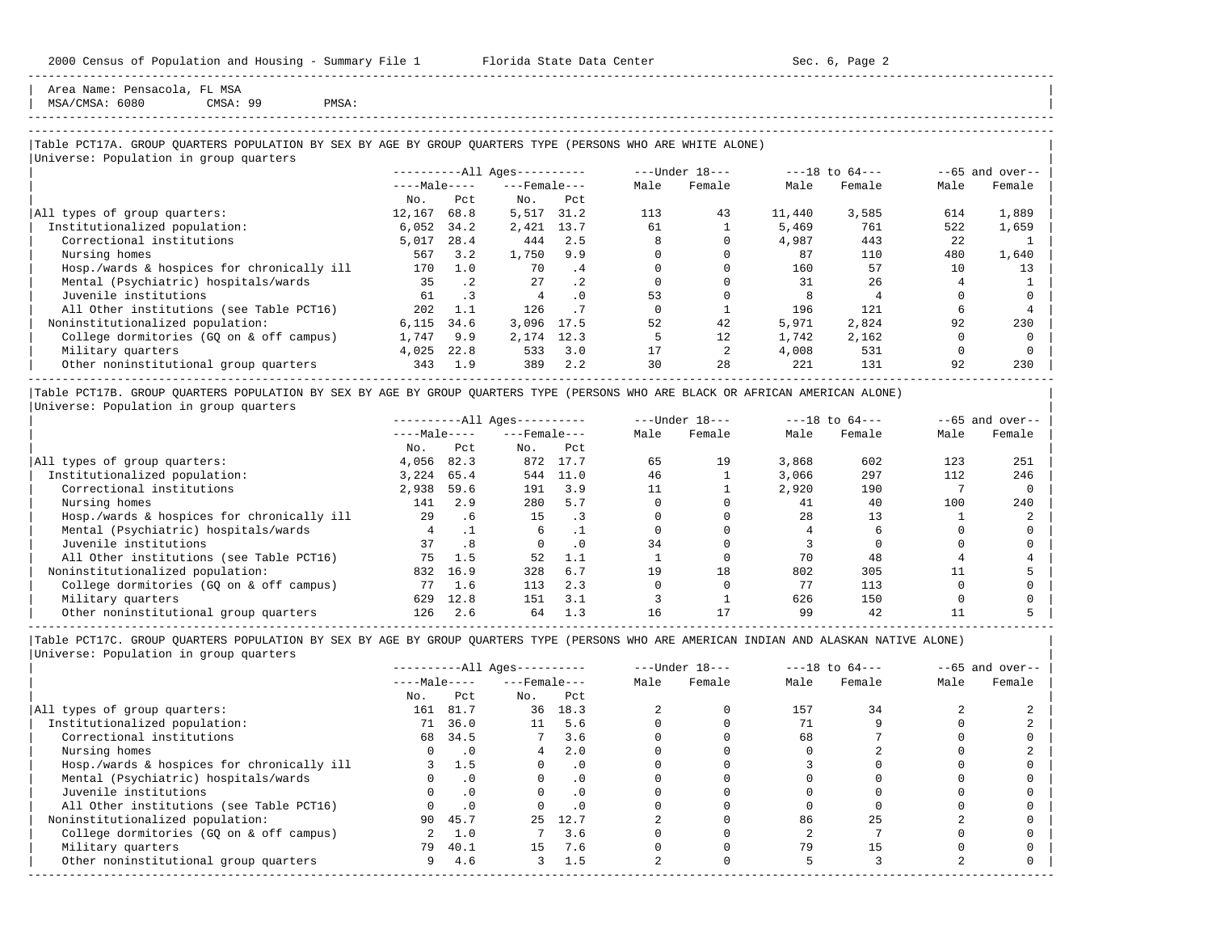Area Name: Pensacola, FL MSA<br>MSA/CMSA: 6080 CMSA: 99 | MSA/CMSA: 6080 CMSA: 99 PMSA: |

# -----------------------------------------------------------------------------------------------------------------------------------------------------

-----------------------------------------------------------------------------------------------------------------------------------------------------

### |Table PCT17A. GROUP QUARTERS POPULATION BY SEX BY AGE BY GROUP QUARTERS TYPE (PERSONS WHO ARE WHITE ALONE) | |<br>|Universe: Population in group quarters

|                                            |              |           | $------All Ages------$ |           |      | $---Under 18---$ |        | $---18$ to $64---$ |      | $--65$ and over-- |
|--------------------------------------------|--------------|-----------|------------------------|-----------|------|------------------|--------|--------------------|------|-------------------|
|                                            | $---Male---$ |           | $---$ Female $---$     |           | Male | Female           | Male   | Female             | Male | Female            |
|                                            | No.          | Pct       | No.                    | Pct.      |      |                  |        |                    |      |                   |
| All types of group quarters:               | 12,167       | 68.8      | 5,517                  | 31.2      | 113  | 43               | 11,440 | 3,585              | 614  | 1,889             |
| Institutionalized population:              | 6,052        | 34.2      | 2,421                  | 13.7      | 61   |                  | 5,469  | 761                | 522  | 1,659             |
| Correctional institutions                  | 5,017        | 28.4      | 444                    | 2.5       |      |                  | 4,987  | 443                | 22   |                   |
| Nursing homes                              | 567          | 3.2       | 1,750                  | 9.9       |      |                  | 87     | 110                | 480  | 1,640             |
| Hosp./wards & hospices for chronically ill | 170          | 1.0       | 70                     | .4        |      |                  | 160    | 57                 | 10   | 13                |
| Mental (Psychiatric) hospitals/wards       | 35           | $\cdot$ 2 | 27                     | $\cdot$ 2 |      |                  | 31     | 26                 |      |                   |
| Juvenile institutions                      | 61           | $\cdot$ 3 | 4                      | $\cdot$ 0 | 53   |                  |        |                    |      |                   |
| All Other institutions (see Table PCT16)   | 202          | 1.1       | 126                    |           |      |                  | 196    | 121                | ь    |                   |
| Noninstitutionalized population:           | 6.115        | 34.6      | 3,096                  | 17.5      | 52   | 42               | 5,971  | 2,824              | 92   | 230               |
| College dormitories (GO on & off campus)   | 1,747        | 9.9       | 2,174                  | 12.3      |      | 12               | 1,742  | 2,162              |      |                   |
| Military quarters                          | 4,025        | 22.8      | 533                    | 3.0       | 17   |                  | 4,008  | 531                |      |                   |
| Other noninstitutional group quarters      | 343          | 1.9       | 389                    | 2.2       | 30   | 28               | 221    | 131                | 92   | 230               |

|Table PCT17B. GROUP QUARTERS POPULATION BY SEX BY AGE BY GROUP QUARTERS TYPE (PERSONS WHO ARE BLACK OR AFRICAN AMERICAN ALONE) | |Universe: Population in group quarters |

|                                            |              |         | $------All Aqes------$ |           |      | $---Under 18---$ |       | $---18$ to $64---$ |      | $--65$ and over-- |
|--------------------------------------------|--------------|---------|------------------------|-----------|------|------------------|-------|--------------------|------|-------------------|
|                                            | $---Male---$ |         | $---$ Female $---$     |           | Male | Female           | Male  | Female             | Male | Female            |
|                                            | No.          | Pct     | No.                    | Pct       |      |                  |       |                    |      |                   |
| All types of group quarters:               | 4,056        | 82.3    | 872                    | 17.7      | 65   | 19               | 3,868 | 602                | 123  | 251               |
| Institutionalized population:              | 3,224        | 65.4    | 544                    | 11.0      | 46   |                  | 3,066 | 297                | 112  | 246               |
| Correctional institutions                  | 2,938        | 59.6    | 191                    | 3.9       |      |                  | 2,920 | 190                |      |                   |
| Nursing homes                              | 141          | 2.9     | 280                    | 5.7       |      |                  | 41    | 40                 | 100  | 240               |
| Hosp./wards & hospices for chronically ill | 29           | $.6 \,$ | 15                     |           |      |                  | 28    | 13                 |      |                   |
| Mental (Psychiatric) hospitals/wards       |              |         | 6                      |           |      |                  |       |                    |      |                   |
| Juvenile institutions                      | 37           | . 8     |                        | $\cdot$ 0 | 34   |                  |       |                    |      |                   |
| All Other institutions (see Table PCT16)   | 75           | 1.5     | 52                     | 1.1       |      |                  | 70    | 48                 |      |                   |
| Noninstitutionalized population:           | 832          | 16.9    | 328                    | 6.7       | 19   | 18               | 802   | 305                |      |                   |
| College dormitories (GO on & off campus)   | 77           | 1.6     | 113                    | 2.3       |      |                  | 77    | 113                |      |                   |
| Military quarters                          | 629          | 12.8    | 151                    | 3.1       |      |                  | 626   | 150                |      |                   |
| Other noninstitutional group quarters      | 126          | 2.6     | 64                     | 1.3       | 16   |                  | 99    | 42                 |      |                   |

-----------------------------------------------------------------------------------------------------------------------------------------------------

|                                            |              |           | $------All Aqes------$ |           |      | $---Under 18---$ |      | $---18$ to $64---$ |      | $--65$ and over-- |
|--------------------------------------------|--------------|-----------|------------------------|-----------|------|------------------|------|--------------------|------|-------------------|
|                                            | $---Male---$ |           | $---$ Female $---$     |           | Male | Female           | Male | Female             | Male | Female            |
|                                            | No.          | Pct       | No.                    | Pct       |      |                  |      |                    |      |                   |
| All types of group quarters:               | 161          | 81.7      | 36                     | 18.3      |      |                  | 157  | 34                 |      |                   |
| Institutionalized population:              | 71           | 36.0      | 11                     | 5.6       |      |                  |      |                    |      |                   |
| Correctional institutions                  | 68           | 34.5      |                        | 3.6       |      |                  | 68   |                    |      |                   |
| Nursing homes                              |              | $\cdot$ 0 | 4                      | 2.0       |      |                  |      |                    |      |                   |
| Hosp./wards & hospices for chronically ill |              | 1.5       |                        | $\cdot$ 0 |      |                  |      |                    |      |                   |
| Mental (Psychiatric) hospitals/wards       |              | $\cdot$ 0 |                        | . 0       |      |                  |      |                    |      |                   |
| Juvenile institutions                      |              |           |                        | $\cdot$ 0 |      |                  |      |                    |      |                   |
| All Other institutions (see Table PCT16)   |              | $\cdot$ 0 |                        |           |      |                  |      |                    |      |                   |
| Noninstitutionalized population:           | 90           | 45.7      | 25                     | 12.7      |      |                  | 86   | 25                 |      |                   |
| College dormitories (GQ on & off campus)   |              | 1.0       |                        | 3.6       |      |                  |      |                    |      |                   |
| Military quarters                          | 79           | 40.1      | 15                     | 7.6       |      |                  | 79   |                    |      |                   |
| Other noninstitutional group quarters      | 9            | 4.6       | 3                      | 1.5       |      |                  |      |                    |      |                   |
|                                            |              |           |                        |           |      |                  |      |                    |      |                   |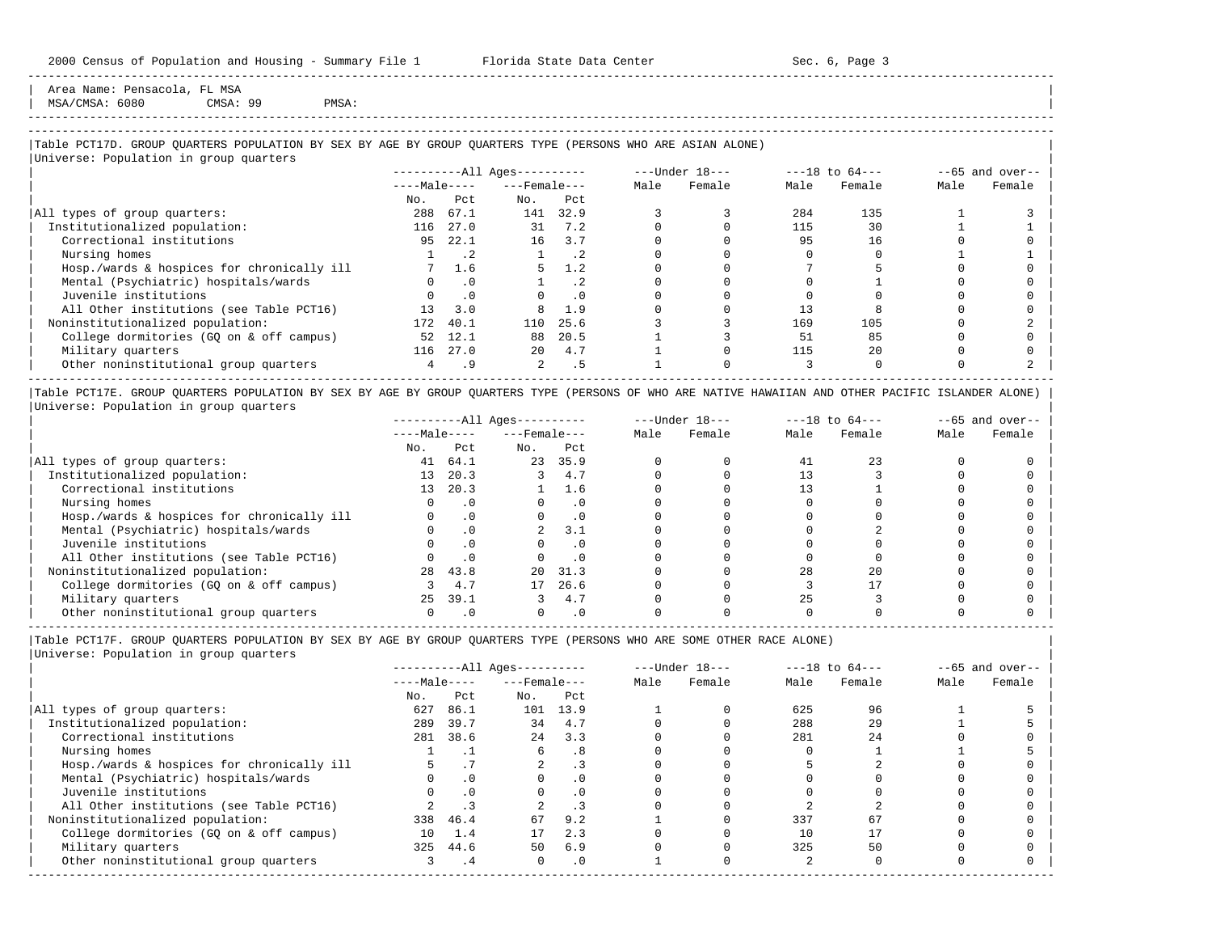Area Name: Pensacola, FL MSA<br>MSA/CMSA: 6080 CMSA: 99 | MSA/CMSA: 6080 CMSA: 99 PMSA: |

# -----------------------------------------------------------------------------------------------------------------------------------------------------

-----------------------------------------------------------------------------------------------------------------------------------------------------

## |Table PCT17D. GROUP QUARTERS POPULATION BY SEX BY AGE BY GROUP QUARTERS TYPE (PERSONS WHO ARE ASIAN ALONE) |

|                                            |                 |           | $------All Ages------$ |           |      | ---Under 18--- |      | $---18$ to $64---$ |      | $--65$ and over-- |
|--------------------------------------------|-----------------|-----------|------------------------|-----------|------|----------------|------|--------------------|------|-------------------|
|                                            | $---Male---$    |           | $---$ Female $---$     |           | Male | Female         | Male | Female             | Male | Female            |
|                                            | No.             | Pct       | No.                    | Pct       |      |                |      |                    |      |                   |
| All types of group quarters:               | 288             | 67.1      | 141                    | 32.9      |      |                | 284  | 135                |      |                   |
| Institutionalized population:              | 116             | 27.0      | 31                     | 7.2       |      |                | 115  | 30                 |      |                   |
| Correctional institutions                  | 95              | 22.1      | 16                     | 3.7       |      |                | 95   | 16                 |      |                   |
| Nursing homes                              |                 | . 2       |                        | $\cdot$ 2 |      |                |      |                    |      |                   |
| Hosp./wards & hospices for chronically ill |                 | 1.6       | 5                      | 1.2       |      |                |      |                    |      |                   |
| Mental (Psychiatric) hospitals/wards       |                 | $\cdot$ 0 |                        | $\cdot$ 2 |      |                |      |                    |      |                   |
| Juvenile institutions                      |                 | $\cdot$ 0 |                        | $\cdot$ 0 |      |                |      |                    |      |                   |
| All Other institutions (see Table PCT16)   | 13 <sup>°</sup> | 3.0       |                        | 1.9       |      |                |      |                    |      |                   |
| Noninstitutionalized population:           | 172             | 40.1      | 110                    | 25.6      |      |                | 169  | 105                |      |                   |
| College dormitories (GO on & off campus)   | 52              | 12.1      | 88                     | 20.5      |      |                | 51   | 85                 |      |                   |
| Military quarters                          | 116             | 27.0      | $20^{\circ}$           | 4.7       |      |                | 115  | 2.0                |      |                   |
| Other noninstitutional group quarters      |                 | . 9       | $\overline{2}$         | . 5       |      |                |      |                    |      |                   |

|Table PCT17E. GROUP QUARTERS POPULATION BY SEX BY AGE BY GROUP QUARTERS TYPE (PERSONS OF WHO ARE NATIVE HAWAIIAN AND OTHER PACIFIC ISLANDER ALONE) | |Universe: Population in group quarters |

|                                            |              |           | $------All Aqes------$ |           |      | $---Under 18---$ |      | $---18$ to $64---$ |      | $- -65$ and over-- |
|--------------------------------------------|--------------|-----------|------------------------|-----------|------|------------------|------|--------------------|------|--------------------|
|                                            | $---Male---$ |           | $---$ Female $---$     |           | Male | Female           | Male | Female             | Male | Female             |
|                                            | No.          | Pct       | No.                    | Pct       |      |                  |      |                    |      |                    |
| All types of group quarters:               | 41           | 64.1      | 23                     | 35.9      |      |                  | 41   |                    |      |                    |
| Institutionalized population:              | 13           | 20.3      |                        | 4.7       |      |                  |      |                    |      |                    |
| Correctional institutions                  | 13           | 20.3      |                        | 1.6       |      |                  |      |                    |      |                    |
| Nursing homes                              |              |           |                        | $\cdot$ 0 |      |                  |      |                    |      |                    |
| Hosp./wards & hospices for chronically ill |              | $\cdot$ 0 |                        | $\cdot$ 0 |      |                  |      |                    |      |                    |
| Mental (Psychiatric) hospitals/wards       |              |           |                        | 3.1       |      |                  |      |                    |      |                    |
| Juvenile institutions                      |              |           |                        | $\cdot$ 0 |      |                  |      |                    |      |                    |
| All Other institutions (see Table PCT16)   |              |           |                        | $\cdot$ 0 |      |                  |      |                    |      |                    |
| Noninstitutionalized population:           | 28           | 43.8      | 20                     | 31.3      |      |                  | 28   | 2.0                |      |                    |
| College dormitories (GO on & off campus)   |              | 4.7       | 17                     | 26.6      |      |                  |      |                    |      |                    |
| Military quarters                          | $25 -$       | 39.1      |                        | 4.7       |      |                  | 25   |                    |      |                    |
| Other noninstitutional group quarters      |              |           |                        | $\cdot$ 0 |      |                  |      |                    |      |                    |

----------------------------------------------------------------------------------------------------------------------------------------------------- |Table PCT17F. GROUP QUARTERS POPULATION BY SEX BY AGE BY GROUP QUARTERS TYPE (PERSONS WHO ARE SOME OTHER RACE ALONE) |

|                                            |              |           | $------All Ages------$ |           |      | $---Under 18---$ |      | $---18$ to $64---$ |      | $--65$ and over-- |
|--------------------------------------------|--------------|-----------|------------------------|-----------|------|------------------|------|--------------------|------|-------------------|
|                                            | $---Male---$ |           | $---$ Female $---$     |           | Male | Female           | Male | Female             | Male | Female            |
|                                            | No.          | Pct       | No.                    | Pct       |      |                  |      |                    |      |                   |
| All types of group quarters:               | 627          | 86.1      | 101                    | 13.9      |      |                  | 625  | 96                 |      |                   |
| Institutionalized population:              | 289          | 39.7      | 34                     | 4.7       |      |                  | 288  | 29                 |      |                   |
| Correctional institutions                  | 281          | 38.6      | 2.4                    | 3.3       |      |                  | 281  | 24                 |      |                   |
| Nursing homes                              |              |           | 6                      | .8        |      |                  |      |                    |      |                   |
| Hosp./wards & hospices for chronically ill |              |           |                        |           |      |                  |      |                    |      |                   |
| Mental (Psychiatric) hospitals/wards       |              | $\cdot$ 0 |                        | $\cdot$ 0 |      |                  |      |                    |      |                   |
| Juvenile institutions                      |              | .0        | O                      | $\cdot$ 0 |      |                  |      |                    |      |                   |
| All Other institutions (see Table PCT16)   |              |           |                        |           |      |                  |      |                    |      |                   |
| Noninstitutionalized population:           |              | 338 46.4  | 67                     | 9.2       |      |                  | 337  | 67                 |      |                   |
| College dormitories (GQ on & off campus)   | 10           | 1.4       | 17                     | 2.3       |      |                  | 10   |                    |      |                   |
| Military quarters                          |              | 325 44.6  | 50                     | 6.9       |      |                  | 325  | 50                 |      |                   |
| Other noninstitutional group quarters      |              | . 4       | $\Omega$               | $\cdot$ 0 |      |                  |      |                    |      |                   |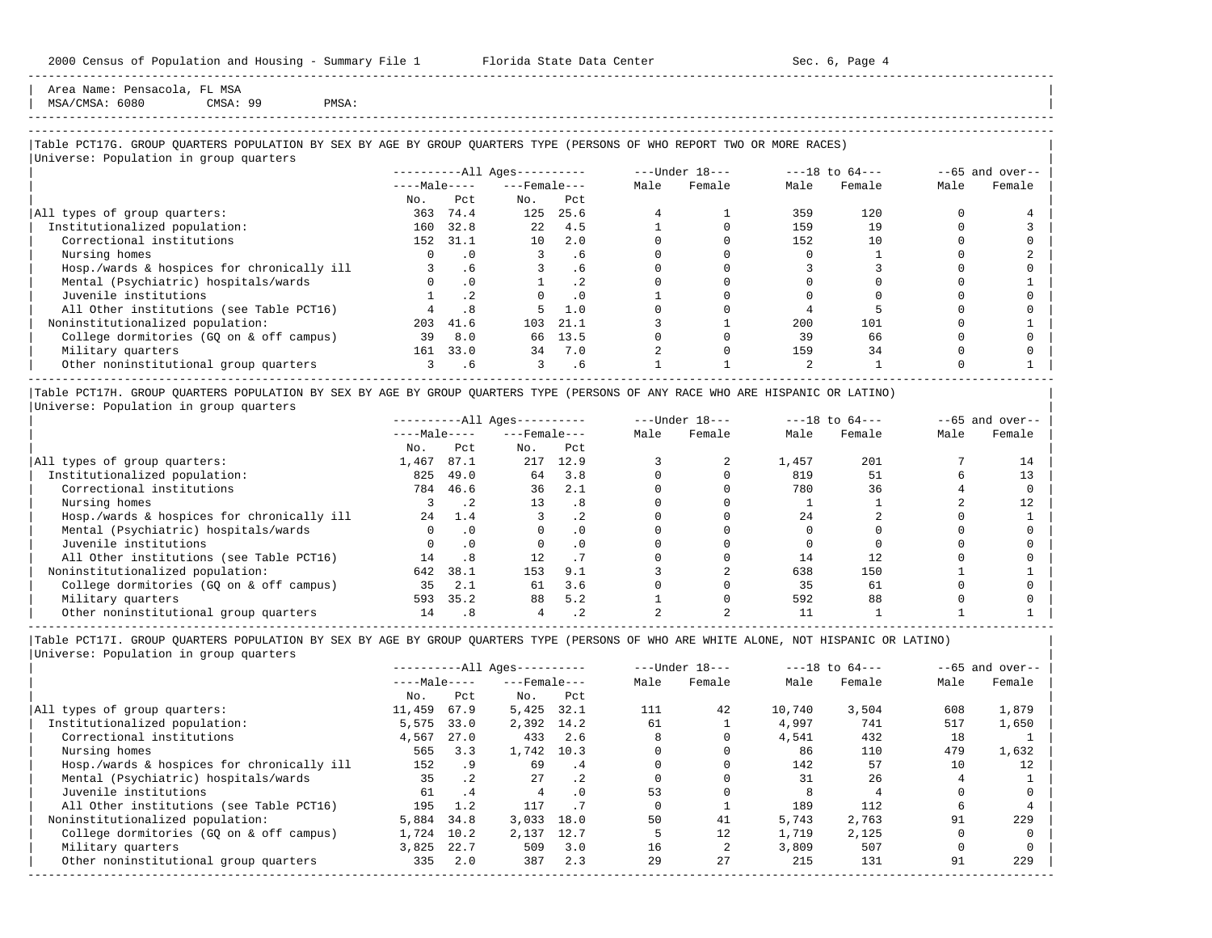Area Name: Pensacola, FL MSA | MSA/CMSA: 6080 CMSA: 99 PMSA: |

-----------------------------------------------------------------------------------------------------------------------------------------------------

## |Table PCT17G. GROUP QUARTERS POPULATION BY SEX BY AGE BY GROUP QUARTERS TYPE (PERSONS OF WHO REPORT TWO OR MORE RACES) |

|                                            |              |           | $------All Ages------$ |      |      | $---Under 18---$ |      | $---18$ to $64---$ |      | $--65$ and over-- |
|--------------------------------------------|--------------|-----------|------------------------|------|------|------------------|------|--------------------|------|-------------------|
|                                            | $---Male---$ |           | $---$ Female $---$     |      | Male | Female           | Male | Female             | Male | Female            |
|                                            | No.          | Pct       | No.                    | Pct  |      |                  |      |                    |      |                   |
| All types of group quarters:               | 363          | 74.4      | 125                    | 25.6 |      |                  | 359  | 120                |      |                   |
| Institutionalized population:              | 160          | 32.8      | 2.2                    | 4.5  |      |                  | 159  | 19                 |      |                   |
| Correctional institutions                  | 152          | 31.1      | 10                     | 2.0  |      |                  | 152  | 10                 |      |                   |
| Nursing homes                              |              | . 0       |                        | . 6  |      |                  |      |                    |      |                   |
| Hosp./wards & hospices for chronically ill |              | . 6       |                        | . 6  |      |                  |      |                    |      |                   |
| Mental (Psychiatric) hospitals/wards       |              | $\cdot$ 0 |                        | .2   |      |                  |      |                    |      |                   |
| Juvenile institutions                      |              | . 2       |                        | . 0  |      |                  |      |                    |      |                   |
| All Other institutions (see Table PCT16)   |              |           |                        | 1.0  |      |                  |      |                    |      |                   |
| Noninstitutionalized population:           | 203          | 41.6      | 103                    | 21.1 |      |                  | 200  | 101                |      |                   |
| College dormitories (GO on & off campus)   | 39           | 8.0       | 66                     | 13.5 |      |                  | 39   | 66                 |      |                   |
| Military quarters                          | 161          | 33.0      | 34                     | 7.0  |      |                  | 159  | 34                 |      |                   |
| Other noninstitutional group quarters      |              | . 6       |                        | . 6  |      |                  |      |                    |      |                   |

|Table PCT17H. GROUP QUARTERS POPULATION BY SEX BY AGE BY GROUP QUARTERS TYPE (PERSONS OF ANY RACE WHO ARE HISPANIC OR LATINO) | |Universe: Population in group quarters |

|                                            |              |           | $------All Ages------$ |      |      | $---Under 18---$ |       | $---18$ to $64---$ |      | $--65$ and over-- |
|--------------------------------------------|--------------|-----------|------------------------|------|------|------------------|-------|--------------------|------|-------------------|
|                                            | $---Male---$ |           | $---$ Female $---$     |      | Male | Female           | Male  | Female             | Male | Female            |
|                                            | No.          | Pct.      | No.                    | Pct  |      |                  |       |                    |      |                   |
| All types of group quarters:               | 1,467        | 87.1      | 217                    | 12.9 |      |                  | 1,457 | 201                |      |                   |
| Institutionalized population:              | 825          | 49.0      | 64                     | 3.8  |      |                  | 819   | 51                 |      | 13                |
| Correctional institutions                  | 784          | 46.6      | 36                     | 2.1  |      |                  | 780   | 36                 |      |                   |
| Nursing homes                              |              |           | 13                     | .8   |      |                  |       |                    |      |                   |
| Hosp./wards & hospices for chronically ill | 24           | 1.4       |                        | . 2  |      |                  | 24    |                    |      |                   |
| Mental (Psychiatric) hospitals/wards       |              | $\cdot$ 0 |                        |      |      |                  |       |                    |      |                   |
| Juvenile institutions                      |              |           |                        | . 0  |      |                  |       |                    |      |                   |
| All Other institutions (see Table PCT16)   | 14           | .8        | 12 <sup>°</sup>        |      |      |                  | 14    |                    |      |                   |
| Noninstitutionalized population:           | 642          | 38.1      | 153                    | 9.1  |      |                  | 638   | 150                |      |                   |
| College dormitories (GO on & off campus)   | 35           | 2.1       | 61                     | 3.6  |      |                  | 35    | 61                 |      |                   |
| Military quarters                          | 593          | 35.2      | 88                     | 5.2  |      |                  | 592   | 88                 |      |                   |
| Other noninstitutional group quarters      | 14           | . 8       |                        |      |      |                  |       |                    |      |                   |

-----------------------------------------------------------------------------------------------------------------------------------------------------

|Table PCT17I. GROUP QUARTERS POPULATION BY SEX BY AGE BY GROUP QUARTERS TYPE (PERSONS OF WHO ARE WHITE ALONE, NOT HISPANIC OR LATINO) | |Universe: Population in group quarters |

|                                            |              |           | $------All Aqes------$ |                      |      | $---Under 18---$ |        | $---18$ to $64---$ |      | $--65$ and over-- |
|--------------------------------------------|--------------|-----------|------------------------|----------------------|------|------------------|--------|--------------------|------|-------------------|
|                                            | $---Male---$ |           | $---$ Female $---$     |                      | Male | Female           | Male   | Female             | Male | Female            |
|                                            | No.          | Pct       | No.                    | Pct                  |      |                  |        |                    |      |                   |
| All types of group quarters:               | 11,459       | 67.9      | 5,425                  | 32.1                 | 111  | 42               | 10,740 | 3.504              | 608  | 1,879             |
| Institutionalized population:              | 5,575        | 33.0      | 2,392 14.2             |                      | 61   |                  | 4,997  | 741                | 517  | 1,650             |
| Correctional institutions                  | 4,567        | 27.0      | 433                    | 2.6                  |      |                  | 4,541  | 432                | 18   |                   |
| Nursing homes                              | 565          | 3.3       | 1,742                  | 10.3                 |      |                  | 86     | 110                | 479  | 1,632             |
| Hosp./wards & hospices for chronically ill | 152          | . 9       | 69                     | $\cdot$ <sup>4</sup> |      |                  | 142    | 57                 | 10   | 12                |
| Mental (Psychiatric) hospitals/wards       | 35           | $\cdot$ 2 | 27                     | $\cdot$ 2            |      |                  | 31     | 26                 |      |                   |
| Juvenile institutions                      | 61           | .4        |                        | $\Omega$             | 53   |                  |        |                    |      |                   |
| All Other institutions (see Table PCT16)   | 195          | 1.2       | 117                    |                      |      |                  | 189    | 112                |      |                   |
| Noninstitutionalized population:           | 5,884        | 34.8      | 3,033                  | 18.0                 | 50   | 41               | 5,743  | 2,763              | 91   | 229               |
| College dormitories (GO on & off campus)   | 1,724        | 10.2      | 2,137                  | 12.7                 |      | 12               | 1,719  | 2,125              |      |                   |
| Military quarters                          | 3,825        | 22.7      | 509                    | 3.0                  | 16   |                  | 3,809  | 507                |      |                   |
| Other noninstitutional group quarters      | 335          | 2.0       | 387                    | 2.3                  | 29   | 27               | 215    | 131                | 91   | 229               |
|                                            |              |           |                        |                      |      |                  |        |                    |      |                   |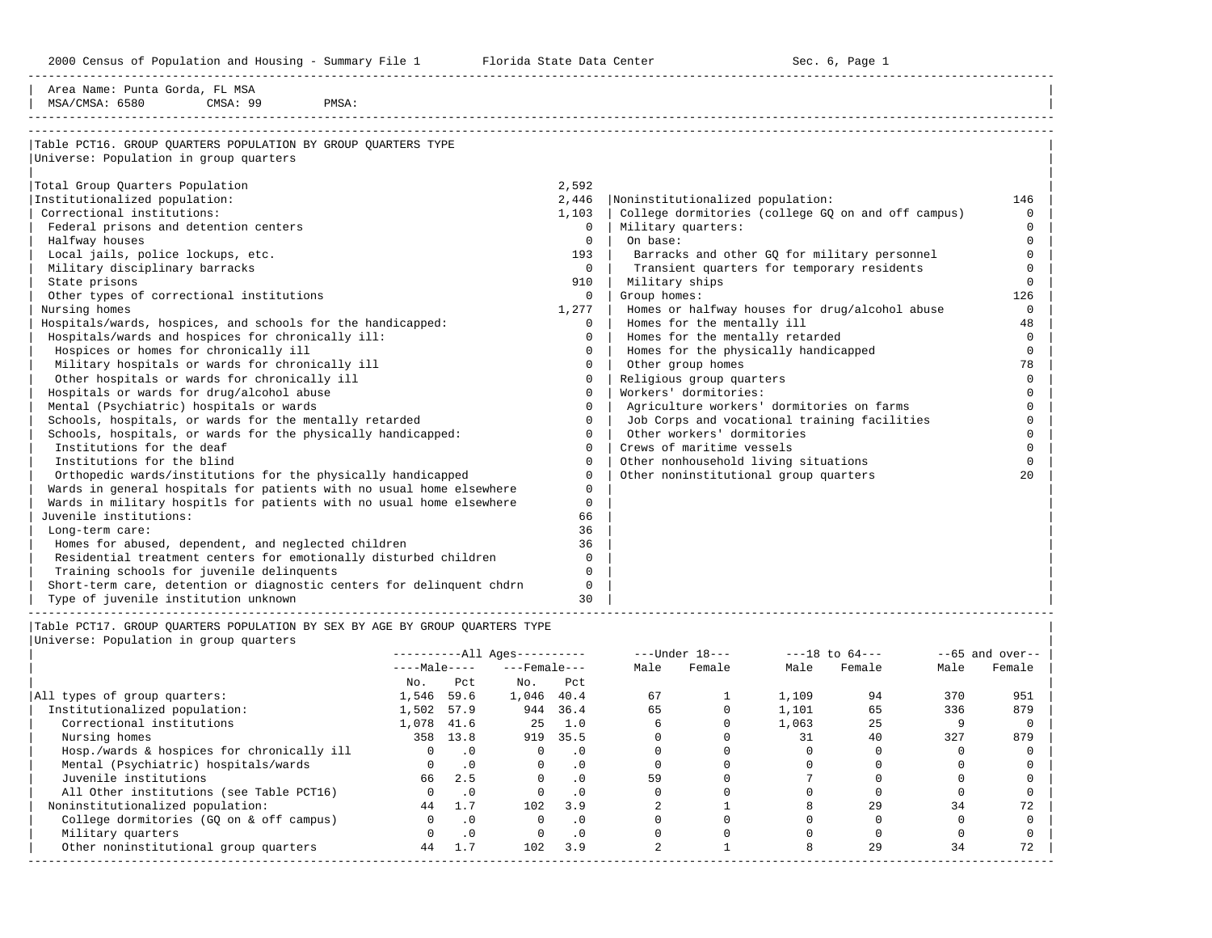2000 Census of Population and Housing - Summary File 1 Florida State Data Center Sec. 6, Page 1

-----------------------------------------------------------------------------------------------------------------------------------------------------

| Area Name: Punta Gorda, FL MSA                                                                                   |                 |           |                                        |                      |                |                            |                                                    |          |          |                    |
|------------------------------------------------------------------------------------------------------------------|-----------------|-----------|----------------------------------------|----------------------|----------------|----------------------------|----------------------------------------------------|----------|----------|--------------------|
| MSA/CMSA: 6580<br>CMSA: 99<br>PMSA:                                                                              |                 |           |                                        |                      |                |                            |                                                    |          |          |                    |
|                                                                                                                  |                 |           |                                        |                      |                |                            |                                                    |          |          |                    |
| Table PCT16. GROUP OUARTERS POPULATION BY GROUP OUARTERS TYPE                                                    |                 |           |                                        |                      |                |                            |                                                    |          |          |                    |
| Universe: Population in group quarters                                                                           |                 |           |                                        |                      |                |                            |                                                    |          |          |                    |
|                                                                                                                  |                 |           |                                        |                      |                |                            |                                                    |          |          |                    |
| Total Group Quarters Population                                                                                  |                 |           |                                        | 2,592                |                |                            |                                                    |          |          |                    |
| Institutionalized population:                                                                                    |                 |           |                                        | 2,446                |                |                            | Noninstitutionalized population:                   |          |          | 146                |
| Correctional institutions:                                                                                       |                 |           |                                        | 1,103                |                |                            | College dormitories (college GQ on and off campus) |          |          | $\mathbf{0}$       |
| Federal prisons and detention centers                                                                            |                 |           |                                        | $\Omega$             |                | Military quarters:         |                                                    |          |          | $\mathbf 0$        |
| Halfway houses                                                                                                   |                 |           |                                        | $\Omega$             | On base:       |                            |                                                    |          |          | $\Omega$           |
| Local jails, police lockups, etc.                                                                                |                 |           |                                        | 193                  |                |                            | Barracks and other GQ for military personnel       |          |          | $\Omega$           |
| Military disciplinary barracks                                                                                   |                 |           |                                        | $\Omega$             |                |                            | Transient quarters for temporary residents         |          |          | $\Omega$           |
| State prisons                                                                                                    |                 |           |                                        | 910                  | Military ships |                            |                                                    |          |          | $\mathbf 0$        |
| Other types of correctional institutions                                                                         |                 |           |                                        | $\Omega$             | Group homes:   |                            |                                                    |          |          | 126                |
| Nursing homes                                                                                                    |                 |           |                                        | 1,277<br>$\mathbf 0$ |                | Homes for the mentally ill | Homes or halfway houses for drug/alcohol abuse     |          |          | $\mathbf 0$<br>48  |
| Hospitals/wards, hospices, and schools for the handicapped:<br>Hospitals/wards and hospices for chronically ill: |                 |           |                                        | 0                    |                |                            | Homes for the mentally retarded                    |          |          | $\mathbf 0$        |
| Hospices or homes for chronically ill                                                                            |                 |           |                                        | $\Omega$             |                |                            | Homes for the physically handicapped               |          |          | $\mathbf 0$        |
| Military hospitals or wards for chronically ill                                                                  |                 |           |                                        | $\mathbf 0$          |                | Other group homes          |                                                    |          |          | 78                 |
| Other hospitals or wards for chronically ill                                                                     |                 |           |                                        | $\Omega$             |                | Religious group quarters   |                                                    |          |          | $\Omega$           |
| Hospitals or wards for drug/alcohol abuse                                                                        |                 |           |                                        | $\Omega$             |                | Workers' dormitories:      |                                                    |          |          | $\Omega$           |
| Mental (Psychiatric) hospitals or wards                                                                          |                 |           |                                        | $\Omega$             |                |                            | Agriculture workers' dormitories on farms          |          |          | $\Omega$           |
| Schools, hospitals, or wards for the mentally retarded                                                           |                 |           |                                        | $\Omega$             |                |                            | Job Corps and vocational training facilities       |          |          | $\Omega$           |
| Schools, hospitals, or wards for the physically handicapped:                                                     |                 |           |                                        | $\Omega$             |                | Other workers' dormitories |                                                    |          |          | $\Omega$           |
| Institutions for the deaf                                                                                        |                 |           |                                        | $\Omega$             |                | Crews of maritime vessels  |                                                    |          |          | $\Omega$           |
| Institutions for the blind                                                                                       |                 |           |                                        | $\Omega$             |                |                            | Other nonhousehold living situations               |          |          | $\Omega$           |
| Orthopedic wards/institutions for the physically handicapped                                                     |                 |           |                                        | $\Omega$             |                |                            | Other noninstitutional group quarters              |          |          | 2.0                |
| Wards in general hospitals for patients with no usual home elsewhere                                             |                 |           |                                        | $\mathbf{0}$         |                |                            |                                                    |          |          |                    |
| Wards in military hospitls for patients with no usual home elsewhere                                             |                 |           |                                        | $\mathbf{0}$         |                |                            |                                                    |          |          |                    |
| Juvenile institutions:                                                                                           |                 |           |                                        | 66<br>36             |                |                            |                                                    |          |          |                    |
| Long-term care:<br>Homes for abused, dependent, and neglected children                                           |                 |           |                                        | 36                   |                |                            |                                                    |          |          |                    |
| Residential treatment centers for emotionally disturbed children                                                 |                 |           |                                        | $\Omega$             |                |                            |                                                    |          |          |                    |
| Training schools for juvenile delinquents                                                                        |                 |           |                                        | $\Omega$             |                |                            |                                                    |          |          |                    |
| Short-term care, detention or diagnostic centers for delinquent chdrn                                            |                 |           |                                        | $\mathbf{0}$         |                |                            |                                                    |          |          |                    |
| Type of juvenile institution unknown                                                                             |                 |           |                                        | 30                   |                |                            |                                                    |          |          |                    |
|                                                                                                                  |                 |           |                                        |                      |                |                            |                                                    |          |          |                    |
| Table PCT17. GROUP QUARTERS POPULATION BY SEX BY AGE BY GROUP QUARTERS TYPE                                      |                 |           |                                        |                      |                |                            |                                                    |          |          |                    |
| Universe: Population in group quarters                                                                           |                 |           |                                        |                      |                |                            |                                                    |          |          |                    |
|                                                                                                                  | $---Ma$ ]e ---- |           | $------All Aqes------$<br>---Female--- |                      |                | $---Under 18---$           | $---18$ to $64---$                                 |          |          | $- -65$ and over-- |
|                                                                                                                  | No.             | Pct       | No.                                    | Pct                  | Male           | Female                     | Male                                               | Female   | Male     | Female             |
| All types of group quarters:                                                                                     | 1,546 59.6      |           | 1,046 40.4                             |                      | 67             | 1                          | 1,109                                              | 94       | 370      | 951                |
| Institutionalized population:                                                                                    | 1,502 57.9      |           |                                        | 944 36.4             | 65             | $\Omega$                   | 1,101                                              | 65       | 336      | 879                |
| Correctional institutions                                                                                        | 1,078 41.6      |           |                                        | 25 1.0               | 6              | $\circ$                    | 1,063                                              | 25       | - 9      | $\overline{0}$     |
| Nursing homes                                                                                                    |                 | 358 13.8  |                                        | 919 35.5             | $\Omega$       | $\Omega$                   | 31                                                 | 40       | 327      | 879                |
| Hosp./wards & hospices for chronically ill                                                                       | $\Omega$        | $\cdot$ 0 | $\Omega$                               | $\cdot$ 0            | $\Omega$       | $\Omega$                   | $\Omega$                                           | $\Omega$ | $\Omega$ | $\Omega$           |

| Mental (Psychiatric) hospitals/wards 0 .0 0 .0 0 0 0 0 0 0 | | Juvenile institutions 66 2.5 0 .0 59 0 7 0 0 0 | | All Other institutions (see Table PCT16) 0 .0 0 .0 0 0 0 0 0 0 | | Noninstitutionalized population: 44 1.7 102 3.9 2 1 8 29 34 72 | | College dormitories (GQ on & off campus) 0 .0 0 .0 0 0 0 0 0 0 | | Military quarters 0 .0 0 .0 0 0 0 0 0 0 |  $\vert$  Other noninstitutional group quarters  $\vert$  44 1.7 102 3.9  $\vert$  2  $\vert$  1  $\vert$  8  $\vert$  29  $\vert$  34  $\vert$  72  $\vert$ -----------------------------------------------------------------------------------------------------------------------------------------------------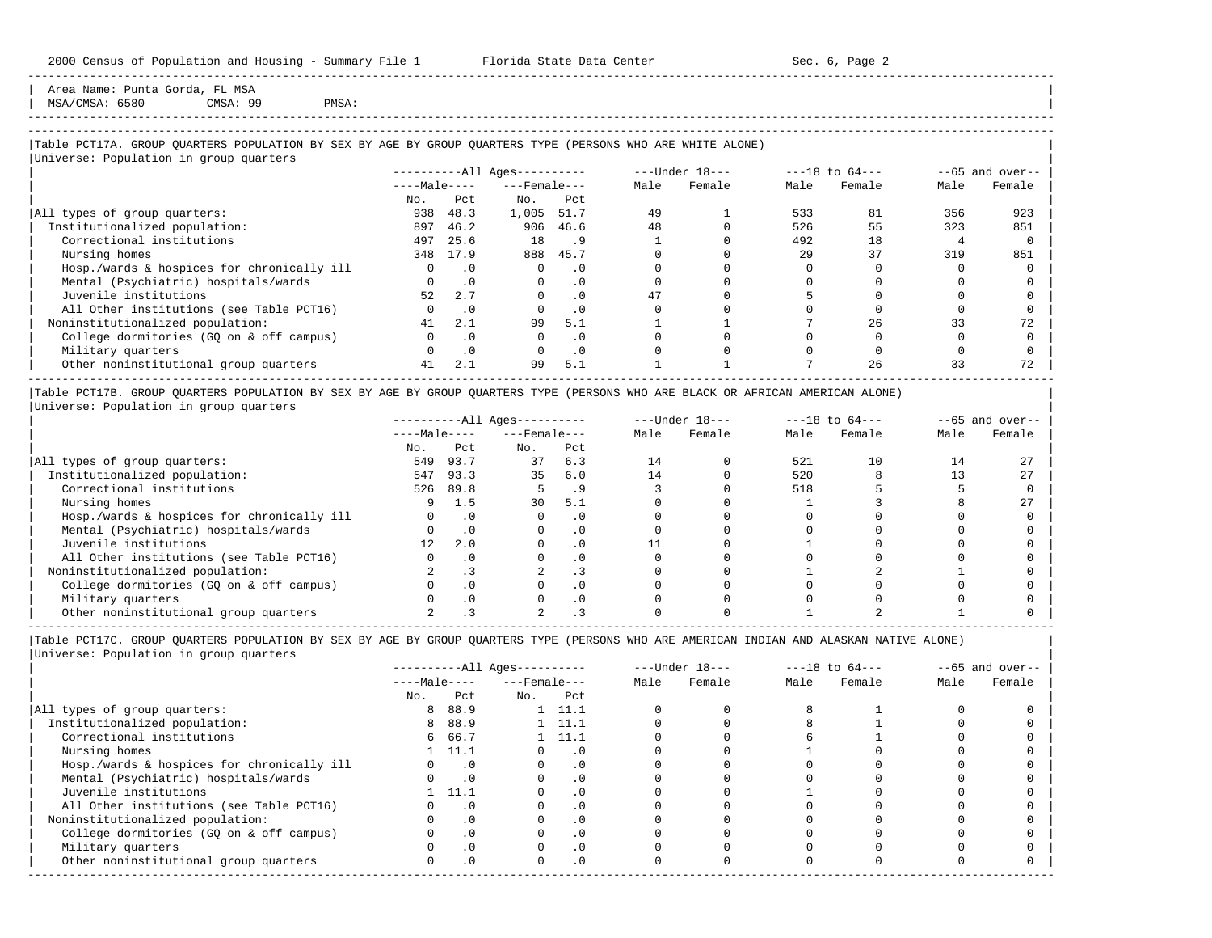Area Name: Punta Gorda, FL MSA MSA/CMSA: 6580 CMSA: 99 PMSA:

## -----------------------------------------------------------------------------------------------------------------------------------------------------

-----------------------------------------------------------------------------------------------------------------------------------------------------

## |Table PCT17A. GROUP QUARTERS POPULATION BY SEX BY AGE BY GROUP QUARTERS TYPE (PERSONS WHO ARE WHITE ALONE) |

|                                            |              |           | $------All Aqes------$ |           |      | $---Under 18---$ |      | $---18$ to $64---$ |      | $--65$ and over-- |
|--------------------------------------------|--------------|-----------|------------------------|-----------|------|------------------|------|--------------------|------|-------------------|
|                                            | $---Male---$ |           | $---$ Female $---$     |           | Male | Female           | Male | Female             | Male | Female            |
|                                            | No.          | Pct.      | No.                    | Pct       |      |                  |      |                    |      |                   |
| All types of group quarters:               | 938          | 48.3      | 1,005                  | 51.7      | 49   |                  | 533  | 81                 | 356  | 923               |
| Institutionalized population:              | 897          | 46.2      | 906                    | 46.6      | 48   |                  | 526  | 55                 | 323  | 851               |
| Correctional institutions                  | 497          | 25.6      | 18                     | .9        |      |                  | 492  | 18                 |      |                   |
| Nursing homes                              |              | 348 17.9  | 888                    | 45.7      |      |                  | 29   | 37                 | 319  | 851               |
| Hosp./wards & hospices for chronically ill | $\Omega$     | $\cdot$ 0 | $\Omega$               | $\cdot$ 0 |      |                  |      |                    |      |                   |
| Mental (Psychiatric) hospitals/wards       |              | $\cdot$ 0 | $\Omega$               | . 0       |      |                  |      |                    |      |                   |
| Juvenile institutions                      | 52           | 2.7       |                        | $\cdot$ 0 | 47   |                  |      |                    |      |                   |
| All Other institutions (see Table PCT16)   |              | . 0       |                        | $\cdot$ 0 |      |                  |      |                    |      |                   |
| Noninstitutionalized population:           | 41           | 2.1       | 99                     | 5.1       |      |                  |      | 26                 | 33   |                   |
| College dormitories (GQ on & off campus)   |              | $\cdot$ 0 |                        | $\cdot$ 0 |      |                  |      |                    |      |                   |
| Military quarters                          |              | $\cdot$ 0 |                        | $\cdot$ 0 |      |                  |      |                    |      |                   |
| Other noninstitutional group quarters      | 41           | 2.1       | 99                     | 5.1       |      |                  |      | 26                 | 33   | 72                |

|Table PCT17B. GROUP QUARTERS POPULATION BY SEX BY AGE BY GROUP QUARTERS TYPE (PERSONS WHO ARE BLACK OR AFRICAN AMERICAN ALONE) | |Universe: Population in group quarters |

|                                            |              |      | $------All Aqes------$ |     |      | $---Under 18---$ |      | $---18$ to $64---$ |      | $--65$ and over-- |
|--------------------------------------------|--------------|------|------------------------|-----|------|------------------|------|--------------------|------|-------------------|
|                                            | $---Male---$ |      | $---$ Female $---$     |     | Male | Female           | Male | Female             | Male | Female            |
|                                            | No.          | Pct  | No.                    | Pct |      |                  |      |                    |      |                   |
| All types of group quarters:               | 549          | 93.7 | 37                     | 6.3 | 14   |                  | 521  |                    |      |                   |
| Institutionalized population:              | 547          | 93.3 | 35                     | 6.0 | 14   |                  | 520  |                    |      |                   |
| Correctional institutions                  | 526          | 89.8 |                        |     |      |                  | 518  |                    |      |                   |
| Nursing homes                              |              | 1.5  | 30                     | 5.1 |      |                  |      |                    |      |                   |
| Hosp./wards & hospices for chronically ill |              |      |                        |     |      |                  |      |                    |      |                   |
| Mental (Psychiatric) hospitals/wards       |              |      |                        |     |      |                  |      |                    |      |                   |
| Juvenile institutions                      |              | 2.0  |                        | . 0 |      |                  |      |                    |      |                   |
| All Other institutions (see Table PCT16)   |              |      |                        |     |      |                  |      |                    |      |                   |
| Noninstitutionalized population:           |              |      |                        | . 3 |      |                  |      |                    |      |                   |
| College dormitories (GO on & off campus)   |              |      |                        |     |      |                  |      |                    |      |                   |
| Military quarters                          |              |      |                        | . 0 |      |                  |      |                    |      |                   |
| Other noninstitutional group quarters      |              |      |                        |     |      |                  |      |                    |      |                   |

----------------------------------------------------------------------------------------------------------------------------------------------------- |Table PCT17C. GROUP QUARTERS POPULATION BY SEX BY AGE BY GROUP QUARTERS TYPE (PERSONS WHO ARE AMERICAN INDIAN AND ALASKAN NATIVE ALONE) | |Universe: Population in group quarters |

|                                            |              |           | $------All Aqes------$ |                |      | $---Under 18---$ |      | $---18$ to $64---$ |      | $--65$ and over-- |
|--------------------------------------------|--------------|-----------|------------------------|----------------|------|------------------|------|--------------------|------|-------------------|
|                                            | $---Male---$ |           | $---$ Female $---$     |                | Male | Female           | Male | Female             | Male | Female            |
|                                            | No.          | Pct       | No.                    | Pct            |      |                  |      |                    |      |                   |
| All types of group quarters:               | 8            | 88.9      |                        | $1 \quad 11.1$ |      |                  |      |                    |      |                   |
| Institutionalized population:              | 8            | 88.9      |                        | $1 \quad 11.1$ |      |                  |      |                    |      |                   |
| Correctional institutions                  |              | 6 66.7    |                        | $1 \quad 11.1$ |      |                  |      |                    |      |                   |
| Nursing homes                              |              | 1, 11.1   |                        | $\cdot$ 0      |      |                  |      |                    |      |                   |
| Hosp./wards & hospices for chronically ill |              | $\cdot$ 0 |                        | . 0            |      |                  |      |                    |      |                   |
| Mental (Psychiatric) hospitals/wards       |              | $\cdot$ 0 |                        | . 0            |      |                  |      |                    |      |                   |
| Juvenile institutions                      |              | 11.1      |                        | $\cdot$ 0      |      |                  |      |                    |      |                   |
| All Other institutions (see Table PCT16)   |              | $\cdot$ 0 |                        |                |      |                  |      |                    |      |                   |
| Noninstitutionalized population:           |              | $\cdot$ 0 |                        | .0             |      |                  |      |                    |      |                   |
| College dormitories (GQ on & off campus)   |              | $\cdot$ 0 |                        | $\cdot$ 0      |      |                  |      |                    |      |                   |
| Military quarters                          |              | . 0       |                        | $\cdot$ 0      |      |                  |      |                    |      |                   |
| Other noninstitutional group quarters      | <sup>n</sup> | $\cdot$ 0 |                        | $.0 \cdot$     |      |                  |      |                    |      |                   |
|                                            |              |           |                        |                |      |                  |      |                    |      |                   |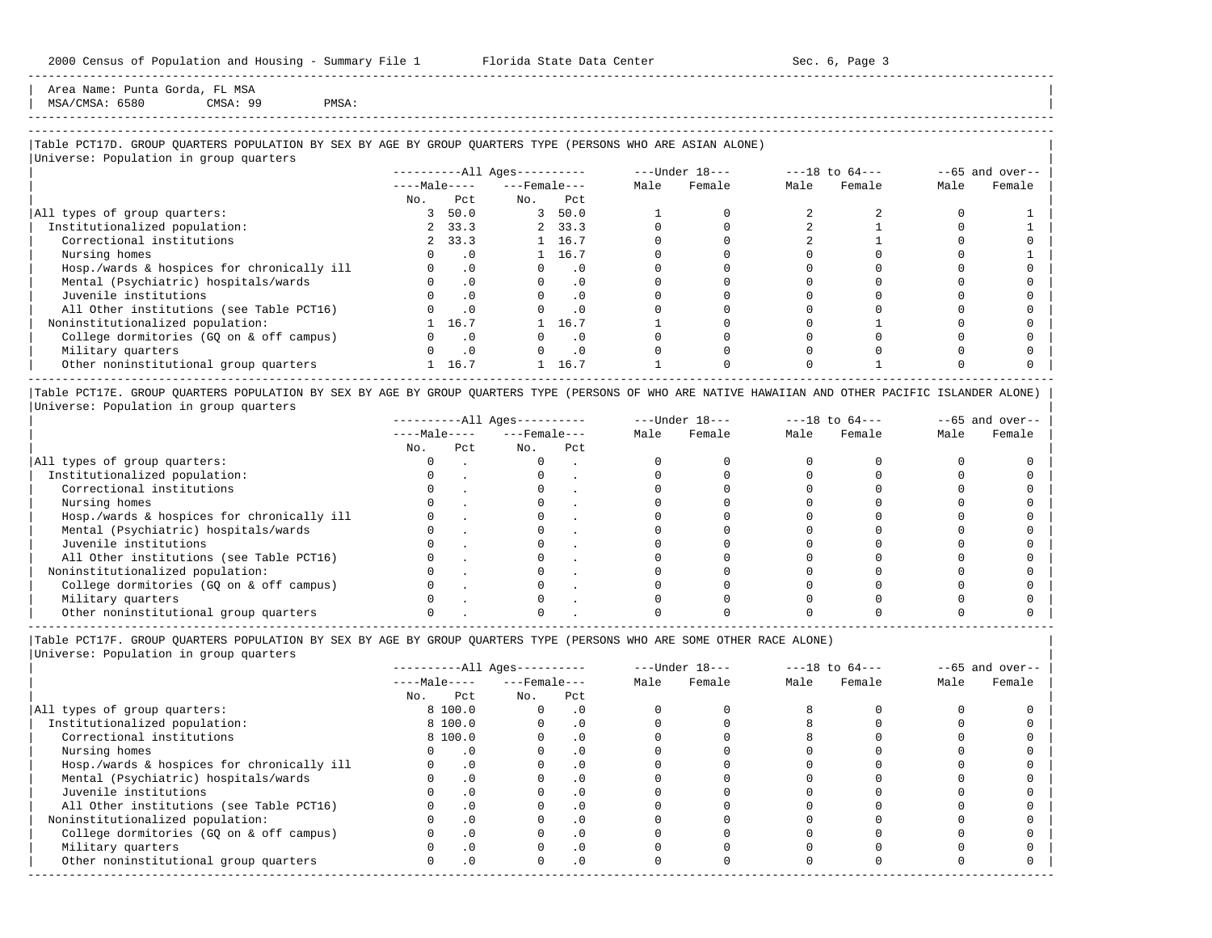Area Name: Punta Gorda, FL MSA MSA/CMSA: 6580 CMSA: 99 PMSA:

# -----------------------------------------------------------------------------------------------------------------------------------------------------

-----------------------------------------------------------------------------------------------------------------------------------------------------

## |Table PCT17D. GROUP QUARTERS POPULATION BY SEX BY AGE BY GROUP QUARTERS TYPE (PERSONS WHO ARE ASIAN ALONE) |

|                                            |              |           | $------All Ages------$ |           |      | $---Under 18---$ |      | $---18$ to $64---$ | $--65$ and over-- |        |
|--------------------------------------------|--------------|-----------|------------------------|-----------|------|------------------|------|--------------------|-------------------|--------|
|                                            | $---Male---$ |           | $---$ Female $---$     |           | Male | Female           | Male | Female             | Male              | Female |
|                                            | No.          | Pct       | No.                    | Pct       |      |                  |      |                    |                   |        |
| All types of group quarters:               | 3            | 50.0      |                        | 3, 50.0   |      |                  |      |                    |                   |        |
| Institutionalized population:              |              | 2, 33.3   |                        | 2, 33.3   |      |                  |      |                    |                   |        |
| Correctional institutions                  |              | 2, 33.3   |                        | 1 16.7    |      |                  |      |                    |                   |        |
| Nursing homes                              |              | $\cdot$ 0 |                        | 1 16.7    |      |                  |      |                    |                   |        |
| Hosp./wards & hospices for chronically ill |              | $\cdot$ 0 | $\Omega$               | $\cdot$ 0 |      |                  |      |                    |                   |        |
| Mental (Psychiatric) hospitals/wards       |              | $\cdot$ 0 | $\Omega$               | $\cdot$ 0 |      |                  |      |                    |                   |        |
| Juvenile institutions                      |              | $\cdot$ 0 |                        | $\cdot$ 0 |      |                  |      |                    |                   |        |
| All Other institutions (see Table PCT16)   |              | $\cdot$ 0 |                        | $\cdot$ 0 |      |                  |      |                    |                   |        |
| Noninstitutionalized population:           |              | 16.7      |                        | 16.7      |      |                  |      |                    |                   |        |
| College dormitories (GQ on & off campus)   |              | $\cdot$ 0 |                        | $\cdot$ 0 |      |                  |      |                    |                   |        |
| Military quarters                          |              | $\cdot$ 0 |                        | $\cdot$ 0 |      |                  |      |                    |                   |        |
| Other noninstitutional group quarters      |              | 16.7      |                        | 16.7      |      |                  |      |                    |                   |        |

|Table PCT17E. GROUP QUARTERS POPULATION BY SEX BY AGE BY GROUP QUARTERS TYPE (PERSONS OF WHO ARE NATIVE HAWAIIAN AND OTHER PACIFIC ISLANDER ALONE) | |Universe: Population in group quarters |

|                                            |              |     | $------All Aqes------$ |     |      | $---Under 18---$ | $---18$ to $64---$ |        | $- -65$ and over-- |        |
|--------------------------------------------|--------------|-----|------------------------|-----|------|------------------|--------------------|--------|--------------------|--------|
|                                            | $---Male---$ |     | $---$ Female $---$     |     | Male | Female           | Male               | Female | Male               | Female |
|                                            | No.          | Pct | No.                    | Pct |      |                  |                    |        |                    |        |
| All types of group quarters:               |              |     |                        |     |      |                  |                    |        |                    |        |
| Institutionalized population:              |              |     |                        |     |      |                  |                    |        |                    |        |
| Correctional institutions                  |              |     |                        |     |      |                  |                    |        |                    |        |
| Nursing homes                              |              |     |                        |     |      |                  |                    |        |                    |        |
| Hosp./wards & hospices for chronically ill |              |     |                        |     |      |                  |                    |        |                    |        |
| Mental (Psychiatric) hospitals/wards       |              |     |                        |     |      |                  |                    |        |                    |        |
| Juvenile institutions                      |              |     |                        |     |      |                  |                    |        |                    |        |
| All Other institutions (see Table PCT16)   |              |     |                        |     |      |                  |                    |        |                    |        |
| Noninstitutionalized population:           |              |     |                        |     |      |                  |                    |        |                    |        |
| College dormitories (GO on & off campus)   |              |     |                        |     |      |                  |                    |        |                    |        |
| Military quarters                          |              |     |                        |     |      |                  |                    |        |                    |        |
| Other noninstitutional group quarters      |              |     |                        |     |      |                  |                    |        |                    |        |

-----------------------------------------------------------------------------------------------------------------------------------------------------

|Table PCT17F. GROUP QUARTERS POPULATION BY SEX BY AGE BY GROUP QUARTERS TYPE (PERSONS WHO ARE SOME OTHER RACE ALONE) |

|                                            |              |           | ----------All Ages---------- |           |      | $---Under 18---$ |      | $---18$ to $64---$ | $--65$ and over-- |        |
|--------------------------------------------|--------------|-----------|------------------------------|-----------|------|------------------|------|--------------------|-------------------|--------|
|                                            | $---Male---$ |           | $---$ Female $---$           |           | Male | Female           | Male | Female             | Male              | Female |
|                                            | No.          | Pct       | No.                          | Pct       |      |                  |      |                    |                   |        |
| All types of group quarters:               |              | 8 100.0   | 0                            | $\cdot$ 0 |      |                  |      |                    |                   |        |
| Institutionalized population:              |              | 8 100.0   |                              | $\cdot$ 0 |      |                  |      |                    |                   |        |
| Correctional institutions                  |              | 8 100.0   |                              | $\cdot$ 0 |      |                  |      |                    |                   |        |
| Nursing homes                              |              | $\cdot$ 0 |                              | .0        |      |                  |      |                    |                   |        |
| Hosp./wards & hospices for chronically ill |              | $\cdot$ 0 |                              | $\cdot$ 0 |      |                  |      |                    |                   |        |
| Mental (Psychiatric) hospitals/wards       |              | $\cdot$ 0 |                              |           |      |                  |      |                    |                   |        |
| Juvenile institutions                      |              | $\cdot$ 0 |                              | $\cdot$ 0 |      |                  |      |                    |                   |        |
| All Other institutions (see Table PCT16)   |              | $\cdot$ 0 |                              |           |      |                  |      |                    |                   |        |
| Noninstitutionalized population:           |              | $\cdot$ 0 |                              | $\cdot$ 0 |      |                  |      |                    |                   |        |
| College dormitories (GQ on & off campus)   |              | .0        |                              |           |      |                  |      |                    |                   |        |
| Military quarters                          |              | $\cdot$ 0 |                              | . 0       |      |                  |      |                    |                   |        |
| Other noninstitutional group quarters      |              | $\cdot$ 0 | O.                           | $\cdot$ 0 |      |                  |      |                    |                   |        |
|                                            |              |           |                              |           |      |                  |      |                    |                   |        |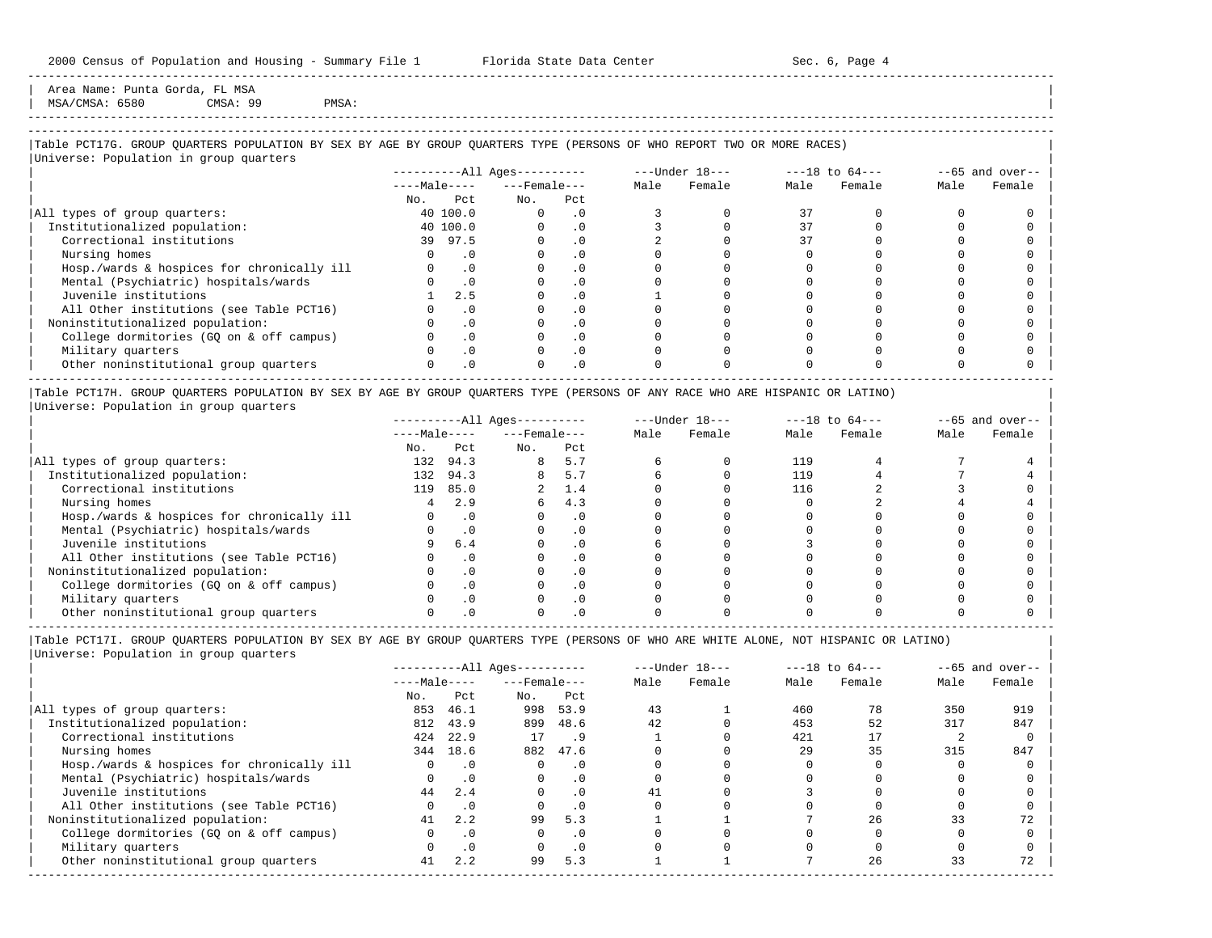Area Name: Punta Gorda, FL MSA  $MSA/CMSA: 6580$  CMSA: 99 PMSA:

-----------------------------------------------------------------------------------------------------------------------------------------------------

## |Table PCT17G. GROUP QUARTERS POPULATION BY SEX BY AGE BY GROUP QUARTERS TYPE (PERSONS OF WHO REPORT TWO OR MORE RACES) |

|                                            |              |           | $------All Aqes------$ |           |      | $---Under 18---$ |      | $---18$ to $64---$ |      | $--65$ and over-- |
|--------------------------------------------|--------------|-----------|------------------------|-----------|------|------------------|------|--------------------|------|-------------------|
|                                            | $---Male---$ |           | $---$ Female $---$     |           | Male | Female           | Male | Female             | Male | Female            |
|                                            | No.          | Pct       | No.                    | Pct       |      |                  |      |                    |      |                   |
| All types of group quarters:               |              | 40 100.0  | $\Omega$               | . 0       |      |                  | 37   |                    |      |                   |
| Institutionalized population:              |              | 40 100.0  |                        | $\cdot$ 0 |      |                  | 37   |                    |      |                   |
| Correctional institutions                  |              | 39 97.5   |                        | $\cdot$ 0 |      |                  |      |                    |      |                   |
| Nursing homes                              |              | . 0       |                        |           |      |                  |      |                    |      |                   |
| Hosp./wards & hospices for chronically ill |              | $\cdot$ 0 |                        | . 0       |      |                  |      |                    |      |                   |
| Mental (Psychiatric) hospitals/wards       |              | $\cdot$ 0 |                        | $\cdot$ 0 |      |                  |      |                    |      |                   |
| Juvenile institutions                      |              | 2.5       |                        | $\cdot$ 0 |      |                  |      |                    |      |                   |
| All Other institutions (see Table PCT16)   |              | . 0       |                        | $\cdot$ 0 |      |                  |      |                    |      |                   |
| Noninstitutionalized population:           |              | $\cdot$ 0 |                        | $\cdot$ 0 |      |                  |      |                    |      |                   |
| College dormitories (GQ on & off campus)   |              | $\cdot$ 0 |                        | $\cdot$ 0 |      |                  |      |                    |      |                   |
| Military quarters                          |              | $\cdot$ 0 |                        | $\cdot$ 0 |      |                  |      |                    |      |                   |
| Other noninstitutional group quarters      |              | $\cdot$ 0 |                        | $\cdot$ 0 |      |                  |      |                    |      |                   |

|Table PCT17H. GROUP QUARTERS POPULATION BY SEX BY AGE BY GROUP QUARTERS TYPE (PERSONS OF ANY RACE WHO ARE HISPANIC OR LATINO) | |Universe: Population in group quarters |

|                                            |              |      | $------All Ages------$ |           |      | $---Under 18---$ | $---18$ to $64---$ |        | $--65$ and over-- |        |
|--------------------------------------------|--------------|------|------------------------|-----------|------|------------------|--------------------|--------|-------------------|--------|
|                                            | $---Male---$ |      | $---$ Female $---$     |           | Male | Female           | Male               | Female | Male              | Female |
|                                            | No.          | Pct  | No.                    | Pct       |      |                  |                    |        |                   |        |
| All types of group quarters:               | 132          | 94.3 | 8                      | 5.7       |      |                  | 119                |        |                   |        |
| Institutionalized population:              | 132          | 94.3 |                        | 5.7       |      |                  | 119                |        |                   |        |
| Correctional institutions                  | 119          | 85.0 |                        | 1.4       |      |                  | 116                |        |                   |        |
| Nursing homes                              |              | 2.9  |                        | 4.3       |      |                  |                    |        |                   |        |
| Hosp./wards & hospices for chronically ill |              |      |                        | . 0       |      |                  |                    |        |                   |        |
| Mental (Psychiatric) hospitals/wards       |              |      |                        | . 0       |      |                  |                    |        |                   |        |
| Juvenile institutions                      |              | 6.4  |                        | . 0       |      |                  |                    |        |                   |        |
| All Other institutions (see Table PCT16)   |              |      |                        | $\cdot$ 0 |      |                  |                    |        |                   |        |
| Noninstitutionalized population:           |              |      |                        | . 0       |      |                  |                    |        |                   |        |
| College dormitories (GQ on & off campus)   |              |      |                        | $\cdot$ 0 |      |                  |                    |        |                   |        |
| Military quarters                          |              |      |                        | . 0       |      |                  |                    |        |                   |        |
| Other noninstitutional group quarters      |              |      |                        |           |      |                  |                    |        |                   |        |

----------------------------------------------------------------------------------------------------------------------------------------------------- |Table PCT17I. GROUP QUARTERS POPULATION BY SEX BY AGE BY GROUP QUARTERS TYPE (PERSONS OF WHO ARE WHITE ALONE, NOT HISPANIC OR LATINO) |

|                                            |              |           | $------All Ages------$ |           |      | $---Under 18---$ |      | $---18$ to $64---$ |      | $--65$ and over-- |
|--------------------------------------------|--------------|-----------|------------------------|-----------|------|------------------|------|--------------------|------|-------------------|
|                                            | $---Male---$ |           | $---$ Female ---       |           | Male | Female           | Male | Female             | Male | Female            |
|                                            | No.          | Pct       | No.                    | Pct       |      |                  |      |                    |      |                   |
| All types of group quarters:               | 853          | 46.1      | 998                    | 53.9      | 43   |                  | 460  | 78                 | 350  | 919               |
| Institutionalized population:              | 812          | 43.9      | 899                    | 48.6      | 42   |                  | 453  | 52                 | 317  | 847               |
| Correctional institutions                  | 424          | 22.9      | 17                     | .9        |      |                  | 421  |                    |      |                   |
| Nursing homes                              | 344          | 18.6      | 882                    | 47.6      |      |                  | 29   | 35                 | 315  | 847               |
| Hosp./wards & hospices for chronically ill | 0            | $\cdot$ 0 | $\Omega$               | $\cdot$ 0 |      |                  |      |                    |      |                   |
| Mental (Psychiatric) hospitals/wards       |              | $\cdot$ 0 | $\Omega$               | $\cdot$ 0 |      |                  |      |                    |      |                   |
| Juvenile institutions                      | 44           | 2.4       | $\Omega$               | $\cdot$ 0 | 41   |                  |      |                    |      |                   |
| All Other institutions (see Table PCT16)   |              | $\cdot$ 0 |                        | $\cdot$ 0 |      |                  |      |                    |      |                   |
| Noninstitutionalized population:           | 41           | 2.2       | 99                     | 5.3       |      |                  |      | 26                 |      | 72                |
| College dormitories (GO on & off campus)   |              | $\cdot$ 0 | $\Omega$               | $\cdot$ 0 |      |                  |      |                    |      |                   |
| Military quarters                          |              | $\cdot$ 0 |                        | $\cdot$ 0 |      |                  |      |                    |      |                   |
| Other noninstitutional group quarters      | 41           | 2.2       | 99                     | 5.3       |      |                  |      | 26                 | 33   | 72                |
|                                            |              |           |                        |           |      |                  |      |                    |      |                   |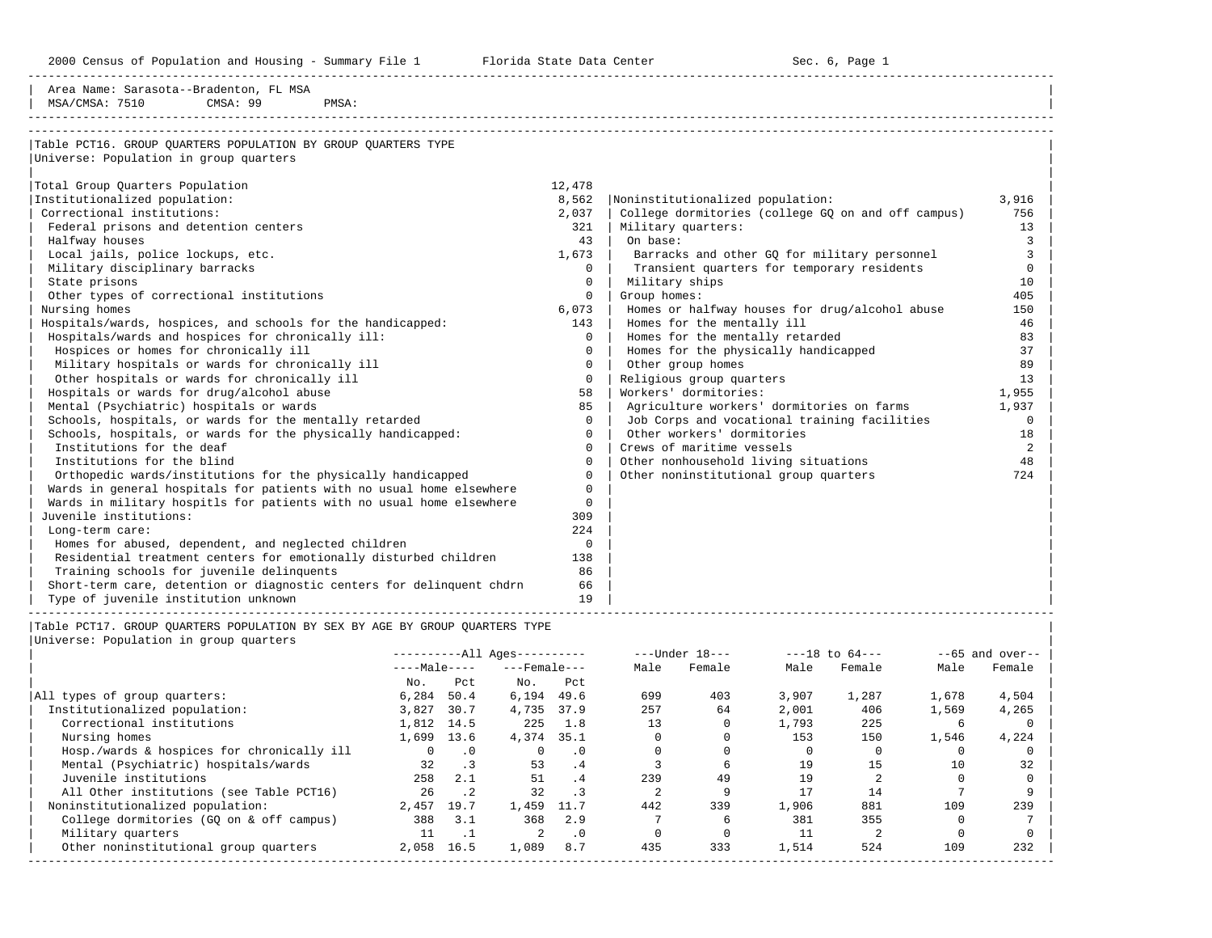2000 Census of Population and Housing - Summary File 1 Telorida State Data Center Sec. 6, Page 1 North Sec. 6, Page

-----------------------------------------------------------------------------------------------------------------------------------------------------

| Area Name: Sarasota--Bradenton, FL MSA                                |          |                                                    |          |
|-----------------------------------------------------------------------|----------|----------------------------------------------------|----------|
| MSA/CMSA: 7510<br>CMSA: 99<br>PMSA:                                   |          |                                                    |          |
|                                                                       |          |                                                    |          |
| Table PCT16. GROUP QUARTERS POPULATION BY GROUP QUARTERS TYPE         |          |                                                    |          |
| Universe: Population in group quarters                                |          |                                                    |          |
|                                                                       |          |                                                    |          |
| Total Group Quarters Population                                       | 12,478   |                                                    |          |
| Institutionalized population:                                         | 8,562    | Noninstitutionalized population:                   | 3,916    |
| Correctional institutions:                                            | 2,037    | College dormitories (college GQ on and off campus) | 756      |
| Federal prisons and detention centers                                 | 321      | Military quarters:                                 | 13       |
| Halfway houses                                                        | 43       | On base:                                           | 3        |
| Local jails, police lockups, etc.                                     | 1,673    | Barracks and other GO for military personnel       | 3        |
| Military disciplinary barracks                                        | $\Omega$ | Transient quarters for temporary residents         | $\Omega$ |
| State prisons                                                         | $\Omega$ | Military ships                                     | 10       |
| Other types of correctional institutions                              | $\Omega$ | Group homes:                                       | 405      |
| Nursing homes                                                         | 6,073    | Homes or halfway houses for drug/alcohol abuse     | 150      |
| Hospitals/wards, hospices, and schools for the handicapped:           | 143      | Homes for the mentally ill                         | 46       |
| Hospitals/wards and hospices for chronically ill:                     | $\Omega$ | Homes for the mentally retarded                    | 83       |
| Hospices or homes for chronically ill                                 | $\Omega$ | Homes for the physically handicapped               | 37       |
| Military hospitals or wards for chronically ill                       | $\Omega$ | Other group homes                                  | 89       |
| Other hospitals or wards for chronically ill                          | $\Omega$ | Religious group quarters                           | 13       |
| Hospitals or wards for drug/alcohol abuse                             | 58       | Workers' dormitories:                              | 1,955    |
| Mental (Psychiatric) hospitals or wards                               | 85       | Agriculture workers' dormitories on farms          | 1,937    |
| Schools, hospitals, or wards for the mentally retarded                | $\Omega$ | Job Corps and vocational training facilities       | $\Omega$ |
| Schools, hospitals, or wards for the physically handicapped:          | $\Omega$ | Other workers' dormitories                         | 18       |
| Institutions for the deaf                                             | $\Omega$ | Crews of maritime vessels                          | 2        |
| Institutions for the blind                                            | $\Omega$ | Other nonhousehold living situations               | 48       |
| Orthopedic wards/institutions for the physically handicapped          | $\Omega$ | Other noninstitutional group quarters              | 724      |
| Wards in general hospitals for patients with no usual home elsewhere  | $\Omega$ |                                                    |          |
| Wards in military hospitls for patients with no usual home elsewhere  | $\Omega$ |                                                    |          |
| Juvenile institutions:                                                | 309      |                                                    |          |
| Long-term care:                                                       | 224      |                                                    |          |
| Homes for abused, dependent, and neglected children                   | $\Omega$ |                                                    |          |
| Residential treatment centers for emotionally disturbed children      | 138      |                                                    |          |
| Training schools for juvenile delinquents                             | 86       |                                                    |          |
| Short-term care, detention or diagnostic centers for delinquent chdrn | 66       |                                                    |          |
| Type of juvenile institution unknown                                  | 19       |                                                    |          |
|                                                                       |          |                                                    |          |

|Table PCT17. GROUP QUARTERS POPULATION BY SEX BY AGE BY GROUP QUARTERS TYPE |

| Universe: Population in group quarters |  |
|----------------------------------------|--|
|                                        |  |

|                                            |              |             | $------All Ages------$ |                              |      | $---Under 18---$ |       | $---18$ to $64---$ |       | $--65$ and over-- |
|--------------------------------------------|--------------|-------------|------------------------|------------------------------|------|------------------|-------|--------------------|-------|-------------------|
|                                            | $---Male---$ |             | $---$ Female $---$     |                              | Male | Female           | Male  | Female             | Male  | Female            |
|                                            | No.          | Pct         | No.                    | Pct                          |      |                  |       |                    |       |                   |
| All types of group quarters:               | 6,284        | 50.4        | 6,194                  | 49.6                         | 699  | 403              | 3,907 | 1,287              | 1,678 | 4,504             |
| Institutionalized population:              | 3,827        | 30.7        | 4,735                  | 37.9                         | 257  | 64               | 2,001 | 406                | 1,569 | 4,265             |
| Correctional institutions                  | 1,812 14.5   |             | 225                    | 1.8                          | 13   |                  | 1,793 | 225                |       |                   |
| Nursing homes                              | 1,699        | 13.6        | 4,374                  | 35.1                         |      |                  | 153   | 150                | 1,546 | 4,224             |
| Hosp./wards & hospices for chronically ill |              | $\cdot$ 0   | 0                      | $\cdot$ 0                    |      |                  |       |                    |       |                   |
| Mental (Psychiatric) hospitals/wards       | 32           | . 3         | 53                     | .4                           |      |                  | 19    | 15                 | 10    | 32                |
| Juvenile institutions                      | 258          | 2.1         | 51                     | .4                           | 239  | 49               | 19    |                    |       |                   |
| All Other institutions (see Table PCT16)   | 26           | $\cdot$ . 2 | 32                     | $\overline{\phantom{a}}$ . 3 |      |                  | 17    | 14                 |       |                   |
| Noninstitutionalized population:           | 2,457        | 19.7        | 1,459                  | 11.7                         | 442  | 339              | 1,906 | 881                | 109   | 239               |
| College dormitories (GO on & off campus)   | 388          | 3.1         | 368                    | 2.9                          |      |                  | 381   | 355                |       |                   |
| Military quarters                          | 11           |             |                        | $\cdot$ 0                    |      |                  | 11    |                    |       |                   |
| Other noninstitutional group quarters      | 2,058        | 16.5        | 1,089                  | 8.7                          | 435  | 333              | 1,514 | 524                | 109   | 232               |
|                                            |              |             |                        |                              |      |                  |       |                    |       |                   |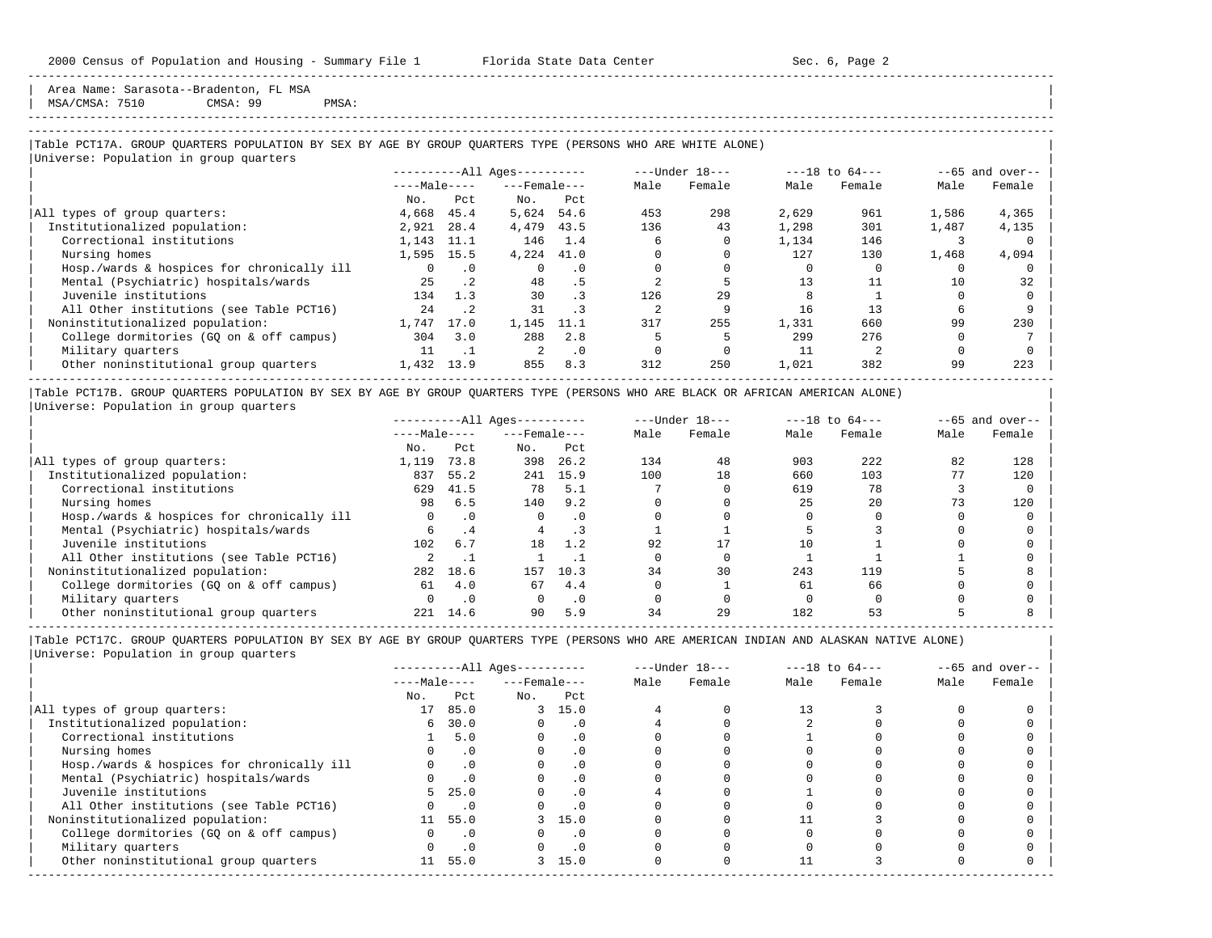Area Name: Sarasota--Bradenton, FL MSA  $MSA/CMSA: 7510$  CMSA: 99 PMSA:

-----------------------------------------------------------------------------------------------------------------------------------------------------

-----------------------------------------------------------------------------------------------------------------------------------------------------

### |Table PCT17A. GROUP QUARTERS POPULATION BY SEX BY AGE BY GROUP QUARTERS TYPE (PERSONS WHO ARE WHITE ALONE) | |<br>|Universe: Population in group quarters

|                                            |              |           | $------All Ages------$ |           | $---Under 18---$ |        | $---18$ to $64---$ |        | $--65$ and over-- |        |
|--------------------------------------------|--------------|-----------|------------------------|-----------|------------------|--------|--------------------|--------|-------------------|--------|
|                                            | $---Male---$ |           | $---$ Female $---$     |           | Male             | Female | Male               | Female | Male              | Female |
|                                            | No.          | Pct       | No.                    | Pct       |                  |        |                    |        |                   |        |
| All types of group quarters:               | 4,668        | 45.4      | 5,624                  | 54.6      | 453              | 298    | 2,629              | 961    | 1,586             | 4,365  |
| Institutionalized population:              | 2,921        | 28.4      | 4,479                  | 43.5      | 136              | 43     | 1,298              | 301    | 1,487             | 4,135  |
| Correctional institutions                  | 1,143        | 11.1      | 146                    | 1.4       | 6                |        | 1,134              | 146    |                   |        |
| Nursing homes                              | 1,595        | 15.5      | 4,224 41.0             |           |                  |        | 127                | 130    | 1,468             | 4,094  |
| Hosp./wards & hospices for chronically ill | $\Omega$     | $\cdot$ 0 |                        | $\cdot$ 0 |                  |        |                    |        |                   |        |
| Mental (Psychiatric) hospitals/wards       | 25           | $\cdot$ 2 | 48                     | . 5       |                  |        |                    |        | 10                | 32     |
| Juvenile institutions                      | 134          | 1.3       | 30                     |           | 126              | 29     |                    |        |                   |        |
| All Other institutions (see Table PCT16)   | 24           | $\cdot$ 2 | 31                     |           |                  |        | 16                 | 13     |                   |        |
| Noninstitutionalized population:           | 1,747        | 17.0      | 1,145                  | 11.1      | 317              | 255    | 1,331              | 660    | 99                | 230    |
| College dormitories (GO on & off campus)   | 304          | 3.0       | 288                    | 2.8       |                  |        | 299                | 276    |                   |        |
| Military quarters                          | 11           |           | $\mathfrak{D}$         | $\cdot$ 0 |                  |        | 11                 |        |                   |        |
| Other noninstitutional group quarters      | 1,432        | 13.9      | 855                    | 8.3       | 312              | 250    | 1,021              | 382    | 99                | 223    |

|Table PCT17B. GROUP QUARTERS POPULATION BY SEX BY AGE BY GROUP QUARTERS TYPE (PERSONS WHO ARE BLACK OR AFRICAN AMERICAN ALONE) | |Universe: Population in group quarters |

|                                            |              |           | $------All Aqes------$ |           |      | $---Under 18---$ | $---18$ to $64---$ |        | $--65$ and over-- |        |
|--------------------------------------------|--------------|-----------|------------------------|-----------|------|------------------|--------------------|--------|-------------------|--------|
|                                            | $---Male---$ |           | $---$ Female $---$     |           | Male | Female           | Male               | Female | Male              | Female |
|                                            | No.          | Pct       | No.                    | Pct       |      |                  |                    |        |                   |        |
| All types of group quarters:               | 1,119        | 73.8      | 398                    | 26.2      | 134  | 48               | 903                | 222    | 82                | 128    |
| Institutionalized population:              | 837          | 55.2      | 241                    | 15.9      | 100  | 18               | 660                | 103    |                   | 120    |
| Correctional institutions                  | 629          | 41.5      | 78                     | 5.1       |      |                  | 619                | 78     |                   |        |
| Nursing homes                              | 98           | 6.5       | 140                    | 9.2       |      |                  | 25                 | 2.0    |                   | 120    |
| Hosp./wards & hospices for chronically ill | 0            |           |                        | $\cdot$ 0 |      |                  |                    |        |                   |        |
| Mental (Psychiatric) hospitals/wards       | б.           | . 4       |                        |           |      |                  |                    |        |                   |        |
| Juvenile institutions                      | 102          | 6.7       | 18                     | 1.2       | 92   |                  | 10                 |        |                   |        |
| All Other institutions (see Table PCT16)   |              |           |                        |           |      |                  |                    |        |                   |        |
| Noninstitutionalized population:           | 282          | 18.6      | 157                    | 10.3      | 34   | 30               | 243                | 119    |                   |        |
| College dormitories (GO on & off campus)   | 61           | 4.0       | 67                     | 4.4       |      |                  | 61                 | 66     |                   |        |
| Military quarters                          |              | $\cdot$ 0 |                        | $\cdot$ 0 |      |                  |                    |        |                   |        |
| Other noninstitutional group quarters      | 221          | 14.6      | 90                     | 5.9       | 34   | 29               | 182                | 53     |                   |        |

|                                            | $------All Ages------$ |           |                    | $---Under 18---$ | $---18$ to $64---$ |        | $--65$ and over-- |        |      |        |
|--------------------------------------------|------------------------|-----------|--------------------|------------------|--------------------|--------|-------------------|--------|------|--------|
|                                            | $---Male---$           |           | $---$ Female $---$ |                  | Male               | Female | Male              | Female | Male | Female |
|                                            | No.                    | Pct       | No.                | Pct              |                    |        |                   |        |      |        |
| All types of group quarters:               | 17                     | 85.0      |                    | 3, 15.0          |                    |        | 13                |        |      |        |
| Institutionalized population:              | 6                      | 30.0      |                    | . 0              |                    |        |                   |        |      |        |
| Correctional institutions                  |                        | 5.0       |                    | . 0              |                    |        |                   |        |      |        |
| Nursing homes                              |                        |           |                    | . 0              |                    |        |                   |        |      |        |
| Hosp./wards & hospices for chronically ill |                        |           |                    | . 0              |                    |        |                   |        |      |        |
| Mental (Psychiatric) hospitals/wards       |                        | $\cdot$ 0 |                    | . 0              |                    |        |                   |        |      |        |
| Juvenile institutions                      |                        | 25.0      |                    | $\cdot$ 0        |                    |        |                   |        |      |        |
| All Other institutions (see Table PCT16)   |                        |           |                    | . 0              |                    |        |                   |        |      |        |
| Noninstitutionalized population:           | 11                     | 55.0      |                    | 3, 15.0          |                    |        |                   |        |      |        |
| College dormitories (GQ on & off campus)   |                        | $\cdot$ 0 |                    | . 0              |                    |        |                   |        |      |        |
| Military quarters                          |                        |           |                    | . 0              |                    |        |                   |        |      |        |
| Other noninstitutional group quarters      | 11                     | 55.0      |                    | 3, 15.0          |                    |        |                   |        |      |        |
|                                            |                        |           |                    |                  |                    |        |                   |        |      |        |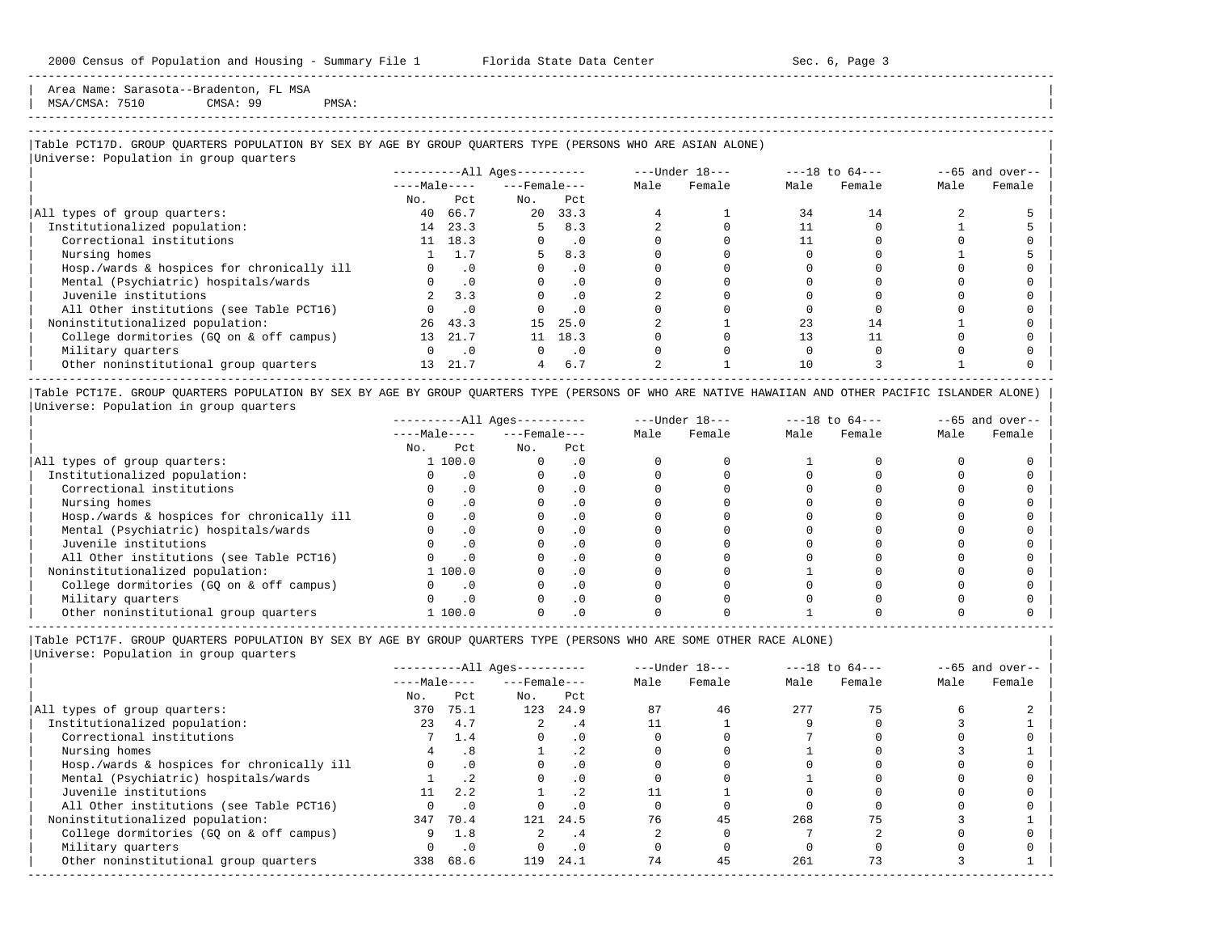Area Name: Sarasota--Bradenton, FL MSA MSA/CMSA: 7510 CMSA: 99 PMSA:

## -----------------------------------------------------------------------------------------------------------------------------------------------------

-----------------------------------------------------------------------------------------------------------------------------------------------------

## |Table PCT17D. GROUP QUARTERS POPULATION BY SEX BY AGE BY GROUP QUARTERS TYPE (PERSONS WHO ARE ASIAN ALONE) |

|                                            |                 |           | $------All Ages------$ |           |      | ---Under 18--- |      | $---18$ to $64---$ |      | $--65$ and over-- |
|--------------------------------------------|-----------------|-----------|------------------------|-----------|------|----------------|------|--------------------|------|-------------------|
|                                            | $---Male---$    |           | $---$ Female $---$     |           | Male | Female         | Male | Female             | Male | Female            |
|                                            | No.             | Pct       | No.                    | Pct       |      |                |      |                    |      |                   |
| All types of group quarters:               | 40              | 66.7      | 20                     | 33.3      |      |                | 34   | 14                 |      |                   |
| Institutionalized population:              | 14              | 23.3      | 5.                     | 8.3       |      |                |      |                    |      |                   |
| Correctional institutions                  |                 | 11 18.3   |                        | .0        |      |                |      |                    |      |                   |
| Nursing homes                              |                 | 1.7       | 5                      | 8.3       |      |                |      |                    |      |                   |
| Hosp./wards & hospices for chronically ill |                 | $\cdot$ 0 | $\Omega$               | $\cdot$ 0 |      |                |      |                    |      |                   |
| Mental (Psychiatric) hospitals/wards       |                 | $\cdot$ 0 | $\Omega$               | $\cdot$ 0 |      |                |      |                    |      |                   |
| Juvenile institutions                      |                 | 3.3       |                        | $\cdot$ 0 |      |                |      |                    |      |                   |
| All Other institutions (see Table PCT16)   |                 | $\cdot$ 0 |                        | $\cdot$ 0 |      |                |      |                    |      |                   |
| Noninstitutionalized population:           | 26              | 43.3      | 15                     | 25.0      |      |                | 23   | 14                 |      |                   |
| College dormitories (GQ on & off campus)   | 13              | 21.7      | 11                     | 18.3      |      |                |      |                    |      |                   |
| Military quarters                          |                 | $\cdot$ 0 | $\Omega$               | $\cdot$ 0 |      |                |      |                    |      |                   |
| Other noninstitutional group quarters      | 13 <sup>1</sup> | 21.7      | 4                      | 6.7       |      |                | 10   |                    |      |                   |

|Table PCT17E. GROUP QUARTERS POPULATION BY SEX BY AGE BY GROUP QUARTERS TYPE (PERSONS OF WHO ARE NATIVE HAWAIIAN AND OTHER PACIFIC ISLANDER ALONE) | |Universe: Population in group quarters |

|                                            |              | $------All Ages------$ |                    |      | $---Under 18---$ |      | $---18$ to $64---$ |      | $--65$ and over-- |
|--------------------------------------------|--------------|------------------------|--------------------|------|------------------|------|--------------------|------|-------------------|
|                                            | $---Male---$ |                        | $---$ Female $---$ | Male | Female           | Male | Female             | Male | Female            |
|                                            | No.          | Pct<br>No.             | Pct                |      |                  |      |                    |      |                   |
| All types of group quarters:               | 1 100.0      |                        |                    |      |                  |      |                    |      |                   |
| Institutionalized population:              |              |                        | . 0                |      |                  |      |                    |      |                   |
| Correctional institutions                  |              |                        |                    |      |                  |      |                    |      |                   |
| Nursing homes                              |              | $\Omega$ .             |                    |      |                  |      |                    |      |                   |
| Hosp./wards & hospices for chronically ill |              |                        |                    |      |                  |      |                    |      |                   |
| Mental (Psychiatric) hospitals/wards       |              |                        |                    |      |                  |      |                    |      |                   |
| Juvenile institutions                      |              |                        | . 0                |      |                  |      |                    |      |                   |
| All Other institutions (see Table PCT16)   |              |                        |                    |      |                  |      |                    |      |                   |
| Noninstitutionalized population:           | 1 100.0      |                        | . 0                |      |                  |      |                    |      |                   |
| College dormitories (GQ on & off campus)   |              |                        |                    |      |                  |      |                    |      |                   |
| Military quarters                          |              |                        | . 0                |      |                  |      |                    |      |                   |
| Other noninstitutional group quarters      | 1 100.0      |                        |                    |      |                  |      |                    |      |                   |

-----------------------------------------------------------------------------------------------------------------------------------------------------

|Table PCT17F. GROUP QUARTERS POPULATION BY SEX BY AGE BY GROUP QUARTERS TYPE (PERSONS WHO ARE SOME OTHER RACE ALONE) |

|                                            |              |           | $------All Ages------$ |                 |      | $---Under 18---$ |      | $---18$ to $64---$ |      | $--65$ and over-- |
|--------------------------------------------|--------------|-----------|------------------------|-----------------|------|------------------|------|--------------------|------|-------------------|
|                                            | $---Male---$ |           | $---$ Female $---$     |                 | Male | Female           | Male | Female             | Male | Female            |
|                                            | No.          | Pct       | No.                    | Pct             |      |                  |      |                    |      |                   |
| All types of group quarters:               | 370          | 75.1      | 123                    | 24.9            | 87   | 46               | 277  |                    |      |                   |
| Institutionalized population:              | 23           | 4.7       |                        | . 4             |      |                  |      |                    |      |                   |
| Correctional institutions                  |              | 1.4       |                        | $\cdot$ 0       |      |                  |      |                    |      |                   |
| Nursing homes                              |              | .8        |                        | .2 <sub>2</sub> |      |                  |      |                    |      |                   |
| Hosp./wards & hospices for chronically ill |              | $\cdot$ 0 |                        |                 |      |                  |      |                    |      |                   |
| Mental (Psychiatric) hospitals/wards       |              |           |                        | .0              |      |                  |      |                    |      |                   |
| Juvenile institutions                      | 11           | 2.2       |                        |                 |      |                  |      |                    |      |                   |
| All Other institutions (see Table PCT16)   |              | $\cdot$ 0 |                        |                 |      |                  |      |                    |      |                   |
| Noninstitutionalized population:           |              | 347 70.4  | 121                    | 24.5            | 76   | 45               | 268  | 75                 |      |                   |
| College dormitories (GQ on & off campus)   | 9            | 1.8       |                        | . 4             |      |                  |      |                    |      |                   |
| Military quarters                          |              | $\cdot$ 0 |                        | $\cdot$ 0       |      |                  |      |                    |      |                   |
| Other noninstitutional group quarters      | 338          | 68.6      | 119                    | 24.1            | 74   | 45               | 261  | 73                 |      |                   |
|                                            |              |           |                        |                 |      |                  |      |                    |      |                   |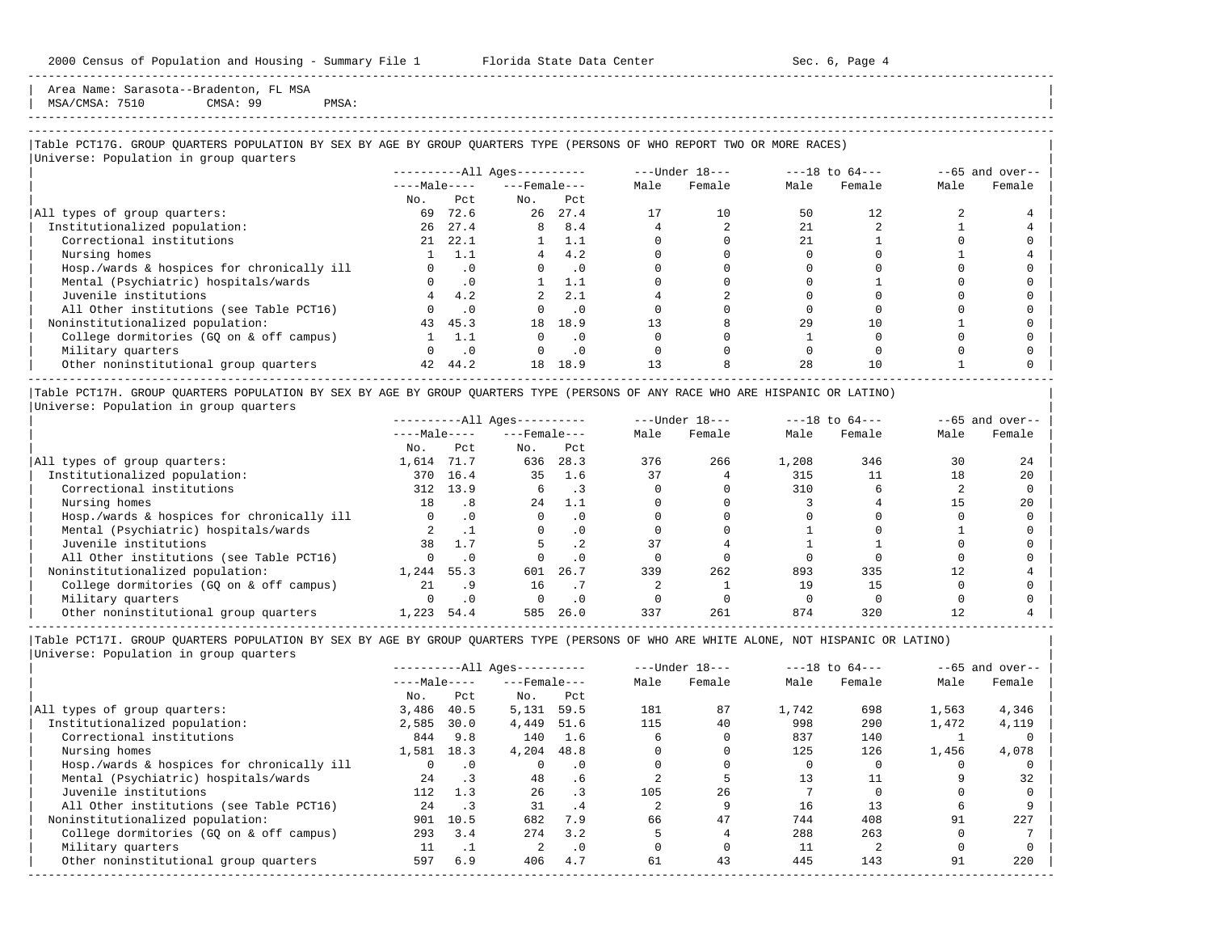Area Name: Sarasota--Bradenton, FL MSA MSA/CMSA: 7510 CMSA: 99 PMSA:

-----------------------------------------------------------------------------------------------------------------------------------------------------

## ----------------------------------------------------------------------------------------------------------------------------------------------------- |Table PCT17G. GROUP QUARTERS POPULATION BY SEX BY AGE BY GROUP QUARTERS TYPE (PERSONS OF WHO REPORT TWO OR MORE RACES) |

|                                            |              |           | $------All Aqes------$ |           |      | $---Under 18---$ |      | $---18$ to $64---$ |      | $--65$ and over-- |
|--------------------------------------------|--------------|-----------|------------------------|-----------|------|------------------|------|--------------------|------|-------------------|
|                                            | $---Male---$ |           | $---$ Female $---$     |           | Male | Female           | Male | Female             | Male | Female            |
|                                            | No.          | Pct.      | No.                    | Pct       |      |                  |      |                    |      |                   |
| All types of group quarters:               | 69           | 72.6      | 26                     | 27.4      | 17   | 10               | 50   | 12.                |      |                   |
| Institutionalized population:              | 26           | 27.4      | 8                      | 8.4       |      |                  | 2.1  |                    |      |                   |
| Correctional institutions                  | 21           | 22.1      |                        | 1.1       |      |                  | 2.1  |                    |      |                   |
| Nursing homes                              |              | 1.1       | 4                      | 4.2       |      |                  |      |                    |      |                   |
| Hosp./wards & hospices for chronically ill |              | $\cdot$ 0 |                        | $\cdot$ 0 |      |                  |      |                    |      |                   |
| Mental (Psychiatric) hospitals/wards       |              | $\cdot$ 0 |                        | 1.1       |      |                  |      |                    |      |                   |
| Juvenile institutions                      |              | 4.2       |                        | 2.1       |      |                  |      |                    |      |                   |
| All Other institutions (see Table PCT16)   |              | $\cdot$ 0 |                        | $\cdot$ 0 |      |                  |      |                    |      |                   |
| Noninstitutionalized population:           | 43           | 45.3      | 18                     | 18.9      | 13   |                  | 29   | 10                 |      |                   |
| College dormitories (GO on & off campus)   |              | 1.1       |                        | $\cdot$ 0 |      |                  |      |                    |      |                   |
| Military quarters                          |              | $\cdot$ 0 | $\Omega$               | $\cdot$ 0 |      |                  |      |                    |      |                   |
| Other noninstitutional group quarters      | 42           | 44.2      | 18                     | 18.9      | 13   |                  | 2.8  | 10                 |      |                   |

|Table PCT17H. GROUP QUARTERS POPULATION BY SEX BY AGE BY GROUP QUARTERS TYPE (PERSONS OF ANY RACE WHO ARE HISPANIC OR LATINO) | |Universe: Population in group quarters |

|                                            |              |           | $------All Ages------$ |           |      | $---Under 18---$ |       | $---18$ to $64---$ |      | $--65$ and over-- |
|--------------------------------------------|--------------|-----------|------------------------|-----------|------|------------------|-------|--------------------|------|-------------------|
|                                            | $---Male---$ |           | $---$ Female $---$     |           | Male | Female           | Male  | Female             | Male | Female            |
|                                            | No.          | Pct       | No.                    | Pct       |      |                  |       |                    |      |                   |
| All types of group quarters:               | 1,614        | 71.7      | 636                    | 28.3      | 376  | 266              | 1,208 | 346                | 30   | 24                |
| Institutionalized population:              | 370          | 16.4      | 35                     | 1.6       | 37   |                  | 315   |                    | 18   | 20                |
| Correctional institutions                  | 312          | 13.9      |                        |           |      |                  | 310   |                    |      |                   |
| Nursing homes                              | 18           | .8        | 2.4                    | 1.1       |      |                  |       |                    |      | 20                |
| Hosp./wards & hospices for chronically ill | $\Omega$     | $\cdot$ 0 |                        | $\cdot$ 0 |      |                  |       |                    |      |                   |
| Mental (Psychiatric) hospitals/wards       |              |           | $\Omega$               | . 0       |      |                  |       |                    |      |                   |
| Juvenile institutions                      | 38           | 1.7       |                        |           |      |                  |       |                    |      |                   |
| All Other institutions (see Table PCT16)   | $\Omega$     | $\cdot$ 0 |                        | $\cdot$ 0 |      |                  |       |                    |      |                   |
| Noninstitutionalized population:           | 1,244        | 55.3      | 601                    | 26.7      | 339  | 262              | 893   | 335                |      |                   |
| College dormitories (GO on & off campus)   | 21           | . 9       | 16                     |           |      |                  | 19    | 15                 |      |                   |
| Military quarters                          |              |           |                        | . 0       |      |                  |       |                    |      |                   |
| Other noninstitutional group quarters      | 1,223        | 54.4      | 585                    | 26.0      | 337  | 261              | 874   | 320                |      |                   |

-----------------------------------------------------------------------------------------------------------------------------------------------------

|Table PCT17I. GROUP QUARTERS POPULATION BY SEX BY AGE BY GROUP QUARTERS TYPE (PERSONS OF WHO ARE WHITE ALONE, NOT HISPANIC OR LATINO) | |Universe: Population in group quarters |

|                                            |              |           | $------All Aqes------$ |           |      | $---Under 18---$ |       | $---18$ to $64---$ |       | $--65$ and over-- |
|--------------------------------------------|--------------|-----------|------------------------|-----------|------|------------------|-------|--------------------|-------|-------------------|
|                                            | $---Male---$ |           | $---$ Female $---$     |           | Male | Female           | Male  | Female             | Male  | Female            |
|                                            | No.          | Pct       | No.                    | Pct       |      |                  |       |                    |       |                   |
| All types of group quarters:               | 3,486        | 40.5      | 5,131                  | 59.5      | 181  | 87               | 1,742 | 698                | 1,563 | 4,346             |
| Institutionalized population:              | 2,585        | 30.0      | 4,449                  | 51.6      | 115  | 40               | 998   | 290                | 1,472 | 4,119             |
| Correctional institutions                  | 844          | 9.8       | 140                    | 1.6       |      |                  | 837   | 140                |       |                   |
| Nursing homes                              | 1,581        | 18.3      | 4,204                  | 48.8      |      |                  | 125   | 126                | 1,456 | 4,078             |
| Hosp./wards & hospices for chronically ill | 0            | $\cdot$ 0 |                        | $\cdot$ 0 |      |                  |       |                    |       |                   |
| Mental (Psychiatric) hospitals/wards       | 24           | $\cdot$ 3 | 48                     | . 6       |      |                  | 13    |                    |       | 32                |
| Juvenile institutions                      | 112          | 1.3       | 26                     | $\cdot$ 3 | 105  | 2.6              |       |                    |       |                   |
| All Other institutions (see Table PCT16)   | 24           |           | 31                     | .4        |      |                  | 16    | 13                 |       |                   |
| Noninstitutionalized population:           | 901          | 10.5      | 682                    | 7.9       | 66   | 47               | 744   | 408                | 91    | 227               |
| College dormitories (GO on & off campus)   | 293          | 3.4       | 274                    | 3.2       |      |                  | 288   | 263                |       |                   |
| Military quarters                          | 11           | .         | 2                      | $\cdot$ 0 |      |                  | 11    |                    |       |                   |
| Other noninstitutional group quarters      | 597          | 6.9       | 406                    | 4.7       | 61   | 43               | 445   | 143                | 91    | 220               |
|                                            |              |           |                        |           |      |                  |       |                    |       |                   |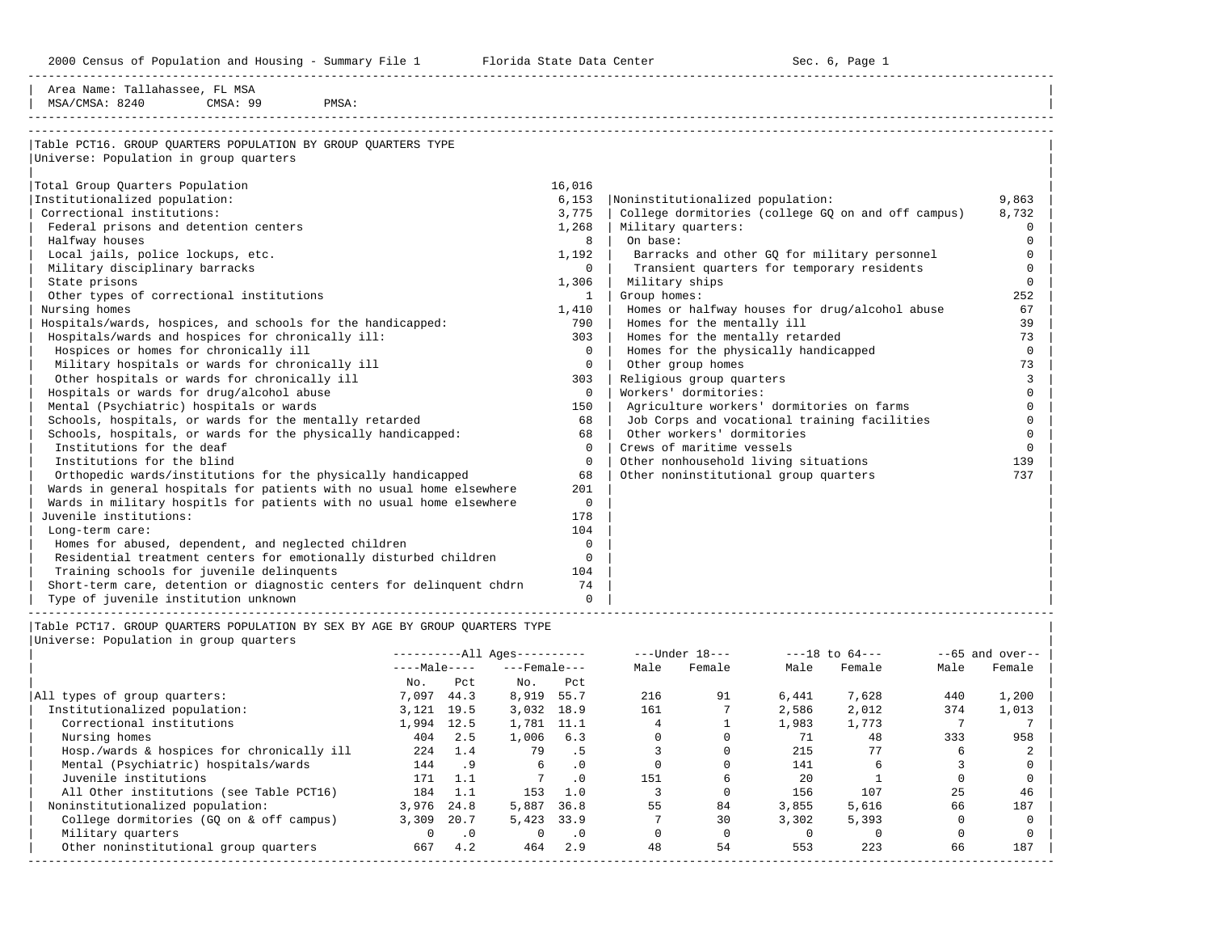2000 Census of Population and Housing - Summary File 1 Telorida State Data Center Sec. 6, Page 1 No

| Area Name: Tallahassee, FL MSA<br>MSA/CMSA: 8240<br>CMSA: 99<br>PMSA: |              |                                                    |          |
|-----------------------------------------------------------------------|--------------|----------------------------------------------------|----------|
| Table PCT16. GROUP OUARTERS POPULATION BY GROUP OUARTERS TYPE         |              |                                                    |          |
| Universe: Population in group quarters                                |              |                                                    |          |
| Total Group Quarters Population                                       | 16,016       |                                                    |          |
| Institutionalized population:                                         | 6,153        | Noninstitutionalized population:                   | 9,863    |
| Correctional institutions:                                            | 3,775        | College dormitories (college GQ on and off campus) | 8,732    |
| Federal prisons and detention centers                                 |              | 1,268   Military quarters:                         | $\Omega$ |
| Halfway houses                                                        | 8            | On base:                                           | ∩        |
| Local jails, police lockups, etc.                                     | 1,192        | Barracks and other GQ for military personnel       | $\Omega$ |
| Military disciplinary barracks                                        | $\Omega$     | Transient quarters for temporary residents         | $\Omega$ |
| State prisons                                                         | 1,306        | Military ships                                     | $\Omega$ |
| Other types of correctional institutions                              | 1            | Group homes:                                       | 252      |
| Nursing homes                                                         | 1,410        | Homes or halfway houses for drug/alcohol abuse     | 67       |
| Hospitals/wards, hospices, and schools for the handicapped:           | 790          | Homes for the mentally ill                         | 39       |
| Hospitals/wards and hospices for chronically ill:                     | 303          | Homes for the mentally retarded                    | 73       |
| Hospices or homes for chronically ill                                 | $\Omega$     | Homes for the physically handicapped               | $\Omega$ |
| Military hospitals or wards for chronically ill                       | $\mathbf{0}$ | Other group homes                                  | 73       |
| Other hospitals or wards for chronically ill                          | 303          | Religious group quarters                           | 3        |
| Hospitals or wards for drug/alcohol abuse                             | $\Omega$     | Workers' dormitories:                              | $\Omega$ |
| Mental (Psychiatric) hospitals or wards                               | 150          | Agriculture workers' dormitories on farms          | $\Omega$ |
| Schools, hospitals, or wards for the mentally retarded                | 68           | Job Corps and vocational training facilities       |          |
| Schools, hospitals, or wards for the physically handicapped:          | 68           | Other workers' dormitories                         | $\Omega$ |
| Institutions for the deaf                                             | $\Omega$     | Crews of maritime vessels                          | $\Omega$ |
| Institutions for the blind                                            | $\mathbf{0}$ | Other nonhousehold living situations               | 139      |
| Orthopedic wards/institutions for the physically handicapped          | 68           | Other noninstitutional group quarters              | 737      |
| Wards in general hospitals for patients with no usual home elsewhere  | 201          |                                                    |          |
| Wards in military hospitls for patients with no usual home elsewhere  | $\Omega$     |                                                    |          |
| Juvenile institutions:                                                | 178          |                                                    |          |
| Long-term care:                                                       | 104          |                                                    |          |
| Homes for abused, dependent, and neglected children                   | $\mathbf 0$  |                                                    |          |
| Residential treatment centers for emotionally disturbed children      | $^{\circ}$   |                                                    |          |
| Training schools for juvenile delinquents                             | 104          |                                                    |          |
| Short-term care, detention or diagnostic centers for delinguent chdrn | 74           |                                                    |          |
| Type of juvenile institution unknown                                  | $\Omega$     |                                                    |          |

|                                            |              |           | ----------All Ages---------- |           |      | $---Under 18---$ |       | $---18$ to $64---$ |      | $--65$ and over-- |
|--------------------------------------------|--------------|-----------|------------------------------|-----------|------|------------------|-------|--------------------|------|-------------------|
|                                            | $---Male---$ |           | $---$ Female $---$           |           | Male | Female           | Male  | Female             | Male | Female            |
|                                            | No.          | Pct.      | No.                          | Pct       |      |                  |       |                    |      |                   |
| All types of group quarters:               | 7,097        | 44.3      | 8,919                        | 55.7      | 216  | 91               | 6,441 | 7,628              | 440  | 1,200             |
| Institutionalized population:              | 3,121        | 19.5      | 3,032                        | 18.9      | 161  |                  | 2,586 | 2,012              | 374  | 1,013             |
| Correctional institutions                  | 1,994        | 12.5      | 1,781                        | 11.1      |      |                  | 1,983 | 1,773              |      |                   |
| Nursing homes                              | 404          | 2.5       | 1,006                        | 6.3       |      |                  | 71    | 48                 | 333  | 958               |
| Hosp./wards & hospices for chronically ill | 224          | 1.4       | 79                           | . 5       |      |                  | 215   | 77                 |      |                   |
| Mental (Psychiatric) hospitals/wards       | 144          | .9        | 6                            | $\cdot$ 0 |      |                  | 141   | 6                  |      |                   |
| Juvenile institutions                      | 171          | 1.1       |                              | $\cdot$ 0 | 151  |                  | 20    |                    |      |                   |
| All Other institutions (see Table PCT16)   | 184          | 1.1       | 153                          | 1.0       |      |                  | 156   | 107                | 25   | 46                |
| Noninstitutionalized population:           | 3,976        | 24.8      | 5,887                        | 36.8      | 55   | 84               | 3,855 | 5,616              | 66   | 187               |
| College dormitories (GO on & off campus)   | 3,309        | 20.7      | 5,423                        | 33.9      |      | 30               | 3,302 | 5,393              |      |                   |
| Military quarters                          |              | $\cdot$ 0 |                              | $\cdot$ 0 |      |                  |       |                    |      |                   |
| Other noninstitutional group quarters      | 667          | 4.2       | 464                          | 2.9       | 48   | 54               | 553   | 223                | 66   | 187               |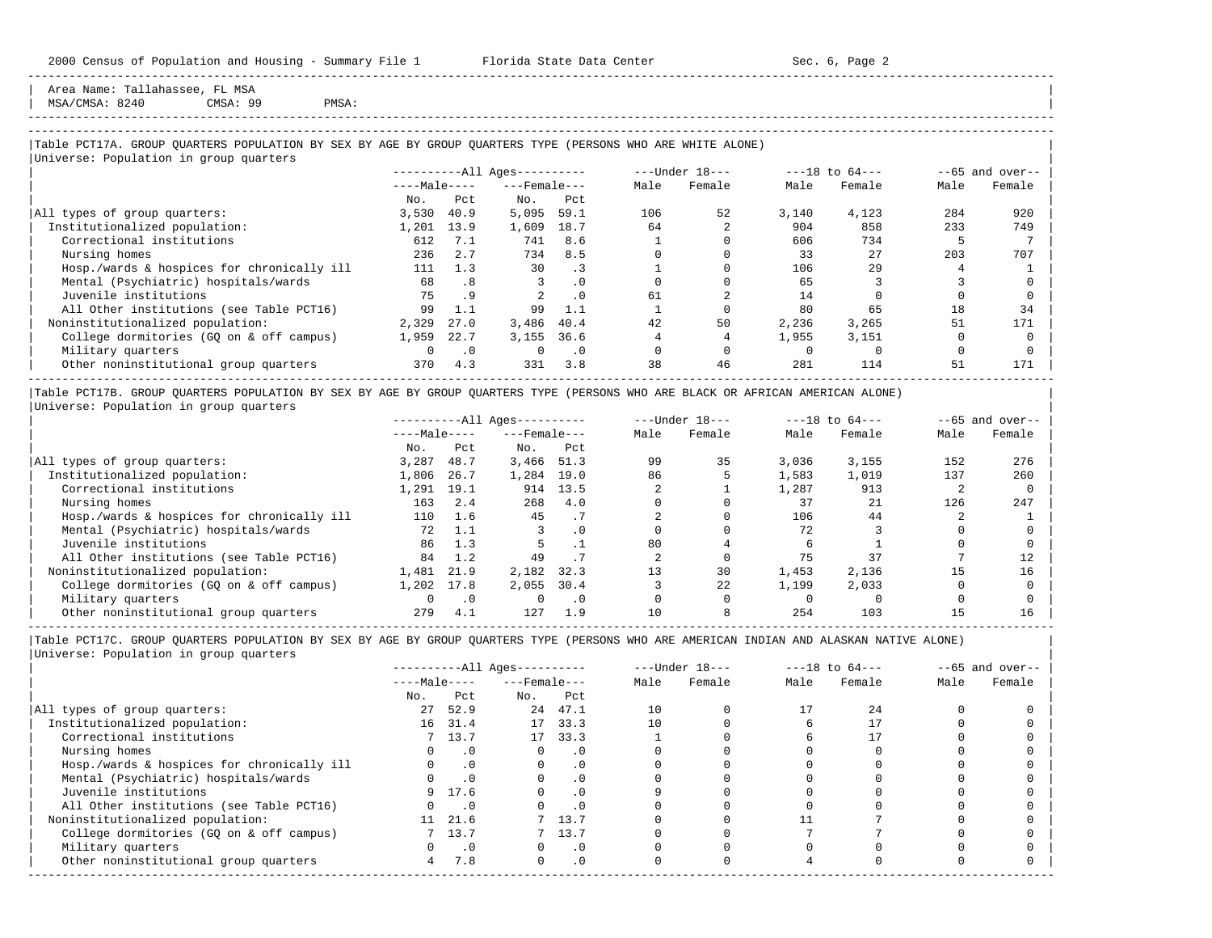Area Name: Tallahassee, FL MSA MSA/CMSA: 8240 CMSA: 99 PMSA:

## -----------------------------------------------------------------------------------------------------------------------------------------------------

-----------------------------------------------------------------------------------------------------------------------------------------------------

### |Table PCT17A. GROUP QUARTERS POPULATION BY SEX BY AGE BY GROUP QUARTERS TYPE (PERSONS WHO ARE WHITE ALONE) | |<br>|Universe: Population in group quarters

|                                            |              |           | $------All \text{Aqes}---$ |           |      | ---Under 18--- |       | $---18$ to $64---$ |      | $--65$ and over-- |
|--------------------------------------------|--------------|-----------|----------------------------|-----------|------|----------------|-------|--------------------|------|-------------------|
|                                            | $---Male---$ |           | $---$ Female $---$         |           | Male | Female         | Male  | Female             | Male | Female            |
|                                            | No.          | Pct.      | No.                        | Pct       |      |                |       |                    |      |                   |
| All types of group quarters:               | 3.530        | 40.9      | 5,095                      | 59.1      | 106  | 52             | 3,140 | 4,123              | 284  | 920               |
| Institutionalized population:              | 1,201        | 13.9      | 1,609                      | 18.7      | 64   |                | 904   | 858                | 233  | 749               |
| Correctional institutions                  | 612          | 7.1       | 741                        | 8.6       |      |                | 606   | 734                |      |                   |
| Nursing homes                              | 236          | 2.7       | 734                        | 8.5       |      |                | 33    | 27                 | 203  | 707               |
| Hosp./wards & hospices for chronically ill | 111          | 1.3       | 30                         | . 3       |      |                | 106   | 29                 |      |                   |
| Mental (Psychiatric) hospitals/wards       | 68           | .8        |                            | $\cdot$ 0 |      |                | 65    |                    |      |                   |
| Juvenile institutions                      | 75           | .9        |                            | $\cdot$ 0 | 61   |                | 14    |                    |      |                   |
| All Other institutions (see Table PCT16)   | 99           | 1.1       | 99                         | 1.1       |      |                | 80    | 65                 | 18   | 34                |
| Noninstitutionalized population:           | 2,329        | 27.0      | 3,486                      | 40.4      | 42   | 50             | 2,236 | 3,265              | 51   | 171               |
| College dormitories (GO on & off campus)   | 1,959        | 22.7      | 3,155                      | 36.6      |      |                | 1,955 | 3,151              |      |                   |
| Military quarters                          |              | $\cdot$ 0 |                            | $\cdot$ 0 |      |                |       |                    |      |                   |
| Other noninstitutional group quarters      | 370          | 4.3       | 331                        | 3.8       | 38   | 46             | 281   | 114                | 51   | 171               |

|Table PCT17B. GROUP QUARTERS POPULATION BY SEX BY AGE BY GROUP QUARTERS TYPE (PERSONS WHO ARE BLACK OR AFRICAN AMERICAN ALONE) | |Universe: Population in group quarters |

|                                            |              |           | $------All Aqes------$ |           |      | $---Under 18---$ |       | $---18$ to $64---$ |      | $--65$ and over-- |
|--------------------------------------------|--------------|-----------|------------------------|-----------|------|------------------|-------|--------------------|------|-------------------|
|                                            | $---Male---$ |           | $---$ Female ---       |           | Male | Female           | Male  | Female             | Male | Female            |
|                                            | No.          | Pct       | No.                    | Pct       |      |                  |       |                    |      |                   |
| All types of group quarters:               | 3,287        | 48.7      | 3,466 51.3             |           | 99   | 35               | 3,036 | 3,155              | 152  | 276               |
| Institutionalized population:              | 1,806        | 26.7      | 1,284                  | 19.0      | 86   |                  | 1,583 | 1,019              | 137  | 260               |
| Correctional institutions                  | 1,291        | 19.1      | 914                    | 13.5      |      |                  | 1,287 | 913                |      |                   |
| Nursing homes                              | 163          | 2.4       | 268                    | 4.0       |      |                  | 37    | 21                 | 126  | 247               |
| Hosp./wards & hospices for chronically ill | 110          | 1.6       | 45                     |           |      |                  | 106   | 44                 |      |                   |
| Mental (Psychiatric) hospitals/wards       | 72           | 1.1       |                        | $\cdot$ 0 |      |                  | 72    |                    |      |                   |
| Juvenile institutions                      | 86           | 1.3       |                        |           | 80   |                  |       |                    |      |                   |
| All Other institutions (see Table PCT16)   | 84           | 1.2       | 49                     |           |      |                  | 75    | 37                 |      |                   |
| Noninstitutionalized population:           | 1,481        | 21.9      | 2,182                  | 32.3      |      | 30               | 1,453 | 2,136              | 15   | 16                |
| College dormitories (GO on & off campus)   | 1,202        | 17.8      | 2,055                  | 30.4      |      | 22               | 1,199 | 2,033              |      |                   |
| Military quarters                          |              | $\cdot$ 0 |                        | $\cdot$ 0 |      |                  |       |                    |      |                   |
| Other noninstitutional group quarters      | 279          | 4.1       | 127                    | 1.9       |      |                  | 254   | 103                |      | 16                |

-----------------------------------------------------------------------------------------------------------------------------------------------------

|                                            |              |           | $------All Aqes------$ |           |      | $---Under 18---$ |      | $---18$ to $64---$ |      | $--65$ and over-- |
|--------------------------------------------|--------------|-----------|------------------------|-----------|------|------------------|------|--------------------|------|-------------------|
|                                            | $---Male---$ |           | $---$ Female $---$     |           | Male | Female           | Male | Female             | Male | Female            |
|                                            | No.          | Pct       | No.                    | Pct       |      |                  |      |                    |      |                   |
| All types of group quarters:               | 27           | 52.9      |                        | 24 47.1   | 10   |                  |      | 2.4                |      |                   |
| Institutionalized population:              | 16           | 31.4      |                        | 17 33.3   | 10   |                  |      |                    |      |                   |
| Correctional institutions                  |              | 7, 13.7   |                        | 17 33.3   |      |                  |      |                    |      |                   |
| Nursing homes                              |              | $\cdot$ 0 |                        | . 0       |      |                  |      |                    |      |                   |
| Hosp./wards & hospices for chronically ill |              | $\cdot$ 0 |                        | . 0       |      |                  |      |                    |      |                   |
| Mental (Psychiatric) hospitals/wards       |              | $\cdot$ 0 |                        | . 0       |      |                  |      |                    |      |                   |
| Juvenile institutions                      | 9            | 17.6      |                        | $\cdot$ 0 |      |                  |      |                    |      |                   |
| All Other institutions (see Table PCT16)   |              | $\cdot$ 0 |                        |           |      |                  |      |                    |      |                   |
| Noninstitutionalized population:           |              | 11 21.6   |                        | 7 13.7    |      |                  |      |                    |      |                   |
| College dormitories (GQ on & off campus)   |              | 7, 13.7   |                        | 13.7      |      |                  |      |                    |      |                   |
| Military quarters                          |              | $\cdot$ 0 |                        | $\cdot$ 0 |      |                  |      |                    |      |                   |
| Other noninstitutional group quarters      | 4            | 7.8       | $\Omega$               | .0        |      |                  |      |                    |      |                   |
|                                            |              |           |                        |           |      |                  |      |                    |      |                   |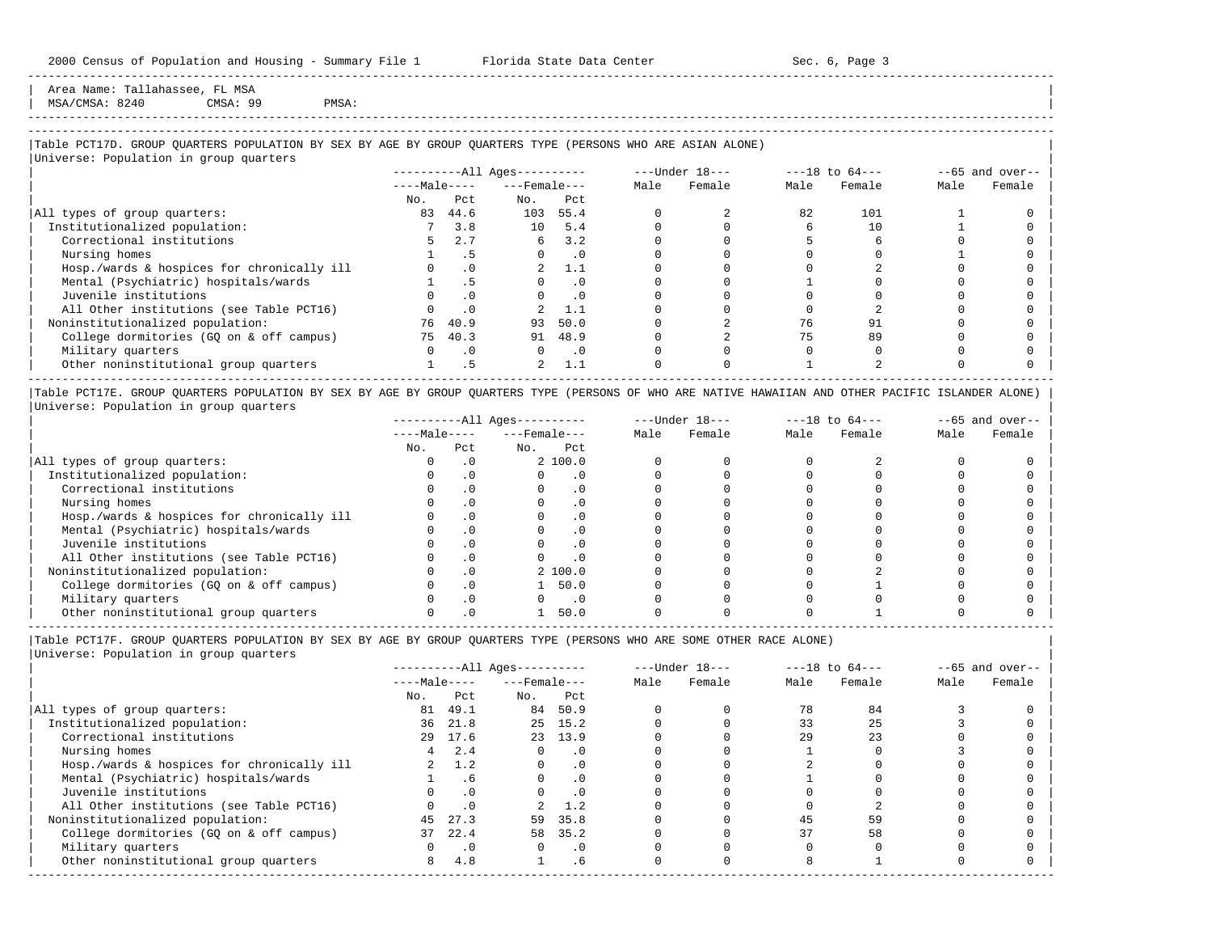Area Name: Tallahassee, FL MSA<br>MSA/CMSA: 8240 CMSA: 99

| MSA/CMSA: 8240 CMSA: 99 PMSA: |

## -----------------------------------------------------------------------------------------------------------------------------------------------------

-----------------------------------------------------------------------------------------------------------------------------------------------------

### |Table PCT17D. GROUP QUARTERS POPULATION BY SEX BY AGE BY GROUP QUARTERS TYPE (PERSONS WHO ARE ASIAN ALONE) |

|                                            |              |           | $------All \text{Aqes}---$ |           |      | $---Under 18---$ |      | $---18$ to $64---$ |      | $--65$ and over-- |
|--------------------------------------------|--------------|-----------|----------------------------|-----------|------|------------------|------|--------------------|------|-------------------|
|                                            | $---Male---$ |           | $---$ Female $---$         |           | Male | Female           | Male | Female             | Male | Female            |
|                                            | No.          | Pct       | No.                        | Pct       |      |                  |      |                    |      |                   |
| All types of group quarters:               | 83           | 44.6      | 103                        | 55.4      |      |                  | 82   | 101                |      |                   |
| Institutionalized population:              |              | 3.8       | 10                         | 5.4       |      |                  |      | 10                 |      |                   |
| Correctional institutions                  |              | 2.7       | 6                          | 3.2       |      |                  |      |                    |      |                   |
| Nursing homes                              |              | .5        |                            | $\cdot$ 0 |      |                  |      |                    |      |                   |
| Hosp./wards & hospices for chronically ill |              | $\cdot$ 0 |                            | 1.1       |      |                  |      |                    |      |                   |
| Mental (Psychiatric) hospitals/wards       |              | .5        |                            | $\cdot$ 0 |      |                  |      |                    |      |                   |
| Juvenile institutions                      |              | $\cdot$ 0 |                            | $\cdot$ 0 |      |                  |      |                    |      |                   |
| All Other institutions (see Table PCT16)   |              | $\cdot$ 0 |                            | 1.1       |      |                  |      |                    |      |                   |
| Noninstitutionalized population:           | 76           | 40.9      | 93                         | 50.0      |      |                  | 76   |                    |      |                   |
| College dormitories (GQ on & off campus)   | 75           | 40.3      | 91                         | 48.9      |      |                  | 75   | 89                 |      |                   |
| Military quarters                          |              | $\cdot$ 0 | $\Omega$                   | $\cdot$ 0 |      |                  |      |                    |      |                   |
| Other noninstitutional group quarters      |              | . 5       | 2                          | 1.1       |      |                  |      |                    |      |                   |

|Table PCT17E. GROUP QUARTERS POPULATION BY SEX BY AGE BY GROUP QUARTERS TYPE (PERSONS OF WHO ARE NATIVE HAWAIIAN AND OTHER PACIFIC ISLANDER ALONE) | |Universe: Population in group quarters |

|                                            |              |           | $------All Aqes------$ |          |      | $---Under 18---$ |      | $---18$ to $64---$ |      | $- -65$ and over-- |
|--------------------------------------------|--------------|-----------|------------------------|----------|------|------------------|------|--------------------|------|--------------------|
|                                            | $---Male---$ |           | $---$ Female $---$     |          | Male | Female           | Male | Female             | Male | Female             |
|                                            | No.          | Pct       | No.                    | Pct      |      |                  |      |                    |      |                    |
| All types of group quarters:               |              |           |                        | 2, 100.0 |      |                  |      |                    |      |                    |
| Institutionalized population:              |              | . 0       |                        | $\Omega$ |      |                  |      |                    |      |                    |
| Correctional institutions                  |              |           |                        |          |      |                  |      |                    |      |                    |
| Nursing homes                              |              | $\cdot$ 0 |                        |          |      |                  |      |                    |      |                    |
| Hosp./wards & hospices for chronically ill |              |           |                        |          |      |                  |      |                    |      |                    |
| Mental (Psychiatric) hospitals/wards       |              | . 0       |                        |          |      |                  |      |                    |      |                    |
| Juvenile institutions                      |              |           |                        |          |      |                  |      |                    |      |                    |
| All Other institutions (see Table PCT16)   |              | $\Omega$  |                        |          |      |                  |      |                    |      |                    |
| Noninstitutionalized population:           |              | $\cdot$ 0 |                        | 2, 100.0 |      |                  |      |                    |      |                    |
| College dormitories (GO on & off campus)   |              | $\cdot$ 0 |                        | 50.0     |      |                  |      |                    |      |                    |
| Military quarters                          |              | . 0       |                        | . 0      |      |                  |      |                    |      |                    |
| Other noninstitutional group quarters      |              |           |                        | 50.0     |      |                  |      |                    |      |                    |

----------------------------------------------------------------------------------------------------------------------------------------------------- |Table PCT17F. GROUP QUARTERS POPULATION BY SEX BY AGE BY GROUP QUARTERS TYPE (PERSONS WHO ARE SOME OTHER RACE ALONE) |

|     |           |                                                     |           |                                                                                |        |                  |        |                    | $--65$ and over-- |
|-----|-----------|-----------------------------------------------------|-----------|--------------------------------------------------------------------------------|--------|------------------|--------|--------------------|-------------------|
|     |           |                                                     |           | Male                                                                           | Female | Male             | Female | Male               | Female            |
| No. | Pct       | No.                                                 | Pct       |                                                                                |        |                  |        |                    |                   |
| 81  | 49.1      | 84                                                  | 50.9      |                                                                                |        | 78               | 84     |                    |                   |
|     |           |                                                     |           |                                                                                |        | 33               | 25     |                    |                   |
|     |           |                                                     |           |                                                                                |        | 29               | 23     |                    |                   |
|     | 2.4       | $\Omega$                                            | $\cdot$ 0 |                                                                                |        |                  |        |                    |                   |
|     | 1.2       |                                                     | $\cdot$ 0 |                                                                                |        |                  |        |                    |                   |
|     | . 6       | $\Omega$                                            | $\cdot$ 0 |                                                                                |        |                  |        |                    |                   |
|     | $\cdot$ 0 | O                                                   | $\cdot$ 0 |                                                                                |        |                  |        |                    |                   |
|     | $\cdot$ 0 |                                                     | 1.2       |                                                                                |        |                  |        |                    |                   |
|     | 27.3      |                                                     | 35.8      |                                                                                |        | 45               | 59     |                    |                   |
|     | 22.4      |                                                     | 35.2      |                                                                                |        | 37               | 58     |                    |                   |
|     | $\cdot$ 0 | $\Omega$                                            | $\cdot$ 0 |                                                                                |        |                  |        |                    |                   |
| 8   | 4.8       |                                                     | $.6 \,$   |                                                                                |        |                  |        |                    |                   |
|     |           | $---Male---$<br>36 21.8<br>29 17.6<br>4<br>45<br>37 |           | $------All Ages------$<br>$---$ Female $---$<br>25 15.2<br>23 13.9<br>59<br>58 |        | $---Under 18---$ |        | $---18$ to $64---$ |                   |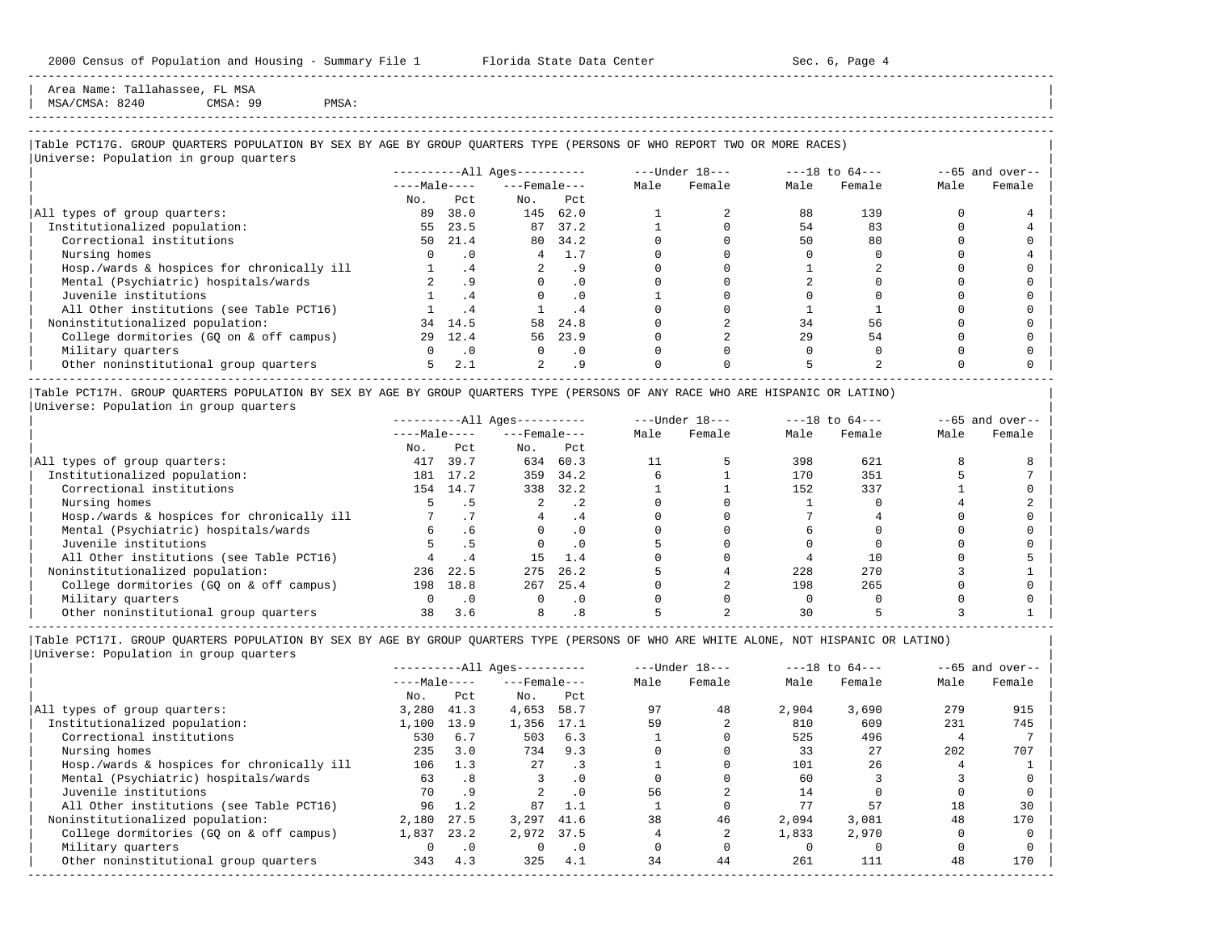Area Name: Tallahassee, FL MSA MSA/CMSA: 8240 CMSA: 99 PMSA:

-----------------------------------------------------------------------------------------------------------------------------------------------------

## |Table PCT17G. GROUP QUARTERS POPULATION BY SEX BY AGE BY GROUP QUARTERS TYPE (PERSONS OF WHO REPORT TWO OR MORE RACES) |

|                                            |              |                      | $------All Aqes------$ |           |      | $---Under 18---$ |      | $---18$ to $64---$ |      | $--65$ and over-- |
|--------------------------------------------|--------------|----------------------|------------------------|-----------|------|------------------|------|--------------------|------|-------------------|
|                                            | $---Male---$ |                      | $---$ Female $---$     |           | Male | Female           | Male | Female             | Male | Female            |
|                                            | No.          | Pct                  | No.                    | Pct       |      |                  |      |                    |      |                   |
| All types of group quarters:               | 89           | 38.0                 | 145                    | 62.0      |      |                  | 88   | 139                |      |                   |
| Institutionalized population:              | 55           | 23.5                 | 87                     | 37.2      |      |                  | 54   | 83                 |      |                   |
| Correctional institutions                  | 50           | 21.4                 | 80                     | 34.2      |      |                  | 50   | 80                 |      |                   |
| Nursing homes                              |              | $\cdot$ 0            | 4                      | 1.7       |      |                  |      |                    |      |                   |
| Hosp./wards & hospices for chronically ill |              | .4                   |                        | . 9       |      |                  |      |                    |      |                   |
| Mental (Psychiatric) hospitals/wards       |              | . 9                  |                        | $\cdot$ 0 |      |                  |      |                    |      |                   |
| Juvenile institutions                      |              | $\cdot$ <sup>4</sup> |                        | $\cdot$ 0 |      |                  |      |                    |      |                   |
| All Other institutions (see Table PCT16)   |              | $\cdot$ <sup>4</sup> |                        | . 4       |      |                  |      |                    |      |                   |
| Noninstitutionalized population:           | 34           | 14.5                 | 58                     | 24.8      |      |                  | 34   | 56                 |      |                   |
| College dormitories (GQ on & off campus)   | 29           | 12.4                 | 56                     | 23.9      |      |                  | 29   | 54                 |      |                   |
| Military quarters                          | 0            | $\cdot$ .0           | $\Omega$               | $\cdot$ 0 |      |                  |      |                    |      |                   |
| Other noninstitutional group quarters      | 5.           | 2.1                  | $\overline{a}$         | . 9       |      |                  |      |                    |      |                   |

|Table PCT17H. GROUP QUARTERS POPULATION BY SEX BY AGE BY GROUP QUARTERS TYPE (PERSONS OF ANY RACE WHO ARE HISPANIC OR LATINO) | |Universe: Population in group quarters |

|                                            |              |           | $------All Aqes------$ |           |      | $---Under 18---$ |      | $---18$ to $64---$ |      | $- -65$ and over-- |
|--------------------------------------------|--------------|-----------|------------------------|-----------|------|------------------|------|--------------------|------|--------------------|
|                                            | $---Male---$ |           | $---$ Female $---$     |           | Male | Female           | Male | Female             | Male | Female             |
|                                            | No.          | Pct       | No.                    | Pct       |      |                  |      |                    |      |                    |
| All types of group quarters:               | 417          | 39.7      | 634                    | 60.3      |      |                  | 398  | 621                |      |                    |
| Institutionalized population:              | 181          | 17.2      | 359                    | 34.2      |      |                  | 170  | 351                |      |                    |
| Correctional institutions                  | 154          | 14.7      | 338                    | 32.2      |      |                  | 152  | 337                |      |                    |
| Nursing homes                              |              |           |                        | .2        |      |                  |      |                    |      |                    |
| Hosp./wards & hospices for chronically ill |              |           |                        | . 4       |      |                  |      |                    |      |                    |
| Mental (Psychiatric) hospitals/wards       | б.           | . 6       |                        | $\cdot$ 0 |      |                  |      |                    |      |                    |
| Juvenile institutions                      |              |           |                        | $\cdot$ 0 |      |                  |      |                    |      |                    |
| All Other institutions (see Table PCT16)   |              | .4        | 15                     | 1.4       |      |                  |      | 10                 |      |                    |
| Noninstitutionalized population:           | 236          | 22.5      | 275                    | 26.2      |      |                  | 228  | 270                |      |                    |
| College dormitories (GO on & off campus)   | 198          | 18.8      | 267                    | 25.4      |      |                  | 198  | 265                |      |                    |
| Military quarters                          |              | $\cdot$ 0 |                        | $\cdot$ 0 |      |                  |      |                    |      |                    |
| Other noninstitutional group quarters      | 38           | 3.6       |                        |           |      |                  |      |                    |      |                    |

-----------------------------------------------------------------------------------------------------------------------------------------------------

|Table PCT17I. GROUP QUARTERS POPULATION BY SEX BY AGE BY GROUP QUARTERS TYPE (PERSONS OF WHO ARE WHITE ALONE, NOT HISPANIC OR LATINO) | |Universe: Population in group quarters |

|                                            |              |           | $------All Aqes------$ |           |      | $---Under 18---$ |       | $---18$ to $64---$ |      | $--65$ and over-- |
|--------------------------------------------|--------------|-----------|------------------------|-----------|------|------------------|-------|--------------------|------|-------------------|
|                                            | $---Male---$ |           | $---$ Female $---$     |           | Male | Female           | Male  | Female             | Male | Female            |
|                                            | No.          | Pct       | No.                    | Pct       |      |                  |       |                    |      |                   |
| All types of group quarters:               | 3,280        | 41.3      | 4,653                  | 58.7      | 97   | 48               | 2,904 | 3,690              | 279  | 915               |
| Institutionalized population:              | 1,100        | 13.9      | 1,356                  | 17.1      | 59   |                  | 810   | 609                | 231  | 745               |
| Correctional institutions                  | 530          | 6.7       | 503                    | 6.3       |      |                  | 525   | 496                |      |                   |
| Nursing homes                              | 235          | 3.0       | 734                    | 9.3       |      |                  | 33    | 27                 | 202  | 707               |
| Hosp./wards & hospices for chronically ill | 106          | 1.3       | 27                     | . 3       |      |                  | 101   | 26                 |      |                   |
| Mental (Psychiatric) hospitals/wards       | 63           | .8        |                        | . 0       |      |                  | 60    |                    |      |                   |
| Juvenile institutions                      | 70           | .9        |                        | . 0       | 56   |                  | 14    |                    |      |                   |
| All Other institutions (see Table PCT16)   | 96           | 1.2       | 87                     | 1.1       |      |                  | 77    | 57                 | 18   | 30                |
| Noninstitutionalized population:           | 2,180        | 27.5      | 3,297                  | 41.6      | 38   | 46               | 2,094 | 3,081              | 48   | 170               |
| College dormitories (GO on & off campus)   | 1,837        | 23.2      | 2,972                  | 37.5      |      |                  | 1,833 | 2,970              |      |                   |
| Military quarters                          |              | $\cdot$ 0 |                        | $\cdot$ 0 |      |                  |       |                    |      |                   |
| Other noninstitutional group quarters      | 343          | 4.3       | 325                    | 4.1       | 34   | 44               | 261   | 111                | 48   | 170               |
|                                            |              |           |                        |           |      |                  |       |                    |      |                   |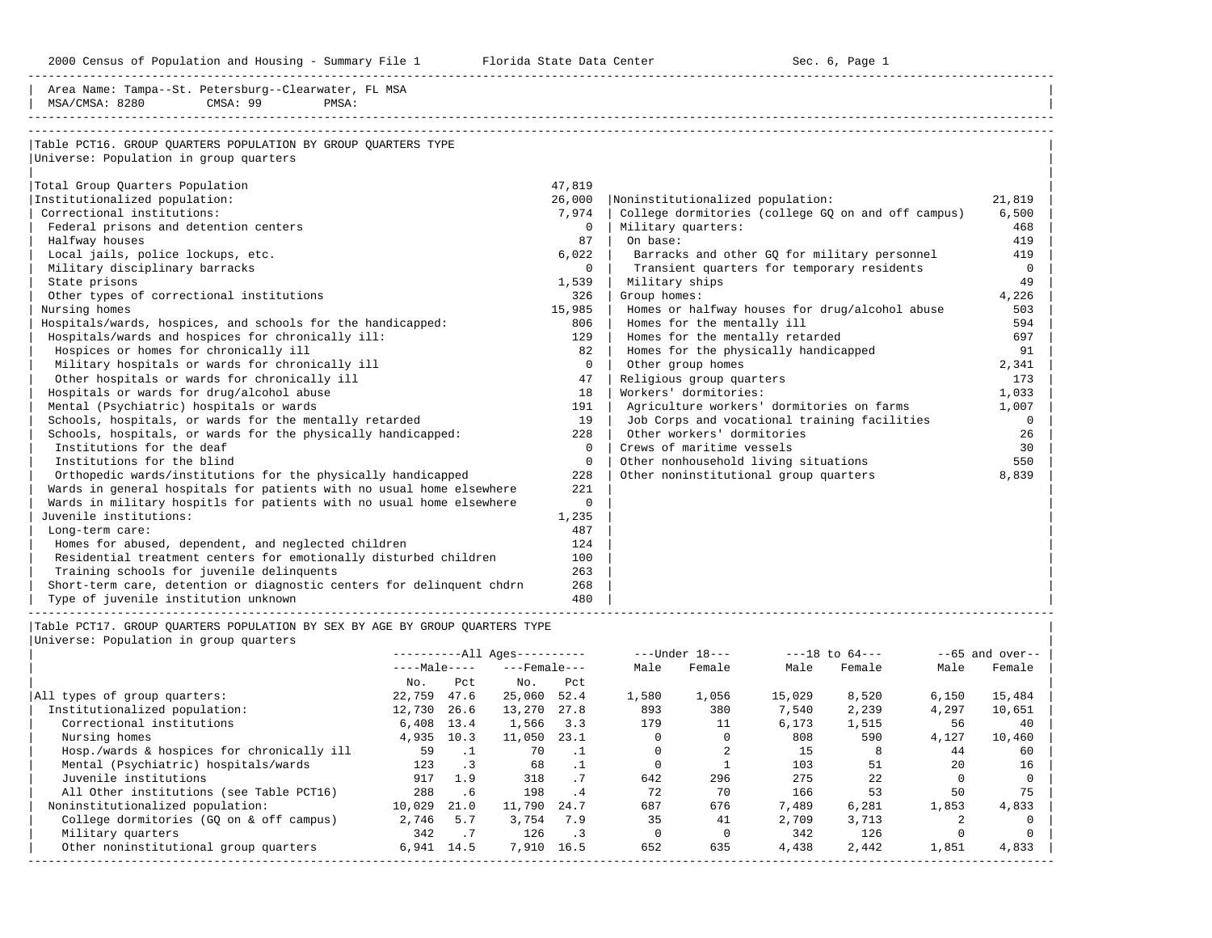2000 Census of Population and Housing - Summary File 1 Florida State Data Center 6 Sec. 6, Page 1

-----------------------------------------------------------------------------------------------------------------------------------------------------

| Table PCT16. GROUP QUARTERS POPULATION BY GROUP QUARTERS TYPE<br>Universe: Population in group quarters<br>47,819<br>Total Group Quarters Population<br>26,000<br>Institutionalized population:<br>Noninstitutionalized population:<br>21,819<br>Correctional institutions:<br>7,974<br>College dormitories (college GQ on and off campus)<br>6,500<br>Federal prisons and detention centers<br>$\mathbf 0$<br>Military quarters:<br>468<br>Halfway houses<br>87<br>On base:<br>419<br>Local jails, police lockups, etc.<br>6.022<br>Barracks and other GQ for military personnel<br>419<br>Transient quarters for temporary residents<br>Military disciplinary barracks<br>$\mathbf{0}$<br>$\mathbf 0$<br>49<br>State prisons<br>1,539<br>Military ships<br>Other types of correctional institutions<br>326<br>Group homes:<br>4,226<br>15,985<br>Nursing homes<br>Homes or halfway houses for drug/alcohol abuse<br>503<br>Hospitals/wards, hospices, and schools for the handicapped:<br>806<br>Homes for the mentally ill<br>594<br>Hospitals/wards and hospices for chronically ill:<br>129<br>Homes for the mentally retarded<br>697<br>Hospices or homes for chronically ill<br>82<br>Homes for the physically handicapped<br>91<br>Military hospitals or wards for chronically ill<br>$\Omega$<br>Other group homes<br>2,341<br>47<br>Other hospitals or wards for chronically ill<br>Religious group quarters<br>173<br>Hospitals or wards for drug/alcohol abuse<br>Workers' dormitories:<br>18<br>1,033<br>Mental (Psychiatric) hospitals or wards<br>191<br>Agriculture workers' dormitories on farms<br>1,007<br>Schools, hospitals, or wards for the mentally retarded<br>19<br>Job Corps and vocational training facilities<br>$\circ$<br>Schools, hospitals, or wards for the physically handicapped:<br>Other workers' dormitories<br>228<br>26<br>$\mathbf 0$<br>Crews of maritime vessels<br>Institutions for the deaf<br>30<br>Institutions for the blind<br>$\mathbf 0$<br>Other nonhousehold living situations<br>550<br>Orthopedic wards/institutions for the physically handicapped<br>228<br>Other noninstitutional group quarters<br>8,839<br>Wards in general hospitals for patients with no usual home elsewhere<br>221<br>Wards in military hospitls for patients with no usual home elsewhere<br>$\mathbf 0$<br>Juvenile institutions:<br>1,235<br>Long-term care:<br>487<br>Homes for abused, dependent, and neglected children<br>124<br>Residential treatment centers for emotionally disturbed children<br>100<br>263<br>Training schools for juvenile delinquents<br>Short-term care, detention or diagnostic centers for delinquent chdrn<br>268<br>Type of juvenile institution unknown<br>480<br>-------------------------------<br>Table PCT17. GROUP QUARTERS POPULATION BY SEX BY AGE BY GROUP QUARTERS TYPE<br>Universe: Population in group quarters<br>$---18$ to $64---$<br>$------All Aqes------$<br>$---Under 18---$<br>$- -65$ and over--<br>$---Ma$ $e---$<br>$---$ Female ---<br>Male<br>Female<br>Male<br>Female<br>Male<br>Female<br>No.<br>Pct<br>No.<br>Pct<br>  All types of group quarters:<br>22,759 47.6<br>25,060 52.4<br>1,580<br>1,056<br>15,029<br>8,520<br>6,150<br>15,484<br>Institutionalized population:<br>12,730 26.6<br>13,270 27.8<br>893<br>380<br>7,540<br>2,239<br>4,297<br>10,651<br>Correctional institutions<br>179<br>1,515<br>56<br>6,408 13.4<br>1,566 3.3<br>11<br>6,173<br>40<br>Nursing homes<br>4,935 10.3<br>$\Omega$<br>11,050 23.1<br>$\Omega$<br>808<br>590<br>4,127<br>10,460<br>$\overline{a}$<br>$\cdot$ 1<br>70<br>$\mathbf 0$<br>15<br>8<br>44<br>Hosp./wards & hospices for chronically ill<br>59<br>$\cdot$ 1<br>60<br>Mental (Psychiatric) hospitals/wards<br>123<br>$\cdot$ 3<br>$\cdot$ 1<br>$\circ$<br>$\mathbf{1}$<br>103<br>51<br>20<br>16<br>68<br>.7<br>296<br>275<br>22<br>$\mathbf 0$<br>$\mathbf{0}$<br>Juvenile institutions<br>917 1.9<br>318<br>642<br>70<br>75<br>All Other institutions (see Table PCT16)<br>288<br>.6<br>198<br>$\cdot$ 4<br>72<br>166<br>53<br>50<br>10,029 21.0<br>11,790 24.7<br>687<br>676<br>7,489<br>6,281<br>1,853<br>4,833<br>Noninstitutionalized population:<br>2<br>5.7<br>7.9<br>35<br>41<br>2,709<br>3,713<br>$\mathbf 0$<br>College dormitories (GQ on & off campus)<br>2,746<br>3,754 | Area Name: Tampa--St. Petersburg--Clearwater, FL MSA<br>CMSA: 99<br>MSA/CMSA: 8280<br>PMSA: |     |    |     |           |          |          |     |     |          |          |  |  |
|-------------------------------------------------------------------------------------------------------------------------------------------------------------------------------------------------------------------------------------------------------------------------------------------------------------------------------------------------------------------------------------------------------------------------------------------------------------------------------------------------------------------------------------------------------------------------------------------------------------------------------------------------------------------------------------------------------------------------------------------------------------------------------------------------------------------------------------------------------------------------------------------------------------------------------------------------------------------------------------------------------------------------------------------------------------------------------------------------------------------------------------------------------------------------------------------------------------------------------------------------------------------------------------------------------------------------------------------------------------------------------------------------------------------------------------------------------------------------------------------------------------------------------------------------------------------------------------------------------------------------------------------------------------------------------------------------------------------------------------------------------------------------------------------------------------------------------------------------------------------------------------------------------------------------------------------------------------------------------------------------------------------------------------------------------------------------------------------------------------------------------------------------------------------------------------------------------------------------------------------------------------------------------------------------------------------------------------------------------------------------------------------------------------------------------------------------------------------------------------------------------------------------------------------------------------------------------------------------------------------------------------------------------------------------------------------------------------------------------------------------------------------------------------------------------------------------------------------------------------------------------------------------------------------------------------------------------------------------------------------------------------------------------------------------------------------------------------------------------------------------------------------------------------------------------------------------------------------------------------------------------------------------------------------------------------------------------------------------------------------------------------------------------------------------------------------------------------------------------------------------------------------------------------------------------------------------------------------------------------------------------------------------------------------------------------------------------------------------------------------------------------------------------------------------------------------------------------------------------------------------------------------------------------------------------------------------------------------------------------------------------------------------------------------------------------------------------------------------------------------------------------------------------------------------------------------------------------------------------------------------------------------------------------------------------------------------------------|---------------------------------------------------------------------------------------------|-----|----|-----|-----------|----------|----------|-----|-----|----------|----------|--|--|
|                                                                                                                                                                                                                                                                                                                                                                                                                                                                                                                                                                                                                                                                                                                                                                                                                                                                                                                                                                                                                                                                                                                                                                                                                                                                                                                                                                                                                                                                                                                                                                                                                                                                                                                                                                                                                                                                                                                                                                                                                                                                                                                                                                                                                                                                                                                                                                                                                                                                                                                                                                                                                                                                                                                                                                                                                                                                                                                                                                                                                                                                                                                                                                                                                                                                                                                                                                                                                                                                                                                                                                                                                                                                                                                                                                                                                                                                                                                                                                                                                                                                                                                                                                                                                                                                                                                                     |                                                                                             |     |    |     |           |          |          |     |     |          |          |  |  |
|                                                                                                                                                                                                                                                                                                                                                                                                                                                                                                                                                                                                                                                                                                                                                                                                                                                                                                                                                                                                                                                                                                                                                                                                                                                                                                                                                                                                                                                                                                                                                                                                                                                                                                                                                                                                                                                                                                                                                                                                                                                                                                                                                                                                                                                                                                                                                                                                                                                                                                                                                                                                                                                                                                                                                                                                                                                                                                                                                                                                                                                                                                                                                                                                                                                                                                                                                                                                                                                                                                                                                                                                                                                                                                                                                                                                                                                                                                                                                                                                                                                                                                                                                                                                                                                                                                                                     |                                                                                             |     |    |     |           |          |          |     |     |          |          |  |  |
|                                                                                                                                                                                                                                                                                                                                                                                                                                                                                                                                                                                                                                                                                                                                                                                                                                                                                                                                                                                                                                                                                                                                                                                                                                                                                                                                                                                                                                                                                                                                                                                                                                                                                                                                                                                                                                                                                                                                                                                                                                                                                                                                                                                                                                                                                                                                                                                                                                                                                                                                                                                                                                                                                                                                                                                                                                                                                                                                                                                                                                                                                                                                                                                                                                                                                                                                                                                                                                                                                                                                                                                                                                                                                                                                                                                                                                                                                                                                                                                                                                                                                                                                                                                                                                                                                                                                     |                                                                                             |     |    |     |           |          |          |     |     |          |          |  |  |
|                                                                                                                                                                                                                                                                                                                                                                                                                                                                                                                                                                                                                                                                                                                                                                                                                                                                                                                                                                                                                                                                                                                                                                                                                                                                                                                                                                                                                                                                                                                                                                                                                                                                                                                                                                                                                                                                                                                                                                                                                                                                                                                                                                                                                                                                                                                                                                                                                                                                                                                                                                                                                                                                                                                                                                                                                                                                                                                                                                                                                                                                                                                                                                                                                                                                                                                                                                                                                                                                                                                                                                                                                                                                                                                                                                                                                                                                                                                                                                                                                                                                                                                                                                                                                                                                                                                                     |                                                                                             |     |    |     |           |          |          |     |     |          |          |  |  |
|                                                                                                                                                                                                                                                                                                                                                                                                                                                                                                                                                                                                                                                                                                                                                                                                                                                                                                                                                                                                                                                                                                                                                                                                                                                                                                                                                                                                                                                                                                                                                                                                                                                                                                                                                                                                                                                                                                                                                                                                                                                                                                                                                                                                                                                                                                                                                                                                                                                                                                                                                                                                                                                                                                                                                                                                                                                                                                                                                                                                                                                                                                                                                                                                                                                                                                                                                                                                                                                                                                                                                                                                                                                                                                                                                                                                                                                                                                                                                                                                                                                                                                                                                                                                                                                                                                                                     |                                                                                             |     |    |     |           |          |          |     |     |          |          |  |  |
|                                                                                                                                                                                                                                                                                                                                                                                                                                                                                                                                                                                                                                                                                                                                                                                                                                                                                                                                                                                                                                                                                                                                                                                                                                                                                                                                                                                                                                                                                                                                                                                                                                                                                                                                                                                                                                                                                                                                                                                                                                                                                                                                                                                                                                                                                                                                                                                                                                                                                                                                                                                                                                                                                                                                                                                                                                                                                                                                                                                                                                                                                                                                                                                                                                                                                                                                                                                                                                                                                                                                                                                                                                                                                                                                                                                                                                                                                                                                                                                                                                                                                                                                                                                                                                                                                                                                     |                                                                                             |     |    |     |           |          |          |     |     |          |          |  |  |
|                                                                                                                                                                                                                                                                                                                                                                                                                                                                                                                                                                                                                                                                                                                                                                                                                                                                                                                                                                                                                                                                                                                                                                                                                                                                                                                                                                                                                                                                                                                                                                                                                                                                                                                                                                                                                                                                                                                                                                                                                                                                                                                                                                                                                                                                                                                                                                                                                                                                                                                                                                                                                                                                                                                                                                                                                                                                                                                                                                                                                                                                                                                                                                                                                                                                                                                                                                                                                                                                                                                                                                                                                                                                                                                                                                                                                                                                                                                                                                                                                                                                                                                                                                                                                                                                                                                                     |                                                                                             |     |    |     |           |          |          |     |     |          |          |  |  |
|                                                                                                                                                                                                                                                                                                                                                                                                                                                                                                                                                                                                                                                                                                                                                                                                                                                                                                                                                                                                                                                                                                                                                                                                                                                                                                                                                                                                                                                                                                                                                                                                                                                                                                                                                                                                                                                                                                                                                                                                                                                                                                                                                                                                                                                                                                                                                                                                                                                                                                                                                                                                                                                                                                                                                                                                                                                                                                                                                                                                                                                                                                                                                                                                                                                                                                                                                                                                                                                                                                                                                                                                                                                                                                                                                                                                                                                                                                                                                                                                                                                                                                                                                                                                                                                                                                                                     |                                                                                             |     |    |     |           |          |          |     |     |          |          |  |  |
|                                                                                                                                                                                                                                                                                                                                                                                                                                                                                                                                                                                                                                                                                                                                                                                                                                                                                                                                                                                                                                                                                                                                                                                                                                                                                                                                                                                                                                                                                                                                                                                                                                                                                                                                                                                                                                                                                                                                                                                                                                                                                                                                                                                                                                                                                                                                                                                                                                                                                                                                                                                                                                                                                                                                                                                                                                                                                                                                                                                                                                                                                                                                                                                                                                                                                                                                                                                                                                                                                                                                                                                                                                                                                                                                                                                                                                                                                                                                                                                                                                                                                                                                                                                                                                                                                                                                     |                                                                                             |     |    |     |           |          |          |     |     |          |          |  |  |
|                                                                                                                                                                                                                                                                                                                                                                                                                                                                                                                                                                                                                                                                                                                                                                                                                                                                                                                                                                                                                                                                                                                                                                                                                                                                                                                                                                                                                                                                                                                                                                                                                                                                                                                                                                                                                                                                                                                                                                                                                                                                                                                                                                                                                                                                                                                                                                                                                                                                                                                                                                                                                                                                                                                                                                                                                                                                                                                                                                                                                                                                                                                                                                                                                                                                                                                                                                                                                                                                                                                                                                                                                                                                                                                                                                                                                                                                                                                                                                                                                                                                                                                                                                                                                                                                                                                                     |                                                                                             |     |    |     |           |          |          |     |     |          |          |  |  |
|                                                                                                                                                                                                                                                                                                                                                                                                                                                                                                                                                                                                                                                                                                                                                                                                                                                                                                                                                                                                                                                                                                                                                                                                                                                                                                                                                                                                                                                                                                                                                                                                                                                                                                                                                                                                                                                                                                                                                                                                                                                                                                                                                                                                                                                                                                                                                                                                                                                                                                                                                                                                                                                                                                                                                                                                                                                                                                                                                                                                                                                                                                                                                                                                                                                                                                                                                                                                                                                                                                                                                                                                                                                                                                                                                                                                                                                                                                                                                                                                                                                                                                                                                                                                                                                                                                                                     |                                                                                             |     |    |     |           |          |          |     |     |          |          |  |  |
|                                                                                                                                                                                                                                                                                                                                                                                                                                                                                                                                                                                                                                                                                                                                                                                                                                                                                                                                                                                                                                                                                                                                                                                                                                                                                                                                                                                                                                                                                                                                                                                                                                                                                                                                                                                                                                                                                                                                                                                                                                                                                                                                                                                                                                                                                                                                                                                                                                                                                                                                                                                                                                                                                                                                                                                                                                                                                                                                                                                                                                                                                                                                                                                                                                                                                                                                                                                                                                                                                                                                                                                                                                                                                                                                                                                                                                                                                                                                                                                                                                                                                                                                                                                                                                                                                                                                     |                                                                                             |     |    |     |           |          |          |     |     |          |          |  |  |
|                                                                                                                                                                                                                                                                                                                                                                                                                                                                                                                                                                                                                                                                                                                                                                                                                                                                                                                                                                                                                                                                                                                                                                                                                                                                                                                                                                                                                                                                                                                                                                                                                                                                                                                                                                                                                                                                                                                                                                                                                                                                                                                                                                                                                                                                                                                                                                                                                                                                                                                                                                                                                                                                                                                                                                                                                                                                                                                                                                                                                                                                                                                                                                                                                                                                                                                                                                                                                                                                                                                                                                                                                                                                                                                                                                                                                                                                                                                                                                                                                                                                                                                                                                                                                                                                                                                                     |                                                                                             |     |    |     |           |          |          |     |     |          |          |  |  |
|                                                                                                                                                                                                                                                                                                                                                                                                                                                                                                                                                                                                                                                                                                                                                                                                                                                                                                                                                                                                                                                                                                                                                                                                                                                                                                                                                                                                                                                                                                                                                                                                                                                                                                                                                                                                                                                                                                                                                                                                                                                                                                                                                                                                                                                                                                                                                                                                                                                                                                                                                                                                                                                                                                                                                                                                                                                                                                                                                                                                                                                                                                                                                                                                                                                                                                                                                                                                                                                                                                                                                                                                                                                                                                                                                                                                                                                                                                                                                                                                                                                                                                                                                                                                                                                                                                                                     |                                                                                             |     |    |     |           |          |          |     |     |          |          |  |  |
|                                                                                                                                                                                                                                                                                                                                                                                                                                                                                                                                                                                                                                                                                                                                                                                                                                                                                                                                                                                                                                                                                                                                                                                                                                                                                                                                                                                                                                                                                                                                                                                                                                                                                                                                                                                                                                                                                                                                                                                                                                                                                                                                                                                                                                                                                                                                                                                                                                                                                                                                                                                                                                                                                                                                                                                                                                                                                                                                                                                                                                                                                                                                                                                                                                                                                                                                                                                                                                                                                                                                                                                                                                                                                                                                                                                                                                                                                                                                                                                                                                                                                                                                                                                                                                                                                                                                     |                                                                                             |     |    |     |           |          |          |     |     |          |          |  |  |
|                                                                                                                                                                                                                                                                                                                                                                                                                                                                                                                                                                                                                                                                                                                                                                                                                                                                                                                                                                                                                                                                                                                                                                                                                                                                                                                                                                                                                                                                                                                                                                                                                                                                                                                                                                                                                                                                                                                                                                                                                                                                                                                                                                                                                                                                                                                                                                                                                                                                                                                                                                                                                                                                                                                                                                                                                                                                                                                                                                                                                                                                                                                                                                                                                                                                                                                                                                                                                                                                                                                                                                                                                                                                                                                                                                                                                                                                                                                                                                                                                                                                                                                                                                                                                                                                                                                                     |                                                                                             |     |    |     |           |          |          |     |     |          |          |  |  |
|                                                                                                                                                                                                                                                                                                                                                                                                                                                                                                                                                                                                                                                                                                                                                                                                                                                                                                                                                                                                                                                                                                                                                                                                                                                                                                                                                                                                                                                                                                                                                                                                                                                                                                                                                                                                                                                                                                                                                                                                                                                                                                                                                                                                                                                                                                                                                                                                                                                                                                                                                                                                                                                                                                                                                                                                                                                                                                                                                                                                                                                                                                                                                                                                                                                                                                                                                                                                                                                                                                                                                                                                                                                                                                                                                                                                                                                                                                                                                                                                                                                                                                                                                                                                                                                                                                                                     |                                                                                             |     |    |     |           |          |          |     |     |          |          |  |  |
|                                                                                                                                                                                                                                                                                                                                                                                                                                                                                                                                                                                                                                                                                                                                                                                                                                                                                                                                                                                                                                                                                                                                                                                                                                                                                                                                                                                                                                                                                                                                                                                                                                                                                                                                                                                                                                                                                                                                                                                                                                                                                                                                                                                                                                                                                                                                                                                                                                                                                                                                                                                                                                                                                                                                                                                                                                                                                                                                                                                                                                                                                                                                                                                                                                                                                                                                                                                                                                                                                                                                                                                                                                                                                                                                                                                                                                                                                                                                                                                                                                                                                                                                                                                                                                                                                                                                     |                                                                                             |     |    |     |           |          |          |     |     |          |          |  |  |
|                                                                                                                                                                                                                                                                                                                                                                                                                                                                                                                                                                                                                                                                                                                                                                                                                                                                                                                                                                                                                                                                                                                                                                                                                                                                                                                                                                                                                                                                                                                                                                                                                                                                                                                                                                                                                                                                                                                                                                                                                                                                                                                                                                                                                                                                                                                                                                                                                                                                                                                                                                                                                                                                                                                                                                                                                                                                                                                                                                                                                                                                                                                                                                                                                                                                                                                                                                                                                                                                                                                                                                                                                                                                                                                                                                                                                                                                                                                                                                                                                                                                                                                                                                                                                                                                                                                                     |                                                                                             |     |    |     |           |          |          |     |     |          |          |  |  |
|                                                                                                                                                                                                                                                                                                                                                                                                                                                                                                                                                                                                                                                                                                                                                                                                                                                                                                                                                                                                                                                                                                                                                                                                                                                                                                                                                                                                                                                                                                                                                                                                                                                                                                                                                                                                                                                                                                                                                                                                                                                                                                                                                                                                                                                                                                                                                                                                                                                                                                                                                                                                                                                                                                                                                                                                                                                                                                                                                                                                                                                                                                                                                                                                                                                                                                                                                                                                                                                                                                                                                                                                                                                                                                                                                                                                                                                                                                                                                                                                                                                                                                                                                                                                                                                                                                                                     |                                                                                             |     |    |     |           |          |          |     |     |          |          |  |  |
|                                                                                                                                                                                                                                                                                                                                                                                                                                                                                                                                                                                                                                                                                                                                                                                                                                                                                                                                                                                                                                                                                                                                                                                                                                                                                                                                                                                                                                                                                                                                                                                                                                                                                                                                                                                                                                                                                                                                                                                                                                                                                                                                                                                                                                                                                                                                                                                                                                                                                                                                                                                                                                                                                                                                                                                                                                                                                                                                                                                                                                                                                                                                                                                                                                                                                                                                                                                                                                                                                                                                                                                                                                                                                                                                                                                                                                                                                                                                                                                                                                                                                                                                                                                                                                                                                                                                     |                                                                                             |     |    |     |           |          |          |     |     |          |          |  |  |
|                                                                                                                                                                                                                                                                                                                                                                                                                                                                                                                                                                                                                                                                                                                                                                                                                                                                                                                                                                                                                                                                                                                                                                                                                                                                                                                                                                                                                                                                                                                                                                                                                                                                                                                                                                                                                                                                                                                                                                                                                                                                                                                                                                                                                                                                                                                                                                                                                                                                                                                                                                                                                                                                                                                                                                                                                                                                                                                                                                                                                                                                                                                                                                                                                                                                                                                                                                                                                                                                                                                                                                                                                                                                                                                                                                                                                                                                                                                                                                                                                                                                                                                                                                                                                                                                                                                                     |                                                                                             |     |    |     |           |          |          |     |     |          |          |  |  |
|                                                                                                                                                                                                                                                                                                                                                                                                                                                                                                                                                                                                                                                                                                                                                                                                                                                                                                                                                                                                                                                                                                                                                                                                                                                                                                                                                                                                                                                                                                                                                                                                                                                                                                                                                                                                                                                                                                                                                                                                                                                                                                                                                                                                                                                                                                                                                                                                                                                                                                                                                                                                                                                                                                                                                                                                                                                                                                                                                                                                                                                                                                                                                                                                                                                                                                                                                                                                                                                                                                                                                                                                                                                                                                                                                                                                                                                                                                                                                                                                                                                                                                                                                                                                                                                                                                                                     |                                                                                             |     |    |     |           |          |          |     |     |          |          |  |  |
|                                                                                                                                                                                                                                                                                                                                                                                                                                                                                                                                                                                                                                                                                                                                                                                                                                                                                                                                                                                                                                                                                                                                                                                                                                                                                                                                                                                                                                                                                                                                                                                                                                                                                                                                                                                                                                                                                                                                                                                                                                                                                                                                                                                                                                                                                                                                                                                                                                                                                                                                                                                                                                                                                                                                                                                                                                                                                                                                                                                                                                                                                                                                                                                                                                                                                                                                                                                                                                                                                                                                                                                                                                                                                                                                                                                                                                                                                                                                                                                                                                                                                                                                                                                                                                                                                                                                     |                                                                                             |     |    |     |           |          |          |     |     |          |          |  |  |
|                                                                                                                                                                                                                                                                                                                                                                                                                                                                                                                                                                                                                                                                                                                                                                                                                                                                                                                                                                                                                                                                                                                                                                                                                                                                                                                                                                                                                                                                                                                                                                                                                                                                                                                                                                                                                                                                                                                                                                                                                                                                                                                                                                                                                                                                                                                                                                                                                                                                                                                                                                                                                                                                                                                                                                                                                                                                                                                                                                                                                                                                                                                                                                                                                                                                                                                                                                                                                                                                                                                                                                                                                                                                                                                                                                                                                                                                                                                                                                                                                                                                                                                                                                                                                                                                                                                                     |                                                                                             |     |    |     |           |          |          |     |     |          |          |  |  |
|                                                                                                                                                                                                                                                                                                                                                                                                                                                                                                                                                                                                                                                                                                                                                                                                                                                                                                                                                                                                                                                                                                                                                                                                                                                                                                                                                                                                                                                                                                                                                                                                                                                                                                                                                                                                                                                                                                                                                                                                                                                                                                                                                                                                                                                                                                                                                                                                                                                                                                                                                                                                                                                                                                                                                                                                                                                                                                                                                                                                                                                                                                                                                                                                                                                                                                                                                                                                                                                                                                                                                                                                                                                                                                                                                                                                                                                                                                                                                                                                                                                                                                                                                                                                                                                                                                                                     |                                                                                             |     |    |     |           |          |          |     |     |          |          |  |  |
|                                                                                                                                                                                                                                                                                                                                                                                                                                                                                                                                                                                                                                                                                                                                                                                                                                                                                                                                                                                                                                                                                                                                                                                                                                                                                                                                                                                                                                                                                                                                                                                                                                                                                                                                                                                                                                                                                                                                                                                                                                                                                                                                                                                                                                                                                                                                                                                                                                                                                                                                                                                                                                                                                                                                                                                                                                                                                                                                                                                                                                                                                                                                                                                                                                                                                                                                                                                                                                                                                                                                                                                                                                                                                                                                                                                                                                                                                                                                                                                                                                                                                                                                                                                                                                                                                                                                     |                                                                                             |     |    |     |           |          |          |     |     |          |          |  |  |
|                                                                                                                                                                                                                                                                                                                                                                                                                                                                                                                                                                                                                                                                                                                                                                                                                                                                                                                                                                                                                                                                                                                                                                                                                                                                                                                                                                                                                                                                                                                                                                                                                                                                                                                                                                                                                                                                                                                                                                                                                                                                                                                                                                                                                                                                                                                                                                                                                                                                                                                                                                                                                                                                                                                                                                                                                                                                                                                                                                                                                                                                                                                                                                                                                                                                                                                                                                                                                                                                                                                                                                                                                                                                                                                                                                                                                                                                                                                                                                                                                                                                                                                                                                                                                                                                                                                                     |                                                                                             |     |    |     |           |          |          |     |     |          |          |  |  |
|                                                                                                                                                                                                                                                                                                                                                                                                                                                                                                                                                                                                                                                                                                                                                                                                                                                                                                                                                                                                                                                                                                                                                                                                                                                                                                                                                                                                                                                                                                                                                                                                                                                                                                                                                                                                                                                                                                                                                                                                                                                                                                                                                                                                                                                                                                                                                                                                                                                                                                                                                                                                                                                                                                                                                                                                                                                                                                                                                                                                                                                                                                                                                                                                                                                                                                                                                                                                                                                                                                                                                                                                                                                                                                                                                                                                                                                                                                                                                                                                                                                                                                                                                                                                                                                                                                                                     |                                                                                             |     |    |     |           |          |          |     |     |          |          |  |  |
|                                                                                                                                                                                                                                                                                                                                                                                                                                                                                                                                                                                                                                                                                                                                                                                                                                                                                                                                                                                                                                                                                                                                                                                                                                                                                                                                                                                                                                                                                                                                                                                                                                                                                                                                                                                                                                                                                                                                                                                                                                                                                                                                                                                                                                                                                                                                                                                                                                                                                                                                                                                                                                                                                                                                                                                                                                                                                                                                                                                                                                                                                                                                                                                                                                                                                                                                                                                                                                                                                                                                                                                                                                                                                                                                                                                                                                                                                                                                                                                                                                                                                                                                                                                                                                                                                                                                     |                                                                                             |     |    |     |           |          |          |     |     |          |          |  |  |
|                                                                                                                                                                                                                                                                                                                                                                                                                                                                                                                                                                                                                                                                                                                                                                                                                                                                                                                                                                                                                                                                                                                                                                                                                                                                                                                                                                                                                                                                                                                                                                                                                                                                                                                                                                                                                                                                                                                                                                                                                                                                                                                                                                                                                                                                                                                                                                                                                                                                                                                                                                                                                                                                                                                                                                                                                                                                                                                                                                                                                                                                                                                                                                                                                                                                                                                                                                                                                                                                                                                                                                                                                                                                                                                                                                                                                                                                                                                                                                                                                                                                                                                                                                                                                                                                                                                                     |                                                                                             |     |    |     |           |          |          |     |     |          |          |  |  |
|                                                                                                                                                                                                                                                                                                                                                                                                                                                                                                                                                                                                                                                                                                                                                                                                                                                                                                                                                                                                                                                                                                                                                                                                                                                                                                                                                                                                                                                                                                                                                                                                                                                                                                                                                                                                                                                                                                                                                                                                                                                                                                                                                                                                                                                                                                                                                                                                                                                                                                                                                                                                                                                                                                                                                                                                                                                                                                                                                                                                                                                                                                                                                                                                                                                                                                                                                                                                                                                                                                                                                                                                                                                                                                                                                                                                                                                                                                                                                                                                                                                                                                                                                                                                                                                                                                                                     |                                                                                             |     |    |     |           |          |          |     |     |          |          |  |  |
|                                                                                                                                                                                                                                                                                                                                                                                                                                                                                                                                                                                                                                                                                                                                                                                                                                                                                                                                                                                                                                                                                                                                                                                                                                                                                                                                                                                                                                                                                                                                                                                                                                                                                                                                                                                                                                                                                                                                                                                                                                                                                                                                                                                                                                                                                                                                                                                                                                                                                                                                                                                                                                                                                                                                                                                                                                                                                                                                                                                                                                                                                                                                                                                                                                                                                                                                                                                                                                                                                                                                                                                                                                                                                                                                                                                                                                                                                                                                                                                                                                                                                                                                                                                                                                                                                                                                     |                                                                                             |     |    |     |           |          |          |     |     |          |          |  |  |
|                                                                                                                                                                                                                                                                                                                                                                                                                                                                                                                                                                                                                                                                                                                                                                                                                                                                                                                                                                                                                                                                                                                                                                                                                                                                                                                                                                                                                                                                                                                                                                                                                                                                                                                                                                                                                                                                                                                                                                                                                                                                                                                                                                                                                                                                                                                                                                                                                                                                                                                                                                                                                                                                                                                                                                                                                                                                                                                                                                                                                                                                                                                                                                                                                                                                                                                                                                                                                                                                                                                                                                                                                                                                                                                                                                                                                                                                                                                                                                                                                                                                                                                                                                                                                                                                                                                                     |                                                                                             |     |    |     |           |          |          |     |     |          |          |  |  |
|                                                                                                                                                                                                                                                                                                                                                                                                                                                                                                                                                                                                                                                                                                                                                                                                                                                                                                                                                                                                                                                                                                                                                                                                                                                                                                                                                                                                                                                                                                                                                                                                                                                                                                                                                                                                                                                                                                                                                                                                                                                                                                                                                                                                                                                                                                                                                                                                                                                                                                                                                                                                                                                                                                                                                                                                                                                                                                                                                                                                                                                                                                                                                                                                                                                                                                                                                                                                                                                                                                                                                                                                                                                                                                                                                                                                                                                                                                                                                                                                                                                                                                                                                                                                                                                                                                                                     |                                                                                             |     |    |     |           |          |          |     |     |          |          |  |  |
|                                                                                                                                                                                                                                                                                                                                                                                                                                                                                                                                                                                                                                                                                                                                                                                                                                                                                                                                                                                                                                                                                                                                                                                                                                                                                                                                                                                                                                                                                                                                                                                                                                                                                                                                                                                                                                                                                                                                                                                                                                                                                                                                                                                                                                                                                                                                                                                                                                                                                                                                                                                                                                                                                                                                                                                                                                                                                                                                                                                                                                                                                                                                                                                                                                                                                                                                                                                                                                                                                                                                                                                                                                                                                                                                                                                                                                                                                                                                                                                                                                                                                                                                                                                                                                                                                                                                     |                                                                                             |     |    |     |           |          |          |     |     |          |          |  |  |
|                                                                                                                                                                                                                                                                                                                                                                                                                                                                                                                                                                                                                                                                                                                                                                                                                                                                                                                                                                                                                                                                                                                                                                                                                                                                                                                                                                                                                                                                                                                                                                                                                                                                                                                                                                                                                                                                                                                                                                                                                                                                                                                                                                                                                                                                                                                                                                                                                                                                                                                                                                                                                                                                                                                                                                                                                                                                                                                                                                                                                                                                                                                                                                                                                                                                                                                                                                                                                                                                                                                                                                                                                                                                                                                                                                                                                                                                                                                                                                                                                                                                                                                                                                                                                                                                                                                                     |                                                                                             |     |    |     |           |          |          |     |     |          |          |  |  |
|                                                                                                                                                                                                                                                                                                                                                                                                                                                                                                                                                                                                                                                                                                                                                                                                                                                                                                                                                                                                                                                                                                                                                                                                                                                                                                                                                                                                                                                                                                                                                                                                                                                                                                                                                                                                                                                                                                                                                                                                                                                                                                                                                                                                                                                                                                                                                                                                                                                                                                                                                                                                                                                                                                                                                                                                                                                                                                                                                                                                                                                                                                                                                                                                                                                                                                                                                                                                                                                                                                                                                                                                                                                                                                                                                                                                                                                                                                                                                                                                                                                                                                                                                                                                                                                                                                                                     |                                                                                             |     |    |     |           |          |          |     |     |          |          |  |  |
|                                                                                                                                                                                                                                                                                                                                                                                                                                                                                                                                                                                                                                                                                                                                                                                                                                                                                                                                                                                                                                                                                                                                                                                                                                                                                                                                                                                                                                                                                                                                                                                                                                                                                                                                                                                                                                                                                                                                                                                                                                                                                                                                                                                                                                                                                                                                                                                                                                                                                                                                                                                                                                                                                                                                                                                                                                                                                                                                                                                                                                                                                                                                                                                                                                                                                                                                                                                                                                                                                                                                                                                                                                                                                                                                                                                                                                                                                                                                                                                                                                                                                                                                                                                                                                                                                                                                     |                                                                                             |     |    |     |           |          |          |     |     |          |          |  |  |
|                                                                                                                                                                                                                                                                                                                                                                                                                                                                                                                                                                                                                                                                                                                                                                                                                                                                                                                                                                                                                                                                                                                                                                                                                                                                                                                                                                                                                                                                                                                                                                                                                                                                                                                                                                                                                                                                                                                                                                                                                                                                                                                                                                                                                                                                                                                                                                                                                                                                                                                                                                                                                                                                                                                                                                                                                                                                                                                                                                                                                                                                                                                                                                                                                                                                                                                                                                                                                                                                                                                                                                                                                                                                                                                                                                                                                                                                                                                                                                                                                                                                                                                                                                                                                                                                                                                                     |                                                                                             |     |    |     |           |          |          |     |     |          |          |  |  |
|                                                                                                                                                                                                                                                                                                                                                                                                                                                                                                                                                                                                                                                                                                                                                                                                                                                                                                                                                                                                                                                                                                                                                                                                                                                                                                                                                                                                                                                                                                                                                                                                                                                                                                                                                                                                                                                                                                                                                                                                                                                                                                                                                                                                                                                                                                                                                                                                                                                                                                                                                                                                                                                                                                                                                                                                                                                                                                                                                                                                                                                                                                                                                                                                                                                                                                                                                                                                                                                                                                                                                                                                                                                                                                                                                                                                                                                                                                                                                                                                                                                                                                                                                                                                                                                                                                                                     |                                                                                             |     |    |     |           |          |          |     |     |          |          |  |  |
|                                                                                                                                                                                                                                                                                                                                                                                                                                                                                                                                                                                                                                                                                                                                                                                                                                                                                                                                                                                                                                                                                                                                                                                                                                                                                                                                                                                                                                                                                                                                                                                                                                                                                                                                                                                                                                                                                                                                                                                                                                                                                                                                                                                                                                                                                                                                                                                                                                                                                                                                                                                                                                                                                                                                                                                                                                                                                                                                                                                                                                                                                                                                                                                                                                                                                                                                                                                                                                                                                                                                                                                                                                                                                                                                                                                                                                                                                                                                                                                                                                                                                                                                                                                                                                                                                                                                     |                                                                                             |     |    |     |           |          |          |     |     |          |          |  |  |
|                                                                                                                                                                                                                                                                                                                                                                                                                                                                                                                                                                                                                                                                                                                                                                                                                                                                                                                                                                                                                                                                                                                                                                                                                                                                                                                                                                                                                                                                                                                                                                                                                                                                                                                                                                                                                                                                                                                                                                                                                                                                                                                                                                                                                                                                                                                                                                                                                                                                                                                                                                                                                                                                                                                                                                                                                                                                                                                                                                                                                                                                                                                                                                                                                                                                                                                                                                                                                                                                                                                                                                                                                                                                                                                                                                                                                                                                                                                                                                                                                                                                                                                                                                                                                                                                                                                                     |                                                                                             |     |    |     |           |          |          |     |     |          |          |  |  |
|                                                                                                                                                                                                                                                                                                                                                                                                                                                                                                                                                                                                                                                                                                                                                                                                                                                                                                                                                                                                                                                                                                                                                                                                                                                                                                                                                                                                                                                                                                                                                                                                                                                                                                                                                                                                                                                                                                                                                                                                                                                                                                                                                                                                                                                                                                                                                                                                                                                                                                                                                                                                                                                                                                                                                                                                                                                                                                                                                                                                                                                                                                                                                                                                                                                                                                                                                                                                                                                                                                                                                                                                                                                                                                                                                                                                                                                                                                                                                                                                                                                                                                                                                                                                                                                                                                                                     |                                                                                             |     |    |     |           |          |          |     |     |          |          |  |  |
|                                                                                                                                                                                                                                                                                                                                                                                                                                                                                                                                                                                                                                                                                                                                                                                                                                                                                                                                                                                                                                                                                                                                                                                                                                                                                                                                                                                                                                                                                                                                                                                                                                                                                                                                                                                                                                                                                                                                                                                                                                                                                                                                                                                                                                                                                                                                                                                                                                                                                                                                                                                                                                                                                                                                                                                                                                                                                                                                                                                                                                                                                                                                                                                                                                                                                                                                                                                                                                                                                                                                                                                                                                                                                                                                                                                                                                                                                                                                                                                                                                                                                                                                                                                                                                                                                                                                     |                                                                                             |     |    |     |           |          |          |     |     |          |          |  |  |
|                                                                                                                                                                                                                                                                                                                                                                                                                                                                                                                                                                                                                                                                                                                                                                                                                                                                                                                                                                                                                                                                                                                                                                                                                                                                                                                                                                                                                                                                                                                                                                                                                                                                                                                                                                                                                                                                                                                                                                                                                                                                                                                                                                                                                                                                                                                                                                                                                                                                                                                                                                                                                                                                                                                                                                                                                                                                                                                                                                                                                                                                                                                                                                                                                                                                                                                                                                                                                                                                                                                                                                                                                                                                                                                                                                                                                                                                                                                                                                                                                                                                                                                                                                                                                                                                                                                                     |                                                                                             |     |    |     |           |          |          |     |     |          |          |  |  |
|                                                                                                                                                                                                                                                                                                                                                                                                                                                                                                                                                                                                                                                                                                                                                                                                                                                                                                                                                                                                                                                                                                                                                                                                                                                                                                                                                                                                                                                                                                                                                                                                                                                                                                                                                                                                                                                                                                                                                                                                                                                                                                                                                                                                                                                                                                                                                                                                                                                                                                                                                                                                                                                                                                                                                                                                                                                                                                                                                                                                                                                                                                                                                                                                                                                                                                                                                                                                                                                                                                                                                                                                                                                                                                                                                                                                                                                                                                                                                                                                                                                                                                                                                                                                                                                                                                                                     |                                                                                             |     |    |     |           |          |          |     |     |          |          |  |  |
|                                                                                                                                                                                                                                                                                                                                                                                                                                                                                                                                                                                                                                                                                                                                                                                                                                                                                                                                                                                                                                                                                                                                                                                                                                                                                                                                                                                                                                                                                                                                                                                                                                                                                                                                                                                                                                                                                                                                                                                                                                                                                                                                                                                                                                                                                                                                                                                                                                                                                                                                                                                                                                                                                                                                                                                                                                                                                                                                                                                                                                                                                                                                                                                                                                                                                                                                                                                                                                                                                                                                                                                                                                                                                                                                                                                                                                                                                                                                                                                                                                                                                                                                                                                                                                                                                                                                     |                                                                                             |     |    |     |           |          |          |     |     |          |          |  |  |
|                                                                                                                                                                                                                                                                                                                                                                                                                                                                                                                                                                                                                                                                                                                                                                                                                                                                                                                                                                                                                                                                                                                                                                                                                                                                                                                                                                                                                                                                                                                                                                                                                                                                                                                                                                                                                                                                                                                                                                                                                                                                                                                                                                                                                                                                                                                                                                                                                                                                                                                                                                                                                                                                                                                                                                                                                                                                                                                                                                                                                                                                                                                                                                                                                                                                                                                                                                                                                                                                                                                                                                                                                                                                                                                                                                                                                                                                                                                                                                                                                                                                                                                                                                                                                                                                                                                                     | Military quarters                                                                           | 342 | .7 | 126 | $\cdot$ 3 | $\Omega$ | $\Omega$ | 342 | 126 | $\Omega$ | $\Omega$ |  |  |

| Other noninstitutional group quarters 6,941 14.5 7,910 16.5 652 635 4,438 2,442 1,851 4,833 | -----------------------------------------------------------------------------------------------------------------------------------------------------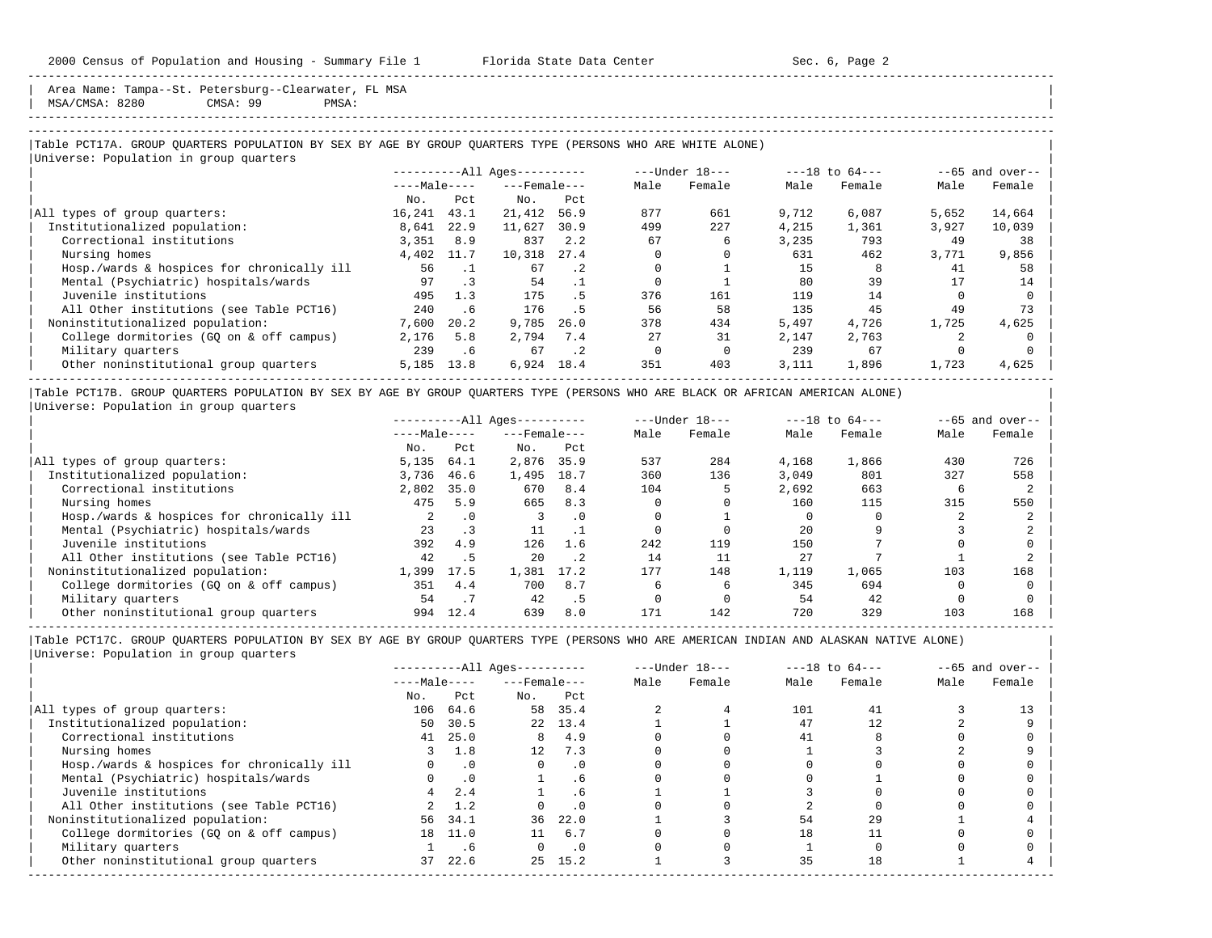2000 Census of Population and Housing - Summary File 1 Florida State Data Center Sec. 6, Page 2

Area Name: Tampa--St. Petersburg--Clearwater, FL MSA | MSA/CMSA: 8280 CMSA: 99 PMSA: |

-----------------------------------------------------------------------------------------------------------------------------------------------------

-----------------------------------------------------------------------------------------------------------------------------------------------------

### |Table PCT17A. GROUP QUARTERS POPULATION BY SEX BY AGE BY GROUP QUARTERS TYPE (PERSONS WHO ARE WHITE ALONE) | |<br>|Universe: Population in group quarters

|                                            |              |           | ----------All Ages---------- |           |              | $---Under 18---$ |       | $---18$ to $64---$ |       | $--65$ and over-- |
|--------------------------------------------|--------------|-----------|------------------------------|-----------|--------------|------------------|-------|--------------------|-------|-------------------|
|                                            | $---Male---$ |           | $---$ Female $---$           |           | Male         | Female           | Male  | Female             | Male  | Female            |
|                                            | No.          | Pct       | No.                          | Pct.      |              |                  |       |                    |       |                   |
| All types of group quarters:               | 16,241       | 43.1      | 21,412                       | 56.9      | 877          | 661              | 9,712 | 6,087              | 5,652 | 14,664            |
| Institutionalized population:              | 8,641        | 22.9      | 11,627                       | 30.9      | 499          | 227              | 4,215 | 1,361              | 3,927 | 10,039            |
| Correctional institutions                  | 3,351        | 8.9       | 837                          | 2.2       | 67           | 6                | 3,235 | 793                | 49    | 38                |
| Nursing homes                              | 4,402        | 11.7      | 10,318                       | 27.4      |              |                  | 631   | 462                | 3,771 | 9,856             |
| Hosp./wards & hospices for chronically ill | 56           |           | 67                           | $\cdot$ 2 |              |                  | 15    | 8                  | 41    | 58                |
| Mental (Psychiatric) hospitals/wards       | 97           | $\cdot$ 3 | 54                           |           | <sup>0</sup> |                  | 80    | 39                 |       | 14                |
| Juvenile institutions                      | 495          | 1.3       | 175                          | . 5       | 376          | 161              | 119   | 14                 |       |                   |
| All Other institutions (see Table PCT16)   | 240          | . 6       | 176                          | . 5       | 56           | 58               | 135   | 45                 | 49    | 73                |
| Noninstitutionalized population:           | 7,600        | 20.2      | 9,785                        | 26.0      | 378          | 434              | 5,497 | 4,726              | 1,725 | 4,625             |
| College dormitories (GO on & off campus)   | 2,176        | 5.8       | 2,794                        | 7.4       | 27           | 31               | 2,147 | 2,763              |       |                   |
| Military quarters                          | 239          | . 6       | 67                           | $\cdot$ 2 |              |                  | 239   | 67                 |       |                   |
| Other noninstitutional group quarters      | 5,185        | 13.8      | 6,924                        | 18.4      | 351          | 403              | 3,111 | 1,896              | 1,723 | 4,625             |

|Table PCT17B. GROUP QUARTERS POPULATION BY SEX BY AGE BY GROUP QUARTERS TYPE (PERSONS WHO ARE BLACK OR AFRICAN AMERICAN ALONE) | |Universe: Population in group quarters |

|                                            |              |           | $------All Aqes------$ |           |      | $---Under 18---$ |       | $---18$ to $64---$ |      | $--65$ and over-- |
|--------------------------------------------|--------------|-----------|------------------------|-----------|------|------------------|-------|--------------------|------|-------------------|
|                                            | $---Male---$ |           | $---$ Female $---$     |           | Male | Female           | Male  | Female             | Male | Female            |
|                                            | No.          | Pct       | No.                    | Pct       |      |                  |       |                    |      |                   |
| All types of group quarters:               | 5,135        | 64.1      | 2,876                  | 35.9      | 537  | 284              | 4,168 | 1,866              | 430  | 726               |
| Institutionalized population:              | 3,736        | 46.6      | 1,495                  | 18.7      | 360  | 136              | 3.049 | 801                | 327  | 558               |
| Correctional institutions                  | 2,802        | 35.0      | 670                    | 8.4       | 104  |                  | 2,692 | 663                |      |                   |
| Nursing homes                              | 475          | 5.9       | 665                    | 8.3       |      |                  | 160   | 115                | 315  | 550               |
| Hosp./wards & hospices for chronically ill |              | $\cdot$ 0 |                        | . 0       |      |                  |       |                    |      |                   |
| Mental (Psychiatric) hospitals/wards       | 23           |           | 11                     |           |      |                  | 2.0   |                    |      |                   |
| Juvenile institutions                      | 392          | 4.9       | 126                    | 1.6       | 242  | 119              | 150   |                    |      |                   |
| All Other institutions (see Table PCT16)   | 42           | .5        | 20                     | $\cdot$ 2 | 14   | 11               | 27    |                    |      |                   |
| Noninstitutionalized population:           | 1,399        | 17.5      | 1,381                  | 17.2      | 177  | 148              | 1,119 | 1,065              | 103  | 168               |
| College dormitories (GQ on & off campus)   | 351          | 4.4       | 700                    | 8.7       |      | 6                | 345   | 694                |      |                   |
| Military quarters                          | 54           |           | 42                     | . 5       |      |                  | 54    | 42                 |      |                   |
| Other noninstitutional group quarters      | 994          | 12.4      | 639                    | 8.0       | 171  | 142              | 720   | 329                | 103  | 168               |

-----------------------------------------------------------------------------------------------------------------------------------------------------

|                                            |              |           | $------All Aqes------$ |           |      | $---Under 18---$ |      | $---18$ to $64---$ |      | $--65$ and over-- |
|--------------------------------------------|--------------|-----------|------------------------|-----------|------|------------------|------|--------------------|------|-------------------|
|                                            | $---Male---$ |           | $---$ Female $---$     |           | Male | Female           | Male | Female             | Male | Female            |
|                                            | No.          | Pct       | No.                    | Pct       |      |                  |      |                    |      |                   |
| All types of group quarters:               | 106          | 64.6      | 58                     | 35.4      |      |                  | 101  | 41                 |      |                   |
| Institutionalized population:              | 50           | 30.5      |                        | 22 13.4   |      |                  | 47   | 12                 |      |                   |
| Correctional institutions                  |              | 41 25.0   | 8                      | 4.9       |      |                  | 41   |                    |      |                   |
| Nursing homes                              |              | 1.8       | 12                     | 7.3       |      |                  |      |                    |      |                   |
| Hosp./wards & hospices for chronically ill |              | $\cdot$ 0 |                        | $\cdot$ 0 |      |                  |      |                    |      |                   |
| Mental (Psychiatric) hospitals/wards       |              | $\cdot$ 0 |                        | . 6       |      |                  |      |                    |      |                   |
| Juvenile institutions                      |              | 2.4       |                        | . 6       |      |                  |      |                    |      |                   |
| All Other institutions (see Table PCT16)   |              | 1.2       |                        |           |      |                  |      |                    |      |                   |
| Noninstitutionalized population:           | 56           | 34.1      | 36                     | 22.0      |      |                  | 54   | 29                 |      |                   |
| College dormitories (GQ on & off campus)   | 18           | 11.0      |                        | 6.7       |      |                  | 18   |                    |      |                   |
| Military quarters                          |              | . 6       |                        | $\cdot$ 0 |      |                  |      |                    |      |                   |
| Other noninstitutional group quarters      | 37           | 22.6      |                        | 25 15.2   |      |                  | 35   | 18                 |      |                   |
|                                            |              |           |                        |           |      |                  |      |                    |      |                   |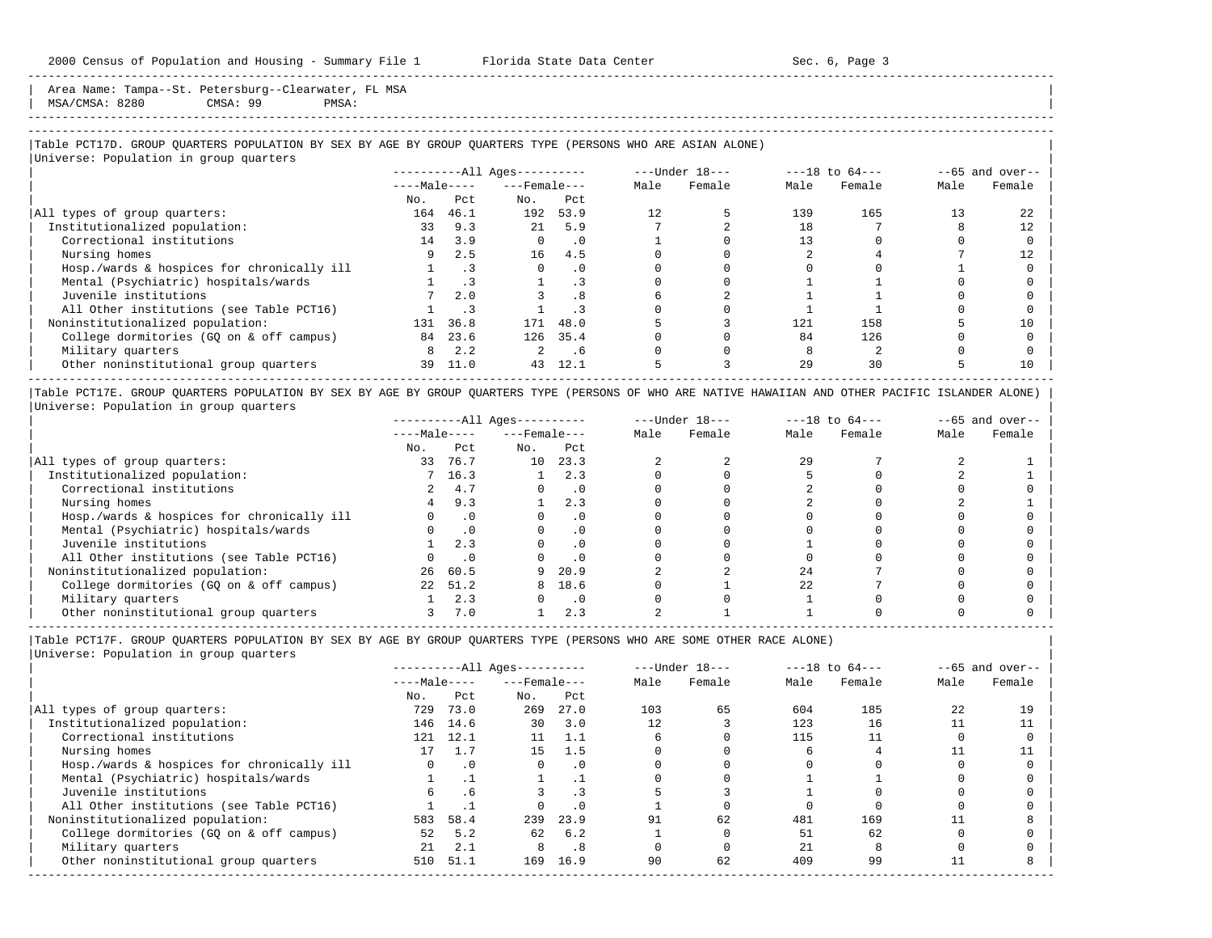Area Name: Tampa--St. Petersburg--Clearwater, FL MSA | MSA/CMSA: 8280 CMSA: 99 PMSA: | -----------------------------------------------------------------------------------------------------------------------------------------------------

### |Table PCT17D. GROUP QUARTERS POPULATION BY SEX BY AGE BY GROUP QUARTERS TYPE (PERSONS WHO ARE ASIAN ALONE) | |<br>|Universe: Population in group quarters

|                                            |              |      | ----------All Ages---------- |           |      | $---Under 18---$ |      | $---18$ to $64---$ |      | $--65$ and over-- |
|--------------------------------------------|--------------|------|------------------------------|-----------|------|------------------|------|--------------------|------|-------------------|
|                                            | $---Male---$ |      | $---$ Female $---$           |           | Male | Female           | Male | Female             | Male | Female            |
|                                            | No.          | Pct  | No.                          | Pct       |      |                  |      |                    |      |                   |
| All types of group quarters:               | 164          | 46.1 |                              | 192 53.9  | 12.  |                  | 139  | 165                |      | 22                |
| Institutionalized population:              | 33           | 9.3  | 21                           | 5.9       |      |                  | 18   |                    |      | 12                |
| Correctional institutions                  | 14           | 3.9  | $\Omega$                     | $\cdot$ 0 |      |                  |      |                    |      |                   |
| Nursing homes                              | 9            | 2.5  | 16                           | 4.5       |      |                  |      |                    |      |                   |
| Hosp./wards & hospices for chronically ill |              |      | $\Omega$                     | $\cdot$ 0 |      |                  |      |                    |      |                   |
| Mental (Psychiatric) hospitals/wards       |              |      |                              |           |      |                  |      |                    |      |                   |
| Juvenile institutions                      |              | 2.0  |                              | .8        |      |                  |      |                    |      |                   |
| All Other institutions (see Table PCT16)   |              |      |                              | . 3       |      |                  |      |                    |      |                   |
| Noninstitutionalized population:           | 131          | 36.8 | 171                          | 48.0      |      |                  | 121  | 158                |      | 10                |
| College dormitories (GO on & off campus)   | 84           | 23.6 |                              | 126 35.4  |      |                  | 84   | 126                |      |                   |
| Military quarters                          | 8            | 2.2  |                              | .6        |      |                  |      |                    |      |                   |
| Other noninstitutional group quarters      | 39           | 11.0 | 43                           | 12.1      |      |                  | 29   | 30                 |      | 10                |

|Table PCT17E. GROUP QUARTERS POPULATION BY SEX BY AGE BY GROUP QUARTERS TYPE (PERSONS OF WHO ARE NATIVE HAWAIIAN AND OTHER PACIFIC ISLANDER ALONE) | |Universe: Population in group quarters |

|                                            |              |         | $------All Ages------$ |           |      | $---Under 18---$ |      | $---18$ to $64---$ |      | $--65$ and over-- |
|--------------------------------------------|--------------|---------|------------------------|-----------|------|------------------|------|--------------------|------|-------------------|
|                                            | $---Male---$ |         | $---$ Female $---$     |           | Male | Female           | Male | Female             | Male | Female            |
|                                            | No.          | Pct     | No.                    | Pct       |      |                  |      |                    |      |                   |
| All types of group quarters:               | 33           | 76.7    | 10                     | 23.3      |      |                  | 29   |                    |      |                   |
| Institutionalized population:              |              | 7, 16.3 |                        | 2.3       |      |                  |      |                    |      |                   |
| Correctional institutions                  |              | 4.7     |                        |           |      |                  |      |                    |      |                   |
| Nursing homes                              | 4            | 9.3     |                        | 2.3       |      |                  |      |                    |      |                   |
| Hosp./wards & hospices for chronically ill |              |         |                        | . 0       |      |                  |      |                    |      |                   |
| Mental (Psychiatric) hospitals/wards       |              |         |                        |           |      |                  |      |                    |      |                   |
| Juvenile institutions                      |              | 2.3     |                        | . 0       |      |                  |      |                    |      |                   |
| All Other institutions (see Table PCT16)   |              |         |                        | $\cdot$ 0 |      |                  |      |                    |      |                   |
| Noninstitutionalized population:           | 26           | 60.5    |                        | 20.9      |      |                  | 24   |                    |      |                   |
| College dormitories (GQ on & off campus)   | 2.2          | 51.2    | 8                      | 18.6      |      |                  | 2.2. |                    |      |                   |
| Military quarters                          |              | 2.3     |                        | $\cdot$ 0 |      |                  |      |                    |      |                   |
| Other noninstitutional group quarters      |              | 7.0     |                        | 2.3       |      |                  |      |                    |      |                   |

----------------------------------------------------------------------------------------------------------------------------------------------------- |Table PCT17F. GROUP QUARTERS POPULATION BY SEX BY AGE BY GROUP QUARTERS TYPE (PERSONS WHO ARE SOME OTHER RACE ALONE) |

|                                            |              |           | $------All Ages------$ |           |      | $---Under 18---$ |      | $---18$ to $64---$ |      | $--65$ and over-- |
|--------------------------------------------|--------------|-----------|------------------------|-----------|------|------------------|------|--------------------|------|-------------------|
|                                            | $---Male---$ |           | $---$ Female ---       |           | Male | Female           | Male | Female             | Male | Female            |
|                                            | No.          | Pct       | No.                    | Pct       |      |                  |      |                    |      |                   |
| All types of group quarters:               | 729          | 73.0      | 269                    | 27.0      | 103  | 65               | 604  | 185                | 22   | 19                |
| Institutionalized population:              | 146          | 14.6      | 30                     | 3.0       | 12   |                  | 123  | 16                 |      |                   |
| Correctional institutions                  | 121          | 12.1      | 11                     | 1.1       |      |                  | 115  |                    |      |                   |
| Nursing homes                              |              |           | 15                     | 1.5       |      |                  |      |                    |      |                   |
| Hosp./wards & hospices for chronically ill |              | $\cdot$ 0 | $\Omega$               | $\cdot$ 0 |      |                  |      |                    |      |                   |
| Mental (Psychiatric) hospitals/wards       |              |           |                        |           |      |                  |      |                    |      |                   |
| Juvenile institutions                      | б.           | .6        |                        |           |      |                  |      |                    |      |                   |
| All Other institutions (see Table PCT16)   |              |           |                        | $\cdot$ 0 |      |                  |      |                    |      |                   |
| Noninstitutionalized population:           | 583          | 58.4      | 239                    | 23.9      | 91   | 62               | 481  | 169                |      |                   |
| College dormitories (GO on & off campus)   | 52           | 5.2       | 62                     | 6.2       |      |                  | 51   | 62                 |      |                   |
| Military quarters                          | 21           | 2.1       | 8                      | .8        |      |                  | 21   |                    |      |                   |
| Other noninstitutional group quarters      | 510          | 51.1      | 169                    | 16.9      | 90   | 62               | 409  | 99                 |      |                   |
|                                            |              |           |                        |           |      |                  |      |                    |      |                   |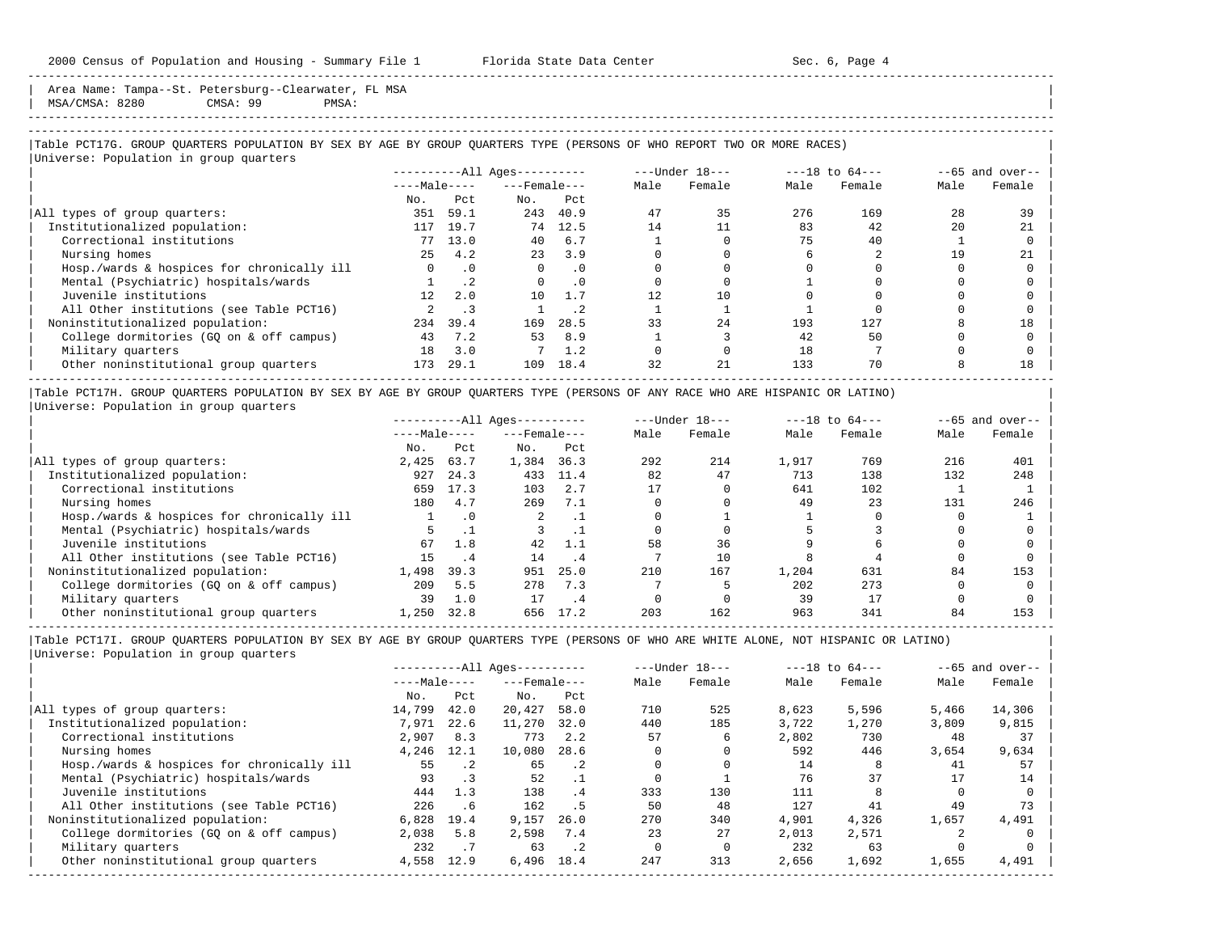2000 Census of Population and Housing - Summary File 1 Florida State Data Center Sec. 6, Page 4

-----------------------------------------------------------------------------------------------------------------------------------------------------

Area Name: Tampa--St. Petersburg--Clearwater, FL MSA | MSA/CMSA: 8280 CMSA: 99 PMSA: |

-----------------------------------------------------------------------------------------------------------------------------------------------------

|Table PCT17G. GROUP QUARTERS POPULATION BY SEX BY AGE BY GROUP QUARTERS TYPE (PERSONS OF WHO REPORT TWO OR MORE RACES) | |<br>|Universe: Population in group quarters

|                                            | ----------All Ages---------- |           |                    |           | $---Under 18---$ |        | $---18$ to $64---$ |        | $--65$ and over-- |        |
|--------------------------------------------|------------------------------|-----------|--------------------|-----------|------------------|--------|--------------------|--------|-------------------|--------|
|                                            | $---Male---$                 |           | $---$ Female $---$ |           | Male             | Female | Male               | Female | Male              | Female |
|                                            | No.                          | Pct       | No.                | Pct       |                  |        |                    |        |                   |        |
| All types of group quarters:               | 351                          | 59.1      |                    | 243 40.9  | 47               | 35     | 276                | 169    | 28                | 39     |
| Institutionalized population:              | 117                          | 19.7      | 74                 | 12.5      | 14               |        | 83                 | 42     | 20                | 21     |
| Correctional institutions                  | 77                           | 13.0      | 40                 | 6.7       |                  |        | 75                 | 40     |                   |        |
| Nursing homes                              | 25                           | 4.2       | 23                 | 3.9       |                  |        |                    |        | 19                | 21     |
| Hosp./wards & hospices for chronically ill | $\Omega$                     | $\cdot$ 0 | $\Omega$           | $\cdot$ 0 |                  |        |                    |        |                   |        |
| Mental (Psychiatric) hospitals/wards       |                              | $\cdot$ 2 |                    | $\cdot$ 0 |                  |        |                    |        |                   |        |
| Juvenile institutions                      | 12 <sup>12</sup>             | 2.0       | 10                 | 1.7       | 12               | 10     |                    |        |                   |        |
| All Other institutions (see Table PCT16)   |                              |           |                    | $\cdot$ 2 |                  |        |                    |        |                   |        |
| Noninstitutionalized population:           | 234                          | 39.4      | 169                | 28.5      | 33               | 2.4    | 193                | 127    |                   | 18     |
| College dormitories (GO on & off campus)   | 43                           | 7.2       | 53                 | 8.9       |                  |        | 42                 | 50     |                   |        |
| Military quarters                          | 18                           | 3.0       |                    | 1.2       |                  |        | 18                 |        |                   |        |
| Other noninstitutional group quarters      | 173                          | 29.1      | 109                | 18.4      | 32               | 21     | 133                | 70     |                   | 18     |

|Table PCT17H. GROUP QUARTERS POPULATION BY SEX BY AGE BY GROUP QUARTERS TYPE (PERSONS OF ANY RACE WHO ARE HISPANIC OR LATINO) | |Universe: Population in group quarters |

|                                            | $------All Aqes------$ |           |                    |           |      | $---Under 18---$ |       | $---18$ to $64---$ |      | $--65$ and over-- |  |
|--------------------------------------------|------------------------|-----------|--------------------|-----------|------|------------------|-------|--------------------|------|-------------------|--|
|                                            | $---Male---$           |           | $---$ Female $---$ |           | Male | Female           | Male  | Female             | Male | Female            |  |
|                                            | No.                    | Pct       | No.                | Pct       |      |                  |       |                    |      |                   |  |
| All types of group quarters:               | 2,425                  | 63.7      | 1,384              | 36.3      | 292  | 214              | 1,917 | 769                | 216  | 401               |  |
| Institutionalized population:              | 927                    | 24.3      | 433                | 11.4      | 82   | 47               | 713   | 138                | 132  | 248               |  |
| Correctional institutions                  | 659                    | 17.3      | 103                | 2.7       |      |                  | 641   | 102                |      |                   |  |
| Nursing homes                              | 180                    | 4.7       | 269                | 7.1       |      |                  | 49    | 23                 | 131  | 246               |  |
| Hosp./wards & hospices for chronically ill |                        | $\cdot$ 0 | 2                  | . .       |      |                  |       |                    |      |                   |  |
| Mental (Psychiatric) hospitals/wards       |                        |           |                    |           |      |                  |       |                    |      |                   |  |
| Juvenile institutions                      | 67                     | 1.8       | 42                 | 1.1       | 58   | 36               |       |                    |      |                   |  |
| All Other institutions (see Table PCT16)   | 15                     | . 4       | 14                 | . 4       |      | 10               |       |                    |      |                   |  |
| Noninstitutionalized population:           | 1,498                  | 39.3      | 951                | 25.0      | 210  | 167              | 1,204 | 631                | 84   | 153               |  |
| College dormitories (GO on & off campus)   | 209                    | 5.5       | 278                | 7.3       |      |                  | 202   | 273                |      |                   |  |
| Military quarters                          | 39                     | 1.0       | 17                 | $\cdot$ 4 |      |                  | 39    | 17                 |      |                   |  |
| Other noninstitutional group quarters      | 1,250                  | 32.8      | 656                | 17.2      | 203  | 162              | 963   | 341                | 84   | 153               |  |

-----------------------------------------------------------------------------------------------------------------------------------------------------

|Table PCT17I. GROUP QUARTERS POPULATION BY SEX BY AGE BY GROUP QUARTERS TYPE (PERSONS OF WHO ARE WHITE ALONE, NOT HISPANIC OR LATINO) | |Universe: Population in group quarters |

|                                            | $------All Aqes------$ |           |                  | $---Under 18---$ |      | $---18$ to $64---$ |       | $--65$ and over-- |       |        |
|--------------------------------------------|------------------------|-----------|------------------|------------------|------|--------------------|-------|-------------------|-------|--------|
|                                            | $---Male---$           |           | $---$ Female --- |                  | Male | Female             | Male  | Female            | Male  | Female |
|                                            | No.                    | Pct       | No.              | Pct              |      |                    |       |                   |       |        |
| All types of group quarters:               | 14,799                 | 42.0      | 20,427           | 58.0             | 710  | 525                | 8,623 | 5,596             | 5,466 | 14,306 |
| Institutionalized population:              | 7,971                  | 22.6      | 11,270           | 32.0             | 440  | 185                | 3,722 | 1,270             | 3,809 | 9,815  |
| Correctional institutions                  | 2,907                  | 8.3       | 773              | 2.2              | 57   | 6.                 | 2,802 | 730               | 48    | 37     |
| Nursing homes                              | 4,246                  | 12.1      | 10,080           | 28.6             |      |                    | 592   | 446               | 3,654 | 9,634  |
| Hosp./wards & hospices for chronically ill | 55                     | $\cdot$ 2 | 65               | $\cdot$ 2        |      |                    | 14    |                   | 41    | 57     |
| Mental (Psychiatric) hospitals/wards       | 93                     | $\cdot$ 3 | 52               | $\cdot$ 1        |      |                    | 76    | 37                |       | 14     |
| Juvenile institutions                      | 444                    | 1.3       | 138              | .4               | 333  | 130                | 111   |                   |       |        |
| All Other institutions (see Table PCT16)   | 226                    | .6        | 162              | .5               | 50   | 48                 | 127   | 41                | 49    | 73     |
| Noninstitutionalized population:           | 6,828                  | 19.4      | 9,157            | 26.0             | 270  | 340                | 4,901 | 4,326             | 1,657 | 4,491  |
| College dormitories (GO on & off campus)   | 2,038                  | 5.8       | 2,598            | 7.4              | 23   | 27                 | 2,013 | 2,571             |       |        |
| Military quarters                          | 232                    | $\cdot$ 7 | 63               | $\cdot$ 2        |      |                    | 232   | 63                |       |        |
| Other noninstitutional group quarters      | 4,558                  | 12.9      | 6,496            | 18.4             | 247  | 313                | 2,656 | 1,692             | 1,655 | 4,491  |
|                                            |                        |           |                  |                  |      |                    |       |                   |       |        |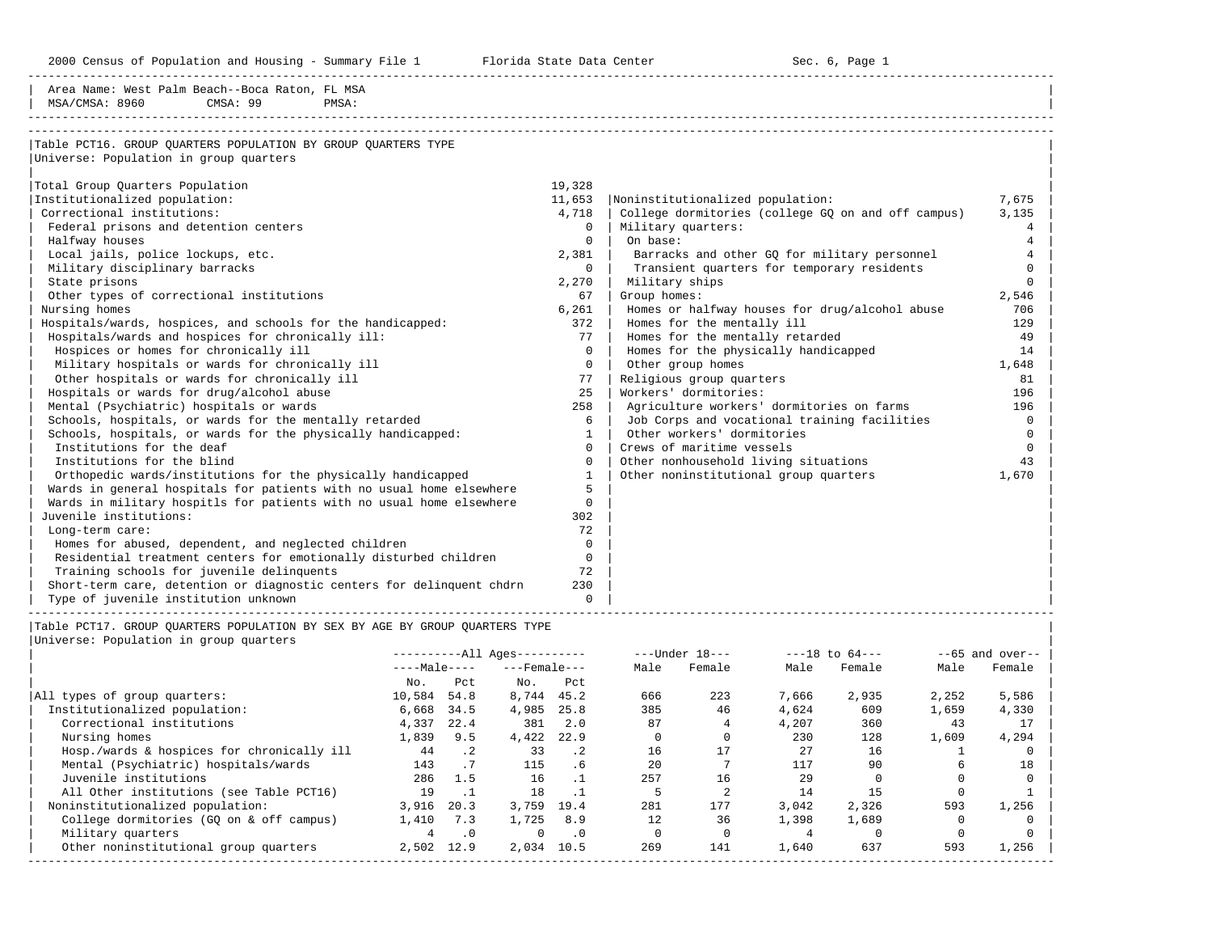2000 Census of Population and Housing - Summary File 1 Telorida State Data Center Sec. 6, Page 1 No

-----------------------------------------------------------------------------------------------------------------------------------------------------

| Area Name: West Palm Beach--Boca Raton, FL MSA                        |              |                                                    |          |
|-----------------------------------------------------------------------|--------------|----------------------------------------------------|----------|
| CMSA: 99<br>PMSA:<br>MSA/CMSA: 8960                                   |              |                                                    |          |
|                                                                       |              |                                                    |          |
| Table PCT16. GROUP OUARTERS POPULATION BY GROUP OUARTERS TYPE         |              |                                                    |          |
| Universe: Population in group quarters                                |              |                                                    |          |
|                                                                       |              |                                                    |          |
| Total Group Quarters Population                                       | 19,328       |                                                    |          |
| Institutionalized population:                                         | 11,653       | Noninstitutionalized population:                   | 7,675    |
| Correctional institutions:                                            | 4,718        | College dormitories (college GO on and off campus) | 3,135    |
| Federal prisons and detention centers                                 | $\Omega$     | Military quarters:                                 | 4        |
| Halfway houses                                                        | $\Omega$     | On base:                                           | 4        |
| Local jails, police lockups, etc.                                     | 2,381        | Barracks and other GO for military personnel       |          |
| Military disciplinary barracks                                        | $\Omega$     | Transient quarters for temporary residents         |          |
| State prisons                                                         | 2,270        | Military ships                                     |          |
| Other types of correctional institutions                              | 67           | Group homes:                                       | 2,546    |
| Nursing homes                                                         | 6,261        | Homes or halfway houses for drug/alcohol abuse     | 706      |
| Hospitals/wards, hospices, and schools for the handicapped:           | 372          | Homes for the mentally ill                         | 129      |
| Hospitals/wards and hospices for chronically ill:                     | 77           | Homes for the mentally retarded                    | 49       |
| Hospices or homes for chronically ill                                 | $\Omega$     | Homes for the physically handicapped               | 14       |
| Military hospitals or wards for chronically ill                       | $\Omega$     | Other group homes                                  | 1,648    |
| Other hospitals or wards for chronically ill                          | 77           | Religious group quarters                           | 81       |
| Hospitals or wards for drug/alcohol abuse                             | 25           | Workers' dormitories:                              | 196      |
| Mental (Psychiatric) hospitals or wards                               | 258          | Agriculture workers' dormitories on farms          | 196      |
| Schools, hospitals, or wards for the mentally retarded                | 6            | Job Corps and vocational training facilities       | $\Omega$ |
| Schools, hospitals, or wards for the physically handicapped:          | $\mathbf{1}$ | Other workers' dormitories                         | $\Omega$ |
| Institutions for the deaf                                             | $\Omega$     | Crews of maritime vessels                          | $\Omega$ |
| Institutions for the blind                                            | $\Omega$     | Other nonhousehold living situations               | 43       |
| Orthopedic wards/institutions for the physically handicapped          |              | Other noninstitutional group quarters              | 1,670    |
| Wards in general hospitals for patients with no usual home elsewhere  | 5            |                                                    |          |
| Wards in military hospitls for patients with no usual home elsewhere  | $\Omega$     |                                                    |          |
| Juvenile institutions:                                                | 302          |                                                    |          |
| Long-term care:                                                       | 72           |                                                    |          |
| Homes for abused, dependent, and neglected children                   | $\Omega$     |                                                    |          |
| Residential treatment centers for emotionally disturbed children      | $\Omega$     |                                                    |          |
| Training schools for juvenile delinquents                             | 72           |                                                    |          |
| Short-term care, detention or diagnostic centers for delinquent chdrn | 230          |                                                    |          |
| Type of juvenile institution unknown                                  | $\Omega$     |                                                    |          |
|                                                                       |              |                                                    |          |

|Table PCT17. GROUP QUARTERS POPULATION BY SEX BY AGE BY GROUP QUARTERS TYPE |

|Universe: Population in group quarters |

|                                            | $------All Aqes------$ |           |                    |           |      | $---Under 18---$ |       | $---18$ to $64---$ |       | $--65$ and over-- |
|--------------------------------------------|------------------------|-----------|--------------------|-----------|------|------------------|-------|--------------------|-------|-------------------|
|                                            | $---Male---$           |           | $---$ Female $---$ |           | Male | Female           | Male  | Female             | Male  | Female            |
|                                            | No.                    | Pct       | No.                | Pct       |      |                  |       |                    |       |                   |
| All types of group quarters:               | 10,584                 | 54.8      | 8,744              | 45.2      | 666  | 223              | 7,666 | 2,935              | 2,252 | 5,586             |
| Institutionalized population:              | 6,668                  | 34.5      | 4,985              | 25.8      | 385  | 46               | 4,624 | 609                | 1,659 | 4,330             |
| Correctional institutions                  | 4,337                  | 22.4      | 381                | 2.0       | 87   |                  | 4,207 | 360                | 43    | 17                |
| Nursing homes                              | 1,839                  | 9.5       | 4,422              | 22.9      |      |                  | 230   | 128                | 1,609 | 4,294             |
| Hosp./wards & hospices for chronically ill | 44                     | $\cdot$ 2 | 33                 | $\cdot$ 2 | 16   |                  | 27    | 16                 |       |                   |
| Mental (Psychiatric) hospitals/wards       | 143                    | .7        | 115                | . 6       | 20   |                  | 117   | 90                 |       | 18                |
| Juvenile institutions                      | 286                    | 1.5       | 16                 |           | 257  | 16               | 29    |                    |       |                   |
| All Other institutions (see Table PCT16)   | 19                     |           | 18                 | . 1       |      |                  | 14    | 15                 |       |                   |
| Noninstitutionalized population:           | 3,916                  | 20.3      | 3,759              | 19.4      | 281  | 177              | 3.042 | 2,326              | 593   | 1,256             |
| College dormitories (GO on & off campus)   | 1,410                  | 7.3       | 1,725              | 8.9       | 12   | 36               | 1,398 | 1,689              |       |                   |
| Military quarters                          | 4                      | $\cdot$ 0 | $\Omega$           | $\cdot$ 0 |      |                  |       |                    |       |                   |
| Other noninstitutional group quarters      | 2,502                  | 12.9      | 2,034              | 10.5      | 269  | 141              | 1,640 | 637                | 593   | 1,256             |
|                                            |                        |           |                    |           |      |                  |       |                    |       |                   |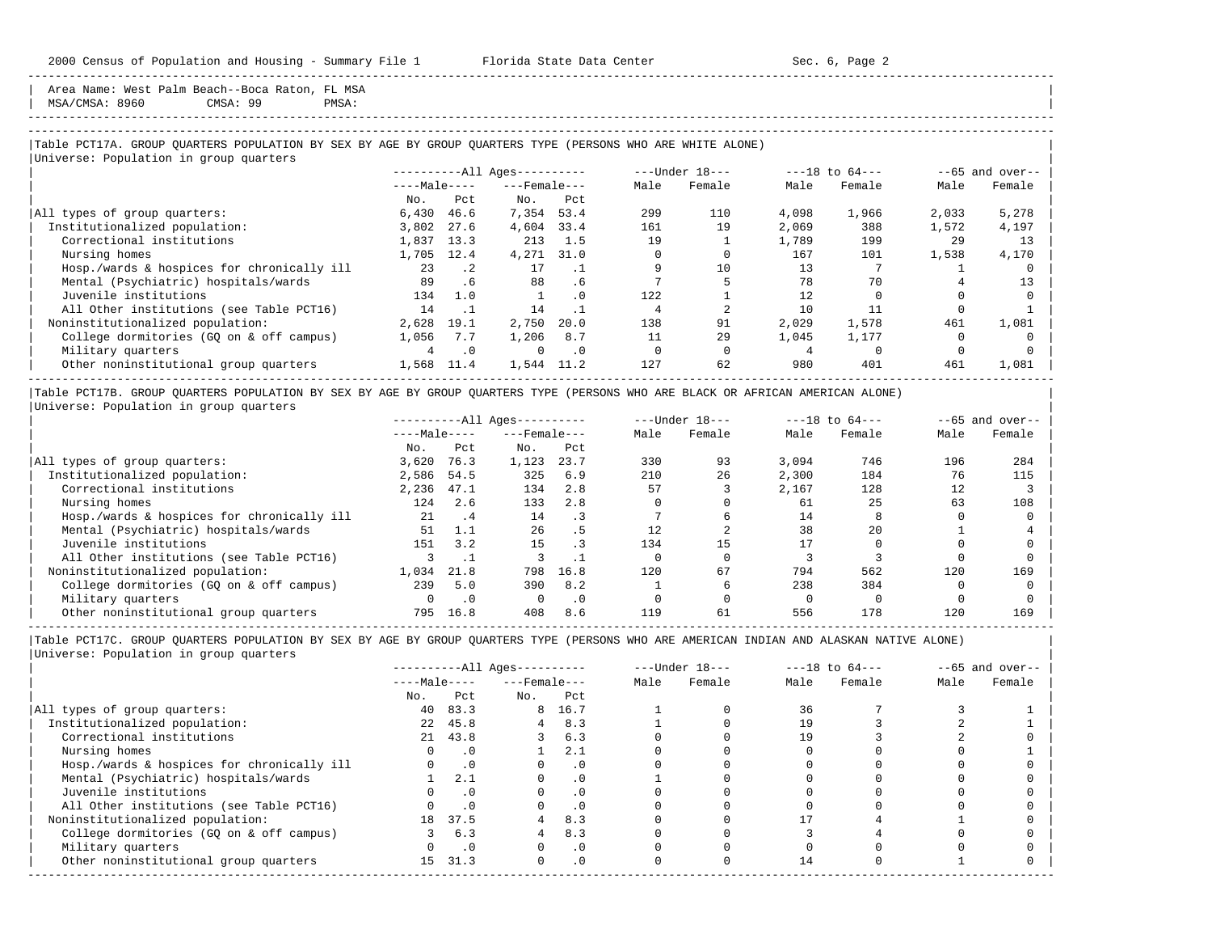Area Name: West Palm Beach--Boca Raton, FL MSA

| MSA/CMSA: 8960 CMSA: 99 PMSA: |

-----------------------------------------------------------------------------------------------------------------------------------------------------

-----------------------------------------------------------------------------------------------------------------------------------------------------

## |Table PCT17A. GROUP QUARTERS POPULATION BY SEX BY AGE BY GROUP QUARTERS TYPE (PERSONS WHO ARE WHITE ALONE) | |<br>|Universe: Population in group quarters

|                                            |              |           | $------All Aqes------$ |           |      | ---Under 18--- | $---18$ to $64---$ |        | $--65$ and over-- |        |
|--------------------------------------------|--------------|-----------|------------------------|-----------|------|----------------|--------------------|--------|-------------------|--------|
|                                            | $---Male---$ |           | $---$ Female $---$     |           | Male | Female         | Male               | Female | Male              | Female |
|                                            | No.          | Pct.      | No.                    | Pct       |      |                |                    |        |                   |        |
| All types of group quarters:               | 6,430        | 46.6      | 7,354 53.4             |           | 299  | 110            | 4,098              | 1,966  | 2,033             | 5,278  |
| Institutionalized population:              | 3,802        | 27.6      | 4,604                  | 33.4      | 161  | 19             | 2,069              | 388    | 1,572             | 4,197  |
| Correctional institutions                  | 1,837        | 13.3      | 213                    | 1.5       | 19   |                | 1,789              | 199    | 29                | 13     |
| Nursing homes                              | 1,705        | 12.4      | 4,271                  | 31.0      |      |                | 167                | 101    | 1,538             | 4,170  |
| Hosp./wards & hospices for chronically ill | 23           | $\cdot$ 2 | 17                     |           |      | 10             | 13                 |        |                   |        |
| Mental (Psychiatric) hospitals/wards       | 89           | .6        | 88                     | . 6       |      |                | 78                 | 70     |                   | 13     |
| Juvenile institutions                      | 134          | 1.0       |                        | $\cdot$ 0 | 122  |                | 12                 |        |                   |        |
| All Other institutions (see Table PCT16)   | 14           |           | 14                     |           |      |                | 10                 | 11     |                   |        |
| Noninstitutionalized population:           | 2,628        | 19.1      | 2,750                  | 20.0      | 138  | 91             | 2.029              | 1,578  | 461               | 1,081  |
| College dormitories (GO on & off campus)   | 1,056        | 7.7       | 1,206                  | 8.7       | 11   | 29             | 1,045              | 1,177  |                   |        |
| Military quarters                          |              | $\cdot$ 0 | $\Omega$               | $\cdot$ 0 |      |                |                    |        |                   |        |
| Other noninstitutional group quarters      | 1,568        | 11.4      | 1,544                  | 11.2      | 127  | 62             | 980                | 401    | 461               | 1,081  |
|                                            |              |           |                        |           |      |                |                    |        |                   |        |

|Table PCT17B. GROUP QUARTERS POPULATION BY SEX BY AGE BY GROUP QUARTERS TYPE (PERSONS WHO ARE BLACK OR AFRICAN AMERICAN ALONE) | |Universe: Population in group quarters |

|                                            |              | $------All Aqes------$ |                    |           |      | $---Under 18---$ | $---18$ to $64---$ |        | $--65$ and over-- |        |
|--------------------------------------------|--------------|------------------------|--------------------|-----------|------|------------------|--------------------|--------|-------------------|--------|
|                                            | $---Male---$ |                        | $---$ Female $---$ |           | Male | Female           | Male               | Female | Male              | Female |
|                                            | No.          | Pct                    | No.                | Pct       |      |                  |                    |        |                   |        |
| All types of group quarters:               | 3.620        | 76.3                   | 1,123              | 23.7      | 330  | 93               | 3.094              | 746    | 196               | 284    |
| Institutionalized population:              | 2,586        | 54.5                   | 325                | 6.9       | 210  | 26               | 2,300              | 184    | 76                | 115    |
| Correctional institutions                  | 2,236        | 47.1                   | 134                | 2.8       | 57   |                  | 2,167              | 128    | 12                |        |
| Nursing homes                              | 124          | 2.6                    | 133                | 2.8       |      |                  | 61                 | 25     | 63                | 108    |
| Hosp./wards & hospices for chronically ill | 21           | . 4                    | 14                 |           |      |                  | 14                 |        |                   |        |
| Mental (Psychiatric) hospitals/wards       | 51           | 1.1                    | 26                 | . 5       | 12.  |                  | 38                 | 2.0    |                   |        |
| Juvenile institutions                      | 151          | 3.2                    | 15                 |           | 134  | 15               |                    |        |                   |        |
| All Other institutions (see Table PCT16)   |              |                        |                    |           |      |                  |                    |        |                   |        |
| Noninstitutionalized population:           | 1,034        | 21.8                   | 798                | 16.8      | 120  | 67               | 794                | 562    | 120               | 169    |
| College dormitories (GO on & off campus)   | 239          | 5.0                    | 390                | 8.2       |      |                  | 238                | 384    |                   |        |
| Military quarters                          |              | $\cdot$ 0              |                    | $\cdot$ 0 |      |                  |                    |        |                   |        |
| Other noninstitutional group quarters      | 795          | 16.8                   | 408                | 8.6       | 119  | 61               | 556                | 178    | 120               | 169    |

----------------------------------------------------------------------------------------------------------------------------------------------------- |Table PCT17C. GROUP QUARTERS POPULATION BY SEX BY AGE BY GROUP QUARTERS TYPE (PERSONS WHO ARE AMERICAN INDIAN AND ALASKAN NATIVE ALONE) | |Universe: Population in group quarters |

|                                            | $------All Ages------$ |           |                    |           | $---Under 18---$ |        | $---18$ to $64---$ |        | $--65$ and over-- |        |
|--------------------------------------------|------------------------|-----------|--------------------|-----------|------------------|--------|--------------------|--------|-------------------|--------|
|                                            | $---Male---$           |           | $---$ Female $---$ |           | Male             | Female | Male               | Female | Male              | Female |
|                                            | No.                    | Pct       | No.                | Pct       |                  |        |                    |        |                   |        |
| All types of group quarters:               | 40                     | 83.3      |                    | 8 16.7    |                  |        | 36                 |        |                   |        |
| Institutionalized population:              | 2.2                    | 45.8      |                    | 8.3       |                  |        |                    |        |                   |        |
| Correctional institutions                  |                        | 21 43.8   |                    | 6.3       |                  |        | 19                 |        |                   |        |
| Nursing homes                              |                        | . 0       |                    | 2.1       |                  |        |                    |        |                   |        |
| Hosp./wards & hospices for chronically ill |                        | .0        |                    | . 0       |                  |        |                    |        |                   |        |
| Mental (Psychiatric) hospitals/wards       |                        | 2.1       |                    | $\cdot$ 0 |                  |        |                    |        |                   |        |
| Juvenile institutions                      |                        |           |                    | $\cdot$ 0 |                  |        |                    |        |                   |        |
| All Other institutions (see Table PCT16)   |                        |           |                    | . 0       |                  |        |                    |        |                   |        |
| Noninstitutionalized population:           | 18                     | 37.5      |                    | 8.3       |                  |        |                    |        |                   |        |
| College dormitories (GO on & off campus)   |                        | 6.3       |                    | 8.3       |                  |        |                    |        |                   |        |
| Military quarters                          |                        | $\cdot$ 0 |                    | $\cdot$ 0 |                  |        |                    |        |                   |        |
| Other noninstitutional group quarters      | 15                     | 31.3      | $\Omega$           | $\cdot$ 0 |                  |        | 14                 |        |                   |        |
|                                            |                        |           |                    |           |                  |        |                    |        |                   |        |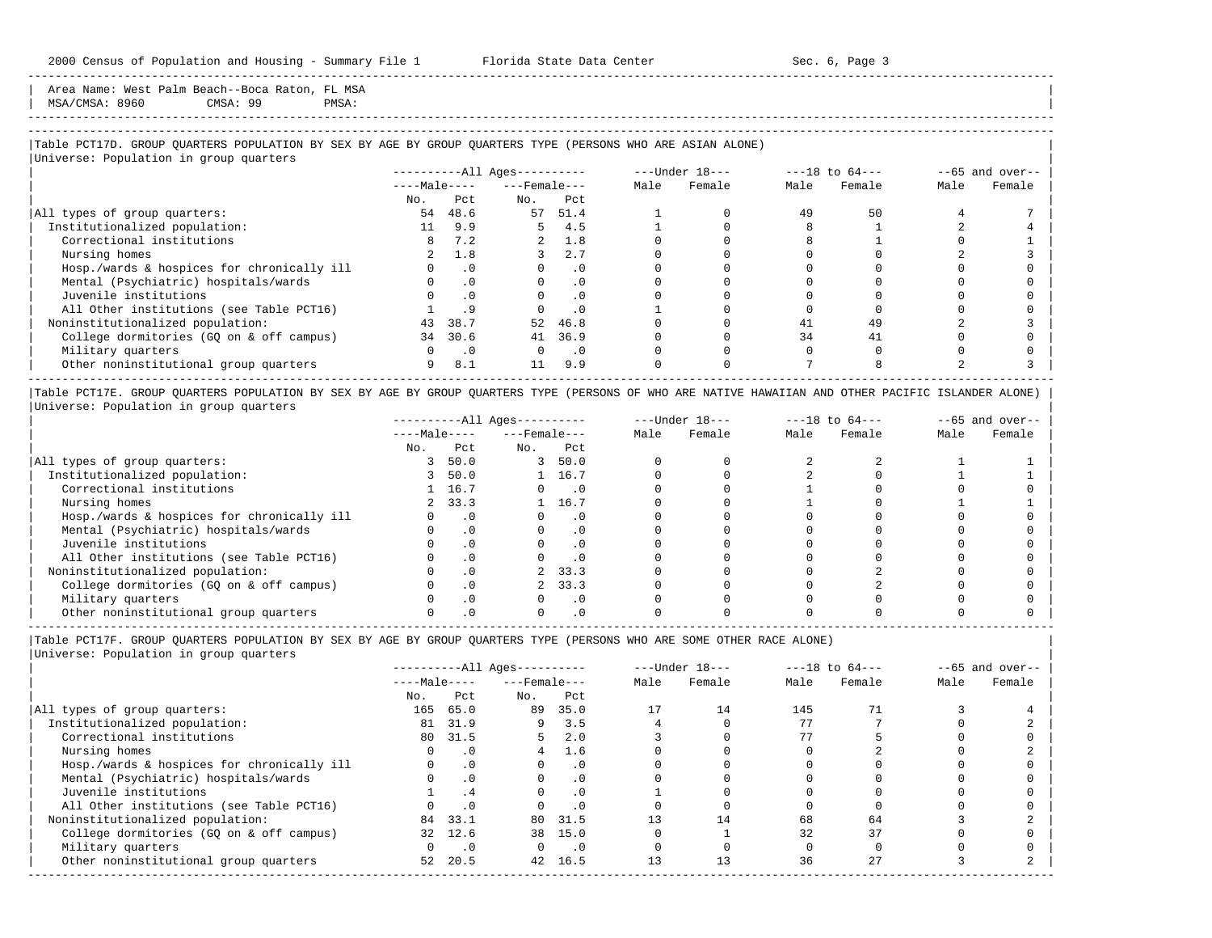Area Name: West Palm Beach--Boca Raton, FL MSA

| MSA/CMSA: 8960 CMSA: 99 PMSA: |

## -----------------------------------------------------------------------------------------------------------------------------------------------------

-----------------------------------------------------------------------------------------------------------------------------------------------------

## |Table PCT17D. GROUP QUARTERS POPULATION BY SEX BY AGE BY GROUP QUARTERS TYPE (PERSONS WHO ARE ASIAN ALONE) |

|                                            |              |           | $------All Ages------$ |           |      | ---Under 18--- |      | $---18$ to $64---$ | $--65$ and over-- |        |
|--------------------------------------------|--------------|-----------|------------------------|-----------|------|----------------|------|--------------------|-------------------|--------|
|                                            | $---Male---$ |           | $---$ Female $---$     |           | Male | Female         | Male | Female             | Male              | Female |
|                                            | No.          | Pct       | No.                    | Pct       |      |                |      |                    |                   |        |
| All types of group quarters:               | 54           | 48.6      | 57                     | 51.4      |      |                | 49   | 50                 |                   |        |
| Institutionalized population:              | 11           | 9.9       | 5.                     | 4.5       |      |                |      |                    |                   |        |
| Correctional institutions                  |              | 7.2       | $\overline{a}$         | 1.8       |      |                |      |                    |                   |        |
| Nursing homes                              |              | 1.8       |                        | 2.7       |      |                |      |                    |                   |        |
| Hosp./wards & hospices for chronically ill |              | $\cdot$ 0 |                        | $\cdot$ 0 |      |                |      |                    |                   |        |
| Mental (Psychiatric) hospitals/wards       |              | $\cdot$ 0 | $\Omega$               | $\cdot$ 0 |      |                |      |                    |                   |        |
| Juvenile institutions                      |              |           |                        | $\cdot$ 0 |      |                |      |                    |                   |        |
| All Other institutions (see Table PCT16)   |              |           |                        | $\cdot$ 0 |      |                |      |                    |                   |        |
| Noninstitutionalized population:           | 43           | 38.7      | 52                     | 46.8      |      |                | 41   | 49                 |                   |        |
| College dormitories (GQ on & off campus)   | 34           | 30.6      | 41                     | 36.9      |      |                | 34   | 41                 |                   |        |
| Military quarters                          |              | $\cdot$ 0 | $\Omega$               | $\cdot$ 0 |      |                |      |                    |                   |        |
| Other noninstitutional group quarters      | 9            | 8.1       | 11                     | 9.9       |      |                |      |                    |                   |        |

|Table PCT17E. GROUP QUARTERS POPULATION BY SEX BY AGE BY GROUP QUARTERS TYPE (PERSONS OF WHO ARE NATIVE HAWAIIAN AND OTHER PACIFIC ISLANDER ALONE) | |Universe: Population in group quarters |

|                                            | $------All Aqes------$ |           |                    |           |      | $---Under 18---$ | $---18$ to $64---$ |        | $--65$ and over-- |        |
|--------------------------------------------|------------------------|-----------|--------------------|-----------|------|------------------|--------------------|--------|-------------------|--------|
|                                            | $---Male---$           |           | $---$ Female $---$ |           | Male | Female           | Male               | Female | Male              | Female |
|                                            | No.                    | Pct       | No.                | Pct       |      |                  |                    |        |                   |        |
| All types of group quarters:               |                        | 50.0      |                    | 50.0      |      |                  |                    |        |                   |        |
| Institutionalized population:              |                        | 50.0      |                    | 16.7      |      |                  |                    |        |                   |        |
| Correctional institutions                  |                        | 16.7      |                    | . 0       |      |                  |                    |        |                   |        |
| Nursing homes                              |                        | 33.3      |                    | 16.7      |      |                  |                    |        |                   |        |
| Hosp./wards & hospices for chronically ill |                        |           |                    | . 0       |      |                  |                    |        |                   |        |
| Mental (Psychiatric) hospitals/wards       |                        |           |                    | $\cdot$ 0 |      |                  |                    |        |                   |        |
| Juvenile institutions                      |                        |           |                    | . 0       |      |                  |                    |        |                   |        |
| All Other institutions (see Table PCT16)   |                        |           |                    | $\cdot$ 0 |      |                  |                    |        |                   |        |
| Noninstitutionalized population:           |                        |           |                    | 2, 33.3   |      |                  |                    |        |                   |        |
| College dormitories (GO on & off campus)   |                        | $\cdot$ 0 |                    | 33.3      |      |                  |                    |        |                   |        |
| Military quarters                          |                        |           |                    | . 0       |      |                  |                    |        |                   |        |
| Other noninstitutional group quarters      |                        |           |                    |           |      |                  |                    |        |                   |        |

|Table PCT17F. GROUP QUARTERS POPULATION BY SEX BY AGE BY GROUP QUARTERS TYPE (PERSONS WHO ARE SOME OTHER RACE ALONE) |

|Universe: Population in group quarters |

|                                            |              |           | $------All Aqes------$ |                             |      | $---Under 18---$ |      | $---18$ to $64---$ | $--65$ and over-- |        |
|--------------------------------------------|--------------|-----------|------------------------|-----------------------------|------|------------------|------|--------------------|-------------------|--------|
|                                            | $---Male---$ |           | $---$ Female $---$     |                             | Male | Female           | Male | Female             | Male              | Female |
|                                            | No.          | Pct       | No.                    | Pct                         |      |                  |      |                    |                   |        |
| All types of group quarters:               | 165          | 65.0      | 89                     | 35.0                        | 17   | 14               | 145  |                    |                   |        |
| Institutionalized population:              | 81           | 31.9      | 9                      | 3.5                         |      |                  | 77   |                    |                   |        |
| Correctional institutions                  |              | 80 31.5   | 5.                     | 2.0                         |      |                  | 77   |                    |                   |        |
| Nursing homes                              |              | $\cdot$ 0 | 4                      | 1.6                         |      |                  |      |                    |                   |        |
| Hosp./wards & hospices for chronically ill |              | $\cdot$ 0 |                        | $\cdot$ 0                   |      |                  |      |                    |                   |        |
| Mental (Psychiatric) hospitals/wards       |              | $\cdot$ 0 |                        | $\cdot$ 0                   |      |                  |      |                    |                   |        |
| Juvenile institutions                      |              | .4        | $\Omega$               | $\cdot$ 0                   |      |                  |      |                    |                   |        |
| All Other institutions (see Table PCT16)   |              | $\cdot$ 0 |                        | $\cdot$ 0                   |      |                  |      |                    |                   |        |
| Noninstitutionalized population:           |              | 84 33.1   | 80                     | 31.5                        | 13   | 14               | 68   | 64                 |                   |        |
| College dormitories (GQ on & off campus)   |              | 32 12.6   |                        | 38 15.0                     |      |                  | 32   | 37                 |                   |        |
| Military quarters                          |              | $\cdot$ 0 | $\Omega$               | $\overline{\phantom{0}}$ .0 |      |                  |      |                    |                   |        |
| Other noninstitutional group quarters      | 52           | 20.5      |                        | 42 16.5                     | 13   |                  | 36   | 27                 |                   |        |
|                                            |              |           |                        |                             |      |                  |      |                    |                   |        |